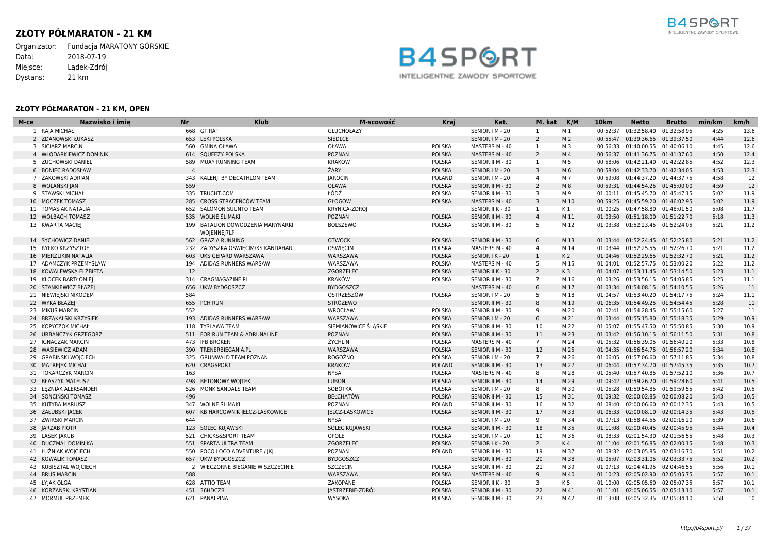# **ZŁOTY PÓŁMARATON - 21 KM**

Organizator: Fundacja MARATONY GÓRSKIE<br>Data: 2018-07-19  $2018-07-19$ Miejsce: Lądek-Zdrój Dystans: 21 km



INTELIGENTNE ZAWODY SPORTOWE

| M-ce | Nazwisko i imie         | <b>Nr</b>      | <b>Klub</b>                                      | M-scowość              | <b>Kraj</b>   | Kat.             | M. kat          | K/M            | 10 <sub>km</sub> | <b>Netto</b>                       | <b>Brutto</b> | min/km       | km/h       |
|------|-------------------------|----------------|--------------------------------------------------|------------------------|---------------|------------------|-----------------|----------------|------------------|------------------------------------|---------------|--------------|------------|
|      | 1 RAJA MICHAŁ           |                | 668 GT RAT                                       | <b>GŁUCHOŁAZY</b>      |               | SENIOR   M - 20  | 1               | $M_1$          | 00:52:37         | 01:32:58.40                        | 01:32:58.95   | 4:25         | 13.6       |
|      | 2 ZDANOWSKI ŁUKASZ      |                | 653 LEKI POLSKA                                  | <b>SIEDLCE</b>         |               | SENIOR   M - 20  | $\overline{2}$  | M <sub>2</sub> | 00:55:47         | 01:39:36.65                        | 01:39:37.50   | 4:44         | 12.6       |
|      | 3 SICIARZ MARCIN        |                | 560 GMINA OŁAWA                                  | OŁAWA                  | <b>POLSKA</b> | MASTERS M - 40   | 1               | M 3            | 00:56:33         | 01:40:00.55 01:40:06.10            |               | 4:45         | 12.6       |
|      | 4 WŁODARKIEWICZ DOMINIK |                | 614 SQUEEZY POLSKA                               | POZNAŃ                 | <b>POLSKA</b> | MASTERS M - 40   | $\overline{2}$  | M <sub>4</sub> | 00:56:37         | 01:41:36.75 01:41:37.60            |               | 4:50         | 12.4       |
|      | 5 ŻUCHOWSKI DANIEL      | 589            | MUAY RUNNING TEAM                                | <b>KRAKÓW</b>          | <b>POLSKA</b> | SENIOR II M - 30 | 1               | M 5            |                  | 00:58:06 01:42:21.40 01:42:22.85   |               | 4:52         | 12.3       |
|      | 6 BONIEC RADOSŁAW       | $\overline{4}$ |                                                  | ŻARY                   | <b>POLSKA</b> | SENIOR   M - 20  | $\overline{3}$  | M 6            | 00:58:04         | 01:42:33.70 01:42:34.05            |               | 4:53         | 12.3       |
|      | 7 ŻAKOWSKI ADRIAN       | 343            | KALENJI BY DECATHLON TEAM                        | <b>JAROCIN</b>         | <b>POLAND</b> | SENIOR   M - 20  | $\overline{4}$  | M 7            | 00:59:08         | 01:44:37.20 01:44:37.75            |               | 4:58         | 12         |
|      | 8 WOLAŃSKI JAN          | 559            |                                                  | OŁAWA                  | <b>POLSKA</b> | SENIOR II M - 30 | 2               | M 8            | 00:59:31         | 01:44:54.25 01:45:00.00            |               | 4:59         | 12         |
|      | 9 STAWSKI MICHAŁ        |                | 335 TRUCHT.COM                                   | ŁÓDŹ                   | <b>POLSKA</b> | SENIOR II M - 30 | 3               | M 9            |                  | 01:00:11 01:45:45.70 01:45:47.15   |               | 5:02         | 11.9       |
|      | 10 MOCZEK TOMASZ        |                | 285 CROSS STRACEŃCÓW TEAM                        | GŁOGÓW                 | <b>POLSKA</b> | MASTERS M - 40   | $\overline{3}$  | M 10           | 00:59:25         | 01:45:59.20 01:46:02.95            |               | 5:02         | 11.9       |
|      | 11 TOMASIAK NATALIA     |                | 652 SALOMON SUUNTO TEAM                          | <b>KRYNICA-ZDRÓJ</b>   |               | SENIOR II K - 30 | 1               | K <sub>1</sub> |                  | 01:00:25 01:47:58.80 01:48:01.50   |               | 5:08         | 11.7       |
|      | 12 WOLBACH TOMASZ       |                | 535 WOLNE ŚLIMAKI                                | POZNAN                 | <b>POLSKA</b> | SENIOR II M - 30 | $\overline{4}$  | M 11           | 01:03:50         | 01:51:18.00 01:51:22.70            |               | 5:18         | 11.3       |
|      | 13 KWARTA MACIEJ        |                | 199 BATALION DOWODZENIA MARYNARKI<br>WOJENNEJ7LP | <b>BOLSZEWO</b>        | <b>POLSKA</b> | SENIOR II M - 30 | 5               | M 12           |                  | 01:03:38 01:52:23.45 01:52:24.05   |               | 5:21         | 11.2       |
|      | 14 SYCHOWICZ DANIEL     |                | 562 GRAZIA RUNNING                               | <b>OTWOCK</b>          | <b>POLSKA</b> | SENIOR II M - 30 | 6               | M 13           |                  | 01:03:44  01:52:24.45  01:52:25.80 |               | 5:21         | 11.2       |
|      | 15 RYŁKO KRZYSZTOF      |                | 232 ZADYSZKA OŚWIĘCIM/KS KANDAHAR                | <b>OŚWIĘCIM</b>        | <b>POLSKA</b> | MASTERS M - 40   | $\overline{4}$  | M 14           |                  | 01:03:44 01:52:25.55 01:52:26.70   |               | 5:21         | 11.2       |
|      | 16 MIERZLIKIN NATALIA   |                | 603 UKS GEPARD WARSZAWA                          | WARSZAWA               | <b>POLSKA</b> | SENIOR I K - 20  | $\mathbf{1}$    | K <sub>2</sub> |                  | 01:04:46 01:52:29.65 01:52:32.70   |               | 5:21         | 11.2       |
|      | 17 ADAMCZYK PRZEMYSŁAW  | 194            | ADIDAS RUNNERS WARSAW                            | WARSZAWA               | <b>POLSKA</b> | MASTERS M - 40   | $5\overline{)}$ | M 15           |                  | 01:04:01 01:52:57.75 01:53:00.20   |               | 5:22         | 11.2       |
|      | 18 KOWALEWSKA ELŻBIETA  | 12             |                                                  | ZGORZELEC              | <b>POLSKA</b> | SENIOR II K - 30 | 2               | K <sub>3</sub> |                  | 01:04:07 01:53:11.45 01:53:14.50   |               | 5:23         | 11.1       |
|      | 19 KLOCEK BARTŁOMIEJ    |                | 314 CRAGMAGAZINE.PL                              | <b>KRAKÓW</b>          | <b>POLSKA</b> | SENIOR II M - 30 | $7^{\circ}$     | M 16           |                  | 01:03:26 01:53:56.15 01:54:05.85   |               | 5:25         | 11.1       |
|      | 20 STANKIEWICZ BŁAŻEJ   |                | 656 UKW BYDGOSZCZ                                | <b>BYDGOSZCZ</b>       |               | MASTERS M - 40   | 6               | M 17           |                  | 01:03:34  01:54:08.15  01:54:10.55 |               | 5:26         | 11         |
|      | 21 NIEWIEJSKI NIKODEM   | 584            |                                                  | OSTRZESZÓW             | <b>POLSKA</b> | SENIOR   M - 20  | 5               | M 18           |                  | 01:04:57 01:53:40.20 01:54:17.75   |               | 5:24         | 11.1       |
|      | 22 WYKA BŁAŻEJ          | 655            | PCH RUN                                          | STRÓŻEWO               |               | SENIOR II M - 30 | 8               | M 19           |                  | 01:06:35 01:54:49.25 01:54:54.45   |               | 5:28         | 11         |
|      | 23 MIKUŚ MARCIN         | 552            |                                                  | WROCŁAW                | <b>POLSKA</b> | SENIOR II M - 30 | 9               | M 20           |                  | 01:02:41  01:54:28.45  01:55:15.60 |               | 5:27         | 11         |
|      | 24 BRZĄKALSKI KRZYSIEK  |                | 193 ADIDAS RUNNERS WARSAW                        | WARSZAWA               | <b>POLSKA</b> | SENIOR   M - 20  | 6               | M 21           |                  | 01:03:44 01:55:15.80 01:55:18.35   |               | 5:29         | 10.9       |
|      | 25 KOPYCZOK MICHAŁ      |                | 118 TYSŁAWA TEAM                                 | SIEMIANOWICE ŚLĄSKIE   | <b>POLSKA</b> | SENIOR II M - 30 | 10              | M 22           |                  | 01:05:07 01:55:47.50 01:55:50.85   |               | 5:30         | 10.9       |
|      | 26 URBAŃCZYK GRZEGORZ   |                | 511 FOR RUN TEAM & ADRUNALINE                    | POZNAŃ                 | <b>POLSKA</b> | SENIOR II M - 30 | 11              | M 23           |                  | 01:03:42 01:56:10.15 01:56:11.50   |               | 5:31         | 10.8       |
|      | 27 IGNACZAK MARCIN      |                | 473 IFB BROKER                                   | ŻYCHLIN                | <b>POLSKA</b> | MASTERS M - 40   | $7^{\circ}$     | M 24           |                  | 01:05:32 01:56:39.05 01:56:40.20   |               | 5:33         | 10.8       |
| 28   | <b>WASIEWICZ ADAM</b>   |                | 390 TRENERBIEGANIA.PL                            | WARSZAWA               | <b>POLSKA</b> | SENIOR II M - 30 | 12              | M 25           |                  | 01:04:35 01:56:54.75 01:56:57.20   |               | 5:34         | 10.8       |
|      | 29 GRABIŃSKI WOJCIECH   |                | 325 GRUNWALD TEAM POZNAŃ                         | <b>ROGOŹNO</b>         | <b>POLSKA</b> | SENIOR   M - 20  | $7^{\circ}$     | M 26           |                  | 01:06:05 01:57:06.60 01:57:11.85   |               | 5:34         | 10.8       |
|      | 30 MATREJEK MICHAL      | 620            | CRAGSPORT                                        | <b>KRAKOW</b>          | <b>POLAND</b> | SENIOR II M - 30 | 13              | M 27           |                  | 01:06:44 01:57:34.70 01:57:45.35   |               | 5:35         | 10.7       |
|      | 31 TOKARCZYK MARCIN     | 163            |                                                  | <b>NYSA</b>            | <b>POLSKA</b> | MASTERS M - 40   | 8               | M 28           |                  | 01:05:40 01:57:40.85 01:57:52.10   |               | 5:36         | 10.7       |
|      | 32 BŁASZYK MATEUSZ      | 498            | <b>BETONOWY WOJTEK</b>                           | LUBOŃ                  | <b>POLSKA</b> | SENIOR II M - 30 | 14              | M 29           | 01:09:42         | 01:59:26.20 01:59:28.60            |               | 5:41         | 10.5       |
|      | 33 ŁĘŻNIAK ALEKSANDER   |                | 526 MONK SANDALS TEAM                            | SOBÓTKA                | <b>POLSKA</b> | SENIOR   M - 20  | 8               | M 30           |                  | 01:05:28 01:59:54.85 01:59:59.55   |               | 5:42         | 10.5       |
|      | 34 SONCIŃSKI TOMASZ     | 496            |                                                  | <b>BEŁCHATÓW</b>       | <b>POLSKA</b> | SENIOR II M - 30 | 15              | M 31           |                  | 01:09:32 02:00:02.85 02:00:08.20   |               | 5:43         | 10.5       |
|      | 35 KUTYBA MARIUSZ       |                | 347 WOLNE ŚLIMAKI                                | POZNAŃ                 | <b>POLAND</b> | SENIOR II M - 30 | 16              | M 32           | 01:08:40         | 02:00:06.60 02:00:12.35            |               | 5:43         | 10.5       |
|      | 36 ZAŁUBSKI JACEK       |                | 607 KB HARCOWNIK JELCZ-LASKOWICE                 | <b>IELCZ-LASKOWICE</b> | <b>POLSKA</b> | SENIOR II M - 30 | 17              | M 33           |                  | 01:06:33 02:00:08.10 02:00:14.35   |               | 5:43         | 10.5       |
|      | 37 ŻWIRSKI MARCIN       | 644            |                                                  | <b>NYSA</b>            |               | SENIOR   M - 20  | 9               | M 34           |                  | 01:07:13 01:58:44.55 02:00:16.20   |               | 5:39         | 10.6       |
|      | 38 JARZAB PIOTR         |                | 123 SOLEC KUJAWSKI                               | <b>SOLEC KUJAWSKI</b>  | <b>POLSKA</b> | SENIOR II M - 30 | 18              | M 35           | 01:11:08         | 02:00:40.45 02:00:45.95            |               | 5:44         | 10.4       |
|      | 39 LASEK JAKUB          |                | 521 CHICKS&SPORT TEAM                            | OPOLE                  | <b>POLSKA</b> | SENIOR   M - 20  | 10              | M 36           |                  | 01:08:33 02:01:54.30 02:01:56.55   |               | 5:48         | 10.3       |
|      | 40 DUCZMAL DOMINIKA     |                | 551 SPARTA ULTRA TEAM                            | ZGORZELEC              | <b>POLSKA</b> | SENIOR I K - 20  | $\overline{2}$  | K4             |                  | 01:11:04  02:01:56.85  02:02:00.15 |               | 5:48         | 10.3       |
|      | 41 ŁUŻNIAK WOJCIECH     | 550            | POCO LOCO ADVENTURE / JKJ                        | POZNAŃ                 | <b>POLAND</b> | SENIOR II M - 30 | 19              | M 37           | 01:08:32         | 02:03:05.85 02:03:16.70            |               | 5:51         | 10.2       |
|      | 42 KOWALIK TOMASZ       |                | 657 UKW BYDGOSZCZ                                | <b>BYDGOSZCZ</b>       |               | SENIOR II M - 30 | 20              | M 38           |                  | 01:05:07 02:03:31.05 02:03:33.75   |               | 5:52         | 10.2       |
|      | 43 KUBISZTAL WOJCIECH   |                | 2 WIECZORNE BIEGANIE W SZCZECINIE                | <b>SZCZECIN</b>        | <b>POLSKA</b> | SENIOR II M - 30 | 21              | M 39           | 01:07:13         | 02:04:41.95 02:04:46.55            |               | 5:56         | 10.1       |
|      | 44 BRUS MARCIN          | 588            |                                                  | WARSZAWA               | <b>POLSKA</b> | MASTERS M - 40   | 9               | M 40           |                  | 01:10:23 02:05:02.90 02:05:05.75   |               | 5:57         | 10.1       |
|      | 45 ŁYJAK OLGA           |                | 628 ATTIQ TEAM                                   | ZAKOPANE               | <b>POLSKA</b> | SENIOR II K - 30 | $\overline{3}$  | K 5            | 01:10:00         | 02:05:05.60 02:05:07.35            |               | 5:57         | 10.1       |
|      | 46 KORZAŃSKI KRYSTIAN   |                | 451 36HDCZB                                      | JASTRZEBIE-ZDRÓJ       | <b>POLSKA</b> | SENIOR II M - 30 | 22<br>23        | M 41<br>M 42   |                  | 01:11:01  02:05:06.55  02:05:13.10 |               | 5:57<br>5:58 | 10.1<br>10 |
|      | 47 MORMUL PRZEMEK       |                | 621 PANALPINA                                    | <b>WYSOKA</b>          | <b>POLSKA</b> | SENIOR II M - 30 |                 |                |                  | 01:13:08 02:05:32.35 02:05:34.10   |               |              |            |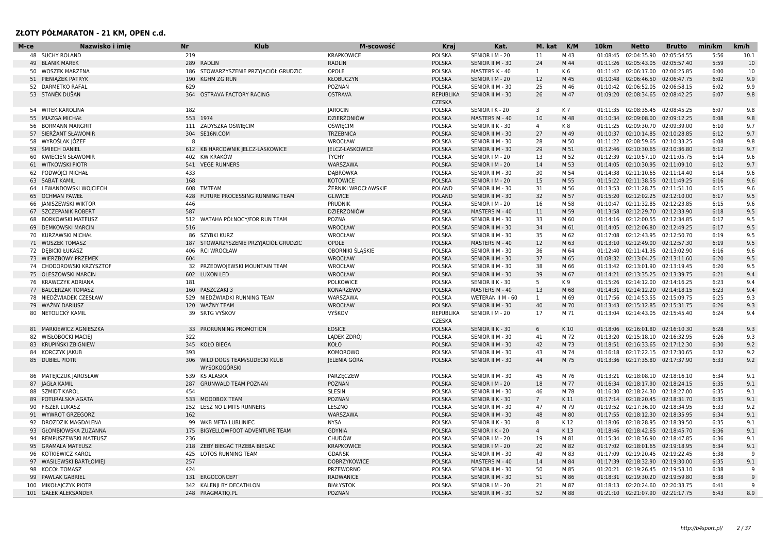| M-ce | Nazwisko i imie              | <b>Klub</b><br><b>Nr</b>                           | M-scowość              | Kraj                       | Kat.              | M. kat         | K/M  | 10 <sub>km</sub> | <b>Netto</b>                       | <b>Brutto</b> | min/km       | km/h |
|------|------------------------------|----------------------------------------------------|------------------------|----------------------------|-------------------|----------------|------|------------------|------------------------------------|---------------|--------------|------|
|      | 48 SUCHY ROLAND              | 219                                                | <b>KRAPKOWICE</b>      | <b>POLSKA</b>              | SENIOR   M - 20   | 11             | M 43 | 01:08:45         | 02:04:35.90                        | 02:05:54.55   | 5:56         | 10.1 |
|      | 49 BLANIK MAREK              | 289 RADLIN                                         | <b>RADLIN</b>          | <b>POLSKA</b>              | SENIOR II M - 30  | 24             | M 44 |                  | 01:11:26 02:05:43.05               | 02:05:57.40   | 5:59         | 10   |
|      | 50 WOSZEK MARZENA            | STOWARZYSZENIE PRZYJACIÓŁ GRUDZIC<br>186           | OPOLE                  | <b>POLSKA</b>              | MASTERS K - 40    | 1              | K 6  | 01:11:42         | 02:06:17.00                        | 02:06:25.85   | 6:00         | 10   |
|      | 51 PIENIAZEK PATRYK          | 190<br>KGHM ZG RUN                                 | KŁOBUCZYN              | <b>POLSKA</b>              | SENIOR   M - 20   | 12             | M 45 | 01:10:48         | 02:06:46.50                        | 02:06:47.75   | 6:02         | 9.9  |
|      | 52 DARMETKO RAFAL            | 629                                                | POZNAŃ                 | <b>POLSKA</b>              | SENIOR II M - 30  | 25             | M 46 |                  | 01:10:42 02:06:52.05               | 02:06:58.15   | 6:02         | 9.9  |
|      | 53 STANĚK DUŠAN              | 364<br>OSTRAVA FACTORY RACING                      | <b>OSTRAVA</b>         | REPUBLIKA<br><b>CZESKA</b> | SENIOR II M - 30  | 26             | M 47 | 01:09:20         | 02:08:34.65                        | 02:08:42.25   | 6:07         | 9.8  |
|      | 54 WITEK KAROLINA            | 182                                                | <b>JAROCIN</b>         | <b>POLSKA</b>              | SENIOR I K - 20   | 3              | K7   |                  | 01:11:35 02:08:35.45 02:08:45.25   |               | 6:07         | 9.8  |
| 55   | MIAZGA MICHAŁ                | 553 1974                                           | DZIERŻONIÓW            | <b>POLSKA</b>              | MASTERS M - 40    | 10             | M 48 |                  | 01:10:34 02:09:08.00               | 02:09:12.25   | 6:08         | 9.8  |
| 56   | <b>BORMANN MARGRIT</b>       | 111 ZADYSZKA OŚWIĘCIM                              | OŚWIĘCIM               | POLSKA                     | SENIOR II K - 30  | $\overline{4}$ | K8   | 01:11:25         | 02:09:30.70                        | 02:09:39.00   | 6:10         | 9.7  |
|      | 57 SIERŻANT SŁAWOMIR         | 304<br>SE16N.COM                                   | <b>TRZEBNICA</b>       | <b>POLSKA</b>              | SENIOR II M - 30  | 27             | M 49 |                  | 01:10:37 02:10:14.85 02:10:28.85   |               | 6:12         | 9.7  |
|      | 58 WYROŚLAK JÓZEF            | -8                                                 | WROCŁAW                | <b>POLSKA</b>              | SENIOR II M - 30  | 28             | M 50 |                  | 01:11:22 02:08:59.65               | 02:10:33.25   | 6:08         | 9.8  |
| 59   | <b>SMIECH DANIEL</b>         | 612 KB HARCOWNIK IELCZ-LASKOWICE                   | <b>IELCZ-LASKOWICE</b> | <b>POLSKA</b>              | SENIOR II M - 30  | 29             | M 51 |                  | 01:12:46 02:10:30.65               | 02:10:36.80   | 6:12         | 9.7  |
| 60   | KWIECIEŃ SŁAWOMIR            | 402<br>KW KRAKÓW                                   | <b>TYCHY</b>           | <b>POLSKA</b>              | SENIOR   M - 20   | 13             | M 52 |                  | 01:12:39 02:10:57.10               | 02:11:05.75   | 6:14         | 9.6  |
|      | 61 WITKOWSKI PIOTR           | 541 VEGE RUNNERS                                   | WARSZAWA               | <b>POLSKA</b>              | SENIOR   M - 20   | 14             | M 53 |                  | 01:14:05 02:10:30.95               | 02:11:09.10   | 6:12         | 9.7  |
|      | 62 PODWÓJCI MICHAŁ           | 433                                                | DĄBRÓWKA               | <b>POLSKA</b>              | SENIOR II M - 30  | 30             | M 54 |                  | 01:14:38 02:11:10.65 02:11:14.40   |               | 6:14         | 9.6  |
| 63   | <b>SABAT KAMIL</b>           | 168                                                | <b>KOTOWICE</b>        | <b>POLSKA</b>              | SENIOR   M - 20   | 15             | M 55 |                  | 01:15:22 02:11:38.55               | 02:11:49.25   | 6:16         | 9.6  |
| 64   | LEWANDOWSKI WOJCIECH         | 608<br>TMTEAM                                      | ŻERNIKI WROCŁAWSKIE    | <b>POLAND</b>              | SENIOR II M - 30  | 31             | M 56 |                  | 01:13:53 02:11:28.75 02:11:51.10   |               | 6:15         | 9.6  |
| 65   | <b>OCHMAN PAWEŁ</b>          | FUTURE PROCESSING RUNNING TEAM<br>428              | <b>GLIWICE</b>         | <b>POLAND</b>              | SENIOR II M - 30  | 32             | M 57 |                  | 01:15:20 02:12:02.25               | 02:12:10.00   | 6:17         | 9.5  |
| 66   | JANISZEWSKI WIKTOR           | 446                                                | <b>PRUDNIK</b>         | POLSKA                     | SENIOR   M - 20   | 16             | M 58 |                  | 01:10:47 02:11:32.85 02:12:23.85   |               | 6:15         | 9.6  |
| 67   | <b>SZCZEPANIK ROBERT</b>     | 587                                                | DZIERZONIÓW            | <b>POLSKA</b>              | MASTERS M - 40    | 11             | M 59 |                  | 01:13:58 02:12:29.70               | 02:12:33.90   | 6:18         | 9.5  |
| 68   | <b>BORKOWSKI MATEUSZ</b>     | 512<br>WATAHA PÓŁNOCY/FOR RUN TEAM                 | POZNA                  | <b>POLSKA</b>              | SENIOR II M - 30  | 33             | M 60 |                  | 01:14:16 02:12:00.55               | 02:12:34.85   | 6:17         | 9.5  |
|      | 69 DEMKOWSKI MARCIN          | 516                                                | WROCŁAW                | <b>POLSKA</b>              | SENIOR II M - 30  | 34             | M 61 |                  | 01:14:05 02:12:06.80 02:12:49.25   |               | 6:17         | 9.5  |
| 70   | KURZAWSKI MICHAŁ             | <b>SZYBKI KURZ</b><br>86                           | WROCŁAW                | POLSKA                     | SENIOR II M - 30  | 35             | M 62 |                  | 01:17:08 02:12:43.95               | 02:12:50.70   | 6:19         | 9.5  |
|      | 71 WOSZEK TOMASZ             | 187<br>STOWARZYSZENIE PRZYJACIÓŁ GRUDZIC           | OPOLE                  | <b>POLSKA</b>              | MASTERS M - 40    | 12             | M 63 |                  | 01:13:10 02:12:49.00               | 02:12:57.30   | 6:19         | 9.5  |
| 72   | <b>DEBICKI ŁUKASZ</b>        | <b>RCI WROCŁAW</b><br>406                          | OBORNIKI ŠLASKIE       | <b>POLSKA</b>              | SENIOR II M - 30  | 36             | M 64 |                  | 01:12:40 02:11:41.35 02:13:02.90   |               | 6:16         | 9.6  |
|      | 73 WIERZBOWY PRZEMEK         | 604                                                | WROCŁAW                | <b>POLSKA</b>              | SENIOR II M - 30  | 37             | M 65 |                  | 01:08:32  02:13:04.25  02:13:11.60 |               | 6:20         | 9.5  |
| 74   | CHODOROWSKI KRZYSZTOF        | 32<br>PRZEDWOJEWSKI MOUNTAIN TEAM                  | WROCŁAW                | POLSKA                     | SENIOR II M - 30  | 38             | M 66 |                  | 01:13:42 02:13:01.90               | 02:13:19.45   | 6:20         | 9.5  |
| 75   | OLESZOWSKI MARCIN            | 602<br><b>LUXON LED</b>                            | WROCŁAW                | <b>POLSKA</b>              | SENIOR II M - 30  | 39             | M 67 |                  | 01:14:21 02:13:35.25               | 02:13:39.75   | 6:21         | 9.4  |
|      | 76 KRAWCZYK ADRIANA          | 181                                                | <b>POLKOWICE</b>       | POLSKA                     | SENIOR II K - 30  | 5              | K 9  |                  | 01:15:26 02:14:12.00               | 02:14:16.25   | 6:23         | 9.4  |
| 77   | <b>BALCERZAK TOMASZ</b>      | 160<br>PASZCZAKI 3                                 | KONARZEWO              | <b>POLSKA</b>              | MASTERS M - 40    | 13             | M 68 |                  | 01:14:31 02:14:12.20               | 02:14:18.15   | 6:23         | 9.4  |
| 78   | NIEDŹWIADEK CZESŁAW          | NIEDŹWIADKI RUNNING TEAM<br>529                    |                        |                            | WETERAN II M - 60 |                | M 69 |                  | 01:17:56 02:14:53.55               | 02:15:09.75   |              | 9.3  |
|      | 79 WAŻNY DARIUSZ             | 120 WAŻNY TEAM                                     | WARSZAWA<br>WROCŁAW    | POLSKA<br><b>POLSKA</b>    | SENIOR II M - 30  | 1<br>40        | M 70 |                  | 01:13:43 02:15:12.85               | 02:15:31.75   | 6:25<br>6:26 | 9.3  |
|      | 80 NETOLICKÝ KAMIL           | 39 SRTG VYŠKOV                                     |                        |                            |                   | 17             |      |                  |                                    |               |              | 9.4  |
|      |                              |                                                    | VYŠKOV                 | REPUBLIKA<br><b>CZESKA</b> | SENIOR   M - 20   |                | M 71 |                  | 01:13:04  02:14:43.05  02:15:45.40 |               | 6:24         |      |
| 81   | MARKIEWICZ AGNIESZKA         | PRORUNNING PROMOTION<br>33                         | ŁOSICE                 | <b>POLSKA</b>              | SENIOR II K - 30  | 6              | K 10 |                  | 01:18:06 02:16:01.80               | 02:16:10.30   | 6:28         | 9.3  |
| 82   | <b>WISŁOBOCKI MACIEJ</b>     | 322                                                | LADEK ZDRÓJ            | <b>POLSKA</b>              | SENIOR II M - 30  | 41             | M 72 |                  | 01:13:20 02:15:18.10               | 02:16:32.95   | 6:26         | 9.3  |
| 83   | KRUPINSKI ZBIGNIEW           | 345<br>KOŁO BIEGA                                  | <b>KOŁO</b>            | <b>POLSKA</b>              | SENIOR II M - 30  | 42             | M 73 |                  | 01:18:51 02:16:33.65 02:17:12.30   |               | 6:30         | 9.2  |
| 84   | <b>KORCZYK JAKUB</b>         | 393                                                | <b>KOMOROWO</b>        | <b>POLSKA</b>              | SENIOR II M - 30  | 43             | M 74 | 01:16:18         | 02:17:22.15                        | 02:17:30.65   | 6:32         | 9.2  |
|      | 85 DUBIEL PIOTR              | 306<br>WILD DOGS TEAM/SUDECKI KLUB<br>WYSOKOGÓRSKI | JELENIA GÓRA           | <b>POLSKA</b>              | SENIOR II M - 30  | 44             | M 75 |                  | 01:13:36 02:17:35.80               | 02:17:37.90   | 6:33         | 9.2  |
|      | 86 MATEJCZUK JAROSŁAW        | <b>KS ALASKA</b><br>539                            | PARZECZEW              | POLSKA                     | SENIOR II M - 30  | 45             | M 76 |                  | 01:13:21 02:18:08.10 02:18:16.10   |               | 6:34         | 9.1  |
|      | 87 JAGŁA KAMIL               | 287<br><b>GRUNWALD TEAM POZNAŃ</b>                 | POZNAŃ                 | <b>POLSKA</b>              | SENIOR   M - 20   | 18             | M 77 |                  | 01:16:34 02:18:17.90               | 02:18:24.15   | 6:35         | 9.1  |
| 88   | <b>SZMIDT KAROL</b>          | 454                                                | <b>SLESIN</b>          | POLSKA                     | SENIOR II M - 30  | 46             | M 78 |                  | 01:16:30 02:18:24.30               | 02:18:27.00   | 6:35         | 9.1  |
| 89   | POTURALSKA AGATA             | 533 MOODBOX TEAM                                   | POZNAŃ                 | <b>POLSKA</b>              | SENIOR II K - 30  | $\overline{7}$ | K11  |                  | 01:17:14 02:18:20.45 02:18:31.70   |               | 6:35         | 9.1  |
| 90   | <b>FISZER LUKASZ</b>         | 252<br>LESZ NO LIMITS RUNNERS                      | LESZNO                 | POLSKA                     | SENIOR II M - 30  | 47             | M 79 |                  | 01:19:52 02:17:36.00               | 02:18:34.95   | 6:33         | 9.2  |
|      | 91 WYWROT GRZEGORZ           | 162                                                | WARSZAWA               | <b>POLSKA</b>              | SENIOR II M - 30  | 48             | M 80 |                  | 01:17:55 02:18:12.30               | 02:18:35.95   | 6:34         | 9.1  |
|      | 92 DROZDZIK MAGDALENA        | 99<br>WKB META LUBLINIEC                           | <b>NYSA</b>            | <b>POLSKA</b>              | SENIOR II K - 30  | 8              | K 12 |                  | 01:18:06 02:18:28.95               | 02:18:39.50   | 6:35         | 9.1  |
| 93   | <b>GŁOMBIOWSKA ZUZANNA</b>   | 175<br>BIGYELLOWFOOT ADVENTURE TEAM                | <b>GDYNIA</b>          | <b>POLSKA</b>              | SENIOR I K - 20   | $\overline{4}$ | K13  |                  | 01:18:46 02:18:42.65 02:18:45.70   |               | 6:36         | 9.1  |
| 94   | REMPUSZEWSKI MATEUSZ         | 236                                                | <b>CHUDÓW</b>          | POLSKA                     | SENIOR   M - 20   | 19             | M 81 |                  | 01:15:34 02:18:36.90               | 02:18:47.85   | 6:36         | 9.1  |
|      | 95 GRAMALA MATEUSZ           | 218<br>ŻEBY BIEGAĆ TRZEBA BIEGAĆ                   | <b>KRAPKOWICE</b>      | <b>POLSKA</b>              | SENIOR   M - 20   | 20             | M 82 |                  | 01:17:02 02:18:01.65               | 02:19:18.95   | 6:34         | 9.1  |
| 96   | KOTKIEWICZ KAROL             | 425<br>LOTOS RUNNING TEAM                          | <b>GDANSK</b>          | <b>POLSKA</b>              | SENIOR II M - 30  | 49             | M 83 |                  | 01:17:09 02:19:20.45 02:19:22.45   |               | 6:38         | -9   |
| 97   | <b>WASILEWSKI BARTŁOMIEJ</b> | 257                                                | <b>DOBRZYKOWICE</b>    | <b>POLSKA</b>              | MASTERS M - 40    | 14             | M 84 |                  | 01:17:39 02:18:32.90               | 02:19:30.00   | 6:35         | 9.1  |
| 98   | KOCOŁ TOMASZ                 | 424                                                | PRZEWORNO              | POLSKA                     | SENIOR II M - 30  | 50             | M 85 |                  | 01:20:21 02:19:26.45               | 02:19:53.10   | 6:38         | 9    |
| 99   | <b>PAWLAK GABRIEL</b>        | 131 ERGOCONCEPT                                    | RADWANICE              | <b>POLSKA</b>              | SENIOR II M - 30  | 51             | M 86 |                  | 01:18:31 02:19:30.20               | 02:19:59.80   | 6:38         | 9    |
| 100  | MIKOŁAJCZYK PIOTR            | KALENII BY DECATHLON<br>342                        | <b>BIAŁYSTOK</b>       | <b>POLSKA</b>              | SENIOR   M - 20   | 21             | M 87 |                  | 01:18:13 02:20:24.60               | 02:20:33.75   | 6:41         | 9    |
|      | 101 GAŁEK ALEKSANDER         | 248 PRAGMATIQ.PL                                   | POZNAŃ                 | <b>POLSKA</b>              | SENIOR II M - 30  | 52             | M 88 |                  | 01:21:10 02:21:07.90 02:21:17.75   |               | 6:43         | 8.9  |
|      |                              |                                                    |                        |                            |                   |                |      |                  |                                    |               |              |      |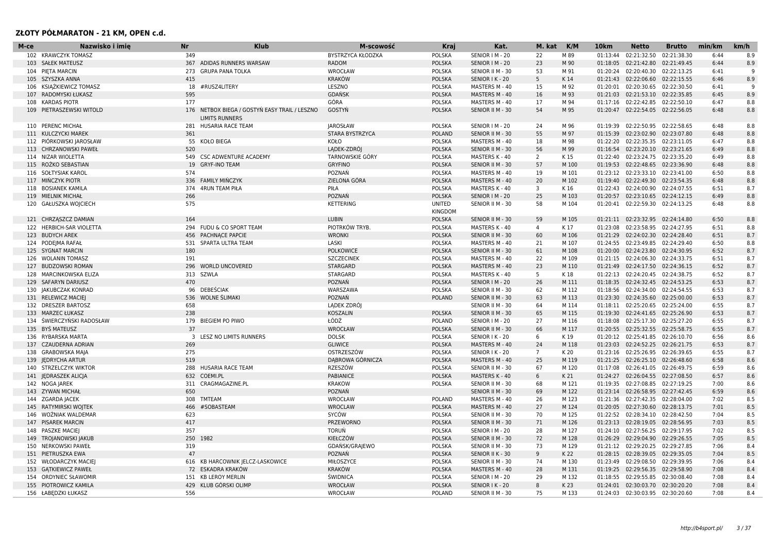| M-ce | Nazwisko i imie           | <b>Nr</b> | <b>Klub</b>                                                            | M-scowość                | Kraj                           | Kat.             | M. kat         | K/M            | 10 <sub>km</sub> | <b>Netto</b>                       | <b>Brutto</b> | min/km       | km/h     |
|------|---------------------------|-----------|------------------------------------------------------------------------|--------------------------|--------------------------------|------------------|----------------|----------------|------------------|------------------------------------|---------------|--------------|----------|
| 102  | <b>KRAWCZYK TOMASZ</b>    | 349       |                                                                        | <b>BYSTRZYCA KŁODZKA</b> | <b>POLSKA</b>                  | SENIOR   M - 20  | 22             | M 89           | 01:13:44         | 02:21:32.50                        | 02:21:38.30   | 6:44         | 8.9      |
| 103  | <b>SAŁEK MATEUSZ</b>      | 367       | ADIDAS RUNNERS WARSAW                                                  | <b>RADOM</b>             | <b>POLSKA</b>                  | SENIOR   M - 20  | 23             | M 90           | 01:18:05         | 02:21:42.80                        | 02:21:49.45   | 6:44         | 8.9      |
|      | 104 PIETA MARCIN          | 273       | <b>GRUPA PANA TOLKA</b>                                                | WROCŁAW                  | <b>POLSKA</b>                  | SENIOR II M - 30 | 53             | M 91           | 01:20:24         | 02:20:40.30                        | 02:22:13.25   | 6:41         |          |
| 105  | SZYSZKA ANNA              | 415       |                                                                        | <b>KRAKÓW</b>            | <b>POLSKA</b>                  | SENIOR I K - 20  | 5              | K14            | 01:21:43         | 02:22:06.60                        | 02:22:15.55   | 6:46         | 8.9      |
| 106  | KSIĄŻKIEWICZ TOMASZ       | 18        | #RUSZ4LITERY                                                           | LESZNO                   | POLSKA                         | MASTERS M - 40   | 15             | M 92           |                  | 01:20:01 02:20:30.65 02:22:30.50   |               | 6:41         | <b>Q</b> |
| 107  | RADOMYSKI ŁUKASZ          | 595       |                                                                        | <b>GDAŃSK</b>            | <b>POLSKA</b>                  | MASTERS M - 40   | 16             | M 93           |                  | 01:21:03 02:21:53.10               | 02:22:35.85   | 6:45         | 8.9      |
| 108  | <b>KARDAS PIOTR</b>       | 177       |                                                                        | GÓRA                     | <b>POLSKA</b>                  | MASTERS M - 40   | 17             | M 94           | 01:17:16         | 02:22:42.85                        | 02:22:50.10   | 6:47         | 8.8      |
|      | 109 PIETRASZEWSKI WITOLD  |           | 176 NETBOX BIEGA / GOSTYŃ EASY TRAIL / LESZNO<br><b>LIMITS RUNNERS</b> | GOSTYŃ                   | <b>POLSKA</b>                  | SENIOR II M - 30 | 54             | M 95           |                  | 01:20:47 02:22:54.05 02:22:56.05   |               | 6:48         | 8.8      |
| 110  | PERENC MICHAŁ             | 281       | HUSARIA RACE TEAM                                                      | <b>JAROSŁAW</b>          | <b>POLSKA</b>                  | SENIOR   M - 20  | 24             | M 96           | 01:19:39         | 02:22:50.95                        | 02:22:58.65   | 6:48         | 8.8      |
|      | 111 KULCZYCKI MAREK       | 361       |                                                                        | <b>STARA BYSTRZYCA</b>   | POLAND                         | SENIOR II M - 30 | 55             | M 97           | 01:15:39         | 02:23:02.90                        | 02:23:07.80   | 6:48         | 8.8      |
|      | 112 PIÓRKOWSKI JAROSŁAW   | 55        | KOŁO BIEGA                                                             | KOŁO                     | <b>POLSKA</b>                  | MASTERS M - 40   | 18             | M 98           |                  | 01:22:20 02:22:35.35 02:23:11.05   |               | 6:47         | 8.8      |
| 113  | <b>CHRZANOWSKI PAWEŁ</b>  | 520       |                                                                        | LĄDEK-ZDRÓJ              | <b>POLSKA</b>                  | SENIOR II M - 30 | 56             | M 99           | 01:16:54         | 02:23:20.10                        | 02:23:21.65   | 6:49         | 8.8      |
| 114  | NIZAR WIOLETTA            | 549       | <b>CSC ADWENTURE ACADEMY</b>                                           | <b>TARNOWSKIE GÓRY</b>   | POLSKA                         | MASTERS K - 40   | 2              | K 15           | 01:22:40         | 02:23:24.75                        | 02:23:35.20   | 6:49         | 8.8      |
| 115  | ROŻKO SEBASTIAN           | 19        | <b>GRYF-INO TEAM</b>                                                   | <b>GRYFINO</b>           | <b>POLSKA</b>                  | SENIOR II M - 30 | 57             | M 100          |                  | 01:19:53 02:22:48.65 02:23:36.90   |               | 6:48         | 8.8      |
|      | 116 SOŁTYSIAK KAROL       | 574       |                                                                        | POZNAŃ                   | POLSKA                         | MASTERS M - 40   | 19             | M 101          |                  | 01:23:12 02:23:33.10 02:23:41.00   |               | 6:50         | 8.8      |
| 117  | MIŃCZYK PIOTR             |           | 336 FAMILY MIŃCZYK                                                     | ZIELONA GÓRA             | <b>POLSKA</b>                  | MASTERS M - 40   | 20             | M 102          | 01:19:40         | 02:22:49.30                        | 02:23:54.35   | 6:48         | 8.8      |
|      | 118 BOSIANEK KAMILA       | 374       | <b>4RUN TEAM PIŁA</b>                                                  | PIŁA                     | POLSKA                         | MASTERS K - 40   | 3              | K 16           |                  | 01:22:43 02:24:00.90 02:24:07.55   |               | 6:51         | 8.7      |
| 119  | <b>MIELNIK MICHAŁ</b>     | 266       |                                                                        | POZNAŃ                   | <b>POLSKA</b>                  | SENIOR   M - 20  | 25             | M 103          | 01:20:57         | 02:23:10.65                        | 02:24:12.15   | 6:49         | 8.8      |
| 120  | <b>GAŁUSZKA WOJCIECH</b>  | 575       |                                                                        | KETTERING                | <b>UNITED</b><br>KINGDOM       | SENIOR II M - 30 | 58             | M 104          |                  | 01:20:41 02:22:59.30 02:24:13.25   |               | 6:48         | 8.8      |
|      | 121 CHRZASZCZ DAMIAN      | 164       |                                                                        | <b>LUBIN</b>             | <b>POLSKA</b>                  | SENIOR II M - 30 | 59             | M 105          |                  | 01:21:11 02:23:32.95 02:24:14.80   |               | 6:50         | 8.8      |
| 122  | HERBICH-SAR VIOLETTA      |           | 294 FUDU & CO SPORT TEAM                                               | PIOTRKÓW TRYB.           | <b>POLSKA</b>                  | MASTERS K - 40   | $\overline{4}$ | K 17           |                  | 01:23:08 02:23:58.95 02:24:27.95   |               | 6:51         | 8.8      |
| 123  | <b>BUDYCH AREK</b>        | 456       | PACHNACE PAPCIE                                                        | <b>WRONKI</b>            | <b>POLSKA</b>                  | SENIOR II M - 30 | 60             | M 106          | 01:21:29         | 02:24:02.30 02:24:28.40            |               | 6:51         | 8.7      |
|      | 124 PODEJMA RAFAŁ         |           | 531 SPARTA ULTRA TEAM                                                  | LASKI                    | POLSKA                         | MASTERS M - 40   | 21             | M 107          | 01:24:55         | 02:23:49.85 02:24:29.40            |               | 6:50         | 8.8      |
| 125  | <b>SYGNAT MARCIN</b>      | 180       |                                                                        | <b>POLKOWICE</b>         | <b>POLSKA</b>                  | SENIOR II M - 30 | 61             | M 108          | 01:20:00         | 02:24:23.80                        | 02:24:30.95   | 6:52         | 8.7      |
| 126  | <b>WOLANIN TOMASZ</b>     | 191       |                                                                        | <b>SZCZECINEK</b>        | <b>POLSKA</b>                  | MASTERS M - 40   | 22             | M 109          | 01:21:15         | 02:24:06.30 02:24:33.75            |               | 6:51         | 8.7      |
| 127  | <b>BUDZOWSKI ROMAN</b>    | 296       | <b>WORLD UNCOVERED</b>                                                 | STARGARD                 | <b>POLSKA</b>                  | MASTERS M - 40   | 23             | M 110          | 01:21:49         | 02:24:17.50                        | 02:24:36.15   | 6:52         | 8.7      |
| 128  | <b>MARCINKOWSKA ELIZA</b> | 313       | SZWLA                                                                  | <b>STARGARD</b>          | <b>POLSKA</b>                  | MASTERS K - 40   | 5              | K 18           | 01:22:13         | 02:24:20.45                        | 02:24:38.75   | 6:52         | 8.7      |
| 129  | <b>SAFARYN DARIUSZ</b>    | 470       |                                                                        | POZNAŃ                   | <b>POLSKA</b>                  | SENIOR   M - 20  | 26             | M 111          |                  | 01:18:35  02:24:32.45  02:24:53.25 |               | 6:53         | 8.7      |
| 130  | <b>JAKUBCZAK KONRAD</b>   | 96        | DEBEŚCIAK                                                              | WARSZAWA                 | <b>POLSKA</b>                  | SENIOR II M - 30 | 62             | M 112          |                  | 01:18:56 02:24:34.00               | 02:24:54.55   | 6:53         | 8.7      |
|      | 131 RELEWICZ MACIEJ       | 536       | WOLNE ŚLIMAKI                                                          | POZNAŃ                   | <b>POLAND</b>                  | SENIOR II M - 30 | 63             | M 113          | 01:23:30         | 02:24:35.60                        | 02:25:00.00   | 6:53         | 8.7      |
|      | 132 DRESZER BARTOSZ       | 658       |                                                                        | LĄDEK ZDRÓJ              |                                | SENIOR II M - 30 | 64             | M 114          |                  | 01:18:11  02:25:20.65  02:25:24.00 |               | 6:55         | 8.7      |
| 133  | <b>MARZEC ŁUKASZ</b>      | 238       |                                                                        | <b>KOSZALIN</b>          | <b>POLSKA</b>                  | SENIOR II M - 30 | 65             | M 115          |                  | 01:19:30 02:24:41.65 02:25:26.90   |               | 6:53         | 8.7      |
|      |                           |           |                                                                        | ŁÓDŹ                     |                                |                  |                |                |                  |                                    |               |              | 8.7      |
| 134  | ŚWIERCZYŃSKI RADOSŁAW     | 179<br>37 | <b>BIEGIEM PO PIWO</b>                                                 | WROCŁAW                  | <b>POLAND</b><br><b>POLSKA</b> | SENIOR   M - 20  | 27<br>66       | M 116<br>M 117 | 01:18:08         | 02:25:17.30                        | 02:25:27.20   | 6:55<br>6:55 | 8.7      |
|      | 135 BYS MATEUSZ           |           |                                                                        |                          |                                | SENIOR II M - 30 | 6              |                |                  | 01:20:55 02:25:32.55 02:25:58.75   |               |              | 8.6      |
|      | 136 RYBARSKA MARTA        | 3         | LESZ NO LIMITS RUNNERS                                                 | <b>DOLSK</b>             | <b>POLSKA</b>                  | SENIOR I K - 20  |                | K 19           | 01:20:12         | 02:25:41.85 02:26:10.70            |               | 6:56         |          |
| 137  | <b>CZAUDERNA ADRIAN</b>   | 269       |                                                                        | <b>GLIWICE</b>           | <b>POLSKA</b>                  | MASTERS M - 40   | 24             | M 118          |                  | 01:23:03 02:24:52.25               | 02:26:21.75   | 6:53         | 8.7      |
| 138  | GRABOWSKA MAJA            | 275       |                                                                        | OSTRZESZÓW               | POLSKA                         | SENIOR I K - 20  | $\overline{7}$ | K 20           |                  | 01:23:16 02:25:26.95               | 02:26:39.65   | 6:55         | 8.7      |
| 139  | <b>JEDRYCHA ARTUR</b>     | 519       |                                                                        | DABROWA GÓRNICZA         | <b>POLSKA</b>                  | MASTERS M - 40   | 25             | M 119          |                  | 01:21:25 02:26:25.10               | 02:26:48.60   | 6:58         | 8.6      |
|      | 140 STRZELCZYK WIKTOR     | 288       | HUSARIA RACE TEAM                                                      | RZESZÓW                  | POLSKA                         | SENIOR II M - 30 | 67             | M 120          | 01:17:08         | 02:26:41.05 02:26:49.75            |               | 6:59         | 8.6      |
| 141  | JEDRASZEK ALICJA          | 632       | COEMI.PL                                                               | <b>PABIANICE</b>         | <b>POLSKA</b>                  | MASTERS K - 40   | 6              | K 21           | 01:24:27         | 02:26:04.55 02:27:08.50            |               | 6:57         | 8.6      |
|      | 142 NOGA JAREK            | 311       | CRAGMAGAZINE.PL                                                        | <b>KRAKOW</b>            | <b>POLSKA</b>                  | SENIOR II M - 30 | 68             | M 121          | 01:19:35         | 02:27:08.85                        | 02:27:19.25   | 7:00         | 8.6      |
|      | 143 ZYWAN MICHAŁ          | 650       |                                                                        | POZNAŃ                   |                                | SENIOR II M - 30 | 69             | M 122          | 01:23:14         | 02:26:58.95 02:27:42.45            |               | 6:59         | 8.6      |
|      | 144 ZGARDA JACEK          | 308       | TMTEAM                                                                 | WROCŁAW                  | <b>POLAND</b>                  | MASTERS M - 40   | 26             | M 123          | 01:21:36         | 02:27:42.35 02:28:04.00            |               | 7:02         | 8.5      |
| 145  | RATYMIRSKI WOJTEK         | 466       | #SOBASTEAM                                                             | WROCLAW                  | <b>POLSKA</b>                  | MASTERS M - 40   | 27             | M 124          | 01:20:05         | 02:27:30.60                        | 02:28:13.75   | 7:01         | 8.5      |
| 146  | WOŻNIAK WALDEMAR          | 623       |                                                                        | SYCÓW                    | <b>POLSKA</b>                  | SENIOR II M - 30 | 70             | M 125          | 01:22:52         | 02:28:34.10                        | 02:28:42.50   | 7:04         | 8.5      |
| 147  | <b>PISAREK MARCIN</b>     | 417       |                                                                        | PRZEWORNO                | <b>POLSKA</b>                  | SENIOR II M - 30 | 71             | M 126          |                  | 01:23:13 02:28:19.05               | 02:28:56.95   | 7:03         | 8.5      |
| 148  | <b>PASZKE MACIEI</b>      | 357       |                                                                        | <b>TORUN</b>             | <b>POLSKA</b>                  | SENIOR   M - 20  | 28             | M 127          | 01:24:10         | 02:27:56.25                        | 02:29:17.95   | 7:02         | 8.5      |
|      | 149 TROJANOWSKI JAKUB     | 250       | 1982                                                                   | KIEŁCZÓW                 | <b>POLSKA</b>                  | SENIOR II M - 30 | 72             | M 128          |                  | 01:26:29 02:29:04.90               | 02:29:26.55   | 7:05         | 8.5      |
| 150  | NERKOWSKI PAWEŁ           | 319       |                                                                        | GDANSK/GRAJEWO           | <b>POLSKA</b>                  | SENIOR II M - 30 | 73             | M 129          | 01:21:12         | 02:29:20.25                        | 02:29:27.85   | 7:06         | 8.4      |
|      | 151 PIETRUSZKA EWA        | 47        |                                                                        | POZNAŃ                   | <b>POLSKA</b>                  | SENIOR II K - 30 | 9              | K 22           |                  | 01:28:15 02:28:39.05 02:29:35.05   |               | 7:04         | 8.5      |
| 152  | <b>WŁODARCZYK MACIEJ</b>  | 616       | KB HARCOWNIK JELCZ-LASKOWICE                                           | MIŁOSZYCE                | POLSKA                         | SENIOR II M - 30 | 74             | M 130          | 01:23:49         | 02:29:08.50                        | 02:29:39.95   | 7:06         | 8.4      |
| 153  | <b>GATKIEWICZ PAWEŁ</b>   | 72        | ESKADRA KRAKÓW                                                         | <b>KRAKÓW</b>            | <b>POLSKA</b>                  | MASTERS M - 40   | 28             | M 131          |                  | 01:19:25 02:29:56.35 02:29:58.90   |               | 7:08         | 8.4      |
| 154  | <b>ORDYNIEC SŁAWOMIR</b>  |           | 151 KB LEROY MERLIN                                                    | <b>SWIDNICA</b>          | POLSKA                         | SENIOR   M - 20  | 29             | M 132          | 01:18:55         | 02:29:55.85 02:30:08.40            |               | 7:08         | 8.4      |
| 155  | PIOTROWICZ KAMILA         | 429       | KLUB GÓRSKI OLIMP                                                      | WROCŁAW                  | <b>POLSKA</b>                  | SENIOR I K - 20  | 8              | K 23           |                  | 01:24:01 02:30:03.70 02:30:20.20   |               | 7:08         | 8.4      |
|      | 156 ŁABĘDZKI ŁUKASZ       | 556       |                                                                        | WROCŁAW                  | <b>POLAND</b>                  | SENIOR II M - 30 | 75             | M 133          |                  | 01:24:03 02:30:03.95 02:30:20.60   |               | 7:08         | 8.4      |
|      |                           |           |                                                                        |                          |                                |                  |                |                |                  |                                    |               |              |          |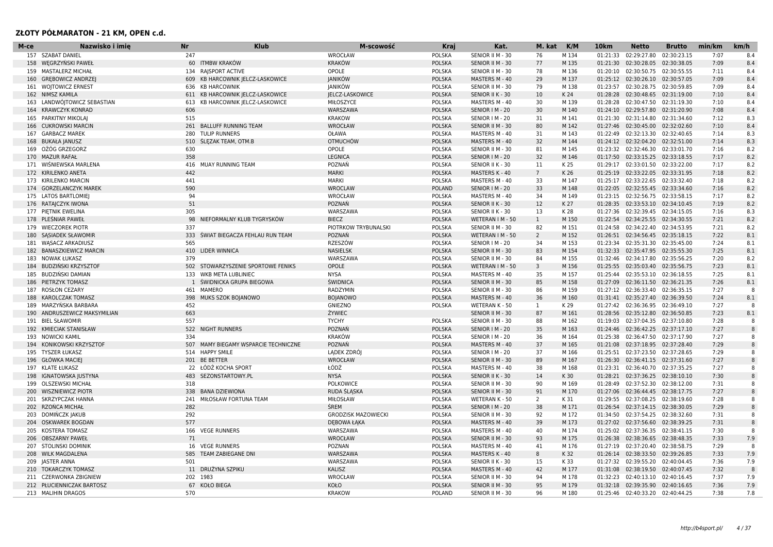| M-ce | Nazwisko i imie             | <b>Nr</b>    | <b>Klub</b>                        | M-scowość            | Kraj          | Kat.             | M. kat          | K/M   | 10 <sub>km</sub> | <b>Netto</b>                       | <b>Brutto</b> | min/km | km/h         |
|------|-----------------------------|--------------|------------------------------------|----------------------|---------------|------------------|-----------------|-------|------------------|------------------------------------|---------------|--------|--------------|
|      | 157 SZABAT DANIEL           | 247          |                                    | WROCŁAW              | <b>POLSKA</b> | SENIOR II M - 30 | 76              | M 134 | 01:21:33         | 02:29:27.80                        | 02:30:23.15   | 7:07   | 8.4          |
| 158  | WEGRZYŃSKI PAWEŁ            |              | 60 ITMBW KRAKÓW                    | <b>KRAKÓW</b>        | <b>POLSKA</b> | SENIOR II M - 30 | 77              | M 135 | 01:21:30         | 02:30:28.05                        | 02:30:38.05   | 7:09   | 8.4          |
| 159  | <b>MASTALERZ MICHAŁ</b>     | 134          | <b>RAISPORT ACTIVE</b>             | OPOLE                | <b>POLSKA</b> | SENIOR II M - 30 | 78              | M 136 | 01:20:10         | 02:30:50.75                        | 02:30:55.55   | 7:11   | 8.4          |
| 160  | <b>GREBOWICZ ANDRZE</b>     | 609          | KB HARCOWNIK JELCZ-LASKOWICE       | JANIKÓW              | <b>POLSKA</b> | MASTERS M - 40   | 29              | M 137 | 01:25:12         | 02:30:26.10                        | 02:30:57.05   | 7:09   | 8.4          |
|      | 161 WOJTOWICZ ERNEST        |              | 636 KB HARCOWNIK                   | <b>JANIKÓW</b>       | <b>POLSKA</b> | SENIOR II M - 30 | 79              | M 138 |                  | 01:23:57 02:30:28.75 02:30:59.85   |               | 7:09   | 8.4          |
| 162  | <b>NIMSZ KAMILA</b>         | 611          | KB HARCOWNIK JELCZ-LASKOWICE       | JELCZ-LASKOWICE      | <b>POLSKA</b> | SENIOR II K - 30 | 10              | K 24  | 01:28:28         | 02:30:48.65                        | 02:31:19.00   | 7:10   | 8.4          |
| 163  | LANDWÓJTOWICZ SEBASTIAN     | 613          | KB HARCOWNIK JELCZ-LASKOWICE       | MIŁOSZYCE            | POLSKA        | MASTERS M - 40   | 30              | M 139 | 01:28:28         | 02:30:47.50                        | 02:31:19.30   | 7:10   | 8.4          |
|      | 164 KRAWCZYK KONRAD         | 606          |                                    | WARSZAWA             | <b>POLSKA</b> | SENIOR   M - 20  | 30              | M 140 | 01:24:10         | 02:29:57.80                        | 02:31:20.90   | 7:08   | 8.4          |
| 165  | PARKITNY MIKOLAI            | 515          |                                    | <b>KRAKOW</b>        | POLSKA        | SENIOR   M - 20  | 31              | M 141 |                  | 01:21:30 02:31:14.80 02:31:34.60   |               | 7:12   | 8.3          |
| 166  | <b>CUKROWSKI MARCIN</b>     | 261          | <b>BALLUFF RUNNING TEAM</b>        | WROCŁAW              | <b>POLSKA</b> | SENIOR II M - 30 | 80              | M 142 | 01:27:46         | 02:30:45.00                        | 02:32:02.60   | 7:10   | 8.4          |
| 167  | <b>GARBACZ MAREK</b>        | 280          | <b>TULIP RUNNERS</b>               | OŁAWA                | <b>POLSKA</b> | MASTERS M - 40   | 31              | M 143 | 01:22:49         | 02:32:13.30 02:32:40.65            |               | 7:14   | 8.3          |
| 168  | <b>BUKAŁA JANUSZ</b>        | 510          | ŚLEZAK TEAM, OTM.B                 | <b>OTMUCHÓW</b>      | <b>POLSKA</b> | MASTERS M - 40   | 32              | M 144 |                  | 01:24:12 02:32:04.20               | 02:32:51.00   | 7:14   | 8.3          |
| 169  | OZÓG GRZEGORZ               | 630          |                                    | OPOLE                | <b>POLSKA</b> | SENIOR II M - 30 | 81              | M 145 | 01:23:32         | 02:32:46.30                        | 02:33:01.70   | 7:16   | 8.2          |
| 170  | <b>MAZUR RAFAŁ</b>          | 358          |                                    | <b>LEGNICA</b>       | <b>POLSKA</b> | SENIOR   M - 20  | 32              | M 146 | 01:17:50         | 02:33:15.25                        | 02:33:18.55   | 7:17   | 8.2          |
|      | 171 WIŚNIEWSKA MARLENA      | 416          | MUAY RUNNING TEAM                  | POZNAŃ               | POLSKA        | SENIOR II K - 30 | 11              | K 25  |                  | 01:29:17 02:33:01.50               | 02:33:22.00   | 7:17   | 8.2          |
|      | 172 KIRILENKO ANETA         | 442          |                                    | <b>MARKI</b>         | <b>POLSKA</b> | MASTERS K - 40   | $7\overline{ }$ | K 26  |                  | 01:25:19 02:33:22.05 02:33:31.95   |               | 7:18   | 8.2          |
| 173  | KIRILENKO MARCIN            | 441          |                                    | <b>MARKI</b>         | POLSKA        | MASTERS M - 40   | 33              | M 147 | 01:25:17         | 02:33:22.65                        | 02:33:32.40   | 7:18   | 8.2          |
|      | 174 GORZELANCZYK MAREK      | 590          |                                    | <b>WROCLAW</b>       | POLAND        | SENIOR   M - 20  | 33              | M 148 |                  | 01:22:05 02:32:55.45 02:33:34.60   |               | 7:16   | 8.2          |
|      | 175 LATOS BARTLOMIEJ        | 94           |                                    | WROCŁAW              | <b>POLSKA</b> | MASTERS M - 40   | 34              | M 149 | 01:23:15         | 02:32:56.75 02:33:58.15            |               | 7:17   | 8.2          |
|      | 176 RATAJCZYK IWONA         | 51           |                                    | POZNAŃ               | <b>POLSKA</b> | SENIOR II K - 30 | 12              | K 27  |                  | 01:28:35  02:33:53.10  02:34:10.45 |               | 7:19   | 8.2          |
| 177  | PIETNIK EWELINA             | 305          |                                    | WARSZAWA             | POLSKA        | SENIOR II K - 30 | 13              | K 28  | 01:27:36         | 02:32:39.45                        | 02:34:15.05   | 7:16   | 8.3          |
| 178  | PLEŚNIAR PAWEŁ              | 98           | NIEFORMALNY KLUB TYGRYSKÓW         | <b>BIECZ</b>         | <b>POLSKA</b> | WETERAN I M - 50 | $\mathbf{1}$    | M 150 | 01:22:54         | 02:34:25.55                        | 02:34:30.55   | 7:21   | 8.2          |
| 179  | <b>WIECZOREK PIOTR</b>      | 337          |                                    | PIOTRKOW TRYBUNALSKI | POLSKA        | SENIOR II M - 30 | 82              | M 151 | 01:24:58         | 02:34:22.40 02:34:53.95            |               | 7:21   | 8.2          |
| 180  | <b>SASIADEK SŁAWOMIR</b>    | 333          | ŚWIAT BIEGACZA FEHLAU RUN TEAM     | <b>POZNAN</b>        | <b>POLSKA</b> | WETERAN I M - 50 | 2               | M 152 |                  | 01:26:51 02:34:56.45 02:35:18.15   |               | 7:22   | 8.1          |
| 181  | WASACZ ARKADIUSZ            | 565          |                                    | RZESZÓW              | POLSKA        | SENIOR   M - 20  | 34              | M 153 | 01:23:34         | 02:35:31.30                        | 02:35:45.00   | 7:24   | 8.1          |
| 182  | <b>BANASZKIEWICZ MARCIN</b> | 410          | LIDER WINNICA                      | <b>NASIELSK</b>      |               | SENIOR II M - 30 | 83              | M 154 | 01:32:33         | 02:35:47.95                        | 02:35:55.30   | 7:25   | 8.1          |
|      | <b>NOWAK ŁUKASZ</b>         | 379          |                                    |                      | <b>POLSKA</b> | SENIOR II M - 30 | 84              | M 155 |                  | 01:32:46 02:34:17.80 02:35:56.25   |               | 7:20   | 8.2          |
| 183  |                             |              |                                    | WARSZAWA             | POLSKA        |                  |                 |       |                  |                                    |               |        |              |
| 184  | BUDZIŃSKI KRZYSZTOF         |              | 502 STOWARZYSZENIE SPORTOWE FENIKS | OPOLE                | <b>POLSKA</b> | WETERAN I M - 50 | 3               | M 156 |                  | 01:25:55 02:35:03.40               | 02:35:56.75   | 7:23   | 8.1          |
| 185  | BUDZIŃSKI DAMIAN            | 133          | WKB META LUBLINIEC                 | <b>NYSA</b>          | POLSKA        | MASTERS M - 40   | 35              | M 157 | 01:25:44         | 02:35:53.10                        | 02:36:18.55   | 7:25   | 8.1          |
| 186  | PIETRZYK TOMASZ             | $\mathbf{1}$ | ŚWIDNICKA GRUPA BIEGOWA            | ŚWIDNICA             | <b>POLSKA</b> | SENIOR II M - 30 | 85              | M 158 | 01:27:09         | 02:36:11.50                        | 02:36:21.35   | 7:26   | 8.1          |
| 187  | ROSŁON CEZARY               | 461          | <b>MAMERO</b>                      | RADZYMIN             | <b>POLSKA</b> | SENIOR II M - 30 | 86              | M 159 | 01:27:12         | 02:36:33.40                        | 02:36:35.15   | 7:27   | -8           |
| 188  | <b>KAROLCZAK TOMASZ</b>     | 398          | MUKS SZOK BOJANOWO                 | <b>BOJANOWO</b>      | <b>POLSKA</b> | MASTERS M - 40   | 36              | M 160 | 01:31:41         | 02:35:27.40                        | 02:36:39.50   | 7:24   | 8.1          |
| 189  | MARZYŃSKA BARBARA           | 452          |                                    | <b>GNIEZNO</b>       | <b>POLSKA</b> | WETERAN K - 50   | 1               | K 29  | 01:27:42         | 02:36:36.95                        | 02:36:49.10   | 7:27   | -8           |
| 190  | ANDRUSZEWICZ MAKSYMILIAN    | 663          |                                    | ŻYWIEC               |               | SENIOR II M - 30 | 87              | M 161 |                  | 01:28:56 02:35:12.80 02:36:50.85   |               | 7:23   | 8.1          |
| 191  | <b>BIEL SŁAWOMIR</b>        | 557          |                                    | <b>TYCHY</b>         | POLSKA        | SENIOR II M - 30 | 88              | M 162 | 01:19:03         | 02:37:04.35                        | 02:37:10.80   | 7:28   | $\mathbf{g}$ |
| 192  | KMIECIAK STANISŁAW          | 522          | <b>NIGHT RUNNERS</b>               | POZNAŃ               | <b>POLSKA</b> | SENIOR   M - 20  | 35              | M 163 | 01:24:46         | 02:36:42.25                        | 02:37:17.10   | 7:27   | 8            |
| 193  | NOWICKI KAMIL               | 334          |                                    | <b>KRAKÓW</b>        | <b>POLSKA</b> | SENIOR   M - 20  | 36              | M 164 | 01:25:38         | 02:36:47.50 02:37:17.90            |               | 7:27   | 8            |
| 194  | KONIKOWSKI KRZYSZTOF        | 507          | MAMY BIEGAMY WSPARCIE TECHNICZNE   | POZNAŃ               | <b>POLSKA</b> | MASTERS M - 40   | 37              | M 165 |                  | 01:21:08 02:37:18.95 02:37:28.40   |               | 7:29   | 8            |
| 195  | <b>TYSZER ŁUKASZ</b>        | 514          | <b>HAPPY SMILE</b>                 | LADEK ZDRÓJ          | POLSKA        | SENIOR   M - 20  | 37              | M 166 | 01:25:51         | 02:37:23.50                        | 02:37:28.65   | 7:29   | 8            |
|      | 196 GŁÓWKA MACIEJ           |              | 201 BE BETTER                      | WROCŁAW              | <b>POLSKA</b> | SENIOR II M - 30 | 89              | M 167 | 01:26:30         | 02:36:41.15 02:37:31.60            |               | 7:27   | 8            |
|      | 197 KLATE ŁUKASZ            |              | 22 ŁÓDŻ KOCHA SPORT                | ŁÓDŹ                 | <b>POLSKA</b> | MASTERS M - 40   | 38              | M 168 |                  | 01:23:31 02:36:40.70 02:37:35.25   |               | 7:27   | 8            |
| 198  | <b>IGNATOWSKA JUSTYNA</b>   | 483          | SEZONSTARTOWY.PL                   | <b>NYSA</b>          | <b>POLSKA</b> | SENIOR II K - 30 | 14              | K 30  |                  | 01:28:21  02:37:36.25  02:38:10.10 |               | 7:30   | $\mathsf{R}$ |
| 199  | <b>OLSZEWSKI MICHAŁ</b>     | 318          |                                    | <b>POLKOWICE</b>     | POLSKA        | SENIOR II M - 30 | 90              | M 169 | 01:28:49         | 02:37:52.30                        | 02:38:12.00   | 7:31   |              |
| 200  | <b>WISZNIEWICZ PIOTR</b>    |              | 338 BANA DZIEWIONA                 | RUDA SLASKA          | <b>POLSKA</b> | SENIOR II M - 30 | 91              | M 170 | 01:27:06         | 02:36:44.45 02:38:17.75            |               | 7:27   | 8            |
|      | 201 SKRZYPCZAK HANNA        | 241          | MIŁOSŁAW FORTUNA TEAM              | MIŁOSŁAW             | POLSKA        | WETERAN K - 50   | 2               | K 31  | 01:29:55         | 02:37:08.25 02:38:19.60            |               | 7:28   | $\mathsf{R}$ |
| 202  | RZOŃCA MICHAŁ               | 282          |                                    | ŚREM                 | <b>POLSKA</b> | SENIOR   M - 20  | 38              | M 171 | 01:26:54         | 02:37:14.15 02:38:30.05            |               | 7:29   | 8            |
| 203  | DOMIŃCZK JAKUB              | 292          |                                    | GRODZISK MAZOWIECKI  | POLSKA        | SENIOR II M - 30 | 92              | M 172 | 01:34:50         | 02:37:54.25 02:38:32.60            |               | 7:31   | -8           |
| 204  | <b>OSKWAREK BOGDAN</b>      | 577          |                                    | <b>DEBOWA ŁAKA</b>   | <b>POLSKA</b> | MASTERS M - 40   | 39              | M 173 | 01:27:02         | 02:37:56.60                        | 02:38:39.25   | 7:31   | 8            |
| 205  | <b>KOSTERA TOMASZ</b>       | 166          | <b>VEGE RUNNERS</b>                | WARSZAWA             | <b>POLSKA</b> | MASTERS M - 40   | 40              | M 174 | 01:25:02         | 02:37:36.35                        | 02:38:41.15   | 7:30   | 8            |
| 206  | <b>OBSZARNY PAWEŁ</b>       | 71           |                                    | WROCŁAW              | <b>POLSKA</b> | SENIOR II M - 30 | 93              | M 175 | 01:26:38         | 02:38:36.65                        | 02:38:48.35   | 7:33   | 7.9          |
| 207  | <b>STOLINSKI DOMINIK</b>    |              | 16 VEGE RUNNERS                    | POZNAN               | POLSKA        | MASTERS M - 40   | 41              | M 176 | 01:27:19         | 02:37:20.40                        | 02:38:58.75   | 7:29   | -8           |
| 208  | <b>WILK MAGDALENA</b>       | 585          | <b>TEAM ZABIEGANE DNI</b>          | WARSZAWA             | <b>POLSKA</b> | MASTERS K - 40   | 8               | K 32  |                  | 01:26:14 02:38:33.50 02:39:26.85   |               | 7:33   | 7.9          |
| 209  | <b>JASTER ANNA</b>          | 501          |                                    | WARSZAWA             | POLSKA        | SENIOR II K - 30 | 15              | K 33  | 01:27:32         | 02:39:55.20                        | 02:40:04.45   | 7:36   | 7.9          |
|      | 210 TOKARCZYK TOMASZ        |              | 11 DRUŻYNA SZPIKU                  | KALISZ               | <b>POLSKA</b> | MASTERS M - 40   | 42              | M 177 | 01:31:08         | 02:38:19.50                        | 02:40:07.45   | 7:32   |              |
| 211  | CZERWONKA ZBIGNIEW          |              | 202 1983                           | WROCŁAW              | <b>POLSKA</b> | SENIOR II M - 30 | 94              | M 178 | 01:32:23         | 02:40:13.10 02:40:16.45            |               | 7:37   | 7.9          |
|      | 212 PŁUCIENNICZAK BARTOSZ   |              | 67 KOŁO BIEGA                      | KOŁO                 | <b>POLSKA</b> | SENIOR II M - 30 | 95              | M 179 |                  | 01:32:18 02:39:35.90 02:40:16.65   |               | 7:36   | 7.9          |
|      | 213 MALIHIN DRAGOS          | 570          |                                    | <b>KRAKOW</b>        | POLAND        | SENIOR II M - 30 | 96              | M 180 |                  | 01:25:46 02:40:33.20 02:40:44.25   |               | 7:38   | 7.8          |
|      |                             |              |                                    |                      |               |                  |                 |       |                  |                                    |               |        |              |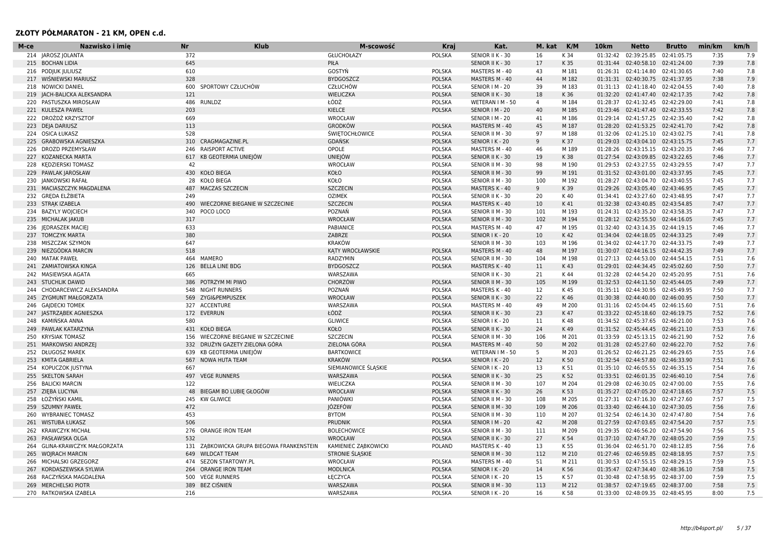| M-ce | Nazwisko i imię                | <b>Nr</b>                              | <b>Klub</b>                               | M-scowość             | Kraj          | Kat.                  | M. kat         | K/M   | 10 <sub>km</sub> | <b>Netto</b>                       | <b>Brutto</b> | min/km | km/h |
|------|--------------------------------|----------------------------------------|-------------------------------------------|-----------------------|---------------|-----------------------|----------------|-------|------------------|------------------------------------|---------------|--------|------|
|      | 214 JAROSZ JOLANTA             | 372                                    |                                           | GŁUCHOŁAZY            | <b>POLSKA</b> | SENIOR II K - 30      | 16             | K 34  | 01:32:42         | 02:39:25.85                        | 02:41:05.75   | 7:35   | 7.9  |
|      | 215 BOCHAN LIDIA               | 645                                    |                                           | PIŁA                  |               | SENIOR II K - 30      | 17             | K 35  | 01:31:44         | 02:40:58.10                        | 02:41:24.00   | 7:39   | 7.8  |
| 216  | PODJUK JULIUSZ                 | 610                                    |                                           | GOSTYŃ                | POLSKA        | MASTERS M - 40        | 43             | M 181 | 01:26:31         | 02:41:14.80                        | 02:41:30.65   | 7:40   | 7.8  |
| 217  | WIŚNIEWSKI MARIUSZ             | 328                                    |                                           | <b>BYDGOSZCZ</b>      | <b>POLSKA</b> | MASTERS M - 40        | 44             | M 182 |                  | 01:31:31  02:40:30.75  02:41:37.95 |               | 7:38   | 7.9  |
| 218  | <b>NOWICKI DANIEL</b>          | 600<br>SPORTOWY CZŁUCHÓW               |                                           | <b>CZŁUCHÓW</b>       | <b>POLSKA</b> | SENIOR   M - 20       | 39             | M 183 |                  | 01:31:13  02:41:18.40  02:42:04.55 |               | 7:40   | 7.8  |
| 219  | <b>JACH-BALICKA ALEKSANDRA</b> | 121                                    |                                           | WIELICZKA             | <b>POLSKA</b> | SENIOR II K - 30      | 18             | K 36  |                  | 01:32:20 02:41:47.40               | 02:42:17.35   | 7:42   | 7.8  |
| 220  | PASTUSZKA MIROSŁAW             | 486<br><b>RUNLDZ</b>                   |                                           | ŁÓDŹ                  | <b>POLSKA</b> | WETERAN I M - 50      | $\overline{4}$ | M 184 | 01:28:37         | 02:41:32.45                        | 02:42:29.00   | 7:41   | 7.8  |
| 221  | KULESZA PAWEŁ                  | 203                                    |                                           | KIELCE                | <b>POLSKA</b> | SENIOR   M - 20       | 40             | M 185 | 01:23:46         | 02:41:47.40                        | 02:42:33.55   | 7:42   | 7.8  |
| 222  | DROŻDŻ KRZYSZTOF               | 669                                    |                                           | WROCŁAW               |               | SENIOR   M - 20       | 41             | M 186 |                  | 01:29:14 02:41:57.25 02:42:35.40   |               | 7:42   | 7.8  |
| 223  | <b>DEJA DARIUSZ</b>            | 113                                    |                                           | <b>GRODKÓW</b>        | <b>POLSKA</b> | MASTERS M - 40        | 45             | M 187 | 01:28:20         | 02:41:53.25 02:42:41.70            |               | 7:42   | 7.8  |
| 224  | <b>OSICA ŁUKASZ</b>            | 528                                    |                                           | <b>ŚWIETOCHŁOWICE</b> | POLSKA        | SENIOR II M - 30      | 97             | M 188 | 01:32:06         | 02:41:25.10 02:43:02.75            |               | 7:41   | 7.8  |
| 225  | <b>GRABOWSKA AGNIESZKA</b>     | 310 CRAGMAGAZINE.PL                    |                                           | <b>GDAŃSK</b>         | <b>POLSKA</b> | SENIOR I K - 20       | 9              | K 37  | 01:29:03         | 02:43:04.10 02:43:15.75            |               | 7:45   | 7.7  |
| 226  | <b>DROZD PRZEMYSŁAW</b>        | 246<br><b>RAISPORT ACTIVE</b>          |                                           | OPOLE                 | <b>POLSKA</b> | MASTERS M - 40        | 46             | M 189 |                  | 01:28:26 02:43:15.15 02:43:20.35   |               | 7:46   | 7.7  |
| 227  | KOZANECKA MARTA                | KB GEOTERMIA UNIEJÓW<br>617            |                                           | <b>UNIEJÓW</b>        | <b>POLSKA</b> | SENIOR II K - 30      | 19             | K 38  | 01:27:54         | 02:43:09.85                        | 02:43:22.65   | 7:46   | 7.7  |
| 228  | <b>KEDZIERSKI TOMASZ</b>       | 42                                     |                                           | WROCŁAW               | <b>POLSKA</b> | SENIOR II M - 30      | 98             | M 190 |                  | 01:29:53 02:43:27.55 02:43:29.55   |               | 7:47   | 7.7  |
| 229  | PAWLAK JAROSŁAW                | 430 KOŁO BIEGA                         |                                           | KOŁO                  | <b>POLSKA</b> | SENIOR II M - 30      | 99             | M 191 |                  | 01:31:52 02:43:01.00 02:43:37.95   |               | 7:45   | 7.7  |
| 230  | <b>JANKOWSKI RAFAŁ</b>         | 28<br><b>KOŁO BIEGA</b>                |                                           | KOŁO                  | POLSKA        | SENIOR II M - 30      | 100            | M 192 | 01:28:27         | 02:43:04.70 02:43:40.55            |               | 7:45   | 7.7  |
|      | 231 MACIASZCZYK MAGDALENA      | 487<br><b>MACZAS SZCZECIN</b>          |                                           | <b>SZCZECIN</b>       | <b>POLSKA</b> | MASTERS K - 40        | 9              | K 39  |                  | 01:29:26 02:43:05.40 02:43:46.95   |               | 7:45   | 7.7  |
|      | 232 GREDA ELZBIETA             | 249                                    |                                           | <b>OZIMEK</b>         | POLSKA        | SENIOR II K - 30      | 20             | K 40  | 01:34:41         | 02:43:27.60 02:43:48.95            |               | 7:47   | 7.7  |
| 233  | STRAK IZABELA                  | 490<br>WIECZORNE BIEGANIE W SZCZECINIE |                                           | <b>SZCZECIN</b>       | <b>POLSKA</b> | MASTERS K - 40        | 10             | K 41  |                  | 01:32:38 02:43:40.85 02:43:54.85   |               | 7:47   | 7.7  |
| 234  | <b>BAZYLY WOJCIECH</b>         | POCO LOCO<br>340                       |                                           | POZNAŃ                | POLSKA        | SENIOR II M - 30      | 101            | M 193 | 01:24:31         | 02:43:35.20                        | 02:43:58.35   | 7:47   | 7.7  |
| 235  | <b>MICHALAK JAKUB</b>          | 317                                    |                                           | WROCŁAW               | <b>POLSKA</b> | SENIOR II M - 30      | 102            | M 194 |                  | 01:28:12 02:42:55.50               | 02:44:16.05   | 7:45   | 7.7  |
|      | 236 JEDRASZEK MACIEJ           | 633                                    |                                           | PABIANICE             | <b>POLSKA</b> | MASTERS M - 40        | 47             | M 195 |                  | 01:32:40 02:43:14.35 02:44:19.15   |               | 7:46   | 7.7  |
| 237  | <b>TOMCZYK MARTA</b>           | 380                                    |                                           | ZABRZE                | <b>POLSKA</b> | SENIOR I K - 20       | 10             | K 42  | 01:34:04         | 02:44:18.05 02:44:33.25            |               | 7:49   | 7.7  |
| 238  | MISZCZAK SZYMON                | 647                                    |                                           | <b>KRAKÓW</b>         |               | SENIOR II M - 30      | 103            | M 196 | 01:34:02         | 02:44:17.70                        | 02:44:33.75   | 7:49   | 7.7  |
|      | NIEZGÓDKA MARCIN               |                                        |                                           |                       |               | MASTERS M - 40        | 48             | M 197 | 01:30:07         | 02:44:16.15 02:44:42.35            |               | 7:49   | 7.7  |
| 239  | <b>MATAK PAWEŁ</b>             | 518<br>464<br>MAMERO                   |                                           | KATY WROCŁAWSKIE      | <b>POLSKA</b> |                       | 104            | M 198 |                  | 01:27:13 02:44:53.00 02:44:54.15   |               | 7:51   | 7.6  |
| 240  |                                |                                        |                                           | RADZYMIN              | POLSKA        | SENIOR II M - 30      |                |       |                  |                                    |               |        |      |
| 241  | <b>ZAMIATOWSKA KINGA</b>       | 126<br><b>BELLA LINE BDG</b>           |                                           | <b>BYDGOSZCZ</b>      | <b>POLSKA</b> | MASTERS K - 40        | 11             | K 43  | 01:29:01         | 02:44:34.45 02:45:02.60            |               | 7:50   | 7.7  |
| 242  | MASIEWSKA AGATA                | 665                                    |                                           | WARSZAWA              |               | SENIOR II K - 30      | 21             | K44   | 01:32:28         | 02:44:54.20                        | 02:45:20.95   | 7:51   | 7.6  |
| 243  | <b>STUCHLIK DAWID</b>          | 386 POTRZYM MI PIWO                    |                                           | CHORZÓW               | <b>POLSKA</b> | SENIOR II M - 30      | 105            | M 199 | 01:32:53         | 02:44:11.50                        | 02:45:44.05   | 7:49   | 7.7  |
| 244  | CHODARCEWICZ ALEKSANDRA        | 548<br><b>NIGHT RUNNERS</b>            |                                           | POZNAŃ                | POLSKA        | MASTERS K - 40        | 12             | K 45  |                  | 01:35:11 02:44:30.95 02:45:49.95   |               | 7:50   | 7.7  |
| 245  | ZYGMUNT MAŁGORZATA             | 569<br><b>ZYGI&amp;PEMPUSZEK</b>       |                                           | <b>WROCŁAW</b>        | <b>POLSKA</b> | SENIOR II K - 30      | 22             | K 46  | 01:30:38         | 02:44:40.00                        | 02:46:00.95   | 7:50   | 7.7  |
| 246  | <b>GAIDECKI TOMEK</b>          | 327 ACCENTURE                          |                                           | WARSZAWA              | <b>POLSKA</b> | MASTERS M - 40        | 49             | M 200 | 01:31:16         | 02:45:04.45 02:46:15.60            |               | 7:51   | 7.6  |
|      | 247 JASTRZĄBEK AGNIESZKA       | 172 EVERRUN                            |                                           | ŁÓDŹ                  | <b>POLSKA</b> | SENIOR II K - 30      | 23             | K47   |                  | 01:33:22 02:45:18.60 02:46:19.75   |               | 7:52   | 7.6  |
| 248  | KAMIŃSKA ANNA                  | 580                                    |                                           | <b>GLIWICE</b>        | POLSKA        | SENIOR I K - 20       | 11             | K 48  |                  | 01:34:52 02:45:37.65               | 02:46:21.00   | 7:53   | 7.6  |
| 249  | PAWLAK KATARZYNA               | 431 KOŁO BIEGA                         |                                           | KOŁO                  | <b>POLSKA</b> | SENIOR II K - 30      | 24             | K 49  |                  | 01:31:52 02:45:44.45 02:46:21.10   |               | 7:53   | 7.6  |
| 250  | <b>KRYSIAK TOMASZ</b>          | WIECZORNE BIEGANIE W SZCZECINIE<br>156 |                                           | <b>SZCZECIN</b>       | <b>POLSKA</b> | SENIOR II M - 30      | 106            | M 201 | 01:33:59         | 02:45:13.15 02:46:21.90            |               | 7:52   | 7.6  |
| 251  | <b>MARKOWSKI ANDRZE</b>        | 332<br>DRUŻYN GAZETY ZIELONA GÓRA      |                                           | ZIELONA GÓRA          | <b>POLSKA</b> | <b>MASTERS M - 40</b> | 50             | M 202 |                  | 01:31:28 02:45:27.60 02:46:22.70   |               | 7:52   | 7.6  |
| 252  | <b>DŁUGOSZ MAREK</b>           | KB GEOTERMIA UNIEJÓW<br>639            |                                           | <b>BARTKOWICE</b>     |               | WETERAN I M - 50      | 5              | M 203 | 01:26:52         | 02:46:21.25                        | 02:46:29.65   | 7:55   | 7.6  |
| 253  | KMITA GABRIELA                 | 567<br><b>NOWA HUTA TEAM</b>           |                                           | <b>KRAKÓW</b>         | <b>POLSKA</b> | SENIOR I K - 20       | 12             | K 50  | 01:32:54         | 02:44:57.80                        | 02:46:33.90   | 7:51   | 7.6  |
|      | 254 KOPUCZOK JUSTYNA           | 667                                    |                                           | SIEMIANOWICE SLASKIE  |               | SENIOR I K - 20       | 13             | K 51  |                  | 01:35:10 02:46:05.55 02:46:35.15   |               | 7:54   | 7.6  |
| 255  | <b>SKELTON SARAH</b>           | 497<br><b>VEGE RUNNERS</b>             |                                           | WARSZAWA              | <b>POLSKA</b> | SENIOR II K - 30      | 25             | K 52  |                  | 01:33:51 02:46:01.35 02:46:40.10   |               | 7:54   | 7.6  |
| 256  | <b>BALICKI MARCIN</b>          | 122                                    |                                           | WIELICZKA             | POLSKA        | SENIOR II M - 30      | 107            | M 204 | 01:29:08         | 02:46:30.05                        | 02:47:00.00   | 7:55   | 7.6  |
| 257  | ZIĘBA LUCYNA                   | 48<br>BIEGAM BO LUBIE GŁOGÓW           |                                           | WROCŁAW               | <b>POLSKA</b> | SENIOR II K - 30      | 26             | K 53  | 01:35:27         | 02:47:05.20 02:47:18.65            |               | 7:57   | 7.5  |
| 258  | ŁOŻYŃSKI KAMIL                 | 245<br><b>KW GLIWICE</b>               |                                           | PANIÓWKI              | <b>POLSKA</b> | SENIOR II M - 30      | 108            | M 205 |                  | 01:27:31 02:47:16.30 02:47:27.60   |               | 7:57   | 7.5  |
| 259  | <b>SZUMNY PAWEŁ</b>            | 472                                    |                                           | JÓZEFÓW               | <b>POLSKA</b> | SENIOR II M - 30      | 109            | M 206 | 01:33:40         | 02:46:44.10 02:47:30.05            |               | 7:56   | 7.6  |
| 260  | <b>WYBRANIEC TOMASZ</b>        | 453                                    |                                           | <b>BYTOM</b>          | POLSKA        | SENIOR II M - 30      | 110            | M 207 | 01:32:54         | 02:46:14.30 02:47:47.80            |               | 7:54   | 7.6  |
| 261  | <b>WISTUBA ŁUKASZ</b>          | 506                                    |                                           | <b>PRUDNIK</b>        | <b>POLSKA</b> | SENIOR   M - 20       | 42             | M 208 | 01:27:59         | 02:47:03.65 02:47:54.20            |               | 7:57   | 7.5  |
| 262  | <b>KRAWCZYK MICHAŁ</b>         | <b>ORANGE IRON TEAM</b><br>276         |                                           | <b>BOLECHOWICE</b>    | <b>POLSKA</b> | SENIOR II M - 30      | 111            | M 209 | 01:29:35         | 02:46:56.20                        | 02:47:54.90   | 7:56   | 7.5  |
| 263  | PASŁAWSKA OLGA                 | 532                                    |                                           | WROCŁAW               | <b>POLSKA</b> | SENIOR II K - 30      | 27             | K 54  |                  | 01:37:10 02:47:47.70               | 02:48:05.20   | 7:59   | 7.5  |
| 264  | GLINA-KRAWCZYK MAŁGORZATA      |                                        | 131 ZABKOWICKA GRUPA BIEGOWA FRANKENSTEIN | KAMIENIEC ZĄBKOWICKI  | <b>POLAND</b> | MASTERS K - 40        | 13             | K 55  | 01:36:04         | 02:46:51.70                        | 02:48:12.85   | 7:56   | 7.6  |
| 265  | <b>WOIRACH MARCIN</b>          | 649<br><b>WILDCAT TEAM</b>             |                                           | STRONIE ŚLĄSKIE       |               | SENIOR II M - 30      | 112            | M 210 |                  | 01:27:46 02:46:59.85 02:48:18.95   |               | 7:57   | 7.5  |
| 266  | MICHALSKI GRZEGORZ             | SEZON STARTOWY.PL<br>474               |                                           | WROCŁAW               | POLSKA        | MASTERS M - 40        | 51             | M 211 |                  | 01:30:53 02:47:55.15               | 02:48:29.15   | 7:59   | 7.5  |
| 267  | KORDASZEWSKA SYLWIA            | <b>ORANGE IRON TEAM</b><br>264         |                                           | <b>MODLNICA</b>       | <b>POLSKA</b> | SENIOR I K - 20       | 14             | K 56  | 01:35:47         | 02:47:34.40                        | 02:48:36.10   | 7:58   | 7.5  |
| 268  | RACZYNSKA MAGDALENA            | <b>VEGE RUNNERS</b><br>500             |                                           | ŁĘCZYCA               | <b>POLSKA</b> | SENIOR I K - 20       | 15             | K 57  | 01:30:48         | 02:47:58.95 02:48:37.00            |               | 7:59   | 7.5  |
| 269  | <b>MERCHELSKI PIOTR</b>        | BEZ CIŚNIEŃ<br>389                     |                                           | WARSZAWA              | <b>POLSKA</b> | SENIOR II M - 30      | 113            | M 212 |                  | 01:38:57 02:47:19.65 02:48:37.00   |               | 7:58   | 7.5  |
|      | 270 RATKOWSKA IZABELA          | 216                                    |                                           | WARSZAWA              | POLSKA        | SENIOR I K - 20       | 16             | K 58  |                  | 01:33:00 02:48:09.35 02:48:45.95   |               | 8:00   | 7.5  |
|      |                                |                                        |                                           |                       |               |                       |                |       |                  |                                    |               |        |      |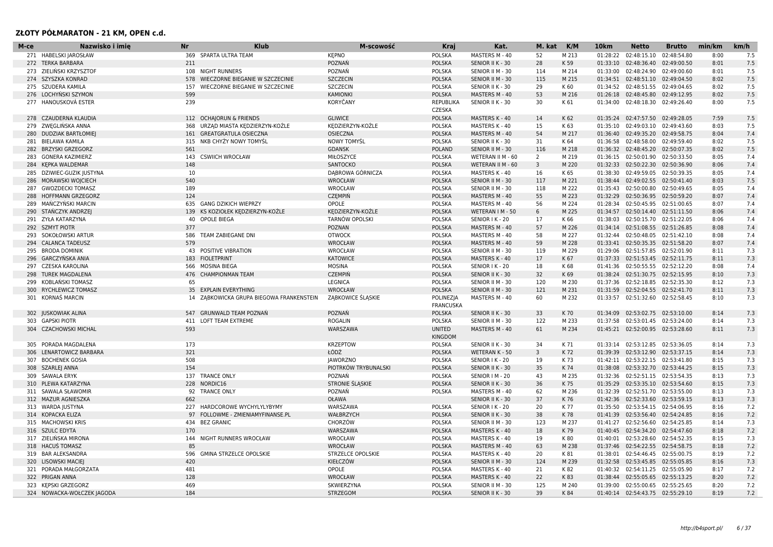| M-ce | Nazwisko i imie            | <b>Nr</b>                 | <b>Klub</b>                           | M-scowość            | Kraj                            | Kat.                  | M. kat         | K/M   | 10 <sub>km</sub> | <b>Netto</b>                       | <b>Brutto</b> | min/km | km/h |
|------|----------------------------|---------------------------|---------------------------------------|----------------------|---------------------------------|-----------------------|----------------|-------|------------------|------------------------------------|---------------|--------|------|
|      | 271 HABELSKI JAROSŁAW      | 369                       | SPARTA ULTRA TEAM                     | <b>KEPNO</b>         | <b>POLSKA</b>                   | MASTERS M - 40        | 52             | M 213 | 01:28:22         | 02:48:15.10                        | 02:48:54.80   | 8:00   | 7.5  |
|      | 272 TERKA BARBARA          | 211                       |                                       | POZNAŃ               | <b>POLSKA</b>                   | SENIOR II K - 30      | 28             | K 59  | 01:33:10         | 02:48:36.40                        | 02:49:00.50   | 8:01   | 7.5  |
| 273  | ZIELIŃSKI KRZYSZTOF        | 108                       | <b>NIGHT RUNNERS</b>                  | POZNAŃ               | POLSKA                          | SENIOR II M - 30      | 114            | M 214 | 01:33:00         | 02:48:24.90                        | 02:49:00.60   | 8:01   | 7.5  |
|      | 274 SZYSZKA KONRAD         | 578                       | WIECZORNE BIEGANIE W SZCZECINIE       | <b>SZCZECIN</b>      | <b>POLSKA</b>                   | SENIOR II M - 30      | 115            | M 215 |                  | 01:34:51 02:48:51.10               | 02:49:04.50   | 8:02   | 7.5  |
|      | 275 SZUDERA KAMILA         | 157                       | WIECZORNE BIEGANIE W SZCZECINIE       | <b>SZCZECIN</b>      | <b>POLSKA</b>                   | SENIOR II K - 30      | 29             | K 60  |                  | 01:34:52 02:48:51.55               | 02:49:04.65   | 8:02   | 7.5  |
| 276  | LOCHYNSKI SZYMON           | 599                       |                                       | <b>KAMIONKI</b>      | <b>POLSKA</b>                   | MASTERS M - 40        | 53             | M 216 |                  | 01:26:18 02:48:45.80               | 02:49:12.95   | 8:02   | 7.5  |
| 277  | HANOUSKOVÁ ESTER           | 239                       |                                       | <b>KORYČANY</b>      | REPUBLIKA                       | SENIOR II K - 30      | 30             | K 61  | 01:34:00         | 02:48:18.30                        | 02:49:26.40   | 8:00   | 7.5  |
|      |                            |                           |                                       |                      | <b>CZESKA</b>                   |                       |                |       |                  |                                    |               |        |      |
|      | 278 CZAUDERNA KLAUDIA      |                           | 112 OCHAJORUN & FRIENDS               | <b>GLIWICE</b>       | <b>POLSKA</b>                   | MASTERS K - 40        | 14             | K 62  |                  | 01:35:24 02:47:57.50 02:49:28.05   |               | 7:59   | 7.5  |
| 279  | ZWĘGLIŃSKA ANNA            | 368                       | URZĄD MIASTA KĘDZIERZYN-KOŹLE         | KĘDZIERZYN-KOŹLE     | POLSKA                          | MASTERS K - 40        | 15             | K 63  | 01:35:10         | 02:49:03.10                        | 02:49:43.60   | 8:03   | 7.5  |
| 280  | <b>DUDZIAK BARTŁOMIE</b>   |                           | 161 GREATGRATULA OSIECZNA             | <b>OSIECZNA</b>      | <b>POLSKA</b>                   | MASTERS M - 40        | 54             | M 217 | 01:36:40         | 02:49:35.20                        | 02:49:58.75   | 8:04   | 7.4  |
| 281  | BIELAWA KAMILA             | 315                       | NKB CHYŻY NOWY TOMYŚL                 | <b>NOWY TOMYSL</b>   | <b>POLSKA</b>                   | SENIOR II K - 30      | 31             | K 64  | 01:36:58         | 02:48:58.00                        | 02:49:59.40   | 8:02   | 7.5  |
| 282  | <b>BRZYSKI GRZEGORZ</b>    | 561                       |                                       | <b>GDANSK</b>        | <b>POLAND</b>                   | SENIOR II M - 30      | 116            | M 218 |                  | 01:36:32 02:48:45.20               | 02:50:07.35   | 8:02   | 7.5  |
| 283  | <b>GONERA KAZIMIERZ</b>    | 143                       | <b>CSWIICH WROCŁAW</b>                | MIŁOSZYCE            | <b>POLSKA</b>                   | WETERAN II M - 60     | 2              | M 219 | 01:36:15         | 02:50:01.90                        | 02:50:33.50   | 8:05   | 7.4  |
| 284  | <b>KEPKA WALDEMAR</b>      | 148                       |                                       | SANTOCKO             | <b>POLSKA</b>                   | WETERAN II M - 60     | $\overline{3}$ | M 220 |                  | 01:32:33 02:50:22.30               | 02:50:36.90   | 8:06   | 7.4  |
|      | 285 DZIWIEC-GUZIK JUSTYNA  | 10                        |                                       | DABROWA GÓRNICZA     | <b>POLSKA</b>                   | MASTERS K - 40        | 16             | K 65  |                  | 01:38:30 02:49:59.05               | 02:50:39.35   | 8:05   | 7.4  |
| 286  | <b>MORAWSKI WOJCIECH</b>   | 540                       |                                       | WROCŁAW              | <b>POLSKA</b>                   | SENIOR II M - 30      | 117            | M 221 |                  | 01:38:44 02:49:02.55               | 02:50:41.40   | 8:03   | 7.5  |
| 287  | <b>GWOZDECKI TOMASZ</b>    | 189                       |                                       | WROCŁAW              | POLSKA                          | SENIOR II M - 30      | 118            | M 222 | 01:35:43         | 02:50:00.80                        | 02:50:49.65   | 8:05   | 7.4  |
| 288  | HOFFMANN GRZEGORZ          | 124                       |                                       | <b>CZEMPIŃ</b>       | <b>POLSKA</b>                   | MASTERS M - 40        | 55             | M 223 | 01:32:29         | 02:50:36.95                        | 02:50:59.20   | 8:07   | 7.4  |
| 289  | <b>MANCZYNSKI MARCIN</b>   | 635                       | <b>GANG DZIKICH WIEPRZY</b>           | OPOLE                | <b>POLSKA</b>                   | MASTERS M - 40        | 56             | M 224 | 01:28:34         | 02:50:45.95                        | 02:51:00.65   | 8:07   | 7.4  |
| 290  | STAŃCZYK ANDRZEJ           | 139                       | KS KOZIOŁEK KEDZIERZYN-KOŹLE          | KEDZIERZYN-KOŹLE     | <b>POLSKA</b>                   | WETERAN I M - 50      | 6              | M 225 | 01:34:57         | 02:50:14.40                        | 02:51:11.50   | 8:06   | 7.4  |
|      | 291 ZYŁA KATARZYNA         | <b>OPOLE BIEGA</b><br>40  |                                       | TARNÓW OPOLSKI       | POLSKA                          | SENIOR I K - 20       | 17             | K 66  |                  | 01:38:03 02:50:15.70 02:51:22.05   |               | 8:06   | 7.4  |
|      | 292 SZMYT PIOTR            | 377                       |                                       | POZNAN               | <b>POLSKA</b>                   | MASTERS M - 40        | 57             | M 226 |                  | 01:34:14 02:51:08.55               | 02:51:26.85   | 8:08   | 7.4  |
|      |                            | 586                       |                                       |                      |                                 |                       | 58             | M 227 |                  |                                    |               | 8:08   | 7.4  |
| 293  | SOKOŁOWSKI ARTUR           |                           | TEAM ZABIEGANE DNI                    | <b>OTWOCK</b>        | <b>POLSKA</b>                   | MASTERS M - 40        |                |       | 01:32:44         | 02:50:48.05                        | 02:51:42.10   |        |      |
| 294  | <b>CALANCA TADEUSZ</b>     | 579                       |                                       | WROCŁAW              | <b>POLSKA</b>                   | MASTERS M - 40        | 59             | M 228 |                  | 01:33:41 02:50:35.35               | 02:51:58.20   | 8:07   | 7.4  |
| 295  | <b>BRODA DOMINIK</b>       | 43                        | POSITIVE VIBRATION                    | WROCŁAW              | POLSKA                          | SENIOR II M - 30      | 119            | M 229 |                  | 01:29:06 02:51:57.85               | 02:52:01.90   | 8:11   | 7.3  |
| 296  | GARCZYŃSKA ANIA            | 183<br><b>FIOLETPRINT</b> |                                       | <b>KATOWICE</b>      | <b>POLSKA</b>                   | MASTERS K - 40        | 17             | K 67  |                  | 01:37:33 02:51:53.45 02:52:11.75   |               | 8:11   | 7.3  |
| 297  | <b>CZESKA KAROLINA</b>     | 566<br>MOSINA BIEGA       |                                       | <b>MOSINA</b>        | <b>POLSKA</b>                   | SENIOR I K - 20       | 18             | K 68  |                  | 01:41:36 02:50:55.55               | 02:52:12.20   | 8:08   | 7.4  |
| 298  | <b>TUREK MAGDALENA</b>     | 476                       | <b>CHAMPIONMAN TEAM</b>               | <b>CZEMPIŃ</b>       | <b>POLSKA</b>                   | SENIOR II K - 30      | 32             | K 69  |                  | 01:38:24 02:51:30.75               | 02:52:15.95   | 8:10   | 7.3  |
| 299  | KOBLAŃSKI TOMASZ           | 65                        |                                       | <b>LEGNICA</b>       | POLSKA                          | SENIOR II M - 30      | 120            | M 230 |                  | 01:37:36 02:52:18.85               | 02:52:35.30   | 8:12   | 7.3  |
| 300  | RYCHLEWICZ TOMASZ          |                           | 35 EXPLAIN EVERYTHING                 | WROCŁAW              | <b>POLSKA</b>                   | SENIOR II M - 30      | 121            | M 231 |                  | 01:31:59 02:52:04.55 02:52:41.70   |               | 8:11   | 7.3  |
| 301  | KORNAS MARCIN              | 14                        | ZABKOWICKA GRUPA BIEGOWA FRANKENSTEIN | ZABKOWICE ŚLASKIE    | <b>POLINEZJA</b><br>FRANCUSKA   | MASTERS M - 40        | 60             | M 232 | 01:33:57         | 02:51:32.60                        | 02:52:58.45   | 8:10   | 7.3  |
|      | 302 JUSKOWIAK ALINA        | 547                       | <b>GRUNWALD TEAM POZNAŃ</b>           | POZNAŃ               | <b>POLSKA</b>                   | SENIOR II K - 30      | 33             | K 70  | 01:34:09         | 02:53:02.75                        | 02:53:10.00   | 8:14   | 7.3  |
| 303  | <b>GAPSKI PIOTR</b>        | 411                       | LOFT TEAM EXTREME                     | <b>ROGALIN</b>       | <b>POLSKA</b>                   | SENIOR II M - 30      | 122            | M 233 | 01:37:58         | 02:53:01.45                        | 02:53:24.00   | 8:14   | 7.3  |
|      | 304 CZACHOWSKI MICHAL      | 593                       |                                       | WARSZAWA             | <b>UNITED</b><br><b>KINGDOM</b> | MASTERS M - 40        | 61             | M 234 |                  | 01:45:21 02:52:00.95               | 02:53:28.60   | 8:11   | 7.3  |
| 305  | PORADA MAGDALENA           | 173                       |                                       | <b>KRZEPTOW</b>      | POLSKA                          | SENIOR II K - 30      | 34             | K 71  |                  | 01:33:14 02:53:12.85 02:53:36.05   |               | 8:14   | 7.3  |
| 306  | LENARTOWICZ BARBARA        | 321                       |                                       | ŁÓDŹ                 | <b>POLSKA</b>                   | <b>WETERAN K - 50</b> | 3              | K 72  | 01:39:39         | 02:53:12.90                        | 02:53:37.15   | 8:14   | 7.3  |
| 307  | <b>BOCHENEK GOSIA</b>      | 508                       |                                       | <b>JAWORZNO</b>      | <b>POLSKA</b>                   | SENIOR I K - 20       | 19             | K 73  |                  | 01:42:11 02:53:22.15 02:53:41.80   |               | 8:15   | 7.3  |
| 308  | <b>SZARLEJ ANNA</b>        | 154                       |                                       | PIOTRKÓW TRYBUNALSKI | <b>POLSKA</b>                   | SENIOR II K - 30      | 35             | K 74  | 01:38:08         | 02:53:32.70                        | 02:53:44.25   | 8:15   | 7.3  |
| 309  | <b>SAWALA ERYK</b>         | 137<br><b>TRANCE ONLY</b> |                                       | POZNAŃ               | <b>POLSKA</b>                   | SENIOR   M - 20       | 43             | M 235 | 01:32:36         | 02:52:51.15 02:53:54.35            |               | 8:13   | 7.3  |
| 310  | PLEWA KATARZYNA            | 228<br>NORDIC16           |                                       | STRONIE ŚLĄSKIE      | <b>POLSKA</b>                   | SENIOR II K - 30      | 36             | K 75  |                  | 01:35:29 02:53:35.10               | 02:53:54.60   | 8:15   | 7.3  |
|      | 311 SAWALA SŁAWOMIR        | 92 TRANCE ONLY            |                                       | POZNAŃ               | <b>POLSKA</b>                   | MASTERS M - 40        | 62             | M 236 |                  | 01:32:39 02:52:51.70               | 02:53:55.00   | 8:13   | 7.3  |
|      | 312 MAZUR AGNIESZKA        | 662                       |                                       | <b>OŁAWA</b>         |                                 | SENIOR II K - 30      | 37             | K 76  |                  | 01:42:36 02:52:33.60               | 02:53:59.15   | 8:13   | 7.3  |
|      | 313 WARDA JUSTYNA          | 227                       | HARDCOROWE WYCHYLYLYBYMY              | WARSZAWA             | POLSKA                          | SENIOR I K - 20       | 20             | K 77  |                  | 01:35:50 02:53:54.15               | 02:54:06.95   | 8:16   | 7.2  |
|      | 314 KOPACKA ELIZA          | 97                        | FOLLOWME - ZMIENIAMYFINANSE.PL        | WAŁBRZYCH            | <b>POLSKA</b>                   | SENIOR II K - 30      | 38             | K 78  |                  | 01:41:39 02:53:56.40               | 02:54:24.85   | 8:16   | 7.2  |
| 315  | <b>MACHOWSKI KRIS</b>      | <b>BEZ GRANIC</b><br>434  |                                       | CHORZÓW              | <b>POLSKA</b>                   | SENIOR II M - 30      | 123            | M 237 |                  | 01:41:27 02:52:56.60               | 02:54:25.85   | 8:14   | 7.3  |
|      | 316 SZULC EDYTA            | 170                       |                                       | WARSZAWA             | <b>POLSKA</b>                   | MASTERS K - 40        | 18             | K 79  |                  | 01:40:45 02:54:34.20 02:54:47.60   |               | 8:18   | 7.2  |
| 317  | ZIELIŃSKA MIRONA           | 144                       | NIGHT RUNNERS WROCŁAW                 | WROCŁAW              | POLSKA                          | MASTERS K - 40        | 19             | K 80  | 01:40:01         | 02:53:28.60                        | 02:54:52.35   | 8:15   | 7.3  |
| 318  | <b>HACUS TOMASZ</b>        | 85                        |                                       | WROCŁAW              | <b>POLSKA</b>                   | MASTERS M - 40        | 63             | M 238 | 01:37:46         | 02:54:22.55                        | 02:54:58.75   | 8:18   | 7.2  |
|      | 319 BAR ALEKSANDRA         | 596                       | <b>GMINA STRZELCE OPOLSKIE</b>        | STRZELCE OPOLSKIE    | POLSKA                          | MASTERS K - 40        | 20             | K 81  |                  | 01:38:01  02:54:46.45  02:55:00.75 |               | 8:19   | 7.2  |
| 320  | LISOWSKI MACIEJ            | 420                       |                                       | KIEŁCZÓW             | <b>POLSKA</b>                   | SENIOR II M - 30      | 124            | M 239 |                  | 01:32:58 02:53:45.85               | 02:55:05.85   | 8:16   | 7.3  |
|      | 321 PORADA MAŁGORZATA      | 481                       |                                       | OPOLE                | POLSKA                          | MASTERS K - 40        | 21             | K 82  | 01:40:32         | 02:54:11.25                        | 02:55:05.90   | 8:17   | 7.2  |
|      | 322 PRIGAN ANNA            | 128                       |                                       | WROCŁAW              | <b>POLSKA</b>                   | MASTERS K - 40        | 22             | K83   |                  | 01:38:44 02:55:05.65               | 02:55:13.25   | 8:20   | 7.2  |
|      | 323 KEPSKI GRZEGORZ        | 469                       |                                       | SKWIERZYNA           | <b>POLSKA</b>                   | SENIOR II M - 30      | 125            | M 240 |                  | 01:39:00 02:55:00.65 02:55:25.65   |               | 8:20   | 7.2  |
|      | 324 NOWACKA-WOŁCZEK JAGODA | 184                       |                                       | <b>STRZEGOM</b>      | <b>POLSKA</b>                   | SENIOR II K - 30      | 39             | K 84  |                  | 01:40:14  02:54:43.75  02:55:29.10 |               | 8:19   | 7.2  |
|      |                            |                           |                                       |                      |                                 |                       |                |       |                  |                                    |               |        |      |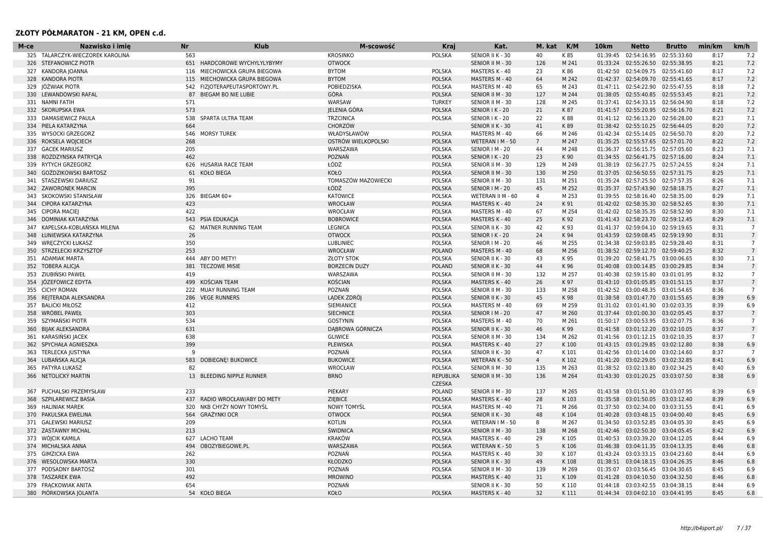| M-ce       | Nazwisko i imie                               | Nr  | <b>Klub</b>                   | M-scowość                  | <b>Kraj</b>                    | Kat.                  | M. kat         | K/M           | 10 <sub>km</sub>     | <b>Netto</b>                       | <b>Brutto</b> | min/km       | km/h                  |
|------------|-----------------------------------------------|-----|-------------------------------|----------------------------|--------------------------------|-----------------------|----------------|---------------|----------------------|------------------------------------|---------------|--------------|-----------------------|
|            | 325 TALARCZYK-WIECZOREK KAROLINA              | 563 |                               | <b>KROSINKO</b>            | <b>POLSKA</b>                  | SENIOR II K - 30      | 40             | K 85          | 01:39:45             | 02:54:16.95                        | 02:55:33.60   | 8:17         | 7.2                   |
| 326        | <b>STEFANOWICZ PIOTR</b>                      |     | 651 HARDCOROWE WYCHYLYLYBYMY  | <b>OTWOCK</b>              |                                | SENIOR II M - 30      | 126            | M 241         | 01:33:24             | 02:55:26.50                        | 02:55:38.95   | 8:21         | 7.2                   |
| 327        | KANDORA JOANNA                                | 116 | MIECHOWICKA GRUPA BIEGOWA     | <b>BYTOM</b>               | <b>POLSKA</b>                  | MASTERS K - 40        | 23             | K 86          | 01:42:50             | 02:54:09.75                        | 02:55:41.60   | 8:17         | 7.2                   |
| 328        | <b>KANDORA PIOTR</b>                          | 115 | MIECHOWICKA GRUPA BIEGOWA     | <b>BYTOM</b>               | <b>POLSKA</b>                  | MASTERS M - 40        | 64             | M 242         | 01:42:37             | 02:54:09.70                        | 02:55:41.65   | 8:17         | 7.2                   |
| 329        | IÓŹWIAK PIOTR                                 |     | 542 FIZJOTERAPEUTASPORTOWY.PL | POBIEDZISKA                | <b>POLSKA</b>                  | MASTERS M - 40        | 65             | M 243         |                      | 01:47:11 02:54:22.90               | 02:55:47.55   | 8:18         | 7.2                   |
| 330        | LEWANDOWSKI RAFAL                             | 87  | <b>BIEGAM BO NIE LUBIE</b>    | GÓRA                       | <b>POLSKA</b>                  | SENIOR II M - 30      | 127            | M 244         | 01:38:05             | 02:55:40.85                        | 02:55:53.45   | 8:21         | 7.2                   |
| 331        | <b>NAMNI FATIH</b>                            | 571 |                               | WARSAW                     | <b>TURKEY</b>                  | SENIOR II M - 30      | 128            | M 245         | 01:37:41             | 02:54:33.15                        | 02:56:04.90   | 8:18         | 7.2                   |
|            | 332 SKORUPSKA EWA                             | 573 |                               | JELENIA GÓRA               | <b>POLSKA</b>                  | SENIOR I K - 20       | 21             | K 87          |                      | 01:41:57 02:55:20.95               | 02:56:16.70   | 8:21         | 7.2                   |
| 333        | DAMASIEWICZ PAULA                             | 538 | SPARTA ULTRA TEAM             | <b>TRZCINICA</b>           | POLSKA                         | SENIOR I K - 20       | 22             | K88           |                      | 01:41:12 02:56:13.20 02:56:28.00   |               | 8:23         | 7.1                   |
| 334        | PIELA KATARZYNA                               | 664 |                               | CHORZÓW                    |                                | SENIOR II K - 30      | 41             | K89           | 01:38:42             | 02:55:10.25                        | 02:56:44.05   | 8:20         | 7.2                   |
|            | 335 WYSOCKI GRZEGORZ                          | 546 | <b>MORSY TUREK</b>            | WŁADYSŁAWÓW                | POLSKA                         | MASTERS M - 40        | 66             | M 246         | 01:42:34             | 02:55:14.05 02:56:50.70            |               | 8:20         | 7.2                   |
| 336        | ROKSELA WOJCIECH                              | 268 |                               | OSTRÓW WIELKOPOLSKI        | <b>POLSKA</b>                  | WETERAN I M - 50      | 7              | M 247         | 01:35:25             | 02:55:57.65 02:57:01.70            |               | 8:22         | 7.2                   |
| 337        | <b>GACEK MARIUSZ</b>                          | 205 |                               | WARSZAWA                   | <b>POLSKA</b>                  | SENIOR   M - 20       | 44             | M 248         | 01:36:37             | 02:56:15.75                        | 02:57:05.60   | 8:23         | 7.1                   |
| 338        | ROZDZYNSKA PATRYCJA                           | 462 |                               | POZNAŃ                     | <b>POLSKA</b>                  | SENIOR I K - 20       | 23             | K 90          |                      | 01:34:55 02:56:41.75               | 02:57:16.00   | 8:24         | 7.1                   |
| 339        | <b>RYTYCH GRZEGORZ</b>                        |     | 626 HUSARIA RACE TEAM         | ŁÓDŹ                       | POLSKA                         | SENIOR II M - 30      | 129            | M 249         | 01:38:19             | 02:56:27.75 02:57:24.55            |               | 8:24         | 7.1                   |
| 340        | GOŻDZIKOWSKI BARTOSZ                          | 61  | <b>KOŁO BIEGA</b>             | <b>KOŁO</b>                | <b>POLSKA</b>                  | SENIOR II M - 30      | 130            | M 250         |                      | 01:37:05 02:56:50.55 02:57:31.75   |               | 8:25         | 7.1                   |
| 341        | STASZEWSKI DARIUSZ                            | 91  |                               | TOMASZÓW MAZOWIECKI        | <b>POLSKA</b>                  | SENIOR II M - 30      | 131            | M 251         | 01:35:24             | 02:57:25.50                        | 02:57:57.35   | 8:26         | 7.1                   |
| 342        | <b>ZAWORONEK MARCIN</b>                       | 395 |                               | ŁÓDŹ                       | <b>POLSKA</b>                  | SENIOR   M - 20       | 45             | M 252         | 01:35:37             | 02:57:43.90                        | 02:58:18.75   | 8:27         | 7.1                   |
| 343        | SKOKOWSKI STANISŁAW                           |     | 326 BIEGAM 60+                | <b>KATOWICE</b>            | <b>POLSKA</b>                  | WETERAN II M - 60     | $\overline{4}$ | M 253         | 01:39:55             | 02:58:16.40 02:58:35.00            |               | 8:29         | 7.1                   |
| 344        | <b>CIPORA KATARZYNA</b>                       | 423 |                               | WROCŁAW                    | <b>POLSKA</b>                  | MASTERS K - 40        | 24             | K 91          |                      | 01:42:02 02:58:35.30 02:58:52.65   |               | 8:30         | 7.1                   |
| 345        | <b>CIPORA MACIEI</b>                          | 422 |                               | WROCŁAW                    | <b>POLSKA</b>                  | MASTERS M - 40        | 67             | M 254         | 01:42:02             | 02:58:35.35                        | 02:58:52.90   | 8:30         | 7.1                   |
| 346        | DOMINIAK KATARZYNA                            | 543 | PSIA EDUKACJA                 | <b>BOBROWICE</b>           | <b>POLSKA</b>                  | MASTERS K - 40        | 25             | K 92          |                      | 01:41:43 02:58:23.70               | 02:59:12.45   | 8:29         | 7.1                   |
| 347        | KAPELSKA-KOBLANSKA MILENA                     | 62  | MATNER RUNNING TEAM           | LEGNICA                    | POLSKA                         | SENIOR II K - 30      | 42             | K 93          | 01:41:37             | 02:59:04.10 02:59:19.65            |               | 8:31         | $\overline{7}$        |
| 348        | ŁUNIEWSKA KATARZYNA                           | 26  |                               | <b>OTWOCK</b>              | <b>POLSKA</b>                  | SENIOR I K - 20       | 24             | K 94          |                      | 01:43:59 02:59:08.45 02:59:19.90   |               | 8:31         | $7^{\circ}$           |
| 349        | <b>WRECZYCKI ŁUKASZ</b>                       | 350 |                               | LUBLINIEC                  | POLSKA                         | SENIOR   M - 20       | 46             | M 255         | 01:34:38             | 02:59:03.85                        | 02:59:28.40   | 8:31         |                       |
| 350        | STRZELECKI KRZYSZTOF                          | 253 |                               | WROCŁAW                    | POLAND                         | MASTERS M - 40        | 68             | M 256         | 01:38:52             | 02:59:12.70                        | 02:59:40.25   | 8:32         | $7\overline{ }$       |
|            | 351 ADAMIAK MARTA                             | 444 | ABY DO METY!                  | <b>ZŁOTY STOK</b>          | POLSKA                         | SENIOR II K - 30      | 43             | K 95          |                      | 01:39:20 02:58:41.75 03:00:06.65   |               | 8:30         | 7.1                   |
|            | 352 TOBERA ALICIA                             | 381 | <b>TECZOWE MISIE</b>          | <b>BORZECIN DUZY</b>       | POLAND                         | SENIOR II K - 30      | 44             | K 96          | 01:40:08             | 03:00:14.85 03:00:29.85            |               | 8:34         | $\overline{7}$        |
|            | ZIUBIŃSKI PAWEŁ                               | 419 |                               |                            |                                | SENIOR II M - 30      | 132            |               | 01:40:38             | 02:59:15.80                        | 03:01:01.95   |              | $7\overline{ }$       |
| 353        | JÓZEFOWICZ EDYTA                              | 499 | KOŚCIAN TEAM                  | WARSZAWA<br><b>KOŚCIAN</b> | <b>POLSKA</b><br><b>POLSKA</b> |                       | 26             | M 257<br>K 97 | 01:43:10             |                                    |               | 8:32<br>8:37 | $7\overline{ }$       |
| 354        |                                               |     |                               |                            |                                | MASTERS K - 40        |                |               |                      | 03:01:05.85                        | 03:01:51.15   |              | $\overline{7}$        |
| 355        | <b>CICHY ROMAN</b>                            | 222 | MUAY RUNNING TEAM             | POZNAŃ                     | <b>POLSKA</b>                  | SENIOR II M - 30      | 133            | M 258         | 01:42:52             | 03:00:48.35                        | 03:01:54.65   | 8:36         |                       |
| 356<br>357 | REJTERADA ALEKSANDRA<br><b>BALICKI MIŁOSZ</b> | 286 | <b>VEGE RUNNERS</b>           | LADEK ZDRÓJ                | <b>POLSKA</b>                  | SENIOR II K - 30      | 45<br>69       | K 98          | 01:38:58<br>01:31:02 | 03:01:47.70<br>03:01:41.90         | 03:01:55.65   | 8:39         | 6.9<br>6.9            |
|            |                                               | 412 |                               | <b>SIEMIANICE</b>          | <b>POLSKA</b>                  | MASTERS M - 40        |                | M 259         |                      |                                    | 03:02:03.35   | 8:39         | $7\overline{ }$       |
|            | 358 WRÓBEL PAWEŁ                              | 303 |                               | <b>SIECHNICE</b>           | <b>POLSKA</b>                  | SENIOR   M - 20       | 47             | M 260         |                      | 01:37:44 03:01:00.30 03:02:05.45   |               | 8:37         |                       |
| 359        | SZYMAŃSKI PIOTR                               | 534 |                               | <b>GOSTYNIN</b>            | <b>POLSKA</b>                  | MASTERS M - 40        | 70             | M 261         | 01:50:17             | 03:00:53.95                        | 03:02:07.75   | 8:36         | $7^{\circ}$           |
| 360        | <b>BIJAK ALEKSANDRA</b>                       | 631 |                               | DĄBROWA GÓRNICZA           | <b>POLSKA</b>                  | SENIOR II K - 30      | 46             | K 99          | 01:41:58             | 03:01:12.20                        | 03:02:10.05   | 8:37         | $\overline{7}$        |
| 361        | KARASIŃSKI JACEK                              | 638 |                               | <b>GLIWICE</b>             | <b>POLSKA</b>                  | SENIOR II M - 30      | 134            | M 262         |                      | 01:41:56 03:01:12.15 03:02:10.35   |               | 8:37         | $\overline{7}$        |
| 362        | SPYCHAŁA AGNIESZKA                            | 399 |                               | PLEWISKA                   | <b>POLSKA</b>                  | MASTERS K - 40        | 27             | K 100         |                      | 01:43:15 03:01:29.85 03:02:12.80   |               | 8:38         | 6.9<br>$\overline{7}$ |
| 363        | <b>TERLECKA JUSTYNA</b>                       | 9   |                               | POZNAŃ                     | <b>POLSKA</b>                  | SENIOR II K - 30      | 47             | K 101         | 01:42:56             | 03:01:14.00                        | 03:02:14.60   | 8:37         |                       |
| 364        | LUBAŃSKA ALICIA                               | 583 | <b>DOBIEGNE! BUKOWICE</b>     | <b>BUKOWICE</b>            | <b>POLSKA</b>                  | <b>WETERAN K - 50</b> | $\overline{4}$ | K 102         |                      | 01:41:20 03:02:29.05 03:02:32.85   |               | 8:41         | 6.9                   |
|            | 365 PATYRA ŁUKASZ                             | 82  |                               | WROCŁAW                    | <b>POLSKA</b>                  | SENIOR II M - 30      | 135            | M 263         |                      | 01:38:52 03:02:13.80               | 03:02:34.25   | 8:40         | 6.9                   |
| 366        | NETOLICKÝ MARTIN                              | 13  | BLEEDING NIPPLE RUNNER        | <b>BRNO</b>                | REPUBLIKA<br><b>CZESKA</b>     | SENIOR II M - 30      | 136            | M 264         |                      | 01:43:30 03:01:20.25 03:03:07.50   |               | 8:38         | 6.9                   |
|            | 367 PUCHALSKI PRZEMYSŁAW                      | 233 |                               | PIEKARY                    | <b>POLAND</b>                  | SENIOR II M - 30      | 137            | M 265         | 01:43:58             | 03:01:51.90 03:03:07.95            |               | 8:39         | 6.9                   |
| 368        | SZPILAREWICZ BASIA                            | 437 | RADIO WROCŁAW/ABY DO METY     | ZIEBICE                    | <b>POLSKA</b>                  | MASTERS K - 40        | 28             | K103          |                      | 01:35:58 03:01:50.05 03:03:12.40   |               | 8:39         | 6.9                   |
| 369        | <b>HALINIAK MAREK</b>                         | 320 | NKB CHYŻY NOWY TOMYŚL         | <b>NOWY TOMYŚL</b>         | POLSKA                         | MASTERS M - 40        | 71             | M 266         | 01:37:50             | 03:02:34.00                        | 03:03:31.55   | 8:41         | 6.9                   |
| 370        | PAKULSKA EWELINA                              | 564 | <b>GRAŻYNKI OCR</b>           | <b>OTWOCK</b>              | <b>POLSKA</b>                  | SENIOR II K - 30      | 48             | K104          |                      | 01:40:28 03:03:48.15 03:04:00.40   |               | 8:45         | 6.9                   |
| 371        | <b>GALEWSKI MARIUSZ</b>                       | 209 |                               | <b>KOTLIN</b>              | <b>POLSKA</b>                  | WETERAN I M - 50      | 8              | M 267         | 01:34:50             | 03:03:52.85                        | 03:04:05.30   | 8:45         | 6.9                   |
|            | 372 ZASTAWNY MICHAL                           | 213 |                               | <b>SWIDNICA</b>            | <b>POLSKA</b>                  | SENIOR II M - 30      | 138            | M 268         |                      | 01:42:46 03:02:50.30 03:04:05.45   |               | 8:42         | 6.9                   |
| 373        | WÓJCIK KAMILA                                 | 627 | <b>LACHO TEAM</b>             | <b>KRAKÓW</b>              | <b>POLSKA</b>                  | MASTERS K - 40        | 29             | K105          | 01:40:53             | 03:03:39.20                        | 03:04:12.05   | 8:44         | 6.9                   |
|            | 374 MICHALSKA ANNA                            | 494 | OBOZYBIEGOWE.PL               | WARSZAWA                   | <b>POLSKA</b>                  | <b>WETERAN K - 50</b> | 5              | K106          | 01:46:38             | 03:04:11.35                        | 03:04:13.35   | 8:46         | 6.8                   |
|            | 375 GIMZICKA EWA                              | 262 |                               | POZNAŃ                     | <b>POLSKA</b>                  | MASTERS K - 40        | 30             | K 107         |                      | 01:43:24 03:03:33.15 03:04:23.60   |               | 8:44         | 6.9                   |
| 376        | WESOLOWSKA MARTA                              | 330 |                               | <b>KŁODZKO</b>             | <b>POLSKA</b>                  | SENIOR II K - 30      | 49             | K108          |                      | 01:38:51  03:04:18.15  03:04:26.35 |               | 8:46         | 6.8                   |
|            | 377 PODSADNY BARTOSZ                          | 301 |                               | POZNAŃ                     | POLSKA                         | SENIOR II M - 30      | 139            | M 269         | 01:35:07             | 03:03:56.45                        | 03:04:30.65   | 8:45         | 6.9                   |
|            | 378 TASZAREK EWA                              | 492 |                               | <b>MROWINO</b>             | <b>POLSKA</b>                  | MASTERS K - 40        | 31             | K109          | 01:41:28             | 03:04:10.50 03:04:32.50            |               | 8:46         | 6.8                   |
|            | 379 FRACKOWIAK ANITA                          | 654 |                               | POZNAŃ                     |                                | SENIOR II K - 30      | 50             | K110          |                      | 01:44:18 03:03:42.55 03:04:38.15   |               | 8:44         | 6.9                   |
|            | 380 PIÓRKOWSKA JOLANTA                        |     | 54 KOŁO BIEGA                 | KOŁO                       | <b>POLSKA</b>                  | MASTERS K - 40        | 32             | K111          |                      | 01:44:34 03:04:02.10 03:04:41.95   |               | 8:45         | 6.8                   |
|            |                                               |     |                               |                            |                                |                       |                |               |                      |                                    |               |              |                       |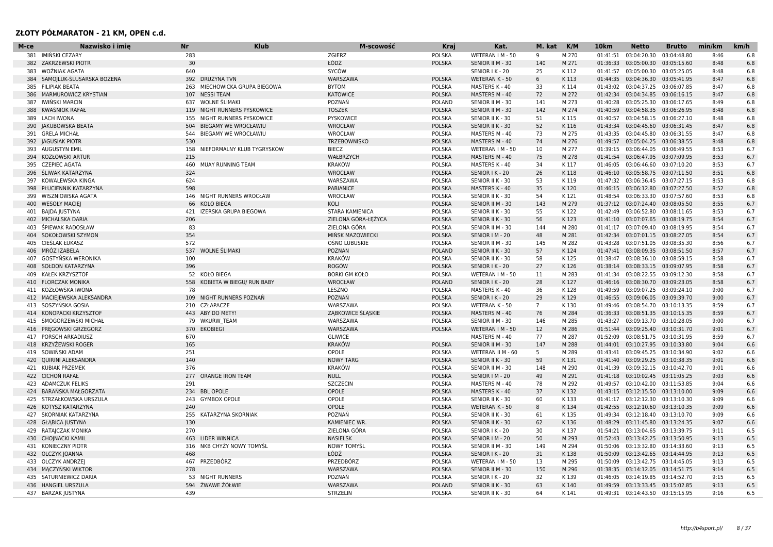| M-ce | Nazwisko i imię             | <b>Nr</b> | <b>Klub</b>                | M-scowość               | Kraj                           | Kat.                  | M. kat         | K/M            | 10 <sub>km</sub> | <b>Netto</b>                       | <b>Brutto</b> | min/km       | km/h       |
|------|-----------------------------|-----------|----------------------------|-------------------------|--------------------------------|-----------------------|----------------|----------------|------------------|------------------------------------|---------------|--------------|------------|
|      | 381 IMINSKI CEZARY          | 283       |                            | ZGIERZ                  | <b>POLSKA</b>                  | WETERAN I M - 50      | -9             | M 270          | 01:41:51         | 03:04:20.30                        | 03:04:48.80   | 8:46         | 6.8        |
|      | 382 ZAKRZEWSKI PIOTR        | 30        |                            | ŁÓDŹ                    | <b>POLSKA</b>                  | SENIOR II M - 30      | 140            | M 271          | 01:36:33         | 03:05:00.30                        | 03:05:15.60   | 8:48         | 6.8        |
| 383  | WOŻNIAK AGATA               | 640       |                            | SYCÓW                   |                                | SENIOR I K - 20       | 25             | K112           | 01:41:57         | 03:05:00.30                        | 03:05:25.05   | 8:48         | 6.8        |
| 384  | SAMOJLUK-ŚLUSARSKA BOŻENA   |           | 392 DRUŻYNA TVN            | WARSZAWA                | <b>POLSKA</b>                  | <b>WETERAN K - 50</b> | 6              | K113           |                  | 01:44:35 03:04:36.30               | 03:05:41.95   | 8:47         | 6.8        |
|      | 385 FILIPIAK BEATA          | 263       | MIECHOWICKA GRUPA BIEGOWA  | <b>BYTOM</b>            | <b>POLSKA</b>                  | MASTERS K - 40        | 33             | K114           | 01:43:02         | 03:04:37.25                        | 03:06:07.85   | 8:47         | 6.8        |
| 386  | <b>MARMUROWICZ KRYSTIAN</b> | 107       | <b>NESSI TEAM</b>          | <b>KATOWICE</b>         | <b>POLSKA</b>                  | MASTERS M - 40        | 72             | M 272          |                  | 01:42:34 03:04:34.85               | 03:06:16.15   | 8:47         | 6.8        |
| 387  | <b>IWINSKI MARCIN</b>       | 637       | <b>WOLNE SLIMAKI</b>       | POZNAŃ                  | <b>POLAND</b>                  | SENIOR II M - 30      | 141            | M 273          | 01:40:28         | 03:05:25.30                        | 03:06:17.65   | 8:49         | 6.8        |
| 388  | KWAŚNIOK RAFAŁ              | 119       | NIGHT RUNNERS PYSKOWICE    | <b>TOSZEK</b>           | <b>POLSKA</b>                  | SENIOR II M - 30      | 142            | M 274          | 01:40:59         | 03:04:58.35                        | 03:06:26.95   | 8:48         | 6.8        |
| 389  | <b>LACH IWONA</b>           | 155       | NIGHT RUNNERS PYSKOWICE    | PYSKOWICE               | POLSKA                         | SENIOR II K - 30      | 51             | K115           | 01:40:57         | 03:04:58.15 03:06:27.10            |               | 8:48         | 6.8        |
| 390  | <b>JAKUBOWSKA BEATA</b>     | 504       | BIEGAMY WE WROCŁAWIU       | WROCŁAW                 | <b>POLSKA</b>                  | SENIOR II K - 30      | 52             | K116           | 01:43:34         | 03:04:45.60                        | 03:06:31.45   | 8:47         | 6.8        |
|      | 391 GRELA MICHAŁ            | 544       | BIEGAMY WE WROCŁAWIU       | WROCŁAW                 | POLSKA                         | MASTERS M - 40        | 73             | M 275          | 01:43:35         | 03:04:45.80                        | 03:06:31.55   | 8:47         | 6.8        |
|      | 392 JAGUSIAK PIOTR          | 530       |                            | TRZEBOWNISKO            | <b>POLSKA</b>                  | MASTERS M - 40        | 74             | M 276          | 01:49:57         | 03:05:04.25 03:06:38.55            |               | 8:48         | 6.8        |
| 393  | <b>AUGUSTYN EMIL</b>        | 158       | NIEFORMALNY KLUB TYGRYSKÓW | <b>BIECZ</b>            | <b>POLSKA</b>                  | WETERAN I M - 50      | 10             | M 277          | 01:39:15         | 03:06:44.05 03:06:49.55            |               | 8:53         | 6.7        |
| 394  | KOZŁOWSKI ARTUR             | 215       |                            | WAŁBRZYCH               | <b>POLSKA</b>                  | MASTERS M - 40        | 75             | M 278          | 01:41:54         | 03:06:47.95                        | 03:07:09.95   | 8:53         | 6.7        |
| 395  | <b>CZEPIEC AGATA</b>        | 460       | <b>MUAY RUNNING TEAM</b>   | <b>KRAKOW</b>           | POLSKA                         | MASTERS K - 40        | 34             | K117           | 01:46:05         | 03:06:46.60                        | 03:07:10.20   | 8:53         | 6.7        |
| 396  | <b>ŚLIWAK KATARZYNA</b>     | 324       |                            | WROCŁAW                 | <b>POLSKA</b>                  | SENIOR I K - 20       | 26             | K118           |                  | 01:46:10 03:05:58.75 03:07:11.50   |               | 8:51         | 6.8        |
| 397  | KOWALEWSKA KINGA            | 624       |                            | WARSZAWA                | POLSKA                         | SENIOR II K - 30      | 53             | K119           | 01:47:32         | 03:06:36.45 03:07:27.15            |               | 8:53         | 6.8        |
| 398  | PŁUCIENNIK KATARZYNA        | 598       |                            | <b>PABIANICE</b>        | <b>POLSKA</b>                  | MASTERS K - 40        | 35             | K120           |                  | 01:46:15 03:06:12.80               | 03:07:27.50   | 8:52         | 6.8        |
| 399  | WISZNIOWSKA AGATA           |           | 146 NIGHT RUNNERS WROCŁAW  | WROCŁAW                 | POLSKA                         | SENIOR II K - 30      | 54             | K121           | 01:48:54         | 03:06:33.30                        | 03:07:57.60   | 8:53         | 6.8        |
| 400  | <b>WESOŁY MACIEJ</b>        | 66        | <b>KOLO BIEGA</b>          | KOLI                    | <b>POLSKA</b>                  | SENIOR II M - 30      | 143            | M 279          |                  | 01:37:12 03:07:24.40 03:08:05.50   |               | 8:55         | 6.7        |
| 401  | BAJDA JUSTYNA               | 421       | IZERSKA GRUPA BIEGOWA      | STARA KAMIENICA         | POLSKA                         | SENIOR II K - 30      | 55             | K122           | 01:42:49         | 03:06:52.80                        | 03:08:11.65   | 8:53         | 6.7        |
| 402  | MICHALSKA DARIA             | 206       |                            | ZIELONA GÓRA-ŁEŻYCA     | <b>POLSKA</b>                  | SENIOR II K - 30      | 56             | K123           | 01:41:10         | 03:07:07.65                        | 03:08:19.75   | 8:54         | 6.7        |
| 403  | SPIEWAK RADOSŁAW            | 83        |                            | ZIELONA GÓRA            | <b>POLSKA</b>                  | SENIOR II M - 30      | 144            | M 280          |                  | 01:41:17 03:07:09.40               | 03:08:19.95   | 8:54         | 6.7        |
| 404  | SOKOŁOWSKI SZYMON           | 354       |                            | <b>MINSK MAZOWIECKI</b> | <b>POLSKA</b>                  | SENIOR   M - 20       | 48             | M 281          |                  | 01:42:34 03:07:01.15 03:08:27.05   |               | 8:54         | 6.7        |
| 405  | CIESLAK ŁUKASZ              | 572       |                            | OŚNO LUBUSKIE           | POLSKA                         | SENIOR II M - 30      | 145            | M 282          | 01:43:28         | 03:07:51.05                        | 03:08:35.30   | 8:56         | 6.7        |
| 406  | MRÓZ IZABELA                | 537       | <b>WOLNE ŚLIMAKI</b>       | POZNAN                  | <b>POLAND</b>                  | SENIOR II K - 30      | 57             | K124           |                  | 01:47:41 03:08:09.35               | 03:08:51.50   | 8:57         | 6.7        |
| 407  | GOSTYŃSKA WERONIKA          | 100       |                            | <b>KRAKÓW</b>           | <b>POLSKA</b>                  | SENIOR II K - 30      | 58             | K125           |                  | 01:38:47 03:08:36.10 03:08:59.15   |               | 8:58         | 6.7        |
| 408  | SOŁDON KATARZYNA            | 396       |                            | ROGÓW                   | <b>POLSKA</b>                  | SENIOR I K - 20       | 27             | K126           | 01:38:14         | 03:08:33.15 03:09:07.95            |               | 8:58         | 6.7        |
| 409  | <b>KAŁEK KRZYSZTOF</b>      | 52        | KOŁO BIEGA                 | <b>BORKI GM KOŁO</b>    | POLSKA                         | WETERAN I M - 50      | 11             | M 283          | 01:41:34         | 03:08:22.55 03:09:12.30            |               | 8:58         | 6.7        |
|      | 410 FLORCZAK MONIKA         | 558       | KOBIETA W BIEGU/ RUN BABY  | WROCŁAW                 | <b>POLAND</b>                  | SENIOR I K - 20       | 28             | K127           | 01:46:16         | 03:08:30.70 03:09:23.05            |               | 8:58         | 6.7        |
| 411  | KOZŁOWSKA IWONA             | 78        |                            | LESZNO                  | POLSKA                         | MASTERS K - 40        | 36             | K128           |                  | 01:49:59 03:09:07.25 03:09:24.10   |               | 9:00         | 6.7        |
| 412  | MACIEJEWSKA ALEKSANDRA      | 109       | NIGHT RUNNERS POZNAŃ       | POZNAŃ                  | <b>POLSKA</b>                  | SENIOR I K - 20       | 29             | K129           |                  | 01:46:55 03:09:06.05               | 03:09:39.70   | 9:00         | 6.7        |
| 413  | SOSZYŃSKA GOSIA             | 210       | CZŁAPACZE                  | WARSZAWA                | <b>POLSKA</b>                  | <b>WETERAN K - 50</b> | $\overline{7}$ | K130           | 01:49:46         | 03:08:54.70 03:10:13.35            |               | 8:59         | 6.7        |
|      | 414 KONOPACKI KRZYSZTOF     |           | 443 ABY DO METY            | ZĄBKOWICE ŚLĄSKIE       | <b>POLSKA</b>                  | MASTERS M - 40        | 76             | M 284          |                  | 01:36:33 03:08:51.35 03:10:15.35   |               | 8:59         | 6.7        |
| 415  | SMOGORZEWSKI MICHAŁ         | 79        | <b>WKURW TEAM</b>          | WARSZAWA                | <b>POLSKA</b>                  | SENIOR II M - 30      | 146            | M 285          | 01:43:27         | 03:09:13.70                        | 03:10:28.05   | 9:00         | 6.7        |
| 416  | PREGOWSKI GRZEGORZ          | 370       | <b>EKOBIEGI</b>            | WARSZAWA                | <b>POLSKA</b>                  | WETERAN I M - 50      | 12             | M 286          | 01:51:44         | 03:09:25.40 03:10:31.70            |               | 9:01         | 6.7        |
|      | 417 PORSCH ARKADIUSZ        | 670       |                            | <b>GLIWICE</b>          |                                | MASTERS M - 40        | 77             | M 287          | 01:52:09         | 03:08:51.75 03:10:31.95            |               | 8:59         | 6.7        |
|      |                             | 165       |                            |                         |                                |                       |                |                |                  |                                    |               |              |            |
| 418  | KRZYŻEWSKI ROGER            | 251       |                            | <b>KRAKÓW</b>           | <b>POLSKA</b><br><b>POLSKA</b> | SENIOR II M - 30      | 147<br>-5      | M 288<br>M 289 | 01:43:41         | 01:44:01 03:10:27.95 03:10:33.80   |               | 9:04<br>9:02 | 6.6<br>6.6 |
| 419  | SOWIŃSKI ADAM               | 140       |                            | OPOLE                   |                                | WETERAN II M - 60     |                |                |                  | 03:09:45.25                        | 03:10:34.90   |              |            |
| 420  | <b>QUIRINI ALEKSANDRA</b>   |           |                            | <b>NOWY TARG</b>        | <b>POLSKA</b>                  | SENIOR II K - 30      | 59             | K131           | 01:41:40         | 03:09:29.25 03:10:38.35            |               | 9:01         | 6.6        |
|      | 421 KUBIAK PRZEMEK          | 376       |                            | <b>KRAKÓW</b>           | <b>POLSKA</b>                  | SENIOR II M - 30      | 148            | M 290          |                  | 01:41:39 03:09:32.15 03:10:42.70   |               | 9:01         | 6.6        |
| 422  | <b>CICHON RAFAŁ</b>         | 277       | <b>ORANGE IRON TEAM</b>    | <b>NULL</b>             | <b>POLSKA</b>                  | SENIOR   M - 20       | 49             | M 291          |                  | 01:41:18 03:10:02.45 03:11:05.25   |               | 9:03         | 6.6        |
| 423  | <b>ADAMCZUK FELIKS</b>      | 291       |                            | SZCZECIN                | POLSKA                         | MASTERS M - 40        | 78             | M 292          | 01:49:57         | 03:10:42.00                        | 03:11:53.85   | 9:04         | 6.6        |
|      | 424 BARAŃSKA MAŁGORZATA     | 234       | <b>BBL OPOLE</b>           | OPOLE                   | <b>POLSKA</b>                  | MASTERS K - 40        | 37             | K132           |                  | 01:43:15  03:12:15.50  03:13:10.00 |               | 9:09         | 6.6        |
| 425  | STRZAŁKOWSKA URSZULA        | 243       | <b>GYMBOX OPOLE</b>        | OPOLE                   | <b>POLSKA</b>                  | SENIOR II K - 30      | 60             | K133           |                  | 01:41:17 03:12:12.30 03:13:10.30   |               | 9:09         | 6.6        |
| 426  | KOTYSZ KATARZYNA            | 240       |                            | OPOLE                   | <b>POLSKA</b>                  | <b>WETERAN K - 50</b> | 8              | K134           |                  | 01:42:55 03:12:10.60               | 03:13:10.35   | 9:09         | 6.6        |
| 427  | SKORNIAK KATARZYNA          | 255       | KATARZYNA SKORNIAK         | POZNAŃ                  | POLSKA                         | SENIOR II K - 30      | 61             | K135           | 01:49:34         | 03:12:18.40 03:13:10.70            |               | 9:09         | 6.6        |
| 428  | <b>GŁĄBICA JUSTYNA</b>      | 130       |                            | KAMIENIEC WR.           | <b>POLSKA</b>                  | SENIOR II K - 30      | 62             | K136           |                  | 01:48:29 03:11:45.80               | 03:13:24.35   | 9:07         | 6.6        |
| 429  | RATAJCZAK MONIKA            | 270       |                            | ZIELONA GÓRA            | POLSKA                         | SENIOR I K - 20       | 30             | K137           |                  | 01:54:21 03:13:04.65 03:13:39.75   |               | 9:11         | 6.5        |
| 430  | CHOJNACKI KAMIL             | 463       | <b>LIDER WINNICA</b>       | <b>NASIELSK</b>         | <b>POLSKA</b>                  | SENIOR   M - 20       | 50             | M 293          |                  | 01:52:43 03:13:42.25               | 03:13:50.95   | 9:13         | 6.5        |
|      | 431 KONIECZNY PIOTR         | 316       | NKB CHYŻY NOWY TOMYŚL      | <b>NOWY TOMYSL</b>      | <b>POLSKA</b>                  | SENIOR II M - 30      | 149            | M 294          | 01:50:06         | 03:13:32.80                        | 03:14:33.60   | 9:13         | 6.5        |
|      | 432 OLCZYK JOANNA           | 468       |                            | ŁÓDŹ                    | <b>POLSKA</b>                  | SENIOR I K - 20       | 31             | K138           |                  | 01:50:09 03:13:42.65 03:14:44.95   |               | 9:13         | 6.5        |
| 433  | OLCZYK ANDRZEJ              | 467       | PRZEDBÓRZ                  | PRZEDBÓRZ               | POLSKA                         | WETERAN I M - 50      | 13             | M 295          |                  | 01:50:09 03:13:42.75 03:14:45.05   |               | 9:13         | 6.5        |
|      | 434 MACZYŃSKI WIKTOR        | 278       |                            | WARSZAWA                | <b>POLSKA</b>                  | SENIOR II M - 30      | 150            | M 296          |                  | 01:38:35 03:14:12.05 03:14:51.75   |               | 9:14         | 6.5        |
|      | 435 SATURNIEWICZ DARIA      |           | 53 NIGHT RUNNERS           | POZNAŃ                  | <b>POLSKA</b>                  | SENIOR I K - 20       | 32             | K139           | 01:46:05         | 03:14:19.85 03:14:52.70            |               | 9:15         | 6.5        |
|      | 436 HANGIEL URSZULA         |           | 594 ŻWAWE ŻÓŁWIE           | WARSZAWA                | <b>POLAND</b>                  | SENIOR II K - 30      | 63             | K140           |                  | 01:49:59 03:13:33.45 03:15:02.85   |               | 9:13         | 6.5        |
|      | 437 BARZAK JUSTYNA          | 439       |                            | <b>STRZELIN</b>         | POLSKA                         | SENIOR II K - 30      | 64             | K141           |                  | 01:49:31  03:14:43.50  03:15:15.95 |               | 9:16         | 6.5        |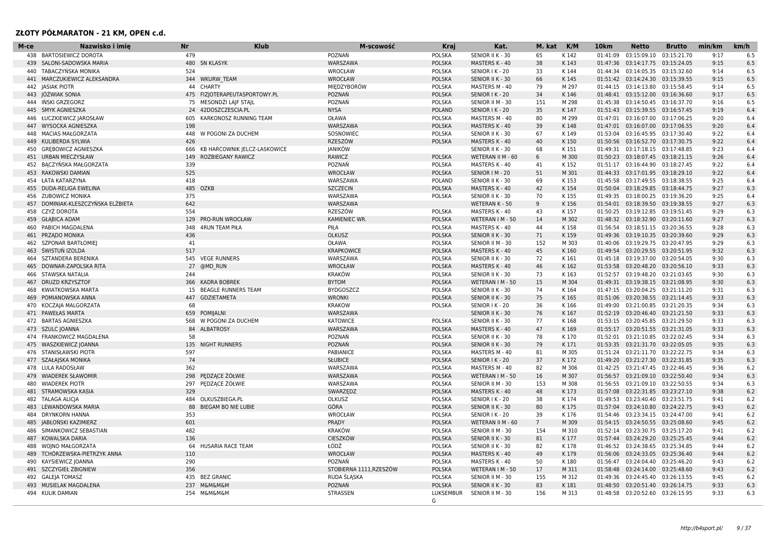| М-се | Nazwisko i imie                    | <b>Nr</b> | <b>Klub</b>                  | M-scowość               | <b>Kraj</b>      | Kat.                  | M. kat | K/M   | 10 <sub>km</sub> | <b>Netto</b>                       | <b>Brutto</b> | min/km | km/h |
|------|------------------------------------|-----------|------------------------------|-------------------------|------------------|-----------------------|--------|-------|------------------|------------------------------------|---------------|--------|------|
| 438  | <b>BARTOSIEWICZ DOROTA</b>         | 479       |                              | POZNAŃ                  | <b>POLSKA</b>    | SENIOR II K - 30      | 65     | K142  | 01:41:09         | 03:15:09.10                        | 03:15:21.70   | 9:17   | 6.5  |
|      | 439 SALONI-SADOWSKA MARIA          |           | 480 SN KLASYK                | WARSZAWA                | <b>POLSKA</b>    | MASTERS K - 40        | 38     | K143  | 01:47:36         | 03:14:17.75 03:15:24.05            |               | 9:15   | 6.5  |
| 440  | TABACZYŃSKA MONIKA                 | 524       |                              | WROCŁAW                 | <b>POLSKA</b>    | SENIOR I K - 20       | 33     | K144  | 01:44:34         | 03:14:05.35                        | 03:15:32.60   | 9:14   | 6.5  |
| 441  | MARCZUKIEWICZ ALEKSANDRA           |           | 344 WKURW TEAM               | WROCŁAW                 | <b>POLSKA</b>    | SENIOR II K - 30      | 66     | K145  |                  | 01:51:42 03:14:24.30               | 03:15:39.55   | 9:15   | 6.5  |
| 442  | <b>JASIAK PIOTR</b>                | 44        | CHARTY                       | MIEDZYBORÓW             | <b>POLSKA</b>    | MASTERS M - 40        | 79     | M 297 | 01:44:15         | 03:14:13.80                        | 03:15:58.45   | 9:14   | 6.5  |
| 443  | JÓŻWIAK SONIA                      | 475       | FIZJOTERAPEUTASPORTOWY.PL    | POZNAŃ                  | <b>POLSKA</b>    | SENIOR I K - 20       | 34     | K146  |                  | 01:48:41 03:15:12.00               | 03:16:36.60   | 9:17   | 6.5  |
| 444  | INSKI GRZEGORZ                     | 75        | MESONDŻI LAJF STAJL          | POZNAŃ                  | <b>POLSKA</b>    | SENIOR II M - 30      | 151    | M 298 | 01:45:38         | 03:14:50.45                        | 03:16:37.70   | 9:16   | 6.5  |
|      | 445 SMYK AGNIESZKA                 |           | 24 42DOSZCZESCIA.PL          | <b>NYSA</b>             | <b>POLAND</b>    | SENIOR I K - 20       | 35     | K147  |                  | 01:51:43 03:15:39.55               | 03:16:57.45   | 9:19   | 6.4  |
| 446  | ŁUCZKIEWICZ JAROSŁAW               | 605       | KARKONOSZ RUNNING TEAM       | OŁAWA                   | <b>POLSKA</b>    | MASTERS M - 40        | 80     | M 299 | 01:47:01         | 03:16:07.00                        | 03:17:06.25   | 9:20   | 6.4  |
|      | 447 WYSOCKA AGNIESZKA              | 198       |                              | WARSZAWA                | <b>POLSKA</b>    | <b>MASTERS K - 40</b> | 39     | K148  |                  | 01:47:01 03:16:07.00               | 03:17:06.55   | 9:20   | 6.4  |
| 448  | <b>MACIAS MAŁGORZATA</b>           | 448       | W POGONI ZA DUCHEM           | SOSNOWIEC               | <b>POLSKA</b>    | SENIOR II K - 30      | 67     | K149  | 01:53:04         | 03:16:45.95                        | 03:17:30.40   | 9:22   | 6.4  |
| 449  | KULIBERDA SYLWIA                   | 426       |                              | <b>RZESZÓW</b>          | <b>POLSKA</b>    | <b>MASTERS K - 40</b> | 40     | K150  | 01:50:56         | 03:16:52.70                        | 03:17:30.75   | 9:22   | 6.4  |
| 450  | <b>GREBOWICZ AGNIESZKA</b>         | 666       | KB HARCOWNIK JELCZ-LASKOWICE | <b>JANIKÓW</b>          |                  | SENIOR II K - 30      | 68     | K151  |                  | 01:49:31 03:17:18.15 03:17:48.85   |               | 9:23   | 6.4  |
|      | 451 URBAN MIECZYSŁAW               | 149       | <b>ROZBIEGANY RAWICZ</b>     | <b>RAWICZ</b>           | <b>POLSKA</b>    | WETERAN II M - 60     | 6      | M 300 |                  | 01:50:23 03:18:07.45 03:18:21.15   |               | 9:26   | 6.4  |
|      | 452 BACZYŃSKA MAŁGORZATA           | 339       |                              | POZNAŃ                  | <b>POLSKA</b>    | MASTERS K - 40        | 41     | K152  | 01:51:17         | 03:16:44.90                        | 03:18:27.45   | 9:22   | 6.4  |
|      | 453 RAKOWSKI DAMIAN                | 525       |                              | WROCŁAW                 | <b>POLSKA</b>    | SENIOR   M - 20       | 51     | M 301 | 01:44:33         | 03:17:01.95                        | 03:18:29.10   | 9:22   | 6.4  |
|      | 454 ŁATA KATARZYNA                 | 418       |                              | WARSZAWA                | POLAND           | SENIOR II K - 30      | 69     | K153  |                  | 01:45:58 03:17:49.55 03:18:38.55   |               | 9:25   | 6.4  |
|      | 455 DUDA-RELIGA EWELINA            | 485       | <b>OZKB</b>                  | <b>SZCZECIN</b>         | <b>POLSKA</b>    | MASTERS K - 40        | 42     | K154  | 01:50:04         | 03:18:29.85                        | 03:18:44.75   | 9:27   | 6.3  |
|      | 456 ZUBOWICZ MONIKA                | 375       |                              | WARSZAWA                | <b>POLSKA</b>    | SENIOR II K - 30      | 70     | K155  | 01:49:35         | 03:18:00.25                        | 03:19:36.20   | 9:25   | 6.4  |
|      | 457 DOMINIAK-KLESZCZYŃSKA ELŻBIETA | 642       |                              | WARSZAWA                |                  | <b>WETERAN K - 50</b> | 9      | K156  |                  | 01:54:01 03:18:39.50               | 03:19:38.55   | 9:27   | 6.3  |
| 458  | CZYŻ DOROTA                        | 554       |                              | RZESZÓW                 | <b>POLSKA</b>    | MASTERS K - 40        | 43     | K157  |                  | 01:50:25 03:19:12.85 03:19:51.45   |               | 9:29   | 6.3  |
| 459  | <b>GŁABICA ADAM</b>                | 129       | <b>PRO-RUN WROCŁAW</b>       | <b>KAMIENIEC WR.</b>    | <b>POLSKA</b>    | WETERAN I M - 50      | 14     | M 302 |                  | 01:48:32 03:18:32.90               | 03:20:11.60   | 9:27   | 6.3  |
| 460  | PABICH MAGDALENA                   | 348       | <b>4RUN TEAM PIŁA</b>        | PIŁA                    | <b>POLSKA</b>    | MASTERS K - 40        | 44     | K158  | 01:56:54         | 03:18:51.15 03:20:36.55            |               | 9:28   | 6.3  |
| 461  | PRZADO MONIKA                      | 436       |                              | OLKUSZ                  | <b>POLSKA</b>    | SENIOR II K - 30      | 71     | K159  |                  | 01:49:36 03:19:10.35 03:20:39.60   |               | 9:29   | 6.3  |
|      | 462 SZPONAR BARTŁOMIEJ             | 41        |                              | <b>OŁAWA</b>            | <b>POLSKA</b>    | SENIOR II M - 30      | 152    | M 303 |                  | 01:40:06 03:19:29.75 03:20:47.95   |               | 9:29   | 6.3  |
| 463  | ŚWISTUN IZOLDA                     | 517       |                              | <b>KRAPKOWICE</b>       | <b>POLSKA</b>    | MASTERS K - 40        | 45     | K160  | 01:49:54         | 03:20:29.55                        | 03:20:51.95   | 9:32   | 6.3  |
| 464  | SZTANDERA BERENIKA                 | 545       | <b>VEGE RUNNERS</b>          | WARSZAWA                | <b>POLSKA</b>    | SENIOR II K - 30      | 72     | K161  | 01:45:18         | 03:19:37.00                        | 03:20:54.05   | 9:30   | 6.3  |
| 465  | DOWNAR-ZAPOLSKA RITA               | 27        | @MD RUN                      | <b>WROCŁAW</b>          | <b>POLSKA</b>    | MASTERS K - 40        | 46     | K 162 | 01:53:58         | 03:20:48.20                        | 03:20:56.10   | 9:33   | 6.3  |
| 466  | STAWSKA NATALIA                    | 244       |                              | <b>KRAKÓW</b>           | <b>POLSKA</b>    | SENIOR II K - 30      | 73     | K163  | 01:52:57         | 03:19:48.20                        | 03:21:03.65   | 9:30   | 6.3  |
| 467  | <b>DRUZD KRZYSZTOF</b>             | 366       | <b>KADRA BOBREK</b>          | <b>BYTOM</b>            | <b>POLSKA</b>    | WETERAN I M - 50      | 15     | M 304 | 01:49:31         | 03:19:38.15                        | 03:21:08.95   | 9:30   | 6.3  |
| 468  | <b>KWIATKOWSKA MARTA</b>           | 15        | <b>BEAGLE RUNNERS TEAM</b>   | <b>BYDGOSZCZ</b>        | <b>POLSKA</b>    | SENIOR II K - 30      | 74     | K164  | 01:47:15         | 03:20:04.25 03:21:11.20            |               | 9:31   | 6.3  |
| 469  | POMIANOWSKA ANNA                   | 447       | <b>GDZIETAMETA</b>           | <b>WRONKI</b>           | <b>POLSKA</b>    | SENIOR II K - 30      | 75     | K165  |                  | 01:51:06 03:20:38.55 03:21:14.45   |               | 9:33   | 6.3  |
| 470  | KOCZAJA MALGORZATA                 | 68        |                              | <b>KRAKOW</b>           | <b>POLSKA</b>    | SENIOR I K - 20       | 36     | K166  | 01:49:00         | 03:21:00.85 03:21:20.35            |               | 9:34   | 6.3  |
| 471  | PAWEŁAS MARTA                      | 659       | POMIJALNI                    | WARSZAWA                |                  | SENIOR II K - 30      | 76     | K167  |                  | 01:52:19 03:20:46.40               | 03:21:21.50   | 9:33   | 6.3  |
|      | 472 BARTAS AGNIESZKA               | 568       | W POGONI ZA DUCHEM           | <b>KATOWICE</b>         | <b>POLSKA</b>    | SENIOR II K - 30      | 77     | K168  | 01:53:15         | 03:20:45.85                        | 03:21:29.50   | 9:33   | 6.3  |
|      | 473 SZULC JOANNA                   | 84        | <b>ALBATROSY</b>             | WARSZAWA                | <b>POLSKA</b>    | MASTERS K - 40        | 47     | K169  |                  | 01:55:17 03:20:51.55 03:21:31.05   |               | 9:33   | 6.3  |
| 474  | FRANKOWICZ MAGDALENA               | 58        |                              | POZNAŃ                  | <b>POLSKA</b>    | SENIOR II K - 30      | 78     | K170  | 01:52:01         | 03:21:10.85 03:22:02.45            |               | 9:34   | 6.3  |
| 475  | <b>WASZKIEWICZ JOANNA</b>          | 135       | <b>NIGHT RUNNERS</b>         | POZNAŃ                  | <b>POLSKA</b>    | SENIOR II K - 30      | 79     | K171  | 01:53:35         | 03:21:31.70 03:22:05.05            |               | 9:35   | 6.3  |
|      | 476 STANISŁAWSKI PIOTR             | 597       |                              | PABIANICE               | <b>POLSKA</b>    | MASTERS M - 40        | 81     | M 305 |                  | 01:51:24  03:21:11.70  03:22:22.75 |               | 9:34   | 6.3  |
|      | 477 SZAŁAJSKA MONIKA               | 74        |                              | <b>SŁUBICE</b>          | <b>POLSKA</b>    | SENIOR I K - 20       | 37     | K172  |                  | 01:49:20 03:21:27.30 03:22:31.85   |               | 9:35   | 6.3  |
| 478  | LULA RADOSŁAW                      | 362       |                              | WARSZAWA                | <b>POLSKA</b>    | MASTERS M - 40        | 82     | M 306 | 01:42:25         | 03:21:47.45                        | 03:22:46.45   | 9:36   | 6.2  |
| 479  | <b>WIADEREK SŁAWOMIR</b>           | 298       | PEDZACE ŻÓŁWIE               | WARSZAWA                | <b>POLSKA</b>    | WETERAN I M - 50      | 16     | M 307 | 01:56:57         | 03:21:09.10                        | 03:22:50.40   | 9:34   | 6.3  |
| 480  | <b>WIADEREK PIOTR</b>              | 297       | PEDZĄCE ŻÓŁWIE               | WARSZAWA                | <b>POLSKA</b>    | SENIOR II M - 30      | 153    | M 308 | 01:56:55         | 03:21:09.10 03:22:50.55            |               | 9:34   | 6.3  |
|      | 481 STRAMOWSKA KASIA               | 329       |                              | SWARZEDZ                | <b>POLSKA</b>    | MASTERS K - 40        | 48     | K173  |                  | 01:57:08 03:22:31.85 03:23:27.10   |               | 9:38   | 6.2  |
|      | 482 TALAGA ALICJA                  | 484       | OLKUSZBIEGA.PL               | OLKUSZ                  | <b>POLSKA</b>    | SENIOR I K - 20       | 38     | K174  | 01:49:53         | 03:23:40.40                        | 03:23:51.75   | 9:41   | 6.2  |
|      | 483 LEWANDOWSKA MARIA              | 88        | <b>BIEGAM BO NIE LUBIE</b>   | GÓRA                    | <b>POLSKA</b>    | SENIOR II K - 30      | 80     | K175  | 01:57:04         | 03:24:10.80                        | 03:24:22.75   | 9:43   | 6.2  |
| 484  | DRYNKORN HANNA                     | 353       |                              | WROCŁAW                 | <b>POLSKA</b>    | SENIOR I K - 20       | 39     | K176  | 01:54:46         | 03:23:34.15 03:24:47.00            |               | 9:41   | 6.2  |
| 485  | JABŁOŃSKI KAZIMIERZ                | 601       |                              | PRADY                   | <b>POLSKA</b>    | WETERAN II M - 60     | 7      | M 309 |                  | 01:54:15 03:24:50.55               | 03:25:08.60   | 9:45   | 6.2  |
| 486  | SIMANKOWICZ SEBASTIAN              | 482       |                              | <b>KRAKÓW</b>           | <b>POLSKA</b>    | SENIOR II M - 30      | 154    | M 310 | 01:52:14         | 03:23:30.75                        | 03:25:17.20   | 9:41   | 6.2  |
|      | 487 KOWALSKA DARIA                 | 136       |                              | CIESZKÓW                | <b>POLSKA</b>    | SENIOR II K - 30      | 81     | K177  | 01:57:44         | 03:24:29.20                        | 03:25:25.45   | 9:44   | 6.2  |
| 488  | <b>WOINO MAŁGORZATA</b>            | 64        | <b>HUSARIA RACE TEAM</b>     | ŁÓDŹ                    | <b>POLSKA</b>    | SENIOR II K - 30      | 82     | K178  | 01:46:52         | 03:24:38.65                        | 03:25:34.85   | 9:44   | 6.2  |
| 489  | TCHÓRZEWSKA-PIETRZYK ANNA          | 110       |                              | WROCŁAW                 | <b>POLSKA</b>    | MASTERS K - 40        | 49     | K179  | 01:56:06         | 03:24:33.05 03:25:36.40            |               | 9:44   | 6.2  |
| 490  | KAYSIEWICZ JOANNA                  | 290       |                              | POZNAŃ                  | <b>POLSKA</b>    | MASTERS K - 40        | 50     | K180  | 01:56:47         | 03:24:04.40                        | 03:25:46.20   | 9:43   | 6.2  |
|      | 491 SZCZYGIEŁ ZBIGNIEW             | 356       |                              | STOBIERNA 1111, RZESZÓW | <b>POLSKA</b>    | WETERAN I M - 50      | 17     | M 311 | 01:58:48         | 03:24:14.00                        | 03:25:48.60   | 9:43   | 6.2  |
|      | 492 GALEJA TOMASZ                  |           | 435 BEZ GRANIC               | RUDA SLASKA             | <b>POLSKA</b>    | SENIOR II M - 30      | 155    | M 312 |                  | 01:49:36 03:24:45.40 03:26:13.55   |               | 9:45   | 6.2  |
| 493  | MUSIELAK MAGDALENA                 | 237       | <b>M&amp;M&amp;M&amp;M</b>   | POZNAŃ                  | <b>POLSKA</b>    | SENIOR II K - 30      | 83     | K181  |                  | 01:48:50 03:20:51.40               | 03:26:14.75   | 9:33   | 6.3  |
|      | 494 KULIK DAMIAN                   |           | 254 M&M&M&M                  | STRASSEN                | <b>LUKSEMBUR</b> | SENIOR II M - 30      | 156    | M 313 |                  | 01:48:58 03:20:52.60 03:26:15.95   |               | 9:33   | 6.3  |
|      |                                    |           |                              |                         | G                |                       |        |       |                  |                                    |               |        |      |
|      |                                    |           |                              |                         |                  |                       |        |       |                  |                                    |               |        |      |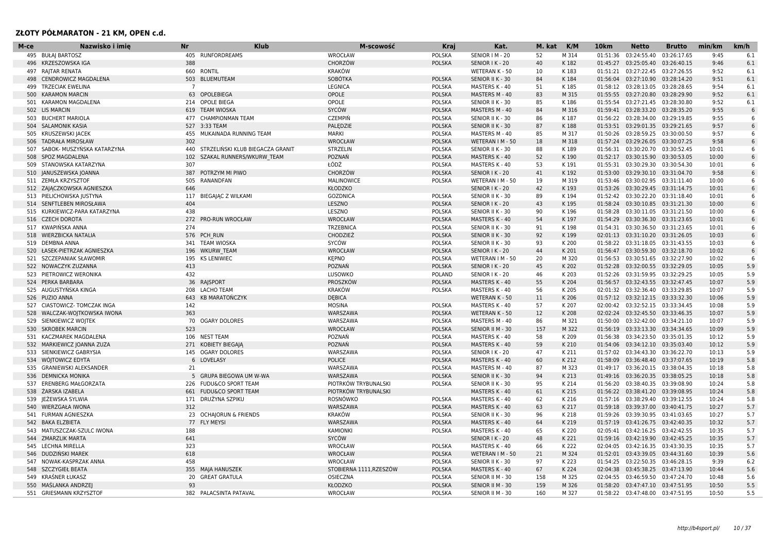| <b>POLSKA</b><br>52<br>M 314<br>9:45<br>495 BUŁAI BARTOSZ<br>405 RUNFORDREAMS<br>WROCŁAW<br>SENIOR   M - 20<br>01:51:36<br>03:24:55.40<br>03:26:17.65<br>6.1<br>KRZESZOWSKA IGA<br>388<br>CHORZÓW<br><b>POLSKA</b><br>SENIOR I K - 20<br>40<br>K182<br>01:45:27<br>03:25:05.40<br>03:26:40.15<br>9:46<br>6.1<br>496<br>RAJTAR RENATA<br><b>KRAKÓW</b><br>K183<br>03:27:22.45<br>03:27:26.55<br>6.1<br>660 RONTIL<br>WETERAN K - 50<br>10<br>01:51:21<br>9:52<br>497<br>K184<br>503 BLUEMUTEAM<br>SOBÓTKA<br><b>POLSKA</b><br>84<br>01:56:04<br>03:28:14.20<br>9:51<br>6.1<br>498<br><b>CENDROWICZ MAGDALENA</b><br>SENIOR II K - 30<br>03:27:10.90<br>$\overline{7}$<br><b>LEGNICA</b><br><b>POLSKA</b><br>K185<br>03:28:28.65<br>6.1<br>499<br><b>TRZECIAK EWELINA</b><br>MASTERS K - 40<br>51<br>01:58:12<br>03:28:13.05<br>9:54<br>9:52<br><b>KARAMON MARCIN</b><br>63<br><b>OPOLEBIEGA</b><br>OPOLE<br><b>POLSKA</b><br>MASTERS M - 40<br>83<br>M 315<br>01:55:55<br>03:27:20.80<br>03:28:29.90<br>6.1<br>500<br><b>KARAMON MAGDALENA</b><br>214<br><b>OPOLE BIEGA</b><br>OPOLE<br><b>POLSKA</b><br>SENIOR II K - 30<br>85<br>K186<br>01:55:54<br>03:27:21.45<br>03:28:30.80<br>9:52<br>6.1<br>501<br>SYCÓW<br><b>POLSKA</b><br>MASTERS M - 40<br>84<br>M 316<br>9:55<br>502<br><b>LIS MARCIN</b><br>619<br><b>TEAM WIOSKA</b><br>01:59:41<br>03:28:33.20<br>03:28:35.20<br>6<br><b>BUCHERT MARIOLA</b><br><b>CHAMPIONMAN TEAM</b><br><b>CZEMPIŃ</b><br>POLSKA<br>SENIOR II K - 30<br>86<br>K 187<br>01:56:22 03:28:34.00 03:29:19.85<br>9:55<br>503<br>477<br>6<br>PALEDZIE<br><b>POLSKA</b><br>SENIOR II K - 30<br>87<br>03:29:21.65<br>9:57<br><b>SALAMONIK KASIA</b><br>527<br>3:33 TEAM<br>K188<br>01:53:51<br>03:29:01.35<br>6<br>504<br>MARKI<br>KRUSZEWSKI JACEK<br>455<br>MUKAINADA RUNNING TEAM<br><b>POLSKA</b><br>MASTERS M - 40<br>85<br>M 317<br>01:50:26<br>03:28:59.25 03:30:00.50<br>9:57<br>505<br>-6<br>302<br><b>POLSKA</b><br>M 318<br>9:58<br>6<br><b>TADRAŁA MIROSŁAW</b><br><b>WROCŁAW</b><br>WETERAN I M - 50<br>18<br>01:57:24<br>03:29:26.05<br>03:30:07.25<br>506<br>88<br>507<br>SABOK- MUSZYŃSKA KATARZYNA<br>440<br>STRZELINSKI KLUB BIEGACZA GRANIT<br><b>STRZELIN</b><br><b>POLSKA</b><br>SENIOR II K - 30<br>K189<br>01:56:31<br>03:30:20.70<br>03:30:52.45<br>10:01<br>POZNAŃ<br><b>POLSKA</b><br>52<br>K190<br>508<br>SPOZ MAGDALENA<br>102<br>SZAKAL RUNNERS/WKURW TEAM<br>MASTERS K - 40<br>01:52:17<br>03:30:15.90<br>03:30:53.05<br>10:00<br>STANOWSKA KATARZYNA<br>307<br>ŁÓDŹ<br>POLSKA<br>MASTERS K - 40<br>53<br>K191<br>01:55:31<br>03:30:29.30 03:30:54.30<br>10:01<br>509<br>-6<br>CHORZÓW<br>JANUSZEWSKA JOANNA<br>387 POTRZYM MI PIWO<br><b>POLSKA</b><br>SENIOR I K - 20<br>41<br>K192<br>01:53:00<br>03:29:30.10 03:31:04.70<br>9:58<br>$6 \overline{6}$<br>510<br>POLSKA<br><b>ZEMŁA KRZYSZTOF</b><br>505<br>RANANDFAN<br><b>MALINOWICE</b><br>WETERAN I M - 50<br>19<br>M 319<br>01:53:46<br>03:30:02.95<br>03:31:11.40<br>10:00<br>511<br>-6<br>646<br>KŁODZKO<br>42<br>K193<br>10:01<br>512 ZAJĄCZKOWSKA AGNIESZKA<br>SENIOR I K - 20<br>01:53:26<br>03:30:29.45 03:31:14.75<br><b>GOZDNICA</b><br><b>POLSKA</b><br>89<br>PIELICHOWSKA JUSTYNA<br>117<br>BIEGAJĄC Z WILKAMI<br>SENIOR II K - 30<br>K194<br>01:52:42<br>03:30:22.20<br>03:31:18.40<br>10:01<br>$6\overline{6}$<br>513<br>404<br>SENFTLEBEN MIROSŁAWA<br>LESZNO<br><b>POLSKA</b><br>43<br>K195<br>01:58:24 03:30:10.85 03:31:21.30<br>10:00<br>$6\overline{6}$<br>514<br>SENIOR I K - 20<br>438<br>LESZNO<br><b>POLSKA</b><br>90<br>515<br>KURKIEWICZ-PARA KATARZYNA<br>SENIOR II K - 30<br>K 196<br>01:58:28<br>03:30:11.05<br>03:31:21.50<br>10:00<br>272 PRO-RUN WROCŁAW<br><b>CZECH DOROTA</b><br>WROCŁAW<br><b>POLSKA</b><br><b>MASTERS K - 40</b><br>54<br>K197<br>01:54:29<br>03:30:36.30<br>03:31:23.65<br>10:01<br>516<br>6<br>KWAPINSKA ANNA<br>274<br><b>TRZEBNICA</b><br><b>POLSKA</b><br>SENIOR II K - 30<br>91<br>K198<br>01:54:31<br>03:30:36.50 03:31:23.65<br>10:01<br>517<br>-6<br><b>WIERZBICKA NATALIA</b><br>PCH RUN<br><b>CHODZIEŻ</b><br><b>POLSKA</b><br>SENIOR II K - 30<br>92<br>K199<br>03:31:10.20 03:31:26.05<br>10:03<br>518<br>576<br>02:01:13<br><b>DEMBNA ANNA</b><br>341<br><b>TEAM WIOSKA</b><br>SYCÓW<br>POLSKA<br>SENIOR II K - 30<br>93<br>K 200<br>01:58:22<br>03:31:18.05 03:31:43.55<br>10:03<br>519<br><b>POLSKA</b><br>44<br>ŁASEK-PIETRZAK AGNIESZKA<br>196<br><b>WKURW TEAM</b><br>WROCŁAW<br>SENIOR I K - 20<br>K 201<br>01:56:47<br>03:30:59.30<br>03:32:18.70<br>10:02<br>6<br>520<br>195<br><b>KS LENIWIEC</b><br><b>KEPNO</b><br>POLSKA<br>M 320<br>521 SZCZEPANIAK SŁAWOMIF<br>WETERAN I M - 50<br>20<br>01:56:53<br>03:30:51.65 03:32:27.90<br>10:02<br>6<br>413<br>POZNAŃ<br><b>POLSKA</b><br>45<br>K 202<br>NOWACZYK ZUZANNA<br>SENIOR I K - 20<br>01:52:28<br>03:32:00.55<br>03:32:29.05<br>10:05<br>5.9<br>522<br>432<br>5.9<br>523<br>PIETROWICZ WERONIKA<br>LUSOWKO<br>POLAND<br>SENIOR I K - 20<br>46<br>K 203<br>01:52:26<br>03:31:59.95<br>03:32:29.25<br>10:05<br>36 RAJSPORT<br><b>POLSKA</b><br>55<br>03:32:43.55 03:32:47.45<br>5.9<br>524 PERKA BARBARA<br>PROSZKÓW<br>MASTERS K - 40<br>K 204<br>01:56:57<br>10:07<br>AUGUSTYŃSKA KINGA<br>208<br><b>LACHO TEAM</b><br><b>KRAKÓW</b><br>POLSKA<br>MASTERS K - 40<br>56<br>03:32:36.40 03:33:29.85<br>10:07<br>5.9<br>525<br>K 205<br>02:01:32<br>5.9<br>526<br><b>PUZIO ANNA</b><br>643<br><b>KB MARATONCZYK</b><br><b>DEBICA</b><br><b>WETERAN K - 50</b><br>11<br>K 206<br>01:57:12 03:32:12.15 03:33:32.30<br>10:06<br>CIASTOWICZ- TOMCZAK INGA<br>142<br><b>MOSINA</b><br><b>POLSKA</b><br>MASTERS K - 40<br>57<br>K 207<br>02:00:42<br>03:32:52.15 03:33:34.45<br>10:08<br>5.9<br>527<br>WALCZAK-WOJTKOWSKA IWONA<br>363<br><b>POLSKA</b><br>12<br>K 208<br>02:02:24 03:32:45.50 03:33:46.35<br>10:07<br>5.9<br>528<br>WARSZAWA<br><b>WETERAN K - 50</b><br>SIENKIEWICZ WOJTEK<br>70<br><b>OGARY DOLORES</b><br>WARSZAWA<br><b>POLSKA</b><br>MASTERS M - 40<br>86<br>M 321<br>03:32:42.00<br>03:34:21.10<br>10:07<br>5.9<br>01:50:00<br>529<br><b>POLSKA</b><br>M 322<br><b>SKROBEK MARCIN</b><br>523<br>WROCŁAW<br>157<br>03:33:13.30 03:34:34.65<br>10:09<br>5.9<br>530<br>SENIOR II M - 30<br>01:56:19<br>106 NEST TEAM<br>POZNAŃ<br><b>POLSKA</b><br>58<br>K 209<br>03:34:23.50 03:35:01.35<br>5.9<br>531 KACZMAREK MAGDALENA<br>MASTERS K - 40<br>01:56:38<br>10:12<br>5.9<br>MARKIEWICZ JOANNA ZUZA<br>271<br>KOBIETY BIEGAJA<br><b>POZNAN</b><br><b>POLSKA</b><br><b>MASTERS K - 40</b><br>59<br>K 210<br>01:54:06<br>03:34:12.10 03:35:03.40<br>10:12<br>532<br>5.9<br>SIENKIEWICZ GABRYSIA<br>145<br><b>OGARY DOLORES</b><br>WARSZAWA<br><b>POLSKA</b><br>SENIOR I K - 20<br>47<br>K 211<br>01:57:02<br>03:34:43.30<br>03:36:22.70<br>10:13<br>533<br>5.8<br>6 LOVELASY<br>POLICE<br><b>POLSKA</b><br>60<br>K 212<br>03:36:48.40 03:37:07.65<br>10:19<br>534 WÓJTOWICZ EDYTA<br><b>MASTERS K - 40</b><br>01:58:09<br><b>GRANIEWSKI ALEKSANDER</b><br>21<br>WARSZAWA<br>POLSKA<br>MASTERS M - 40<br>87<br>M 323<br>01:49:17<br>03:36:20.15 03:38:04.35<br>10:18<br>5.8<br>535<br><b>DEMNICKA MONIKA</b><br>GRUPA BIEGOWA UM W-WA<br>WARSZAWA<br><b>POLSKA</b><br>SENIOR II K - 30<br>94<br>K 213<br>01:49:16<br>03:36:20.35 03:38:05.25<br>10:18<br>5.8<br>536<br>5<br>5.8<br><b>ERENBERG MAŁGORZATA</b><br>226 FUDU&CO SPORT TEAM<br>PIOTRKÓW TRYBUNALSKI<br><b>POLSKA</b><br>SENIOR II K - 30<br>95<br>K 214<br>01:56:20<br>03:38:40.35 03:39:08.90<br>10:24<br>537<br>K 215<br>10:24<br>5.8<br>ŻARSKA IZABELA<br>661 FUDU&CO SPORT TEAM<br>PIOTRKÓW TRYBUNALSKI<br>MASTERS K - 40<br>61<br>01:56:22<br>03:38:41.20<br>03:39:08.95<br>538<br>DRUŻYNA SZPIKU<br>62<br>5.8<br>539<br><b>IEŻEWSKA SYLWIA</b><br>171<br>ROSNÓWKC<br><b>POLSKA</b><br>MASTERS K - 40<br>K 216<br>01:57:16<br>03:38:29.40<br>03:39:12.55<br>10:24<br>312<br><b>POLSKA</b><br>63<br>K 217<br>10:27<br>5.7<br>540<br>WIERZGAŁA IWONA<br>WARSZAWA<br>MASTERS K - 40<br>01:59:18<br>03:39:37.00<br>03:40:41.75<br>5.7<br>541 FURMAN AGNIESZKA<br>23 OCHAJORUN & FRIENDS<br><b>KRAKÓW</b><br><b>POLSKA</b><br>SENIOR II K - 30<br>96<br>K 218<br>03:39:30.95<br>03:41:03.65<br>10:27<br>01:59:26<br>10:32<br>5.7<br>542 BAKA ELZBIETA<br>77<br><b>FLY MEYSI</b><br>WARSZAWA<br><b>POLSKA</b><br>MASTERS K - 40<br>64<br>K 219<br>01:57:19 03:41:26.75 03:42:40.35<br>MATUSZCZAK-SZULC IWONA<br>188<br><b>KAMIONKI</b><br><b>POLSKA</b><br>MASTERS K - 40<br>65<br>K 220<br>02:05:41<br>03:42:16.25<br>03:42:42.55<br>10:35<br>5.7<br>543<br>544 ZMARZLIK MARTA<br>641<br>SYCÓW<br>48<br>K 221<br>01:59:16 03:42:19.90 03:42:45.25<br>10:35<br>5.7<br>SENIOR I K - 20<br>323<br><b>POLSKA</b><br>66<br>K 222<br>03:42:16.35<br>03:43:30.35<br>5.7<br>LECHNA MIRELLA<br>WROCŁAW<br>MASTERS K - 40<br>02:04:05<br>10:35<br>545<br>618<br>21<br>DUDZIŃSKI MAREK<br>WROCŁAW<br><b>POLSKA</b><br>M 324<br>01:52:01 03:43:39.05 03:44:31.60<br>10:39<br>5.6<br>546<br>WETERAN I M - 50<br>NOWAK-KASPRZAK ANNA<br>458<br><b>POLSKA</b><br>97<br>K 223<br>03:22:50.35<br>9:39<br>6.2<br>547<br>WROCŁAW<br>SENIOR II K - 30<br>01:54:25<br>03:46:28.15<br>5.6<br><b>SZCZYGIEŁ BEATA</b><br>355<br><b>MAJA HANUSZEK</b><br>STOBIERNA 1111, RZESZÓW<br><b>POLSKA</b><br>MASTERS K - 40<br>67<br>K 224<br>02:04:38<br>03:45:38.25<br>03:47:13.90<br>10:44<br>548<br>5.6<br>KRAŚNER ŁUKASZ<br>20<br><b>GREAT GRATULA</b><br>OSIECZNA<br><b>POLSKA</b><br>SENIOR II M - 30<br>158<br>M 325<br>02:04:55<br>03:46:59.50 03:47:24.70<br>10:48<br>549<br>93<br><b>POLSKA</b><br>159<br>M 326<br>10:50<br>5.5<br>550<br>MAŚLANKA ANDRZEJ<br><b>KŁODZKO</b><br>SENIOR II M - 30<br>01:58:20<br>03:47:47.10 03:47:51.95<br>551 GRIESMANN KRZYSZTOF<br>382 PALACSINTA PATAVAL<br>WROCŁAW<br>POLSKA<br>SENIOR II M - 30<br>160<br>M 327<br>01:58:22 03:47:48.00 03:47:51.95<br>10:50<br>5.5 | M-ce | Nazwisko i imię | Nr | <b>Klub</b> | M-scowość | Kraj | Kat. | M. kat | K/M | 10 <sub>km</sub> | <b>Netto</b> | <b>Brutto</b> | min/km | km/h |
|-----------------------------------------------------------------------------------------------------------------------------------------------------------------------------------------------------------------------------------------------------------------------------------------------------------------------------------------------------------------------------------------------------------------------------------------------------------------------------------------------------------------------------------------------------------------------------------------------------------------------------------------------------------------------------------------------------------------------------------------------------------------------------------------------------------------------------------------------------------------------------------------------------------------------------------------------------------------------------------------------------------------------------------------------------------------------------------------------------------------------------------------------------------------------------------------------------------------------------------------------------------------------------------------------------------------------------------------------------------------------------------------------------------------------------------------------------------------------------------------------------------------------------------------------------------------------------------------------------------------------------------------------------------------------------------------------------------------------------------------------------------------------------------------------------------------------------------------------------------------------------------------------------------------------------------------------------------------------------------------------------------------------------------------------------------------------------------------------------------------------------------------------------------------------------------------------------------------------------------------------------------------------------------------------------------------------------------------------------------------------------------------------------------------------------------------------------------------------------------------------------------------------------------------------------------------------------------------------------------------------------------------------------------------------------------------------------------------------------------------------------------------------------------------------------------------------------------------------------------------------------------------------------------------------------------------------------------------------------------------------------------------------------------------------------------------------------------------------------------------------------------------------------------------------------------------------------------------------------------------------------------------------------------------------------------------------------------------------------------------------------------------------------------------------------------------------------------------------------------------------------------------------------------------------------------------------------------------------------------------------------------------------------------------------------------------------------------------------------------------------------------------------------------------------------------------------------------------------------------------------------------------------------------------------------------------------------------------------------------------------------------------------------------------------------------------------------------------------------------------------------------------------------------------------------------------------------------------------------------------------------------------------------------------------------------------------------------------------------------------------------------------------------------------------------------------------------------------------------------------------------------------------------------------------------------------------------------------------------------------------------------------------------------------------------------------------------------------------------------------------------------------------------------------------------------------------------------------------------------------------------------------------------------------------------------------------------------------------------------------------------------------------------------------------------------------------------------------------------------------------------------------------------------------------------------------------------------------------------------------------------------------------------------------------------------------------------------------------------------------------------------------------------------------------------------------------------------------------------------------------------------------------------------------------------------------------------------------------------------------------------------------------------------------------------------------------------------------------------------------------------------------------------------------------------------------------------------------------------------------------------------------------------------------------------------------------------------------------------------------------------------------------------------------------------------------------------------------------------------------------------------------------------------------------------------------------------------------------------------------------------------------------------------------------------------------------------------------------------------------------------------------------------------------------------------------------------------------------------------------------------------------------------------------------------------------------------------------------------------------------------------------------------------------------------------------------------------------------------------------------------------------------------------------------------------------------------------------------------------------------------------------------------------------------------------------------------------------------------------------------------------------------------------------------------------------------------------------------------------------------------------------------------------------------------------------------------------------------------------------------------------------------------------------------------------------------------------------------------------------------------------------------------------------------------------------------------------------------------------------------------------------------------------------------------------------------------------------------------------------------------------------------------------------------------------------------------------------------------------------------------------------------------------------------------------------------------------------------------------------------------------------------------------------------------------------------------------------------------------------------------------------------------------------------------------------------------------------------------------------------------------------------------------------------------------------------------------------------------------------------------------------------------------------------------------------------------------------------------------------------------------------------------------------------------------------------------------------------------------------------------------------------------------------------------------------------------------------------------------------------------------------------------------------------------------------------------------------------------------------------------------------------------------------------------------------------------------------------------------------------------------------------------------------------------------------------------------------------------------------------------------------------------------------------------------------------------------------------------------------------------------------------------------------------------------------------------------------------------------------------------------------------------------------------------------------------------------------------------------------------------------------------------------------------------------------------------------------------------------------------------------------------------------------------------------------------------------------------------------------------------------------------------------------------------------------------------------------------------------------------------------------------------------------------------------------------------------------------------------------------------------------------------|------|-----------------|----|-------------|-----------|------|------|--------|-----|------------------|--------------|---------------|--------|------|
|                                                                                                                                                                                                                                                                                                                                                                                                                                                                                                                                                                                                                                                                                                                                                                                                                                                                                                                                                                                                                                                                                                                                                                                                                                                                                                                                                                                                                                                                                                                                                                                                                                                                                                                                                                                                                                                                                                                                                                                                                                                                                                                                                                                                                                                                                                                                                                                                                                                                                                                                                                                                                                                                                                                                                                                                                                                                                                                                                                                                                                                                                                                                                                                                                                                                                                                                                                                                                                                                                                                                                                                                                                                                                                                                                                                                                                                                                                                                                                                                                                                                                                                                                                                                                                                                                                                                                                                                                                                                                                                                                                                                                                                                                                                                                                                                                                                                                                                                                                                                                                                                                                                                                                                                                                                                                                                                                                                                                                                                                                                                                                                                                                                                                                                                                                                                                                                                                                                                                                                                                                                                                                                                                                                                                                                                                                                                                                                                                                                                                                                                                                                                                                                                                                                                                                                                                                                                                                                                                                                                                                                                                                                                                                                                                                                                                                                                                                                                                                                                                                                                                                                                                                                                                                                                                                                                                                                                                                                                                                                                                                                                                                                                                                                                                                                                                                                                                                                                                                                                                                                                                                                                                                                                                                                                                                                                                                                                                                                                                                                                                                                                                                                                                                                                                                                                                                                                                                                                                                                                                                                                                                                                                                                                                                                                                                                                                                                                                                     |      |                 |    |             |           |      |      |        |     |                  |              |               |        |      |
|                                                                                                                                                                                                                                                                                                                                                                                                                                                                                                                                                                                                                                                                                                                                                                                                                                                                                                                                                                                                                                                                                                                                                                                                                                                                                                                                                                                                                                                                                                                                                                                                                                                                                                                                                                                                                                                                                                                                                                                                                                                                                                                                                                                                                                                                                                                                                                                                                                                                                                                                                                                                                                                                                                                                                                                                                                                                                                                                                                                                                                                                                                                                                                                                                                                                                                                                                                                                                                                                                                                                                                                                                                                                                                                                                                                                                                                                                                                                                                                                                                                                                                                                                                                                                                                                                                                                                                                                                                                                                                                                                                                                                                                                                                                                                                                                                                                                                                                                                                                                                                                                                                                                                                                                                                                                                                                                                                                                                                                                                                                                                                                                                                                                                                                                                                                                                                                                                                                                                                                                                                                                                                                                                                                                                                                                                                                                                                                                                                                                                                                                                                                                                                                                                                                                                                                                                                                                                                                                                                                                                                                                                                                                                                                                                                                                                                                                                                                                                                                                                                                                                                                                                                                                                                                                                                                                                                                                                                                                                                                                                                                                                                                                                                                                                                                                                                                                                                                                                                                                                                                                                                                                                                                                                                                                                                                                                                                                                                                                                                                                                                                                                                                                                                                                                                                                                                                                                                                                                                                                                                                                                                                                                                                                                                                                                                                                                                                                                                     |      |                 |    |             |           |      |      |        |     |                  |              |               |        |      |
|                                                                                                                                                                                                                                                                                                                                                                                                                                                                                                                                                                                                                                                                                                                                                                                                                                                                                                                                                                                                                                                                                                                                                                                                                                                                                                                                                                                                                                                                                                                                                                                                                                                                                                                                                                                                                                                                                                                                                                                                                                                                                                                                                                                                                                                                                                                                                                                                                                                                                                                                                                                                                                                                                                                                                                                                                                                                                                                                                                                                                                                                                                                                                                                                                                                                                                                                                                                                                                                                                                                                                                                                                                                                                                                                                                                                                                                                                                                                                                                                                                                                                                                                                                                                                                                                                                                                                                                                                                                                                                                                                                                                                                                                                                                                                                                                                                                                                                                                                                                                                                                                                                                                                                                                                                                                                                                                                                                                                                                                                                                                                                                                                                                                                                                                                                                                                                                                                                                                                                                                                                                                                                                                                                                                                                                                                                                                                                                                                                                                                                                                                                                                                                                                                                                                                                                                                                                                                                                                                                                                                                                                                                                                                                                                                                                                                                                                                                                                                                                                                                                                                                                                                                                                                                                                                                                                                                                                                                                                                                                                                                                                                                                                                                                                                                                                                                                                                                                                                                                                                                                                                                                                                                                                                                                                                                                                                                                                                                                                                                                                                                                                                                                                                                                                                                                                                                                                                                                                                                                                                                                                                                                                                                                                                                                                                                                                                                                                                                     |      |                 |    |             |           |      |      |        |     |                  |              |               |        |      |
|                                                                                                                                                                                                                                                                                                                                                                                                                                                                                                                                                                                                                                                                                                                                                                                                                                                                                                                                                                                                                                                                                                                                                                                                                                                                                                                                                                                                                                                                                                                                                                                                                                                                                                                                                                                                                                                                                                                                                                                                                                                                                                                                                                                                                                                                                                                                                                                                                                                                                                                                                                                                                                                                                                                                                                                                                                                                                                                                                                                                                                                                                                                                                                                                                                                                                                                                                                                                                                                                                                                                                                                                                                                                                                                                                                                                                                                                                                                                                                                                                                                                                                                                                                                                                                                                                                                                                                                                                                                                                                                                                                                                                                                                                                                                                                                                                                                                                                                                                                                                                                                                                                                                                                                                                                                                                                                                                                                                                                                                                                                                                                                                                                                                                                                                                                                                                                                                                                                                                                                                                                                                                                                                                                                                                                                                                                                                                                                                                                                                                                                                                                                                                                                                                                                                                                                                                                                                                                                                                                                                                                                                                                                                                                                                                                                                                                                                                                                                                                                                                                                                                                                                                                                                                                                                                                                                                                                                                                                                                                                                                                                                                                                                                                                                                                                                                                                                                                                                                                                                                                                                                                                                                                                                                                                                                                                                                                                                                                                                                                                                                                                                                                                                                                                                                                                                                                                                                                                                                                                                                                                                                                                                                                                                                                                                                                                                                                                                                                     |      |                 |    |             |           |      |      |        |     |                  |              |               |        |      |
|                                                                                                                                                                                                                                                                                                                                                                                                                                                                                                                                                                                                                                                                                                                                                                                                                                                                                                                                                                                                                                                                                                                                                                                                                                                                                                                                                                                                                                                                                                                                                                                                                                                                                                                                                                                                                                                                                                                                                                                                                                                                                                                                                                                                                                                                                                                                                                                                                                                                                                                                                                                                                                                                                                                                                                                                                                                                                                                                                                                                                                                                                                                                                                                                                                                                                                                                                                                                                                                                                                                                                                                                                                                                                                                                                                                                                                                                                                                                                                                                                                                                                                                                                                                                                                                                                                                                                                                                                                                                                                                                                                                                                                                                                                                                                                                                                                                                                                                                                                                                                                                                                                                                                                                                                                                                                                                                                                                                                                                                                                                                                                                                                                                                                                                                                                                                                                                                                                                                                                                                                                                                                                                                                                                                                                                                                                                                                                                                                                                                                                                                                                                                                                                                                                                                                                                                                                                                                                                                                                                                                                                                                                                                                                                                                                                                                                                                                                                                                                                                                                                                                                                                                                                                                                                                                                                                                                                                                                                                                                                                                                                                                                                                                                                                                                                                                                                                                                                                                                                                                                                                                                                                                                                                                                                                                                                                                                                                                                                                                                                                                                                                                                                                                                                                                                                                                                                                                                                                                                                                                                                                                                                                                                                                                                                                                                                                                                                                                                     |      |                 |    |             |           |      |      |        |     |                  |              |               |        |      |
|                                                                                                                                                                                                                                                                                                                                                                                                                                                                                                                                                                                                                                                                                                                                                                                                                                                                                                                                                                                                                                                                                                                                                                                                                                                                                                                                                                                                                                                                                                                                                                                                                                                                                                                                                                                                                                                                                                                                                                                                                                                                                                                                                                                                                                                                                                                                                                                                                                                                                                                                                                                                                                                                                                                                                                                                                                                                                                                                                                                                                                                                                                                                                                                                                                                                                                                                                                                                                                                                                                                                                                                                                                                                                                                                                                                                                                                                                                                                                                                                                                                                                                                                                                                                                                                                                                                                                                                                                                                                                                                                                                                                                                                                                                                                                                                                                                                                                                                                                                                                                                                                                                                                                                                                                                                                                                                                                                                                                                                                                                                                                                                                                                                                                                                                                                                                                                                                                                                                                                                                                                                                                                                                                                                                                                                                                                                                                                                                                                                                                                                                                                                                                                                                                                                                                                                                                                                                                                                                                                                                                                                                                                                                                                                                                                                                                                                                                                                                                                                                                                                                                                                                                                                                                                                                                                                                                                                                                                                                                                                                                                                                                                                                                                                                                                                                                                                                                                                                                                                                                                                                                                                                                                                                                                                                                                                                                                                                                                                                                                                                                                                                                                                                                                                                                                                                                                                                                                                                                                                                                                                                                                                                                                                                                                                                                                                                                                                                                                     |      |                 |    |             |           |      |      |        |     |                  |              |               |        |      |
|                                                                                                                                                                                                                                                                                                                                                                                                                                                                                                                                                                                                                                                                                                                                                                                                                                                                                                                                                                                                                                                                                                                                                                                                                                                                                                                                                                                                                                                                                                                                                                                                                                                                                                                                                                                                                                                                                                                                                                                                                                                                                                                                                                                                                                                                                                                                                                                                                                                                                                                                                                                                                                                                                                                                                                                                                                                                                                                                                                                                                                                                                                                                                                                                                                                                                                                                                                                                                                                                                                                                                                                                                                                                                                                                                                                                                                                                                                                                                                                                                                                                                                                                                                                                                                                                                                                                                                                                                                                                                                                                                                                                                                                                                                                                                                                                                                                                                                                                                                                                                                                                                                                                                                                                                                                                                                                                                                                                                                                                                                                                                                                                                                                                                                                                                                                                                                                                                                                                                                                                                                                                                                                                                                                                                                                                                                                                                                                                                                                                                                                                                                                                                                                                                                                                                                                                                                                                                                                                                                                                                                                                                                                                                                                                                                                                                                                                                                                                                                                                                                                                                                                                                                                                                                                                                                                                                                                                                                                                                                                                                                                                                                                                                                                                                                                                                                                                                                                                                                                                                                                                                                                                                                                                                                                                                                                                                                                                                                                                                                                                                                                                                                                                                                                                                                                                                                                                                                                                                                                                                                                                                                                                                                                                                                                                                                                                                                                                                                     |      |                 |    |             |           |      |      |        |     |                  |              |               |        |      |
|                                                                                                                                                                                                                                                                                                                                                                                                                                                                                                                                                                                                                                                                                                                                                                                                                                                                                                                                                                                                                                                                                                                                                                                                                                                                                                                                                                                                                                                                                                                                                                                                                                                                                                                                                                                                                                                                                                                                                                                                                                                                                                                                                                                                                                                                                                                                                                                                                                                                                                                                                                                                                                                                                                                                                                                                                                                                                                                                                                                                                                                                                                                                                                                                                                                                                                                                                                                                                                                                                                                                                                                                                                                                                                                                                                                                                                                                                                                                                                                                                                                                                                                                                                                                                                                                                                                                                                                                                                                                                                                                                                                                                                                                                                                                                                                                                                                                                                                                                                                                                                                                                                                                                                                                                                                                                                                                                                                                                                                                                                                                                                                                                                                                                                                                                                                                                                                                                                                                                                                                                                                                                                                                                                                                                                                                                                                                                                                                                                                                                                                                                                                                                                                                                                                                                                                                                                                                                                                                                                                                                                                                                                                                                                                                                                                                                                                                                                                                                                                                                                                                                                                                                                                                                                                                                                                                                                                                                                                                                                                                                                                                                                                                                                                                                                                                                                                                                                                                                                                                                                                                                                                                                                                                                                                                                                                                                                                                                                                                                                                                                                                                                                                                                                                                                                                                                                                                                                                                                                                                                                                                                                                                                                                                                                                                                                                                                                                                                                     |      |                 |    |             |           |      |      |        |     |                  |              |               |        |      |
|                                                                                                                                                                                                                                                                                                                                                                                                                                                                                                                                                                                                                                                                                                                                                                                                                                                                                                                                                                                                                                                                                                                                                                                                                                                                                                                                                                                                                                                                                                                                                                                                                                                                                                                                                                                                                                                                                                                                                                                                                                                                                                                                                                                                                                                                                                                                                                                                                                                                                                                                                                                                                                                                                                                                                                                                                                                                                                                                                                                                                                                                                                                                                                                                                                                                                                                                                                                                                                                                                                                                                                                                                                                                                                                                                                                                                                                                                                                                                                                                                                                                                                                                                                                                                                                                                                                                                                                                                                                                                                                                                                                                                                                                                                                                                                                                                                                                                                                                                                                                                                                                                                                                                                                                                                                                                                                                                                                                                                                                                                                                                                                                                                                                                                                                                                                                                                                                                                                                                                                                                                                                                                                                                                                                                                                                                                                                                                                                                                                                                                                                                                                                                                                                                                                                                                                                                                                                                                                                                                                                                                                                                                                                                                                                                                                                                                                                                                                                                                                                                                                                                                                                                                                                                                                                                                                                                                                                                                                                                                                                                                                                                                                                                                                                                                                                                                                                                                                                                                                                                                                                                                                                                                                                                                                                                                                                                                                                                                                                                                                                                                                                                                                                                                                                                                                                                                                                                                                                                                                                                                                                                                                                                                                                                                                                                                                                                                                                                                     |      |                 |    |             |           |      |      |        |     |                  |              |               |        |      |
|                                                                                                                                                                                                                                                                                                                                                                                                                                                                                                                                                                                                                                                                                                                                                                                                                                                                                                                                                                                                                                                                                                                                                                                                                                                                                                                                                                                                                                                                                                                                                                                                                                                                                                                                                                                                                                                                                                                                                                                                                                                                                                                                                                                                                                                                                                                                                                                                                                                                                                                                                                                                                                                                                                                                                                                                                                                                                                                                                                                                                                                                                                                                                                                                                                                                                                                                                                                                                                                                                                                                                                                                                                                                                                                                                                                                                                                                                                                                                                                                                                                                                                                                                                                                                                                                                                                                                                                                                                                                                                                                                                                                                                                                                                                                                                                                                                                                                                                                                                                                                                                                                                                                                                                                                                                                                                                                                                                                                                                                                                                                                                                                                                                                                                                                                                                                                                                                                                                                                                                                                                                                                                                                                                                                                                                                                                                                                                                                                                                                                                                                                                                                                                                                                                                                                                                                                                                                                                                                                                                                                                                                                                                                                                                                                                                                                                                                                                                                                                                                                                                                                                                                                                                                                                                                                                                                                                                                                                                                                                                                                                                                                                                                                                                                                                                                                                                                                                                                                                                                                                                                                                                                                                                                                                                                                                                                                                                                                                                                                                                                                                                                                                                                                                                                                                                                                                                                                                                                                                                                                                                                                                                                                                                                                                                                                                                                                                                                                                     |      |                 |    |             |           |      |      |        |     |                  |              |               |        |      |
|                                                                                                                                                                                                                                                                                                                                                                                                                                                                                                                                                                                                                                                                                                                                                                                                                                                                                                                                                                                                                                                                                                                                                                                                                                                                                                                                                                                                                                                                                                                                                                                                                                                                                                                                                                                                                                                                                                                                                                                                                                                                                                                                                                                                                                                                                                                                                                                                                                                                                                                                                                                                                                                                                                                                                                                                                                                                                                                                                                                                                                                                                                                                                                                                                                                                                                                                                                                                                                                                                                                                                                                                                                                                                                                                                                                                                                                                                                                                                                                                                                                                                                                                                                                                                                                                                                                                                                                                                                                                                                                                                                                                                                                                                                                                                                                                                                                                                                                                                                                                                                                                                                                                                                                                                                                                                                                                                                                                                                                                                                                                                                                                                                                                                                                                                                                                                                                                                                                                                                                                                                                                                                                                                                                                                                                                                                                                                                                                                                                                                                                                                                                                                                                                                                                                                                                                                                                                                                                                                                                                                                                                                                                                                                                                                                                                                                                                                                                                                                                                                                                                                                                                                                                                                                                                                                                                                                                                                                                                                                                                                                                                                                                                                                                                                                                                                                                                                                                                                                                                                                                                                                                                                                                                                                                                                                                                                                                                                                                                                                                                                                                                                                                                                                                                                                                                                                                                                                                                                                                                                                                                                                                                                                                                                                                                                                                                                                                                                                     |      |                 |    |             |           |      |      |        |     |                  |              |               |        |      |
|                                                                                                                                                                                                                                                                                                                                                                                                                                                                                                                                                                                                                                                                                                                                                                                                                                                                                                                                                                                                                                                                                                                                                                                                                                                                                                                                                                                                                                                                                                                                                                                                                                                                                                                                                                                                                                                                                                                                                                                                                                                                                                                                                                                                                                                                                                                                                                                                                                                                                                                                                                                                                                                                                                                                                                                                                                                                                                                                                                                                                                                                                                                                                                                                                                                                                                                                                                                                                                                                                                                                                                                                                                                                                                                                                                                                                                                                                                                                                                                                                                                                                                                                                                                                                                                                                                                                                                                                                                                                                                                                                                                                                                                                                                                                                                                                                                                                                                                                                                                                                                                                                                                                                                                                                                                                                                                                                                                                                                                                                                                                                                                                                                                                                                                                                                                                                                                                                                                                                                                                                                                                                                                                                                                                                                                                                                                                                                                                                                                                                                                                                                                                                                                                                                                                                                                                                                                                                                                                                                                                                                                                                                                                                                                                                                                                                                                                                                                                                                                                                                                                                                                                                                                                                                                                                                                                                                                                                                                                                                                                                                                                                                                                                                                                                                                                                                                                                                                                                                                                                                                                                                                                                                                                                                                                                                                                                                                                                                                                                                                                                                                                                                                                                                                                                                                                                                                                                                                                                                                                                                                                                                                                                                                                                                                                                                                                                                                                                                     |      |                 |    |             |           |      |      |        |     |                  |              |               |        |      |
|                                                                                                                                                                                                                                                                                                                                                                                                                                                                                                                                                                                                                                                                                                                                                                                                                                                                                                                                                                                                                                                                                                                                                                                                                                                                                                                                                                                                                                                                                                                                                                                                                                                                                                                                                                                                                                                                                                                                                                                                                                                                                                                                                                                                                                                                                                                                                                                                                                                                                                                                                                                                                                                                                                                                                                                                                                                                                                                                                                                                                                                                                                                                                                                                                                                                                                                                                                                                                                                                                                                                                                                                                                                                                                                                                                                                                                                                                                                                                                                                                                                                                                                                                                                                                                                                                                                                                                                                                                                                                                                                                                                                                                                                                                                                                                                                                                                                                                                                                                                                                                                                                                                                                                                                                                                                                                                                                                                                                                                                                                                                                                                                                                                                                                                                                                                                                                                                                                                                                                                                                                                                                                                                                                                                                                                                                                                                                                                                                                                                                                                                                                                                                                                                                                                                                                                                                                                                                                                                                                                                                                                                                                                                                                                                                                                                                                                                                                                                                                                                                                                                                                                                                                                                                                                                                                                                                                                                                                                                                                                                                                                                                                                                                                                                                                                                                                                                                                                                                                                                                                                                                                                                                                                                                                                                                                                                                                                                                                                                                                                                                                                                                                                                                                                                                                                                                                                                                                                                                                                                                                                                                                                                                                                                                                                                                                                                                                                                                                     |      |                 |    |             |           |      |      |        |     |                  |              |               |        |      |
|                                                                                                                                                                                                                                                                                                                                                                                                                                                                                                                                                                                                                                                                                                                                                                                                                                                                                                                                                                                                                                                                                                                                                                                                                                                                                                                                                                                                                                                                                                                                                                                                                                                                                                                                                                                                                                                                                                                                                                                                                                                                                                                                                                                                                                                                                                                                                                                                                                                                                                                                                                                                                                                                                                                                                                                                                                                                                                                                                                                                                                                                                                                                                                                                                                                                                                                                                                                                                                                                                                                                                                                                                                                                                                                                                                                                                                                                                                                                                                                                                                                                                                                                                                                                                                                                                                                                                                                                                                                                                                                                                                                                                                                                                                                                                                                                                                                                                                                                                                                                                                                                                                                                                                                                                                                                                                                                                                                                                                                                                                                                                                                                                                                                                                                                                                                                                                                                                                                                                                                                                                                                                                                                                                                                                                                                                                                                                                                                                                                                                                                                                                                                                                                                                                                                                                                                                                                                                                                                                                                                                                                                                                                                                                                                                                                                                                                                                                                                                                                                                                                                                                                                                                                                                                                                                                                                                                                                                                                                                                                                                                                                                                                                                                                                                                                                                                                                                                                                                                                                                                                                                                                                                                                                                                                                                                                                                                                                                                                                                                                                                                                                                                                                                                                                                                                                                                                                                                                                                                                                                                                                                                                                                                                                                                                                                                                                                                                                                                     |      |                 |    |             |           |      |      |        |     |                  |              |               |        |      |
|                                                                                                                                                                                                                                                                                                                                                                                                                                                                                                                                                                                                                                                                                                                                                                                                                                                                                                                                                                                                                                                                                                                                                                                                                                                                                                                                                                                                                                                                                                                                                                                                                                                                                                                                                                                                                                                                                                                                                                                                                                                                                                                                                                                                                                                                                                                                                                                                                                                                                                                                                                                                                                                                                                                                                                                                                                                                                                                                                                                                                                                                                                                                                                                                                                                                                                                                                                                                                                                                                                                                                                                                                                                                                                                                                                                                                                                                                                                                                                                                                                                                                                                                                                                                                                                                                                                                                                                                                                                                                                                                                                                                                                                                                                                                                                                                                                                                                                                                                                                                                                                                                                                                                                                                                                                                                                                                                                                                                                                                                                                                                                                                                                                                                                                                                                                                                                                                                                                                                                                                                                                                                                                                                                                                                                                                                                                                                                                                                                                                                                                                                                                                                                                                                                                                                                                                                                                                                                                                                                                                                                                                                                                                                                                                                                                                                                                                                                                                                                                                                                                                                                                                                                                                                                                                                                                                                                                                                                                                                                                                                                                                                                                                                                                                                                                                                                                                                                                                                                                                                                                                                                                                                                                                                                                                                                                                                                                                                                                                                                                                                                                                                                                                                                                                                                                                                                                                                                                                                                                                                                                                                                                                                                                                                                                                                                                                                                                                                                     |      |                 |    |             |           |      |      |        |     |                  |              |               |        |      |
|                                                                                                                                                                                                                                                                                                                                                                                                                                                                                                                                                                                                                                                                                                                                                                                                                                                                                                                                                                                                                                                                                                                                                                                                                                                                                                                                                                                                                                                                                                                                                                                                                                                                                                                                                                                                                                                                                                                                                                                                                                                                                                                                                                                                                                                                                                                                                                                                                                                                                                                                                                                                                                                                                                                                                                                                                                                                                                                                                                                                                                                                                                                                                                                                                                                                                                                                                                                                                                                                                                                                                                                                                                                                                                                                                                                                                                                                                                                                                                                                                                                                                                                                                                                                                                                                                                                                                                                                                                                                                                                                                                                                                                                                                                                                                                                                                                                                                                                                                                                                                                                                                                                                                                                                                                                                                                                                                                                                                                                                                                                                                                                                                                                                                                                                                                                                                                                                                                                                                                                                                                                                                                                                                                                                                                                                                                                                                                                                                                                                                                                                                                                                                                                                                                                                                                                                                                                                                                                                                                                                                                                                                                                                                                                                                                                                                                                                                                                                                                                                                                                                                                                                                                                                                                                                                                                                                                                                                                                                                                                                                                                                                                                                                                                                                                                                                                                                                                                                                                                                                                                                                                                                                                                                                                                                                                                                                                                                                                                                                                                                                                                                                                                                                                                                                                                                                                                                                                                                                                                                                                                                                                                                                                                                                                                                                                                                                                                                                                     |      |                 |    |             |           |      |      |        |     |                  |              |               |        |      |
|                                                                                                                                                                                                                                                                                                                                                                                                                                                                                                                                                                                                                                                                                                                                                                                                                                                                                                                                                                                                                                                                                                                                                                                                                                                                                                                                                                                                                                                                                                                                                                                                                                                                                                                                                                                                                                                                                                                                                                                                                                                                                                                                                                                                                                                                                                                                                                                                                                                                                                                                                                                                                                                                                                                                                                                                                                                                                                                                                                                                                                                                                                                                                                                                                                                                                                                                                                                                                                                                                                                                                                                                                                                                                                                                                                                                                                                                                                                                                                                                                                                                                                                                                                                                                                                                                                                                                                                                                                                                                                                                                                                                                                                                                                                                                                                                                                                                                                                                                                                                                                                                                                                                                                                                                                                                                                                                                                                                                                                                                                                                                                                                                                                                                                                                                                                                                                                                                                                                                                                                                                                                                                                                                                                                                                                                                                                                                                                                                                                                                                                                                                                                                                                                                                                                                                                                                                                                                                                                                                                                                                                                                                                                                                                                                                                                                                                                                                                                                                                                                                                                                                                                                                                                                                                                                                                                                                                                                                                                                                                                                                                                                                                                                                                                                                                                                                                                                                                                                                                                                                                                                                                                                                                                                                                                                                                                                                                                                                                                                                                                                                                                                                                                                                                                                                                                                                                                                                                                                                                                                                                                                                                                                                                                                                                                                                                                                                                                                                     |      |                 |    |             |           |      |      |        |     |                  |              |               |        |      |
|                                                                                                                                                                                                                                                                                                                                                                                                                                                                                                                                                                                                                                                                                                                                                                                                                                                                                                                                                                                                                                                                                                                                                                                                                                                                                                                                                                                                                                                                                                                                                                                                                                                                                                                                                                                                                                                                                                                                                                                                                                                                                                                                                                                                                                                                                                                                                                                                                                                                                                                                                                                                                                                                                                                                                                                                                                                                                                                                                                                                                                                                                                                                                                                                                                                                                                                                                                                                                                                                                                                                                                                                                                                                                                                                                                                                                                                                                                                                                                                                                                                                                                                                                                                                                                                                                                                                                                                                                                                                                                                                                                                                                                                                                                                                                                                                                                                                                                                                                                                                                                                                                                                                                                                                                                                                                                                                                                                                                                                                                                                                                                                                                                                                                                                                                                                                                                                                                                                                                                                                                                                                                                                                                                                                                                                                                                                                                                                                                                                                                                                                                                                                                                                                                                                                                                                                                                                                                                                                                                                                                                                                                                                                                                                                                                                                                                                                                                                                                                                                                                                                                                                                                                                                                                                                                                                                                                                                                                                                                                                                                                                                                                                                                                                                                                                                                                                                                                                                                                                                                                                                                                                                                                                                                                                                                                                                                                                                                                                                                                                                                                                                                                                                                                                                                                                                                                                                                                                                                                                                                                                                                                                                                                                                                                                                                                                                                                                                                                     |      |                 |    |             |           |      |      |        |     |                  |              |               |        |      |
|                                                                                                                                                                                                                                                                                                                                                                                                                                                                                                                                                                                                                                                                                                                                                                                                                                                                                                                                                                                                                                                                                                                                                                                                                                                                                                                                                                                                                                                                                                                                                                                                                                                                                                                                                                                                                                                                                                                                                                                                                                                                                                                                                                                                                                                                                                                                                                                                                                                                                                                                                                                                                                                                                                                                                                                                                                                                                                                                                                                                                                                                                                                                                                                                                                                                                                                                                                                                                                                                                                                                                                                                                                                                                                                                                                                                                                                                                                                                                                                                                                                                                                                                                                                                                                                                                                                                                                                                                                                                                                                                                                                                                                                                                                                                                                                                                                                                                                                                                                                                                                                                                                                                                                                                                                                                                                                                                                                                                                                                                                                                                                                                                                                                                                                                                                                                                                                                                                                                                                                                                                                                                                                                                                                                                                                                                                                                                                                                                                                                                                                                                                                                                                                                                                                                                                                                                                                                                                                                                                                                                                                                                                                                                                                                                                                                                                                                                                                                                                                                                                                                                                                                                                                                                                                                                                                                                                                                                                                                                                                                                                                                                                                                                                                                                                                                                                                                                                                                                                                                                                                                                                                                                                                                                                                                                                                                                                                                                                                                                                                                                                                                                                                                                                                                                                                                                                                                                                                                                                                                                                                                                                                                                                                                                                                                                                                                                                                                                                     |      |                 |    |             |           |      |      |        |     |                  |              |               |        |      |
|                                                                                                                                                                                                                                                                                                                                                                                                                                                                                                                                                                                                                                                                                                                                                                                                                                                                                                                                                                                                                                                                                                                                                                                                                                                                                                                                                                                                                                                                                                                                                                                                                                                                                                                                                                                                                                                                                                                                                                                                                                                                                                                                                                                                                                                                                                                                                                                                                                                                                                                                                                                                                                                                                                                                                                                                                                                                                                                                                                                                                                                                                                                                                                                                                                                                                                                                                                                                                                                                                                                                                                                                                                                                                                                                                                                                                                                                                                                                                                                                                                                                                                                                                                                                                                                                                                                                                                                                                                                                                                                                                                                                                                                                                                                                                                                                                                                                                                                                                                                                                                                                                                                                                                                                                                                                                                                                                                                                                                                                                                                                                                                                                                                                                                                                                                                                                                                                                                                                                                                                                                                                                                                                                                                                                                                                                                                                                                                                                                                                                                                                                                                                                                                                                                                                                                                                                                                                                                                                                                                                                                                                                                                                                                                                                                                                                                                                                                                                                                                                                                                                                                                                                                                                                                                                                                                                                                                                                                                                                                                                                                                                                                                                                                                                                                                                                                                                                                                                                                                                                                                                                                                                                                                                                                                                                                                                                                                                                                                                                                                                                                                                                                                                                                                                                                                                                                                                                                                                                                                                                                                                                                                                                                                                                                                                                                                                                                                                                                     |      |                 |    |             |           |      |      |        |     |                  |              |               |        |      |
|                                                                                                                                                                                                                                                                                                                                                                                                                                                                                                                                                                                                                                                                                                                                                                                                                                                                                                                                                                                                                                                                                                                                                                                                                                                                                                                                                                                                                                                                                                                                                                                                                                                                                                                                                                                                                                                                                                                                                                                                                                                                                                                                                                                                                                                                                                                                                                                                                                                                                                                                                                                                                                                                                                                                                                                                                                                                                                                                                                                                                                                                                                                                                                                                                                                                                                                                                                                                                                                                                                                                                                                                                                                                                                                                                                                                                                                                                                                                                                                                                                                                                                                                                                                                                                                                                                                                                                                                                                                                                                                                                                                                                                                                                                                                                                                                                                                                                                                                                                                                                                                                                                                                                                                                                                                                                                                                                                                                                                                                                                                                                                                                                                                                                                                                                                                                                                                                                                                                                                                                                                                                                                                                                                                                                                                                                                                                                                                                                                                                                                                                                                                                                                                                                                                                                                                                                                                                                                                                                                                                                                                                                                                                                                                                                                                                                                                                                                                                                                                                                                                                                                                                                                                                                                                                                                                                                                                                                                                                                                                                                                                                                                                                                                                                                                                                                                                                                                                                                                                                                                                                                                                                                                                                                                                                                                                                                                                                                                                                                                                                                                                                                                                                                                                                                                                                                                                                                                                                                                                                                                                                                                                                                                                                                                                                                                                                                                                                                                     |      |                 |    |             |           |      |      |        |     |                  |              |               |        |      |
|                                                                                                                                                                                                                                                                                                                                                                                                                                                                                                                                                                                                                                                                                                                                                                                                                                                                                                                                                                                                                                                                                                                                                                                                                                                                                                                                                                                                                                                                                                                                                                                                                                                                                                                                                                                                                                                                                                                                                                                                                                                                                                                                                                                                                                                                                                                                                                                                                                                                                                                                                                                                                                                                                                                                                                                                                                                                                                                                                                                                                                                                                                                                                                                                                                                                                                                                                                                                                                                                                                                                                                                                                                                                                                                                                                                                                                                                                                                                                                                                                                                                                                                                                                                                                                                                                                                                                                                                                                                                                                                                                                                                                                                                                                                                                                                                                                                                                                                                                                                                                                                                                                                                                                                                                                                                                                                                                                                                                                                                                                                                                                                                                                                                                                                                                                                                                                                                                                                                                                                                                                                                                                                                                                                                                                                                                                                                                                                                                                                                                                                                                                                                                                                                                                                                                                                                                                                                                                                                                                                                                                                                                                                                                                                                                                                                                                                                                                                                                                                                                                                                                                                                                                                                                                                                                                                                                                                                                                                                                                                                                                                                                                                                                                                                                                                                                                                                                                                                                                                                                                                                                                                                                                                                                                                                                                                                                                                                                                                                                                                                                                                                                                                                                                                                                                                                                                                                                                                                                                                                                                                                                                                                                                                                                                                                                                                                                                                                                                     |      |                 |    |             |           |      |      |        |     |                  |              |               |        |      |
|                                                                                                                                                                                                                                                                                                                                                                                                                                                                                                                                                                                                                                                                                                                                                                                                                                                                                                                                                                                                                                                                                                                                                                                                                                                                                                                                                                                                                                                                                                                                                                                                                                                                                                                                                                                                                                                                                                                                                                                                                                                                                                                                                                                                                                                                                                                                                                                                                                                                                                                                                                                                                                                                                                                                                                                                                                                                                                                                                                                                                                                                                                                                                                                                                                                                                                                                                                                                                                                                                                                                                                                                                                                                                                                                                                                                                                                                                                                                                                                                                                                                                                                                                                                                                                                                                                                                                                                                                                                                                                                                                                                                                                                                                                                                                                                                                                                                                                                                                                                                                                                                                                                                                                                                                                                                                                                                                                                                                                                                                                                                                                                                                                                                                                                                                                                                                                                                                                                                                                                                                                                                                                                                                                                                                                                                                                                                                                                                                                                                                                                                                                                                                                                                                                                                                                                                                                                                                                                                                                                                                                                                                                                                                                                                                                                                                                                                                                                                                                                                                                                                                                                                                                                                                                                                                                                                                                                                                                                                                                                                                                                                                                                                                                                                                                                                                                                                                                                                                                                                                                                                                                                                                                                                                                                                                                                                                                                                                                                                                                                                                                                                                                                                                                                                                                                                                                                                                                                                                                                                                                                                                                                                                                                                                                                                                                                                                                                                                                     |      |                 |    |             |           |      |      |        |     |                  |              |               |        |      |
|                                                                                                                                                                                                                                                                                                                                                                                                                                                                                                                                                                                                                                                                                                                                                                                                                                                                                                                                                                                                                                                                                                                                                                                                                                                                                                                                                                                                                                                                                                                                                                                                                                                                                                                                                                                                                                                                                                                                                                                                                                                                                                                                                                                                                                                                                                                                                                                                                                                                                                                                                                                                                                                                                                                                                                                                                                                                                                                                                                                                                                                                                                                                                                                                                                                                                                                                                                                                                                                                                                                                                                                                                                                                                                                                                                                                                                                                                                                                                                                                                                                                                                                                                                                                                                                                                                                                                                                                                                                                                                                                                                                                                                                                                                                                                                                                                                                                                                                                                                                                                                                                                                                                                                                                                                                                                                                                                                                                                                                                                                                                                                                                                                                                                                                                                                                                                                                                                                                                                                                                                                                                                                                                                                                                                                                                                                                                                                                                                                                                                                                                                                                                                                                                                                                                                                                                                                                                                                                                                                                                                                                                                                                                                                                                                                                                                                                                                                                                                                                                                                                                                                                                                                                                                                                                                                                                                                                                                                                                                                                                                                                                                                                                                                                                                                                                                                                                                                                                                                                                                                                                                                                                                                                                                                                                                                                                                                                                                                                                                                                                                                                                                                                                                                                                                                                                                                                                                                                                                                                                                                                                                                                                                                                                                                                                                                                                                                                                                                     |      |                 |    |             |           |      |      |        |     |                  |              |               |        |      |
|                                                                                                                                                                                                                                                                                                                                                                                                                                                                                                                                                                                                                                                                                                                                                                                                                                                                                                                                                                                                                                                                                                                                                                                                                                                                                                                                                                                                                                                                                                                                                                                                                                                                                                                                                                                                                                                                                                                                                                                                                                                                                                                                                                                                                                                                                                                                                                                                                                                                                                                                                                                                                                                                                                                                                                                                                                                                                                                                                                                                                                                                                                                                                                                                                                                                                                                                                                                                                                                                                                                                                                                                                                                                                                                                                                                                                                                                                                                                                                                                                                                                                                                                                                                                                                                                                                                                                                                                                                                                                                                                                                                                                                                                                                                                                                                                                                                                                                                                                                                                                                                                                                                                                                                                                                                                                                                                                                                                                                                                                                                                                                                                                                                                                                                                                                                                                                                                                                                                                                                                                                                                                                                                                                                                                                                                                                                                                                                                                                                                                                                                                                                                                                                                                                                                                                                                                                                                                                                                                                                                                                                                                                                                                                                                                                                                                                                                                                                                                                                                                                                                                                                                                                                                                                                                                                                                                                                                                                                                                                                                                                                                                                                                                                                                                                                                                                                                                                                                                                                                                                                                                                                                                                                                                                                                                                                                                                                                                                                                                                                                                                                                                                                                                                                                                                                                                                                                                                                                                                                                                                                                                                                                                                                                                                                                                                                                                                                                                                     |      |                 |    |             |           |      |      |        |     |                  |              |               |        |      |
|                                                                                                                                                                                                                                                                                                                                                                                                                                                                                                                                                                                                                                                                                                                                                                                                                                                                                                                                                                                                                                                                                                                                                                                                                                                                                                                                                                                                                                                                                                                                                                                                                                                                                                                                                                                                                                                                                                                                                                                                                                                                                                                                                                                                                                                                                                                                                                                                                                                                                                                                                                                                                                                                                                                                                                                                                                                                                                                                                                                                                                                                                                                                                                                                                                                                                                                                                                                                                                                                                                                                                                                                                                                                                                                                                                                                                                                                                                                                                                                                                                                                                                                                                                                                                                                                                                                                                                                                                                                                                                                                                                                                                                                                                                                                                                                                                                                                                                                                                                                                                                                                                                                                                                                                                                                                                                                                                                                                                                                                                                                                                                                                                                                                                                                                                                                                                                                                                                                                                                                                                                                                                                                                                                                                                                                                                                                                                                                                                                                                                                                                                                                                                                                                                                                                                                                                                                                                                                                                                                                                                                                                                                                                                                                                                                                                                                                                                                                                                                                                                                                                                                                                                                                                                                                                                                                                                                                                                                                                                                                                                                                                                                                                                                                                                                                                                                                                                                                                                                                                                                                                                                                                                                                                                                                                                                                                                                                                                                                                                                                                                                                                                                                                                                                                                                                                                                                                                                                                                                                                                                                                                                                                                                                                                                                                                                                                                                                                                                     |      |                 |    |             |           |      |      |        |     |                  |              |               |        |      |
|                                                                                                                                                                                                                                                                                                                                                                                                                                                                                                                                                                                                                                                                                                                                                                                                                                                                                                                                                                                                                                                                                                                                                                                                                                                                                                                                                                                                                                                                                                                                                                                                                                                                                                                                                                                                                                                                                                                                                                                                                                                                                                                                                                                                                                                                                                                                                                                                                                                                                                                                                                                                                                                                                                                                                                                                                                                                                                                                                                                                                                                                                                                                                                                                                                                                                                                                                                                                                                                                                                                                                                                                                                                                                                                                                                                                                                                                                                                                                                                                                                                                                                                                                                                                                                                                                                                                                                                                                                                                                                                                                                                                                                                                                                                                                                                                                                                                                                                                                                                                                                                                                                                                                                                                                                                                                                                                                                                                                                                                                                                                                                                                                                                                                                                                                                                                                                                                                                                                                                                                                                                                                                                                                                                                                                                                                                                                                                                                                                                                                                                                                                                                                                                                                                                                                                                                                                                                                                                                                                                                                                                                                                                                                                                                                                                                                                                                                                                                                                                                                                                                                                                                                                                                                                                                                                                                                                                                                                                                                                                                                                                                                                                                                                                                                                                                                                                                                                                                                                                                                                                                                                                                                                                                                                                                                                                                                                                                                                                                                                                                                                                                                                                                                                                                                                                                                                                                                                                                                                                                                                                                                                                                                                                                                                                                                                                                                                                                                                     |      |                 |    |             |           |      |      |        |     |                  |              |               |        |      |
|                                                                                                                                                                                                                                                                                                                                                                                                                                                                                                                                                                                                                                                                                                                                                                                                                                                                                                                                                                                                                                                                                                                                                                                                                                                                                                                                                                                                                                                                                                                                                                                                                                                                                                                                                                                                                                                                                                                                                                                                                                                                                                                                                                                                                                                                                                                                                                                                                                                                                                                                                                                                                                                                                                                                                                                                                                                                                                                                                                                                                                                                                                                                                                                                                                                                                                                                                                                                                                                                                                                                                                                                                                                                                                                                                                                                                                                                                                                                                                                                                                                                                                                                                                                                                                                                                                                                                                                                                                                                                                                                                                                                                                                                                                                                                                                                                                                                                                                                                                                                                                                                                                                                                                                                                                                                                                                                                                                                                                                                                                                                                                                                                                                                                                                                                                                                                                                                                                                                                                                                                                                                                                                                                                                                                                                                                                                                                                                                                                                                                                                                                                                                                                                                                                                                                                                                                                                                                                                                                                                                                                                                                                                                                                                                                                                                                                                                                                                                                                                                                                                                                                                                                                                                                                                                                                                                                                                                                                                                                                                                                                                                                                                                                                                                                                                                                                                                                                                                                                                                                                                                                                                                                                                                                                                                                                                                                                                                                                                                                                                                                                                                                                                                                                                                                                                                                                                                                                                                                                                                                                                                                                                                                                                                                                                                                                                                                                                                                                     |      |                 |    |             |           |      |      |        |     |                  |              |               |        |      |
|                                                                                                                                                                                                                                                                                                                                                                                                                                                                                                                                                                                                                                                                                                                                                                                                                                                                                                                                                                                                                                                                                                                                                                                                                                                                                                                                                                                                                                                                                                                                                                                                                                                                                                                                                                                                                                                                                                                                                                                                                                                                                                                                                                                                                                                                                                                                                                                                                                                                                                                                                                                                                                                                                                                                                                                                                                                                                                                                                                                                                                                                                                                                                                                                                                                                                                                                                                                                                                                                                                                                                                                                                                                                                                                                                                                                                                                                                                                                                                                                                                                                                                                                                                                                                                                                                                                                                                                                                                                                                                                                                                                                                                                                                                                                                                                                                                                                                                                                                                                                                                                                                                                                                                                                                                                                                                                                                                                                                                                                                                                                                                                                                                                                                                                                                                                                                                                                                                                                                                                                                                                                                                                                                                                                                                                                                                                                                                                                                                                                                                                                                                                                                                                                                                                                                                                                                                                                                                                                                                                                                                                                                                                                                                                                                                                                                                                                                                                                                                                                                                                                                                                                                                                                                                                                                                                                                                                                                                                                                                                                                                                                                                                                                                                                                                                                                                                                                                                                                                                                                                                                                                                                                                                                                                                                                                                                                                                                                                                                                                                                                                                                                                                                                                                                                                                                                                                                                                                                                                                                                                                                                                                                                                                                                                                                                                                                                                                                                                     |      |                 |    |             |           |      |      |        |     |                  |              |               |        |      |
|                                                                                                                                                                                                                                                                                                                                                                                                                                                                                                                                                                                                                                                                                                                                                                                                                                                                                                                                                                                                                                                                                                                                                                                                                                                                                                                                                                                                                                                                                                                                                                                                                                                                                                                                                                                                                                                                                                                                                                                                                                                                                                                                                                                                                                                                                                                                                                                                                                                                                                                                                                                                                                                                                                                                                                                                                                                                                                                                                                                                                                                                                                                                                                                                                                                                                                                                                                                                                                                                                                                                                                                                                                                                                                                                                                                                                                                                                                                                                                                                                                                                                                                                                                                                                                                                                                                                                                                                                                                                                                                                                                                                                                                                                                                                                                                                                                                                                                                                                                                                                                                                                                                                                                                                                                                                                                                                                                                                                                                                                                                                                                                                                                                                                                                                                                                                                                                                                                                                                                                                                                                                                                                                                                                                                                                                                                                                                                                                                                                                                                                                                                                                                                                                                                                                                                                                                                                                                                                                                                                                                                                                                                                                                                                                                                                                                                                                                                                                                                                                                                                                                                                                                                                                                                                                                                                                                                                                                                                                                                                                                                                                                                                                                                                                                                                                                                                                                                                                                                                                                                                                                                                                                                                                                                                                                                                                                                                                                                                                                                                                                                                                                                                                                                                                                                                                                                                                                                                                                                                                                                                                                                                                                                                                                                                                                                                                                                                                                                     |      |                 |    |             |           |      |      |        |     |                  |              |               |        |      |
|                                                                                                                                                                                                                                                                                                                                                                                                                                                                                                                                                                                                                                                                                                                                                                                                                                                                                                                                                                                                                                                                                                                                                                                                                                                                                                                                                                                                                                                                                                                                                                                                                                                                                                                                                                                                                                                                                                                                                                                                                                                                                                                                                                                                                                                                                                                                                                                                                                                                                                                                                                                                                                                                                                                                                                                                                                                                                                                                                                                                                                                                                                                                                                                                                                                                                                                                                                                                                                                                                                                                                                                                                                                                                                                                                                                                                                                                                                                                                                                                                                                                                                                                                                                                                                                                                                                                                                                                                                                                                                                                                                                                                                                                                                                                                                                                                                                                                                                                                                                                                                                                                                                                                                                                                                                                                                                                                                                                                                                                                                                                                                                                                                                                                                                                                                                                                                                                                                                                                                                                                                                                                                                                                                                                                                                                                                                                                                                                                                                                                                                                                                                                                                                                                                                                                                                                                                                                                                                                                                                                                                                                                                                                                                                                                                                                                                                                                                                                                                                                                                                                                                                                                                                                                                                                                                                                                                                                                                                                                                                                                                                                                                                                                                                                                                                                                                                                                                                                                                                                                                                                                                                                                                                                                                                                                                                                                                                                                                                                                                                                                                                                                                                                                                                                                                                                                                                                                                                                                                                                                                                                                                                                                                                                                                                                                                                                                                                                                                     |      |                 |    |             |           |      |      |        |     |                  |              |               |        |      |
|                                                                                                                                                                                                                                                                                                                                                                                                                                                                                                                                                                                                                                                                                                                                                                                                                                                                                                                                                                                                                                                                                                                                                                                                                                                                                                                                                                                                                                                                                                                                                                                                                                                                                                                                                                                                                                                                                                                                                                                                                                                                                                                                                                                                                                                                                                                                                                                                                                                                                                                                                                                                                                                                                                                                                                                                                                                                                                                                                                                                                                                                                                                                                                                                                                                                                                                                                                                                                                                                                                                                                                                                                                                                                                                                                                                                                                                                                                                                                                                                                                                                                                                                                                                                                                                                                                                                                                                                                                                                                                                                                                                                                                                                                                                                                                                                                                                                                                                                                                                                                                                                                                                                                                                                                                                                                                                                                                                                                                                                                                                                                                                                                                                                                                                                                                                                                                                                                                                                                                                                                                                                                                                                                                                                                                                                                                                                                                                                                                                                                                                                                                                                                                                                                                                                                                                                                                                                                                                                                                                                                                                                                                                                                                                                                                                                                                                                                                                                                                                                                                                                                                                                                                                                                                                                                                                                                                                                                                                                                                                                                                                                                                                                                                                                                                                                                                                                                                                                                                                                                                                                                                                                                                                                                                                                                                                                                                                                                                                                                                                                                                                                                                                                                                                                                                                                                                                                                                                                                                                                                                                                                                                                                                                                                                                                                                                                                                                                                                     |      |                 |    |             |           |      |      |        |     |                  |              |               |        |      |
|                                                                                                                                                                                                                                                                                                                                                                                                                                                                                                                                                                                                                                                                                                                                                                                                                                                                                                                                                                                                                                                                                                                                                                                                                                                                                                                                                                                                                                                                                                                                                                                                                                                                                                                                                                                                                                                                                                                                                                                                                                                                                                                                                                                                                                                                                                                                                                                                                                                                                                                                                                                                                                                                                                                                                                                                                                                                                                                                                                                                                                                                                                                                                                                                                                                                                                                                                                                                                                                                                                                                                                                                                                                                                                                                                                                                                                                                                                                                                                                                                                                                                                                                                                                                                                                                                                                                                                                                                                                                                                                                                                                                                                                                                                                                                                                                                                                                                                                                                                                                                                                                                                                                                                                                                                                                                                                                                                                                                                                                                                                                                                                                                                                                                                                                                                                                                                                                                                                                                                                                                                                                                                                                                                                                                                                                                                                                                                                                                                                                                                                                                                                                                                                                                                                                                                                                                                                                                                                                                                                                                                                                                                                                                                                                                                                                                                                                                                                                                                                                                                                                                                                                                                                                                                                                                                                                                                                                                                                                                                                                                                                                                                                                                                                                                                                                                                                                                                                                                                                                                                                                                                                                                                                                                                                                                                                                                                                                                                                                                                                                                                                                                                                                                                                                                                                                                                                                                                                                                                                                                                                                                                                                                                                                                                                                                                                                                                                                                                     |      |                 |    |             |           |      |      |        |     |                  |              |               |        |      |
|                                                                                                                                                                                                                                                                                                                                                                                                                                                                                                                                                                                                                                                                                                                                                                                                                                                                                                                                                                                                                                                                                                                                                                                                                                                                                                                                                                                                                                                                                                                                                                                                                                                                                                                                                                                                                                                                                                                                                                                                                                                                                                                                                                                                                                                                                                                                                                                                                                                                                                                                                                                                                                                                                                                                                                                                                                                                                                                                                                                                                                                                                                                                                                                                                                                                                                                                                                                                                                                                                                                                                                                                                                                                                                                                                                                                                                                                                                                                                                                                                                                                                                                                                                                                                                                                                                                                                                                                                                                                                                                                                                                                                                                                                                                                                                                                                                                                                                                                                                                                                                                                                                                                                                                                                                                                                                                                                                                                                                                                                                                                                                                                                                                                                                                                                                                                                                                                                                                                                                                                                                                                                                                                                                                                                                                                                                                                                                                                                                                                                                                                                                                                                                                                                                                                                                                                                                                                                                                                                                                                                                                                                                                                                                                                                                                                                                                                                                                                                                                                                                                                                                                                                                                                                                                                                                                                                                                                                                                                                                                                                                                                                                                                                                                                                                                                                                                                                                                                                                                                                                                                                                                                                                                                                                                                                                                                                                                                                                                                                                                                                                                                                                                                                                                                                                                                                                                                                                                                                                                                                                                                                                                                                                                                                                                                                                                                                                                                                                     |      |                 |    |             |           |      |      |        |     |                  |              |               |        |      |
|                                                                                                                                                                                                                                                                                                                                                                                                                                                                                                                                                                                                                                                                                                                                                                                                                                                                                                                                                                                                                                                                                                                                                                                                                                                                                                                                                                                                                                                                                                                                                                                                                                                                                                                                                                                                                                                                                                                                                                                                                                                                                                                                                                                                                                                                                                                                                                                                                                                                                                                                                                                                                                                                                                                                                                                                                                                                                                                                                                                                                                                                                                                                                                                                                                                                                                                                                                                                                                                                                                                                                                                                                                                                                                                                                                                                                                                                                                                                                                                                                                                                                                                                                                                                                                                                                                                                                                                                                                                                                                                                                                                                                                                                                                                                                                                                                                                                                                                                                                                                                                                                                                                                                                                                                                                                                                                                                                                                                                                                                                                                                                                                                                                                                                                                                                                                                                                                                                                                                                                                                                                                                                                                                                                                                                                                                                                                                                                                                                                                                                                                                                                                                                                                                                                                                                                                                                                                                                                                                                                                                                                                                                                                                                                                                                                                                                                                                                                                                                                                                                                                                                                                                                                                                                                                                                                                                                                                                                                                                                                                                                                                                                                                                                                                                                                                                                                                                                                                                                                                                                                                                                                                                                                                                                                                                                                                                                                                                                                                                                                                                                                                                                                                                                                                                                                                                                                                                                                                                                                                                                                                                                                                                                                                                                                                                                                                                                                                                                     |      |                 |    |             |           |      |      |        |     |                  |              |               |        |      |
|                                                                                                                                                                                                                                                                                                                                                                                                                                                                                                                                                                                                                                                                                                                                                                                                                                                                                                                                                                                                                                                                                                                                                                                                                                                                                                                                                                                                                                                                                                                                                                                                                                                                                                                                                                                                                                                                                                                                                                                                                                                                                                                                                                                                                                                                                                                                                                                                                                                                                                                                                                                                                                                                                                                                                                                                                                                                                                                                                                                                                                                                                                                                                                                                                                                                                                                                                                                                                                                                                                                                                                                                                                                                                                                                                                                                                                                                                                                                                                                                                                                                                                                                                                                                                                                                                                                                                                                                                                                                                                                                                                                                                                                                                                                                                                                                                                                                                                                                                                                                                                                                                                                                                                                                                                                                                                                                                                                                                                                                                                                                                                                                                                                                                                                                                                                                                                                                                                                                                                                                                                                                                                                                                                                                                                                                                                                                                                                                                                                                                                                                                                                                                                                                                                                                                                                                                                                                                                                                                                                                                                                                                                                                                                                                                                                                                                                                                                                                                                                                                                                                                                                                                                                                                                                                                                                                                                                                                                                                                                                                                                                                                                                                                                                                                                                                                                                                                                                                                                                                                                                                                                                                                                                                                                                                                                                                                                                                                                                                                                                                                                                                                                                                                                                                                                                                                                                                                                                                                                                                                                                                                                                                                                                                                                                                                                                                                                                                                                     |      |                 |    |             |           |      |      |        |     |                  |              |               |        |      |
|                                                                                                                                                                                                                                                                                                                                                                                                                                                                                                                                                                                                                                                                                                                                                                                                                                                                                                                                                                                                                                                                                                                                                                                                                                                                                                                                                                                                                                                                                                                                                                                                                                                                                                                                                                                                                                                                                                                                                                                                                                                                                                                                                                                                                                                                                                                                                                                                                                                                                                                                                                                                                                                                                                                                                                                                                                                                                                                                                                                                                                                                                                                                                                                                                                                                                                                                                                                                                                                                                                                                                                                                                                                                                                                                                                                                                                                                                                                                                                                                                                                                                                                                                                                                                                                                                                                                                                                                                                                                                                                                                                                                                                                                                                                                                                                                                                                                                                                                                                                                                                                                                                                                                                                                                                                                                                                                                                                                                                                                                                                                                                                                                                                                                                                                                                                                                                                                                                                                                                                                                                                                                                                                                                                                                                                                                                                                                                                                                                                                                                                                                                                                                                                                                                                                                                                                                                                                                                                                                                                                                                                                                                                                                                                                                                                                                                                                                                                                                                                                                                                                                                                                                                                                                                                                                                                                                                                                                                                                                                                                                                                                                                                                                                                                                                                                                                                                                                                                                                                                                                                                                                                                                                                                                                                                                                                                                                                                                                                                                                                                                                                                                                                                                                                                                                                                                                                                                                                                                                                                                                                                                                                                                                                                                                                                                                                                                                                                                                     |      |                 |    |             |           |      |      |        |     |                  |              |               |        |      |
|                                                                                                                                                                                                                                                                                                                                                                                                                                                                                                                                                                                                                                                                                                                                                                                                                                                                                                                                                                                                                                                                                                                                                                                                                                                                                                                                                                                                                                                                                                                                                                                                                                                                                                                                                                                                                                                                                                                                                                                                                                                                                                                                                                                                                                                                                                                                                                                                                                                                                                                                                                                                                                                                                                                                                                                                                                                                                                                                                                                                                                                                                                                                                                                                                                                                                                                                                                                                                                                                                                                                                                                                                                                                                                                                                                                                                                                                                                                                                                                                                                                                                                                                                                                                                                                                                                                                                                                                                                                                                                                                                                                                                                                                                                                                                                                                                                                                                                                                                                                                                                                                                                                                                                                                                                                                                                                                                                                                                                                                                                                                                                                                                                                                                                                                                                                                                                                                                                                                                                                                                                                                                                                                                                                                                                                                                                                                                                                                                                                                                                                                                                                                                                                                                                                                                                                                                                                                                                                                                                                                                                                                                                                                                                                                                                                                                                                                                                                                                                                                                                                                                                                                                                                                                                                                                                                                                                                                                                                                                                                                                                                                                                                                                                                                                                                                                                                                                                                                                                                                                                                                                                                                                                                                                                                                                                                                                                                                                                                                                                                                                                                                                                                                                                                                                                                                                                                                                                                                                                                                                                                                                                                                                                                                                                                                                                                                                                                                                                     |      |                 |    |             |           |      |      |        |     |                  |              |               |        |      |
|                                                                                                                                                                                                                                                                                                                                                                                                                                                                                                                                                                                                                                                                                                                                                                                                                                                                                                                                                                                                                                                                                                                                                                                                                                                                                                                                                                                                                                                                                                                                                                                                                                                                                                                                                                                                                                                                                                                                                                                                                                                                                                                                                                                                                                                                                                                                                                                                                                                                                                                                                                                                                                                                                                                                                                                                                                                                                                                                                                                                                                                                                                                                                                                                                                                                                                                                                                                                                                                                                                                                                                                                                                                                                                                                                                                                                                                                                                                                                                                                                                                                                                                                                                                                                                                                                                                                                                                                                                                                                                                                                                                                                                                                                                                                                                                                                                                                                                                                                                                                                                                                                                                                                                                                                                                                                                                                                                                                                                                                                                                                                                                                                                                                                                                                                                                                                                                                                                                                                                                                                                                                                                                                                                                                                                                                                                                                                                                                                                                                                                                                                                                                                                                                                                                                                                                                                                                                                                                                                                                                                                                                                                                                                                                                                                                                                                                                                                                                                                                                                                                                                                                                                                                                                                                                                                                                                                                                                                                                                                                                                                                                                                                                                                                                                                                                                                                                                                                                                                                                                                                                                                                                                                                                                                                                                                                                                                                                                                                                                                                                                                                                                                                                                                                                                                                                                                                                                                                                                                                                                                                                                                                                                                                                                                                                                                                                                                                                                                     |      |                 |    |             |           |      |      |        |     |                  |              |               |        |      |
|                                                                                                                                                                                                                                                                                                                                                                                                                                                                                                                                                                                                                                                                                                                                                                                                                                                                                                                                                                                                                                                                                                                                                                                                                                                                                                                                                                                                                                                                                                                                                                                                                                                                                                                                                                                                                                                                                                                                                                                                                                                                                                                                                                                                                                                                                                                                                                                                                                                                                                                                                                                                                                                                                                                                                                                                                                                                                                                                                                                                                                                                                                                                                                                                                                                                                                                                                                                                                                                                                                                                                                                                                                                                                                                                                                                                                                                                                                                                                                                                                                                                                                                                                                                                                                                                                                                                                                                                                                                                                                                                                                                                                                                                                                                                                                                                                                                                                                                                                                                                                                                                                                                                                                                                                                                                                                                                                                                                                                                                                                                                                                                                                                                                                                                                                                                                                                                                                                                                                                                                                                                                                                                                                                                                                                                                                                                                                                                                                                                                                                                                                                                                                                                                                                                                                                                                                                                                                                                                                                                                                                                                                                                                                                                                                                                                                                                                                                                                                                                                                                                                                                                                                                                                                                                                                                                                                                                                                                                                                                                                                                                                                                                                                                                                                                                                                                                                                                                                                                                                                                                                                                                                                                                                                                                                                                                                                                                                                                                                                                                                                                                                                                                                                                                                                                                                                                                                                                                                                                                                                                                                                                                                                                                                                                                                                                                                                                                                                                     |      |                 |    |             |           |      |      |        |     |                  |              |               |        |      |
|                                                                                                                                                                                                                                                                                                                                                                                                                                                                                                                                                                                                                                                                                                                                                                                                                                                                                                                                                                                                                                                                                                                                                                                                                                                                                                                                                                                                                                                                                                                                                                                                                                                                                                                                                                                                                                                                                                                                                                                                                                                                                                                                                                                                                                                                                                                                                                                                                                                                                                                                                                                                                                                                                                                                                                                                                                                                                                                                                                                                                                                                                                                                                                                                                                                                                                                                                                                                                                                                                                                                                                                                                                                                                                                                                                                                                                                                                                                                                                                                                                                                                                                                                                                                                                                                                                                                                                                                                                                                                                                                                                                                                                                                                                                                                                                                                                                                                                                                                                                                                                                                                                                                                                                                                                                                                                                                                                                                                                                                                                                                                                                                                                                                                                                                                                                                                                                                                                                                                                                                                                                                                                                                                                                                                                                                                                                                                                                                                                                                                                                                                                                                                                                                                                                                                                                                                                                                                                                                                                                                                                                                                                                                                                                                                                                                                                                                                                                                                                                                                                                                                                                                                                                                                                                                                                                                                                                                                                                                                                                                                                                                                                                                                                                                                                                                                                                                                                                                                                                                                                                                                                                                                                                                                                                                                                                                                                                                                                                                                                                                                                                                                                                                                                                                                                                                                                                                                                                                                                                                                                                                                                                                                                                                                                                                                                                                                                                                                                     |      |                 |    |             |           |      |      |        |     |                  |              |               |        |      |
|                                                                                                                                                                                                                                                                                                                                                                                                                                                                                                                                                                                                                                                                                                                                                                                                                                                                                                                                                                                                                                                                                                                                                                                                                                                                                                                                                                                                                                                                                                                                                                                                                                                                                                                                                                                                                                                                                                                                                                                                                                                                                                                                                                                                                                                                                                                                                                                                                                                                                                                                                                                                                                                                                                                                                                                                                                                                                                                                                                                                                                                                                                                                                                                                                                                                                                                                                                                                                                                                                                                                                                                                                                                                                                                                                                                                                                                                                                                                                                                                                                                                                                                                                                                                                                                                                                                                                                                                                                                                                                                                                                                                                                                                                                                                                                                                                                                                                                                                                                                                                                                                                                                                                                                                                                                                                                                                                                                                                                                                                                                                                                                                                                                                                                                                                                                                                                                                                                                                                                                                                                                                                                                                                                                                                                                                                                                                                                                                                                                                                                                                                                                                                                                                                                                                                                                                                                                                                                                                                                                                                                                                                                                                                                                                                                                                                                                                                                                                                                                                                                                                                                                                                                                                                                                                                                                                                                                                                                                                                                                                                                                                                                                                                                                                                                                                                                                                                                                                                                                                                                                                                                                                                                                                                                                                                                                                                                                                                                                                                                                                                                                                                                                                                                                                                                                                                                                                                                                                                                                                                                                                                                                                                                                                                                                                                                                                                                                                                                     |      |                 |    |             |           |      |      |        |     |                  |              |               |        |      |
|                                                                                                                                                                                                                                                                                                                                                                                                                                                                                                                                                                                                                                                                                                                                                                                                                                                                                                                                                                                                                                                                                                                                                                                                                                                                                                                                                                                                                                                                                                                                                                                                                                                                                                                                                                                                                                                                                                                                                                                                                                                                                                                                                                                                                                                                                                                                                                                                                                                                                                                                                                                                                                                                                                                                                                                                                                                                                                                                                                                                                                                                                                                                                                                                                                                                                                                                                                                                                                                                                                                                                                                                                                                                                                                                                                                                                                                                                                                                                                                                                                                                                                                                                                                                                                                                                                                                                                                                                                                                                                                                                                                                                                                                                                                                                                                                                                                                                                                                                                                                                                                                                                                                                                                                                                                                                                                                                                                                                                                                                                                                                                                                                                                                                                                                                                                                                                                                                                                                                                                                                                                                                                                                                                                                                                                                                                                                                                                                                                                                                                                                                                                                                                                                                                                                                                                                                                                                                                                                                                                                                                                                                                                                                                                                                                                                                                                                                                                                                                                                                                                                                                                                                                                                                                                                                                                                                                                                                                                                                                                                                                                                                                                                                                                                                                                                                                                                                                                                                                                                                                                                                                                                                                                                                                                                                                                                                                                                                                                                                                                                                                                                                                                                                                                                                                                                                                                                                                                                                                                                                                                                                                                                                                                                                                                                                                                                                                                                                                     |      |                 |    |             |           |      |      |        |     |                  |              |               |        |      |
|                                                                                                                                                                                                                                                                                                                                                                                                                                                                                                                                                                                                                                                                                                                                                                                                                                                                                                                                                                                                                                                                                                                                                                                                                                                                                                                                                                                                                                                                                                                                                                                                                                                                                                                                                                                                                                                                                                                                                                                                                                                                                                                                                                                                                                                                                                                                                                                                                                                                                                                                                                                                                                                                                                                                                                                                                                                                                                                                                                                                                                                                                                                                                                                                                                                                                                                                                                                                                                                                                                                                                                                                                                                                                                                                                                                                                                                                                                                                                                                                                                                                                                                                                                                                                                                                                                                                                                                                                                                                                                                                                                                                                                                                                                                                                                                                                                                                                                                                                                                                                                                                                                                                                                                                                                                                                                                                                                                                                                                                                                                                                                                                                                                                                                                                                                                                                                                                                                                                                                                                                                                                                                                                                                                                                                                                                                                                                                                                                                                                                                                                                                                                                                                                                                                                                                                                                                                                                                                                                                                                                                                                                                                                                                                                                                                                                                                                                                                                                                                                                                                                                                                                                                                                                                                                                                                                                                                                                                                                                                                                                                                                                                                                                                                                                                                                                                                                                                                                                                                                                                                                                                                                                                                                                                                                                                                                                                                                                                                                                                                                                                                                                                                                                                                                                                                                                                                                                                                                                                                                                                                                                                                                                                                                                                                                                                                                                                                                                                     |      |                 |    |             |           |      |      |        |     |                  |              |               |        |      |
|                                                                                                                                                                                                                                                                                                                                                                                                                                                                                                                                                                                                                                                                                                                                                                                                                                                                                                                                                                                                                                                                                                                                                                                                                                                                                                                                                                                                                                                                                                                                                                                                                                                                                                                                                                                                                                                                                                                                                                                                                                                                                                                                                                                                                                                                                                                                                                                                                                                                                                                                                                                                                                                                                                                                                                                                                                                                                                                                                                                                                                                                                                                                                                                                                                                                                                                                                                                                                                                                                                                                                                                                                                                                                                                                                                                                                                                                                                                                                                                                                                                                                                                                                                                                                                                                                                                                                                                                                                                                                                                                                                                                                                                                                                                                                                                                                                                                                                                                                                                                                                                                                                                                                                                                                                                                                                                                                                                                                                                                                                                                                                                                                                                                                                                                                                                                                                                                                                                                                                                                                                                                                                                                                                                                                                                                                                                                                                                                                                                                                                                                                                                                                                                                                                                                                                                                                                                                                                                                                                                                                                                                                                                                                                                                                                                                                                                                                                                                                                                                                                                                                                                                                                                                                                                                                                                                                                                                                                                                                                                                                                                                                                                                                                                                                                                                                                                                                                                                                                                                                                                                                                                                                                                                                                                                                                                                                                                                                                                                                                                                                                                                                                                                                                                                                                                                                                                                                                                                                                                                                                                                                                                                                                                                                                                                                                                                                                                                                                     |      |                 |    |             |           |      |      |        |     |                  |              |               |        |      |
|                                                                                                                                                                                                                                                                                                                                                                                                                                                                                                                                                                                                                                                                                                                                                                                                                                                                                                                                                                                                                                                                                                                                                                                                                                                                                                                                                                                                                                                                                                                                                                                                                                                                                                                                                                                                                                                                                                                                                                                                                                                                                                                                                                                                                                                                                                                                                                                                                                                                                                                                                                                                                                                                                                                                                                                                                                                                                                                                                                                                                                                                                                                                                                                                                                                                                                                                                                                                                                                                                                                                                                                                                                                                                                                                                                                                                                                                                                                                                                                                                                                                                                                                                                                                                                                                                                                                                                                                                                                                                                                                                                                                                                                                                                                                                                                                                                                                                                                                                                                                                                                                                                                                                                                                                                                                                                                                                                                                                                                                                                                                                                                                                                                                                                                                                                                                                                                                                                                                                                                                                                                                                                                                                                                                                                                                                                                                                                                                                                                                                                                                                                                                                                                                                                                                                                                                                                                                                                                                                                                                                                                                                                                                                                                                                                                                                                                                                                                                                                                                                                                                                                                                                                                                                                                                                                                                                                                                                                                                                                                                                                                                                                                                                                                                                                                                                                                                                                                                                                                                                                                                                                                                                                                                                                                                                                                                                                                                                                                                                                                                                                                                                                                                                                                                                                                                                                                                                                                                                                                                                                                                                                                                                                                                                                                                                                                                                                                                                                     |      |                 |    |             |           |      |      |        |     |                  |              |               |        |      |
|                                                                                                                                                                                                                                                                                                                                                                                                                                                                                                                                                                                                                                                                                                                                                                                                                                                                                                                                                                                                                                                                                                                                                                                                                                                                                                                                                                                                                                                                                                                                                                                                                                                                                                                                                                                                                                                                                                                                                                                                                                                                                                                                                                                                                                                                                                                                                                                                                                                                                                                                                                                                                                                                                                                                                                                                                                                                                                                                                                                                                                                                                                                                                                                                                                                                                                                                                                                                                                                                                                                                                                                                                                                                                                                                                                                                                                                                                                                                                                                                                                                                                                                                                                                                                                                                                                                                                                                                                                                                                                                                                                                                                                                                                                                                                                                                                                                                                                                                                                                                                                                                                                                                                                                                                                                                                                                                                                                                                                                                                                                                                                                                                                                                                                                                                                                                                                                                                                                                                                                                                                                                                                                                                                                                                                                                                                                                                                                                                                                                                                                                                                                                                                                                                                                                                                                                                                                                                                                                                                                                                                                                                                                                                                                                                                                                                                                                                                                                                                                                                                                                                                                                                                                                                                                                                                                                                                                                                                                                                                                                                                                                                                                                                                                                                                                                                                                                                                                                                                                                                                                                                                                                                                                                                                                                                                                                                                                                                                                                                                                                                                                                                                                                                                                                                                                                                                                                                                                                                                                                                                                                                                                                                                                                                                                                                                                                                                                                                                     |      |                 |    |             |           |      |      |        |     |                  |              |               |        |      |
|                                                                                                                                                                                                                                                                                                                                                                                                                                                                                                                                                                                                                                                                                                                                                                                                                                                                                                                                                                                                                                                                                                                                                                                                                                                                                                                                                                                                                                                                                                                                                                                                                                                                                                                                                                                                                                                                                                                                                                                                                                                                                                                                                                                                                                                                                                                                                                                                                                                                                                                                                                                                                                                                                                                                                                                                                                                                                                                                                                                                                                                                                                                                                                                                                                                                                                                                                                                                                                                                                                                                                                                                                                                                                                                                                                                                                                                                                                                                                                                                                                                                                                                                                                                                                                                                                                                                                                                                                                                                                                                                                                                                                                                                                                                                                                                                                                                                                                                                                                                                                                                                                                                                                                                                                                                                                                                                                                                                                                                                                                                                                                                                                                                                                                                                                                                                                                                                                                                                                                                                                                                                                                                                                                                                                                                                                                                                                                                                                                                                                                                                                                                                                                                                                                                                                                                                                                                                                                                                                                                                                                                                                                                                                                                                                                                                                                                                                                                                                                                                                                                                                                                                                                                                                                                                                                                                                                                                                                                                                                                                                                                                                                                                                                                                                                                                                                                                                                                                                                                                                                                                                                                                                                                                                                                                                                                                                                                                                                                                                                                                                                                                                                                                                                                                                                                                                                                                                                                                                                                                                                                                                                                                                                                                                                                                                                                                                                                                                                     |      |                 |    |             |           |      |      |        |     |                  |              |               |        |      |
|                                                                                                                                                                                                                                                                                                                                                                                                                                                                                                                                                                                                                                                                                                                                                                                                                                                                                                                                                                                                                                                                                                                                                                                                                                                                                                                                                                                                                                                                                                                                                                                                                                                                                                                                                                                                                                                                                                                                                                                                                                                                                                                                                                                                                                                                                                                                                                                                                                                                                                                                                                                                                                                                                                                                                                                                                                                                                                                                                                                                                                                                                                                                                                                                                                                                                                                                                                                                                                                                                                                                                                                                                                                                                                                                                                                                                                                                                                                                                                                                                                                                                                                                                                                                                                                                                                                                                                                                                                                                                                                                                                                                                                                                                                                                                                                                                                                                                                                                                                                                                                                                                                                                                                                                                                                                                                                                                                                                                                                                                                                                                                                                                                                                                                                                                                                                                                                                                                                                                                                                                                                                                                                                                                                                                                                                                                                                                                                                                                                                                                                                                                                                                                                                                                                                                                                                                                                                                                                                                                                                                                                                                                                                                                                                                                                                                                                                                                                                                                                                                                                                                                                                                                                                                                                                                                                                                                                                                                                                                                                                                                                                                                                                                                                                                                                                                                                                                                                                                                                                                                                                                                                                                                                                                                                                                                                                                                                                                                                                                                                                                                                                                                                                                                                                                                                                                                                                                                                                                                                                                                                                                                                                                                                                                                                                                                                                                                                                                                     |      |                 |    |             |           |      |      |        |     |                  |              |               |        |      |
|                                                                                                                                                                                                                                                                                                                                                                                                                                                                                                                                                                                                                                                                                                                                                                                                                                                                                                                                                                                                                                                                                                                                                                                                                                                                                                                                                                                                                                                                                                                                                                                                                                                                                                                                                                                                                                                                                                                                                                                                                                                                                                                                                                                                                                                                                                                                                                                                                                                                                                                                                                                                                                                                                                                                                                                                                                                                                                                                                                                                                                                                                                                                                                                                                                                                                                                                                                                                                                                                                                                                                                                                                                                                                                                                                                                                                                                                                                                                                                                                                                                                                                                                                                                                                                                                                                                                                                                                                                                                                                                                                                                                                                                                                                                                                                                                                                                                                                                                                                                                                                                                                                                                                                                                                                                                                                                                                                                                                                                                                                                                                                                                                                                                                                                                                                                                                                                                                                                                                                                                                                                                                                                                                                                                                                                                                                                                                                                                                                                                                                                                                                                                                                                                                                                                                                                                                                                                                                                                                                                                                                                                                                                                                                                                                                                                                                                                                                                                                                                                                                                                                                                                                                                                                                                                                                                                                                                                                                                                                                                                                                                                                                                                                                                                                                                                                                                                                                                                                                                                                                                                                                                                                                                                                                                                                                                                                                                                                                                                                                                                                                                                                                                                                                                                                                                                                                                                                                                                                                                                                                                                                                                                                                                                                                                                                                                                                                                                                                     |      |                 |    |             |           |      |      |        |     |                  |              |               |        |      |
|                                                                                                                                                                                                                                                                                                                                                                                                                                                                                                                                                                                                                                                                                                                                                                                                                                                                                                                                                                                                                                                                                                                                                                                                                                                                                                                                                                                                                                                                                                                                                                                                                                                                                                                                                                                                                                                                                                                                                                                                                                                                                                                                                                                                                                                                                                                                                                                                                                                                                                                                                                                                                                                                                                                                                                                                                                                                                                                                                                                                                                                                                                                                                                                                                                                                                                                                                                                                                                                                                                                                                                                                                                                                                                                                                                                                                                                                                                                                                                                                                                                                                                                                                                                                                                                                                                                                                                                                                                                                                                                                                                                                                                                                                                                                                                                                                                                                                                                                                                                                                                                                                                                                                                                                                                                                                                                                                                                                                                                                                                                                                                                                                                                                                                                                                                                                                                                                                                                                                                                                                                                                                                                                                                                                                                                                                                                                                                                                                                                                                                                                                                                                                                                                                                                                                                                                                                                                                                                                                                                                                                                                                                                                                                                                                                                                                                                                                                                                                                                                                                                                                                                                                                                                                                                                                                                                                                                                                                                                                                                                                                                                                                                                                                                                                                                                                                                                                                                                                                                                                                                                                                                                                                                                                                                                                                                                                                                                                                                                                                                                                                                                                                                                                                                                                                                                                                                                                                                                                                                                                                                                                                                                                                                                                                                                                                                                                                                                                                     |      |                 |    |             |           |      |      |        |     |                  |              |               |        |      |
|                                                                                                                                                                                                                                                                                                                                                                                                                                                                                                                                                                                                                                                                                                                                                                                                                                                                                                                                                                                                                                                                                                                                                                                                                                                                                                                                                                                                                                                                                                                                                                                                                                                                                                                                                                                                                                                                                                                                                                                                                                                                                                                                                                                                                                                                                                                                                                                                                                                                                                                                                                                                                                                                                                                                                                                                                                                                                                                                                                                                                                                                                                                                                                                                                                                                                                                                                                                                                                                                                                                                                                                                                                                                                                                                                                                                                                                                                                                                                                                                                                                                                                                                                                                                                                                                                                                                                                                                                                                                                                                                                                                                                                                                                                                                                                                                                                                                                                                                                                                                                                                                                                                                                                                                                                                                                                                                                                                                                                                                                                                                                                                                                                                                                                                                                                                                                                                                                                                                                                                                                                                                                                                                                                                                                                                                                                                                                                                                                                                                                                                                                                                                                                                                                                                                                                                                                                                                                                                                                                                                                                                                                                                                                                                                                                                                                                                                                                                                                                                                                                                                                                                                                                                                                                                                                                                                                                                                                                                                                                                                                                                                                                                                                                                                                                                                                                                                                                                                                                                                                                                                                                                                                                                                                                                                                                                                                                                                                                                                                                                                                                                                                                                                                                                                                                                                                                                                                                                                                                                                                                                                                                                                                                                                                                                                                                                                                                                                                                     |      |                 |    |             |           |      |      |        |     |                  |              |               |        |      |
|                                                                                                                                                                                                                                                                                                                                                                                                                                                                                                                                                                                                                                                                                                                                                                                                                                                                                                                                                                                                                                                                                                                                                                                                                                                                                                                                                                                                                                                                                                                                                                                                                                                                                                                                                                                                                                                                                                                                                                                                                                                                                                                                                                                                                                                                                                                                                                                                                                                                                                                                                                                                                                                                                                                                                                                                                                                                                                                                                                                                                                                                                                                                                                                                                                                                                                                                                                                                                                                                                                                                                                                                                                                                                                                                                                                                                                                                                                                                                                                                                                                                                                                                                                                                                                                                                                                                                                                                                                                                                                                                                                                                                                                                                                                                                                                                                                                                                                                                                                                                                                                                                                                                                                                                                                                                                                                                                                                                                                                                                                                                                                                                                                                                                                                                                                                                                                                                                                                                                                                                                                                                                                                                                                                                                                                                                                                                                                                                                                                                                                                                                                                                                                                                                                                                                                                                                                                                                                                                                                                                                                                                                                                                                                                                                                                                                                                                                                                                                                                                                                                                                                                                                                                                                                                                                                                                                                                                                                                                                                                                                                                                                                                                                                                                                                                                                                                                                                                                                                                                                                                                                                                                                                                                                                                                                                                                                                                                                                                                                                                                                                                                                                                                                                                                                                                                                                                                                                                                                                                                                                                                                                                                                                                                                                                                                                                                                                                                                                     |      |                 |    |             |           |      |      |        |     |                  |              |               |        |      |
|                                                                                                                                                                                                                                                                                                                                                                                                                                                                                                                                                                                                                                                                                                                                                                                                                                                                                                                                                                                                                                                                                                                                                                                                                                                                                                                                                                                                                                                                                                                                                                                                                                                                                                                                                                                                                                                                                                                                                                                                                                                                                                                                                                                                                                                                                                                                                                                                                                                                                                                                                                                                                                                                                                                                                                                                                                                                                                                                                                                                                                                                                                                                                                                                                                                                                                                                                                                                                                                                                                                                                                                                                                                                                                                                                                                                                                                                                                                                                                                                                                                                                                                                                                                                                                                                                                                                                                                                                                                                                                                                                                                                                                                                                                                                                                                                                                                                                                                                                                                                                                                                                                                                                                                                                                                                                                                                                                                                                                                                                                                                                                                                                                                                                                                                                                                                                                                                                                                                                                                                                                                                                                                                                                                                                                                                                                                                                                                                                                                                                                                                                                                                                                                                                                                                                                                                                                                                                                                                                                                                                                                                                                                                                                                                                                                                                                                                                                                                                                                                                                                                                                                                                                                                                                                                                                                                                                                                                                                                                                                                                                                                                                                                                                                                                                                                                                                                                                                                                                                                                                                                                                                                                                                                                                                                                                                                                                                                                                                                                                                                                                                                                                                                                                                                                                                                                                                                                                                                                                                                                                                                                                                                                                                                                                                                                                                                                                                                                                     |      |                 |    |             |           |      |      |        |     |                  |              |               |        |      |
|                                                                                                                                                                                                                                                                                                                                                                                                                                                                                                                                                                                                                                                                                                                                                                                                                                                                                                                                                                                                                                                                                                                                                                                                                                                                                                                                                                                                                                                                                                                                                                                                                                                                                                                                                                                                                                                                                                                                                                                                                                                                                                                                                                                                                                                                                                                                                                                                                                                                                                                                                                                                                                                                                                                                                                                                                                                                                                                                                                                                                                                                                                                                                                                                                                                                                                                                                                                                                                                                                                                                                                                                                                                                                                                                                                                                                                                                                                                                                                                                                                                                                                                                                                                                                                                                                                                                                                                                                                                                                                                                                                                                                                                                                                                                                                                                                                                                                                                                                                                                                                                                                                                                                                                                                                                                                                                                                                                                                                                                                                                                                                                                                                                                                                                                                                                                                                                                                                                                                                                                                                                                                                                                                                                                                                                                                                                                                                                                                                                                                                                                                                                                                                                                                                                                                                                                                                                                                                                                                                                                                                                                                                                                                                                                                                                                                                                                                                                                                                                                                                                                                                                                                                                                                                                                                                                                                                                                                                                                                                                                                                                                                                                                                                                                                                                                                                                                                                                                                                                                                                                                                                                                                                                                                                                                                                                                                                                                                                                                                                                                                                                                                                                                                                                                                                                                                                                                                                                                                                                                                                                                                                                                                                                                                                                                                                                                                                                                                                     |      |                 |    |             |           |      |      |        |     |                  |              |               |        |      |
|                                                                                                                                                                                                                                                                                                                                                                                                                                                                                                                                                                                                                                                                                                                                                                                                                                                                                                                                                                                                                                                                                                                                                                                                                                                                                                                                                                                                                                                                                                                                                                                                                                                                                                                                                                                                                                                                                                                                                                                                                                                                                                                                                                                                                                                                                                                                                                                                                                                                                                                                                                                                                                                                                                                                                                                                                                                                                                                                                                                                                                                                                                                                                                                                                                                                                                                                                                                                                                                                                                                                                                                                                                                                                                                                                                                                                                                                                                                                                                                                                                                                                                                                                                                                                                                                                                                                                                                                                                                                                                                                                                                                                                                                                                                                                                                                                                                                                                                                                                                                                                                                                                                                                                                                                                                                                                                                                                                                                                                                                                                                                                                                                                                                                                                                                                                                                                                                                                                                                                                                                                                                                                                                                                                                                                                                                                                                                                                                                                                                                                                                                                                                                                                                                                                                                                                                                                                                                                                                                                                                                                                                                                                                                                                                                                                                                                                                                                                                                                                                                                                                                                                                                                                                                                                                                                                                                                                                                                                                                                                                                                                                                                                                                                                                                                                                                                                                                                                                                                                                                                                                                                                                                                                                                                                                                                                                                                                                                                                                                                                                                                                                                                                                                                                                                                                                                                                                                                                                                                                                                                                                                                                                                                                                                                                                                                                                                                                                                                     |      |                 |    |             |           |      |      |        |     |                  |              |               |        |      |
|                                                                                                                                                                                                                                                                                                                                                                                                                                                                                                                                                                                                                                                                                                                                                                                                                                                                                                                                                                                                                                                                                                                                                                                                                                                                                                                                                                                                                                                                                                                                                                                                                                                                                                                                                                                                                                                                                                                                                                                                                                                                                                                                                                                                                                                                                                                                                                                                                                                                                                                                                                                                                                                                                                                                                                                                                                                                                                                                                                                                                                                                                                                                                                                                                                                                                                                                                                                                                                                                                                                                                                                                                                                                                                                                                                                                                                                                                                                                                                                                                                                                                                                                                                                                                                                                                                                                                                                                                                                                                                                                                                                                                                                                                                                                                                                                                                                                                                                                                                                                                                                                                                                                                                                                                                                                                                                                                                                                                                                                                                                                                                                                                                                                                                                                                                                                                                                                                                                                                                                                                                                                                                                                                                                                                                                                                                                                                                                                                                                                                                                                                                                                                                                                                                                                                                                                                                                                                                                                                                                                                                                                                                                                                                                                                                                                                                                                                                                                                                                                                                                                                                                                                                                                                                                                                                                                                                                                                                                                                                                                                                                                                                                                                                                                                                                                                                                                                                                                                                                                                                                                                                                                                                                                                                                                                                                                                                                                                                                                                                                                                                                                                                                                                                                                                                                                                                                                                                                                                                                                                                                                                                                                                                                                                                                                                                                                                                                                                                     |      |                 |    |             |           |      |      |        |     |                  |              |               |        |      |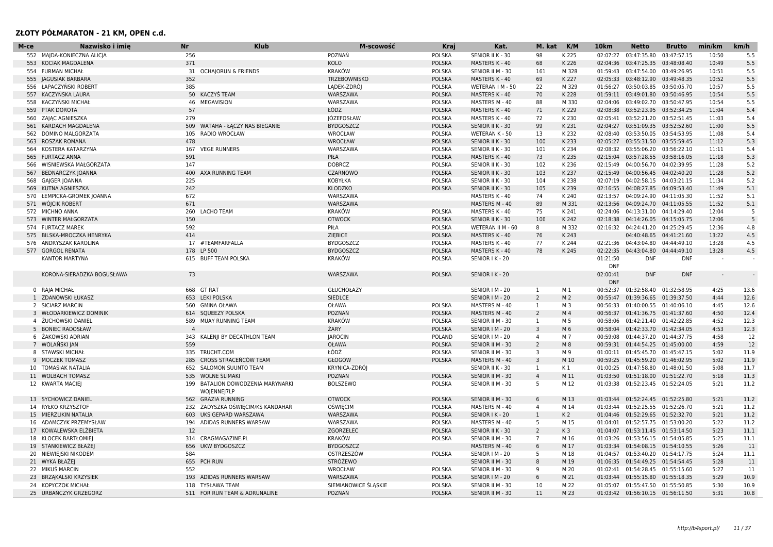| M-ce | Nazwisko i imie            | <b>Nr</b>      | <b>Klub</b>                                  | M-scowość            | <b>Kraj</b>   | Kat.                  | M. kat         | K/M            | 10 <sub>km</sub>       | <b>Netto</b>                       | <b>Brutto</b> | min/km | km/h |
|------|----------------------------|----------------|----------------------------------------------|----------------------|---------------|-----------------------|----------------|----------------|------------------------|------------------------------------|---------------|--------|------|
|      | 552 MAJDA-KONIECZNA ALICJA | 256            |                                              | POZNAŃ               | <b>POLSKA</b> | SENIOR II K - 30      | 98             | K 225          | 02:07:27               | 03:47:35.80                        | 03:47:57.15   | 10:50  | 5.5  |
|      | 553 KOCIAK MAGDALENA       | 371            |                                              | KOLO                 | <b>POLSKA</b> | MASTERS K - 40        | 68             | K 226          | 02:04:36               | 03:47:25.35                        | 03:48:08.40   | 10:49  | 5.5  |
| 554  | <b>FURMAN MICHAŁ</b>       | 31             | <b>OCHAJORUN &amp; FRIENDS</b>               | <b>KRAKÓW</b>        | <b>POLSKA</b> | SENIOR II M - 30      | 161            | M 328          | 01:59:43               | 03:47:54.00                        | 03:49:26.95   | 10:51  | 5.5  |
| 555  | <b>JAGUSIAK BARBARA</b>    | 352            |                                              | TRZEBOWNISKO         | <b>POLSKA</b> | MASTERS K - 40        | 69             | K 227          | 02:05:33               | 03:48:12.90                        | 03:49:48.35   | 10:52  | 5.5  |
|      | 556 ŁAPACZYŃSKI ROBERT     | 385            |                                              | LADEK-ZDRÓJ          | <b>POLSKA</b> | WETERAN I M - 50      | 22             | M 329          |                        | 01:56:27 03:50:03.85               | 03:50:05.70   | 10:57  | 5.5  |
| 557  | KACZYŃSKA LAURA            |                | 50 KACZYŚ TEAM                               | WARSZAWA             | <b>POLSKA</b> | MASTERS K - 40        | 70             | K 228          |                        | 01:59:11 03:49:01.80               | 03:50:46.95   | 10:54  | 5.5  |
| 558  | KACZYŃSKI MICHAŁ           | 46             | MEGAVISION                                   | WARSZAWA             | POLSKA        | MASTERS M - 40        | 88             | M 330          | 02:04:06               | 03:49:02.70                        | 03:50:47.95   | 10:54  | 5.5  |
| 559  | PTAK DOROTA                | 57             |                                              | ŁÓDŹ                 | <b>POLSKA</b> | MASTERS K - 40        | 71             | K 229          | 02:08:38               | 03:52:23.95                        | 03:52:34.25   | 11:04  | 5.4  |
|      | 560 ZAJAC AGNIESZKA        | 279            |                                              | JÓZEFOSŁAW           | <b>POLSKA</b> | MASTERS K - 40        | 72             | K 230          |                        | 02:05:41 03:52:21.20               | 03:52:51.45   | 11:03  | 5.4  |
| 561  | KARDACH MAGDALENA          | 509            | WATAHA - ŁĄCZY NAS BIEGANIE                  | <b>BYDGOSZCZ</b>     | <b>POLSKA</b> | SENIOR II K - 30      | 99             | K 231          | 02:04:27               | 03:51:09.35                        | 03:52:52.60   | 11:00  | 5.5  |
| 562  | DOMINO MALGORZATA          | 105            | RADIO WROCŁAW                                | WROCŁAW              | POLSKA        | <b>WETERAN K - 50</b> | 13             | K 232          | 02:08:40               | 03:53:50.05                        | 03:54:53.95   | 11:08  | 5.4  |
| 563  | ROSZAK ROMANA              | 478            |                                              | WROCŁAW              | <b>POLSKA</b> | SENIOR II K - 30      | 100            | K 233          | 02:05:27               | 03:55:31.50                        | 03:55:59.45   | 11:12  | 5.3  |
| 564  | KOSTERA KATARZYNA          | 167            | <b>VEGE RUNNERS</b>                          | WARSZAWA             | <b>POLSKA</b> | SENIOR II K - 30      | 101            | K 234          |                        | 02:08:32 03:55:06.20               | 03:56:22.10   | 11:11  | 5.4  |
| 565  | <b>FURTACZ ANNA</b>        | 591            |                                              | PIŁA                 | <b>POLSKA</b> | MASTERS K - 40        | 73             | K 235          |                        | 02:15:04 03:57:28.55               | 03:58:16.05   | 11:18  | 5.3  |
| 566  | WISNIEWSKA MAŁGORZATA      | 147            |                                              | <b>DOBRCZ</b>        | POLSKA        | SENIOR II K - 30      | 102            | K 236          |                        | 02:15:49 04:00:56.70               | 04:02:39.95   | 11:28  | 5.2  |
| 567  | <b>BEDNARCZYK JOANNA</b>   |                | 400 AXA RUNNING TEAM                         | CZARNOWC             | <b>POLSKA</b> | SENIOR II K - 30      | 103            | K 237          |                        | 02:15:49 04:00:56.45               | 04:02:40.20   | 11:28  | 5.2  |
|      |                            | 225            |                                              |                      |               |                       | 104            | K 238          |                        | 02:07:19 04:02:58.15               | 04:03:21.15   | 11:34  | 5.2  |
| 568  | <b>GAJGER JOANNA</b>       |                |                                              | KOBYŁKA              | <b>POLSKA</b> | SENIOR II K - 30      |                |                |                        |                                    |               |        |      |
| 569  | KUTNA AGNIESZKA            | 242            |                                              | <b>KLODZKO</b>       | <b>POLSKA</b> | SENIOR II K - 30      | 105            | K 239          |                        | 02:16:55 04:08:27.85               | 04:09:53.40   | 11:49  | 5.1  |
|      | 570 ŁEMPICKA-GROMEK JOANNA | 672            |                                              | WARSZAWA             |               | MASTERS K - 40        | 74             | K 240          | 02:13:57               | 04:09:24.90                        | 04:11:05.30   | 11:52  | 5.1  |
|      | 571 WOJCIK ROBERT          | 671            |                                              | WARSZAWA             |               | MASTERS M - 40        | 89             | M 331          |                        | 02:13:56 04:09:24.70               | 04:11:05.55   | 11:52  | 5.1  |
|      | 572 MICHNO ANNA            | 260            | <b>LACHO TEAM</b>                            | <b>KRAKÓW</b>        | <b>POLSKA</b> | MASTERS K - 40        | 75             | K 241          | 02:24:06               | 04:13:31.00                        | 04:14:29.40   | 12:04  | -5   |
| 573  | <b>WINTER MAŁGORZATA</b>   | 150            |                                              | <b>OTWOCK</b>        | <b>POLSKA</b> | SENIOR II K - 30      | 106            | K 242          | 02:18:38               | 04:14:26.05                        | 04:15:05.75   | 12:06  | -5   |
|      | 574 FURTACZ MAREK          | 592            |                                              | PIŁA                 | <b>POLSKA</b> | WETERAN II M - 60     | 8              | M 332          |                        | 02:16:32 04:24:41.20               | 04:25:29.45   | 12:36  | 4.8  |
| 575  | BILSKA-MROCZKA HENRYKA     | 414            |                                              | <b>ZIEBICE</b>       | <b>POLSKA</b> | MASTERS K - 40        | 76             | K 243          |                        | 04:40:48.65                        | 04:41:21.60   | 13:22  | 4.5  |
|      | 576 ANDRYSZAK KAROLINA     | 17             | #TEAMFARFALLA                                | <b>BYDGOSZCZ</b>     | <b>POLSKA</b> | MASTERS K - 40        | 77             | K 244          |                        | 02:21:36 04:43:04.80               | 04:44:49.10   | 13:28  | 4.5  |
|      | 577 GORGOL RENATA          | 178 LP 500     |                                              | <b>BYDGOSZCZ</b>     | <b>POLSKA</b> | MASTERS K - 40        | 78             | K 245          | 02:22:35               | 04:43:04.80                        | 04:44:49.10   | 13:28  | 4.5  |
|      | KANTOR MARTYNA             |                | 615 BUFF TEAM POLSKA                         | <b>KRAKÓW</b>        | <b>POLSKA</b> | SENIOR I K - 20       |                |                | 01:21:50<br><b>DNF</b> | <b>DNF</b>                         | <b>DNF</b>    |        |      |
|      | KORONA-SIERADZKA BOGUSŁAWA | 73             |                                              | WARSZAWA             | <b>POLSKA</b> | SENIOR I K - 20       |                |                | 02:00:41<br><b>DNF</b> | <b>DNF</b>                         | <b>DNF</b>    |        |      |
|      | 0 RAJA MICHAŁ              | 668 GT RAT     |                                              | GŁUCHOŁAZY           |               | SENIOR   M - 20       | 1              | $M_1$          |                        | 00:52:37 01:32:58.40               | 01:32:58.95   | 4:25   | 13.6 |
|      | 1 ZDANOWSKI ŁUKASZ         | 653            | <b>LEKI POLSKA</b>                           | <b>SIEDLCE</b>       |               | SENIOR   M - 20       | $\overline{2}$ | M <sub>2</sub> | 00:55:47               | 01:39:36.65                        | 01:39:37.50   | 4:44   | 12.6 |
|      | 2 SICIARZ MARCIN           |                | 560 GMINA OŁAWA                              | OŁAWA                | <b>POLSKA</b> | MASTERS M - 40        | 1              | M 3            |                        | 00:56:33 01:40:00.55               | 01:40:06.10   | 4:45   | 12.6 |
|      | 3 WŁODARKIEWICZ DOMINIK    |                | 614 SQUEEZY POLSKA                           | POZNAŃ               | <b>POLSKA</b> | MASTERS M - 40        | $\overline{2}$ | M <sub>4</sub> |                        | 00:56:37 01:41:36.75 01:41:37.60   |               | 4:50   | 12.4 |
|      | 4 ŻUCHOWSKI DANIEL         | 589            | MUAY RUNNING TEAM                            | <b>KRAKÓW</b>        | <b>POLSKA</b> | SENIOR II M - 30      | $\mathbf{1}$   | M 5            | 00:58:06               | 01:42:21.40                        | 01:42:22.85   | 4:52   | 12.3 |
|      | 5 BONIEC RADOSŁAW          | $\overline{a}$ |                                              | ŻARY                 | <b>POLSKA</b> | SENIOR   M - 20       | $\overline{3}$ | M 6            |                        | 00:58:04 01:42:33.70               | 01:42:34.05   | 4:53   | 12.3 |
|      | 6 ŻAKOWSKI ADRIAN          |                | 343 KALEN I BY DECATHLON TEAM                | <b>JAROCIN</b>       | <b>POLAND</b> | SENIOR   M - 20       | $\overline{4}$ | M 7            | 00:59:08               | 01:44:37.20                        | 01:44:37.75   | 4:58   | 12   |
|      | 7 WOLAŃSKI JAN             | 559            |                                              | <b>OŁAWA</b>         | <b>POLSKA</b> | SENIOR II M - 30      | $\overline{2}$ | M 8            |                        | 00:59:31 01:44:54.25               | 01:45:00.00   | 4:59   | 12   |
|      | 8 STAWSKI MICHAŁ           | 335            | TRUCHT.COM                                   | ŁÓDŹ                 | <b>POLSKA</b> | SENIOR II M - 30      | 3              | M 9            |                        | 01:00:11 01:45:45.70               | 01:45:47.15   | 5:02   | 11.9 |
|      | 9 MOCZEK TOMASZ            | 285            | CROSS STRACEŃCÓW TEAM                        | GŁOGÓW               | <b>POLSKA</b> | MASTERS M - 40        | $\overline{3}$ | M 10           |                        | 00:59:25 01:45:59.20               | 01:46:02.95   | 5:02   | 11.9 |
|      | 10 TOMASIAK NATALIA        | 652            | <b>SALOMON SUUNTO TEAM</b>                   | KRYNICA-ZDRÓJ        |               | SENIOR II K - 30      | 1              | K1             |                        | 01:00:25 01:47:58.80               | 01:48:01.50   | 5:08   | 11.7 |
|      | 11 WOLBACH TOMASZ          | 535            | WOLNE ŚLIMAKI                                | POZNAN               | <b>POLSKA</b> | SENIOR II M - 30      | $\overline{4}$ | M 11           |                        | 01:03:50 01:51:18.00               | 01:51:22.70   | 5:18   | 11.3 |
|      | 12 KWARTA MACIEJ           | 199            | BATALION DOWODZENIA MARYNARKI<br>WOJENNEJ7LP | <b>BOLSZEWO</b>      | <b>POLSKA</b> | SENIOR II M - 30      | -5             | M 12           |                        | 01:03:38  01:52:23.45  01:52:24.05 |               | 5:21   | 11.2 |
|      | 13 SYCHOWICZ DANIEL        |                | 562 GRAZIA RUNNING                           | <b>OTWOCK</b>        | <b>POLSKA</b> | SENIOR II M - 30      | 6              | M 13           |                        | 01:03:44 01:52:24.45 01:52:25.80   |               | 5:21   | 11.2 |
| 14   | RYŁKO KRZYSZTOF            | 232            | ZADYSZKA OŚWIĘCIM/KS KANDAHAR                | <b>OŚWIĘCIM</b>      | <b>POLSKA</b> | MASTERS M - 40        | $\overline{4}$ | M 14           | 01:03:44               | 01:52:25.55                        | 01:52:26.70   | 5:21   | 11.2 |
|      | 15 MIERZLIKIN NATALIA      | 603            | UKS GEPARD WARSZAWA                          |                      | <b>POLSKA</b> | SENIOR I K - 20       | $\mathbf{1}$   | K <sub>2</sub> |                        | 01:04:46 01:52:29.65               | 01:52:32.70   | 5:21   | 11.2 |
|      |                            |                |                                              | WARSZAWA             |               |                       |                |                |                        |                                    |               |        |      |
|      | 16 ADAMCZYK PRZEMYSŁAW     | 194            | ADIDAS RUNNERS WARSAW                        | WARSZAWA             | <b>POLSKA</b> | MASTERS M - 40        | 5              | M 15           |                        | 01:04:01 01:52:57.75 01:53:00.20   |               | 5:22   | 11.2 |
| 17   | KOWALEWSKA ELŻBIETA        | 12             |                                              | ZGORZELEC            | <b>POLSKA</b> | SENIOR II K - 30      | $\overline{2}$ | K <sub>3</sub> |                        | 01:04:07 01:53:11.45 01:53:14.50   |               | 5:23   | 11.1 |
| 18   | <b>KLOCEK BARTŁOMIEJ</b>   | 314            | CRAGMAGAZINE.PL                              | <b>KRAKÓW</b>        | POLSKA        | SENIOR II M - 30      | $\overline{7}$ | M 16           |                        | 01:03:26 01:53:56.15               | 01:54:05.85   | 5:25   | 11.1 |
|      | 19 STANKIEWICZ BŁAŻEJ      |                | 656 UKW BYDGOSZCZ                            | <b>BYDGOSZCZ</b>     |               | MASTERS M - 40        | 6              | M 17           |                        | 01:03:34  01:54:08.15  01:54:10.55 |               | 5:26   | 11   |
|      | 20 NIEWIEJSKI NIKODEM      | 584            |                                              | OSTRZESZÓW           | <b>POLSKA</b> | SENIOR   M - 20       | 5              | M 18           |                        | 01:04:57 01:53:40.20               | 01:54:17.75   | 5:24   | 11.1 |
| 21   | WYKA BŁAŻEJ                | 655            | PCH RUN                                      | STRÓŻEWO             |               | SENIOR II M - 30      | 8              | M 19           |                        | 01:06:35 01:54:49.25               | 01:54:54.45   | 5:28   | 11   |
| 22   | MIKUŚ MARCIN               | 552            |                                              | WROCŁAW              | <b>POLSKA</b> | SENIOR II M - 30      | 9              | M 20           |                        | 01:02:41 01:54:28.45               | 01:55:15.60   | 5:27   | 11   |
|      | 23 BRZAKALSKI KRZYSIEK     | 193            | ADIDAS RUNNERS WARSAW                        | WARSZAWA             | <b>POLSKA</b> | SENIOR   M - 20       | 6              | M 21           |                        | 01:03:44 01:55:15.80               | 01:55:18.35   | 5:29   | 10.9 |
|      | 24 KOPYCZOK MICHAŁ         | 118            | <b>TYSŁAWA TEAM</b>                          | SIEMIANOWICE SLASKIE | <b>POLSKA</b> | SENIOR II M - 30      | 10             | M 22           |                        | 01:05:07 01:55:47.50               | 01:55:50.85   | 5:30   | 10.9 |
|      | 25 URBAŃCZYK GRZEGORZ      |                | 511 FOR RUN TEAM & ADRUNALINE                | POZNAŃ               | <b>POLSKA</b> | SENIOR II M - 30      | 11             | M 23           |                        | 01:03:42  01:56:10.15  01:56:11.50 |               | 5:31   | 10.8 |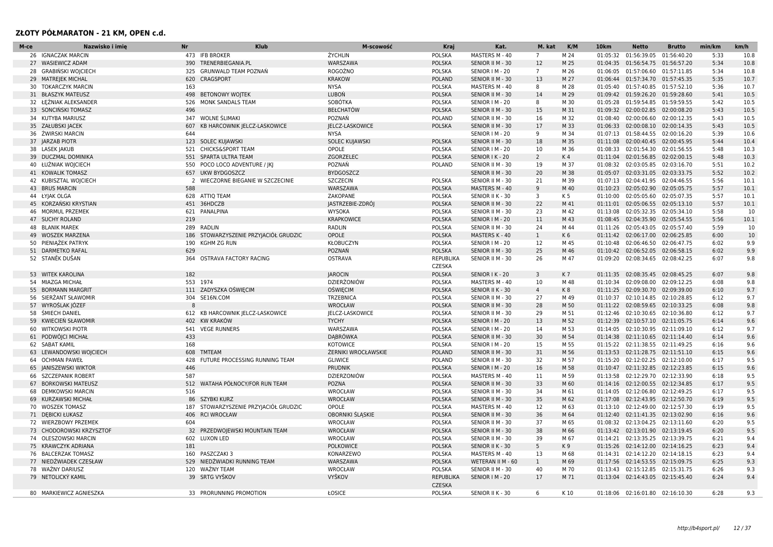| М-се | Nazwisko i imie           | Nr  | Klub                              | M-scowość              | <b>Kraj</b>                | Kat.              | M. kat         | K/M            | 10 <sub>km</sub> | Netto                              | <b>Brutto</b> | min/km | km/h |
|------|---------------------------|-----|-----------------------------------|------------------------|----------------------------|-------------------|----------------|----------------|------------------|------------------------------------|---------------|--------|------|
|      | 26 IGNACZAK MARCIN        |     | 473 IFB BROKER                    | ŻYCHLIN                | <b>POLSKA</b>              | MASTERS M - 40    | $\overline{7}$ | M 24           | 01:05:32         | 01:56:39.05                        | 01:56:40.20   | 5:33   | 10.8 |
|      | 27 WASIEWICZ ADAM         | 390 | TRENERBIEGANIA.PL                 | WARSZAWA               | <b>POLSKA</b>              | SENIOR II M - 30  | 12             | M 25           | 01:04:35         | 01:56:54.75                        | 01:56:57.20   | 5:34   | 10.8 |
| 28   | <b>GRABIŃSKI WOJCIECH</b> | 325 | <b>GRUNWALD TEAM POZNAŃ</b>       | ROGOŽNO                | <b>POLSKA</b>              | SENIOR   M - 20   | $\overline{7}$ | M 26           | 01:06:05         | 01:57:06.60                        | 01:57:11.85   | 5:34   | 10.8 |
| 29   | <b>MATREJEK MICHAL</b>    | 620 | <b>CRAGSPORT</b>                  | <b>KRAKOW</b>          | <b>POLAND</b>              | SENIOR II M - 30  | 13             | M 27           |                  | 01:06:44 01:57:34.70               | 01:57:45.35   | 5:35   | 10.7 |
|      | 30 TOKARCZYK MARCIN       | 163 |                                   | <b>NYSA</b>            | <b>POLSKA</b>              | MASTERS M - 40    | 8              | M 28           |                  | 01:05:40 01:57:40.85               | 01:57:52.10   | 5:36   | 10.7 |
| 31   | <b>BŁASZYK MATEUSZ</b>    | 498 | <b>BETONOWY WOJTEK</b>            | LUBON                  | <b>POLSKA</b>              | SENIOR II M - 30  | 14             | M 29           |                  | 01:09:42 01:59:26.20               | 01:59:28.60   | 5:41   | 10.5 |
| 32   | ŁĘŻNIAK ALEKSANDEF        | 526 | <b>MONK SANDALS TEAM</b>          | SOBÓTKA                | POLSKA                     | SENIOR   M - 20   | 8              | M 30           |                  | 01:05:28 01:59:54.85               | 01:59:59.55   | 5:42   | 10.5 |
|      | 33 SONCIŃSKI TOMASZ       | 496 |                                   | <b>BEŁCHATÓW</b>       | <b>POLSKA</b>              | SENIOR II M - 30  | 15             | M 31           |                  | 01:09:32 02:00:02.85               | 02:00:08.20   | 5:43   | 10.5 |
| 34   | KUTYBA MARIUSZ            | 347 | WOLNE ŚLIMAKI                     | POZNAŃ                 | POLAND                     | SENIOR II M - 30  | 16             | M 32           |                  | 01:08:40 02:00:06.60               | 02:00:12.35   | 5:43   | 10.5 |
| 35   | ZAŁUBSKI JACEK            | 607 | KB HARCOWNIK JELCZ-LASKOWICE      | <b>IELCZ-LASKOWICE</b> | <b>POLSKA</b>              | SENIOR II M - 30  | 17             | M 33           | 01:06:33         | 02:00:08.10                        | 02:00:14.35   | 5:43   | 10.5 |
| 36   | ŻWIRSKI MARCIN            | 644 |                                   | <b>NYSA</b>            |                            | SENIOR   M - 20   | 9              | M 34           | 01:07:13         | 01:58:44.55                        | 02:00:16.20   | 5:39   | 10.6 |
| 37   | <b>JARZAB PIOTR</b>       |     | 123 SOLEC KUJAWSKI                | SOLEC KUJAWSKI         | <b>POLSKA</b>              | SENIOR II M - 30  | 18             | M 35           |                  | 01:11:08 02:00:40.45               | 02:00:45.95   | 5:44   | 10.4 |
| 38   | LASEK JAKUB               | 521 | <b>CHICKS&amp;SPORT TEAM</b>      | <b>OPOLE</b>           | <b>POLSKA</b>              | SENIOR   M - 20   | 10             | M 36           | 01:08:33         | 02:01:54.30                        | 02:01:56.55   | 5:48   | 10.3 |
| 39   | DUCZMAL DOMINIKA          | 551 | SPARTA ULTRA TEAM                 | ZGORZELEC              | <b>POLSKA</b>              | SENIOR I K - 20   | $\overline{2}$ | K <sub>4</sub> |                  | 01:11:04 02:01:56.85               | 02:02:00.15   | 5:48   | 10.3 |
|      | 40 ŁUŻNIAK WOJCIECH       |     | 550 POCO LOCO ADVENTURE / JKJ     | POZNAŃ                 | <b>POLAND</b>              | SENIOR II M - 30  | 19             | M 37           |                  | 01:08:32 02:03:05.85               | 02:03:16.70   | 5:51   | 10.2 |
|      | 41 KOWALIK TOMASZ         | 657 | <b>UKW BYDGOSZCZ</b>              | <b>BYDGOSZCZ</b>       |                            | SENIOR II M - 30  | 20             | M 38           |                  | 01:05:07 02:03:31.05               | 02:03:33.75   | 5:52   | 10.2 |
| 42   | KUBISZTAL WOJCIECH        | 2   | WIECZORNE BIEGANIE W SZCZECINIE   | SZCZECIN               | <b>POLSKA</b>              | SENIOR II M - 30  | 21             | M 39           | 01:07:13         | 02:04:41.95                        | 02:04:46.55   | 5:56   | 10.1 |
|      | 43 BRUS MARCIN            | 588 |                                   | WARSZAWA               | <b>POLSKA</b>              | MASTERS M - 40    | 9              | M 40           |                  | 01:10:23 02:05:02.90               | 02:05:05.75   | 5:57   | 10.1 |
|      | 44 ŁYJAK OLGA             |     | 628 ATTIQ TEAM                    | ZAKOPANE               | <b>POLSKA</b>              | SENIOR II K - 30  | 3              | K 5            | 01:10:00         | 02:05:05.60                        | 02:05:07.35   | 5:57   | 10.1 |
|      | 45 KORZAŃSKI KRYSTIAN     |     | 451 36HDCZB                       | JASTRZEBIE-ZDRÓJ       | <b>POLSKA</b>              | SENIOR II M - 30  | 22             | M 41           |                  | 01:11:01 02:05:06.55 02:05:13.10   |               | 5:57   | 10.1 |
| 46   | <b>MORMUL PRZEMEK</b>     | 621 | PANALPINA                         | <b>WYSOKA</b>          | <b>POLSKA</b>              | SENIOR II M - 30  | 23             | M 42           | 01:13:08         | 02:05:32.35                        | 02:05:34.10   | 5:58   | 10   |
|      | 47 SUCHY ROLAND           | 219 |                                   | <b>KRAPKOWICE</b>      | <b>POLSKA</b>              | SENIOR   M - 20   | 11             | M 43           | 01:08:45         | 02:04:35.90                        | 02:05:54.55   | 5:56   | 10.1 |
|      | <b>48 BLANIK MAREK</b>    |     | 289 RADLIN                        | <b>RADLIN</b>          | <b>POLSKA</b>              | SENIOR II M - 30  | 24             | M 44           |                  | 01:11:26 02:05:43.05               | 02:05:57.40   | 5:59   | 10   |
| 49   | <b>WOSZEK MARZENA</b>     | 186 | STOWARZYSZENIE PRZYJACIÓŁ GRUDZIC | OPOLE                  | <b>POLSKA</b>              | MASTERS K - 40    | 1              | K6             |                  | 01:11:42 02:06:17.00               | 02:06:25.85   | 6:00   | 10   |
| 50   | PIENIAŻEK PATRYK          | 190 | KGHM ZG RUN                       | <b>KŁOBUCZYN</b>       | <b>POLSKA</b>              | SENIOR   M - 20   | 12             | M 45           | 01:10:48         | 02:06:46.50                        | 02:06:47.75   | 6:02   | 9.9  |
|      | 51 DARMETKO RAFAL         | 629 |                                   | POZNAŃ                 | <b>POLSKA</b>              | SENIOR II M - 30  | 25             | M 46           |                  | 01:10:42 02:06:52.05               | 02:06:58.15   | 6:02   | 9.9  |
|      | 52 STANĚK DUŠAN           | 364 | OSTRAVA FACTORY RACING            | <b>OSTRAVA</b>         | REPUBLIKA<br><b>CZESKA</b> | SENIOR II M - 30  | 26             | M 47           |                  | 01:09:20 02:08:34.65 02:08:42.25   |               | 6:07   | 9.8  |
| 53   | <b>WITEK KAROLINA</b>     | 182 |                                   | <b>JAROCIN</b>         | <b>POLSKA</b>              | SENIOR I K - 20   | $\overline{3}$ | K <sub>7</sub> |                  | 01:11:35 02:08:35.45               | 02:08:45.25   | 6:07   | 9.8  |
|      | 54 MIAZGA MICHAŁ          |     | 553 1974                          | DZIERŻONIÓW            | <b>POLSKA</b>              | MASTERS M - 40    | 10             | M 48           | 01:10:34         | 02:09:08.00                        | 02:09:12.25   | 6:08   | 9.8  |
| 55   | <b>BORMANN MARGRIT</b>    | 111 | ZADYSZKA OŚWIĘCIM                 | <b>OŚWIĘCIM</b>        | <b>POLSKA</b>              | SENIOR II K - 30  | $\overline{4}$ | K8             |                  | 01:11:25 02:09:30.70               | 02:09:39.00   | 6:10   | 9.7  |
| 56   | SIERZANT SŁAWOMIR         | 304 | SE16N.COM                         | <b>TRZEBNICA</b>       | <b>POLSKA</b>              | SENIOR II M - 30  | 27             | M 49           | 01:10:37         | 02:10:14.85                        | 02:10:28.85   | 6:12   | 9.7  |
|      | 57 WYROŚLAK JÓZEF         |     |                                   | WROCŁAW                | <b>POLSKA</b>              | SENIOR II M - 30  | 28             | M 50           |                  | 01:11:22 02:08:59.65               | 02:10:33.25   | 6:08   | 9.8  |
|      | 58 ŚMIECH DANIEL          |     | 612 KB HARCOWNIK JELCZ-LASKOWICE  | JELCZ-LASKOWICE        | <b>POLSKA</b>              | SENIOR II M - 30  | 29             | M 51           |                  | 01:12:46 02:10:30.65               | 02:10:36.80   | 6:12   | 9.7  |
| 59   | KWIECIEŃ SŁAWOMIR         | 402 | KW KRAKÓW                         | <b>TYCHY</b>           | <b>POLSKA</b>              | SENIOR   M - 20   | 13             | M 52           |                  | 01:12:39 02:10:57.10               | 02:11:05.75   | 6:14   | 9.6  |
| 60   | <b>WITKOWSKI PIOTR</b>    | 541 | <b>VEGE RUNNERS</b>               | WARSZAWA               | POLSKA                     | SENIOR   M - 20   | 14             | M 53           | 01:14:05         | 02:10:30.95                        | 02:11:09.10   | 6:12   | 9.7  |
|      | 61 PODWÓJCI MICHAŁ        | 433 |                                   | DĄBRÓWKA               | <b>POLSKA</b>              | SENIOR II M - 30  | 30             | M 54           |                  | 01:14:38 02:11:10.65               | 02:11:14.40   | 6:14   | 9.6  |
| 62   | <b>SABAT KAMIL</b>        | 168 |                                   | <b>KOTOWICE</b>        | POLSKA                     | SENIOR   M - 20   | 15             | M 55           |                  | 01:15:22 02:11:38.55               | 02:11:49.25   | 6:16   | 9.6  |
| 63   | LEWANDOWSKI WOJCIECH      | 608 | TMTEAM                            | ŻERNIKI WROCŁAWSKIE    | <b>POLAND</b>              | SENIOR II M - 30  | 31             | M 56           |                  | 01:13:53 02:11:28.75               | 02:11:51.10   | 6:15   | 9.6  |
| 64   | <b>OCHMAN PAWEŁ</b>       | 428 | FUTURE PROCESSING RUNNING TEAM    | <b>GLIWICE</b>         | <b>POLAND</b>              | SENIOR II M - 30  | 32             | M 57           |                  | 01:15:20 02:12:02.25               | 02:12:10.00   | 6:17   | 9.5  |
| 65   | JANISZEWSKI WIKTOR        | 446 |                                   | <b>PRUDNIK</b>         | <b>POLSKA</b>              | SENIOR   M - 20   | 16             | M 58           | 01:10:47         | 02:11:32.85                        | 02:12:23.85   | 6:15   | 9.6  |
| 66   | SZCZEPANIK ROBERT         | 587 |                                   | DZIERZONIÓW            | <b>POLSKA</b>              | MASTERS M - 40    | 11             | M 59           | 01:13:58         | 02:12:29.70                        | 02:12:33.90   | 6:18   | 9.5  |
| 67   | <b>BORKOWSKI MATEUSZ</b>  | 512 | WATAHA POŁNOCY/FOR RUN TEAM       | POZNA                  | <b>POLSKA</b>              | SENIOR II M - 30  | 33             | M 60           | 01:14:16         | 02:12:00.55                        | 02:12:34.85   | 6:17   | 9.5  |
| 68   | <b>DEMKOWSKI MARCIN</b>   | 516 |                                   | WROCŁAW                | POLSKA                     | SENIOR II M - 30  | 34             | M 61           |                  | 01:14:05 02:12:06.80               | 02:12:49.25   | 6:17   | 9.5  |
| 69   | KURZAWSKI MICHAŁ          |     | 86 SZYBKI KURZ                    | WROCŁAW                | <b>POLSKA</b>              | SENIOR II M - 30  | 35             | M 62           |                  | 01:17:08 02:12:43.95 02:12:50.70   |               | 6:19   | 9.5  |
| 70   | <b>WOSZEK TOMASZ</b>      | 187 | STOWARZYSZENIE PRZYJACIÓŁ GRUDZIC | OPOLE                  | <b>POLSKA</b>              | MASTERS M - 40    | 12             | M 63           | 01:13:10         | 02:12:49.00                        | 02:12:57.30   | 6:19   | 9.5  |
|      | 71 DEBICKI ŁUKASZ         | 406 | <b>RCI WROCŁAW</b>                | OBORNIKI ŚLASKIE       | <b>POLSKA</b>              | SENIOR II M - 30  | 36             | M 64           |                  | 01:12:40 02:11:41.35 02:13:02.90   |               | 6:16   | 9.6  |
| 72   | <b>WIERZBOWY PRZEMEK</b>  | 604 |                                   | WROCŁAW                | POLSKA                     | SENIOR II M - 30  | 37             | M 65           |                  | 01:08:32 02:13:04.25               | 02:13:11.60   | 6:20   | 9.5  |
|      | 73 CHODOROWSKI KRZYSZTOF  |     | 32 PRZEDWOJEWSKI MOUNTAIN TEAM    | WROCŁAW                | <b>POLSKA</b>              | SENIOR II M - 30  | 38             | M 66           |                  | 01:13:42 02:13:01.90               | 02:13:19.45   | 6:20   | 9.5  |
| 74   | OLESZOWSKI MARCIN         | 602 | <b>LUXON LED</b>                  | WROCŁAW                | <b>POLSKA</b>              | SENIOR II M - 30  | 39             | M 67           |                  | 01:14:21 02:13:35.25               | 02:13:39.75   | 6:21   | 9.4  |
|      | 75 KRAWCZYK ADRIANA       | 181 |                                   | <b>POLKOWICE</b>       | <b>POLSKA</b>              | SENIOR II K - 30  | 5              | K9             |                  | 01:15:26 02:14:12.00               | 02:14:16.25   | 6:23   | 9.4  |
|      | 76 BALCERZAK TOMASZ       |     | 160 PASZCZAKI 3                   | KONARZEWO              | <b>POLSKA</b>              | MASTERS M - 40    | 13             | M 68           |                  | 01:14:31  02:14:12.20  02:14:18.15 |               | 6:23   | 9.4  |
|      | 77 NIEDŻWIADEK CZESŁAW    | 529 | NIEDŻWIADKI RUNNING TEAM          | WARSZAWA               | <b>POLSKA</b>              | WETERAN II M - 60 | 1              | M 69           |                  | 01:17:56 02:14:53.55               | 02:15:09.75   | 6:25   | 9.3  |
| 78   | WAŻNY DARIUSZ             | 120 | WAŻNY TEAM                        | WROCŁAW                | <b>POLSKA</b>              | SENIOR II M - 30  | 40             | M 70           | 01:13:43         | 02:15:12.85                        | 02:15:31.75   | 6:26   | 9.3  |
|      | 79 NETOLICKÝ KAMIL        |     | 39 SRTG VYŠKOV                    | VYŠKOV                 | REPUBLIKA                  | SENIOR   M - 20   | 17             | M 71           |                  | 01:13:04  02:14:43.05  02:15:45.40 |               | 6:24   | 9.4  |
|      |                           |     |                                   |                        | <b>CZESKA</b>              |                   |                |                |                  |                                    |               |        |      |
|      | 80 MARKIEWICZ AGNIESZKA   |     | 33 PRORUNNING PROMOTION           | ŁOSICE                 | <b>POLSKA</b>              | SENIOR II K - 30  | 6              | K 10           |                  | 01:18:06 02:16:01.80 02:16:10.30   |               | 6:28   | 9.3  |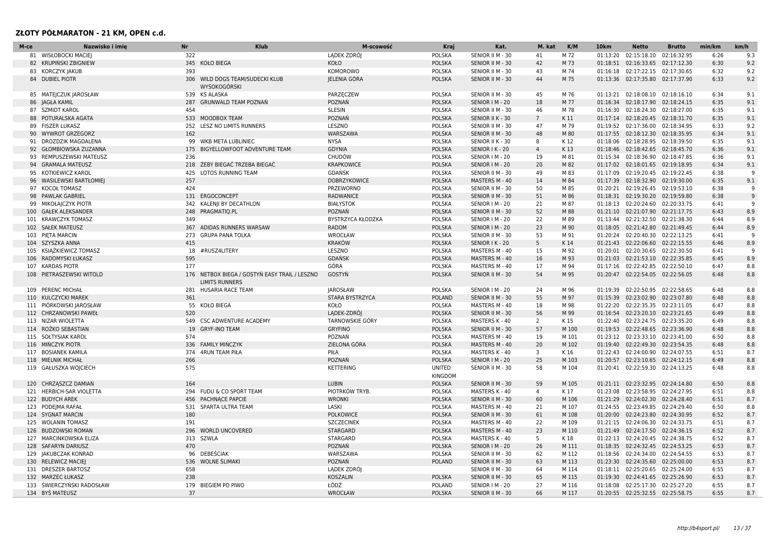| M-ce | <b>Nr</b><br>Nazwisko i imie | <b>Klub</b>                                                               | M-scowość               | Kraj                            | Kat.             | M. kat          | K/M   | 10 <sub>km</sub> | <b>Netto</b>                                    | <b>Brutto</b> | min/km       | km/h     |
|------|------------------------------|---------------------------------------------------------------------------|-------------------------|---------------------------------|------------------|-----------------|-------|------------------|-------------------------------------------------|---------------|--------------|----------|
|      | 81 WISŁOBOCKI MACIE          | 322                                                                       | LADEK ZDRÓJ             | <b>POLSKA</b>                   | SENIOR II M - 30 | 41              | M 72  | 01:13:20         | 02:15:18.10                                     | 02:16:32.95   | 6:26         | 9.3      |
|      | 82 KRUPINSKI ZBIGNIEW        | 345<br>KOŁO BIEGA                                                         | <b>KOŁO</b>             | <b>POLSKA</b>                   | SENIOR II M - 30 | 42              | M 73  | 01:18:51         | 02:16:33.65                                     | 02:17:12.30   | 6:30         | 9.2      |
| 83   | <b>KORCZYK JAKUB</b>         | 393                                                                       | KOMOROWO                | <b>POLSKA</b>                   | SENIOR II M - 30 | 43              | M 74  | 01:16:18         | 02:17:22.15                                     | 02:17:30.65   | 6:32         | 9.2      |
|      | 84 DUBIEL PIOTR              | 306 WILD DOGS TEAM/SUDECKI KLUB<br>WYSOKOGÓRSKI                           | JELENIA GÓRA            | <b>POLSKA</b>                   | SENIOR II M - 30 | 44              | M 75  | 01:13:36         | 02:17:35.80                                     | 02:17:37.90   | 6:33         | 9.2      |
| 85   | <b>MATEICZUK JAROSŁAW</b>    | 539 KS ALASKA                                                             | PARZECZEW               | <b>POLSKA</b>                   | SENIOR II M - 30 | 45              | M 76  | 01:13:21         | 02:18:08.10 02:18:16.10                         |               | 6:34         | 9.1      |
|      | 86 JAGŁA KAMIL               | 287<br><b>GRUNWALD TEAM POZNAŃ</b>                                        | POZNAŃ                  | <b>POLSKA</b>                   | SENIOR   M - 20  | 18              | M 77  | 01:16:34         | 02:18:17.90                                     | 02:18:24.15   | 6:35         | 9.1      |
| 87   | <b>SZMIDT KAROL</b>          | 454                                                                       | <b>SLESIN</b>           | <b>POLSKA</b>                   | SENIOR II M - 30 | 46              | M 78  | 01:16:30         | 02:18:24.30                                     | 02:18:27.00   | 6:35         | 9.1      |
| 88   | POTURALSKA AGATA             | 533<br>MOODBOX TEAM                                                       | POZNAŃ                  | <b>POLSKA</b>                   | SENIOR II K - 30 | $7\overline{ }$ | K 11  |                  | 01:17:14 02:18:20.45                            | 02:18:31.70   | 6:35         | 9.1      |
| 89   | <b>FISZER LUKASZ</b>         | 252<br>LESZ NO LIMITS RUNNERS                                             | LESZNO                  | <b>POLSKA</b>                   | SENIOR II M - 30 | 47              | M 79  | 01:19:52         | 02:17:36.00                                     | 02:18:34.95   | 6:33         | 9.2      |
| 90   | <b>WYWROT GRZEGORZ</b>       | 162                                                                       | WARSZAWA                | <b>POLSKA</b>                   | SENIOR II M - 30 | 48              | M 80  | 01:17:55         | 02:18:12.30                                     | 02:18:35.95   | 6:34         | 9.1      |
|      | 91 DROZDZIK MAGDALENA        | WKB META LUBLINIEC<br>99                                                  | <b>NYSA</b>             | <b>POLSKA</b>                   | SENIOR II K - 30 | 8               | K 12  |                  | 01:18:06 02:18:28.95 02:18:39.50                |               | 6:35         | 9.1      |
| 92   | <b>GŁOMBIOWSKA ZUZANNA</b>   | 175<br>BIGYELLOWFOOT ADVENTURE TEAM                                       | <b>GDYNIA</b>           | <b>POLSKA</b>                   | SENIOR I K - 20  | $\overline{4}$  | K13   | 01:18:46         | 02:18:42.65                                     | 02:18:45.70   | 6:36         | 9.1      |
| 93   | REMPUSZEWSKI MATEUSZ         | 236                                                                       | <b>CHUDÓW</b>           | <b>POLSKA</b>                   | SENIOR   M - 20  | 19              | M 81  | 01:15:34         | 02:18:36.90                                     | 02:18:47.85   | 6:36         | 9.1      |
|      | 94 GRAMALA MATEUSZ           | ŻEBY BIEGAĆ TRZEBA BIEGAĆ<br>218                                          | <b>KRAPKOWICE</b>       | <b>POLSKA</b>                   | SENIOR   M - 20  | 20              | M 82  |                  | 01:17:02  02:18:01.65  02:19:18.95              |               | 6:34         | 9.1      |
| 95   | KOTKIEWICZ KAROL             | 425<br><b>LOTOS RUNNING TEAM</b>                                          | <b>GDAŃSK</b>           | <b>POLSKA</b>                   | SENIOR II M - 30 | 49              | M 83  | 01:17:09         | 02:19:20.45 02:19:22.45                         |               | 6:38         | $\alpha$ |
| 96   | <b>WASILEWSKI BARTŁOMIEJ</b> | 257                                                                       | <b>DOBRZYKOWICE</b>     | <b>POLSKA</b>                   | MASTERS M - 40   | 14              | M 84  | 01:17:39         | 02:18:32.90                                     | 02:19:30.00   | 6:35         | 9.1      |
| 97   | KOCOŁ TOMASZ                 | 424                                                                       | <b>PRZEWORNO</b>        | <b>POLSKA</b>                   | SENIOR II M - 30 | 50              | M 85  |                  | 01:20:21 02:19:26.45                            | 02:19:53.10   | 6:38         | - q      |
| 98   | <b>PAWLAK GABRIEL</b>        | 131 ERGOCONCEPT                                                           | <b>RADWANICE</b>        | <b>POLSKA</b>                   | SENIOR II M - 30 | 51              | M 86  |                  | 01:18:31 02:19:30.20                            | 02:19:59.80   | 6:38         | 9        |
| 99   | MIKOŁAJCZYK PIOTR            | 342<br>KALENJI BY DECATHLON                                               | <b>BIAŁYSTOK</b>        | <b>POLSKA</b>                   | SENIOR   M - 20  | 21              | M 87  | 01:18:13         | 02:20:24.60                                     | 02:20:33.75   | 6:41         | q        |
| 100  | <b>GAŁEK ALEKSANDER</b>      | 248<br>PRAGMATIO.PL                                                       | <b>POZNAN</b>           | <b>POLSKA</b>                   | SENIOR II M - 30 | 52              | M 88  | 01:21:10         | 02:21:07.90                                     | 02:21:17.75   | 6:43         | 8.9      |
|      | 101 KRAWCZYK TOMASZ          | 349                                                                       | BYSTRZYCA KŁODZKA       | <b>POLSKA</b>                   | SENIOR   M - 20  | 22              | M 89  | 01:13:44         | 02:21:32.50                                     | 02:21:38.30   | 6:44         | 8.9      |
|      | 102 SAŁEK MATEUSZ            | 367<br>ADIDAS RUNNERS WARSAW                                              | <b>RADOM</b>            | <b>POLSKA</b>                   | SENIOR   M - 20  | 23              | M 90  |                  | 01:18:05 02:21:42.80 02:21:49.45                |               | 6:44         | 8.9      |
|      | 103 PIETA MARCIN             | <b>GRUPA PANA TOLKA</b><br>273                                            | WROCŁAW                 | <b>POLSKA</b>                   | SENIOR II M - 30 | 53              | M 91  | 01:20:24         | 02:20:40.30                                     | 02:22:13.25   | 6:41         | <b>Q</b> |
| 104  | SZYSZKA ANNA                 | 415                                                                       | <b>KRAKÓW</b>           | <b>POLSKA</b>                   | SENIOR I K - 20  | 5               | K14   | 01:21:43         | 02:22:06.60 02:22:15.55                         |               | 6:46         | 8.9      |
|      | KSIĄŻKIEWICZ TOMASZ          | #RUSZ4LITERY                                                              |                         | <b>POLSKA</b>                   |                  | 15              | M 92  |                  |                                                 | 02:22:30.50   |              | <b>Q</b> |
| 105  | RADOMYSKI ŁUKASZ             | 18<br>595                                                                 | LESZNO<br><b>GDAŃSK</b> | <b>POLSKA</b>                   | MASTERS M - 40   | 16              | M 93  | 01:20:01         | 02:20:30.65<br>01:21:03 02:21:53.10 02:22:35.85 |               | 6:41<br>6:45 | 8.9      |
| 106  |                              |                                                                           |                         |                                 | MASTERS M - 40   |                 |       |                  |                                                 |               |              |          |
| 107  | <b>KARDAS PIOTR</b>          | 177                                                                       | GÓRA                    | <b>POLSKA</b>                   | MASTERS M - 40   | 17              | M 94  | 01:17:16         | 02:22:42.85                                     | 02:22:50.10   | 6:47         | 8.8      |
| 108  | PIETRASZEWSKI WITOLD         | 176<br>NETBOX BIEGA / GOSTYN EASY TRAIL / LESZNO<br><b>LIMITS RUNNERS</b> | <b>GOSTYN</b>           | <b>POLSKA</b>                   | SENIOR II M - 30 | 54              | M 95  | 01:20:47         | 02:22:54.05                                     | 02:22:56.05   | 6:48         | 8.8      |
| 109  | PERENC MICHAŁ                | 281 HUSARIA RACE TEAM                                                     | <b>JAROSŁAW</b>         | <b>POLSKA</b>                   | SENIOR   M - 20  | 24              | M 96  | 01:19:39         | 02:22:50.95                                     | 02:22:58.65   | 6:48         | 8.8      |
| 110  | <b>KULCZYCKI MAREK</b>       | 361                                                                       | <b>STARA BYSTRZYCA</b>  | <b>POLAND</b>                   | SENIOR II M - 30 | 55              | M 97  | 01:15:39         | 02:23:02.90                                     | 02:23:07.80   | 6:48         | 8.8      |
|      | 111 PIÓRKOWSKI JAROSŁAW      | 55 KOŁO BIEGA                                                             | KOŁO                    | <b>POLSKA</b>                   | MASTERS M - 40   | 18              | M 98  | 01:22:20         | 02:22:35.35 02:23:11.05                         |               | 6:47         | 8.8      |
|      | 112 CHRZANOWSKI PAWEŁ        | 520                                                                       | LĄDEK-ZDRÓJ             | <b>POLSKA</b>                   | SENIOR II M - 30 | 56              | M 99  |                  | 01:16:54 02:23:20.10 02:23:21.65                |               | 6:49         | 8.8      |
| 113  | NIZAR WIOLETTA               | 549<br><b>CSC ADWENTURE ACADEMY</b>                                       | <b>TARNOWSKIE GÓRY</b>  | <b>POLSKA</b>                   | MASTERS K - 40   | 2               | K 15  | 01:22:40         | 02:23:24.75                                     | 02:23:35.20   | 6:49         | 8.8      |
|      | 114 ROŻKO SEBASTIAN          | <b>GRYF-INO TEAM</b><br>19                                                | <b>GRYFINO</b>          | <b>POLSKA</b>                   | SENIOR II M - 30 | 57              | M 100 | 01:19:53         | 02:22:48.65 02:23:36.90                         |               | 6:48         | 8.8      |
|      | 115 SOŁTYSIAK KAROL          | 574                                                                       | POZNAŃ                  | <b>POLSKA</b>                   | MASTERS M - 40   | 19              | M 101 | 01:23:12         | 02:23:33.10 02:23:41.00                         |               | 6:50         | 8.8      |
| 116  | <b>MINCZYK PIOTR</b>         | <b>FAMILY MINCZYK</b><br>336                                              | ZIELONA GORA            | <b>POLSKA</b>                   | MASTERS M - 40   | 20              | M 102 | 01:19:40         | 02:22:49.30                                     | 02:23:54.35   | 6:48         | 8.8      |
| 117  | <b>BOSIANEK KAMILA</b>       | 374<br><b>4RUN TEAM PIŁA</b>                                              | PIŁA                    | <b>POLSKA</b>                   | MASTERS K - 40   | 3               | K 16  | 01:22:43         | 02:24:00.90                                     | 02:24:07.55   | 6:51         | 8.7      |
| 118  | <b>MIELNIK MICHAŁ</b>        | 266                                                                       | POZNAŃ                  | <b>POLSKA</b>                   | SENIOR   M - 20  | 25              | M 103 | 01:20:57         | 02:23:10.65                                     | 02:24:12.15   | 6:49         | 8.8      |
|      | 119 GAŁUSZKA WOJCIECH        | 575                                                                       | <b>KETTERING</b>        | <b>UNITED</b><br><b>KINGDOM</b> | SENIOR II M - 30 | 58              | M 104 |                  | 01:20:41 02:22:59.30 02:24:13.25                |               | 6:48         | 8.8      |
|      | 120 CHRZASZCZ DAMIAN         | 164                                                                       | <b>LUBIN</b>            | <b>POLSKA</b>                   | SENIOR II M - 30 | 59              | M 105 |                  | 01:21:11 02:23:32.95                            | 02:24:14.80   | 6:50         | 8.8      |
|      | 121 HERBICH-SAR VIOLETTA     | 294 FUDU & CO SPORT TEAM                                                  | PIOTRKÓW TRYB.          | <b>POLSKA</b>                   | MASTERS K - 40   | $\overline{4}$  | K 17  | 01:23:08         | 02:23:58.95                                     | 02:24:27.95   | 6:51         | 8.8      |
|      | 122 BUDYCH AREK              | <b>PACHNACE PAPCIE</b><br>456                                             | <b>WRONK</b>            | <b>POLSKA</b>                   | SENIOR II M - 30 | 60              | M 106 |                  | 01:21:29 02:24:02.30 02:24:28.40                |               | 6:51         | 8.7      |
| 123  | PODEJMA RAFAŁ                | SPARTA ULTRA TEAM<br>531                                                  | LASKI                   | <b>POLSKA</b>                   | MASTERS M - 40   | 21              | M 107 | 01:24:55         | 02:23:49.85                                     | 02:24:29.40   | 6:50         | 8.8      |
|      | 124 SYGNAT MARCIN            | 180                                                                       | <b>POLKOWICE</b>        | <b>POLSKA</b>                   | SENIOR II M - 30 | 61              | M 108 | 01:20:00         | 02:24:23.80                                     | 02:24:30.95   | 6:52         | 8.7      |
| 125  | <b>WOLANIN TOMASZ</b>        | 191                                                                       | <b>SZCZECINEK</b>       | <b>POLSKA</b>                   | MASTERS M - 40   | 22              | M 109 | 01:21:15         | 02:24:06.30                                     | 02:24:33.75   | 6:51         | 8.7      |
| 126  | <b>BUDZOWSKI ROMAN</b>       | 296<br><b>WORLD UNCOVERED</b>                                             | <b>STARGARD</b>         | <b>POLSKA</b>                   | MASTERS M - 40   | 23              | M 110 | 01:21:49         | 02:24:17.50                                     | 02:24:36.15   | 6:52         | 8.7      |
| 127  | <b>MARCINKOWSKA ELIZA</b>    | 313<br>SZWLA                                                              | STARGARD                | <b>POLSKA</b>                   | MASTERS K - 40   | 5               | K 18  | 01:22:13         | 02:24:20.45                                     | 02:24:38.75   | 6:52         | 8.7      |
| 128  | <b>SAFARYN DARIUSZ</b>       | 470                                                                       | POZNAŃ                  | <b>POLSKA</b>                   | SENIOR   M - 20  | 26              | M 111 | 01:18:35         | 02:24:32.45                                     | 02:24:53.25   | 6:53         | 8.7      |
|      | 129 JAKUBCZAK KONRAD         | DEBEŚCIAK<br>96                                                           | WARSZAWA                | <b>POLSKA</b>                   | SENIOR II M - 30 | 62              | M 112 |                  | 01:18:56 02:24:34.00 02:24:54.55                |               | 6:53         | 8.7      |
| 130  | <b>RELEWICZ MACIEJ</b>       | <b>WOLNE SLIMAKI</b><br>536                                               | POZNAŃ                  | <b>POLAND</b>                   | SENIOR II M - 30 | 63              | M 113 | 01:23:30         | 02:24:35.60                                     | 02:25:00.00   | 6:53         | 8.7      |
|      | 131 DRESZER BARTOSZ          | 658                                                                       | LĄDEK ZDRÓJ             |                                 | SENIOR II M - 30 | 64              | M 114 | 01:18:11         | 02:25:20.65                                     | 02:25:24.00   | 6:55         | 8.7      |
|      | 132 MARZEC ŁUKASZ            | 238                                                                       | KOSZALIN                | <b>POLSKA</b>                   | SENIOR II M - 30 | 65              | M 115 | 01:19:30         | 02:24:41.65 02:25:26.90                         |               | 6:53         | 8.7      |
|      | 133 ŚWIERCZYŃSKI RADOSŁAW    | <b>BIEGIEM PO PIWO</b><br>179                                             | ŁÓDŹ                    | <b>POLAND</b>                   | SENIOR   M - 20  | 27              | M 116 |                  | 01:18:08 02:25:17.30 02:25:27.20                |               | 6:55         | 8.7      |
|      | 134 BYŚ MATEUSZ              | 37                                                                        | WROCŁAW                 | <b>POLSKA</b>                   | SENIOR II M - 30 | 66              | M 117 |                  | 01:20:55 02:25:32.55 02:25:58.75                |               | 6:55         | 8.7      |
|      |                              |                                                                           |                         |                                 |                  |                 |       |                  |                                                 |               |              |          |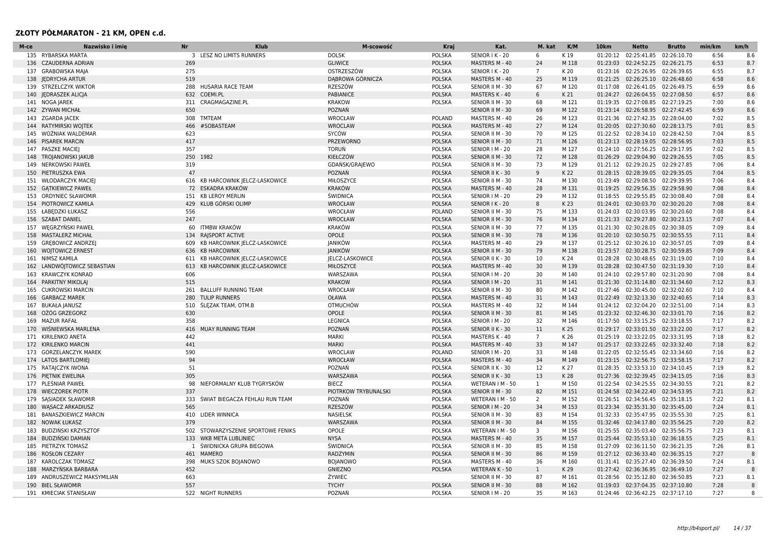| М-се       | Nazwisko i imie             | Nr           | <b>Klub</b>                        | M-scowość                   | <b>Kraj</b>             | Kat.                  | M. kat         | K/M   | 10 <sub>km</sub> | Netto                            | <b>Brutto</b> | min/km | km/h          |
|------------|-----------------------------|--------------|------------------------------------|-----------------------------|-------------------------|-----------------------|----------------|-------|------------------|----------------------------------|---------------|--------|---------------|
| 135        | RYBARSKA MARTA              |              | 3 LESZ NO LIMITS RUNNERS           | <b>DOLSK</b>                | <b>POLSKA</b>           | SENIOR I K - 20       | 6              | K19   | 01:20:12         | 02:25:41.85                      | 02:26:10.70   | 6:56   | 8.6           |
| 136        | <b>CZAUDERNA ADRIAN</b>     | 269          |                                    | <b>GLIWICE</b>              | <b>POLSKA</b>           | MASTERS M - 40        | 24             | M 118 | 01:23:03         | 02:24:52.25                      | 02:26:21.75   | 6:53   | 8.7           |
| 137        | <b>GRABOWSKA MAJA</b>       | 275          |                                    | OSTRZESZÓW                  | <b>POLSKA</b>           | SENIOR I K - 20       | $\overline{7}$ | K 20  | 01:23:16         | 02:25:26.95                      | 02:26:39.65   | 6:55   | 8.7           |
| 138        | <b>IEDRYCHA ARTUR</b>       | 519          |                                    | DABROWA GÓRNICZA            | <b>POLSKA</b>           | MASTERS M - 40        | 25             | M 119 | 01:21:25         | 02:26:25.10                      | 02:26:48.60   | 6:58   | 8.6           |
|            | 139 STRZELCZYK WIKTOR       |              | 288 HUSARIA RACE TEAM              | RZESZÓW                     | <b>POLSKA</b>           | SENIOR II M - 30      | 67             | M 120 |                  | 01:17:08 02:26:41.05             | 02:26:49.75   | 6:59   | 8.6           |
| 140        | JEDRASZEK ALICJA            | 632          | COEMI.PL                           | PABIANICE                   | <b>POLSKA</b>           | MASTERS K - 40        | 6              | K 21  |                  | 01:24:27 02:26:04.55             | 02:27:08.50   | 6:57   | 8.6           |
|            | 141 NOGA JAREK              | 311          | CRAGMAGAZINE.PL                    | <b>KRAKOW</b>               | <b>POLSKA</b>           | SENIOR II M - 30      | 68             | M 121 | 01:19:35         | 02:27:08.85                      | 02:27:19.25   | 7:00   | 8.6           |
|            | 142 ZYWAN MICHAŁ            | 650          |                                    | POZNAŃ                      |                         | SENIOR II M - 30      | 69             | M 122 |                  | 01:23:14 02:26:58.95             | 02:27:42.45   | 6:59   | 8.6           |
| 143        | <b>ZGARDA JACEK</b>         | 308          | TMTEAM                             | WROCŁAW                     | <b>POLAND</b>           | MASTERS M - 40        | 26             | M 123 | 01:21:36         | 02:27:42.35                      | 02:28:04.00   | 7:02   | 8.5           |
| 144        | RATYMIRSKI WOJTEK           | 466          | #SOBASTEAM                         | <b>WROCLAW</b>              | <b>POLSKA</b>           | MASTERS M - 40        | 27             | M 124 | 01:20:05         | 02:27:30.60                      | 02:28:13.75   | 7:01   | 8.5           |
| 145        | WOŻNIAK WALDEMAR            | 623          |                                    | SYCÓW                       | <b>POLSKA</b>           | SENIOR II M - 30      | 70             | M 125 | 01:22:52         | 02:28:34.10                      | 02:28:42.50   | 7:04   | 8.5           |
| 146        | <b>PISAREK MARCIN</b>       | 417          |                                    | PRZEWORNO                   | <b>POLSKA</b>           | SENIOR II M - 30      | 71             | M 126 |                  | 01:23:13 02:28:19.05             | 02:28:56.95   | 7:03   | 8.5           |
| 147        | <b>PASZKE MACIEJ</b>        | 357          |                                    | TORUŃ                       | POLSKA                  | SENIOR   M - 20       | 28             | M 127 | 01:24:10         | 02:27:56.25                      | 02:29:17.95   | 7:02   | 8.5           |
| 148        | TROJANOWSKI JAKUB           | 250          | 1982                               | KIEŁCZÓW                    | <b>POLSKA</b>           | SENIOR II M - 30      | 72             | M 128 | 01:26:29         | 02:29:04.90                      | 02:29:26.55   | 7:05   | 8.5           |
| 149        | <b>NERKOWSKI PAWEŁ</b>      | 319          |                                    | GDAŃSK/GRAJEWO              | POLSKA                  | SENIOR II M - 30      | 73             | M 129 |                  | 01:21:12 02:29:20.25             | 02:29:27.85   | 7:06   | 8.4           |
| 150        | PIETRUSZKA EWA              | 47           |                                    | POZNAŃ                      | <b>POLSKA</b>           | SENIOR II K - 30      | 9              | K 22  |                  | 01:28:15 02:28:39.05 02:29:35.05 |               | 7:04   | 8.5           |
| 151        | <b>WŁODARCZYK MACIE</b>     | 616          | KB HARCOWNIK JELCZ-LASKOWICE       | MIŁOSZYCE                   | <b>POLSKA</b>           | SENIOR II M - 30      | 74             | M 130 |                  | 01:23:49 02:29:08.50             | 02:29:39.95   | 7:06   | 8.4           |
|            | 152 GATKIEWICZ PAWEŁ        |              | 72 ESKADRA KRAKÓW                  | <b>KRAKÓW</b>               | <b>POLSKA</b>           | MASTERS M - 40        | 28             | M 131 |                  | 01:19:25 02:29:56.35 02:29:58.90 |               | 7:08   | 8.4           |
| 153        | <b>ORDYNIEC SŁAWOMIR</b>    | 151          | <b>KB LEROY MERLIN</b>             | <b>ŚWIDNICA</b>             | <b>POLSKA</b>           | SENIOR   M - 20       | 29             | M 132 | 01:18:55         | 02:29:55.85                      | 02:30:08.40   | 7:08   | 8.4           |
| 154        | PIOTROWICZ KAMILA           | 429          | KLUB GÓRSKI OLIMP                  | WROCŁAW                     | <b>POLSKA</b>           | SENIOR I K - 20       | 8              | K 23  |                  | 01:24:01 02:30:03.70             | 02:30:20.20   | 7:08   | 8.4           |
| 155        | ŁABĘDZKI ŁUKASZ             | 556          |                                    | WROCŁAW                     | <b>POLAND</b>           | SENIOR II M - 30      | 75             | M 133 | 01:24:03         | 02:30:03.95                      | 02:30:20.60   | 7:08   | 8.4           |
| 156        | <b>SZABAT DANIEL</b>        | 247          |                                    | WROCŁAW                     | <b>POLSKA</b>           | SENIOR II M - 30      | 76             | M 134 | 01:21:33         | 02:29:27.80                      | 02:30:23.15   | 7:07   | 8.4           |
| 157        | WĘGRZYŃSKI PAWEŁ            | 60           | <b>ITMBW KRAKÓW</b>                | <b>KRAKÓW</b>               | <b>POLSKA</b>           | SENIOR II M - 30      | 77             | M 135 |                  | 01:21:30 02:30:28.05             | 02:30:38.05   | 7:09   | 8.4           |
| 158        | <b>MASTALERZ MICHAŁ</b>     | 134          | <b>RAISPORT ACTIVE</b>             | OPOLE                       | <b>POLSKA</b>           | SENIOR II M - 30      | 78             | M 136 | 01:20:10         | 02:30:50.75                      | 02:30:55.55   | 7:11   | 8.4           |
| 159        | <b>GREBOWICZ ANDRZE</b>     | 609          | KB HARCOWNIK JELCZ-LASKOWICE       | JANIKÓW                     | POLSKA                  | MASTERS M - 40        | 29             | M 137 |                  | 01:25:12 02:30:26.10             | 02:30:57.05   | 7:09   | 8.4           |
| 160        | <b>WOITOWICZ ERNEST</b>     | 636          | <b>KB HARCOWNIK</b>                | <b>JANIKÓW</b>              | <b>POLSKA</b>           | SENIOR II M - 30      | 79             | M 138 | 01:23:57         | 02:30:28.75                      | 02:30:59.85   | 7:09   | 8.4           |
| 161        | NIMSZ KAMILA                | 611          | KB HARCOWNIK JELCZ-LASKOWICE       | JELCZ-LASKOWICE             | <b>POLSKA</b>           | SENIOR II K - 30      | 10             | K 24  | 01:28:28         | 02:30:48.65                      | 02:31:19.00   | 7:10   | 8.4           |
| 162        | LANDWÓJTOWICZ SEBASTIAN     | 613          | KB HARCOWNIK JELCZ-LASKOWICE       | MIŁOSZYCE                   | <b>POLSKA</b>           | MASTERS M - 40        | 30             | M 139 | 01:28:28         | 02:30:47.50                      | 02:31:19.30   | 7:10   | 8.4           |
| 163        | <b>KRAWCZYK KONRAD</b>      | 606          |                                    | WARSZAWA                    | POLSKA                  | SENIOR   M - 20       | 30             | M 140 | 01:24:10         | 02:29:57.80                      | 02:31:20.90   | 7:08   | 8.4           |
| 164        | PARKITNY MIKOLAJ            | 515          |                                    | <b>KRAKOW</b>               | <b>POLSKA</b>           | SENIOR   M - 20       | 31             | M 141 | 01:21:30         | 02:31:14.80                      | 02:31:34.60   | 7:12   | 8.3           |
| 165        | <b>CUKROWSKI MARCIN</b>     |              | 261 BALLUFF RUNNING TEAM           | WROCŁAW                     | <b>POLSKA</b>           | SENIOR II M - 30      | 80             | M 142 |                  | 01:27:46 02:30:45.00             | 02:32:02.60   | 7:10   | 8.4           |
| 166        | <b>GARBACZ MAREK</b>        | 280          | <b>TULIP RUNNERS</b>               | <b>OŁAWA</b>                | <b>POLSKA</b>           | MASTERS M - 40        | 31             | M 143 | 01:22:49         | 02:32:13.30                      | 02:32:40.65   | 7:14   | 8.3           |
| 167        | <b>BUKAŁA JANUSZ</b>        | 510          | ŚLĘZAK TEAM, OTM.B                 | <b>OTMUCHÓW</b>             | POLSKA                  | MASTERS M - 40        | 32             | M 144 |                  | 01:24:12 02:32:04.20             | 02:32:51.00   | 7:14   | 8.3           |
|            | 168 OŻÓG GRZEGORZ           | 630          |                                    | OPOLE                       | <b>POLSKA</b>           | SENIOR II M - 30      | 81             | M 145 |                  | 01:23:32 02:32:46.30             | 02:33:01.70   | 7:16   | 8.2           |
| 169        | <b>MAZUR RAFAŁ</b>          | 358          |                                    | LEGNICA                     | <b>POLSKA</b>           | SENIOR   M - 20       | 32             | M 146 | 01:17:50         | 02:33:15.25                      | 02:33:18.55   | 7:17   | 8.2           |
| 170        | WIŚNIEWSKA MARLENA          | 416          | MUAY RUNNING TEAM                  | POZNAŃ                      | <b>POLSKA</b>           | SENIOR II K - 30      | 11             | K 25  |                  | 01:29:17 02:33:01.50             | 02:33:22.00   | 7:17   | 8.2           |
|            | 171 KIRILENKO ANETA         | 442          |                                    | <b>MARKI</b>                | <b>POLSKA</b>           | MASTERS K - 40        | $\overline{7}$ | K 26  | 01:25:19         | 02:33:22.05                      | 02:33:31.95   | 7:18   | 8.2           |
| 172        | <b>KIRILENKO MARCIN</b>     | 441          |                                    | <b>MARKI</b>                | <b>POLSKA</b>           | MASTERS M - 40        | 33             | M 147 |                  | 01:25:17 02:33:22.65             | 02:33:32.40   | 7:18   | 8.2           |
| 173        | <b>GORZELANCZYK MAREK</b>   | 590          |                                    | <b>WROCLAW</b>              | POLAND                  | SENIOR   M - 20       | 33             | M 148 | 01:22:05         | 02:32:55.45                      | 02:33:34.60   | 7:16   | 8.2           |
|            | 174 LATOS BARTLOMIEI        | 94           |                                    | WROCŁAW                     | <b>POLSKA</b>           | MASTERS M - 40        | 34             | M 149 | 01:23:15         | 02:32:56.75                      | 02:33:58.15   | 7:17   | 8.2           |
|            | 175 RATAJCZYK IWONA         | 51           |                                    | POZNAŃ                      | <b>POLSKA</b>           | SENIOR II K - 30      | 12             | K 27  |                  | 01:28:35 02:33:53.10 02:34:10.45 |               | 7:19   | 8.2           |
| 176        | PIETNIK EWELINA             | 305          |                                    | WARSZAWA                    | <b>POLSKA</b>           | SENIOR II K - 30      | 13             | K 28  |                  | 01:27:36 02:32:39.45             | 02:34:15.05   | 7:16   | 8.3           |
| 177        | PLEŚNIAR PAWEŁ              | 98           | NIEFORMALNY KLUB TYGRYSKÓW         | <b>BIECZ</b>                | POLSKA                  | WETERAN I M - 50      | 1              | M 150 | 01:22:54         | 02:34:25.55                      | 02:34:30.55   | 7:21   | 8.2           |
| 178        | <b>WIECZOREK PIOTR</b>      | 337          |                                    | PIOTRKOW TRYBUNALSKI        | <b>POLSKA</b>           | SENIOR II M - 30      | 82             | M 151 | 01:24:58         | 02:34:22.40                      | 02:34:53.95   | 7:21   | 8.2           |
| 179        | SASIADEK SŁAWOMIR           | 333          | ŚWIAT BIEGACZA FEHLAU RUN TEAM     | POZNAŃ                      | POLSKA                  | WETERAN I M - 50      | $\overline{2}$ | M 152 |                  | 01:26:51 02:34:56.45             | 02:35:18.15   | 7:22   | 8.1           |
| 180        | WĄSACZ ARKADIUSZ            | 565          |                                    | RZESZÓW                     | <b>POLSKA</b>           | SENIOR   M - 20       | 34             | M 153 | 01:23:34         | 02:35:31.30                      | 02:35:45.00   | 7:24   | 8.1           |
| 181        | <b>BANASZKIEWICZ MARCIN</b> | 410          | LIDER WINNICA                      | <b>NASIELSK</b>             | <b>POLSKA</b>           | SENIOR II M - 30      | 83             | M 154 |                  | 01:32:33 02:35:47.95             | 02:35:55.30   | 7:25   | 8.1           |
| 182        | <b>NOWAK ŁUKASZ</b>         | 379          |                                    | WARSZAWA                    | <b>POLSKA</b>           | SENIOR II M - 30      | 84             | M 155 |                  | 01:32:46 02:34:17.80             | 02:35:56.25   | 7:20   | 8.2           |
| 183        | <b>BUDZINSKI KRZYSZTOF</b>  |              | 502 STOWARZYSZENIE SPORTOWE FENIKS | OPOLE                       | <b>POLSKA</b>           | WETERAN I M - 50      | $\overline{3}$ | M 156 |                  | 01:25:55 02:35:03.40             | 02:35:56.75   | 7:23   | 8.1           |
| 184        | BUDZIŃSKI DAMIAN            | 133          | WKB META LUBLINIEC                 | <b>NYSA</b>                 | <b>POLSKA</b>           | MASTERS M - 40        | 35             | M 157 |                  | 01:25:44 02:35:53.10             | 02:36:18.55   | 7:25   | 8.1           |
|            | PIETRZYK TOMASZ             | $\mathbf{1}$ | ŚWIDNICKA GRUPA BIEGOWA            |                             |                         | SENIOR II M - 30      | 85             | M 158 | 01:27:09         | 02:36:11.50                      | 02:36:21.35   | 7:26   | 8.1           |
| 185<br>186 | <b>ROSŁON CEZARY</b>        | 461          | MAMERO                             | <b>ŚWIDNICA</b><br>RADZYMIN | POLSKA<br><b>POLSKA</b> | SENIOR II M - 30      | 86             | M 159 |                  | 01:27:12 02:36:33.40             | 02:36:35.15   | 7:27   | -8            |
| 187        | <b>KAROLCZAK TOMASZ</b>     | 398          | MUKS SZOK BOJANOWO                 | <b>BOJANOWO</b>             | <b>POLSKA</b>           | MASTERS M - 40        | 36             | M 160 |                  | 01:31:41 02:35:27.40             | 02:36:39.50   | 7:24   | 8.1           |
| 188        | MARZYŃSKA BARBARA           | 452          |                                    | <b>GNIEZNO</b>              | <b>POLSKA</b>           | <b>WETERAN K - 50</b> | $\mathbf{1}$   | K 29  |                  | 01:27:42 02:36:36.95             | 02:36:49.10   | 7:27   | $\mathcal{R}$ |
| 189        | ANDRUSZEWICZ MAKSYMILIAN    | 663          |                                    | ŻYWIEC                      |                         | SENIOR II M - 30      | 87             | M 161 |                  | 01:28:56 02:35:12.80             | 02:36:50.85   | 7:23   | 8.1           |
| 190        | <b>BIEL SŁAWOMIR</b>        | 557          |                                    | <b>TYCHY</b>                | <b>POLSKA</b>           | SENIOR II M - 30      | 88             | M 162 |                  | 01:19:03 02:37:04.35 02:37:10.80 |               | 7:28   | 8             |
|            | 191 KMIECIAK STANISŁAW      |              | 522 NIGHT RUNNERS                  | POZNAŃ                      | <b>POLSKA</b>           | SENIOR   M - 20       | 35             | M 163 |                  |                                  |               | 7:27   | 8             |
|            |                             |              |                                    |                             |                         |                       |                |       |                  | 01:24:46 02:36:42.25 02:37:17.10 |               |        |               |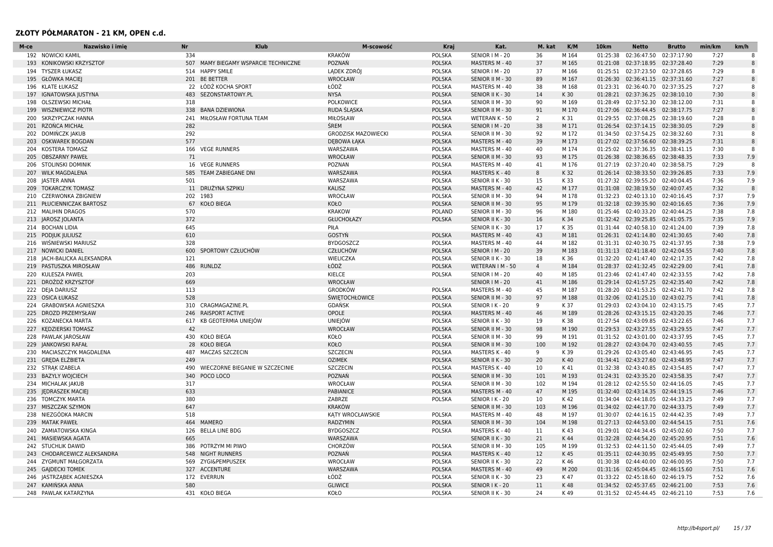| М-се | Nazwisko i imie           | Nr  | Klub                                 | M-scowość                  | Kraj          | Kat.             | M. kat         | K/M   | 10 <sub>km</sub> | Netto                            | <b>Brutto</b> | min/km | km/h         |
|------|---------------------------|-----|--------------------------------------|----------------------------|---------------|------------------|----------------|-------|------------------|----------------------------------|---------------|--------|--------------|
|      | 192 NOWICKI KAMIL         | 334 |                                      | <b>KRAKÓW</b>              | <b>POLSKA</b> | SENIOR   M - 20  | 36             | M 164 | 01:25:38         | 02:36:47.50                      | 02:37:17.90   | 7:27   | 8            |
|      | 193 KONIKOWSKI KRZYSZTOF  |     | 507 MAMY BIEGAMY WSPARCIE TECHNICZNE | POZNAŃ                     | <b>POLSKA</b> | MASTERS M - 40   | 37             | M 165 | 01:21:08         | 02:37:18.95                      | 02:37:28.40   | 7:29   |              |
| 194  | <b>TYSZER ŁUKASZ</b>      | 514 | <b>HAPPY SMILE</b>                   | LADEK ZDRÓJ                | <b>POLSKA</b> | SENIOR   M - 20  | 37             | M 166 | 01:25:51         | 02:37:23.50                      | 02:37:28.65   | 7:29   | 8            |
| 195  | <b>GŁÓWKA MACIEJ</b>      |     | 201 BE BETTER                        | <b>WROCŁAW</b>             | <b>POLSKA</b> | SENIOR II M - 30 | 89             | M 167 | 01:26:30         | 02:36:41.15                      | 02:37:31.60   | 7:27   | 8            |
|      | 196 KLATE ŁUKASZ          |     | 22 ŁÓDŹ KOCHA SPORT                  | ŁÓDŹ                       | <b>POLSKA</b> | MASTERS M - 40   | 38             | M 168 |                  | 01:23:31 02:36:40.70 02:37:35.25 |               | 7:27   | 8            |
| 197  | <b>IGNATOWSKA JUSTYNA</b> | 483 | SEZONSTARTOWY.PL                     | <b>NYSA</b>                | <b>POLSKA</b> | SENIOR II K - 30 | 14             | K 30  |                  | 01:28:21 02:37:36.25             | 02:38:10.10   | 7:30   | 8            |
| 198  | <b>OLSZEWSKI MICHAŁ</b>   | 318 |                                      | <b>POLKOWICE</b>           | <b>POLSKA</b> | SENIOR II M - 30 | 90             | M 169 | 01:28:49         | 02:37:52.30                      | 02:38:12.00   | 7:31   | 8            |
| 199  | <b>WISZNIEWICZ PIOTR</b>  | 338 | <b>BANA DZIEWIONA</b>                | RUDA ŚLĄSKA                | <b>POLSKA</b> | SENIOR II M - 30 | 91             | M 170 |                  | 01:27:06 02:36:44.45             | 02:38:17.75   | 7:27   | 8            |
| 200  | <b>SKRZYPCZAK HANNA</b>   | 241 | MIŁOSŁAW FORTUNA TEAM                | MIŁOSŁAW                   | <b>POLSKA</b> | WETERAN K - 50   | 2              | K 31  | 01:29:55         | 02:37:08.25                      | 02:38:19.60   | 7:28   | $\mathbf{a}$ |
| 201  | RZOŃCA MICHAŁ             | 282 |                                      | <b>ŚREM</b>                | <b>POLSKA</b> | SENIOR   M - 20  | 38             | M 171 | 01:26:54         | 02:37:14.15                      | 02:38:30.05   | 7:29   | 8            |
|      | 202 DOMINCZK JAKUB        | 292 |                                      | <b>GRODZISK MAZOWIECKI</b> | <b>POLSKA</b> | SENIOR II M - 30 | 92             | M 172 | 01:34:50         | 02:37:54.25                      | 02:38:32.60   | 7:31   | 8            |
| 203  | <b>OSKWAREK BOGDAN</b>    | 577 |                                      | <b>DEBOWA ŁAKA</b>         | <b>POLSKA</b> | MASTERS M - 40   | 39             | M 173 |                  | 01:27:02 02:37:56.60             | 02:38:39.25   | 7:31   | 8            |
| 204  | <b>KOSTERA TOMASZ</b>     | 166 | <b>VEGE RUNNERS</b>                  | WARSZAWA                   | <b>POLSKA</b> | MASTERS M - 40   | 40             | M 174 | 01:25:02         | 02:37:36.35                      | 02:38:41.15   | 7:30   | 8            |
| 205  | <b>OBSZARNY PAWEŁ</b>     | 71  |                                      | <b>WROCŁAW</b>             | <b>POLSKA</b> | SENIOR II M - 30 | 93             | M 175 |                  | 01:26:38 02:38:36.65             | 02:38:48.35   | 7:33   | 7.9          |
| 206  | STOLINSKI DOMINIK         |     | 16 VEGE RUNNERS                      | POZNAN                     | <b>POLSKA</b> | MASTERS M - 40   | 41             | M 176 |                  | 01:27:19 02:37:20.40             | 02:38:58.75   | 7:29   | 8            |
| 207  | <b>WILK MAGDALENA</b>     | 585 | <b>TEAM ZABIEGANE DNI</b>            | WARSZAWA                   | <b>POLSKA</b> | MASTERS K - 40   | 8              | K 32  |                  | 01:26:14 02:38:33.50             | 02:39:26.85   | 7:33   | 7.9          |
| 208  | JASTER ANNA               | 501 |                                      | WARSZAWA                   | <b>POLSKA</b> | SENIOR II K - 30 | 15             | K 33  |                  | 01:27:32 02:39:55.20             | 02:40:04.45   | 7:36   | 7.9          |
|      | 209 TOKARCZYK TOMASZ      |     | 11 DRUŻYNA SZPIKU                    | <b>KALISZ</b>              | <b>POLSKA</b> | MASTERS M - 40   | 42             | M 177 |                  | 01:31:08 02:38:19.50             | 02:40:07.45   | 7:32   | 8            |
| 210  | CZERWONKA ZBIGNIEW        |     | 202 1983                             | WROCŁAW                    | <b>POLSKA</b> | SENIOR II M - 30 | 94             | M 178 | 01:32:23         | 02:40:13.10                      | 02:40:16.45   | 7:37   | 7.9          |
| 211  | PŁUCIENNICZAK BARTOSZ     | 67  | <b>KOŁO BIEGA</b>                    | KOŁO                       | <b>POLSKA</b> | SENIOR II M - 30 | 95             | M 179 |                  | 01:32:18 02:39:35.90             | 02:40:16.65   | 7:36   | 7.9          |
| 212  | <b>MALIHIN DRAGOS</b>     | 570 |                                      | <b>KRAKOW</b>              | <b>POLAND</b> | SENIOR II M - 30 | 96             | M 180 | 01:25:46         | 02:40:33.20                      | 02:40:44.25   | 7:38   | 7.8          |
|      | 213 JAROSZ JOLANTA        | 372 |                                      | GŁUCHOŁAZY                 | <b>POLSKA</b> | SENIOR II K - 30 | 16             | K 34  |                  | 01:32:42 02:39:25.85             | 02:41:05.75   | 7:35   | 7.9          |
|      | 214 BOCHAN LIDIA          | 645 |                                      | PIŁA                       |               | SENIOR II K - 30 | 17             | K 35  |                  | 01:31:44 02:40:58.10             | 02:41:24.00   | 7:39   | 7.8          |
|      | 215 PODJUK JULIUSZ        | 610 |                                      | <b>GOSTYN</b>              | <b>POLSKA</b> | MASTERS M - 40   | 43             | M 181 |                  | 01:26:31 02:41:14.80             | 02:41:30.65   | 7:40   | 7.8          |
|      | 216 WIŚNIEWSKI MARIUSZ    | 328 |                                      | <b>BYDGOSZCZ</b>           | <b>POLSKA</b> | MASTERS M - 40   | 44             | M 182 |                  | 01:31:31 02:40:30.75             | 02:41:37.95   | 7:38   | 7.9          |
| 217  | <b>NOWICKI DANIEL</b>     | 600 | SPORTOWY CZŁUCHÓW                    | <b>CZŁUCHÓW</b>            | <b>POLSKA</b> | SENIOR   M - 20  | 39             | M 183 |                  | 01:31:13 02:41:18.40             | 02:42:04.55   | 7:40   | 7.8          |
| 218  | JACH-BALICKA ALEKSANDRA   | 121 |                                      | WIELICZKA                  | <b>POLSKA</b> | SENIOR II K - 30 | 18             | K 36  | 01:32:20         | 02:41:47.40                      | 02:42:17.35   | 7:42   | 7.8          |
| 219  | PASTUSZKA MIROSŁAW        | 486 | <b>RUNLDZ</b>                        | ŁÓDŹ                       | <b>POLSKA</b> | WETERAN I M - 50 | $\overline{4}$ | M 184 | 01:28:37         | 02:41:32.45                      | 02:42:29.00   | 7:41   | 7.8          |
| 220  | KULESZA PAWEŁ             | 203 |                                      | <b>KIELCE</b>              | <b>POLSKA</b> | SENIOR   M - 20  | 40             | M 185 | 01:23:46         | 02:41:47.40                      | 02:42:33.55   | 7:42   | 7.8          |
|      | 221 DROŻDŻ KRZYSZTOF      | 669 |                                      | <b>WROCŁAW</b>             |               | SENIOR I M - 20  | 41             | M 186 |                  | 01:29:14 02:41:57.25             | 02:42:35.40   | 7:42   | 7.8          |
|      | 222 DEJA DARIUSZ          | 113 |                                      | <b>GRODKÓW</b>             | <b>POLSKA</b> | MASTERS M - 40   | 45             | M 187 | 01:28:20         | 02:41:53.25                      | 02:42:41.70   | 7:42   | 7.8          |
| 223  | <b>OSICA ŁUKASZ</b>       | 528 |                                      | <b>ŚWIETOCHŁOWICE</b>      | <b>POLSKA</b> | SENIOR II M - 30 | 97             | M 188 |                  | 01:32:06 02:41:25.10             | 02:43:02.75   | 7:41   | 7.8          |
| 224  | GRABOWSKA AGNIESZKA       | 310 | CRAGMAGAZINE.PL                      | <b>GDAŃSK</b>              | <b>POLSKA</b> | SENIOR I K - 20  | 9              | K 37  |                  | 01:29:03 02:43:04.10             | 02:43:15.75   | 7:45   | 7.7          |
|      | 225 DROZD PRZEMYSŁAW      | 246 | <b>RAISPORT ACTIVE</b>               | OPOLE                      | <b>POLSKA</b> | MASTERS M - 40   | 46             | M 189 |                  | 01:28:26 02:43:15.15 02:43:20.35 |               | 7:46   | 7.7          |
| 226  | KOZANECKA MARTA           | 617 | KB GEOTERMIA UNIEJÓW                 | UNIEJÓW                    | <b>POLSKA</b> | SENIOR II K - 30 | 19             | K 38  |                  | 01:27:54 02:43:09.85             | 02:43:22.65   | 7:46   | 7.7          |
| 227  | <b>KEDZIERSKI TOMASZ</b>  | 42  |                                      | <b>WROCŁAW</b>             | <b>POLSKA</b> | SENIOR II M - 30 | 98             | M 190 |                  | 01:29:53 02:43:27.55             | 02:43:29.55   | 7:47   | 7.7          |
|      | 228 PAWLAK JAROSŁAW       | 430 | KOŁO BIEGA                           | KOŁO                       | <b>POLSKA</b> | SENIOR II M - 30 | 99             | M 191 |                  | 01:31:52 02:43:01.00             | 02:43:37.95   | 7:45   | 7.7          |
| 229  | <b>JANKOWSKI RAFAŁ</b>    | 28  | <b>KOŁO BIEGA</b>                    | KOŁO                       | <b>POLSKA</b> | SENIOR II M - 30 | 100            | M 192 | 01:28:27         | 02:43:04.70                      | 02:43:40.55   | 7:45   | 7.7          |
| 230  | MACIASZCZYK MAGDALENA     | 487 | MACZAS SZCZECIN                      | <b>SZCZECIN</b>            | <b>POLSKA</b> | MASTERS K - 40   | 9              | K 39  | 01:29:26         | 02:43:05.40                      | 02:43:46.95   | 7:45   | 7.7          |
|      | 231 GREDA ELZBIETA        | 249 |                                      | <b>OZIMEK</b>              | <b>POLSKA</b> | SENIOR II K - 30 | 20             | K40   |                  | 01:34:41 02:43:27.60             | 02:43:48.95   | 7:47   | 7.7          |
|      | 232 STRAK IZABELA         | 490 | WIECZORNE BIEGANIE W SZCZECINIE      | <b>SZCZECIN</b>            | <b>POLSKA</b> | MASTERS K - 40   | 10             | K 41  | 01:32:38         | 02:43:40.85                      | 02:43:54.85   | 7:47   | 7.7          |
|      | 233 BAZYLY WOJCIECH       | 340 | POCO LOCO                            | POZNAŃ                     | <b>POLSKA</b> | SENIOR II M - 30 | 101            | M 193 |                  | 01:24:31 02:43:35.20             | 02:43:58.35   | 7:47   | 7.7          |
|      | 234 MICHALAK JAKUB        | 317 |                                      | WROCŁAW                    | <b>POLSKA</b> | SENIOR II M - 30 | 102            | M 194 |                  | 01:28:12 02:42:55.50             | 02:44:16.05   | 7:45   | 7.7          |
| 235  | <b>IEDRASZEK MACIE</b>    | 633 |                                      | <b>PABIANICE</b>           | <b>POLSKA</b> | MASTERS M - 40   | 47             | M 195 |                  | 01:32:40 02:43:14.35             | 02:44:19.15   | 7:46   | 7.7          |
|      | 236 TOMCZYK MARTA         | 380 |                                      | ZABRZE                     | <b>POLSKA</b> | SENIOR I K - 20  | 10             | K42   | 01:34:04         | 02:44:18.05                      | 02:44:33.25   | 7:49   | 7.7          |
| 237  | MISZCZAK SZYMON           | 647 |                                      | <b>KRAKÓW</b>              |               | SENIOR II M - 30 | 103            | M 196 | 01:34:02         | 02:44:17.70                      | 02:44:33.75   | 7:49   | 7.7          |
|      | 238 NIEZGÓDKA MARCIN      | 518 |                                      | KATY WROCŁAWSKIE           | <b>POLSKA</b> | MASTERS M - 40   | 48             | M 197 | 01:30:07         | 02:44:16.15                      | 02:44:42.35   | 7:49   | 7.7          |
| 239  | <b>MATAK PAWEŁ</b>        | 464 | <b>MAMERO</b>                        | RADZYMIN                   | <b>POLSKA</b> | SENIOR II M - 30 | 104            | M 198 |                  | 01:27:13 02:44:53.00             | 02:44:54.15   | 7:51   | 7.6          |
| 240  | ZAMIATOWSKA KINGA         | 126 | <b>BELLA LINE BDG</b>                | <b>BYDGOSZCZ</b>           | <b>POLSKA</b> | MASTERS K - 40   | 11             | K43   | 01:29:01         | 02:44:34.45                      | 02:45:02.60   | 7:50   | 7.7          |
| 241  | MASIEWSKA AGATA           | 665 |                                      | WARSZAWA                   |               | SENIOR II K - 30 | 21             | K 44  |                  | 01:32:28 02:44:54.20             | 02:45:20.95   | 7:51   | 7.6          |
|      | 242 STUCHLIK DAWID        | 386 | POTRZYM MI PIWO                      | CHORZÓW                    | <b>POLSKA</b> | SENIOR II M - 30 | 105            | M 199 |                  | 01:32:53 02:44:11.50             | 02:45:44.05   | 7:49   | 7.7          |
| 243  | CHODARCEWICZ ALEKSANDRA   | 548 | <b>NIGHT RUNNERS</b>                 | POZNAŃ                     | <b>POLSKA</b> | MASTERS K - 40   | 12             | K 45  |                  | 01:35:11 02:44:30.95 02:45:49.95 |               | 7:50   | 7.7          |
| 244  | ZYGMUNT MAŁGORZATA        |     | 569 ZYGI&PEMPUSZEK                   | WROCŁAW                    | <b>POLSKA</b> | SENIOR II K - 30 | 22             | K 46  |                  | 01:30:38 02:44:40.00             | 02:46:00.95   | 7:50   | 7.7          |
| 245  | <b>GAIDECKI TOMEK</b>     |     | 327 ACCENTURE                        | WARSZAWA                   | <b>POLSKA</b> | MASTERS M - 40   | 49             | M 200 |                  | 01:31:16 02:45:04.45 02:46:15.60 |               | 7:51   | 7.6          |
|      | 246 JASTRZĄBEK AGNIESZKA  |     | 172 EVERRUN                          | ŁÓDŹ                       | <b>POLSKA</b> | SENIOR II K - 30 | 23             | K 47  |                  | 01:33:22 02:45:18.60             | 02:46:19.75   | 7:52   | 7.6          |
|      | 247 KAMINSKA ANNA         | 580 |                                      | <b>GLIWICE</b>             | <b>POLSKA</b> | SENIOR I K - 20  | 11             | K48   |                  | 01:34:52 02:45:37.65 02:46:21.00 |               | 7:53   | 7.6          |
|      | 248 PAWLAK KATARZYNA      |     | 431 KOŁO BIEGA                       | KOŁO                       | <b>POLSKA</b> | SENIOR II K - 30 | 24             | K49   |                  | 01:31:52 02:45:44.45 02:46:21.10 |               | 7:53   | 7.6          |
|      |                           |     |                                      |                            |               |                  |                |       |                  |                                  |               |        |              |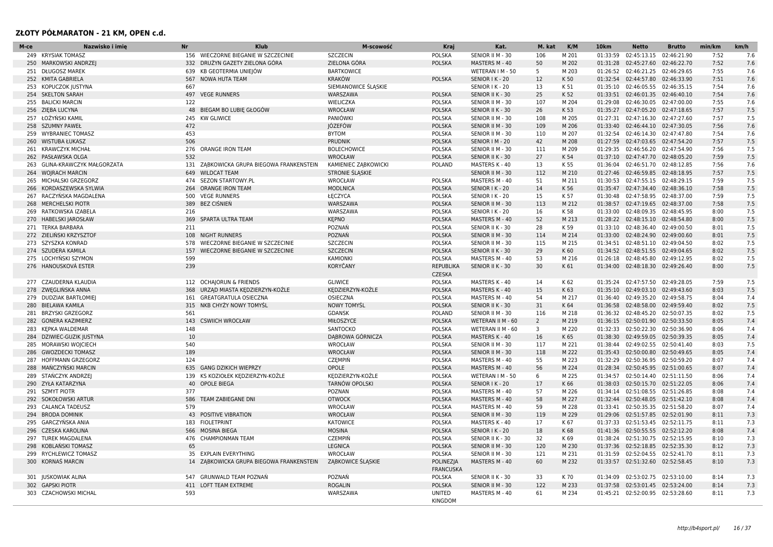| M-ce | Nazwisko i imie           | <b>Nr</b> | <b>Klub</b>                               | M-scowość             | <b>Krai</b>                       | Kat.              | M. kat         | K/M   | 10 <sub>km</sub> | <b>Netto</b>                     | <b>Brutto</b> | min/km | km/h |
|------|---------------------------|-----------|-------------------------------------------|-----------------------|-----------------------------------|-------------------|----------------|-------|------------------|----------------------------------|---------------|--------|------|
| 249  | <b>KRYSIAK TOMASZ</b>     | 156       | WIECZORNE BIEGANIE W SZCZECINIE           | <b>SZCZECIN</b>       | <b>POLSKA</b>                     | SENIOR II M - 30  | 106            | M 201 | 01:33:59         | 02:45:13.15                      | 02:46:21.90   | 7:52   | 7.6  |
| 250  | <b>MARKOWSKI ANDRZE</b>   | 332       | DRUŻYN GAZETY ZIELONA GÓRA                | ZIELONA GÓRA          | <b>POLSKA</b>                     | MASTERS M - 40    | 50             | M 202 | 01:31:28         | 02:45:27.60                      | 02:46:22.70   | 7:52   | 7.6  |
| 251  | <b>DŁUGOSZ MAREK</b>      | 639       | KB GEOTERMIA UNIEJÓW                      | <b>BARTKOWICE</b>     |                                   | WETERAN I M - 50  | 5              | M 203 | 01:26:52         | 02:46:21.25                      | 02:46:29.65   | 7:55   | 7.6  |
| 252  | KMITA GABRIELA            | 567       | NOWA HUTA TEAM                            | <b>KRAKÓW</b>         | <b>POLSKA</b>                     | SENIOR I K - 20   | 12             | K 50  | 01:32:54         | 02:44:57.80                      | 02:46:33.90   | 7:51   | 7.6  |
| 253  | KOPUCZOK JUSTYNA          | 667       |                                           | SIEMIANOWICE SLASKIE  |                                   | SENIOR I K - 20   | 13             | K 51  | 01:35:10         | 02:46:05.55 02:46:35.15          |               | 7:54   | 7.6  |
| 254  | <b>SKELTON SARAH</b>      | 497       | <b>VEGE RUNNERS</b>                       | WARSZAWA              | <b>POLSKA</b>                     | SENIOR II K - 30  | 25             | K 52  |                  | 01:33:51 02:46:01.35 02:46:40.10 |               | 7:54   | 7.6  |
| 255  | <b>BALICKI MARCIN</b>     | 122       |                                           | WIELICZKA             | <b>POLSKA</b>                     | SENIOR II M - 30  | 107            | M 204 | 01:29:08         | 02:46:30.05                      | 02:47:00.00   | 7:55   | 7.6  |
|      | 256 ZIEBA LUCYNA          |           | 48 BIEGAM BO LUBIE GŁOGÓW                 | WROCŁAW               | <b>POLSKA</b>                     | SENIOR II K - 30  | 26             | K 53  | 01:35:27         | 02:47:05.20                      | 02:47:18.65   | 7:57   | 7.5  |
| 257  | ŁOŻYŃSKI KAMIL            | 245       | <b>KW GLIWICE</b>                         | PANIÓWKI              | <b>POLSKA</b>                     | SENIOR II M - 30  | 108            | M 205 |                  | 01:27:31 02:47:16.30 02:47:27.60 |               | 7:57   | 7.5  |
| 258  | <b>SZUMNY PAWEŁ</b>       | 472       |                                           | JÓZEFÓW               | <b>POLSKA</b>                     | SENIOR II M - 30  | 109            | M 206 | 01:33:40         | 02:46:44.10 02:47:30.05          |               | 7:56   | 7.6  |
| 259  | <b>WYBRANIEC TOMASZ</b>   | 453       |                                           | <b>BYTOM</b>          | <b>POLSKA</b>                     | SENIOR II M - 30  | 110            | M 207 | 01:32:54         | 02:46:14.30                      | 02:47:47.80   | 7:54   | 7.6  |
| 260  | <b>WISTUBA ŁUKASZ</b>     | 506       |                                           | <b>PRUDNIK</b>        | <b>POLSKA</b>                     | SENIOR   M - 20   | 42             | M 208 |                  | 01:27:59 02:47:03.65 02:47:54.20 |               | 7:57   | 7.5  |
|      | 261 KRAWCZYK MICHAŁ       | 276       | ORANGE IRON TEAM                          | <b>BOLECHOWICE</b>    | <b>POLSKA</b>                     | SENIOR II M - 30  | 111            | M 209 | 01:29:35         | 02:46:56.20 02:47:54.90          |               | 7:56   | 7.5  |
| 262  | PASŁAWSKA OLGA            | 532       |                                           | WROCŁAW               | <b>POLSKA</b>                     | SENIOR II K - 30  | 27             | K 54  | 01:37:10         | 02:47:47.70 02:48:05.20          |               | 7:59   | 7.5  |
| 263  | GLINA-KRAWCZYK MAŁGORZATA |           | 131 ZĄBKOWICKA GRUPA BIEGOWA FRANKENSTEIN | KAMIENIEC ZĄBKOWICKI  | POLAND                            | MASTERS K - 40    | 13             | K 55  | 01:36:04         | 02:46:51.70 02:48:12.85          |               | 7:56   | 7.6  |
| 264  | <b>WOIRACH MARCIN</b>     | 649       | <b>WILDCAT TEAM</b>                       | STRONIE SLASKIE       |                                   | SENIOR II M - 30  | 112            | M 210 | 01:27:46         | 02:46:59.85 02:48:18.95          |               | 7:57   | 7.5  |
| 265  | MICHALSKI GRZEGORZ        |           | 474 SEZON STARTOWY.PL                     | WROCŁAW               | <b>POLSKA</b>                     | MASTERS M - 40    | 51             | M 211 | 01:30:53         | 02:47:55.15 02:48:29.15          |               | 7:59   | 7.5  |
| 266  | KORDASZEWSKA SYLWIA       | 264       | <b>ORANGE IRON TEAM</b>                   | <b>MODLNICA</b>       | <b>POLSKA</b>                     | SENIOR I K - 20   | 14             | K 56  | 01:35:47         | 02:47:34.40 02:48:36.10          |               | 7:58   | 7.5  |
| 267  | RACZYŃSKA MAGDALENA       | 500       | <b>VEGE RUNNERS</b>                       | ŁĘCZYCA               | <b>POLSKA</b>                     | SENIOR I K - 20   | 15             | K 57  | 01:30:48         | 02:47:58.95 02:48:37.00          |               | 7:59   | 7.5  |
| 268  | <b>MERCHELSKI PIOTR</b>   | 389       | BEZ CIŚNIEŃ                               | WARSZAWA              | <b>POLSKA</b>                     | SENIOR II M - 30  | 113            | M 212 | 01:38:57         | 02:47:19.65 02:48:37.00          |               | 7:58   | 7.5  |
| 269  | RATKOWSKA IZABELA         | 216       |                                           | WARSZAWA              | <b>POLSKA</b>                     | SENIOR I K - 20   | 16             | K 58  | 01:33:00         | 02:48:09.35 02:48:45.95          |               | 8:00   | 7.5  |
| 270  | <b>HABELSKI JAROSŁAW</b>  | 369       | SPARTA ULTRA TEAM                         | <b>KEPNO</b>          | <b>POLSKA</b>                     | MASTERS M - 40    | 52             | M 213 | 01:28:22         | 02:48:15.10                      | 02:48:54.80   | 8:00   | 7.5  |
|      | 271 TERKA BARBARA         | 211       |                                           | POZNAŃ                | POLSKA                            | SENIOR II K - 30  | 28             | K 59  | 01:33:10         | 02:48:36.40                      | 02:49:00.50   | 8:01   | 7.5  |
|      | 272 ZIELIŃSKI KRZYSZTOF   | 108       | <b>NIGHT RUNNERS</b>                      | POZNAŃ                | <b>POLSKA</b>                     | SENIOR II M - 30  | 114            | M 214 | 01:33:00         | 02:48:24.90                      | 02:49:00.60   | 8:01   | 7.5  |
| 273  | SZYSZKA KONRAD            | 578       | WIECZORNE BIEGANIE W SZCZECINIE           | <b>SZCZECIN</b>       | <b>POLSKA</b>                     | SENIOR II M - 30  | 115            | M 215 |                  | 01:34:51 02:48:51.10             | 02:49:04.50   | 8:02   | 7.5  |
| 274  | SZUDERA KAMILA            | 157       | WIECZORNE BIEGANIE W SZCZECINIE           | <b>SZCZECIN</b>       | <b>POLSKA</b>                     | SENIOR II K - 30  | 29             | K 60  | 01:34:52         | 02:48:51.55                      | 02:49:04.65   | 8:02   | 7.5  |
| 275  | LOCHYŃSKI SZYMON          | 599       |                                           | <b>KAMIONKI</b>       | <b>POLSKA</b>                     | MASTERS M - 40    | 53             | M 216 | 01:26:18         | 02:48:45.80                      | 02:49:12.95   | 8:02   | 7.5  |
|      | 276 HANOUSKOVÁ ESTER      | 239       |                                           | <b>KORYCANY</b>       | <b>REPUBLIKA</b><br><b>CZESKA</b> | SENIOR II K - 30  | 30             | K 61  |                  | 01:34:00 02:48:18.30 02:49:26.40 |               | 8:00   | 7.5  |
| 277  | CZAUDERNA KLAUDIA         | 112       | <b>OCHAIORUN &amp; FRIENDS</b>            | <b>GLIWICE</b>        | <b>POLSKA</b>                     | MASTERS K - 40    | 14             | K 62  | 01:35:24         | 02:47:57.50                      | 02:49:28.05   | 7:59   | 7.5  |
|      | 278 ZWEGLIŃSKA ANNA       | 368       | URZĄD MIASTA KEDZIERZYN-KOŹLE             | KEDZIERZYN-KOŹLE      | <b>POLSKA</b>                     | MASTERS K - 40    | 15             | K 63  | 01:35:10         | 02:49:03.10                      | 02:49:43.60   | 8:03   | 7.5  |
|      | 279 DUDZIAK BARTŁOMIEJ    | 161       | <b>GREATGRATULA OSIECZNA</b>              | OSIECZNA              | <b>POLSKA</b>                     | MASTERS M - 40    | 54             | M 217 | 01:36:40         | 02:49:35.20 02:49:58.75          |               | 8:04   | 7.4  |
| 280  | <b>BIELAWA KAMILA</b>     | 315       | NKB CHYŻY NOWY TOMYŚL                     | <b>NOWY TOMYŚL</b>    | <b>POLSKA</b>                     | SENIOR II K - 30  | 31             | K 64  | 01:36:58         | 02:48:58.00                      | 02:49:59.40   | 8:02   | 7.5  |
|      | 281 BRZYSKI GRZEGORZ      | 561       |                                           | <b>GDANSK</b>         | <b>POLAND</b>                     | SENIOR II M - 30  | 116            | M 218 | 01:36:32         | 02:48:45.20 02:50:07.35          |               | 8:02   | 7.5  |
| 282  | <b>GONERA KAZIMIERZ</b>   | 143       | <b>CSWIICH WROCŁAW</b>                    | MIŁOSZYCE             | <b>POLSKA</b>                     | WETERAN II M - 60 | $\overline{2}$ | M 219 |                  | 01:36:15 02:50:01.90             | 02:50:33.50   | 8:05   | 7.4  |
| 283  | KEPKA WALDEMAR            | 148       |                                           | SANTOCKO              | <b>POLSKA</b>                     | WETERAN II M - 60 | $\overline{3}$ | M 220 |                  | 01:32:33 02:50:22.30 02:50:36.90 |               | 8:06   | 7.4  |
| 284  | DZIWIEC-GUZIK JUSTYNA     | 10        |                                           | DABROWA GÓRNICZA      | <b>POLSKA</b>                     | MASTERS K - 40    | 16             | K 65  |                  | 01:38:30 02:49:59.05 02:50:39.35 |               | 8:05   | 7.4  |
| 285  | MORAWSKI WOJCIECH         | 540       |                                           | WROCŁAW               | <b>POLSKA</b>                     | SENIOR II M - 30  | 117            | M 221 | 01:38:44         | 02:49:02.55 02:50:41.40          |               | 8:03   | 7.5  |
| 286  | <b>GWOZDECKI TOMASZ</b>   | 189       |                                           | WROCŁAW               | <b>POLSKA</b>                     | SENIOR II M - 30  | 118            | M 222 |                  | 01:35:43 02:50:00.80             | 02:50:49.65   | 8:05   | 7.4  |
| 287  | HOFFMANN GRZEGORZ         | 124       |                                           | <b>CZEMPIŃ</b>        | <b>POLSKA</b>                     | MASTERS M - 40    | 55             | M 223 |                  | 01:32:29 02:50:36.95 02:50:59.20 |               | 8:07   | 7.4  |
| 288  | <b>MANCZYNSKI MARCIN</b>  | 635       | <b>GANG DZIKICH WIEPRZY</b>               | OPOLE                 | <b>POLSKA</b>                     | MASTERS M - 40    | 56             | M 224 |                  | 01:28:34 02:50:45.95             | 02:51:00.65   | 8:07   | 7.4  |
| 289  | STAŃCZYK ANDRZEJ          | 139       | KS KOZIOŁEK KĘDZIERZYN-KOŹLE              | KĘDZIERZYN-KOŹLE      | POLSKA                            | WETERAN I M - 50  | 6              | M 225 | 01:34:57         | 02:50:14.40 02:51:11.50          |               | 8:06   | 7.4  |
| 290  | ZYŁA KATARZYNA            |           | 40 OPOLE BIEGA                            | <b>TARNÓW OPOLSKI</b> | <b>POLSKA</b>                     | SENIOR I K - 20   | 17             | K 66  | 01:38:03         | 02:50:15.70 02:51:22.05          |               | 8:06   | 7.4  |
| 291  | <b>SZMYT PIOTR</b>        | 377       |                                           | POZNAN                | <b>POLSKA</b>                     | MASTERS M - 40    | 57             | M 226 | 01:34:14         | 02:51:08.55 02:51:26.85          |               | 8:08   | 7.4  |
| 292  | SOKOŁOWSKI ARTUR          | 586       | TEAM ZABIEGANE DNI                        | <b>OTWOCK</b>         | <b>POLSKA</b>                     | MASTERS M - 40    | 58             | M 227 | 01:32:44         | 02:50:48.05                      | 02:51:42.10   | 8:08   | 7.4  |
| 293  | <b>CALANCA TADEUSZ</b>    | 579       |                                           | WROCŁAW               | <b>POLSKA</b>                     | MASTERS M - 40    | 59             | M 228 | 01:33:41         | 02:50:35.35 02:51:58.20          |               | 8:07   | 7.4  |
| 294  | <b>BRODA DOMINIK</b>      | 43        | POSITIVE VIBRATION                        | WROCŁAW               | <b>POLSKA</b>                     | SENIOR II M - 30  | 119            | M 229 |                  | 01:29:06 02:51:57.85 02:52:01.90 |               | 8:11   | 7.3  |
| 295  | <b>GARCZYŃSKA ANIA</b>    | 183       | <b>FIOLETPRINT</b>                        | <b>KATOWICE</b>       | <b>POLSKA</b>                     | MASTERS K - 40    | 17             | K 67  | 01:37:33         | 02:51:53.45                      | 02:52:11.75   | 8:11   | 7.3  |
| 296  | CZESKA KAROLINA           | 566       | <b>MOSINA BIEGA</b>                       | <b>MOSINA</b>         | <b>POLSKA</b>                     | SENIOR I K - 20   | 18             | K 68  | 01:41:36         | 02:50:55.55                      | 02:52:12.20   | 8:08   | 7.4  |
| 297  | <b>TUREK MAGDALENA</b>    | 476       | <b>CHAMPIONMAN TEAM</b>                   | <b>CZEMPIŃ</b>        | <b>POLSKA</b>                     | SENIOR II K - 30  | 32             | K 69  | 01:38:24         | 02:51:30.75                      | 02:52:15.95   | 8:10   | 7.3  |
| 298  | KOBLANSKI TOMASZ          | 65        |                                           | <b>LEGNICA</b>        | <b>POLSKA</b>                     | SENIOR II M - 30  | 120            | M 230 | 01:37:36         | 02:52:18.85 02:52:35.30          |               | 8:12   | 7.3  |
| 299  | RYCHLEWICZ TOMASZ         |           | 35 EXPLAIN EVERYTHING                     | WROCŁAW               | <b>POLSKA</b>                     | SENIOR II M - 30  | 121            | M 231 | 01:31:59         | 02:52:04.55                      | 02:52:41.70   | 8:11   | 7.3  |
| 300  | KORNAŠ MARCIN             |           | 14 ZABKOWICKA GRUPA BIEGOWA FRANKENSTEIN  | ZABKOWICE ŚLASKIE     | POLINEZJA<br><b>FRANCUSKA</b>     | MASTERS M - 40    | 60             | M 232 | 01:33:57         | 02:51:32.60                      | 02:52:58.45   | 8:10   | 7.3  |
|      | 301 JUSKOWIAK ALINA       | 547       | GRUNWALD TEAM POZNAŃ                      | POZNAŃ                | <b>POLSKA</b>                     | SENIOR II K - 30  | 33             | K 70  | 01:34:09         | 02:53:02.75 02:53:10.00          |               | 8:14   | 7.3  |
|      | 302 GAPSKI PIOTR          | 411       | <b>LOFT TEAM EXTREME</b>                  | <b>ROGALIN</b>        | <b>POLSKA</b>                     | SENIOR II M - 30  | 122            | M 233 | 01:37:58         | 02:53:01.45 02:53:24.00          |               | 8:14   | 7.3  |
|      | 303 CZACHOWSKI MICHAL     | 593       |                                           | WARSZAWA              | <b>UNITED</b><br><b>KINGDOM</b>   | MASTERS M - 40    | 61             | M 234 |                  | 01:45:21 02:52:00.95 02:53:28.60 |               | 8:11   | 7.3  |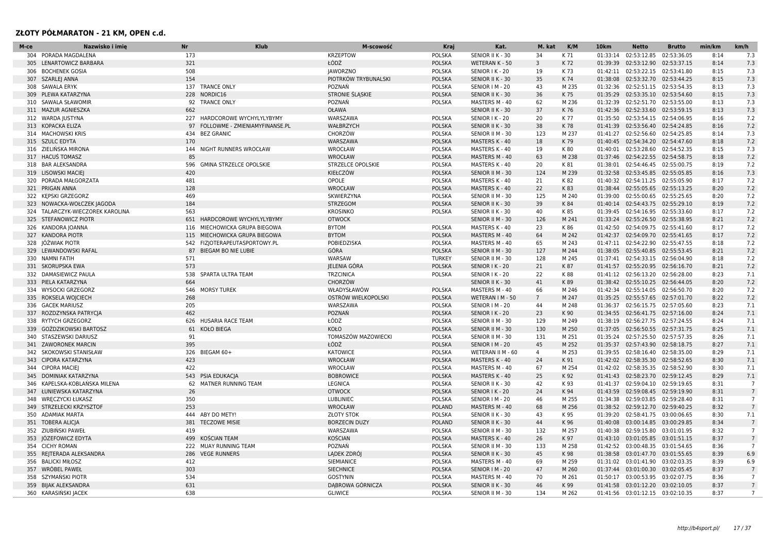| M-ce | Nazwisko i imie              | <b>Nr</b> | <b>Klub</b>                    | M-scowość                | <b>Kraj</b>   | Kat.                  | M. kat         | K/M   | 10 <sub>km</sub> | <b>Netto</b>                     | <b>Brutto</b> | min/km | km/h            |
|------|------------------------------|-----------|--------------------------------|--------------------------|---------------|-----------------------|----------------|-------|------------------|----------------------------------|---------------|--------|-----------------|
| 304  | PORADA MAGDALENA             | 173       |                                | <b>KRZEPTOW</b>          | <b>POLSKA</b> | SENIOR II K - 30      | 34             | K 71  | 01:33:14         | 02:53:12.85                      | 02:53:36.05   | 8:14   | 7.3             |
| 305  | LENARTOWICZ BARBARA          | 321       |                                | ŁÓDŹ                     | <b>POLSKA</b> | <b>WETERAN K - 50</b> | 3              | K 72  | 01:39:39         | 02:53:12.90                      | 02:53:37.15   | 8:14   | 7.3             |
| 306  | <b>BOCHENEK GOSIA</b>        | 508       |                                | <b>JAWORZNO</b>          | POLSKA        | SENIOR I K - 20       | 19             | K 73  | 01:42:11         | 02:53:22.15                      | 02:53:41.80   | 8:15   | 7.3             |
| 307  | <b>SZARLEJ ANNA</b>          | 154       |                                | PIOTRKÓW TRYBUNALSKI     | <b>POLSKA</b> | SENIOR II K - 30      | 35             | K 74  | 01:38:08         | 02:53:32.70                      | 02:53:44.25   | 8:15   | 7.3             |
| 308  | <b>SAWALA ERYK</b>           | 137       | <b>TRANCE ONLY</b>             | POZNAŃ                   | POLSKA        | SENIOR   M - 20       | 43             | M 235 |                  | 01:32:36 02:52:51.15 02:53:54.35 |               | 8:13   | 7.3             |
| 309  | PLEWA KATARZYNA              | 228       | NORDIC16                       | STRONIE SLASKIE          | <b>POLSKA</b> | SENIOR II K - 30      | 36             | K 75  | 01:35:29         | 02:53:35.10                      | 02:53:54.60   | 8:15   | 7.3             |
| 310  | SAWALA SŁAWOMIR              | 92        | <b>TRANCE ONLY</b>             | POZNAŃ                   | POLSKA        | MASTERS M - 40        | 62             | M 236 |                  | 01:32:39 02:52:51.70             | 02:53:55.00   | 8:13   | 7.3             |
| 311  | MAZUR AGNIESZKA              | 662       |                                | OŁAWA                    |               | SENIOR II K - 30      | 37             | K 76  | 01:42:36         | 02:52:33.60                      | 02:53:59.15   | 8:13   | 7.3             |
| 312  | WARDA JUSTYNA                | 227       | HARDCOROWE WYCHYLYLYBYMY       | WARSZAWA                 | POLSKA        | SENIOR I K - 20       | 20             | K 77  | 01:35:50         | 02:53:54.15                      | 02:54:06.95   | 8:16   | 7.2             |
| 313  | KOPACKA ELIZA                | 97        | FOLLOWME - ZMIENIAMYFINANSE.PL | WAŁBRZYCH                | <b>POLSKA</b> | SENIOR II K - 30      | 38             | K 78  | 01:41:39         | 02:53:56.40                      | 02:54:24.85   | 8:16   | 7.2             |
| 314  | <b>MACHOWSKI KRIS</b>        | 434       | <b>BEZ GRANIC</b>              | CHORZÓW                  | <b>POLSKA</b> | SENIOR II M - 30      | 123            | M 237 | 01:41:27         | 02:52:56.60                      | 02:54:25.85   | 8:14   | 7.3             |
|      | 315 SZULC EDYTA              | 170       |                                | WARSZAWA                 | <b>POLSKA</b> | MASTERS K - 40        | 18             | K 79  |                  | 01:40:45 02:54:34.20             | 02:54:47.60   | 8:18   | 7.2             |
| 316  | ZIELIŃSKA MIRONA             | 144       | NIGHT RUNNERS WROCŁAW          | WROCŁAW                  | <b>POLSKA</b> | MASTERS K - 40        | 19             | K 80  | 01:40:01         | 02:53:28.60                      | 02:54:52.35   | 8:15   | 7.3             |
| 317  | <b>HACUS TOMASZ</b>          | 85        |                                | WROCŁAW                  | <b>POLSKA</b> | <b>MASTERS M - 40</b> | 63             | M 238 | 01:37:46         | 02:54:22.55                      | 02:54:58.75   | 8:18   | 7.2             |
| 318  | <b>BAR ALEKSANDRA</b>        | 596       | <b>GMINA STRZELCE OPOLSKIE</b> | <b>STRZELCE OPOLSKIE</b> | POLSKA        | MASTERS K - 40        | 20             | K 81  | 01:38:01         | 02:54:46.45                      | 02:55:00.75   | 8:19   | 7.2             |
|      | 319 LISOWSKI MACIEJ          | 420       |                                | KIEŁCZÓW                 | <b>POLSKA</b> | SENIOR II M - 30      | 124            | M 239 |                  | 01:32:58 02:53:45.85 02:55:05.85 |               | 8:16   | 7.3             |
| 320  | PORADA MAŁGORZATA            | 481       |                                | OPOLE                    | POLSKA        | MASTERS K - 40        | 21             | K 82  | 01:40:32         | 02:54:11.25                      | 02:55:05.90   | 8:17   | 7.2             |
|      | 321 PRIGAN ANNA              | 128       |                                | WROCŁAW                  | <b>POLSKA</b> | MASTERS K - 40        | 22             | K83   | 01:38:44         | 02:55:05.65 02:55:13.25          |               | 8:20   | 7.2             |
| 322  | KEPSKI GRZEGORZ              | 469       |                                | SKWIERZYNA               | <b>POLSKA</b> | SENIOR II M - 30      | 125            | M 240 | 01:39:00         | 02:55:00.65                      | 02:55:25.65   | 8:20   | 7.2             |
| 323  | NOWACKA-WOŁCZEK JAGODA       | 184       |                                | <b>STRZEGOM</b>          | <b>POLSKA</b> | SENIOR II K - 30      | 39             | K 84  | 01:40:14         | 02:54:43.75 02:55:29.10          |               | 8:19   | 7.2             |
| 324  | TALARCZYK-WIECZOREK KAROLINA | 563       |                                | <b>KROSINKO</b>          | POLSKA        | SENIOR II K - 30      | 40             | K 85  |                  | 01:39:45 02:54:16.95             | 02:55:33.60   | 8:17   | 7.2             |
| 325  | <b>STEFANOWICZ PIOTR</b>     | 651       | HARDCOROWE WYCHYLYLYBYMY       | <b>OTWOCK</b>            |               | SENIOR II M - 30      | 126            | M 241 | 01:33:24         | 02:55:26.50                      | 02:55:38.95   | 8:21   | 7.2             |
|      | 326 KANDORA JOANNA           | 116       | MIECHOWICKA GRUPA BIEGOWA      | <b>BYTOM</b>             | <b>POLSKA</b> | MASTERS K - 40        | 23             | K 86  |                  | 01:42:50 02:54:09.75             | 02:55:41.60   | 8:17   | 7.2             |
| 327  | <b>KANDORA PIOTR</b>         | 115       |                                | <b>BYTOM</b>             | <b>POLSKA</b> | MASTERS M - 40        | 64             | M 242 |                  | 01:42:37 02:54:09.70             | 02:55:41.65   | 8:17   | 7.2             |
|      | JÓŹWIAK PIOTR                |           | MIECHOWICKA GRUPA BIEGOWA      | POBIEDZISKA              |               | MASTERS M - 40        | 65             | M 243 |                  | 01:47:11 02:54:22.90             | 02:55:47.55   | 8:18   | 7.2             |
| 328  |                              | 542       | FIZJOTERAPEUTASPORTOWY.PL      |                          | POLSKA        |                       |                |       |                  |                                  |               |        |                 |
| 329  | LEWANDOWSKI RAFAL            | 87        | <b>BIEGAM BO NIE LUBIE</b>     | GÓRA                     | <b>POLSKA</b> | SENIOR II M - 30      | 127            | M 244 | 01:38:05         | 02:55:40.85                      | 02:55:53.45   | 8:21   | 7.2             |
| 330  | NAMNI FATIH                  | 571       |                                | WARSAW                   | <b>TURKEY</b> | SENIOR II M - 30      | 128            | M 245 |                  | 01:37:41 02:54:33.15 02:56:04.90 |               | 8:18   | 7.2             |
| 331  | SKORUPSKA EWA                | 573       |                                | JELENIA GÓRA             | <b>POLSKA</b> | SENIOR I K - 20       | 21             | K 87  | 01:41:57         | 02:55:20.95                      | 02:56:16.70   | 8:21   | 7.2             |
| 332  | DAMASIEWICZ PAULA            | 538       | SPARTA ULTRA TEAM              | <b>TRZCINICA</b>         | <b>POLSKA</b> | SENIOR I K - 20       | 22             | K 88  | 01:41:12         | 02:56:13.20                      | 02:56:28.00   | 8:23   | 7.1             |
| 333  | PIELA KATARZYNA              | 664       |                                | CHORZÓW                  |               | SENIOR II K - 30      | 41             | K89   | 01:38:42         | 02:55:10.25                      | 02:56:44.05   | 8:20   | 7.2             |
| 334  | <b>WYSOCKI GRZEGORZ</b>      | 546       | <b>MORSY TUREK</b>             | WŁADYSŁAWÓW              | POLSKA        | MASTERS M - 40        | 66             | M 246 | 01:42:34         | 02:55:14.05                      | 02:56:50.70   | 8:20   | 7.2             |
| 335  | ROKSELA WOJCIECH             | 268       |                                | OSTRÓW WIELKOPOLSKI      | <b>POLSKA</b> | WETERAN I M - 50      | $\overline{7}$ | M 247 | 01:35:25         | 02:55:57.65                      | 02:57:01.70   | 8:22   | 7.2             |
| 336  | <b>GACEK MARIUSZ</b>         | 205       |                                | WARSZAWA                 | <b>POLSKA</b> | SENIOR   M - 20       | 44             | M 248 | 01:36:37         | 02:56:15.75                      | 02:57:05.60   | 8:23   | 7.1             |
| 337  | ROZDZYNSKA PATRYCJA          | 462       |                                | POZNAŃ                   | <b>POLSKA</b> | SENIOR I K - 20       | 23             | K 90  |                  | 01:34:55 02:56:41.75 02:57:16.00 |               | 8:24   | 7.1             |
| 338  | RYTYCH GRZEGORZ              | 626       | HUSARIA RACE TEAM              | ŁÓDŹ                     | POLSKA        | SENIOR II M - 30      | 129            | M 249 |                  | 01:38:19 02:56:27.75             | 02:57:24.55   | 8:24   | 7.1             |
| 339  | GOŻDZIKOWSKI BARTOSZ         | 61        | <b>KOŁO BIEGA</b>              | <b>KOŁO</b>              | <b>POLSKA</b> | SENIOR II M - 30      | 130            | M 250 |                  | 01:37:05 02:56:50.55             | 02:57:31.75   | 8:25   | 7.1             |
| 340  | STASZEWSKI DARIUSZ           | 91        |                                | TOMASZÓW MAZOWIECKI      | <b>POLSKA</b> | SENIOR II M - 30      | 131            | M 251 | 01:35:24         | 02:57:25.50                      | 02:57:57.35   | 8:26   | 7.1             |
|      | 341 ZAWORONEK MARCIN         | 395       |                                | ŁÓDŹ                     | <b>POLSKA</b> | SENIOR   M - 20       | 45             | M 252 |                  | 01:35:37 02:57:43.90             | 02:58:18.75   | 8:27   | 7.1             |
| 342  | SKOKOWSKI STANISŁAW          | 326       | BIEGAM 60+                     | <b>KATOWICE</b>          | POLSKA        | WETERAN II M - 60     | 4              | M 253 | 01:39:55         | 02:58:16.40                      | 02:58:35.00   | 8:29   | 7.1             |
| 343  | <b>CIPORA KATARZYNA</b>      | 423       |                                | WROCŁAW                  | <b>POLSKA</b> | MASTERS K - 40        | 24             | K 91  |                  | 01:42:02 02:58:35.30             | 02:58:52.65   | 8:30   | 7.1             |
| 344  | <b>CIPORA MACIEI</b>         | 422       |                                | WROCŁAW                  | <b>POLSKA</b> | MASTERS M - 40        | 67             | M 254 |                  | 01:42:02 02:58:35.35             | 02:58:52.90   | 8:30   | 7.1             |
| 345  | <b>DOMINIAK KATARZYNA</b>    | 543       | PSIA EDUKACJA                  | <b>BOBROWICI</b>         | <b>POLSKA</b> | MASTERS K - 40        | 25             | K 92  |                  | 01:41:43 02:58:23.70             | 02:59:12.45   | 8:29   | 7.1             |
| 346  | KAPELSKA-KOBLAŃSKA MILENA    | 62        | <b>MATNER RUNNING TEAM</b>     | LEGNICA                  | <b>POLSKA</b> | SENIOR II K - 30      | 42             | K 93  | 01:41:37         | 02:59:04.10                      | 02:59:19.65   | 8:31   | $\overline{7}$  |
| 347  | ŁUNIEWSKA KATARZYNA          | 26        |                                | <b>OTWOCK</b>            | <b>POLSKA</b> | SENIOR I K - 20       | 24             | K 94  |                  | 01:43:59 02:59:08.45             | 02:59:19.90   | 8:31   | $7\overline{ }$ |
| 348  | <b>WRECZYCKI ŁUKASZ</b>      | 350       |                                | LUBLINIEC                | POLSKA        | SENIOR   M - 20       | 46             | M 255 |                  | 01:34:38 02:59:03.85             | 02:59:28.40   | 8:31   | $\overline{7}$  |
| 349  | STRZELECKI KRZYSZTOF         | 253       |                                | WROCŁAW                  | POLAND        | MASTERS M - 40        | 68             | M 256 |                  | 01:38:52 02:59:12.70             | 02:59:40.25   | 8:32   | 7               |
| 350  | <b>ADAMIAK MARTA</b>         | 444       | ABY DO METY!                   | <b>ZŁOTY STOK</b>        | POLSKA        | SENIOR II K - 30      | 43             | K 95  |                  | 01:39:20 02:58:41.75 03:00:06.65 |               | 8:30   | 7.1             |
| 351  | <b>TOBERA ALICJA</b>         | 381       | <b>TECZOWE MISIE</b>           | <b>BORZECIN DUZY</b>     | <b>POLAND</b> | SENIOR II K - 30      | 44             | K 96  | 01:40:08         | 03:00:14.85                      | 03:00:29.85   | 8:34   | $7\overline{ }$ |
|      | 352 ZIUBIŃSKI PAWEŁ          | 419       |                                | WARSZAWA                 | POLSKA        | SENIOR II M - 30      | 132            | M 257 |                  | 01:40:38 02:59:15.80             | 03:01:01.95   | 8:32   | $\overline{7}$  |
| 353  | JÓZEFOWICZ EDYTA             | 499       | <b>KOŚCIAN TEAM</b>            | <b>KOŚCIAN</b>           | <b>POLSKA</b> | MASTERS K - 40        | 26             | K 97  | 01:43:10         | 03:01:05.85                      | 03:01:51.15   | 8:37   | 7               |
| 354  | <b>CICHY ROMAN</b>           | 222       | <b>MUAY RUNNING TEAM</b>       | POZNAŃ                   | <b>POLSKA</b> | SENIOR II M - 30      | 133            | M 258 | 01:42:52         | 03:00:48.35                      | 03:01:54.65   | 8:36   | $7^{\circ}$     |
|      | 355 REJTERADA ALEKSANDRA     | 286       | <b>VEGE RUNNERS</b>            | LĄDEK ZDRÓJ              | <b>POLSKA</b> | SENIOR II K - 30      | 45             | K 98  |                  | 01:38:58 03:01:47.70             | 03:01:55.65   | 8:39   | 6.9             |
| 356  | <b>BALICKI MIŁOSZ</b>        | 412       |                                | <b>SIEMIANICE</b>        | <b>POLSKA</b> | MASTERS M - 40        | 69             | M 259 |                  | 01:31:02 03:01:41.90             | 03:02:03.35   | 8:39   | 6.9             |
| 357  | <b>WRÓBEL PAWEŁ</b>          | 303       |                                | <b>SIECHNICE</b>         | <b>POLSKA</b> | SENIOR   M - 20       | 47             | M 260 | 01:37:44         | 03:01:00.30                      | 03:02:05.45   | 8:37   |                 |
| 358  | SZYMAŃSKI PIOTR              | 534       |                                | <b>GOSTYNIN</b>          | POLSKA        | MASTERS M - 40        | 70             | M 261 |                  | 01:50:17 03:00:53.95             | 03:02:07.75   | 8:36   | $7\overline{ }$ |
|      | 359 BIJAK ALEKSANDRA         | 631       |                                | DĄBROWA GÓRNICZA         | <b>POLSKA</b> | SENIOR II K - 30      | 46             | K 99  |                  | 01:41:58 03:01:12.20 03:02:10.05 |               | 8:37   | 7               |
|      | 360 KARASIŃSKI JACEK         | 638       |                                | <b>GLIWICE</b>           | POLSKA        | SENIOR II M - 30      | 134            | M 262 |                  | 01:41:56 03:01:12.15 03:02:10.35 |               | 8:37   | $\overline{7}$  |
|      |                              |           |                                |                          |               |                       |                |       |                  |                                  |               |        |                 |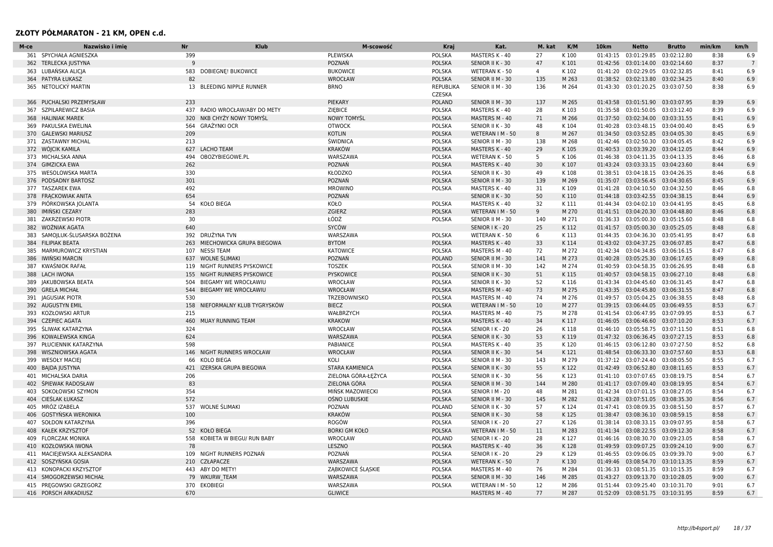| M-ce | Nazwisko i imie            | Nr  | <b>Klub</b>                   | M-scowość              | Kraj                       | Kat.                  | M. kat          | K/M   | 10 <sub>km</sub> | <b>Netto</b>                     | <b>Brutto</b> | min/km | km/h           |
|------|----------------------------|-----|-------------------------------|------------------------|----------------------------|-----------------------|-----------------|-------|------------------|----------------------------------|---------------|--------|----------------|
|      | 361 SPYCHAŁA AGNIESZKA     | 399 |                               | PLEWISKA               | <b>POLSKA</b>              | MASTERS K - 40        | 27              | K 100 | 01:43:15         | 03:01:29.85                      | 03:02:12.80   | 8:38   | 6.9            |
|      | 362 TERLECKA JUSTYNA       | g   |                               | POZNAŃ                 | <b>POLSKA</b>              | SENIOR II K - 30      | 47              | K 101 | 01:42:56         | 03:01:14.00                      | 03:02:14.60   | 8:37   | $\overline{7}$ |
|      | 363 LUBAŃSKA ALICIA        | 583 | <b>DOBIEGNE! BUKOWICE</b>     | <b>BUKOWICE</b>        | <b>POLSKA</b>              | <b>WETERAN K - 50</b> | $\overline{4}$  | K102  | 01:41:20         | 03:02:29.05                      | 03:02:32.85   | 8:41   | 6.9            |
|      | 364 PATYRA ŁUKASZ          | 82  |                               | WROCŁAW                | <b>POLSKA</b>              | SENIOR II M - 30      | 135             | M 263 | 01:38:52         | 03:02:13.80                      | 03:02:34.25   | 8:40   | 6.9            |
|      | 365 NETOLICKÝ MARTIN       | 13  | <b>BLEEDING NIPPLE RUNNER</b> | <b>BRNO</b>            | REPUBLIKA<br><b>CZESKA</b> | SENIOR II M - 30      | 136             | M 264 | 01:43:30         | 03:01:20.25 03:03:07.50          |               | 8:38   | 6.9            |
| 366  | PUCHALSKI PRZEMYSŁAW       | 233 |                               | PIEKARY                | <b>POLAND</b>              | SENIOR II M - 30      | 137             | M 265 | 01:43:58         | 03:01:51.90                      | 03:03:07.95   | 8:39   | 6.9            |
| 367  | SZPILAREWICZ BASIA         | 437 | RADIO WROCŁAW/ABY DO METY     | ZIEBICE                | <b>POLSKA</b>              | MASTERS K - 40        | 28              | K103  | 01:35:58         | 03:01:50.05                      | 03:03:12.40   | 8:39   | 6.9            |
| 368  | <b>HALINIAK MAREK</b>      | 320 | NKB CHYŻY NOWY TOMYŚL         | <b>NOWY TOMYŚL</b>     | <b>POLSKA</b>              | MASTERS M - 40        | 71              | M 266 | 01:37:50         | 03:02:34.00 03:03:31.55          |               | 8:41   | 6.9            |
| 369  | PAKULSKA EWELINA           | 564 | <b>GRAŻYNKI OCR</b>           | <b>OTWOCK</b>          | <b>POLSKA</b>              | SENIOR II K - 30      | 48              | K 104 | 01:40:28         | 03:03:48.15                      | 03:04:00.40   | 8:45   | 6.9            |
| 370  | <b>GALEWSKI MARIUSZ</b>    | 209 |                               | <b>KOTLIN</b>          | <b>POLSKA</b>              | WETERAN I M - 50      | 8               | M 267 | 01:34:50         | 03:03:52.85                      | 03:04:05.30   | 8:45   | 6.9            |
|      | 371 ZASTAWNY MICHAL        | 213 |                               | <b>ŚWIDNICA</b>        | <b>POLSKA</b>              | SENIOR II M - 30      | 138             | M 268 | 01:42:46         | 03:02:50.30                      | 03:04:05.45   | 8:42   | 6.9            |
|      | 372 WÓJCIK KAMILA          | 627 | <b>LACHO TEAM</b>             | <b>KRAKÓW</b>          | <b>POLSKA</b>              | MASTERS K - 40        | 29              | K105  | 01:40:53         | 03:03:39.20                      | 03:04:12.05   | 8:44   | 6.9            |
| 373  | MICHALSKA ANNA             | 494 | OBOZYBIEGOWE.PL               | WARSZAWA               | <b>POLSKA</b>              | WETERAN K - 50        | 5               | K106  | 01:46:38         | 03:04:11.35                      | 03:04:13.35   | 8:46   | 6.8            |
|      | 374 GIMZICKA EWA           | 262 |                               | POZNAŃ                 | <b>POLSKA</b>              | MASTERS K - 40        | 30              | K107  | 01:43:24         | 03:03:33.15                      | 03:04:23.60   | 8:44   | 6.9            |
| 375  | WESOLOWSKA MARTA           | 330 |                               | KŁODZKO                | <b>POLSKA</b>              | SENIOR II K - 30      | 49              | K108  | 01:38:51         | 03:04:18.15 03:04:26.35          |               | 8:46   | 6.8            |
| 376  | PODSADNY BARTOSZ           | 301 |                               | POZNAŃ                 | <b>POLSKA</b>              | SENIOR II M - 30      | 139             | M 269 | 01:35:07         | 03:03:56.45                      | 03:04:30.65   | 8:45   | 6.9            |
| 377  | <b>TASZAREK EWA</b>        | 492 |                               | <b>MROWINO</b>         | <b>POLSKA</b>              | MASTERS K - 40        | 31              | K109  | 01:41:28         | 03:04:10.50                      | 03:04:32.50   | 8:46   | 6.8            |
| 378  | <b>FRACKOWIAK ANITA</b>    | 654 |                               | POZNAŃ                 |                            | SENIOR II K - 30      | 50              | K110  | 01:44:18         | 03:03:42.55                      | 03:04:38.15   | 8:44   | 6.9            |
| 379  | PIORKOWSKA JOLANTA         | 54  | <b>KOŁO BIEGA</b>             | KOŁO                   | <b>POLSKA</b>              | MASTERS K - 40        | 32              | K111  | 01:44:34         | 03:04:02.10 03:04:41.95          |               | 8:45   | 6.8            |
| 380  | <b>IMINSKI CEZARY</b>      | 283 |                               | ZGIERZ                 | <b>POLSKA</b>              | WETERAN I M - 50      | 9               | M 270 | 01:41:51         | 03:04:20.30                      | 03:04:48.80   | 8:46   | 6.8            |
|      | 381 ZAKRZEWSKI PIOTR       | 30  |                               | ŁÓDŹ                   | <b>POLSKA</b>              | SENIOR II M - 30      | 140             | M 271 | 01:36:33         | 03:05:00.30                      | 03:05:15.60   | 8:48   | 6.8            |
| 382  | WOŻNIAK AGATA              | 640 |                               | SYCÓW                  |                            | SENIOR I K - 20       | 25              | K112  | 01:41:57         | 03:05:00.30                      | 03:05:25.05   | 8:48   | 6.8            |
| 383  | SAMOJLUK-SLUSARSKA BOZENA  | 392 | DRUŻYNA TVN                   | WARSZAWA               | <b>POLSKA</b>              | <b>WETERAN K - 50</b> | 6               | K113  | 01:44:35         | 03:04:36.30                      | 03:05:41.95   | 8:47   | 6.8            |
| 384  | <b>FILIPIAK BEATA</b>      | 263 | MIECHOWICKA GRUPA BIEGOWA     | <b>BYTOM</b>           | <b>POLSKA</b>              | <b>MASTERS K - 40</b> | 33              | K114  | 01:43:02         | 03:04:37.25                      | 03:06:07.85   | 8:47   | 6.8            |
| 385  | MARMUROWICZ KRYSTIAN       | 107 | <b>NESSI TEAM</b>             | <b>KATOWICE</b>        | <b>POLSKA</b>              | MASTERS M - 40        | 72              | M 272 | 01:42:34         | 03:04:34.85                      | 03:06:16.15   | 8:47   | 6.8            |
| 386  | <b>IWIŃSKI MARCIN</b>      | 637 | WOLNE ŚLIMAKI                 | POZNAŃ                 | <b>POLAND</b>              | SENIOR II M - 30      | 141             | M 273 |                  | 01:40:28 03:05:25.30 03:06:17.65 |               | 8:49   | 6.8            |
| 387  | KWAŚNIOK RAFAŁ             | 119 | NIGHT RUNNERS PYSKOWICE       | <b>TOSZEK</b>          | <b>POLSKA</b>              | SENIOR II M - 30      | 142             | M 274 | 01:40:59         | 03:04:58.35                      | 03:06:26.95   | 8:48   | 6.8            |
| 388  | <b>LACH IWONA</b>          | 155 | NIGHT RUNNERS PYSKOWICE       | PYSKOWICE              | <b>POLSKA</b>              | SENIOR II K - 30      | 51              | K115  | 01:40:57         | 03:04:58.15                      | 03:06:27.10   | 8:48   | 6.8            |
| 389  | JAKUBOWSKA BEATA           | 504 | BIEGAMY WE WROCŁAWIU          | WROCŁAW                | <b>POLSKA</b>              | SENIOR II K - 30      | 52              | K116  | 01:43:34         | 03:04:45.60                      | 03:06:31.45   | 8:47   | 6.8            |
|      | 390 GRELA MICHAŁ           | 544 | BIEGAMY WE WROCŁAWIU          | <b>WROCŁAW</b>         | <b>POLSKA</b>              | MASTERS M - 40        | 73              | M 275 |                  | 01:43:35 03:04:45.80             | 03:06:31.55   | 8:47   | 6.8            |
|      | 391 JAGUSIAK PIOTR         | 530 |                               | TRZEBOWNISKO           | <b>POLSKA</b>              | MASTERS M - 40        | 74              | M 276 | 01:49:57         | 03:05:04.25                      | 03:06:38.55   | 8:48   | 6.8            |
|      | 392 AUGUSTYN EMIL          | 158 | NIEFORMALNY KLUB TYGRYSKÓW    | <b>BIECZ</b>           | <b>POLSKA</b>              | WETERAN I M - 50      | 10              | M 277 | 01:39:15         | 03:06:44.05                      | 03:06:49.55   | 8:53   | 6.7            |
|      | 393 KOZŁOWSKI ARTUR        | 215 |                               | WAŁBRZYCH              | <b>POLSKA</b>              | MASTERS M - 40        | 75              | M 278 | 01:41:54         | 03:06:47.95                      | 03:07:09.95   | 8:53   | 6.7            |
| 394  | <b>CZEPIEC AGATA</b>       | 460 | MUAY RUNNING TEAM             | <b>KRAKOW</b>          | <b>POLSKA</b>              | MASTERS K - 40        | 34              | K117  | 01:46:05         | 03:06:46.60                      | 03:07:10.20   | 8:53   | 6.7            |
| 395  | <b>SLIWAK KATARZYNA</b>    | 324 |                               | WROCŁAW                | <b>POLSKA</b>              | SENIOR I K - 20       | 26              | K118  | 01:46:10         | 03:05:58.75                      | 03:07:11.50   | 8:51   | 6.8            |
| 396  | KOWALEWSKA KINGA           | 624 |                               | WARSZAWA               | <b>POLSKA</b>              | SENIOR II K - 30      | 53              | K119  | 01:47:32         | 03:06:36.45 03:07:27.15          |               | 8:53   | 6.8            |
| 397  | PŁUCIENNIK KATARZYNA       | 598 |                               | <b>PABIANICE</b>       | <b>POLSKA</b>              | MASTERS K - 40        | 35              | K120  |                  | 01:46:15 03:06:12.80             | 03:07:27.50   | 8:52   | 6.8            |
| 398  | WISZNIOWSKA AGATA          | 146 | NIGHT RUNNERS WROCŁAW         | WROCŁAW                | <b>POLSKA</b>              | SENIOR II K - 30      | 54              | K121  | 01:48:54         | 03:06:33.30                      | 03:07:57.60   | 8:53   | 6.8            |
| 399  | <b>WESOŁY MACIEJ</b>       | 66  | <b>KOLO BIEGA</b>             | KOLI                   | <b>POLSKA</b>              | SENIOR II M - 30      | 143             | M 279 |                  | 01:37:12 03:07:24.40             | 03:08:05.50   | 8:55   | 6.7            |
| 400  | <b>BAIDA JUSTYNA</b>       | 421 | IZERSKA GRUPA BIEGOWA         | <b>STARA KAMIENICA</b> | <b>POLSKA</b>              | SENIOR II K - 30      | 55              | K122  | 01:42:49         | 03:06:52.80                      | 03:08:11.65   | 8:53   | 6.7            |
| 401  | MICHALSKA DARIA            | 206 |                               | ZIELONA GÓRA-ŁEŻYCA    | <b>POLSKA</b>              | SENIOR II K - 30      | 56              | K123  | 01:41:10         | 03:07:07.65                      | 03:08:19.75   | 8:54   | 6.7            |
| 402  | <b>SPIEWAK RADOSŁAW</b>    | 83  |                               | ZIELONA GÓRA           | <b>POLSKA</b>              | SENIOR II M - 30      | 144             | M 280 | 01:41:17         | 03:07:09.40                      | 03:08:19.95   | 8:54   | 6.7            |
|      | 403 SOKOŁOWSKI SZYMON      | 354 |                               | MIŃSK MAZOWIECKI       | <b>POLSKA</b>              | SENIOR   M - 20       | 48              | M 281 | 01:42:34         | 03:07:01.15                      | 03:08:27.05   | 8:54   | 6.7            |
| 404  | CIEŚLAK ŁUKASZ             | 572 |                               | OŚNO LUBUSKIE          | <b>POLSKA</b>              | SENIOR II M - 30      | 145             | M 282 |                  | 01:43:28 03:07:51.05 03:08:35.30 |               | 8:56   | 6.7            |
| 405  | MRÓZ IZABELA               | 537 | <b>WOLNE SLIMAKI</b>          | POZNAN                 | <b>POLAND</b>              | SENIOR II K - 30      | 57              | K124  | 01:47:41         | 03:08:09.35                      | 03:08:51.50   | 8:57   | 6.7            |
| 406  | GOSTYŃSKA WERONIKA         | 100 |                               | <b>KRAKÓW</b>          | <b>POLSKA</b>              | SENIOR II K - 30      | 58              | K125  | 01:38:47         | 03:08:36.10 03:08:59.15          |               | 8:58   | 6.7            |
| 407  | SOŁDON KATARZYNA           | 396 |                               | ROGÓW                  | <b>POLSKA</b>              | SENIOR I K - 20       | 27              | K126  | 01:38:14         | 03:08:33.15                      | 03:09:07.95   | 8:58   | 6.7            |
|      | 408 KAŁEK KRZYSZTOF        | 52  | KOŁO BIEGA                    | <b>BORKI GM KOŁO</b>   | <b>POLSKA</b>              | WETERAN I M - 50      | 11              | M 283 | 01:41:34         | 03:08:22.55 03:09:12.30          |               | 8:58   | 6.7            |
| 409  | <b>FLORCZAK MONIKA</b>     | 558 | KOBIETA W BIEGU/ RUN BABY     | WROCŁAW                | <b>POLAND</b>              | SENIOR I K - 20       | 28              | K127  | 01:46:16         | 03:08:30.70                      | 03:09:23.05   | 8:58   | 6.7            |
| 410  | KOZŁOWSKA IWONA            | 78  |                               | LESZNO                 | <b>POLSKA</b>              | MASTERS K - 40        | 36              | K128  | 01:49:59         | 03:09:07.25                      | 03:09:24.10   | 9:00   | 6.7            |
|      | 411 MACIEJEWSKA ALEKSANDRA | 109 | NIGHT RUNNERS POZNAŃ          | POZNAŃ                 | <b>POLSKA</b>              | SENIOR I K - 20       | 29              | K129  | 01:46:55         | 03:09:06.05 03:09:39.70          |               | 9:00   | 6.7            |
| 412  | SOSZYŃSKA GOSIA            | 210 | CZŁAPACZE                     | WARSZAWA               | <b>POLSKA</b>              | <b>WETERAN K - 50</b> | $7\overline{ }$ | K130  | 01:49:46         | 03:08:54.70                      | 03:10:13.35   | 8:59   | 6.7            |
| 413  | KONOPACKI KRZYSZTOF        | 443 | ABY DO METY!                  | ZABKOWICE ŚLĄSKIE      | <b>POLSKA</b>              | MASTERS M - 40        | 76              | M 284 | 01:36:33         | 03:08:51.35                      | 03:10:15.35   | 8:59   | 6.7            |
|      | 414 SMOGORZEWSKI MICHAŁ    | 79  | <b>WKURW TEAM</b>             | WARSZAWA               | <b>POLSKA</b>              | SENIOR II M - 30      | 146             | M 285 | 01:43:27         | 03:09:13.70 03:10:28.05          |               | 9:00   | 6.7            |
|      | 415 PREGOWSKI GRZEGORZ     | 370 | <b>EKOBIEGI</b>               | WARSZAWA               | <b>POLSKA</b>              | WETERAN I M - 50      | 12              | M 286 |                  | 01:51:44 03:09:25.40 03:10:31.70 |               | 9:01   | 6.7            |
|      | 416 PORSCH ARKADIUSZ       | 670 |                               | <b>GLIWICE</b>         |                            | MASTERS M - 40        | 77              | M 287 | 01:52:09         | 03:08:51.75 03:10:31.95          |               | 8:59   | 6.7            |
|      |                            |     |                               |                        |                            |                       |                 |       |                  |                                  |               |        |                |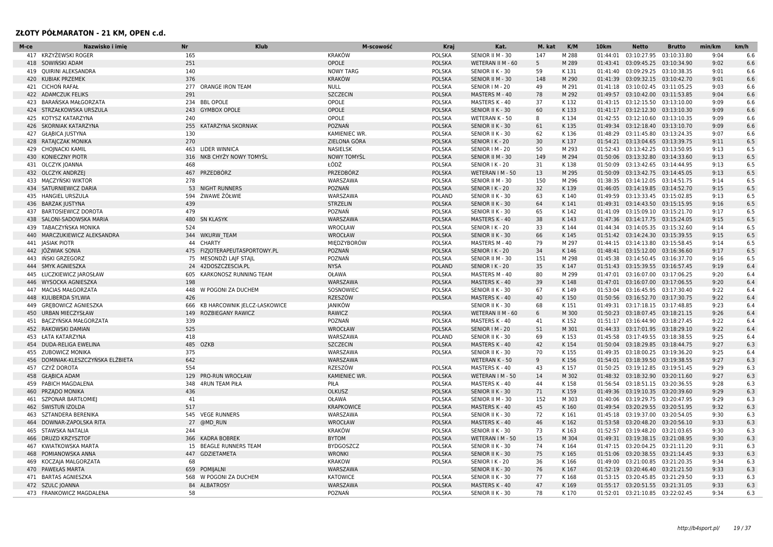| M-ce | <b>Nr</b><br>Nazwisko i imie       | <b>Klub</b>                         | M-scowość           | Kraj          | Kat.                  | M. kat       | K/M   | 10 <sub>km</sub> | <b>Netto</b>                       | <b>Brutto</b> | min/km | km/h |
|------|------------------------------------|-------------------------------------|---------------------|---------------|-----------------------|--------------|-------|------------------|------------------------------------|---------------|--------|------|
|      | 417 KRZYŻEWSKI ROGER               | 165                                 | <b>KRAKÓW</b>       | <b>POLSKA</b> | SENIOR II M - 30      | 147          | M 288 | 01:44:01         | 03:10:27.95                        | 03:10:33.80   | 9:04   | 6.6  |
| 418  | SOWINSKI ADAM                      | 251                                 | <b>OPOLE</b>        | <b>POLSKA</b> | WETERAN II M - 60     | 5            | M 289 | 01:43:41         | 03:09:45.25                        | 03:10:34.90   | 9:02   | 6.6  |
| 419  | QUIRINI ALEKSANDRA                 | 140                                 | <b>NOWY TARG</b>    | <b>POLSKA</b> | SENIOR II K - 30      | 59           | K131  | 01:41:40         | 03:09:29.25                        | 03:10:38.35   | 9:01   | 6.6  |
| 420  | <b>KUBIAK PRZEMEK</b>              | 376                                 | <b>KRAKÓW</b>       | <b>POLSKA</b> | SENIOR II M - 30      | 148          | M 290 | 01:41:39         | 03:09:32.15                        | 03:10:42.70   | 9:01   | 6.6  |
|      | 421 CICHOŃ RAFAŁ                   | 277<br>ORANGE IRON TEAM             | <b>NULL</b>         | <b>POLSKA</b> | SENIOR   M - 20       | 49           | M 291 | 01:41:18         | 03:10:02.45 03:11:05.25            |               | 9:03   | 6.6  |
| 422  | <b>ADAMCZUK FELIKS</b>             | 291                                 | <b>SZCZECIN</b>     | <b>POLSKA</b> | MASTERS M - 40        | 78           | M 292 | 01:49:57         | 03:10:42.00                        | 03:11:53.85   | 9:04   | 6.6  |
| 423  | BARAŃSKA MAŁGORZATA                | 234<br><b>BBL OPOLE</b>             | OPOLE               | <b>POLSKA</b> | MASTERS K - 40        | 37           | K132  |                  | 01:43:15 03:12:15.50               | 03:13:10.00   | 9:09   | 6.6  |
| 424  | STRZAŁKOWSKA URSZULA               | <b>GYMBOX OPOLE</b><br>243          | OPOLE               | <b>POLSKA</b> | SENIOR II K - 30      | 60           | K133  | 01:41:17         | 03:12:12.30                        | 03:13:10.30   | 9:09   | 6.6  |
| 425  | KOTYSZ KATARZYNA                   | 240                                 | <b>OPOLE</b>        | <b>POLSKA</b> | <b>WETERAN K - 50</b> | 8            | K134  | 01:42:55         | 03:12:10.60                        | 03:13:10.35   | 9:09   | 6.6  |
| 426  | <b>SKORNIAK KATARZYNA</b>          | 255<br>KATARZYNA SKORNIAK           | POZNAŃ              | <b>POLSKA</b> | SENIOR II K - 30      | 61           | K135  | 01:49:34         | 03:12:18.40                        | 03:13:10.70   | 9:09   | 6.6  |
|      | 427 GŁĄBICA JUSTYNA                | 130                                 | <b>KAMIENIEC WR</b> | <b>POLSKA</b> | SENIOR II K - 30      | 62           | K136  | 01:48:29         | 03:11:45.80                        | 03:13:24.35   | 9:07   | 6.6  |
|      | 428 RATAJCZAK MONIKA               | 270                                 | ZIELONA GÓRA        | <b>POLSKA</b> | SENIOR I K - 20       | 30           | K137  |                  | 01:54:21  03:13:04.65  03:13:39.75 |               | 9:11   | 6.5  |
| 429  | <b>CHOINACKI KAMIL</b>             | 463<br><b>LIDER WINNICA</b>         | <b>NASIELSK</b>     | <b>POLSKA</b> | SENIOR   M - 20       | 50           | M 293 | 01:52:43         | 03:13:42.25                        | 03:13:50.95   | 9:13   | 6.5  |
| 430  | <b>KONIECZNY PIOTR</b>             | 316<br>NKB CHYŻY NOWY TOMYŚL        | <b>NOWY TOMYSL</b>  | <b>POLSKA</b> | SENIOR II M - 30      | 149          | M 294 | 01:50:06         | 03:13:32.80                        | 03:14:33.60   | 9:13   | 6.5  |
|      | 431 OLCZYK JOANNA                  | 468                                 | ŁÓDŹ                | <b>POLSKA</b> | SENIOR I K - 20       | 31           | K138  | 01:50:09         | 03:13:42.65 03:14:44.95            |               | 9:13   | 6.5  |
|      | 432 OLCZYK ANDRZEJ                 | 467<br>PRZEDBÓRZ                    | PRZEDBÓRZ           | <b>POLSKA</b> | WETERAN I M - 50      | 13           | M 295 |                  | 01:50:09 03:13:42.75 03:14:45.05   |               | 9:13   | 6.5  |
| 433  | MACZYŃSKI WIKTOR                   | 278                                 | WARSZAWA            | <b>POLSKA</b> | SENIOR II M - 30      | 150          | M 296 | 01:38:35         | 03:14:12.05                        | 03:14:51.75   | 9:14   | 6.5  |
|      | 434 SATURNIEWICZ DARIA             | 53<br><b>NIGHT RUNNERS</b>          | POZNAŃ              | <b>POLSKA</b> | SENIOR I K - 20       | 32           | K139  |                  | 01:46:05 03:14:19.85 03:14:52.70   |               | 9:15   | 6.5  |
| 435  | <b>HANGIEL URSZULA</b>             | 594<br>ŻWAWE ŻÓŁWIE                 | WARSZAWA            | <b>POLAND</b> | SENIOR II K - 30      | 63           | K 140 | 01:49:59         | 03:13:33.45                        | 03:15:02.85   | 9:13   | 6.5  |
| 436  | <b>BARZAK JUSTYNA</b>              | 439                                 | <b>STRZELIN</b>     | <b>POLSKA</b> | SENIOR II K - 30      | 64           | K141  |                  | 01:49:31  03:14:43.50  03:15:15.95 |               | 9:16   | 6.5  |
| 437  | <b>BARTOSIEWICZ DOROTA</b>         | 479                                 | POZNAŃ              | <b>POLSKA</b> | SENIOR II K - 30      | 65           | K142  | 01:41:09         | 03:15:09.10                        | 03:15:21.70   | 9:17   | 6.5  |
| 438  | SALONI-SADOWSKA MARIA              | 480<br><b>SN KLASYK</b>             | WARSZAWA            | <b>POLSKA</b> | MASTERS K - 40        | 38           | K143  | 01:47:36         | 03:14:17.75                        | 03:15:24.05   | 9:15   | 6.5  |
| 439  | TABACZYŃSKA MONIKA                 | 524                                 | WROCŁAW             | <b>POLSKA</b> | SENIOR I K - 20       | 33           | K144  | 01:44:34         | 03:14:05.35 03:15:32.60            |               | 9:14   | 6.5  |
| 440  | MARCZUKIEWICZ ALEKSANDRA           | 344 WKURW TEAM                      | <b>WROCŁAW</b>      | <b>POLSKA</b> | SENIOR II K - 30      | 66           | K145  |                  | 01:51:42  03:14:24.30  03:15:39.55 |               | 9:15   | 6.5  |
|      | 441 JASIAK PIOTR                   | <b>CHARTY</b><br>44                 | MIEDZYBORÓW         | <b>POLSKA</b> | MASTERS M - 40        | 79           | M 297 | 01:44:15         | 03:14:13.80                        | 03:15:58.45   | 9:14   | 6.5  |
| 442  | JÓŹWIAK SONIA                      | 475<br>FIZJOTERAPEUTASPORTOWY.PL    | POZNAŃ              | <b>POLSKA</b> | SENIOR I K - 20       | 34           | K146  | 01:48:41         | 03:15:12.00                        | 03:16:36.60   | 9:17   | 6.5  |
|      | 443 INSKI GRZEGORZ                 | 75 MESONDŻI LAJF STAJL              | POZNAŃ              | <b>POLSKA</b> | SENIOR II M - 30      | 151          | M 298 |                  | 01:45:38 03:14:50.45 03:16:37.70   |               | 9:16   | 6.5  |
|      |                                    |                                     |                     |               |                       |              |       |                  |                                    |               |        |      |
| 444  | SMYK AGNIESZKA                     | 42DOSZCZESCIA.PL<br>24              | <b>NYSA</b>         | <b>POLAND</b> | SENIOR I K - 20       | 35           | K147  | 01:51:43         | 03:15:39.55                        | 03:16:57.45   | 9:19   | 6.4  |
|      | 445 ŁUCZKIEWICZ JAROSŁAW           | 605<br>KARKONOSZ RUNNING TEAM       | <b>OŁAWA</b>        | <b>POLSKA</b> | MASTERS M - 40        | 80           | M 299 | 01:47:01         | 03:16:07.00                        | 03:17:06.25   | 9:20   | 6.4  |
|      | 446 WYSOCKA AGNIESZKA              | 198                                 | WARSZAWA            | <b>POLSKA</b> | MASTERS K - 40        | 39           | K148  | 01:47:01         | 03:16:07.00 03:17:06.55            |               | 9:20   | 6.4  |
| 447  | <b>MACIAS MAŁGORZATA</b>           | 448<br>W POGONI ZA DUCHEM           | SOSNOWIEC           | <b>POLSKA</b> | SENIOR II K - 30      | 67           | K149  | 01:53:04         | 03:16:45.95                        | 03:17:30.40   | 9:22   | 6.4  |
| 448  | KULIBERDA SYLWIA                   | 426                                 | <b>RZESZÓW</b>      | <b>POLSKA</b> | MASTERS K - 40        | 40           | K150  | 01:50:56         | 03:16:52.70                        | 03:17:30.75   | 9:22   | 6.4  |
| 449  | <b>GREBOWICZ AGNIESZKA</b>         | 666<br>KB HARCOWNIK JELCZ-LASKOWICE | JANIKÓW             |               | SENIOR II K - 30      | 68           | K151  | 01:49:31         | 03:17:18.15                        | 03:17:48.85   | 9:23   | 6.4  |
| 450  | <b>URBAN MIECZYSŁAW</b>            | <b>ROZBIEGANY RAWICZ</b><br>149     | <b>RAWICZ</b>       | <b>POLSKA</b> | WETERAN II M - 60     | 6            | M 300 |                  | 01:50:23 03:18:07.45 03:18:21.15   |               | 9:26   | 6.4  |
| 451  | BACZYŃSKA MAŁGORZATA               | 339                                 | POZNAŃ              | <b>POLSKA</b> | MASTERS K - 40        | 41           | K152  | 01:51:17         | 03:16:44.90                        | 03:18:27.45   | 9:22   | 6.4  |
| 452  | RAKOWSKI DAMIAN                    | 525                                 | WROCŁAW             | <b>POLSKA</b> | SENIOR   M - 20       | 51           | M 301 | 01:44:33         | 03:17:01.95 03:18:29.10            |               | 9:22   | 6.4  |
|      | 453 ŁATA KATARZYNA                 | 418                                 | WARSZAWA            | POLAND        | SENIOR II K - 30      | 69           | K153  | 01:45:58         | 03:17:49.55 03:18:38.55            |               | 9:25   | 6.4  |
| 454  | DUDA-RELIGA EWELINA                | 485<br><b>OZKB</b>                  | <b>SZCZECIN</b>     | <b>POLSKA</b> | MASTERS K - 40        | 42           | K154  | 01:50:04         | 03:18:29.85 03:18:44.75            |               | 9:27   | 6.3  |
| 455  | <b>ZUBOWICZ MONIKA</b>             | 375                                 | WARSZAWA            | <b>POLSKA</b> | SENIOR II K - 30      | 70           | K155  | 01:49:35         | 03:18:00.25                        | 03:19:36.20   | 9:25   | 6.4  |
|      | 456 DOMINIAK-KLESZCZYŃSKA ELŻBIETA | 642                                 | WARSZAWA            |               | <b>WETERAN K - 50</b> | $\mathbf{g}$ | K156  |                  | 01:54:01 03:18:39.50 03:19:38.55   |               | 9:27   | 6.3  |
|      | 457 CZYŻ DOROTA                    | 554                                 | <b>RZESZÓW</b>      | <b>POLSKA</b> | MASTERS K - 40        | 43           | K157  |                  | 01:50:25 03:19:12.85               | 03:19:51.45   | 9:29   | 6.3  |
| 458  | <b>GŁABICA ADAM</b>                | 129<br>PRO-RUN WROCŁAW              | <b>KAMIENIEC WR</b> | <b>POLSKA</b> | WETERAN I M - 50      | 14           | M 302 |                  | 01:48:32 03:18:32.90               | 03:20:11.60   | 9:27   | 6.3  |
| 459  | PABICH MAGDALENA                   | 348<br><b>4RUN TEAM PIŁA</b>        | PIŁA                | <b>POLSKA</b> | MASTERS K - 40        | 44           | K158  | 01:56:54         | 03:18:51.15                        | 03:20:36.55   | 9:28   | 6.3  |
| 460  | PRZADO MONIKA                      | 436                                 | OLKUSZ              | <b>POLSKA</b> | SENIOR II K - 30      | 71           | K159  | 01:49:36         | 03:19:10.35                        | 03:20:39.60   | 9:29   | 6.3  |
| 461  | <b>SZPONAR BARTŁOMIEJ</b>          | 41                                  | OŁAWA               | <b>POLSKA</b> | SENIOR II M - 30      | 152          | M 303 | 01:40:06         | 03:19:29.75 03:20:47.95            |               | 9:29   | 6.3  |
| 462  | ŚWISTUŃ IZOLDA                     | 517                                 | <b>KRAPKOWICE</b>   | <b>POLSKA</b> | MASTERS K - 40        | 45           | K160  | 01:49:54         | 03:20:29.55 03:20:51.95            |               | 9:32   | 6.3  |
| 463  | SZTANDERA BERENIKA                 | 545<br><b>VEGE RUNNERS</b>          | WARSZAWA            | <b>POLSKA</b> | SENIOR II K - 30      | 72           | K161  | 01:45:18         | 03:19:37.00                        | 03:20:54.05   | 9:30   | 6.3  |
| 464  | DOWNAR-ZAPOLSKA RITA               | 27<br>@MD RUN                       | <b>WROCŁAW</b>      | <b>POLSKA</b> | MASTERS K - 40        | 46           | K 162 | 01:53:58         | 03:20:48.20                        | 03:20:56.10   | 9:33   | 6.3  |
|      | 465 STAWSKA NATALIA                | 244                                 | <b>KRAKÓW</b>       | <b>POLSKA</b> | SENIOR II K - 30      | 73           | K163  | 01:52:57         | 03:19:48.20 03:21:03.65            |               | 9:30   | 6.3  |
| 466  | <b>DRUZD KRZYSZTOF</b>             | 366<br><b>KADRA BOBREK</b>          | <b>BYTOM</b>        | <b>POLSKA</b> | WETERAN I M - 50      | 15           | M 304 | 01:49:31         | 03:19:38.15                        | 03:21:08.95   | 9:30   | 6.3  |
| 467  | KWIATKOWSKA MARTA                  | 15<br><b>BEAGLE RUNNERS TEAM</b>    | <b>BYDGOSZCZ</b>    | <b>POLSKA</b> | SENIOR II K - 30      | 74           | K164  | 01:47:15         | 03:20:04.25                        | 03:21:11.20   | 9:31   | 6.3  |
| 468  | POMIANOWSKA ANNA                   | 447<br>GDZIETAMETA                  | <b>WRONKI</b>       | <b>POLSKA</b> | SENIOR II K - 30      | 75           | K165  |                  | 01:51:06 03:20:38.55 03:21:14.45   |               | 9:33   | 6.3  |
| 469  | KOCZAJA MALGORZATA                 | 68                                  | <b>KRAKOW</b>       | <b>POLSKA</b> | SENIOR I K - 20       | 36           | K166  | 01:49:00         | 03:21:00.85                        | 03:21:20.35   | 9:34   | 6.3  |
| 470  | <b>PAWEŁAS MARTA</b>               | 659<br>POMIJALNI                    | WARSZAWA            |               | SENIOR II K - 30      | 76           | K167  | 01:52:19         | 03:20:46.40                        | 03:21:21.50   | 9:33   | 6.3  |
|      | 471 BARTAS AGNIESZKA               | W POGONI ZA DUCHEM<br>568           | <b>KATOWICE</b>     | <b>POLSKA</b> | SENIOR II K - 30      | 77           | K168  | 01:53:15         | 03:20:45.85                        | 03:21:29.50   | 9:33   | 6.3  |
|      | 472 SZULC JOANNA                   | 84<br><b>ALBATROSY</b>              | WARSZAWA            | <b>POLSKA</b> | MASTERS K - 40        | 47           | K169  |                  | 01:55:17 03:20:51.55 03:21:31.05   |               | 9:33   | 6.3  |
|      | 473 FRANKOWICZ MAGDALENA           | 58                                  | POZNAŃ              | <b>POLSKA</b> | SENIOR II K - 30      | 78           | K170  |                  | 01:52:01 03:21:10.85 03:22:02.45   |               | 9:34   | 6.3  |
|      |                                    |                                     |                     |               |                       |              |       |                  |                                    |               |        |      |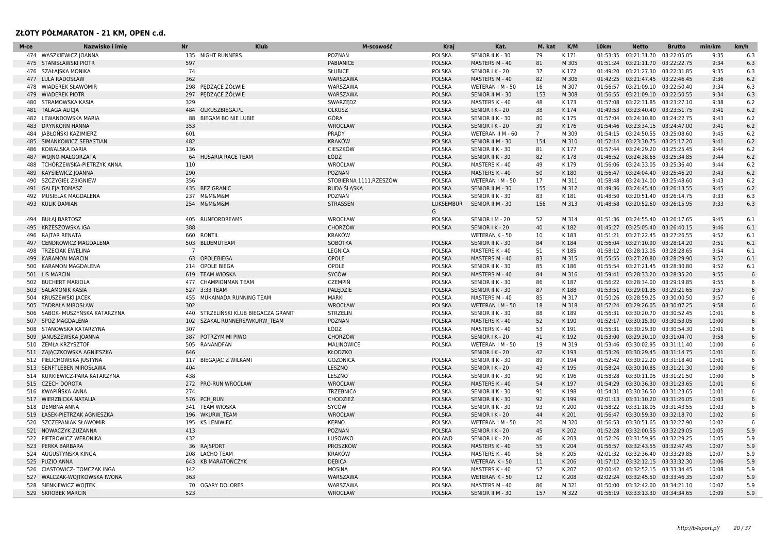| М-се | Nazwisko i imię                | Nr             | <b>Klub</b>                      | M-scowość               | Kraj             | Kat.                  | M. kat          | K/M   | 10 <sub>km</sub> | Netto                            | <b>Brutto</b> | min/km | km/h       |
|------|--------------------------------|----------------|----------------------------------|-------------------------|------------------|-----------------------|-----------------|-------|------------------|----------------------------------|---------------|--------|------------|
|      | 474 WASZKIEWICZ JOANNA         |                | 135 NIGHT RUNNERS                | POZNAŃ                  | <b>POLSKA</b>    | SENIOR II K - 30      | 79              | K171  | 01:53:35         | 03:21:31.70                      | 03:22:05.05   | 9:35   | 6.3        |
|      | 475 STANISŁAWSKI PIOTR         | 597            |                                  | <b>PABIANICE</b>        | <b>POLSKA</b>    | MASTERS M - 40        | 81              | M 305 | 01:51:24         | 03:21:11.70                      | 03:22:22.75   | 9:34   | 6.3        |
| 476  | SZAŁAJSKA MONIKA               | 74             |                                  | <b>SŁUBICE</b>          | <b>POLSKA</b>    | SENIOR I K - 20       | 37              | K172  | 01:49:20         | 03:21:27.30                      | 03:22:31.85   | 9:35   | 6.3        |
|      | 477 LULA RADOSŁAW              | 362            |                                  | WARSZAWA                | <b>POLSKA</b>    | MASTERS M - 40        | 82              | M 306 |                  | 01:42:25 03:21:47.45             | 03:22:46.45   | 9:36   | 6.2        |
|      | 478 WIADEREK SŁAWOMIR          | 298            | PEDZĄCE ŻÓŁWIE                   | WARSZAWA                | <b>POLSKA</b>    | WETERAN I M - 50      | 16              | M 307 | 01:56:57         | 03:21:09.10 03:22:50.40          |               | 9:34   | 6.3        |
| 479  | <b>WIADEREK PIOTR</b>          | 297            | PEDZACE ŻÓŁWIE                   | WARSZAWA                | <b>POLSKA</b>    | SENIOR II M - 30      | 153             | M 308 |                  | 01:56:55 03:21:09.10             | 03:22:50.55   | 9:34   | 6.3        |
| 480  | STRAMOWSKA KASIA               | 329            |                                  | SWARZĘDZ                | <b>POLSKA</b>    | MASTERS K - 40        | 48              | K173  | 01:57:08         | 03:22:31.85                      | 03:23:27.10   | 9:38   | 6.2        |
|      | 481 TALAGA ALICIA              | 484            | OLKUSZBIEGA.PL                   | <b>OLKUSZ</b>           | <b>POLSKA</b>    | SENIOR I K - 20       | 38              | K174  |                  | 01:49:53 03:23:40.40             | 03:23:51.75   | 9:41   | 6.2        |
| 482  | LEWANDOWSKA MARIA              | 88             | <b>BIEGAM BO NIE LUBIE</b>       | GÓRA                    | <b>POLSKA</b>    | SENIOR II K - 30      | 80              | K175  | 01:57:04         | 03:24:10.80                      | 03:24:22.75   | 9:43   | 6.2        |
| 483  | <b>DRYNKORN HANNA</b>          | 353            |                                  | WROCŁAW                 | <b>POLSKA</b>    | SENIOR I K - 20       | 39              | K176  | 01:54:46         | 03:23:34.15                      | 03:24:47.00   | 9:41   | 6.2        |
| 484  | JABŁOŃSKI KAZIMIERZ            | 601            |                                  | PRADY                   | <b>POLSKA</b>    | WETERAN II M - 60     | $7\overline{ }$ | M 309 | 01:54:15         | 03:24:50.55                      | 03:25:08.60   | 9:45   | 6.2        |
| 485  | SIMANKOWICZ SEBASTIAN          | 482            |                                  | <b>KRAKÓW</b>           | <b>POLSKA</b>    | SENIOR II M - 30      | 154             | M 310 |                  | 01:52:14 03:23:30.75 03:25:17.20 |               | 9:41   | 6.2        |
| 486  | KOWALSKA DARIA                 | 136            |                                  | <b>CIESZKÓW</b>         | <b>POLSKA</b>    | SENIOR II K - 30      | 81              | K 177 |                  | 01:57:44 03:24:29.20             | 03:25:25.45   | 9:44   | 6.2        |
| 487  | WOJNO MAŁGORZATA               | 64             | <b>HUSARIA RACE TEAM</b>         | ŁÓDŹ                    | <b>POLSKA</b>    | SENIOR II K - 30      | 82              | K178  |                  | 01:46:52 03:24:38.65             | 03:25:34.85   | 9:44   | 6.2        |
| 488  | TCHÓRZEWSKA-PIETRZYK ANNA      | 110            |                                  | WROCŁAW                 | <b>POLSKA</b>    | MASTERS K - 40        | 49              | K179  |                  | 01:56:06 03:24:33.05             | 03:25:36.40   | 9:44   | 6.2        |
| 489  | KAYSIEWICZ JOANNA              | 290            |                                  | POZNAŃ                  | <b>POLSKA</b>    | MASTERS K - 40        | 50              | K180  |                  | 01:56:47 03:24:04.40             | 03:25:46.20   | 9:43   | 6.2        |
| 490  | <b>SZCZYGIEŁ ZBIGNIEW</b>      | 356            |                                  | STOBIERNA 1111, RZESZÓW | <b>POLSKA</b>    | WETERAN I M - 50      | 17              | M 311 | 01:58:48         | 03:24:14.00                      | 03:25:48.60   | 9:43   | 6.2        |
|      | 491 GALEJA TOMASZ              | 435            | <b>BEZ GRANIC</b>                | RUDA ŚLĄSKA             | <b>POLSKA</b>    | SENIOR II M - 30      | 155             | M 312 |                  | 01:49:36 03:24:45.40             | 03:26:13.55   | 9:45   | $6.2$      |
|      | 492 MUSIELAK MAGDALENA         | 237            | <b>M&amp;M&amp;M&amp;M</b>       | POZNAŃ                  | <b>POLSKA</b>    | SENIOR II K - 30      | 83              | K 181 | 01:48:50         | 03:20:51.40                      | 03:26:14.75   | 9:33   | 6.3        |
|      | 493 KULIK DAMIAN               | 254            | <b>M&amp;M&amp;M&amp;M</b>       | <b>STRASSEN</b>         | <b>LUKSEMBUR</b> | SENIOR II M - 30      | 156             | M 313 | 01:48:58         | 03:20:52.60                      | 03:26:15.95   | 9:33   | 6.3        |
|      |                                |                |                                  |                         | G                |                       |                 |       |                  |                                  |               |        |            |
|      | 494 BUŁAJ BARTOSZ              | 405            | <b>RUNFORDREAMS</b>              | WROCŁAW                 | <b>POLSKA</b>    | SENIOR I M - 20       | 52              | M 314 |                  | 01:51:36 03:24:55.40             | 03:26:17.65   | 9:45   | 6.1        |
|      | 495 KRZESZOWSKA IGA            | 388            |                                  | CHORZÓW                 | <b>POLSKA</b>    | SENIOR I K - 20       | 40              | K182  |                  | 01:45:27 03:25:05.40             | 03:26:40.15   | 9:46   | 6.1        |
| 496  | RAJTAR RENATA                  | 660            | <b>RONTIL</b>                    | <b>KRAKÓW</b>           |                  | <b>WETERAN K - 50</b> | 10              | K183  |                  | 01:51:21 03:27:22.45             | 03:27:26.55   | 9:52   | 6.1        |
| 497  | CENDROWICZ MAGDALENA           |                | 503 BLUEMUTEAM                   | SOBÓTKA                 | <b>POLSKA</b>    | SENIOR II K - 30      | 84              | K 184 |                  | 01:56:04 03:27:10.90             | 03:28:14.20   | 9:51   | 6.1        |
| 498  | <b>TRZECIAK EWELINA</b>        | $\overline{7}$ |                                  | LEGNICA                 | <b>POLSKA</b>    | MASTERS K - 40        | 51              | K185  | 01:58:12         | 03:28:13.05                      | 03:28:28.65   | 9:54   | 6.1        |
| 499  | <b>KARAMON MARCIN</b>          |                | 63 OPOLEBIEGA                    | OPOLE                   | <b>POLSKA</b>    | MASTERS M - 40        | 83              | M 315 |                  | 01:55:55 03:27:20.80             | 03:28:29.90   | 9:52   | 6.1        |
| 500  | <b>KARAMON MAGDALENA</b>       | 214            | <b>OPOLE BIEGA</b>               | OPOLE                   | <b>POLSKA</b>    | SENIOR II K - 30      | 85              | K186  | 01:55:54         | 03:27:21.45                      | 03:28:30.80   | 9:52   | 6.1        |
|      | 501 LIS MARCIN                 | 619            | <b>TEAM WIOSKA</b>               | SYCÓW                   | <b>POLSKA</b>    | MASTERS M - 40        | 84              | M 316 |                  | 01:59:41 03:28:33.20             | 03:28:35.20   | 9:55   | 6          |
|      | 502 BUCHERT MARIOLA            |                | 477 CHAMPIONMAN TEAM             | <b>CZEMPIŃ</b>          | <b>POLSKA</b>    | SENIOR II K - 30      | 86              | K 187 |                  | 01:56:22 03:28:34.00             | 03:29:19.85   | 9:55   | $\sqrt{2}$ |
| 503  | <b>SALAMONIK KASIA</b>         |                | 527 3:33 TEAM                    | PALEDZIE                | <b>POLSKA</b>    | SENIOR II K - 30      | 87              | K188  |                  | 01:53:51 03:29:01.35 03:29:21.65 |               | 9:57   | 6          |
| 504  | KRUSZEWSKI JACEK               | 455            | MUKAINADA RUNNING TEAM           | MARKI                   | <b>POLSKA</b>    | MASTERS M - 40        | 85              | M 317 | 01:50:26         | 03:28:59.25                      | 03:30:00.50   | 9:57   | $\sqrt{2}$ |
|      | 505 TADRAŁA MIROSŁAW           | 302            |                                  | <b>WROCŁAW</b>          | <b>POLSKA</b>    | WETERAN I M - 50      | 18              | M 318 |                  | 01:57:24 03:29:26.05             | 03:30:07.25   | 9:58   | 6          |
|      | 506 SABOK- MUSZYŃSKA KATARZYNA | 440            | STRZELIŃSKI KLUB BIEGACZA GRANIT | STRZELIN                | <b>POLSKA</b>    | SENIOR II K - 30      | 88              | K189  | 01:56:31         | 03:30:20.70                      | 03:30:52.45   | 10:01  | $\sqrt{2}$ |
| 507  | SPOZ MAGDALENA                 | 102            | SZAKAL RUNNERS/WKURW TEAM        | POZNAŃ                  | <b>POLSKA</b>    | MASTERS K - 40        | 52              | K190  | 01:52:17         | 03:30:15.90                      | 03:30:53.05   | 10:00  | 6          |
|      | 508 STANOWSKA KATARZYNA        | 307            |                                  | ŁÓDŹ                    | <b>POLSKA</b>    | MASTERS K - 40        | 53              | K191  | 01:55:31         | 03:30:29.30                      | 03:30:54.30   | 10:01  | 6          |
| 509  | JANUSZEWSKA JOANNA             | 387            | POTRZYM MI PIWO                  | CHORZÓW                 | <b>POLSKA</b>    | SENIOR I K - 20       | 41              | K192  |                  | 01:53:00 03:29:30.10             | 03:31:04.70   | 9:58   | 6          |
| 510  | ZEMŁA KRZYSZTOF                | 505            | RANANDFAN                        | <b>MALINOWICE</b>       | <b>POLSKA</b>    | WETERAN I M - 50      | 19              | M 319 | 01:53:46         | 03:30:02.95                      | 03:31:11.40   | 10:00  | 6          |
|      | 511 ZAJĄCZKOWSKA AGNIESZKA     | 646            |                                  | KŁODZKO                 |                  | SENIOR I K - 20       | 42              | K193  |                  | 01:53:26 03:30:29.45             | 03:31:14.75   | 10:01  | 6          |
|      | 512 PIELICHOWSKA JUSTYNA       | 117            | <b>BIEGAIAC Z WILKAMI</b>        | <b>GOZDNICA</b>         | <b>POLSKA</b>    | SENIOR II K - 30      | 89              | K194  |                  | 01:52:42 03:30:22.20             | 03:31:18.40   | 10:01  | 6          |
|      | 513 SENFTLEBEN MIROSŁAWA       | 404            |                                  | LESZNO                  | <b>POLSKA</b>    | SENIOR I K - 20       | 43              | K195  |                  | 01:58:24 03:30:10.85 03:31:21.30 |               | 10:00  | 6          |
| 514  | KURKIEWICZ-PARA KATARZYNA      | 438            |                                  | LESZNO                  | <b>POLSKA</b>    | SENIOR II K - 30      | 90              | K196  | 01:58:28         | 03:30:11.05                      | 03:31:21.50   | 10:00  | $\epsilon$ |
| 515  | <b>CZECH DOROTA</b>            | 272            | <b>PRO-RUN WROCŁAW</b>           | WROCŁAW                 | <b>POLSKA</b>    | MASTERS K - 40        | 54              | K 197 |                  | 01:54:29 03:30:36.30             | 03:31:23.65   | 10:01  | 6          |
| 516  | KWAPINSKA ANNA                 | 274            |                                  | <b>TRZEBNICA</b>        | <b>POLSKA</b>    | SENIOR II K - 30      | 91              | K198  |                  | 01:54:31 03:30:36.50             | 03:31:23.65   | 10:01  | 6          |
| 517  | <b>WIERZBICKA NATALIA</b>      | 576            | PCH RUN                          | CHODZIEŻ                | <b>POLSKA</b>    | SENIOR II K - 30      | 92              | K199  |                  | 02:01:13 03:31:10.20 03:31:26.05 |               | 10:03  | 6          |
| 518  | <b>DEMBNA ANNA</b>             | 341            | <b>TEAM WIOSKA</b>               | SYCÓW                   | <b>POLSKA</b>    | SENIOR II K - 30      | 93              | K 200 | 01:58:22         | 03:31:18.05                      | 03:31:43.55   | 10:03  | 6          |
| 519  | ŁASEK-PIETRZAK AGNIESZKA       | 196            | <b>WKURW TEAM</b>                | <b>WROCŁAW</b>          | <b>POLSKA</b>    | SENIOR I K - 20       | 44              | K 201 |                  | 01:56:47 03:30:59.30             | 03:32:18.70   | 10:02  | 6          |
|      | 520 SZCZEPANIAK SŁAWOMIR       | 195            | <b>KS LENIWIEC</b>               | <b>KEPNO</b>            | <b>POLSKA</b>    | WETERAN I M - 50      | 20              | M 320 | 01:56:53         | 03:30:51.65 03:32:27.90          |               | 10:02  | 6          |
|      | 521 NOWACZYK ZUZANNA           | 413            |                                  | POZNAŃ                  | <b>POLSKA</b>    | SENIOR I K - 20       | 45              | K 202 | 01:52:28         | 03:32:00.55 03:32:29.05          |               | 10:05  | 5.9        |
|      | 522 PIETROWICZ WERONIKA        | 432            |                                  | LUSOWKO                 | <b>POLAND</b>    | SENIOR I K - 20       | 46              | K 203 | 01:52:26         | 03:31:59.95                      | 03:32:29.25   | 10:05  | 5.9        |
| 523  | PERKA BARBARA                  | 36             | <b>RAISPORT</b>                  | PROSZKÓW                | <b>POLSKA</b>    | MASTERS K - 40        | 55              | K 204 | 01:56:57         | 03:32:43.55                      | 03:32:47.45   | 10:07  | 5.9        |
|      | 524 AUGUSTYŃSKA KINGA          | 208            | <b>LACHO TEAM</b>                | <b>KRAKÓW</b>           | <b>POLSKA</b>    | MASTERS K - 40        | 56              | K 205 |                  | 02:01:32 03:32:36.40 03:33:29.85 |               | 10:07  | 5.9        |
| 525  | PUZIO ANNA                     | 643            | <b>KB MARATOŃCZYK</b>            | <b>DEBICA</b>           |                  | <b>WETERAN K - 50</b> | 11              | K 206 |                  | 01:57:12 03:32:12.15 03:33:32.30 |               | 10:06  | 5.9        |
| 526  | CIASTOWICZ- TOMCZAK INGA       | 142            |                                  | <b>MOSINA</b>           | <b>POLSKA</b>    | MASTERS K - 40        | 57              | K 207 |                  | 02:00:42 03:32:52.15             | 03:33:34.45   | 10:08  | 5.9        |
| 527  | WALCZAK-WOJTKOWSKA IWONA       | 363            |                                  | WARSZAWA                | <b>POLSKA</b>    | <b>WETERAN K - 50</b> | 12              | K 208 |                  | 02:02:24 03:32:45.50             | 03:33:46.35   | 10:07  | 5.9        |
|      | 528 SIENKIEWICZ WOJTEK         | 70             | <b>OGARY DOLORES</b>             | WARSZAWA                | <b>POLSKA</b>    | MASTERS M - 40        | 86              | M 321 | 01:50:00         | 03:32:42.00                      | 03:34:21.10   | 10:07  | 5.9        |
|      | 529 SKROBEK MARCIN             | 523            |                                  | WROCŁAW                 | <b>POLSKA</b>    | SENIOR II M - 30      | 157             | M 322 |                  | 01:56:19 03:33:13.30             | 03:34:34.65   | 10:09  | 5.9        |
|      |                                |                |                                  |                         |                  |                       |                 |       |                  |                                  |               |        |            |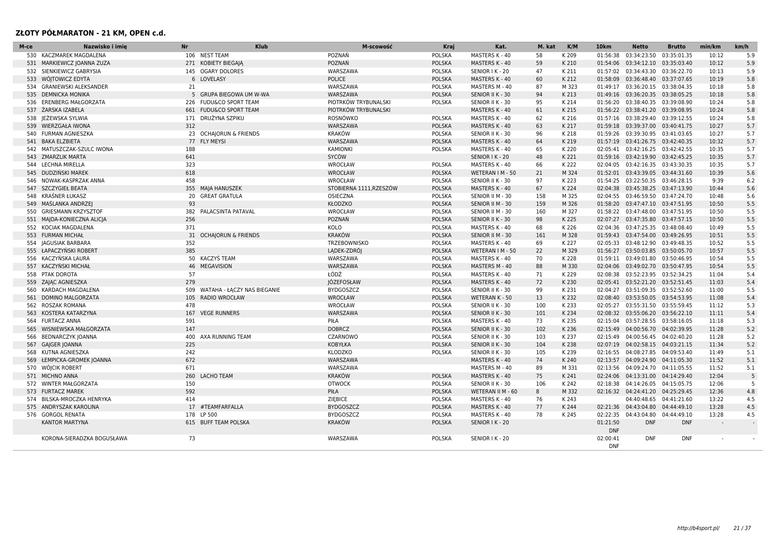| M-ce | Nazwisko i imie              | <b>Nr</b>                            | Klub | M-scowość              | <b>Kraj</b>   | Kat.                  | M. kat | K/M   | 10 <sub>km</sub>       | <b>Netto</b>                       | <b>Brutto</b> | min/km | km/h |
|------|------------------------------|--------------------------------------|------|------------------------|---------------|-----------------------|--------|-------|------------------------|------------------------------------|---------------|--------|------|
|      | 530 KACZMAREK MAGDALENA      | 106 NEST TEAM                        |      | POZNAŃ                 | <b>POLSKA</b> | MASTERS K - 40        | 58     | K 209 | 01:56:38               | 03:34:23.50                        | 03:35:01.35   | 10:12  | 5.9  |
|      | 531 MARKIEWICZ JOANNA ZUZA   | 271 KOBIETY BIEGAIA                  |      | POZNAŃ                 | <b>POLSKA</b> | MASTERS K - 40        | 59     | K 210 | 01:54:06               | 03:34:12.10 03:35:03.40            |               | 10:12  | 5.9  |
|      | 532 SIENKIEWICZ GABRYSIA     | 145 OGARY DOLORES                    |      | WARSZAWA               | <b>POLSKA</b> | SENIOR I K - 20       | 47     | K 211 |                        | 01:57:02 03:34:43.30 03:36:22.70   |               | 10:13  | 5.9  |
| 533  | WÓITOWICZ EDYTA              | LOVELASY<br>6                        |      | <b>POLICE</b>          | <b>POLSKA</b> | MASTERS K - 40        | 60     | K 212 | 01:58:09               | 03:36:48.40                        | 03:37:07.65   | 10:19  | 5.8  |
| 534  | <b>GRANIEWSKI ALEKSANDER</b> | 21                                   |      | WARSZAWA               | <b>POLSKA</b> | MASTERS M - 40        | 87     | M 323 | 01:49:17               | 03:36:20.15 03:38:04.35            |               | 10:18  | 5.8  |
| 535  | <b>DEMNICKA MONIKA</b>       | 5 GRUPA BIEGOWA UM W-WA              |      | WARSZAWA               | <b>POLSKA</b> | SENIOR II K - 30      | 94     | K 213 | 01:49:16               | 03:36:20.35 03:38:05.25            |               | 10:18  | 5.8  |
|      | 536 ERENBERG MAŁGORZATA      | 226 FUDU&CO SPORT TEAM               |      | PIOTRKÓW TRYBUNALSKI   | <b>POLSKA</b> | SENIOR II K - 30      | 95     | K 214 |                        | 01:56:20 03:38:40.35 03:39:08.90   |               | 10:24  | 5.8  |
|      | 537 ŻARSKA IZABELA           | 661 FUDU&CO SPORT TEAM               |      | PIOTRKÓW TRYBUNALSKI   |               | MASTERS K - 40        | 61     | K 215 |                        | 01:56:22 03:38:41.20 03:39:08.95   |               | 10:24  | 5.8  |
| 538  | IEŻEWSKA SYLWIA              | 171 DRUŻYNA SZPIKU                   |      | ROSNÓWKO               | <b>POLSKA</b> | MASTERS K - 40        | 62     | K 216 | 01:57:16               | 03:38:29.40 03:39:12.55            |               | 10:24  | 5.8  |
|      | 539 WIERZGAŁA IWONA          | 312                                  |      | WARSZAWA               | <b>POLSKA</b> | MASTERS K - 40        | 63     | K 217 |                        | 01:59:18 03:39:37.00 03:40:41.75   |               | 10:27  | 5.7  |
|      | 540 FURMAN AGNIESZKA         | 23<br><b>OCHAJORUN &amp; FRIENDS</b> |      | <b>KRAKÓW</b>          | <b>POLSKA</b> | SENIOR II K - 30      | 96     | K 218 |                        | 01:59:26 03:39:30.95 03:41:03.65   |               | 10:27  | 5.7  |
|      | 541 BAKA ELZBIETA            | 77 FLY MEYSI                         |      | WARSZAWA               | <b>POLSKA</b> | MASTERS K - 40        | 64     | K 219 |                        | 01:57:19 03:41:26.75 03:42:40.35   |               | 10:32  | 5.7  |
| 542  | MATUSZCZAK-SZULC IWONA       | 188                                  |      | <b>KAMIONKI</b>        | <b>POLSKA</b> | MASTERS K - 40        | 65     | K 220 | 02:05:41               | 03:42:16.25 03:42:42.55            |               | 10:35  | 5.7  |
|      | 543 ZMARZLIK MARTA           | 641                                  |      | SYCÓW                  |               | SENIOR I K - 20       | 48     | K 221 |                        | 01:59:16 03:42:19.90 03:42:45.25   |               | 10:35  | 5.7  |
|      | 544 LECHNA MIRELLA           | 323                                  |      | WROCŁAW                | <b>POLSKA</b> | MASTERS K - 40        | 66     | K 222 |                        | 02:04:05 03:42:16.35 03:43:30.35   |               | 10:35  | 5.7  |
|      | 545 DUDZIŃSKI MAREK          | 618                                  |      | <b>WROCŁAW</b>         | <b>POLSKA</b> | WETERAN I M - 50      | 21     | M 324 |                        | 01:52:01 03:43:39.05 03:44:31.60   |               | 10:39  | 5.6  |
|      | 546 NOWAK-KASPRZAK ANNA      | 458                                  |      | <b>WROCŁAW</b>         | <b>POLSKA</b> | SENIOR II K - 30      | 97     | K 223 |                        | 01:54:25 03:22:50.35 03:46:28.15   |               | 9:39   | 6.2  |
| 547  | <b>SZCZYGIEŁ BEATA</b>       | 355 MAJA HANUSZEK                    |      | STOBIERNA 1111.RZESZÓW | <b>POLSKA</b> | MASTERS K - 40        | 67     | K 224 |                        | 02:04:38 03:45:38.25 03:47:13.90   |               | 10:44  | 5.6  |
|      | 548 KRAŚNER ŁUKASZ           | <b>GREAT GRATULA</b><br>20           |      | OSIECZNA               | <b>POLSKA</b> | SENIOR II M - 30      | 158    | M 325 |                        | 02:04:55 03:46:59.50 03:47:24.70   |               | 10:48  | 5.6  |
| 549  | MAŚLANKA ANDRZEJ             | 93                                   |      | KŁODZKO                | <b>POLSKA</b> | SENIOR II M - 30      | 159    | M 326 | 01:58:20               | 03:47:47.10 03:47:51.95            |               | 10:50  | 5.5  |
|      | 550 GRIESMANN KRZYSZTOF      | 382 PALACSINTA PATAVAL               |      | WROCŁAW                | <b>POLSKA</b> | SENIOR II M - 30      | 160    | M 327 |                        | 01:58:22 03:47:48.00 03:47:51.95   |               | 10:50  | 5.5  |
|      | 551 MAJDA-KONIECZNA ALICJA   | 256                                  |      | POZNAŃ                 | <b>POLSKA</b> | SENIOR II K - 30      | 98     | K 225 |                        | 02:07:27 03:47:35.80               | 03:47:57.15   | 10:50  | 5.5  |
|      | 552 KOCIAK MAGDALENA         | 371                                  |      | <b>KOLO</b>            | <b>POLSKA</b> | MASTERS K - 40        | 68     | K 226 |                        | 02:04:36 03:47:25.35 03:48:08.40   |               | 10:49  | 5.5  |
|      | 553 FURMAN MICHAŁ            | 31 OCHAJORUN & FRIENDS               |      | <b>KRAKÓW</b>          | <b>POLSKA</b> | SENIOR II M - 30      | 161    | M 328 |                        | 01:59:43 03:47:54.00 03:49:26.95   |               | 10:51  | 5.5  |
|      | 554 JAGUSIAK BARBARA         | 352                                  |      | TRZEBOWNISKO           | <b>POLSKA</b> | MASTERS K - 40        | 69     | K 227 |                        | 02:05:33 03:48:12.90 03:49:48.35   |               | 10:52  | 5.5  |
|      | 555 ŁAPACZYŃSKI ROBERT       | 385                                  |      | LADEK-ZDRÓJ            | <b>POLSKA</b> | WETERAN I M - 50      | 22     | M 329 |                        | 01:56:27 03:50:03.85 03:50:05.70   |               | 10:57  | 5.5  |
| 556  | KACZYŃSKA LAURA              | KACZYŚ TEAM<br>50                    |      | WARSZAWA               | <b>POLSKA</b> | MASTERS K - 40        | 70     | K 228 | 01:59:11               | 03:49:01.80                        | 03:50:46.95   | 10:54  | 5.5  |
|      | 557 KACZYŃSKI MICHAŁ         | 46<br><b>MEGAVISION</b>              |      | WARSZAWA               | <b>POLSKA</b> | MASTERS M - 40        | 88     | M 330 |                        | 02:04:06 03:49:02.70 03:50:47.95   |               | 10:54  | 5.5  |
|      | 558 PTAK DOROTA              | 57                                   |      | ŁÓDŹ                   | <b>POLSKA</b> | MASTERS K - 40        | 71     | K 229 | 02:08:38               | 03:52:23.95 03:52:34.25            |               | 11:04  | 5.4  |
|      | 559 ZAJAC AGNIESZKA          | 279                                  |      | <b>JÓZEFOSŁAW</b>      | <b>POLSKA</b> | MASTERS K - 40        | 72     | K 230 |                        | 02:05:41 03:52:21.20 03:52:51.45   |               | 11:03  | 5.4  |
| 560  | KARDACH MAGDALENA            | WATAHA - ŁĄCZY NAS BIEGANIE<br>509   |      | <b>BYDGOSZCZ</b>       | <b>POLSKA</b> | SENIOR II K - 30      | 99     | K 231 |                        | 02:04:27 03:51:09.35 03:52:52.60   |               | 11:00  | 5.5  |
|      | 561 DOMINO MALGORZATA        | <b>RADIO WROCŁAW</b><br>105          |      | <b>WROCŁAW</b>         | <b>POLSKA</b> | <b>WETERAN K - 50</b> | 13     | K 232 |                        | 02:08:40 03:53:50.05 03:54:53.95   |               | 11:08  | 5.4  |
|      | 562 ROSZAK ROMANA            | 478                                  |      | WROCŁAW                | <b>POLSKA</b> | SENIOR II K - 30      | 100    | K 233 |                        | 02:05:27 03:55:31.50 03:55:59.45   |               | 11:12  | 5.3  |
| 563  | KOSTERA KATARZYNA            | 167<br><b>VEGE RUNNERS</b>           |      | WARSZAWA               | <b>POLSKA</b> | SENIOR II K - 30      | 101    | K 234 | 02:08:32               | 03:55:06.20                        | 03:56:22.10   | 11:11  | 5.4  |
|      | 564 FURTACZ ANNA             | 591                                  |      | PIŁA                   | <b>POLSKA</b> | MASTERS K - 40        | 73     | K 235 | 02:15:04               | 03:57:28.55 03:58:16.05            |               | 11:18  | 5.3  |
| 565  | WISNIEWSKA MAŁGORZATA        | 147                                  |      | <b>DOBRCZ</b>          | <b>POLSKA</b> | SENIOR II K - 30      | 102    | K 236 |                        | 02:15:49  04:00:56.70  04:02:39.95 |               | 11:28  | 5.2  |
| 566  | <b>BEDNARCZYK JOANNA</b>     | 400<br>AXA RUNNING TEAM              |      | CZARNOWO               | <b>POLSKA</b> | SENIOR II K - 30      | 103    | K 237 |                        | 02:15:49  04:00:56.45  04:02:40.20 |               | 11:28  | 5.2  |
| 567  | <b>GAIGER JOANNA</b>         | 225                                  |      | <b>KOBYŁKA</b>         | <b>POLSKA</b> | SENIOR II K - 30      | 104    | K 238 |                        | 02:07:19 04:02:58.15 04:03:21.15   |               | 11:34  | 5.2  |
|      | 568 KUTNA AGNIESZKA          | 242                                  |      | <b>KLODZKO</b>         | <b>POLSKA</b> | SENIOR II K - 30      | 105    | K 239 | 02:16:55               | 04:08:27.85 04:09:53.40            |               | 11:49  | 5.1  |
|      | 569 ŁEMPICKA-GROMEK JOANNA   | 672                                  |      | WARSZAWA               |               | MASTERS K - 40        | 74     | K 240 | 02:13:57               | 04:09:24.90 04:11:05.30            |               | 11:52  | 5.1  |
|      | 570 WÓJCIK ROBERT            | 671                                  |      | WARSZAWA               |               | MASTERS M - 40        | 89     | M 331 | 02:13:56               | 04:09:24.70                        | 04:11:05.55   | 11:52  | 5.1  |
|      | 571 MICHNO ANNA              | 260 LACHO TEAM                       |      | <b>KRAKÓW</b>          | <b>POLSKA</b> | MASTERS K - 40        | 75     | K 241 |                        | 02:24:06  04:13:31.00  04:14:29.40 |               | 12:04  | -5   |
|      | 572 WINTER MAŁGORZATA        | 150                                  |      | <b>OTWOCK</b>          | <b>POLSKA</b> | SENIOR II K - 30      | 106    | K 242 | 02:18:38               | 04:14:26.05 04:15:05.75            |               | 12:06  | -5   |
|      | 573 FURTACZ MAREK            | 592                                  |      | PIŁA                   | <b>POLSKA</b> | WETERAN II M - 60     | 8      | M 332 |                        | 02:16:32  04:24:41.20  04:25:29.45 |               | 12:36  | 4.8  |
| 574  | BILSKA-MROCZKA HENRYKA       | 414                                  |      | ZIEBICE                | <b>POLSKA</b> | MASTERS K - 40        | 76     | K 243 |                        | 04:40:48.65 04:41:21.60            |               | 13:22  | 4.5  |
|      | 575 ANDRYSZAK KAROLINA       | 17<br>#TEAMFARFALLA                  |      | <b>BYDGOSZCZ</b>       | <b>POLSKA</b> | MASTERS K - 40        | 77     | K 244 |                        | 02:21:36  04:43:04.80  04:44:49.10 |               | 13:28  | 4.5  |
|      | 576 GORGOL RENATA            | 178 LP 500                           |      | <b>BYDGOSZCZ</b>       | <b>POLSKA</b> | MASTERS K - 40        | 78     | K 245 | 02:22:35               | 04:43:04.80 04:44:49.10            |               | 13:28  | 4.5  |
|      | <b>KANTOR MARTYNA</b>        | 615 BUFF TEAM POLSKA                 |      | <b>KRAKÓW</b>          | <b>POLSKA</b> | SENIOR I K - 20       |        |       | 01:21:50<br><b>DNF</b> | <b>DNF</b>                         | <b>DNF</b>    |        |      |
|      | KORONA-SIERADZKA BOGUSŁAWA   | 73                                   |      | WARSZAWA               | <b>POLSKA</b> | SENIOR I K - 20       |        |       | 02:00:41<br><b>DNF</b> | <b>DNF</b>                         | <b>DNF</b>    |        |      |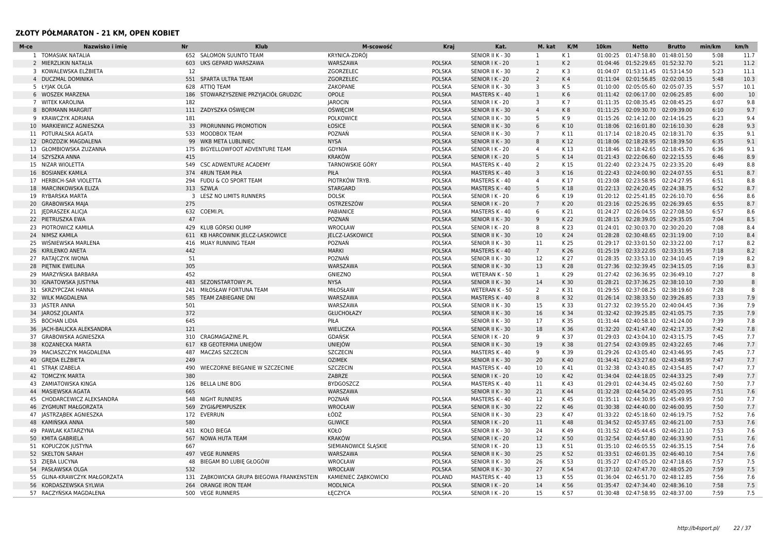| M-ce            | Nazwisko i imie                         | <b>Nr</b>  | <b>Klub</b>                           | M-scowość                        | <b>Krai</b>   | Kat.             | M. kat                  | K/M            | 10 <sub>km</sub> | <b>Netto</b>                     | <b>Brutto</b> | min/km | km/h         |
|-----------------|-----------------------------------------|------------|---------------------------------------|----------------------------------|---------------|------------------|-------------------------|----------------|------------------|----------------------------------|---------------|--------|--------------|
|                 | 1 TOMASIAK NATALIA                      |            | 652 SALOMON SUUNTO TEAM               | <b>KRYNICA-ZDRÓJ</b>             |               | SENIOR II K - 30 | 1                       | K 1            | 01:00:25         | 01:47:58.80                      | 01:48:01.50   | 5:08   | 11.7         |
|                 | 2 MIERZLIKIN NATALIA                    | 603        | UKS GEPARD WARSZAWA                   | WARSZAWA                         | <b>POLSKA</b> | SENIOR I K - 20  | 1                       | K <sub>2</sub> | 01:04:46         | 01:52:29.65                      | 01:52:32.70   | 5:21   | 11.2         |
|                 | 3 KOWALEWSKA ELŻBIETA                   | 12         |                                       | ZGORZELEC                        | <b>POLSKA</b> | SENIOR II K - 30 | $\overline{2}$          | K3             | 01:04:07         | 01:53:11.45                      | 01:53:14.50   | 5:23   | 11.1         |
|                 | 4 DUCZMAL DOMINIKA                      |            | 551 SPARTA ULTRA TEAM                 | ZGORZELEC                        | <b>POLSKA</b> | SENIOR I K - 20  | $\overline{2}$          | K4             |                  | 01:11:04 02:01:56.85             | 02:02:00.15   | 5:48   | 10.3         |
|                 | 5 ŁYJAK OLGA                            | 628        | <b>ATTIQ TEAM</b>                     | ZAKOPANE                         | <b>POLSKA</b> | SENIOR II K - 30 | $\overline{3}$          | K <sub>5</sub> | 01:10:00         | 02:05:05.60                      | 02:05:07.35   | 5:57   | 10.1         |
|                 | 6 WOSZEK MARZENA                        | 186        | STOWARZYSZENIE PRZYJACIÓŁ GRUDZIC     | OPOLE                            | <b>POLSKA</b> | MASTERS K - 40   | $\mathbf{1}$            | K6             |                  | 01:11:42 02:06:17.00             | 02:06:25.85   | 6:00   | 10           |
|                 | 7 WITEK KAROLINA                        | 182        |                                       | <b>JAROCIN</b>                   | <b>POLSKA</b> | SENIOR I K - 20  | $\overline{\mathbf{3}}$ | K7             | 01:11:35         | 02:08:35.45                      | 02:08:45.25   | 6:07   | 9.8          |
|                 | 8 BORMANN MARGRIT                       |            | 111 ZADYSZKA OŚWIĘCIM                 | <b>OŚWIĘCIM</b>                  | <b>POLSKA</b> | SENIOR II K - 30 | $\overline{4}$          | K8             | 01:11:25         | 02:09:30.70                      | 02:09:39.00   | 6:10   | 9.7          |
|                 | 9 KRAWCZYK ADRIANA                      | 181        |                                       | <b>POLKOWICE</b>                 | <b>POLSKA</b> | SENIOR II K - 30 | 5                       | K9             | 01:15:26         | 02:14:12.00                      | 02:14:16.25   | 6:23   | 9.4          |
| 10 <sup>°</sup> | MARKIEWICZ AGNIESZKA                    | 33         | PRORUNNING PROMOTION                  | ŁOSICE                           | <b>POLSKA</b> | SENIOR II K - 30 | 6                       | K 10           | 01:18:06         | 02:16:01.80                      | 02:16:10.30   | 6:28   | 9.3          |
|                 | 11 POTURALSKA AGATA                     | 533        | MOODBOX TEAM                          | POZNAŃ                           | POLSKA        | SENIOR II K - 30 | $\overline{7}$          | K 11           | 01:17:14         | 02:18:20.45                      | 02:18:31.70   | 6:35   | 9.1          |
|                 | 12 DROZDZIK MAGDALENA                   | 99         | WKB META LUBLINIEC                    | <b>NYSA</b>                      | <b>POLSKA</b> | SENIOR II K - 30 | 8                       | K 12           |                  | 01:18:06 02:18:28.95             | 02:18:39.50   | 6:35   | 9.1          |
|                 | 13 GŁOMBIOWSKA ZUZANNA                  | 175        | BIGYELLOWFOOT ADVENTURE TEAM          | <b>GDYNIA</b>                    | <b>POLSKA</b> | SENIOR I K - 20  | $\overline{4}$          | K13            |                  | 01:18:46 02:18:42.65             | 02:18:45.70   | 6:36   | 9.1          |
|                 | 14 SZYSZKA ANNA                         | 415        |                                       | <b>KRAKÓW</b>                    | <b>POLSKA</b> | SENIOR I K - 20  | 5                       | K14            |                  | 01:21:43 02:22:06.60             | 02:22:15.55   | 6:46   | 8.9          |
|                 | 15 NIZAR WIOLETTA                       | 549        | CSC ADWENTURE ACADEMY                 | <b>TARNOWSKIE GÓRY</b>           | <b>POLSKA</b> | MASTERS K - 40   | $\overline{2}$          | K 15           |                  | 01:22:40 02:23:24.75             | 02:23:35.20   | 6:49   | 8.8          |
|                 | 16 BOSIANEK KAMILA                      | 374        | <b>4RUN TEAM PIŁA</b>                 | PIŁA                             | <b>POLSKA</b> | MASTERS K - 40   | $\overline{3}$          | K 16           |                  | 01:22:43 02:24:00.90             | 02:24:07.55   | 6:51   | 8.7          |
| 17              | HERBICH-SAR VIOLETTA                    |            | 294 FUDU & CO SPORT TEAM              | PIOTRKÓW TRYB.                   | <b>POLSKA</b> | MASTERS K - 40   | $\overline{4}$          | K17            | 01:23:08         | 02:23:58.95                      | 02:24:27.95   | 6:51   | 8.8          |
|                 | 18 MARCINKOWSKA ELIZA                   |            | 313 SZWLA                             | STARGARD                         | <b>POLSKA</b> | MASTERS K - 40   | 5                       | K 18           |                  | 01:22:13 02:24:20.45 02:24:38.75 |               | 6:52   | 8.7          |
|                 | 19 RYBARSKA MARTA                       |            | 3 LESZ NO LIMITS RUNNERS              | <b>DOLSK</b>                     | <b>POLSKA</b> | SENIOR I K - 20  | 6                       | K 19           | 01:20:12         | 02:25:41.85                      | 02:26:10.70   | 6:56   | 8.6          |
|                 | 20 GRABOWSKA MAJA                       | 275        |                                       | OSTRZESZÓW                       | <b>POLSKA</b> | SENIOR I K - 20  | $\overline{7}$          | K 20           |                  | 01:23:16 02:25:26.95 02:26:39.65 |               | 6:55   | 8.7          |
|                 | 21 JEDRASZEK ALICJA                     | 632        | COEMI.PL                              | PABIANICE                        | <b>POLSKA</b> | MASTERS K - 40   | 6                       | K 21           | 01:24:27         | 02:26:04.55                      | 02:27:08.50   | 6:57   | 8.6          |
|                 | 22 PIETRUSZKA EWA                       | 47         |                                       | POZNAŃ                           | <b>POLSKA</b> | SENIOR II K - 30 | 9                       | K 22           | 01:28:15         | 02:28:39.05                      | 02:29:35.05   | 7:04   | 8.5          |
|                 | 23 PIOTROWICZ KAMILA                    | 429        | KLUB GÓRSKI OLIMP                     | WROCŁAW                          | <b>POLSKA</b> | SENIOR I K - 20  | 8                       | K 23           |                  | 01:24:01 02:30:03.70             | 02:30:20.20   | 7:08   | 8.4          |
|                 | 24 NIMSZ KAMILA                         | 611        | KB HARCOWNIK JELCZ-LASKOWICE          | JELCZ-LASKOWICE                  | <b>POLSKA</b> | SENIOR II K - 30 | 10                      | K 24           | 01:28:28         | 02:30:48.65                      | 02:31:19.00   | 7:10   | 8.4          |
| 25              | WIŚNIEWSKA MARLENA                      | 416        | MUAY RUNNING TEAM                     | POZNAŃ                           | <b>POLSKA</b> | SENIOR II K - 30 | 11                      | K 25           | 01:29:17         | 02:33:01.50                      | 02:33:22.00   | 7:17   | 8.2          |
|                 | 26 KIRILENKO ANETA                      | 442        |                                       | <b>MARKI</b>                     | <b>POLSKA</b> | MASTERS K - 40   | $7\overline{ }$         | K 26           | 01:25:19         | 02:33:22.05                      | 02:33:31.95   | 7:18   | 8.2          |
|                 | 27 RATAJCZYK IWONA                      | 51         |                                       | POZNAŃ                           | <b>POLSKA</b> | SENIOR II K - 30 | 12                      | K 27           |                  | 01:28:35 02:33:53.10 02:34:10.45 |               | 7:19   | 8.2          |
|                 | 28 PIETNIK EWELINA                      | 305        |                                       | <b>WARSZAWA</b>                  | <b>POLSKA</b> | SENIOR II K - 30 | 13                      | K 28           |                  | 01:27:36 02:32:39.45             | 02:34:15.05   | 7:16   | 8.3          |
| 29              | MARZYŃSKA BARBARA                       | 452        |                                       | <b>GNIEZNO</b>                   | <b>POLSKA</b> | WETERAN K - 50   | 1                       | K 29           | 01:27:42         | 02:36:36.95                      | 02:36:49.10   | 7:27   | -8           |
|                 | 30 IGNATOWSKA JUSTYNA                   | 483        | SEZONSTARTOWY.PL                      | <b>NYSA</b>                      | <b>POLSKA</b> | SENIOR II K - 30 | 14                      | K 30           |                  | 01:28:21 02:37:36.25             | 02:38:10.10   | 7:30   | 8            |
|                 | 31 SKRZYPCZAK HANNA                     | 241        | MIŁOSŁAW FORTUNA TEAM                 | MIŁOSŁAW                         | <b>POLSKA</b> | WETERAN K - 50   | $\overline{2}$          | K 31           |                  | 01:29:55 02:37:08.25             | 02:38:19.60   | 7:28   | $\mathbf{g}$ |
|                 | 32 WILK MAGDALENA                       | 585        | <b>TEAM ZABIEGANE DNI</b>             | WARSZAWA                         | <b>POLSKA</b> | MASTERS K - 40   | 8                       | K 32           |                  | 01:26:14 02:38:33.50             | 02:39:26.85   | 7:33   | 7.9          |
|                 | 33 JASTER ANNA                          | 501        |                                       | WARSZAWA                         | <b>POLSKA</b> | SENIOR II K - 30 | 15                      | K 33           |                  | 01:27:32 02:39:55.20             | 02:40:04.45   | 7:36   | 7.9          |
|                 | 34 JAROSZ JOLANTA                       | 372        |                                       | GŁUCHOŁAZY                       | <b>POLSKA</b> | SENIOR II K - 30 | 16                      | K 34           |                  | 01:32:42 02:39:25.85             | 02:41:05.75   | 7:35   | 7.9          |
|                 | 35 BOCHAN LIDIA                         | 645        |                                       | PIŁA                             |               | SENIOR II K - 30 | 17                      | K 35           |                  | 01:31:44 02:40:58.10             | 02:41:24.00   | 7:39   | 7.8          |
|                 | 36 JACH-BALICKA ALEKSANDRA              | 121        |                                       | WIELICZKA                        | <b>POLSKA</b> | SENIOR II K - 30 | 18                      | K 36           | 01:32:20         | 02:41:47.40                      | 02:42:17.35   | 7:42   | 7.8          |
|                 | 37 GRABOWSKA AGNIESZKA                  | 310        | CRAGMAGAZINE.PL                       | GDAŃSK                           | <b>POLSKA</b> | SENIOR I K - 20  | 9                       | K 37           | 01:29:03         | 02:43:04.10                      | 02:43:15.75   | 7:45   | 7.7          |
|                 | 38 KOZANECKA MARTA                      | 617        | KB GEOTERMIA UNIEJÓW                  | <b>UNIEJÓW</b>                   | <b>POLSKA</b> | SENIOR II K - 30 | 19                      | K 38           |                  | 01:27:54 02:43:09.85             | 02:43:22.65   | 7:46   | 7.7          |
| 39              | MACIASZCZYK MAGDALENA                   | 487        | MACZAS SZCZECIN                       | SZCZECIN                         | <b>POLSKA</b> | MASTERS K - 40   | 9                       | K 39           | 01:29:26         | 02:43:05.40                      | 02:43:46.95   | 7:45   | 7.7          |
|                 | 40 GREDA ELZBIETA                       | 249        |                                       | <b>OZIMEK</b>                    | <b>POLSKA</b> | SENIOR II K - 30 | 20                      | K 40           |                  | 01:34:41 02:43:27.60             | 02:43:48.95   | 7:47   | 7.7          |
|                 | 41 STRAK IZABELA                        | 490        | WIECZORNE BIEGANIE W SZCZECINIE       | <b>SZCZECIN</b>                  | <b>POLSKA</b> | MASTERS K - 40   | 10                      | K41            | 01:32:38         | 02:43:40.85                      | 02:43:54.85   | 7:47   | 7.7          |
|                 | 42 TOMCZYK MARTA                        | 380        |                                       | ZABRZE                           | <b>POLSKA</b> | SENIOR I K - 20  | 10                      | K 42           |                  | 01:34:04 02:44:18.05             | 02:44:33.25   | 7:49   | 7.7          |
| 43              | ZAMIATOWSKA KINGA                       | 126        | <b>BELLA LINE BDG</b>                 | <b>BYDGOSZCZ</b>                 | <b>POLSKA</b> | MASTERS K - 40   | 11                      | K 43           | 01:29:01         | 02:44:34.45                      | 02:45:02.60   | 7:50   | 7.7          |
|                 | 44 MASIEWSKA AGATA                      | 665        |                                       | WARSZAWA                         |               | SENIOR II K - 30 | 21                      | K44            | 01:32:28         | 02:44:54.20                      | 02:45:20.95   | 7:51   | 7.6          |
| 45              | CHODARCEWICZ ALEKSANDRA                 | 548        | <b>NIGHT RUNNERS</b>                  | POZNAŃ                           | <b>POLSKA</b> | MASTERS K - 40   | 12                      | K 45           |                  | 01:35:11 02:44:30.95             | 02:45:49.95   | 7:50   | 7.7          |
|                 | 46 ZYGMUNT MAŁGORZATA                   | 569        | ZYGI&PEMPUSZEK                        | WROCŁAW                          | <b>POLSKA</b> | SENIOR II K - 30 | 22                      | K46            | 01:30:38         | 02:44:40.00                      | 02:46:00.95   | 7:50   | 7.7          |
| 47              | JASTRZĄBEK AGNIESZKA                    |            | 172 EVERRUN                           | ŁÓDŹ                             | <b>POLSKA</b> | SENIOR II K - 30 | 23                      | K 47           |                  | 01:33:22 02:45:18.60             | 02:46:19.75   | 7:52   | 7.6          |
|                 | 48 KAMIŃSKA ANNA                        | 580        |                                       | <b>GLIWICE</b>                   | <b>POLSKA</b> | SENIOR I K - 20  | 11                      | K48            |                  | 01:34:52 02:45:37.65             | 02:46:21.00   | 7:53   | 7.6          |
|                 | 49 PAWLAK KATARZYNA                     |            | 431 KOŁO BIEGA                        | KOŁO                             | <b>POLSKA</b> | SENIOR II K - 30 | 24                      | K 49           |                  | 01:31:52 02:45:44.45 02:46:21.10 |               | 7:53   | 7.6          |
| 50              | KMITA GABRIELA                          | 567        | NOWA HUTA TEAM                        | <b>KRAKÓW</b>                    | <b>POLSKA</b> | SENIOR I K - 20  | 12                      | K 50           | 01:32:54         | 02:44:57.80                      | 02:46:33.90   | 7:51   | 7.6          |
|                 |                                         | 667        |                                       |                                  |               | SENIOR I K - 20  | 13                      | K 51           | 01:35:10         | 02:46:05.55                      | 02:46:35.15   | 7:54   | 7.6          |
|                 | 51 KOPUCZOK JUSTYNA<br>52 SKELTON SARAH | 497        | <b>VEGE RUNNERS</b>                   | SIEMIANOWICE SLASKIE<br>WARSZAWA | <b>POLSKA</b> | SENIOR II K - 30 | 25                      | K 52           |                  | 01:33:51 02:46:01.35             | 02:46:40.10   | 7:54   | 7.6          |
|                 | 53 ZIEBA LUCYNA                         | 48         | BIEGAM BO LUBIE GŁOGÓW                | WROCŁAW                          | <b>POLSKA</b> | SENIOR II K - 30 | 26                      | K 53           |                  | 01:35:27 02:47:05.20             | 02:47:18.65   | 7:57   | 7.5          |
|                 | 54 PASŁAWSKA OLGA                       |            |                                       | WROCŁAW                          | <b>POLSKA</b> | SENIOR II K - 30 | 27                      | K 54           | 01:37:10         | 02:47:47.70                      | 02:48:05.20   | 7:59   | 7.5          |
|                 |                                         | 532<br>131 |                                       |                                  |               |                  | 13                      | K 55           |                  | 01:36:04 02:46:51.70             |               |        | 7.6          |
|                 | 55 GLINA-KRAWCZYK MAŁGORZATA            |            | ZĄBKOWICKA GRUPA BIEGOWA FRANKENSTEIN | KAMIENIEC ZĄBKOWICKI             | <b>POLAND</b> | MASTERS K - 40   | 14                      |                |                  |                                  | 02:48:12.85   | 7:56   | 7.5          |
|                 | 56 KORDASZEWSKA SYLWIA                  |            | 264 ORANGE IRON TEAM                  | <b>MODLNICA</b>                  | <b>POLSKA</b> | SENIOR I K - 20  |                         | K 56           |                  | 01:35:47 02:47:34.40 02:48:36.10 |               | 7:58   |              |
|                 | 57 RACZYŃSKA MAGDALENA                  |            | 500 VEGE RUNNERS                      | ŁECZYCA                          | <b>POLSKA</b> | SENIOR I K - 20  | 15                      | K 57           |                  | 01:30:48 02:47:58.95 02:48:37.00 |               | 7:59   | 7.5          |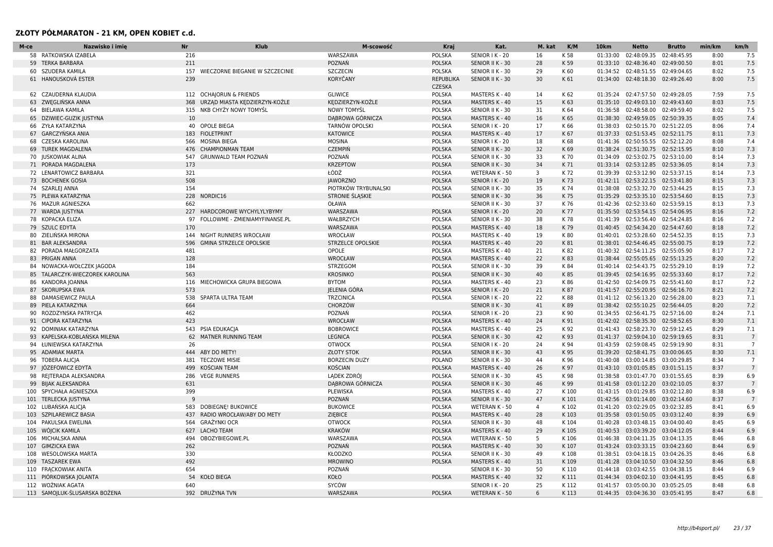| M-ce | Nazwisko i imie               | <b>Nr</b> | <b>Klub</b>                       | M-scowość                | Kraj             | Kat.             | M. kat          | K/M   | 10 <sub>km</sub> | <b>Netto</b>                     | <b>Brutto</b> | min/km | km/h           |
|------|-------------------------------|-----------|-----------------------------------|--------------------------|------------------|------------------|-----------------|-------|------------------|----------------------------------|---------------|--------|----------------|
| 58.  | RATKOWSKA IZABELA             | 216       |                                   | WARSZAWA                 | <b>POLSKA</b>    | SENIOR I K - 20  | 16              | K 58  | 01:33:00         | 02:48:09.35                      | 02:48:45.95   | 8:00   | 7.5            |
| 59   | <b>TERKA BARBARA</b>          | 211       |                                   | POZNAŃ                   | <b>POLSKA</b>    | SENIOR II K - 30 | 28              | K 59  | 01:33:10         | 02:48:36.40                      | 02:49:00.50   | 8:01   | 7.5            |
| 60   | SZUDERA KAMILA                | 157       | WIECZORNE BIEGANIE W SZCZECINIE   | <b>SZCZECIN</b>          | <b>POLSKA</b>    | SENIOR II K - 30 | 29              | K 60  |                  | 01:34:52 02:48:51.55             | 02:49:04.65   | 8:02   | 7.5            |
|      | 61 HANOUSKOVÁ ESTER           | 239       |                                   | <b>KORYČANY</b>          | <b>REPUBLIKA</b> | SENIOR II K - 30 | 30              | K 61  | 01:34:00         | 02:48:18.30                      | 02:49:26.40   | 8:00   | 7.5            |
|      |                               |           |                                   |                          | <b>CZESKA</b>    |                  |                 |       |                  |                                  |               |        |                |
| 62   | CZAUDERNA KLAUDIA             |           | 112 OCHAJORUN & FRIENDS           | <b>GLIWICE</b>           | <b>POLSKA</b>    | MASTERS K - 40   | 14              | K 62  | 01:35:24         | 02:47:57.50                      | 02:49:28.05   | 7:59   | 7.5            |
|      | 63 ZWEGLIŃSKA ANNA            |           | 368 URZĄD MIASTA KEDZIERZYN-KOŹLE | KEDZIERZYN-KOŹLE         | <b>POLSKA</b>    | MASTERS K - 40   | 15              | K 63  | 01:35:10         | 02:49:03.10                      | 02:49:43.60   | 8:03   | 7.5            |
|      | 64 BIELAWA KAMILA             |           | 315 NKB CHYŻY NOWY TOMYŚL         | <b>NOWY TOMYSL</b>       | <b>POLSKA</b>    | SENIOR II K - 30 | 31              | K 64  | 01:36:58         | 02:48:58.00                      | 02:49:59.40   | 8:02   | 7.5            |
| 65   | DZIWIEC-GUZIK JUSTYNA         | 10        |                                   | DABROWA GÓRNICZA         | <b>POLSKA</b>    | MASTERS K - 40   | 16              | K 65  | 01:38:30         | 02:49:59.05                      | 02:50:39.35   | 8:05   | 7.4            |
| 66   | ZYŁA KATARZYNA                | 40        | <b>OPOLE BIEGA</b>                | TARNÓW OPOLSKI           | <b>POLSKA</b>    | SENIOR I K - 20  | 17              | K 66  | 01:38:03         | 02:50:15.70                      | 02:51:22.05   | 8:06   | 7.4            |
|      | 67 GARCZYŃSKA ANIA            |           | 183 FIOLETPRINT                   | <b>KATOWICE</b>          | <b>POLSKA</b>    | MASTERS K - 40   | 17              | K 67  | 01:37:33         | 02:51:53.45                      | 02:52:11.75   | 8:11   | 7.3            |
| 68   | CZESKA KAROLINA               |           | 566 MOSINA BIEGA                  | <b>MOSINA</b>            | <b>POLSKA</b>    | SENIOR I K - 20  | 18              | K 68  |                  | 01:41:36 02:50:55.55 02:52:12.20 |               | 8:08   | 7.4            |
|      |                               | 476       | <b>CHAMPIONMAN TEAM</b>           | <b>CZEMPIŃ</b>           |                  |                  |                 | K 69  | 01:38:24         |                                  |               |        |                |
| 69   | <b>TUREK MAGDALENA</b>        |           |                                   |                          | <b>POLSKA</b>    | SENIOR II K - 30 | 32              |       |                  | 02:51:30.75                      | 02:52:15.95   | 8:10   | 7.3            |
| 70   | <b>JUSKOWIAK ALINA</b>        | 547       | <b>GRUNWALD TEAM POZNAŃ</b>       | POZNAŃ                   | POLSKA           | SENIOR II K - 30 | 33              | K 70  | 01:34:09         | 02:53:02.75                      | 02:53:10.00   | 8:14   | 7.3            |
|      | 71 PORADA MAGDALENA           | 173       |                                   | <b>KRZEPTOW</b>          | <b>POLSKA</b>    | SENIOR II K - 30 | 34              | K 71  |                  | 01:33:14 02:53:12.85             | 02:53:36.05   | 8:14   | 7.3            |
|      | 72 LENARTOWICZ BARBARA        | 321       |                                   | ŁÓDŹ                     | <b>POLSKA</b>    | WETERAN K - 50   | $\overline{3}$  | K 72  | 01:39:39         | 02:53:12.90                      | 02:53:37.15   | 8:14   | 7.3            |
| 73   | <b>BOCHENEK GOSIA</b>         | 508       |                                   | <b>JAWORZNO</b>          | <b>POLSKA</b>    | SENIOR I K - 20  | 19              | K 73  | 01:42:11         | 02:53:22.15                      | 02:53:41.80   | 8:15   | 7.3            |
|      | 74 SZARLEJ ANNA               | 154       |                                   | PIOTRKÓW TRYBUNALSKI     | <b>POLSKA</b>    | SENIOR II K - 30 | 35              | K 74  | 01:38:08         | 02:53:32.70                      | 02:53:44.25   | 8:15   | 7.3            |
|      | 75 PLEWA KATARZYNA            |           | 228 NORDIC16                      | STRONIE ŚLĄSKIE          | <b>POLSKA</b>    | SENIOR II K - 30 | 36              | K 75  |                  | 01:35:29 02:53:35.10 02:53:54.60 |               | 8:15   | 7.3            |
| 76   | MAZUR AGNIESZKA               | 662       |                                   | OŁAWA                    |                  | SENIOR II K - 30 | 37              | K 76  | 01:42:36         | 02:52:33.60                      | 02:53:59.15   | 8:13   | 7.3            |
|      | 77 WARDA JUSTYNA              | 227       | HARDCOROWE WYCHYLYLYBYMY          | WARSZAWA                 | <b>POLSKA</b>    | SENIOR I K - 20  | 20              | K 77  |                  | 01:35:50 02:53:54.15             | 02:54:06.95   | 8:16   | 7.2            |
|      | 78 KOPACKA ELIZA              | 97        | FOLLOWME - ZMIENIAMYFINANSE.PL    | WAŁBRZYCH                | POLSKA           | SENIOR II K - 30 | 38              | K 78  | 01:41:39         | 02:53:56.40                      | 02:54:24.85   | 8:16   | 7.2            |
|      | 79 SZULC EDYTA                | 170       |                                   | WARSZAWA                 | <b>POLSKA</b>    | MASTERS K - 40   | 18              | K 79  |                  | 01:40:45 02:54:34.20             | 02:54:47.60   | 8:18   | 7.2            |
| 80   | ZIELIŃSKA MIRONA              | 144       | NIGHT RUNNERS WROCŁAW             | WROCŁAW                  | <b>POLSKA</b>    | MASTERS K - 40   | 19              | K 80  | 01:40:01         | 02:53:28.60                      | 02:54:52.35   | 8:15   | 7.3            |
|      | 81 BAR ALEKSANDRA             | 596       | <b>GMINA STRZELCE OPOLSKIE</b>    | <b>STRZELCE OPOLSKIE</b> | <b>POLSKA</b>    | MASTERS K - 40   | 20              | K 81  |                  | 01:38:01 02:54:46.45             | 02:55:00.75   | 8:19   | 7.2            |
| 82   | PORADA MAŁGORZATA             | 481       |                                   | OPOLE                    | <b>POLSKA</b>    | MASTERS K - 40   | 21              | K 82  | 01:40:32         | 02:54:11.25                      | 02:55:05.90   | 8:17   | 7.2            |
| 83   | PRIGAN ANNA                   | 128       |                                   | WROCŁAW                  | <b>POLSKA</b>    | MASTERS K - 40   | 22              | K83   |                  | 01:38:44 02:55:05.65             | 02:55:13.25   | 8:20   | 7.2            |
| 84   | NOWACKA-WOŁCZEK JAGODA        | 184       |                                   | STRZEGOM                 | <b>POLSKA</b>    | SENIOR II K - 30 | 39              | K 84  |                  | 01:40:14 02:54:43.75             | 02:55:29.10   | 8:19   | 7.2            |
| 85   | TALARCZYK-WIECZOREK KAROLINA  | 563       |                                   | <b>KROSINKO</b>          | <b>POLSKA</b>    | SENIOR II K - 30 | 40              | K 85  |                  | 01:39:45 02:54:16.95             | 02:55:33.60   | 8:17   | 7.2            |
| 86   | KANDORA JOANNA                | 116       | MIECHOWICKA GRUPA BIEGOWA         | <b>BYTOM</b>             | <b>POLSKA</b>    | MASTERS K - 40   | 23              | K 86  | 01:42:50         | 02:54:09.75 02:55:41.60          |               | 8:17   | 7.2            |
| 87   | SKORUPSKA EWA                 | 573       |                                   | JELENIA GÓRA             | <b>POLSKA</b>    | SENIOR I K - 20  | 21              | K 87  | 01:41:57         | 02:55:20.95                      | 02:56:16.70   | 8:21   | 7.2            |
| 88   | DAMASIEWICZ PAULA             | 538       | SPARTA ULTRA TEAM                 | <b>TRZCINICA</b>         | POLSKA           | SENIOR I K - 20  | 22              | K 88  |                  | 01:41:12 02:56:13.20             | 02:56:28.00   | 8:23   | 7.1            |
| 89   | PIELA KATARZYNA               | 664       |                                   | CHORZÓW                  |                  | SENIOR II K - 30 | 41              | K89   |                  | 01:38:42 02:55:10.25             | 02:56:44.05   | 8:20   | 7.2            |
| 90   | ROZDZYNSKA PATRYCJA           | 462       |                                   | POZNAŃ                   | <b>POLSKA</b>    | SENIOR I K - 20  | 23              | K 90  |                  | 01:34:55 02:56:41.75 02:57:16.00 |               | 8:24   | 7.1            |
| 91   | <b>CIPORA KATARZYNA</b>       | 423       |                                   | WROCŁAW                  | <b>POLSKA</b>    | MASTERS K - 40   | 24              | K 91  | 01:42:02         | 02:58:35.30                      | 02:58:52.65   | 8:30   | 7.1            |
|      | 92 DOMINIAK KATARZYNA         |           | 543 PSIA EDUKACJA                 | <b>BOBROWICE</b>         | <b>POLSKA</b>    | MASTERS K - 40   | 25              | K 92  | 01:41:43         | 02:58:23.70                      | 02:59:12.45   | 8:29   | 7.1            |
| 93   | KAPELSKA-KOBLANSKA MILENA     | 62        | MATNER RUNNING TEAM               | <b>LEGNICA</b>           | <b>POLSKA</b>    | SENIOR II K - 30 | 42              | K 93  |                  | 01:41:37 02:59:04.10 02:59:19.65 |               | 8:31   | 7              |
| 94   | ŁUNIEWSKA KATARZYNA           | 26        |                                   | <b>OTWOCK</b>            | <b>POLSKA</b>    | SENIOR I K - 20  | 24              | K 94  | 01:43:59         | 02:59:08.45                      | 02:59:19.90   | 8:31   | $\overline{7}$ |
| 95   | <b>ADAMIAK MARTA</b>          | 444       | ABY DO METY!                      | <b>ZŁOTY STOK</b>        | <b>POLSKA</b>    | SENIOR II K - 30 | 43              | K 95  | 01:39:20         | 02:58:41.75                      | 03:00:06.65   | 8:30   | 7.1            |
|      | 96 TOBERA ALICJA              | 381       | <b>TECZOWE MISIE</b>              | <b>BORZECIN DUZY</b>     | <b>POLAND</b>    | SENIOR II K - 30 | 44              | K 96  | 01:40:08         | 03:00:14.85                      | 03:00:29.85   | 8:34   | $\overline{7}$ |
| 97   | JÓZEFOWICZ EDYTA              | 499       | <b>KOŚCIAN TEAM</b>               | <b>KOŚCIAN</b>           | <b>POLSKA</b>    | MASTERS K - 40   | 26              | K 97  |                  | 01:43:10 03:01:05.85 03:01:51.15 |               | 8:37   | $\overline{7}$ |
| 98   | REJTERADA ALEKSANDRA          | 286       | <b>VEGE RUNNERS</b>               | LADEK ZDRÓJ              | <b>POLSKA</b>    | SENIOR II K - 30 | 45              | K 98  | 01:38:58         | 03:01:47.70                      | 03:01:55.65   | 8:39   | 6.9            |
| 99   | <b>BIJAK ALEKSANDRA</b>       | 631       |                                   | DABROWA GÓRNICZA         | <b>POLSKA</b>    | SENIOR II K - 30 | 46              | K 99  |                  | 01:41:58 03:01:12.20             | 03:02:10.05   | 8:37   | $7^{\circ}$    |
|      | 100 SPYCHAŁA AGNIESZKA        | 399       |                                   | PLEWISKA                 | <b>POLSKA</b>    | MASTERS K - 40   | 27              | K 100 |                  | 01:43:15 03:01:29.85             | 03:02:12.80   | 8:38   | 6.9            |
|      | 101 TERLECKA JUSTYNA          | 9         |                                   | POZNAŃ                   | <b>POLSKA</b>    | SENIOR II K - 30 | 47              | K 101 | 01:42:56         | 03:01:14.00                      | 03:02:14.60   | 8:37   | $\overline{7}$ |
| 102  | LUBAŃSKA ALICJA               | 583       | <b>DOBIEGNE! BUKOWICE</b>         | <b>BUKOWICE</b>          | <b>POLSKA</b>    | WETERAN K - 50   | $\overline{4}$  | K 102 | 01:41:20         | 03:02:29.05                      | 03:02:32.85   | 8:41   | 6.9            |
|      | 103 SZPILAREWICZ BASIA        | 437       | RADIO WROCŁAW/ABY DO METY         | ZIEBICE                  | <b>POLSKA</b>    | MASTERS K - 40   | 28              | K103  |                  | 01:35:58 03:01:50.05             | 03:03:12.40   | 8:39   | 6.9            |
| 104  | PAKULSKA EWELINA              | 564       | GRAŻYNKI OCR                      | <b>OTWOCK</b>            | POLSKA           | SENIOR II K - 30 | 48              | K104  |                  | 01:40:28 03:03:48.15 03:04:00.40 |               | 8:45   | 6.9            |
| 105  | WÓJCIK KAMILA                 | 627       | <b>LACHO TEAM</b>                 | <b>KRAKÓW</b>            | <b>POLSKA</b>    | MASTERS K - 40   | 29              | K 105 |                  | 01:40:53 03:03:39.20             | 03:04:12.05   | 8:44   | 6.9            |
| 106  | MICHALSKA ANNA                | 494       | OBOZYBIEGOWE.PL                   | WARSZAWA                 | <b>POLSKA</b>    | WETERAN K - 50   | 5               | K106  |                  | 01:46:38 03:04:11.35             | 03:04:13.35   | 8:46   | 6.8            |
| 107  | <b>GIMZICKA EWA</b>           | 262       |                                   | POZNAŃ                   | <b>POLSKA</b>    | MASTERS K - 40   | 30              | K 107 |                  | 01:43:24 03:03:33.15             | 03:04:23.60   | 8:44   | 6.9            |
| 108  | <b>WESOLOWSKA MARTA</b>       | 330       |                                   | KŁODZKO                  | <b>POLSKA</b>    | SENIOR II K - 30 | 49              | K108  | 01:38:51         | 03:04:18.15                      | 03:04:26.35   | 8:46   | 6.8            |
| 109  | <b>TASZAREK EWA</b>           | 492       |                                   | <b>MROWINO</b>           | <b>POLSKA</b>    | MASTERS K - 40   | 31              | K109  | 01:41:28         | 03:04:10.50                      | 03:04:32.50   | 8:46   | 6.8            |
| 110  | <b>FRACKOWIAK ANITA</b>       | 654       |                                   | POZNAŃ                   |                  | SENIOR II K - 30 | 50              | K110  |                  | 01:44:18 03:03:42.55             | 03:04:38.15   | 8:44   | 6.9            |
|      | 111 PIÓRKOWSKA JOLANTA        |           | 54 KOŁO BIEGA                     | <b>KOŁO</b>              | <b>POLSKA</b>    | MASTERS K - 40   | 32              | K111  |                  | 01:44:34 03:04:02.10             | 03:04:41.95   | 8:45   | 6.8            |
|      | 112 WOŹNIAK AGATA             | 640       |                                   | SYCÓW                    |                  | SENIOR I K - 20  | 25              | K112  |                  | 01:41:57 03:05:00.30             | 03:05:25.05   | 8:48   | 6.8            |
|      | 113 SAMOJLUK-ŚLUSARSKA BOŻENA |           | 392 DRUŻYNA TVN                   | WARSZAWA                 | <b>POLSKA</b>    | WETERAN K - 50   | $6\overline{6}$ | K113  |                  | 01:44:35 03:04:36.30 03:05:41.95 |               | 8:47   | 6.8            |
|      |                               |           |                                   |                          |                  |                  |                 |       |                  |                                  |               |        |                |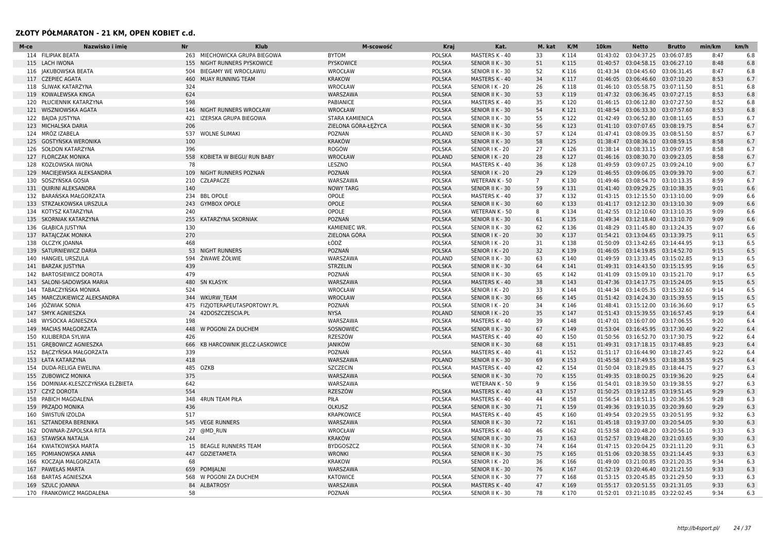| M-ce | Nazwisko i imie                | Nr  | <b>Klub</b>                   | M-scowość              | Kraj          | Kat.                  | M. kat         | K/M   | 10 <sub>km</sub> | Netto                              | <b>Brutto</b> | min/km | km/h |
|------|--------------------------------|-----|-------------------------------|------------------------|---------------|-----------------------|----------------|-------|------------------|------------------------------------|---------------|--------|------|
|      | 114 FILIPIAK BEATA             | 263 | MIECHOWICKA GRUPA BIEGOWA     | <b>BYTOM</b>           | <b>POLSKA</b> | MASTERS K - 40        | 33             | K114  | 01:43:02         | 03:04:37.25                        | 03:06:07.85   | 8:47   | 6.8  |
|      | 115 LACH IWONA                 | 155 | NIGHT RUNNERS PYSKOWICE       | <b>PYSKOWICE</b>       | <b>POLSKA</b> | SENIOR II K - 30      | 51             | K115  | 01:40:57         | 03:04:58.15                        | 03:06:27.10   | 8:48   | 6.8  |
|      | 116 JAKUBOWSKA BEATA           | 504 | BIEGAMY WE WROCŁAWIU          | WROCŁAW                | <b>POLSKA</b> | SENIOR II K - 30      | 52             | K116  | 01:43:34         | 03:04:45.60                        | 03:06:31.45   | 8:47   | 6.8  |
|      | 117 CZEPIEC AGATA              | 460 | <b>MUAY RUNNING TEAM</b>      | <b>KRAKOW</b>          | <b>POLSKA</b> | <b>MASTERS K - 40</b> | 34             | K117  | 01:46:05         | 03:06:46.60                        | 03:07:10.20   | 8:53   | 6.7  |
|      | 118 ŚLIWAK KATARZYNA           | 324 |                               | WROCŁAW                | POLSKA        | SENIOR I K - 20       | 26             | K118  |                  | 01:46:10 03:05:58.75 03:07:11.50   |               | 8:51   | 6.8  |
| 119  | KOWALEWSKA KINGA               | 624 |                               | WARSZAWA               | <b>POLSKA</b> | SENIOR II K - 30      | 53             | K119  | 01:47:32         | 03:06:36.45                        | 03:07:27.15   | 8:53   | 6.8  |
| 120  | PŁUCIENNIK KATARZYNA           | 598 |                               | PABIANICE              | <b>POLSKA</b> | MASTERS K - 40        | 35             | K120  | 01:46:15         | 03:06:12.80                        | 03:07:27.50   | 8:52   | 6.8  |
| 121  | WISZNIOWSKA AGATA              |     | 146 NIGHT RUNNERS WROCŁAW     | WROCŁAW                | <b>POLSKA</b> | SENIOR II K - 30      | 54             | K 121 | 01:48:54         | 03:06:33.30                        | 03:07:57.60   | 8:53   | 6.8  |
| 122  | BAJDA JUSTYNA                  | 421 | IZERSKA GRUPA BIEGOWA         | <b>STARA KAMIENICA</b> | <b>POLSKA</b> | SENIOR II K - 30      | 55             | K122  | 01:42:49         | 03:06:52.80                        | 03:08:11.65   | 8:53   | 6.7  |
| 123  | MICHALSKA DARIA                | 206 |                               | ZIELONA GÓRA-ŁEŻYCA    | <b>POLSKA</b> | SENIOR II K - 30      | 56             | K123  | 01:41:10         | 03:07:07.65                        | 03:08:19.75   | 8:54   | 6.7  |
| 124  | MRÓZ IZABELA                   | 537 | WOLNE SLIMAKI                 | POZNAN                 | POLAND        | SENIOR II K - 30      | 57             | K 124 | 01:47:41         | 03:08:09.35                        | 03:08:51.50   | 8:57   | 6.7  |
| 125  | GOSTYŃSKA WERONIKA             | 100 |                               | <b>KRAKÓW</b>          | <b>POLSKA</b> | SENIOR II K - 30      | 58             | K125  | 01:38:47         | 03:08:36.10 03:08:59.15            |               | 8:58   | 6.7  |
| 126  | SOŁDON KATARZYNA               | 396 |                               | ROGÓW                  | <b>POLSKA</b> | SENIOR I K - 20       | 27             | K126  | 01:38:14         | 03:08:33.15                        | 03:09:07.95   | 8:58   | 6.7  |
| 127  | <b>FLORCZAK MONIKA</b>         | 558 | KOBIETA W BIEGU/ RUN BABY     | WROCŁAW                | <b>POLAND</b> | SENIOR I K - 20       | 28             | K127  | 01:46:16         | 03:08:30.70                        | 03:09:23.05   | 8:58   | 6.7  |
| 128  | KOZŁOWSKA IWONA                | 78  |                               | LESZNO                 | <b>POLSKA</b> | MASTERS K - 40        | 36             | K128  | 01:49:59         | 03:09:07.25 03:09:24.10            |               | 9:00   | 6.7  |
| 129  | MACIEJEWSKA ALEKSANDRA         | 109 | NIGHT RUNNERS POZNAŃ          | POZNAŃ                 | <b>POLSKA</b> | SENIOR I K - 20       | 29             | K129  |                  | 01:46:55 03:09:06.05 03:09:39.70   |               | 9:00   | 6.7  |
| 130  | SOSZYŃSKA GOSIA                | 210 | CZŁAPACZE                     | WARSZAWA               | POLSKA        | WETERAN K - 50        | $\overline{7}$ | K130  | 01:49:46         | 03:08:54.70                        | 03:10:13.35   | 8:59   | 6.7  |
|      | 131 QUIRINI ALEKSANDRA         | 140 |                               | <b>NOWY TARG</b>       | <b>POLSKA</b> | SENIOR II K - 30      | 59             | K131  |                  | 01:41:40 03:09:29.25 03:10:38.35   |               | 9:01   | 6.6  |
| 132  | BARANSKA MAŁGORZATA            |     | 234 BBL OPOLE                 | OPOLE                  | <b>POLSKA</b> | MASTERS K - 40        | 37             | K132  | 01:43:15         | 03:12:15.50                        | 03:13:10.00   | 9:09   | 6.6  |
| 133  | STRZAŁKOWSKA URSZULA           | 243 | <b>GYMBOX OPOLE</b>           | OPOLE                  | <b>POLSKA</b> | SENIOR II K - 30      | 60             | K133  |                  | 01:41:17 03:12:12.30 03:13:10.30   |               | 9:09   | 6.6  |
| 134  | KOTYSZ KATARZYNA               | 240 |                               | OPOLE                  | <b>POLSKA</b> | <b>WETERAN K - 50</b> | 8              | K134  | 01:42:55         | 03:12:10.60                        | 03:13:10.35   | 9:09   | 6.6  |
| 135  | SKORNIAK KATARZYNA             | 255 | KATARZYNA SKORNIAK            | POZNAŃ                 | <b>POLSKA</b> | SENIOR II K - 30      | 61             | K135  | 01:49:34         | 03:12:18.40                        | 03:13:10.70   | 9:09   | 6.6  |
|      | 136 GŁĄBICA JUSTYNA            | 130 |                               | KAMIENIEC WR.          | <b>POLSKA</b> | SENIOR II K - 30      | 62             | K136  |                  | 01:48:29 03:11:45.80 03:13:24.35   |               | 9:07   | 6.6  |
| 137  | RATAJCZAK MONIKA               | 270 |                               | ZIELONA GÓRA           | <b>POLSKA</b> | SENIOR I K - 20       | 30             | K137  |                  | 01:54:21  03:13:04.65  03:13:39.75 |               | 9:11   | 6.5  |
| 138  | OLCZYK JOANNA                  | 468 |                               | ŁÓDŹ                   | POLSKA        | SENIOR I K - 20       | 31             | K138  | 01:50:09         | 03:13:42.65                        | 03:14:44.95   | 9:13   | 6.5  |
| 139  | SATURNIEWICZ DARIA             | 53  | <b>NIGHT RUNNERS</b>          | POZNAŃ                 | <b>POLSKA</b> | SENIOR I K - 20       | 32             | K139  | 01:46:05         | 03:14:19.85                        | 03:14:52.70   | 9:15   | 6.5  |
| 140  | <b>HANGIEL URSZULA</b>         | 594 | ŻWAWE ŻÓŁWIE                  | WARSZAWA               | POLAND        | SENIOR II K - 30      | 63             | K140  | 01:49:59         | 03:13:33.45 03:15:02.85            |               | 9:13   | 6.5  |
| 141  | <b>BARZAK JUSTYNA</b>          | 439 |                               | <b>STRZELIN</b>        | <b>POLSKA</b> | SENIOR II K - 30      | 64             | K141  | 01:49:31         | 03:14:43.50                        | 03:15:15.95   | 9:16   | 6.5  |
| 142  | <b>BARTOSIEWICZ DOROTA</b>     | 479 |                               | POZNAŃ                 | <b>POLSKA</b> | SENIOR II K - 30      | 65             | K142  | 01:41:09         | 03:15:09.10                        | 03:15:21.70   | 9:17   | 6.5  |
| 143  | SALONI-SADOWSKA MARIA          |     | 480 SN KLASYK                 | WARSZAWA               | <b>POLSKA</b> | MASTERS K - 40        | 38             | K143  |                  | 01:47:36 03:14:17.75 03:15:24.05   |               | 9:15   | 6.5  |
| 144  | TABACZYŃSKA MONIKA             | 524 |                               | WROCŁAW                | <b>POLSKA</b> | SENIOR I K - 20       | 33             | K144  | 01:44:34         | 03:14:05.35                        | 03:15:32.60   | 9:14   | 6.5  |
| 145  | MARCZUKIEWICZ ALEKSANDRA       |     | 344 WKURW TEAM                | WROCŁAW                | <b>POLSKA</b> | SENIOR II K - 30      | 66             | K145  |                  | 01:51:42 03:14:24.30               | 03:15:39.55   | 9:15   | 6.5  |
| 146  | JÓŹWIAK SONIA                  |     | 475 FIZJOTERAPEUTASPORTOWY.PL | POZNAŃ                 | POLSKA        | SENIOR I K - 20       | 34             | K146  |                  | 01:48:41 03:15:12.00 03:16:36.60   |               | 9:17   | 6.5  |
|      | 147 SMYK AGNIESZKA             | 24  | 42DOSZCZESCIA.PL              | <b>NYSA</b>            | POLAND        | SENIOR I K - 20       | 35             | K147  |                  | 01:51:43  03:15:39.55  03:16:57.45 |               | 9:19   | 6.4  |
| 148  | WYSOCKA AGNIESZKA              | 198 |                               | WARSZAWA               | <b>POLSKA</b> | MASTERS K - 40        | 39             | K148  | 01:47:01         | 03:16:07.00                        | 03:17:06.55   | 9:20   | 6.4  |
| 149  | <b>MACIAS MAŁGORZATA</b>       | 448 | W POGONI ZA DUCHEM            | SOSNOWIEC              | <b>POLSKA</b> | SENIOR II K - 30      | 67             | K149  | 01:53:04         | 03:16:45.95 03:17:30.40            |               | 9:22   | 6.4  |
| 150  | KULIBERDA SYLWIA               | 426 |                               | RZESZÓW                | POLSKA        | MASTERS K - 40        | 40             | K150  | 01:50:56         | 03:16:52.70 03:17:30.75            |               | 9:22   | 6.4  |
| 151  | <b>GREBOWICZ AGNIESZKA</b>     | 666 | KB HARCOWNIK JELCZ-LASKOWICE  | JANIKÓW                |               | SENIOR II K - 30      | 68             | K151  |                  | 01:49:31  03:17:18.15  03:17:48.85 |               | 9:23   | 6.4  |
| 152  | BĄCZYNSKA MAŁGORZATA           | 339 |                               | POZNAN                 | POLSKA        | MASTERS K - 40        | 41             | K152  | 01:51:17         | 03:16:44.90                        | 03:18:27.45   | 9:22   | 6.4  |
| 153  | <b>ŁATA KATARZYNA</b>          | 418 |                               | WARSZAWA               | <b>POLAND</b> | SENIOR II K - 30      | 69             | K153  | 01:45:58         | 03:17:49.55                        | 03:18:38.55   | 9:25   | 6.4  |
|      | 154 DUDA-RELIGA EWELINA        | 485 | OZKB                          | <b>SZCZECIN</b>        | POLSKA        | MASTERS K - 40        | 42             | K 154 | 01:50:04         | 03:18:29.85 03:18:44.75            |               | 9:27   | 6.3  |
| 155  | <b>ZUBOWICZ MONIKA</b>         | 375 |                               | WARSZAWA               | <b>POLSKA</b> | SENIOR II K - 30      | 70             | K155  | 01:49:35         | 03:18:00.25                        | 03:19:36.20   | 9:25   | 6.4  |
| 156  | DOMINIAK-KLESZCZYŃSKA ELŻBIETA | 642 |                               | WARSZAWA               |               | WETERAN K - 50        | 9              | K156  | 01:54:01         | 03:18:39.50                        | 03:19:38.55   | 9:27   | 6.3  |
| 157  | CZYŻ DOROTA                    | 554 |                               | RZESZÓW                | <b>POLSKA</b> | MASTERS K - 40        | 43             | K157  | 01:50:25         | 03:19:12.85 03:19:51.45            |               | 9:29   | 6.3  |
| 158  | PABICH MAGDALENA               | 348 | <b>4RUN TEAM PIŁA</b>         | PIŁA                   | <b>POLSKA</b> | MASTERS K - 40        | 44             | K158  | 01:56:54         | 03:18:51.15 03:20:36.55            |               | 9:28   | 6.3  |
| 159  | PRZĄDO MONIKA                  | 436 |                               | OLKUSZ                 | <b>POLSKA</b> | SENIOR II K - 30      | 71             | K159  | 01:49:36         | 03:19:10.35                        | 03:20:39.60   | 9:29   | 6.3  |
| 160  | ŚWISTUŃ IZOLDA                 | 517 |                               | <b>KRAPKOWICE</b>      | <b>POLSKA</b> | MASTERS K - 40        | 45             | K 160 | 01:49:54         | 03:20:29.55                        | 03:20:51.95   | 9:32   | 6.3  |
| 161  | SZTANDERA BERENIKA             | 545 | <b>VEGE RUNNERS</b>           | WARSZAWA               | <b>POLSKA</b> | SENIOR II K - 30      | 72             | K161  | 01:45:18         | 03:19:37.00                        | 03:20:54.05   | 9:30   | 6.3  |
| 162  | DOWNAR-ZAPOLSKA RITA           | 27  | @MD RUN                       | WROCŁAW                | <b>POLSKA</b> | MASTERS K - 40        | 46             | K 162 | 01:53:58         | 03:20:48.20                        | 03:20:56.10   | 9:33   | 6.3  |
| 163  | STAWSKA NATALIA                | 244 |                               | <b>KRAKÓW</b>          | <b>POLSKA</b> | SENIOR II K - 30      | 73             | K163  |                  | 01:52:57 03:19:48.20               | 03:21:03.65   | 9:30   | 6.3  |
| 164  | KWIATKOWSKA MARTA              | 15  | BEAGLE RUNNERS TEAM           | <b>BYDGOSZCZ</b>       | <b>POLSKA</b> | SENIOR II K - 30      | 74             | K164  | 01:47:15         | 03:20:04.25                        | 03:21:11.20   | 9:31   | 6.3  |
| 165  | POMIANOWSKA ANNA               | 447 | GDZIETAMETA                   | <b>WRONKI</b>          | <b>POLSKA</b> | SENIOR II K - 30      | 75             | K165  |                  | 01:51:06 03:20:38.55 03:21:14.45   |               | 9:33   | 6.3  |
| 166  | KOCZAJA MALGORZATA             | 68  |                               | <b>KRAKOW</b>          | POLSKA        | SENIOR I K - 20       | 36             | K166  | 01:49:00         | 03:21:00.85                        | 03:21:20.35   | 9:34   | 6.3  |
| 167  | PAWEŁAS MARTA                  | 659 | POMIJALNI                     | WARSZAWA               |               | SENIOR II K - 30      | 76             | K 167 |                  | 01:52:19 03:20:46.40               | 03:21:21.50   | 9:33   | 6.3  |
| 168  | BARTAS AGNIESZKA               | 568 | W POGONI ZA DUCHEM            | <b>KATOWICE</b>        | POLSKA        | SENIOR II K - 30      | 77             | K 168 | 01:53:15         | 03:20:45.85 03:21:29.50            |               | 9:33   | 6.3  |
| 169  | <b>SZULC JOANNA</b>            | 84  | ALBATROSY                     | WARSZAWA               | <b>POLSKA</b> | MASTERS K - 40        | 47             | K169  |                  | 01:55:17 03:20:51.55 03:21:31.05   |               | 9:33   | 6.3  |
|      | 170 FRANKOWICZ MAGDALENA       | 58  |                               | POZNAŃ                 | POLSKA        | SENIOR II K - 30      | 78             | K170  |                  | 01:52:01 03:21:10.85 03:22:02.45   |               | 9:34   | 6.3  |
|      |                                |     |                               |                        |               |                       |                |       |                  |                                    |               |        |      |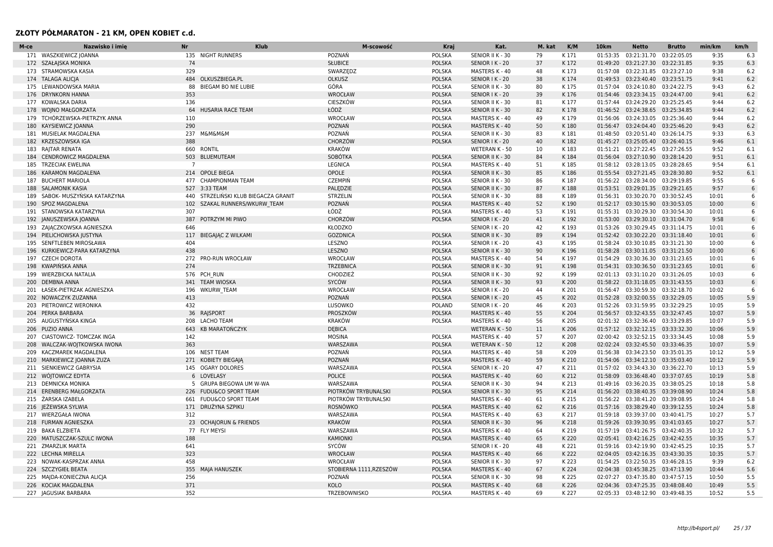| M-ce       | Nazwisko i imie             | Nr             | <b>Klub</b>                      | M-scowość               | Kraj                           | Kat.                  | M. kat | K/M            | 10 <sub>km</sub> | <b>Netto</b>                                             | <b>Brutto</b>              | min/km         | km/h            |
|------------|-----------------------------|----------------|----------------------------------|-------------------------|--------------------------------|-----------------------|--------|----------------|------------------|----------------------------------------------------------|----------------------------|----------------|-----------------|
|            | 171 WASZKIEWICZ JOANNA      |                | 135 NIGHT RUNNERS                | POZNAŃ                  | <b>POLSKA</b>                  | SENIOR II K - 30      | 79     | K171           | 01:53:35         | 03:21:31.70                                              | 03:22:05.05                | 9:35           | 6.3             |
|            | 172 SZAŁAJSKA MONIKA        | 74             |                                  | <b>SŁUBICE</b>          | <b>POLSKA</b>                  | SENIOR I K - 20       | 37     | K172           | 01:49:20         | 03:21:27.30                                              | 03:22:31.85                | 9:35           | 6.3             |
|            | 173 STRAMOWSKA KASIA        | 329            |                                  | SWARZEDZ                | <b>POLSKA</b>                  | MASTERS K - 40        | 48     | K173           | 01:57:08         | 03:22:31.85                                              | 03:23:27.10                | 9:38           | 6.2             |
|            | 174 TALAGA ALICIA           | 484            | OLKUSZBIEGA.PL                   | <b>OLKUSZ</b>           | <b>POLSKA</b>                  | SENIOR I K - 20       | 38     | K174           |                  | 01:49:53 03:23:40.40                                     | 03:23:51.75                | 9:41           | 6.2             |
|            | 175 LEWANDOWSKA MARIA       | 88             | <b>BIEGAM BO NIE LUBIE</b>       | GÓRA                    | POLSKA                         | SENIOR II K - 30      | 80     | K175           |                  | 01:57:04 03:24:10.80                                     | 03:24:22.75                | 9:43           | 6.2             |
| 176        | <b>DRYNKORN HANNA</b>       | 353            |                                  | WROCŁAW                 | <b>POLSKA</b>                  | SENIOR I K - 20       | 39     | K176           |                  | 01:54:46 03:23:34.15                                     | 03:24:47.00                | 9:41           | 6.2             |
| 177        | KOWALSKA DARIA              | 136            |                                  | <b>CIESZKÓW</b>         | POLSKA                         | SENIOR II K - 30      | 81     | K177           |                  | 01:57:44 03:24:29.20                                     | 03:25:25.45                | 9:44           | 6.2             |
| 178        | WOINO MAŁGORZATA            | 64             | HUSARIA RACE TEAM                | ŁÓDŹ                    | <b>POLSKA</b>                  | SENIOR II K - 30      | 82     | K178           |                  | 01:46:52 03:24:38.65                                     | 03:25:34.85                | 9:44           | 6.2             |
| 179        | TCHORZEWSKA-PIETRZYK ANNA   | 110            |                                  | WROCŁAW                 | <b>POLSKA</b>                  | MASTERS K - 40        | 49     | K179           |                  | 01:56:06 03:24:33.05                                     | 03:25:36.40                | 9:44           | 6.2             |
| 180        | KAYSIEWICZ JOANNA           | 290            |                                  | POZNAŃ                  | <b>POLSKA</b>                  | <b>MASTERS K - 40</b> | 50     | K180           | 01:56:47         | 03:24:04.40                                              | 03:25:46.20                | 9:43           | 6.2             |
| 181        | MUSIELAK MAGDALENA          | 237            | <b>M&amp;M&amp;M&amp;M</b>       | POZNAŃ                  | <b>POLSKA</b>                  | SENIOR II K - 30      | 83     | K 181          |                  | 01:48:50 03:20:51.40                                     | 03:26:14.75                | 9:33           | 6.3             |
|            | 182 KRZESZOWSKA IGA         | 388            |                                  | CHORZÓW                 | <b>POLSKA</b>                  | SENIOR I K - 20       | 40     | K182           |                  | 01:45:27 03:25:05.40                                     | 03:26:40.15                | 9:46           | 6.1             |
| 183        | RAJTAR RENATA               | 660            | <b>RONTIL</b>                    | <b>KRAKÓW</b>           |                                | WETERAN K - 50        | 10     | K183           | 01:51:21         | 03:27:22.45                                              | 03:27:26.55                | 9:52           | 6.1             |
| 184        | <b>CENDROWICZ MAGDALENA</b> | 503            | <b>BLUEMUTEAM</b>                | SOBÓTKA                 | <b>POLSKA</b>                  | SENIOR II K - 30      | 84     | K184           |                  | 01:56:04 03:27:10.90                                     | 03:28:14.20                | 9:51           | 6.1             |
| 185        | <b>TRZECIAK EWELINA</b>     | $\overline{7}$ |                                  | <b>LEGNICA</b>          | <b>POLSKA</b>                  | MASTERS K - 40        | 51     | K185           | 01:58:12         | 03:28:13.05                                              | 03:28:28.65                | 9:54           | 6.1             |
| 186        | <b>KARAMON MAGDALENA</b>    | 214            | <b>OPOLE BIEGA</b>               | OPOLE                   | <b>POLSKA</b>                  | SENIOR II K - 30      | 85     | K186           |                  | 01:55:54 03:27:21.45 03:28:30.80                         |                            | 9:52           | 6.1             |
| 187        | <b>BUCHERT MARIOLA</b>      | 477            | <b>CHAMPIONMAN TEAM</b>          | <b>CZEMPIN</b>          | <b>POLSKA</b>                  | SENIOR II K - 30      | 86     | K 187          | 01:56:22         | 03:28:34.00                                              | 03:29:19.85                | 9:55           | - 6             |
| 188        | <b>SALAMONIK KASIA</b>      | 527            | 3:33 TEAM                        | PALEDZIE                | <b>POLSKA</b>                  | SENIOR II K - 30      | 87     | K188           |                  | 01:53:51  03:29:01.35  03:29:21.65                       |                            | 9:57           | 6               |
| 189        | SABOK- MUSZYŃSKA KATARZYNA  | 440            | STRZELIŃSKI KLUB BIEGACZA GRANIT | <b>STRZELIN</b>         | <b>POLSKA</b>                  | SENIOR II K - 30      | 88     | K189           |                  | 01:56:31 03:30:20.70 03:30:52.45                         |                            | 10:01          | 6               |
| 190        | SPOZ MAGDALENA              | 102            | SZAKAL RUNNERS/WKURW TEAM        | POZNAŃ                  | <b>POLSKA</b>                  | MASTERS K - 40        | 52     | K190           |                  | 01:52:17 03:30:15.90                                     | 03:30:53.05                | 10:00          | 6               |
|            | 191 STANOWSKA KATARZYNA     | 307            |                                  | ŁÓDŹ                    | POLSKA                         | MASTERS K - 40        | 53     | K191           |                  | 01:55:31 03:30:29.30                                     | 03:30:54.30                | 10:01          | 6               |
| 192        | JANUSZEWSKA JOANNA          | 387            | POTRZYM MI PIWO                  | CHORZÓW                 | <b>POLSKA</b>                  | SENIOR I K - 20       | 41     | K192           | 01:53:00         | 03:29:30.10                                              | 03:31:04.70                | 9:58           | 6               |
|            | 193 ZAJĄCZKOWSKA AGNIESZKA  | 646            |                                  | KŁODZKO                 |                                | SENIOR I K - 20       | 42     | K193           |                  | 01:53:26 03:30:29.45 03:31:14.75                         |                            | 10:01          | 6               |
| 194        | PIELICHOWSKA JUSTYNA        | 117            | <b>BIEGAJĄC Z WILKAMI</b>        | <b>GOZDNICA</b>         | <b>POLSKA</b>                  | SENIOR II K - 30      | 89     | K194           |                  | 01:52:42 03:30:22.20                                     | 03:31:18.40                | 10:01          | 6               |
| 195        | SENFTLEBEN MIROSŁAWA        | 404            |                                  | LESZNO                  | POLSKA                         | SENIOR I K - 20       | 43     | K 195          | 01:58:24         | 03:30:10.85 03:31:21.30                                  |                            | 10:00          | $6\overline{6}$ |
| 196        | KURKIEWICZ-PARA KATARZYNA   | 438            |                                  | LESZNO                  | <b>POLSKA</b>                  | SENIOR II K - 30      | 90     | K196           | 01:58:28         | 03:30:11.05                                              | 03:31:21.50                | 10:00          | 6               |
| 197        | <b>CZECH DOROTA</b>         | 272            | <b>PRO-RUN WROCŁAW</b>           | WROCŁAW                 | <b>POLSKA</b>                  | MASTERS K - 40        | 54     | K197           |                  | 01:54:29 03:30:36.30                                     | 03:31:23.65                | 10:01          | 6               |
| 198        | KWAPIŃSKA ANNA              | 274            |                                  | <b>TRZEBNICA</b>        | <b>POLSKA</b>                  | SENIOR II K - 30      | 91     | K198           |                  | 01:54:31 03:30:36.50                                     | 03:31:23.65                | 10:01          | 6               |
| 199        | <b>WIERZBICKA NATALIA</b>   |                | 576 PCH RUN                      | CHODZIEŻ                | POLSKA                         | SENIOR II K - 30      | 92     | K199           |                  | 02:01:13 03:31:10.20                                     | 03:31:26.05                | 10:03          | 6               |
| 200        | <b>DEMBNA ANNA</b>          | 341            | <b>TEAM WIOSKA</b>               | SYCÓW                   | <b>POLSKA</b>                  | SENIOR II K - 30      | 93     | K 200          |                  | 01:58:22 03:31:18.05 03:31:43.55                         |                            | 10:03          | 6               |
| 201        | ŁASEK-PIETRZAK AGNIESZKA    | 196            | <b>WKURW TEAM</b>                | WROCŁAW                 | <b>POLSKA</b>                  | SENIOR I K - 20       | 44     | K 201          |                  | 01:56:47 03:30:59.30                                     | 03:32:18.70                | 10:02          | 6               |
| 202        | NOWACZYK ZUZANNA            | 413            |                                  | POZNAŃ                  | <b>POLSKA</b>                  | SENIOR I K - 20       | 45     | K 202          |                  | 01:52:28 03:32:00.55 03:32:29.05                         |                            | 10:05          | 5.9             |
| 203        | PIETROWICZ WERONIKA         | 432            |                                  | LUSOWKO                 | <b>POLAND</b>                  | SENIOR I K - 20       | 46     | K 203          |                  | 01:52:26 03:31:59.95 03:32:29.25                         |                            | 10:05          | 5.9             |
| 204        | PERKA BARBARA               | 36             | RAJSPORT                         | PROSZKÓW                | <b>POLSKA</b>                  | MASTERS K - 40        | 55     | K 204          |                  | 01:56:57 03:32:43.55 03:32:47.45                         |                            | 10:07          | 5.9             |
|            | AUGUSTYŃSKA KINGA           |                | <b>LACHO TEAM</b>                | <b>KRAKÓW</b>           | <b>POLSKA</b>                  |                       | 56     |                |                  |                                                          |                            |                | 5.9             |
| 205<br>206 |                             | 208<br>643     | <b>KB MARATONCZYK</b>            | <b>DEBICA</b>           |                                | MASTERS K - 40        | 11     | K 205<br>K 206 | 02:01:32         | 03:32:36.40                                              | 03:33:29.85<br>03:33:32.30 | 10:07          | 5.9             |
|            | PUZIO ANNA                  |                |                                  |                         |                                | WETERAN K - 50        | 57     |                |                  | 01:57:12 03:32:12.15<br>02:00:42 03:32:52.15 03:33:34.45 |                            | 10:06<br>10:08 | 5.9             |
| 207<br>208 | CIASTOWICZ- TOMCZAK INGA    | 142<br>363     |                                  | <b>MOSINA</b>           | <b>POLSKA</b><br><b>POLSKA</b> | MASTERS K - 40        | 12     | K 207<br>K 208 |                  |                                                          |                            |                |                 |
|            | WALCZAK-WOJTKOWSKA IWONA    |                |                                  | WARSZAWA                |                                | WETERAN K - 50        |        |                |                  | 02:02:24 03:32:45.50                                     | 03:33:46.35                | 10:07          | 5.9             |
| 209        | KACZMAREK MAGDALENA         | 106            | <b>NEST TEAM</b>                 | POZNAŃ                  | POLSKA                         | MASTERS K - 40        | 58     | K 209          | 01:56:38         | 03:34:23.50                                              | 03:35:01.35                | 10:12          | 5.9             |
| 210        | MARKIEWICZ JOANNA ZUZA      | 271            | KOBIETY BIEGAJĄ                  | POZNAŃ                  | <b>POLSKA</b>                  | MASTERS K - 40        | 59     | K 210          |                  | 01:54:06 03:34:12.10                                     | 03:35:03.40                | 10:12          | 5.9             |
|            | 211 SIENKIEWICZ GABRYSIA    |                | 145 OGARY DOLORES                | WARSZAWA                | POLSKA                         | SENIOR I K - 20       | 47     | K 211          |                  | 01:57:02 03:34:43.30                                     | 03:36:22.70                | 10:13          | 5.9             |
| 212        | WÓJTOWICZ EDYTA             |                | 6 LOVELASY                       | POLICE                  | <b>POLSKA</b>                  | MASTERS K - 40        | 60     | K 212          | 01:58:09         | 03:36:48.40                                              | 03:37:07.65                | 10:19          | 5.8             |
| 213        | <b>DEMNICKA MONIKA</b>      | -5             | GRUPA BIEGOWA UM W-WA            | WARSZAWA                | POLSKA                         | SENIOR II K - 30      | 94     | K 213          | 01:49:16         | 03:36:20.35                                              | 03:38:05.25                | 10:18          | 5.8             |
|            | 214 ERENBERG MAŁGORZATA     |                | 226 FUDU&CO SPORT TEAM           | PIOTRKÓW TRYBUNALSKI    | <b>POLSKA</b>                  | SENIOR II K - 30      | 95     | K 214          |                  | 01:56:20 03:38:40.35                                     | 03:39:08.90                | 10:24          | 5.8             |
| 215        | ŻARSKA IZABELA              | 661            | <b>FUDU&amp;CO SPORT TEAM</b>    | PIOTRKÓW TRYBUNALSKI    |                                | MASTERS K - 40        | 61     | K 215          |                  | 01:56:22 03:38:41.20                                     | 03:39:08.95                | 10:24          | 5.8             |
| 216        | JEŻEWSKA SYLWIA             | 171            | DRUŽYNA SZPIKU                   | ROSNÓWKO                | <b>POLSKA</b>                  | MASTERS K - 40        | 62     | K 216          | 01:57:16         | 03:38:29.40                                              | 03:39:12.55                | 10:24          | 5.8             |
|            | 217 WIERZGAŁA IWONA         | 312            |                                  | WARSZAWA                | POLSKA                         | MASTERS K - 40        | 63     | K 217          |                  | 01:59:18 03:39:37.00                                     | 03:40:41.75                | 10:27          | 5.7             |
|            | 218 FURMAN AGNIESZKA        |                | 23 OCHAJORUN & FRIENDS           | <b>KRAKÓW</b>           | <b>POLSKA</b>                  | SENIOR II K - 30      | 96     | K 218          |                  | 01:59:26 03:39:30.95 03:41:03.65                         |                            | 10:27          | 5.7             |
| 219        | <b>BAKA ELZBIETA</b>        | 77             | <b>FLY MEYSI</b>                 | WARSZAWA                | POLSKA                         | MASTERS K - 40        | 64     | K 219          |                  | 01:57:19 03:41:26.75 03:42:40.35                         |                            | 10:32          | 5.7             |
|            | 220 MATUSZCZAK-SZULC IWONA  | 188            |                                  | <b>KAMIONKI</b>         | <b>POLSKA</b>                  | MASTERS K - 40        | 65     | K 220          |                  | 02:05:41  03:42:16.25  03:42:42.55                       |                            | 10:35          | 5.7             |
|            | 221 ZMARZLIK MARTA          | 641            |                                  | SYCÓW                   |                                | SENIOR I K - 20       | 48     | K 221          | 01:59:16         | 03:42:19.90                                              | 03:42:45.25                | 10:35          | 5.7             |
|            | 222 LECHNA MIRELLA          | 323            |                                  | WROCŁAW                 | <b>POLSKA</b>                  | <b>MASTERS K - 40</b> | 66     | K 222          |                  | 02:04:05 03:42:16.35 03:43:30.35                         |                            | 10:35          | 5.7             |
| 223        | NOWAK-KASPRZAK ANNA         | 458            |                                  | WROCŁAW                 | <b>POLSKA</b>                  | SENIOR II K - 30      | 97     | K 223          |                  | 01:54:25 03:22:50.35                                     | 03:46:28.15                | 9:39           | 6.2             |
| 224        | <b>SZCZYGIEŁ BEATA</b>      | 355            | <b>MAIA HANUSZEK</b>             | STOBIERNA 1111, RZESZÓW | <b>POLSKA</b>                  | MASTERS K - 40        | 67     | K 224          |                  | 02:04:38 03:45:38.25                                     | 03:47:13.90                | 10:44          | 5.6             |
|            | 225 MAJDA-KONIECZNA ALICJA  | 256            |                                  | POZNAŃ                  | <b>POLSKA</b>                  | SENIOR II K - 30      | 98     | K 225          |                  | 02:07:27 03:47:35.80 03:47:57.15                         |                            | 10:50          | 5.5             |
| 226        | KOCIAK MAGDALENA            | 371            |                                  | <b>KOLO</b>             | <b>POLSKA</b>                  | <b>MASTERS K - 40</b> | 68     | K 226          |                  | 02:04:36 03:47:25.35 03:48:08.40                         |                            | 10:49          | 5.5             |
|            | 227 JAGUSIAK BARBARA        | 352            |                                  | TRZEBOWNISKO            | POLSKA                         | MASTERS K - 40        | 69     | K 227          |                  | 02:05:33 03:48:12.90                                     | 03:49:48.35                | 10:52          | 5.5             |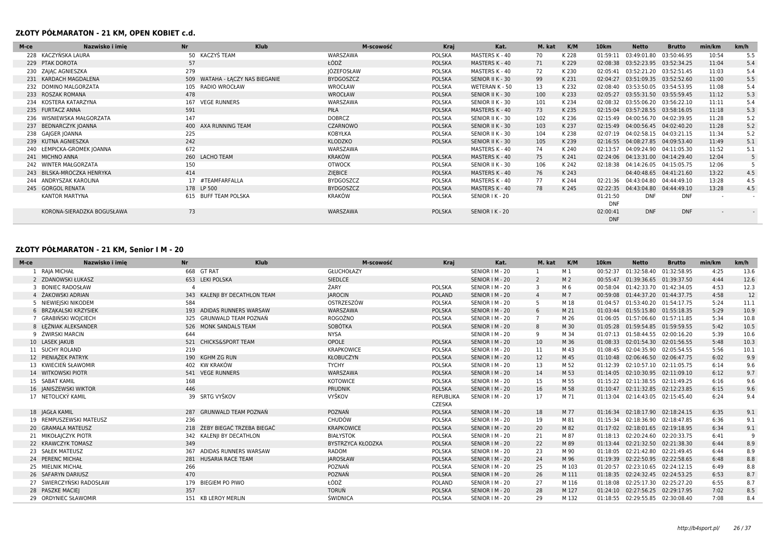| M-ce | Nazwisko i imie<br><b>Nr</b> |                                    | Klub | M-scowość         | Kraj          | Kat.                  | M. kat | K/M   | 10km                   | <b>Netto</b>                       | <b>Brutto</b> | min/km | km/h |
|------|------------------------------|------------------------------------|------|-------------------|---------------|-----------------------|--------|-------|------------------------|------------------------------------|---------------|--------|------|
|      | 228 KACZYŃSKA LAURA          | 50 KACZYŚ TEAM                     |      | WARSZAWA          | POLSKA        | MASTERS K - 40        | 70     | K 228 | 01:59:11               | 03:49:01.80                        | 03:50:46.95   | 10:54  | 5.5  |
|      | 229 PTAK DOROTA              | 57                                 |      | ŁÓDŹ              | <b>POLSKA</b> | MASTERS K - 40        | 71     | K 229 | 02:08:38               | 03:52:23.95 03:52:34.25            |               | 11:04  | 5.4  |
|      | 230 ZAJAC AGNIESZKA          | 279                                |      | <b>JÓZEFOSŁAW</b> | <b>POLSKA</b> | MASTERS K - 40        | 72     | K 230 | 02:05:41               | 03:52:21.20                        | 03:52:51.45   | 11:03  | 5.4  |
|      | 231 KARDACH MAGDALENA        | WATAHA - ŁACZY NAS BIEGANIE<br>509 |      | <b>BYDGOSZCZ</b>  | <b>POLSKA</b> | SENIOR II K - 30      | 99     | K 231 | 02:04:27               | 03:51:09.35 03:52:52.60            |               | 11:00  | 5.5  |
|      | 232 DOMINO MALGORZATA        | RADIO WROCŁAW<br>105               |      | WROCŁAW           | <b>POLSKA</b> | <b>WETERAN K - 50</b> | 13     | K 232 | 02:08:40               | 03:53:50.05 03:54:53.95            |               | 11:08  | 5.4  |
|      | 233 ROSZAK ROMANA            | 478                                |      | WROCŁAW           | <b>POLSKA</b> | SENIOR II K - 30      | 100    | K 233 | 02:05:27               | 03:55:31.50 03:55:59.45            |               | 11:12  | 5.3  |
|      | 234 KOSTERA KATARZYNA        | <b>VEGE RUNNERS</b><br>167         |      | WARSZAWA          | <b>POLSKA</b> | SENIOR II K - 30      | 101    | K 234 |                        | 02:08:32 03:55:06.20 03:56:22.10   |               | 11:11  | 5.4  |
|      | 235 FURTACZ ANNA             | 591                                |      | PIŁA              | <b>POLSKA</b> | MASTERS K - 40        | 73     | K 235 | 02:15:04               | 03:57:28.55 03:58:16.05            |               | 11:18  | 5.3  |
|      | 236 WISNIEWSKA MAŁGORZATA    | 147                                |      | <b>DOBRCZ</b>     | <b>POLSKA</b> | SENIOR II K - 30      | 102    | K 236 | 02:15:49               | 04:00:56.70 04:02:39.95            |               | 11:28  | 5.2  |
|      | <b>BEDNARCZYK JOANNA</b>     | AXA RUNNING TEAM<br>400            |      | CZARNOWO          | <b>POLSKA</b> | SENIOR II K - 30      | 103    | K 237 |                        | 02:15:49  04:00:56.45  04:02:40.20 |               | 11:28  | 5.2  |
|      | 238 GAJGER JOANNA            | 225                                |      | <b>KOBYŁKA</b>    | <b>POLSKA</b> | SENIOR II K - 30      | 104    | K 238 | 02:07:19               | 04:02:58.15 04:03:21.15            |               | 11:34  | 5.2  |
|      | 239 KUTNA AGNIESZKA          | 242                                |      | KLODZKO           | <b>POLSKA</b> | SENIOR II K - 30      | 105    | K 239 |                        | 02:16:55 04:08:27.85 04:09:53.40   |               | 11:49  | 5.1  |
|      | 240 ŁEMPICKA-GROMEK JOANNA   | 672                                |      | WARSZAWA          |               | MASTERS K - 40        | 74     | K 240 | 02:13:57               | 04:09:24.90 04:11:05.30            |               | 11:52  | 5.1  |
|      | 241 MICHNO ANNA              | 260 LACHO TEAM                     |      | KRAKÓW            | <b>POLSKA</b> | MASTERS K - 40        | 75     | K 241 | 02:24:06               | 04:13:31.00 04:14:29.40            |               | 12:04  | 5    |
|      | 242 WINTER MAŁGORZATA        | 150                                |      | <b>OTWOCK</b>     | <b>POLSKA</b> | SENIOR II K - 30      | 106    | K 242 | 02:18:38               | 04:14:26.05 04:15:05.75            |               | 12:06  |      |
|      | 243 BILSKA-MROCZKA HENRYKA   | 414                                |      | ZIEBICE           | <b>POLSKA</b> | MASTERS K - 40        | 76     | K 243 |                        | 04:40:48.65 04:41:21.60            |               | 13:22  | 4.5  |
|      | 244 ANDRYSZAK KAROLINA       | #TEAMFARFALLA                      |      | <b>BYDGOSZCZ</b>  | <b>POLSKA</b> | MASTERS K - 40        | 77     | K 244 | 02:21:36               | 04:43:04.80                        | 04:44:49.10   | 13:28  | 4.5  |
|      | 245 GORGOL RENATA            | 178 LP 500                         |      | <b>BYDGOSZCZ</b>  | <b>POLSKA</b> | MASTERS K - 40        | 78     | K 245 | 02:22:35               | 04:43:04.80                        | 04:44:49.10   | 13:28  | 4.5  |
|      | KANTOR MARTYNA               | 615 BUFF TEAM POLSKA               |      | <b>KRAKÓW</b>     | <b>POLSKA</b> | SENIOR I K - 20       |        |       | 01:21:50<br><b>DNF</b> | <b>DNF</b>                         | <b>DNF</b>    |        |      |
|      | KORONA-SIERADZKA BOGUSŁAWA   | 73                                 |      | WARSZAWA          | <b>POLSKA</b> | SENIOR I K - 20       |        |       | 02:00:41<br><b>DNF</b> | <b>DNF</b>                         | <b>DNF</b>    |        |      |

### **ZŁOTY PÓŁMARATON - 21 KM, Senior I M - 20**

| M-ce | Nazwisko i imie         | <b>Nr</b> | <b>Klub</b>                   | M-scowość         | <b>Kraj</b>                | Kat.            | M. kat            | K/M            | 10 <sub>km</sub> | <b>Netto</b>                     | <b>Brutto</b> | min/km | km/h |
|------|-------------------------|-----------|-------------------------------|-------------------|----------------------------|-----------------|-------------------|----------------|------------------|----------------------------------|---------------|--------|------|
|      | RAJA MICHAŁ             |           | 668 GT RAT                    | GŁUCHOŁAZY        |                            | SENIOR   M - 20 |                   | M <sub>1</sub> | 00:52:37         | 01:32:58.40                      | 01:32:58.95   | 4:25   | 13.6 |
|      | 2 ZDANOWSKI ŁUKASZ      |           | 653 LEKI POLSKA               | <b>SIEDLCE</b>    |                            | SENIOR   M - 20 | 2                 | M <sub>2</sub> | 00:55:47         | 01:39:36.65                      | 01:39:37.50   | 4:44   | 12.6 |
|      | 3 BONIEC RADOSŁAW       |           |                               | ŻARY              | <b>POLSKA</b>              | SENIOR   M - 20 | 3                 | M 6            |                  | 00:58:04 01:42:33.70             | 01:42:34.05   | 4:53   | 12.3 |
|      | 4 ŻAKOWSKI ADRIAN       |           | 343 KALENJI BY DECATHLON TEAM | <b>JAROCIN</b>    | <b>POLAND</b>              | SENIOR   M - 20 | $\overline{4}$    | M 7            |                  | 00:59:08 01:44:37.20             | 01:44:37.75   | 4:58   | 12   |
|      | 5 NIEWIEJSKI NIKODEM    | 584       |                               | OSTRZESZÓW        | <b>POLSKA</b>              | SENIOR   M - 20 | 5                 | M 18           | 01:04:57         | 01:53:40.20                      | 01:54:17.75   | 5:24   | 11.1 |
|      | 6 BRZAKALSKI KRZYSIEK   |           | 193 ADIDAS RUNNERS WARSAW     | WARSZAWA          | <b>POLSKA</b>              | SENIOR   M - 20 | 6                 | M 21           | 01:03:44         | 01:55:15.80                      | 01:55:18.35   | 5:29   | 10.9 |
|      | 7 GRABIŃSKI WOJCIECH    | 325       | GRUNWALD TEAM POZNAŃ          | <b>ROGOŹNO</b>    | <b>POLSKA</b>              | SENIOR   M - 20 | $\overline{7}$    | M 26           |                  | 01:06:05 01:57:06.60             | 01:57:11.85   | 5:34   | 10.8 |
|      | 8 ŁEŻNIAK ALEKSANDER    |           | 526 MONK SANDALS TEAM         | SOBÓTKA           | <b>POLSKA</b>              | SENIOR   M - 20 | 8                 | M 30           |                  | 01:05:28 01:59:54.85 01:59:59.55 |               | 5:42   | 10.5 |
|      | 9 ŻWIRSKI MARCIN        | 644       |                               | <b>NYSA</b>       |                            | SENIOR   M - 20 | 9                 | M 34           |                  | 01:07:13 01:58:44.55 02:00:16.20 |               | 5:39   | 10.6 |
|      | 10 LASEK JAKUB          |           | 521 CHICKS&SPORT TEAM         | OPOLE             | <b>POLSKA</b>              | SENIOR   M - 20 | 10                | M 36           |                  | 01:08:33 02:01:54.30             | 02:01:56.55   | 5:48   | 10.3 |
|      | 11 SUCHY ROLAND         | 219       |                               | <b>KRAPKOWICE</b> | <b>POLSKA</b>              | SENIOR   M - 20 | 11                | M 43           | 01:08:45         | 02:04:35.90                      | 02:05:54.55   | 5:56   | 10.1 |
|      | 12 PIENIAŻEK PATRYK     |           | 190 KGHM ZG RUN               | <b>KŁOBUCZYN</b>  | <b>POLSKA</b>              | SENIOR   M - 20 | $12 \overline{ }$ | M 45           |                  | 01:10:48 02:06:46.50 02:06:47.75 |               | 6:02   | 9.9  |
|      | 13 KWIECIEŃ SŁAWOMIR    |           | 402 KW KRAKÓW                 | <b>TYCHY</b>      | <b>POLSKA</b>              | SENIOR   M - 20 | 13                | M 52           | 01:12:39         | 02:10:57.10                      | 02:11:05.75   | 6:14   | 9.6  |
|      | 14 WITKOWSKI PIOTR      |           | 541 VEGE RUNNERS              | WARSZAWA          | <b>POLSKA</b>              | SENIOR   M - 20 | 14                | M 53           | 01:14:05         | 02:10:30.95 02:11:09.10          |               | 6:12   | 9.7  |
|      | 15 SABAT KAMIL          | 168       |                               | <b>KOTOWICE</b>   | <b>POLSKA</b>              | SENIOR   M - 20 | 15                | M 55           |                  | 01:15:22 02:11:38.55 02:11:49.25 |               | 6:16   | 9.6  |
|      | 16 JANISZEWSKI WIKTOR   | 446       |                               | <b>PRUDNIK</b>    | <b>POLSKA</b>              | SENIOR   M - 20 | 16                | M 58           | 01:10:47         | 02:11:32.85                      | 02:12:23.85   | 6:15   | 9.6  |
|      | 17 NETOLICKÝ KAMIL      |           | 39 SRTG VYŠKOV                | VYŠKOV            | REPUBLIKA<br><b>CZESKA</b> | SENIOR   M - 20 | 17                | M 71           | 01:13:04         | 02:14:43.05 02:15:45.40          |               | 6:24   | 9.4  |
|      | 18 JAGŁA KAMIL          |           | 287 GRUNWALD TEAM POZNAŃ      | POZNAŃ            | <b>POLSKA</b>              | SENIOR   M - 20 | 18                | M 77           | 01:16:34         | 02:18:17.90                      | 02:18:24.15   | 6:35   | 9.1  |
|      | 19 REMPUSZEWSKI MATEUSZ | 236       |                               | <b>CHUDÓW</b>     | <b>POLSKA</b>              | SENIOR   M - 20 | 19                | M 81           | 01:15:34         | 02:18:36.90                      | 02:18:47.85   | 6:36   | 9.1  |
|      | 20 GRAMALA MATEUSZ      | 218       | ŻEBY BIEGAĆ TRZEBA BIEGAĆ     | <b>KRAPKOWICE</b> | <b>POLSKA</b>              | SENIOR   M - 20 | 20                | M 82           | 01:17:02         | 02:18:01.65                      | 02:19:18.95   | 6:34   | 9.1  |
|      | 21 MIKOŁAJCZYK PIOTR    |           | 342 KALENJI BY DECATHLON      | <b>BIAŁYSTOK</b>  | <b>POLSKA</b>              | SENIOR   M - 20 | 21                | M 87           | 01:18:13         | 02:20:24.60                      | 02:20:33.75   | 6:41   | 9    |
|      | 22 KRAWCZYK TOMASZ      | 349       |                               | BYSTRZYCA KŁODZKA | <b>POLSKA</b>              | SENIOR   M - 20 | 22                | M 89           |                  | 01:13:44 02:21:32.50             | 02:21:38.30   | 6:44   | 8.9  |
|      | 23 SAŁEK MATEUSZ        | 367       | ADIDAS RUNNERS WARSAW         | <b>RADOM</b>      | <b>POLSKA</b>              | SENIOR   M - 20 | 23                | M 90           | 01:18:05         | 02:21:42.80                      | 02:21:49.45   | 6:44   | 8.9  |
|      | 24 PERENC MICHAŁ        |           | 281 HUSARIA RACE TEAM         | <b>JAROSŁAW</b>   | <b>POLSKA</b>              | SENIOR   M - 20 | 24                | M 96           | 01:19:39         | 02:22:50.95                      | 02:22:58.65   | 6:48   | 8.8  |
|      | 25 MIELNIK MICHAŁ       | 266       |                               | POZNAŃ            | <b>POLSKA</b>              | SENIOR   M - 20 | 25                | M 103          | 01:20:57         | 02:23:10.65 02:24:12.15          |               | 6:49   | 8.8  |
|      | 26 SAFARYN DARIUSZ      | 470       |                               | POZNAŃ            | <b>POLSKA</b>              | SENIOR   M - 20 | 26                | M 111          | 01:18:35         | 02:24:32.45                      | 02:24:53.25   | 6:53   | 8.7  |
|      | ŚWIERCZYŃSKI RADOSŁAW   | 179       | <b>BIEGIEM PO PIWO</b>        | ŁÓDŹ              | POLAND                     | SENIOR   M - 20 | 27                | M 116          | 01:18:08         | 02:25:17.30                      | 02:25:27.20   | 6:55   | 8.7  |
|      | 28 PASZKE MACIEJ        | 357       |                               | <b>TORUŃ</b>      | <b>POLSKA</b>              | SENIOR   M - 20 | 28                | M 127          |                  | 01:24:10 02:27:56.25             | 02:29:17.95   | 7:02   | 8.5  |
|      | 29 ORDYNIEC SŁAWOMIR    |           | 151 KB LEROY MERLIN           | <b>ŚWIDNICA</b>   | <b>POLSKA</b>              | SENIOR   M - 20 | 29                | M 132          |                  | 01:18:55 02:29:55.85 02:30:08.40 |               | 7:08   | 8.4  |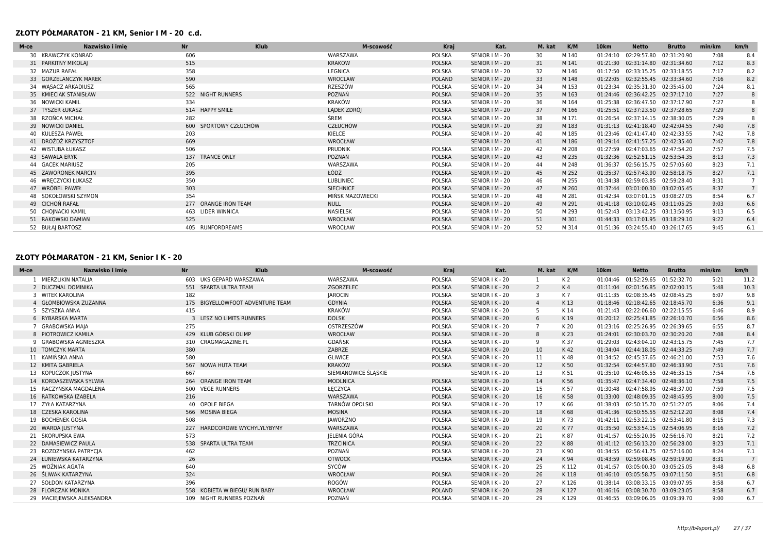#### **ZŁOTY PÓŁMARATON - 21 KM, Senior I M - 20 c.d.**

| M-ce | Nazwisko i imie       | <b>Nr</b>             | <b>Klub</b> | M-scowość        | Kraj          | Kat.            | M. kat | K/M   | 10km     | <b>Netto</b>                       | <b>Brutto</b> | min/km | km/h |
|------|-----------------------|-----------------------|-------------|------------------|---------------|-----------------|--------|-------|----------|------------------------------------|---------------|--------|------|
|      | 30 KRAWCZYK KONRAD    | 606                   |             | WARSZAWA         | <b>POLSKA</b> | SENIOR   M - 20 | 30     | M 140 | 01:24:10 | 02:29:57.80                        | 02:31:20.90   | 7:08   | 8.4  |
|      | 31 PARKITNY MIKOLAI   | 515                   |             | <b>KRAKOW</b>    | <b>POLSKA</b> | SENIOR   M - 20 | 31     | M 141 | 01:21:30 | 02:31:14.80                        | 02:31:34.60   | 7:12   | 8.3  |
|      | 32 MAZUR RAFAŁ        | 358                   |             | LEGNICA          | <b>POLSKA</b> | SENIOR   M - 20 | 32     | M 146 | 01:17:50 | 02:33:15.25 02:33:18.55            |               | 7:17   | 8.2  |
|      | 33 GORZELANCZYK MAREK | 590                   |             | <b>WROCLAW</b>   | POLAND        | SENIOR   M - 20 | 33     | M 148 |          | 01:22:05 02:32:55.45 02:33:34.60   |               | 7:16   | 8.2  |
|      | 34 WASACZ ARKADIUSZ   | 565                   |             | RZESZÓW          | <b>POLSKA</b> | SENIOR   M - 20 | 34     | M 153 |          | 01:23:34 02:35:31.30 02:35:45.00   |               | 7:24   | 8.1  |
|      | 35 KMIECIAK STANISŁAW | 522 NIGHT RUNNERS     |             | POZNAŃ           | <b>POLSKA</b> | SENIOR   M - 20 | 35     | M 163 |          | 01:24:46 02:36:42.25 02:37:17.10   |               | 7:27   | 8    |
|      | 36 NOWICKI KAMIL      | 334                   |             | KRAKÓW           | <b>POLSKA</b> | SENIOR   M - 20 | 36     | M 164 |          | 01:25:38 02:36:47.50 02:37:17.90   |               | 7:27   |      |
|      | 37 TYSZER ŁUKASZ      | 514 HAPPY SMILE       |             | LADEK ZDRÓJ      | <b>POLSKA</b> | SENIOR I M - 20 | 37     | M 166 |          | 01:25:51 02:37:23.50 02:37:28.65   |               | 7:29   |      |
|      | 38 RZOŃCA MICHAŁ      | 282                   |             | ŚREM             | <b>POLSKA</b> | SENIOR   M - 20 | 38     | M 171 |          | 01:26:54 02:37:14.15 02:38:30.05   |               | 7:29   |      |
|      | 39 NOWICKI DANIEL     | 600 SPORTOWY CZŁUCHÓW |             | <b>CZŁUCHÓW</b>  | <b>POLSKA</b> | SENIOR   M - 20 | 39     | M 183 |          | 01:31:13  02:41:18.40  02:42:04.55 |               | 7:40   | 7.8  |
|      | 40 KULESZA PAWEŁ      | 203                   |             | KIELCE           | <b>POLSKA</b> | SENIOR   M - 20 | 40     | M 185 |          | 01:23:46 02:41:47.40 02:42:33.55   |               | 7:42   | 7.8  |
|      | 41 DROŻDŻ KRZYSZTOF   | 669                   |             | WROCŁAW          |               | SENIOR   M - 20 | 41     | M 186 | 01:29:14 | 02:41:57.25 02:42:35.40            |               | 7:42   | 7.8  |
|      | 42 WISTUBA ŁUKASZ     | 506                   |             | PRUDNIK          | <b>POLSKA</b> | SENIOR   M - 20 | 42     | M 208 | 01:27:59 | 02:47:03.65 02:47:54.20            |               | 7:57   | 7.5  |
|      | 43 SAWALA ERYK        | 137 TRANCE ONLY       |             | POZNAŃ           | <b>POLSKA</b> | SENIOR   M - 20 | 43     | M 235 | 01:32:36 | 02:52:51.15 02:53:54.35            |               | 8:13   | 7.3  |
|      | 44 GACEK MARIUSZ      | 205                   |             | WARSZAWA         | <b>POLSKA</b> | SENIOR   M - 20 | 44     | M 248 | 01:36:37 | 02:56:15.75 02:57:05.60            |               | 8:23   | 7.1  |
|      | 45 ZAWORONEK MARCIN   | 395                   |             | ŁÓDŹ             | <b>POLSKA</b> | SENIOR   M - 20 | 45     | M 252 | 01:35:37 | 02:57:43.90 02:58:18.75            |               | 8:27   | 7.1  |
|      | 46 WRECZYCKI ŁUKASZ   | 350                   |             | <b>LUBLINIEC</b> | <b>POLSKA</b> | SENIOR   M - 20 | 46     | M 255 | 01:34:38 | 02:59:03.85 02:59:28.40            |               | 8:31   |      |
|      | 47 WRÓBEL PAWEŁ       | 303                   |             | <b>SIECHNICE</b> | <b>POLSKA</b> | SENIOR   M - 20 | 47     | M 260 | 01:37:44 | 03:01:00.30 03:02:05.45            |               | 8:37   |      |
|      | 48 SOKOŁOWSKI SZYMON  | 354                   |             | MIŃSK MAZOWIECKI | <b>POLSKA</b> | SENIOR   M - 20 | 48     | M 281 | 01:42:34 | 03:07:01.15 03:08:27.05            |               | 8:54   | 6.7  |
|      | 49 CICHON RAFAŁ       | 277 ORANGE IRON TEAM  |             | <b>NULL</b>      | <b>POLSKA</b> | SENIOR   M - 20 | 49     | M 291 | 01:41:18 | 03:10:02.45 03:11:05.25            |               | 9:03   | 6.6  |
|      | 50 CHOINACKI KAMIL    | LIDER WINNICA<br>463  |             | <b>NASIELSK</b>  | <b>POLSKA</b> | SENIOR   M - 20 | 50     | M 293 | 01:52:43 | 03:13:42.25 03:13:50.95            |               | 9:13   | 6.5  |
|      | 51 RAKOWSKI DAMIAN    | 525                   |             | WROCŁAW          | <b>POLSKA</b> | SENIOR   M - 20 | 51     | M 301 | 01:44:33 | 03:17:01.95 03:18:29.10            |               | 9:22   | 6.4  |
|      | 52 BUŁAI BARTOSZ      | 405 RUNFORDREAMS      |             | WROCŁAW          | <b>POLSKA</b> | SENIOR   M - 20 | 52     | M 314 |          | 01:51:36 03:24:55.40 03:26:17.65   |               | 9:45   | 6.1  |

# **ZŁOTY PÓŁMARATON - 21 KM, Senior I K - 20**

| M-ce | Nazwisko i imie<br><b>Nr</b> |                                  | <b>Klub</b> | M-scowość            | Kraj          | Kat.            | M. kat          | K/M            | 10 <sub>km</sub> | <b>Netto</b>                     | <b>Brutto</b> | min/km | km/h            |
|------|------------------------------|----------------------------------|-------------|----------------------|---------------|-----------------|-----------------|----------------|------------------|----------------------------------|---------------|--------|-----------------|
|      | MIERZLIKIN NATALIA           | 603 UKS GEPARD WARSZAWA          |             | WARSZAWA             | <b>POLSKA</b> | SENIOR I K - 20 |                 | K <sub>2</sub> | 01:04:46         | 01:52:29.65                      | 01:52:32.70   | 5:21   | 11.2            |
|      | 2 DUCZMAL DOMINIKA           | 551 SPARTA ULTRA TEAM            |             | ZGORZELEC            | <b>POLSKA</b> | SENIOR I K - 20 | 2               | K <sub>4</sub> | 01:11:04         | 02:01:56.85                      | 02:02:00.15   | 5:48   | 10.3            |
|      | 3 WITEK KAROLINA             | 182                              |             | <b>JAROCIN</b>       | <b>POLSKA</b> | SENIOR I K - 20 | 3               | K 7            |                  | 01:11:35 02:08:35.45 02:08:45.25 |               | 6:07   | 9.8             |
|      | 4 GŁOMBIOWSKA ZUZANNA        | 175 BIGYELLOWFOOT ADVENTURE TEAM |             | <b>GDYNIA</b>        | <b>POLSKA</b> | SENIOR   K - 20 | $\overline{4}$  | K13            | 01:18:46         | 02:18:42.65 02:18:45.70          |               | 6:36   | 9.1             |
|      | 5 SZYSZKA ANNA               | 415                              |             | <b>KRAKÓW</b>        | <b>POLSKA</b> | SENIOR I K - 20 | -5              | K 14           |                  | 01:21:43 02:22:06.60 02:22:15.55 |               | 6:46   | 8.9             |
|      | 6 RYBARSKA MARTA             | 3 LESZ NO LIMITS RUNNERS         |             | <b>DOLSK</b>         | <b>POLSKA</b> | SENIOR I K - 20 | 6               | K 19           |                  | 01:20:12 02:25:41.85 02:26:10.70 |               | 6:56   | 8.6             |
|      | <b>GRABOWSKA MAJA</b>        | 275                              |             | OSTRZESZÓW           | POLSKA        | SENIOR I K - 20 |                 | K 20           |                  | 01:23:16 02:25:26.95 02:26:39.65 |               | 6:55   | 8.7             |
|      | 8 PIOTROWICZ KAMILA          | 429 KLUB GÓRSKI OLIMP            |             | WROCŁAW              | <b>POLSKA</b> | SENIOR I K - 20 | 8               | K 23           |                  | 01:24:01 02:30:03.70 02:30:20.20 |               | 7:08   | 8.4             |
|      | 9 GRABOWSKA AGNIESZKA        | 310 CRAGMAGAZINE.PL              |             | GDAŃSK               | <b>POLSKA</b> | SENIOR I K - 20 | 9               | K 37           |                  | 01:29:03 02:43:04.10 02:43:15.75 |               | 7:45   | 7.7             |
|      | 10 TOMCZYK MARTA             | 380                              |             | ZABRZE               | <b>POLSKA</b> | SENIOR   K - 20 | 10 <sup>°</sup> | K 42           | 01:34:04         | 02:44:18.05 02:44:33.25          |               | 7:49   | 7.7             |
|      | 11 KAMIŃSKA ANNA             | 580                              |             | <b>GLIWICE</b>       | <b>POLSKA</b> | SENIOR I K - 20 | 11              | K 48           | 01:34:52         | 02:45:37.65 02:46:21.00          |               | 7:53   | 7.6             |
|      | 12 KMITA GABRIELA            | 567 NOWA HUTA TEAM               |             | <b>KRAKÓW</b>        | <b>POLSKA</b> | SENIOR I K - 20 | 12              | K 50           | 01:32:54         | 02:44:57.80 02:46:33.90          |               | 7:51   | 7.6             |
|      | 13 KOPUCZOK JUSTYNA          | 667                              |             | SIEMIANOWICE ŚLĄSKIE |               | SENIOR I K - 20 | 13              | K 51           | 01:35:10         | 02:46:05.55 02:46:35.15          |               | 7:54   | 7.6             |
|      | 14 KORDASZEWSKA SYLWIA       | 264 ORANGE IRON TEAM             |             | <b>MODLNICA</b>      | <b>POLSKA</b> | SENIOR   K - 20 | 14              | K 56           | 01:35:47         | 02:47:34.40 02:48:36.10          |               | 7:58   | 7.5             |
|      | 15 RACZYŃSKA MAGDALENA       | 500 VEGE RUNNERS                 |             | ŁECZYCA              | POLSKA        | SENIOR I K - 20 | 15              | K 57           |                  | 01:30:48 02:47:58.95 02:48:37.00 |               | 7:59   | 7.5             |
|      | 16 RATKOWSKA IZABELA         | 216                              |             | WARSZAWA             | <b>POLSKA</b> | SENIOR   K - 20 | 16              | K 58           |                  | 01:33:00 02:48:09.35 02:48:45.95 |               | 8:00   | 7.5             |
|      | 17 ZYŁA KATARZYNA            | 40 OPOLE BIEGA                   |             | TARNÓW OPOLSKI       | POLSKA        | SENIOR I K - 20 | 17              | K 66           | 01:38:03         | 02:50:15.70                      | 02:51:22.05   | 8:06   | 7.4             |
|      | 18 CZESKA KAROLINA           | 566 MOSINA BIEGA                 |             | <b>MOSINA</b>        | <b>POLSKA</b> | SENIOR I K - 20 | 18              | K 68           |                  | 01:41:36 02:50:55.55 02:52:12.20 |               | 8:08   | 7.4             |
|      | 19 BOCHENEK GOSIA            | 508                              |             | <b>JAWORZNO</b>      | <b>POLSKA</b> | SENIOR   K - 20 | 19              | K 73           | 01:42:11         | 02:53:22.15 02:53:41.80          |               | 8:15   | 7.3             |
|      | 20 WARDA JUSTYNA             | 227 HARDCOROWE WYCHYLYLYBYMY     |             | WARSZAWA             | <b>POLSKA</b> | SENIOR   K - 20 | 20              | K 77           |                  | 01:35:50 02:53:54.15 02:54:06.95 |               | 8:16   | 7.2             |
|      | 21 SKORUPSKA EWA             | 573                              |             | JELENIA GÓRA         | POLSKA        | SENIOR   K - 20 | 21              | K 87           | 01:41:57         | 02:55:20.95 02:56:16.70          |               | 8:21   | 7.2             |
|      | 22 DAMASIEWICZ PAULA         | 538 SPARTA ULTRA TEAM            |             | <b>TRZCINICA</b>     | <b>POLSKA</b> | SENIOR I K - 20 | 22              | K88            |                  | 01:41:12 02:56:13.20             | 02:56:28.00   | 8:23   | 7.1             |
|      | 23 ROZDZYNSKA PATRYCJA       | 462                              |             | POZNAŃ               | <b>POLSKA</b> | SENIOR   K - 20 | 23              | K 90           |                  | 01:34:55 02:56:41.75 02:57:16.00 |               | 8:24   | 7.1             |
|      | 24 ŁUNIEWSKA KATARZYNA       | 26                               |             | <b>OTWOCK</b>        | <b>POLSKA</b> | SENIOR I K - 20 | 24              | K 94           | 01:43:59         | 02:59:08.45 02:59:19.90          |               | 8:31   | $7\overline{ }$ |
|      | 25 WOŹNIAK AGATA             | 640                              |             | SYCÓW                |               | SENIOR   K - 20 | 25              | K112           | 01:41:57         | 03:05:00.30 03:05:25.05          |               | 8:48   | 6.8             |
|      | 26 ŚLIWAK KATARZYNA          | 324                              |             | WROCŁAW              | <b>POLSKA</b> | SENIOR I K - 20 | 26              | K118           | 01:46:10         | 03:05:58.75                      | 03:07:11.50   | 8:51   | 6.8             |
|      | 27 SOŁDON KATARZYNA          | 396                              |             | ROGÓW                | <b>POLSKA</b> | SENIOR I K - 20 | 27              | K126           | 01:38:14         | 03:08:33.15 03:09:07.95          |               | 8:58   | 6.7             |
|      | 28 FLORCZAK MONIKA           | 558<br>KOBIETA W BIEGU/ RUN BABY |             | <b>WROCŁAW</b>       | <b>POLAND</b> | SENIOR I K - 20 | 28              | K127           | 01:46:16         | 03:08:30.70                      | 03:09:23.05   | 8:58   | 6.7             |
|      | 29 MACIEJEWSKA ALEKSANDRA    | 109 NIGHT RUNNERS POZNAŃ         |             | POZNAŃ               | <b>POLSKA</b> | SENIOR I K - 20 | 29              | K129           |                  | 01:46:55 03:09:06.05 03:09:39.70 |               | 9:00   | 6.7             |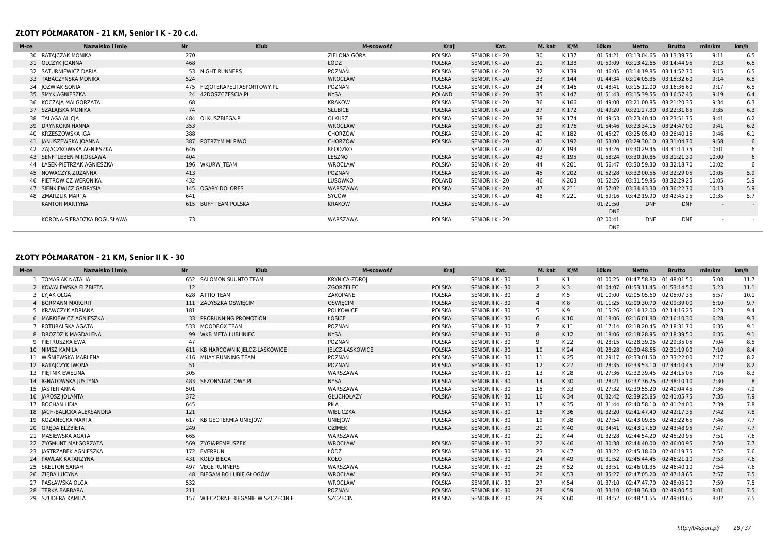#### **ZŁOTY PÓŁMARATON - 21 KM, Senior I K - 20 c.d.**

| M-ce | <b>Nr</b><br>Nazwisko i imie |                                | Klub | M-scowość      | Kraj          |                 | Kat. | M. kat | K/M   | 10 <sub>km</sub> | <b>Netto</b>                     | <b>Brutto</b> | min/km | km/h   |
|------|------------------------------|--------------------------------|------|----------------|---------------|-----------------|------|--------|-------|------------------|----------------------------------|---------------|--------|--------|
|      | 30 RATAJCZAK MONIKA          | 270                            |      | ZIELONA GÓRA   | <b>POLSKA</b> | SENIOR I K - 20 |      | 30     | K137  | 01:54:21         | 03:13:04.65                      | 03:13:39.75   | 9:11   | 6.5    |
|      | 31 OLCZYK JOANNA             | 468                            |      | ŁÓDŹ           | <b>POLSKA</b> | SENIOR I K - 20 |      | 31     | K138  | 01:50:09         | 03:13:42.65                      | 03:14:44.95   | 9:13   | 6.5    |
|      | 32 SATURNIEWICZ DARIA        | 53 NIGHT RUNNERS               |      | POZNAŃ         | <b>POLSKA</b> | SENIOR I K - 20 |      | 32     | K139  | 01:46:05         | 03:14:19.85                      | 03:14:52.70   | 9:15   | 6.5    |
|      | 33 TABACZYŃSKA MONIKA        | 524                            |      | WROCŁAW        | <b>POLSKA</b> | SENIOR I K - 20 |      | 33     | K 144 | 01:44:34         | 03:14:05.35 03:15:32.60          |               | 9:14   | 6.5    |
|      | 34 JÓŹWIAK SONIA             | 475 FIZJOTERAPEUTASPORTOWY.PL  |      | POZNAŃ         | <b>POLSKA</b> | SENIOR I K - 20 |      | 34     | K146  | 01:48:41         | 03:15:12.00 03:16:36.60          |               | 9:17   | 6.5    |
|      | 35 SMYK AGNIESZKA            | 24 42DOSZCZESCIA.PL            |      | <b>NYSA</b>    | POLAND        | SENIOR I K - 20 |      | 35     | K147  |                  | 01:51:43 03:15:39.55 03:16:57.45 |               | 9:19   | 6.4    |
|      | 36 KOCZAJA MALGORZATA        | 68                             |      | <b>KRAKOW</b>  | <b>POLSKA</b> | SENIOR I K - 20 |      | 36     | K166  | 01:49:00         | 03:21:00.85 03:21:20.35          |               | 9:34   | 6.3    |
|      | 37 SZAŁAJSKA MONIKA          | 74                             |      | <b>SŁUBICE</b> | <b>POLSKA</b> | SENIOR I K - 20 |      | 37     | K172  | 01:49:20         | 03:21:27.30 03:22:31.85          |               | 9:35   | 6.3    |
|      | 38 TALAGA ALICIA             | OLKUSZBIEGA.PL<br>484          |      | OLKUSZ         | <b>POLSKA</b> | SENIOR I K - 20 |      | 38     | K 174 | 01:49:53         | 03:23:40.40 03:23:51.75          |               | 9:41   | 6.2    |
|      | 39 DRYNKORN HANNA            | 353                            |      | WROCŁAW        | <b>POLSKA</b> | SENIOR I K - 20 |      | 39     | K176  | 01:54:46         | 03:23:34.15 03:24:47.00          |               | 9:41   | 6.2    |
|      | 40 KRZESZOWSKA IGA           | 388                            |      | CHORZÓW        | <b>POLSKA</b> | SENIOR I K - 20 |      | 40     | K182  | 01:45:27         | 03:25:05.40 03:26:40.15          |               | 9:46   | 6.1    |
|      | 41 JANUSZEWSKA JOANNA        | 387<br>POTRZYM MI PIWO         |      | CHORZÓW        | <b>POLSKA</b> | SENIOR I K - 20 |      | 41     | K192  | 01:53:00         | 03:29:30.10 03:31:04.70          |               | 9:58   | 6      |
|      | 42 ZAJACZKOWSKA AGNIESZKA    | 646                            |      | KŁODZKO        |               | SENIOR I K - 20 |      | 42     | K193  | 01:53:26         | 03:30:29.45 03:31:14.75          |               | 10:01  | 6      |
|      | 43 SENFTLEBEN MIROSŁAWA      | 404                            |      | LESZNO         | <b>POLSKA</b> | SENIOR I K - 20 |      | 43     | K195  | 01:58:24         | 03:30:10.85 03:31:21.30          |               | 10:00  | 6      |
|      | 44 ŁASEK-PIETRZAK AGNIESZKA  | WKURW TEAM<br>196              |      | WROCŁAW        | <b>POLSKA</b> | SENIOR I K - 20 |      | 44     | K 201 | 01:56:47         | 03:30:59.30 03:32:18.70          |               | 10:02  |        |
|      | 45 NOWACZYK ZUZANNA          | 413                            |      | POZNAŃ         | <b>POLSKA</b> | SENIOR I K - 20 |      | 45     | K 202 | 01:52:28         | 03:32:00.55 03:32:29.05          |               | 10:05  | 5.9    |
|      | 46 PIETROWICZ WERONIKA       | 432                            |      | LUSOWKO        | POLAND        | SENIOR I K - 20 |      | 46     | K 203 | 01:52:26         | 03:31:59.95 03:32:29.25          |               | 10:05  | 5.9    |
|      | 47 SIENKIEWICZ GABRYSIA      | 145 OGARY DOLORES              |      | WARSZAWA       | <b>POLSKA</b> | SENIOR I K - 20 |      | 47     | K 211 | 01:57:02         | 03:34:43.30 03:36:22.70          |               | 10:13  | 5.9    |
|      | 48 ZMARZLIK MARTA            | 641                            |      | SYCÓW          |               | SENIOR I K - 20 |      | 48     | K 221 | 01:59:16         | 03:42:19.90 03:42:45.25          |               | 10:35  | 5.7    |
|      | <b>KANTOR MARTYNA</b>        | <b>BUFF TEAM POLSKA</b><br>615 |      | <b>KRAKÓW</b>  | <b>POLSKA</b> | SENIOR I K - 20 |      |        |       | 01:21:50         | <b>DNF</b>                       | <b>DNF</b>    |        | $\sim$ |
|      |                              |                                |      |                |               |                 |      |        |       | <b>DNF</b>       |                                  |               |        |        |
|      | KORONA-SIERADZKA BOGUSŁAWA   | 73                             |      | WARSZAWA       | <b>POLSKA</b> | SENIOR I K - 20 |      |        |       | 02:00:41         | <b>DNF</b>                       | <b>DNF</b>    |        |        |
|      |                              |                                |      |                |               |                 |      |        |       | <b>DNF</b>       |                                  |               |        |        |

# **ZŁOTY PÓŁMARATON - 21 KM, Senior II K - 30**

| M-ce | <b>Nr</b><br>Nazwisko i imie |                                     | <b>Klub</b> | M-scowość              | Kraj          | Kat.             | M. kat         | K/M            | 10 <sub>km</sub> | <b>Netto</b>                     | <b>Brutto</b> | min/km | km/h |
|------|------------------------------|-------------------------------------|-------------|------------------------|---------------|------------------|----------------|----------------|------------------|----------------------------------|---------------|--------|------|
|      | TOMASIAK NATALIA             | SALOMON SUUNTO TEAM<br>652          |             | <b>KRYNICA-ZDRÓJ</b>   |               | SENIOR II K - 30 |                | K1             | 01:00:25         | 01:47:58.80                      | 01:48:01.50   | 5:08   | 11.7 |
|      | 2 KOWALEWSKA ELŻBIETA        | 12                                  |             | ZGORZELEC              | <b>POLSKA</b> | SENIOR II K - 30 | $\overline{2}$ | K <sub>3</sub> | 01:04:07         | 01:53:11.45 01:53:14.50          |               | 5:23   | 11.1 |
|      | 3 ŁYJAK OLGA                 | 628 ATTIQ TEAM                      |             | ZAKOPANE               | <b>POLSKA</b> | SENIOR II K - 30 | 3              | K 5            | 01:10:00         | 02:05:05.60 02:05:07.35          |               | 5:57   | 10.1 |
|      | 4 BORMANN MARGRIT            | 111 ZADYSZKA OŚWIĘCIM               |             | <b>OŚWIECIM</b>        | <b>POLSKA</b> | SENIOR II K - 30 | $\overline{4}$ | K <sub>8</sub> | 01:11:25         | 02:09:30.70                      | 02:09:39.00   | 6:10   | 9.7  |
|      | KRAWCZYK ADRIANA             | 181                                 |             | <b>POLKOWICE</b>       | <b>POLSKA</b> | SENIOR II K - 30 | -5             | K9             |                  | 01:15:26 02:14:12.00 02:14:16.25 |               | 6:23   | 9.4  |
|      | 6 MARKIEWICZ AGNIESZKA       | PRORUNNING PROMOTION<br>33          |             | ŁOSICE                 | <b>POLSKA</b> | SENIOR II K - 30 | 6              | K 10           | 01:18:06         | 02:16:01.80                      | 02:16:10.30   | 6:28   | 9.3  |
|      | POTURALSKA AGATA             | 533 MOODBOX TEAM                    |             | POZNAŃ                 | <b>POLSKA</b> | SENIOR II K - 30 |                | K 11           | 01:17:14         | 02:18:20.45 02:18:31.70          |               | 6:35   | 9.1  |
|      | 8 DROZDZIK MAGDALENA         | 99 WKB META LUBLINIEC               |             | <b>NYSA</b>            | <b>POLSKA</b> | SENIOR II K - 30 | 8              | K 12           | 01:18:06         | 02:18:28.95 02:18:39.50          |               | 6:35   | 9.1  |
|      | 9 PIETRUSZKA EWA             | 47                                  |             | POZNAŃ                 | <b>POLSKA</b> | SENIOR II K - 30 | 9              | K 22           | 01:28:15         | 02:28:39.05                      | 02:29:35.05   | 7:04   | 8.5  |
|      | 10 NIMSZ KAMILA              | KB HARCOWNIK JELCZ-LASKOWICE<br>611 |             | <b>IELCZ-LASKOWICE</b> | <b>POLSKA</b> | SENIOR II K - 30 | 10             | K 24           | 01:28:28         | 02:30:48.65 02:31:19.00          |               | 7:10   | 8.4  |
|      | 11 WIŚNIEWSKA MARLENA        | 416 MUAY RUNNING TEAM               |             | POZNAŃ                 | <b>POLSKA</b> | SENIOR II K - 30 | 11             | K 25           | 01:29:17         | 02:33:01.50 02:33:22.00          |               | 7:17   | 8.2  |
|      | 12 RATAJCZYK IWONA           | 51                                  |             | POZNAŃ                 | <b>POLSKA</b> | SENIOR II K - 30 | 12             | K 27           | 01:28:35         | 02:33:53.10 02:34:10.45          |               | 7:19   | 8.2  |
|      | 13 PIETNIK EWELINA           | 305                                 |             | WARSZAWA               | <b>POLSKA</b> | SENIOR II K - 30 | 13             | K 28           | 01:27:36         | 02:32:39.45 02:34:15.05          |               | 7:16   | 8.3  |
|      | 14 IGNATOWSKA JUSTYNA        | 483<br>SEZONSTARTOWY.PL             |             | <b>NYSA</b>            | <b>POLSKA</b> | SENIOR II K - 30 | 14             | K 30           | 01:28:21         | 02:37:36.25 02:38:10.10          |               | 7:30   | 8    |
|      | 15 JASTER ANNA               | 501                                 |             | WARSZAWA               | <b>POLSKA</b> | SENIOR II K - 30 | 15             | K 33           | 01:27:32         | 02:39:55.20 02:40:04.45          |               | 7:36   | 7.9  |
|      | 16 JAROSZ JOLANTA            | 372                                 |             | <b>GŁUCHOŁAZY</b>      | <b>POLSKA</b> | SENIOR II K - 30 | 16             | K 34           |                  | 01:32:42 02:39:25.85 02:41:05.75 |               | 7:35   | 7.9  |
|      | 17 BOCHAN LIDIA              | 645                                 |             | PIŁA                   |               | SENIOR II K - 30 | 17             | K 35           | 01:31:44         | 02:40:58.10 02:41:24.00          |               | 7:39   | 7.8  |
|      | 18 JACH-BALICKA ALEKSANDRA   | 121                                 |             | WIELICZKA              | <b>POLSKA</b> | SENIOR II K - 30 | 18             | K 36           | 01:32:20         | 02:41:47.40 02:42:17.35          |               | 7:42   | 7.8  |
|      | 19 KOZANECKA MARTA           | KB GEOTERMIA UNIEJÓW<br>617         |             | <b>UNIEJÓW</b>         | <b>POLSKA</b> | SENIOR II K - 30 | 19             | K 38           | 01:27:54         | 02:43:09.85 02:43:22.65          |               | 7:46   | 7.7  |
|      | 20 GREDA ELŻBIETA            | 249                                 |             | <b>OZIMEK</b>          | <b>POLSKA</b> | SENIOR II K - 30 | 20             | K40            |                  | 01:34:41 02:43:27.60 02:43:48.95 |               | 7:47   | 7.7  |
|      | 21 MASIEWSKA AGATA           | 665                                 |             | WARSZAWA               |               | SENIOR II K - 30 | 21             | K 44           | 01:32:28         | 02:44:54.20 02:45:20.95          |               | 7:51   | 7.6  |
|      | 22 ZYGMUNT MAŁGORZATA        | <b>ZYGI&amp;PEMPUSZEK</b><br>569    |             | WROCŁAW                | <b>POLSKA</b> | SENIOR II K - 30 | 22             | K 46           | 01:30:38         | 02:44:40.00 02:46:00.95          |               | 7:50   | 7.7  |
|      | 23 JASTRZABEK AGNIESZKA      | 172 EVERRUN                         |             | ŁÓDŹ                   | <b>POLSKA</b> | SENIOR II K - 30 | 23             | K 47           | 01:33:22         | 02:45:18.60 02:46:19.75          |               | 7:52   | 7.6  |
|      | 24 PAWLAK KATARZYNA          | 431 KOŁO BIEGA                      |             | KOŁO                   | <b>POLSKA</b> | SENIOR II K - 30 | 24             | K 49           | 01:31:52         | 02:45:44.45 02:46:21.10          |               | 7:53   | 7.6  |
|      | 25 SKELTON SARAH             | 497 VEGE RUNNERS                    |             | WARSZAWA               | <b>POLSKA</b> | SENIOR II K - 30 | 25             | K 52           | 01:33:51         | 02:46:01.35 02:46:40.10          |               | 7:54   | 7.6  |
|      | 26 ZIEBA LUCYNA              | 48 BIEGAM BO LUBIE GŁOGÓW           |             | WROCŁAW                | <b>POLSKA</b> | SENIOR II K - 30 | 26             | K 53           | 01:35:27         | 02:47:05.20                      | 02:47:18.65   | 7:57   | 7.5  |
|      | 27 PASŁAWSKA OLGA            | 532                                 |             | WROCŁAW                | <b>POLSKA</b> | SENIOR II K - 30 | 27             | K 54           | 01:37:10         | 02:47:47.70                      | 02:48:05.20   | 7:59   | 7.5  |
|      | 28 TERKA BARBARA             | 211                                 |             | POZNAŃ                 | <b>POLSKA</b> | SENIOR II K - 30 | 28             | K 59           | 01:33:10         | 02:48:36.40                      | 02:49:00.50   | 8:01   | 7.5  |
|      | 29 SZUDERA KAMILA            | 157 WIECZORNE BIEGANIE W SZCZECINIE |             | <b>SZCZECIN</b>        | <b>POLSKA</b> | SENIOR II K - 30 | 29             | K 60           |                  | 01:34:52 02:48:51.55 02:49:04.65 |               | 8:02   | 7.5  |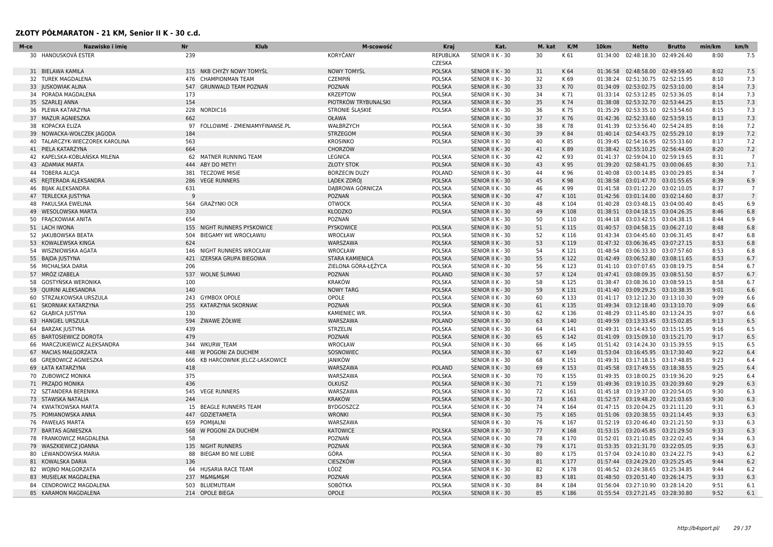#### **ZŁOTY PÓŁMARATON - 21 KM, Senior II K - 30 c.d.**

| M-ce | Nazwisko i imie                               | <b>Nr</b>  | Klub                           | M-scowość                    | <b>Kraj</b>                    | Kat.                                 | M. kat   | K/M          | 10 <sub>km</sub> | <b>Netto</b>                                    | <b>Brutto</b> | min/km       | km/h            |
|------|-----------------------------------------------|------------|--------------------------------|------------------------------|--------------------------------|--------------------------------------|----------|--------------|------------------|-------------------------------------------------|---------------|--------------|-----------------|
|      | 30 HANOUSKOVÁ ESTER                           | 239        |                                | <b>KORYČANY</b>              | <b>REPUBLIKA</b>               | SENIOR II K - 30                     | 30       | K 61         | 01:34:00         | 02:48:18.30                                     | 02:49:26.40   | 8:00         | 7.5             |
|      |                                               |            |                                |                              | <b>CZESKA</b>                  |                                      |          |              |                  |                                                 |               |              |                 |
|      | 31 BIELAWA KAMILA                             |            | 315 NKB CHYŻY NOWY TOMYŚL      | <b>NOWY TOMYŚL</b>           | <b>POLSKA</b>                  | SENIOR II K - 30                     | 31       | K 64         | 01:36:58         | 02:48:58.00 02:49:59.40                         |               | 8:02         | 7.5             |
|      | 32 TUREK MAGDALENA                            |            | 476 CHAMPIONMAN TEAM           | <b>CZEMPIŃ</b>               | <b>POLSKA</b>                  | SENIOR II K - 30                     | 32       | K 69         | 01:38:24         | 02:51:30.75 02:52:15.95                         |               | 8:10         | 7.3             |
|      | 33 JUSKOWIAK ALINA                            | 547        | GRUNWALD TEAM POZNAŃ           | POZNAŃ                       | <b>POLSKA</b>                  | SENIOR II K - 30                     | 33       | K 70         |                  | 01:34:09 02:53:02.75 02:53:10.00                |               | 8:14         | 7.3             |
|      | 34 PORADA MAGDALENA                           | 173        |                                | <b>KRZEPTOW</b>              | <b>POLSKA</b>                  | SENIOR II K - 30                     | 34       | K 71         | 01:33:14         | 02:53:12.85                                     | 02:53:36.05   | 8:14         | 7.3             |
|      | 35 SZARLEJ ANNA                               | 154        |                                | PIOTRKÓW TRYBUNALSKI         | <b>POLSKA</b>                  | SENIOR II K - 30                     | 35       | K 74         | 01:38:08         | 02:53:32.70                                     | 02:53:44.25   | 8:15         | 7.3             |
|      | 36 PLEWA KATARZYNA                            |            | 228 NORDIC16                   | STRONIE ŚLĄSKIE              | <b>POLSKA</b>                  | SENIOR II K - 30                     | 36       | K 75         |                  | 01:35:29 02:53:35.10 02:53:54.60                |               | 8:15         | 7.3             |
|      | 37 MAZUR AGNIESZKA                            | 662<br>97  |                                | OŁAWA                        |                                | SENIOR II K - 30                     | 37       | K 76         |                  | 01:42:36 02:52:33.60 02:53:59.15                |               | 8:13         | 7.3             |
|      | 38 KOPACKA ELIZA<br>39 NOWACKA-WOŁCZEK JAGODA | 184        | FOLLOWME - ZMIENIAMYFINANSE.PL | WAŁBRZYCH<br><b>STRZEGOM</b> | <b>POLSKA</b><br><b>POLSKA</b> | SENIOR II K - 30<br>SENIOR II K - 30 | 38<br>39 | K 78<br>K 84 | 01:41:39         | 02:53:56.40<br>01:40:14 02:54:43.75 02:55:29.10 | 02:54:24.85   | 8:16<br>8:19 | 7.2<br>7.2      |
|      | 40 TALARCZYK-WIECZOREK KAROLINA               | 563        |                                | <b>KROSINKO</b>              | <b>POLSKA</b>                  | SENIOR II K - 30                     | 40       | K 85         |                  | 01:39:45 02:54:16.95 02:55:33.60                |               | 8:17         | 7.2             |
|      | 41 PIELA KATARZYNA                            | 664        |                                | CHORZÓW                      |                                | SENIOR II K - 30                     | 41       | K89          | 01:38:42         | 02:55:10.25                                     | 02:56:44.05   | 8:20         | 7.2             |
|      | 42 KAPELSKA-KOBLANSKA MILENA                  |            | 62 MATNER RUNNING TEAM         | <b>LEGNICA</b>               | <b>POLSKA</b>                  | SENIOR II K - 30                     | 42       | K 93         | 01:41:37         | 02:59:04.10 02:59:19.65                         |               | 8:31         | $\overline{7}$  |
|      | 43 ADAMIAK MARTA                              |            | 444 ABY DO METY!               | <b>ZŁOTY STOK</b>            | <b>POLSKA</b>                  | SENIOR II K - 30                     | 43       | K 95         | 01:39:20         | 02:58:41.75 03:00:06.65                         |               | 8:30         | 7.1             |
|      | 44 TOBERA ALICIA                              | 381        | <b>TECZOWE MISIE</b>           | <b>BORZECIN DUZY</b>         | POLAND                         | SENIOR II K - 30                     | 44       | K 96         | 01:40:08         | 03:00:14.85 03:00:29.85                         |               | 8:34         | $\overline{7}$  |
|      | 45 REJTERADA ALEKSANDRA                       |            | 286 VEGE RUNNERS               | LADEK ZDRÓJ                  | <b>POLSKA</b>                  | SENIOR II K - 30                     | 45       | K 98         | 01:38:58         | 03:01:47.70                                     | 03:01:55.65   | 8:39         | 6.9             |
|      | <b>46 BIIAK ALEKSANDRA</b>                    | 631        |                                | DABROWA GÓRNICZA             | <b>POLSKA</b>                  | SENIOR II K - 30                     | 46       | K 99         |                  | 01:41:58 03:01:12.20                            | 03:02:10.05   | 8:37         | $7\overline{ }$ |
|      | 47 TERLECKA JUSTYNA                           | q          |                                | POZNAŃ                       | <b>POLSKA</b>                  | SENIOR II K - 30                     | 47       | K 101        |                  | 01:42:56 03:01:14.00 03:02:14.60                |               | 8:37         | $\overline{7}$  |
|      | 48 PAKULSKA EWELINA                           | 564        | <b>GRAŻYNKI OCR</b>            | <b>OTWOCK</b>                | <b>POLSKA</b>                  | SENIOR II K - 30                     | 48       | K104         | 01:40:28         | 03:03:48.15                                     | 03:04:00.40   | 8:45         | 6.9             |
|      | 49 WESOLOWSKA MARTA                           | 330        |                                | KŁODZKO                      | <b>POLSKA</b>                  | SENIOR II K - 30                     | 49       | K108         |                  | 01:38:51 03:04:18.15 03:04:26.35                |               | 8:46         | 6.8             |
|      | 50 FRACKOWIAK ANITA                           | 654        |                                | POZNAŃ                       |                                | SENIOR II K - 30                     | 50       | K 110        |                  | 01:44:18 03:03:42.55 03:04:38.15                |               | 8:44         | 6.9             |
|      | 51 LACH IWONA                                 |            | 155 NIGHT RUNNERS PYSKOWICE    | PYSKOWICE                    | <b>POLSKA</b>                  | SENIOR II K - 30                     | 51       | K115         |                  | 01:40:57 03:04:58.15 03:06:27.10                |               | 8:48         | 6.8             |
|      | 52 JAKUBOWSKA BEATA                           | 504        | BIEGAMY WE WROCŁAWIU           | WROCŁAW                      | <b>POLSKA</b>                  | SENIOR II K - 30                     | 52       | K116         |                  | 01:43:34 03:04:45.60                            | 03:06:31.45   | 8:47         | 6.8             |
|      | 53 KOWALEWSKA KINGA                           | 624        |                                | WARSZAWA                     | <b>POLSKA</b>                  | SENIOR II K - 30                     | 53       | K119         |                  | 01:47:32 03:06:36.45 03:07:27.15                |               | 8:53         | 6.8             |
|      | 54 WISZNIOWSKA AGATA                          |            | 146 NIGHT RUNNERS WROCŁAW      | WROCŁAW                      | <b>POLSKA</b>                  | SENIOR II K - 30                     | 54       | K121         | 01:48:54         | 03:06:33.30 03:07:57.60                         |               | 8:53         | 6.8             |
|      | 55 BAJDA JUSTYNA                              | 421        | IZERSKA GRUPA BIEGOWA          | STARA KAMIENICA              | <b>POLSKA</b>                  | SENIOR II K - 30                     | 55       | K122         |                  | 01:42:49 03:06:52.80                            | 03:08:11.65   | 8:53         | 6.7             |
|      | 56 MICHALSKA DARIA                            | 206        |                                | ZIELONA GÓRA-ŁĘŻYCA          | <b>POLSKA</b>                  | SENIOR II K - 30                     | 56       | K123         | 01:41:10         | 03:07:07.65                                     | 03:08:19.75   | 8:54         | 6.7             |
|      | 57 MRÓZ IZABELA                               | 537        | WOLNE ŚLIMAKI                  | <b>POZNAN</b>                | <b>POLAND</b>                  | SENIOR II K - 30                     | 57       | K124         |                  | 01:47:41 03:08:09.35                            | 03:08:51.50   | 8:57         | 6.7             |
|      | 58 GOSTYŃSKA WERONIKA                         | 100        |                                | <b>KRAKÓW</b>                | <b>POLSKA</b>                  | SENIOR II K - 30                     | 58       | K125         |                  | 01:38:47 03:08:36.10 03:08:59.15                |               | 8:58         | 6.7             |
| 59   | QUIRINI ALEKSANDRA                            | 140        |                                | <b>NOWY TARG</b>             | <b>POLSKA</b>                  | SENIOR II K - 30                     | 59       | K131         |                  | 01:41:40 03:09:29.25 03:10:38.35                |               | 9:01         | 6.6             |
|      | 60 STRZAŁKOWSKA URSZULA                       |            | 243 GYMBOX OPOLE               | OPOLE                        | <b>POLSKA</b>                  | SENIOR II K - 30                     | 60       | K133         |                  | 01:41:17 03:12:12.30                            | 03:13:10.30   | 9:09         | 6.6             |
|      | 61 SKORNIAK KATARZYNA                         |            | 255 KATARZYNA SKORNIAK         | POZNAŃ                       | <b>POLSKA</b>                  | SENIOR II K - 30                     | 61       | K135         |                  | 01:49:34 03:12:18.40 03:13:10.70                |               | 9:09         | 6.6             |
|      | 62 GŁĄBICA JUSTYNA                            | 130        |                                | KAMIENIEC WR.                | <b>POLSKA</b>                  | SENIOR II K - 30                     | 62       | K136         |                  | 01:48:29 03:11:45.80                            | 03:13:24.35   | 9:07         | 6.6             |
|      | 63 HANGIEL URSZULA                            | 594<br>439 | ŻWAWE ŻÓŁWIE                   | WARSZAWA<br><b>STRZELIN</b>  | <b>POLAND</b><br><b>POLSKA</b> | SENIOR II K - 30<br>SENIOR II K - 30 | 63<br>64 | K140<br>K141 | 01:49:59         | 03:13:33.45<br>01:49:31 03:14:43.50             | 03:15:02.85   | 9:13<br>9:16 | 6.5<br>6.5      |
|      | 64 BARZAK JUSTYNA<br>65 BARTOSIEWICZ DOROTA   | 479        |                                | POZNAŃ                       | <b>POLSKA</b>                  | SENIOR II K - 30                     | 65       | K142         |                  | 01:41:09 03:15:09.10 03:15:21.70                | 03:15:15.95   | 9:17         | 6.5             |
|      | 66 MARCZUKIEWICZ ALEKSANDRA                   |            | 344 WKURW TEAM                 | WROCŁAW                      | <b>POLSKA</b>                  | SENIOR II K - 30                     | 66       | K 145        |                  | 01:51:42 03:14:24.30                            | 03:15:39.55   | 9:15         | 6.5             |
|      | 67 MACIAS MAŁGORZATA                          |            | 448 W POGONI ZA DUCHEM         | SOSNOWIEC                    | <b>POLSKA</b>                  | SENIOR II K - 30                     | 67       | K149         |                  | 01:53:04 03:16:45.95                            | 03:17:30.40   | 9:22         | 6.4             |
| 68   | <b>GREBOWICZ AGNIESZKA</b>                    | 666        | KB HARCOWNIK JELCZ-LASKOWICE   | JANIKÓW                      |                                | SENIOR II K - 30                     | 68       | K151         |                  | 01:49:31 03:17:18.15 03:17:48.85                |               | 9:23         | 6.4             |
|      | 69 ŁATA KATARZYNA                             | 418        |                                | WARSZAWA                     | <b>POLAND</b>                  | SENIOR II K - 30                     | 69       | K153         |                  | 01:45:58 03:17:49.55 03:18:38.55                |               | 9:25         | 6.4             |
|      | 70 ZUBOWICZ MONIKA                            | 375        |                                | WARSZAWA                     | <b>POLSKA</b>                  | SENIOR II K - 30                     | 70       | K155         | 01:49:35         | 03:18:00.25                                     | 03:19:36.20   | 9:25         | 6.4             |
|      | 71 PRZADO MONIKA                              | 436        |                                | OLKUSZ                       | <b>POLSKA</b>                  | SENIOR II K - 30                     | 71       | K159         |                  | 01:49:36 03:19:10.35 03:20:39.60                |               | 9:29         | 6.3             |
|      | 72 SZTANDERA BERENIKA                         |            | 545 VEGE RUNNERS               | WARSZAWA                     | <b>POLSKA</b>                  | SENIOR II K - 30                     | 72       | K161         |                  | 01:45:18 03:19:37.00                            | 03:20:54.05   | 9:30         | 6.3             |
|      | 73 STAWSKA NATALIA                            | 244        |                                | <b>KRAKÓW</b>                | <b>POLSKA</b>                  | SENIOR II K - 30                     | 73       | K163         |                  | 01:52:57 03:19:48.20                            | 03:21:03.65   | 9:30         | 6.3             |
|      | 74 KWIATKOWSKA MARTA                          | 15         | <b>BEAGLE RUNNERS TEAM</b>     | <b>BYDGOSZCZ</b>             | <b>POLSKA</b>                  | SENIOR II K - 30                     | 74       | K164         | 01:47:15         | 03:20:04.25                                     | 03:21:11.20   | 9:31         | 6.3             |
|      | 75 POMIANOWSKA ANNA                           |            | 447 GDZIETAMETA                | <b>WRONKI</b>                | <b>POLSKA</b>                  | SENIOR II K - 30                     | 75       | K 165        | 01:51:06         | 03:20:38.55 03:21:14.45                         |               | 9:33         | 6.3             |
|      | 76 PAWEŁAS MARTA                              |            | 659 POMIJALNI                  | WARSZAWA                     |                                | SENIOR II K - 30                     | 76       | K167         |                  | 01:52:19 03:20:46.40 03:21:21.50                |               | 9:33         | 6.3             |
|      | 77 BARTAS AGNIESZKA                           | 568        | W POGONI ZA DUCHEM             | <b>KATOWICE</b>              | <b>POLSKA</b>                  | SENIOR II K - 30                     | 77       | K168         |                  | 01:53:15 03:20:45.85 03:21:29.50                |               | 9:33         | 6.3             |
|      | 78 FRANKOWICZ MAGDALENA                       | 58         |                                | POZNAŃ                       | <b>POLSKA</b>                  | SENIOR II K - 30                     | 78       | K170         |                  | 01:52:01 03:21:10.85 03:22:02.45                |               | 9:34         | 6.3             |
| 79   | WASZKIEWICZ JOANNA                            |            | 135 NIGHT RUNNERS              | POZNAŃ                       | <b>POLSKA</b>                  | SENIOR II K - 30                     | 79       | K171         |                  | 01:53:35 03:21:31.70                            | 03:22:05.05   | 9:35         | 6.3             |
|      | 80 LEWANDOWSKA MARIA                          |            | 88 BIEGAM BO NIE LUBIE         | GÓRA                         | <b>POLSKA</b>                  | SENIOR II K - 30                     | 80       | K175         |                  | 01:57:04 03:24:10.80 03:24:22.75                |               | 9:43         | 6.2             |
|      | 81 KOWALSKA DARIA                             | 136        |                                | <b>CIESZKÓW</b>              | <b>POLSKA</b>                  | SENIOR II K - 30                     | 81       | K177         | 01:57:44         | 03:24:29.20                                     | 03:25:25.45   | 9:44         | 6.2             |
|      | 82 WOINO MAŁGORZATA                           | 64         | HUSARIA RACE TEAM              | ŁÓDŹ                         | <b>POLSKA</b>                  | SENIOR II K - 30                     | 82       | K178         | 01:46:52         | 03:24:38.65                                     | 03:25:34.85   | 9:44         | 6.2             |
|      | 83 MUSIELAK MAGDALENA                         | 237        | <b>М&amp;М&amp;М&amp;М</b>     | POZNAŃ                       | <b>POLSKA</b>                  | SENIOR II K - 30                     | 83       | K181         | 01:48:50         | 03:20:51.40 03:26:14.75                         |               | 9:33         | 6.3             |
|      | 84 CENDROWICZ MAGDALENA                       |            | 503 BLUEMUTEAM                 | SOBÓTKA                      | <b>POLSKA</b>                  | SENIOR II K - 30                     | 84       | K184         |                  | 01:56:04 03:27:10.90                            | 03:28:14.20   | 9:51         | 6.1             |
|      | 85 KARAMON MAGDALENA                          |            | 214 OPOLE BIEGA                | OPOLE                        | <b>POLSKA</b>                  | SENIOR II K - 30                     | 85       | K186         |                  | 01:55:54 03:27:21.45 03:28:30.80                |               | 9:52         | 6.1             |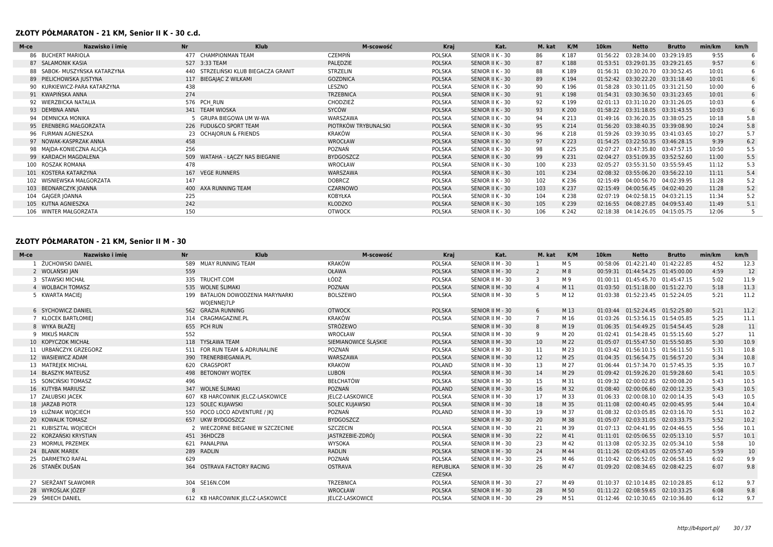#### **ZŁOTY PÓŁMARATON - 21 KM, Senior II K - 30 c.d.**

| M-ce | <b>Nr</b><br>Nazwisko i imie  | <b>Klub</b>                        |                      | M-scowość<br>Kraj | Kat.             | M. kat | K/M   | 10km     | <b>Netto</b>         | <b>Brutto</b> | min/km | km/h |
|------|-------------------------------|------------------------------------|----------------------|-------------------|------------------|--------|-------|----------|----------------------|---------------|--------|------|
|      | 86 BUCHERT MARIOLA            | <b>CHAMPIONMAN TEAM</b><br>477     | <b>CZEMPIŃ</b>       | POLSKA            | SENIOR II K - 30 | 86     | K187  | 01:56:22 | 03:28:34.00          | 03:29:19.85   | 9:55   |      |
|      | 87 SALAMONIK KASIA            | 527 3:33 TEAM                      | PALEDZIE             | <b>POLSKA</b>     | SENIOR II K - 30 | 87     | K188  | 01:53:51 | 03:29:01.35          | 03:29:21.65   | 9:57   |      |
|      | 88 SABOK- MUSZYŃSKA KATARZYNA | STRZELIŃSKI KLUB BIEGACZA GRANIT   | <b>STRZELIN</b>      | POLSKA            | SENIOR II K - 30 | 88     | K189  | 01:56:31 | 03:30:20.70          | 03:30:52.45   | 10:01  | 6    |
|      | 89 PIELICHOWSKA JUSTYNA       | 117 BIEGAJAC Z WILKAMI             | <b>GOZDNICA</b>      | <b>POLSKA</b>     | SENIOR II K - 30 | 89     | K194  |          | 01:52:42 03:30:22.20 | 03:31:18.40   | 10:01  | 6    |
|      | 90 KURKIEWICZ-PARA KATARZYNA  | 438                                | LESZNO               | POLSKA            | SENIOR II K - 30 | 90     | K 196 | 01:58:28 | 03:30:11.05          | 03:31:21.50   | 10:00  | 6    |
|      | 91 KWAPIŃSKA ANNA             | 274                                | <b>TRZEBNICA</b>     | <b>POLSKA</b>     | SENIOR II K - 30 | 91     | K198  | 01:54:31 | 03:30:36.50          | 03:31:23.65   | 10:01  | 6    |
|      | 92 WIERZBICKA NATALIA         | 576 PCH RUN                        | CHODZIEŻ             | POLSKA            | SENIOR II K - 30 | 92     | K 199 | 02:01:13 | 03:31:10.20          | 03:31:26.05   | 10:03  | 6    |
|      | 93 DEMBNA ANNA                | 341 TEAM WIOSKA                    | SYCÓW                | <b>POLSKA</b>     | SENIOR II K - 30 | 93     | K 200 |          | 01:58:22 03:31:18.05 | 03:31:43.55   | 10:03  |      |
|      | 94 DEMNICKA MONIKA            | GRUPA BIEGOWA UM W-WA              | WARSZAWA             | <b>POLSKA</b>     | SENIOR II K - 30 | 94     | K 213 | 01:49:16 | 03:36:20.35          | 03:38:05.25   | 10:18  | 5.8  |
|      | 95 ERENBERG MAŁGORZATA        | 226 FUDU&CO SPORT TEAM             | PIOTRKÓW TRYBUNALSKI | POLSKA            | SENIOR II K - 30 | 95     | K 214 |          | 01:56:20 03:38:40.35 | 03:39:08.90   | 10:24  | 5.8  |
|      | 96 FURMAN AGNIESZKA           | 23 OCHAJORUN & FRIENDS             | KRAKÓW               | POLSKA            | SENIOR II K - 30 | 96     | K 218 |          | 01:59:26 03:39:30.95 | 03:41:03.65   | 10:27  | 5.7  |
|      | 97 NOWAK-KASPRZAK ANNA<br>458 |                                    | WROCŁAW              | <b>POLSKA</b>     | SENIOR II K - 30 | 97     | K 223 | 01:54:25 | 03:22:50.35          | 03:46:28.15   | 9:39   | 6.2  |
|      | 98 MAJDA-KONIECZNA ALICJA     | 256                                | POZNAŃ               | POLSKA            | SENIOR II K - 30 | 98     | K 225 | 02:07:27 | 03:47:35.80          | 03:47:57.15   | 10:50  | 5.5  |
|      | 99 KARDACH MAGDALENA          | WATAHA - ŁĄCZY NAS BIEGANIE<br>509 | <b>BYDGOSZCZ</b>     | <b>POLSKA</b>     | SENIOR II K - 30 | 99     | K 231 | 02:04:27 | 03:51:09.35          | 03:52:52.60   | 11:00  | 5.5  |
|      | 100 ROSZAK ROMANA<br>478      |                                    | WROCŁAW              | POLSKA            | SENIOR II K - 30 | 100    | K 233 | 02:05:27 | 03:55:31.50          | 03:55:59.45   | 11:12  | 5.3  |
|      | 101 KOSTERA KATARZYNA         | <b>VEGE RUNNERS</b><br>167         | WARSZAWA             | <b>POLSKA</b>     | SENIOR II K - 30 | 101    | K 234 | 02:08:32 | 03:55:06.20          | 03:56:22.10   | 11:11  | 5.4  |
|      | 102 WISNIEWSKA MAŁGORZATA     | 147                                | <b>DOBRCZ</b>        | POLSKA            | SENIOR II K - 30 | 102    | K 236 | 02:15:49 | 04:00:56.70          | 04:02:39.95   | 11:28  | 5.2  |
|      | 103 BEDNARCZYK JOANNA         | 400 AXA RUNNING TEAM               | CZARNOWO             | <b>POLSKA</b>     | SENIOR II K - 30 | 103    | K 237 | 02:15:49 | 04:00:56.45          | 04:02:40.20   | 11:28  | 5.2  |
|      | 104 GAIGER JOANNA             | 225                                | KOBYŁKA              | POLSKA            | SENIOR II K - 30 | 104    | K 238 | 02:07:19 | 04:02:58.15          | 04:03:21.15   | 11:34  | 5.2  |
|      | 242<br>105 KUTNA AGNIESZKA    |                                    | <b>KLODZKO</b>       | <b>POLSKA</b>     | SENIOR II K - 30 | 105    | K 239 | 02:16:55 | 04:08:27.85          | 04:09:53.40   | 11:49  | 5.1  |
| 106  | WINTER MAŁGORZATA             | 150                                | <b>OTWOCK</b>        | POLSKA            | SENIOR II K - 30 | 106    | K 242 | 02:18:38 | 04:14:26.05          | 04:15:05.75   | 12:06  |      |

#### **ZŁOTY PÓŁMARATON - 21 KM, Senior II M - 30**

| M-ce | Nazwisko i imie       | <b>Nr</b> | Klub                                             | M-scowość              | Kraj                       | Kat.             | M. kat         | K/M  | 10 <sub>km</sub> | <b>Netto</b>                     | <b>Brutto</b> | min/km | km/h |
|------|-----------------------|-----------|--------------------------------------------------|------------------------|----------------------------|------------------|----------------|------|------------------|----------------------------------|---------------|--------|------|
|      | 1 ŻUCHOWSKI DANIEL    |           | 589 MUAY RUNNING TEAM                            | KRAKÓW                 | <b>POLSKA</b>              | SENIOR II M - 30 |                | M 5  | 00:58:06         | 01:42:21.40                      | 01:42:22.85   | 4:52   | 12.3 |
|      | 2 WOLAŃSKI JAN        | 559       |                                                  | <b>OŁAWA</b>           | <b>POLSKA</b>              | SENIOR II M - 30 | $\overline{2}$ | M8   | 00:59:31         | 01:44:54.25 01:45:00.00          |               | 4:59   | 12   |
|      | 3 STAWSKI MICHAŁ      |           | 335 TRUCHT.COM                                   | ŁÓDŹ                   | <b>POLSKA</b>              | SENIOR II M - 30 | 3              | M 9  | 01:00:11         | 01:45:45.70 01:45:47.15          |               | 5:02   | 11.9 |
|      | 4 WOLBACH TOMASZ      |           | 535 WOLNE ŚLIMAKI                                | POZNAN                 | <b>POLSKA</b>              | SENIOR II M - 30 | $\overline{4}$ | M 11 |                  | 01:03:50 01:51:18.00 01:51:22.70 |               | 5:18   | 11.3 |
|      | 5 KWARTA MACIEJ       |           | 199 BATALION DOWODZENIA MARYNARKI<br>WOJENNEJ7LP | <b>BOLSZEWO</b>        | <b>POLSKA</b>              | SENIOR II M - 30 | -5             | M 12 |                  | 01:03:38 01:52:23.45 01:52:24.05 |               | 5:21   | 11.2 |
|      | 6 SYCHOWICZ DANIEL    |           | 562 GRAZIA RUNNING                               | <b>OTWOCK</b>          | <b>POLSKA</b>              | SENIOR II M - 30 | 6              | M 13 |                  | 01:03:44 01:52:24.45 01:52:25.80 |               | 5:21   | 11.2 |
|      | 7 KLOCEK BARTŁOMIEI   |           | 314 CRAGMAGAZINE.PL                              | KRAKÓW                 | <b>POLSKA</b>              | SENIOR II M - 30 |                | M 16 |                  | 01:03:26 01:53:56.15 01:54:05.85 |               | 5:25   | 11.1 |
|      | 8 WYKA BŁAŻEI         |           | 655 PCH RUN                                      | STRÓŻEWO               |                            | SENIOR II M - 30 | 8              | M 19 |                  | 01:06:35 01:54:49.25 01:54:54.45 |               | 5:28   | 11   |
|      | 9 MIKUŚ MARCIN        | 552       |                                                  | WROCŁAW                | <b>POLSKA</b>              | SENIOR II M - 30 | 9              | M 20 |                  | 01:02:41 01:54:28.45 01:55:15.60 |               | 5:27   | 11   |
|      | 10 KOPYCZOK MICHAŁ    |           | 118 TYSŁAWA TEAM                                 | SIEMIANOWICE ŚLĄSKIE   | <b>POLSKA</b>              | SENIOR II M - 30 | 10             | M 22 |                  | 01:05:07 01:55:47.50 01:55:50.85 |               | 5:30   | 10.9 |
|      | 11 URBAŃCZYK GRZEGORZ |           | 511 FOR RUN TEAM & ADRUNALINE                    | POZNAŃ                 | <b>POLSKA</b>              | SENIOR II M - 30 | 11             | M 23 |                  | 01:03:42 01:56:10.15 01:56:11.50 |               | 5:31   | 10.8 |
|      | 12 WASIEWICZ ADAM     |           | 390 TRENERBIEGANIA.PL                            | WARSZAWA               | <b>POLSKA</b>              | SENIOR II M - 30 | 12             | M 25 |                  | 01:04:35 01:56:54.75 01:56:57.20 |               | 5:34   | 10.8 |
|      | 13 MATREJEK MICHAL    |           | 620 CRAGSPORT                                    | <b>KRAKOW</b>          | <b>POLAND</b>              | SENIOR II M - 30 | 13             | M 27 |                  | 01:06:44 01:57:34.70 01:57:45.35 |               | 5:35   | 10.7 |
|      | 14 BŁASZYK MATEUSZ    |           | 498 BETONOWY WOJTEK                              | LUBOŃ                  | <b>POLSKA</b>              | SENIOR II M - 30 | 14             | M 29 |                  | 01:09:42 01:59:26.20 01:59:28.60 |               | 5:41   | 10.5 |
|      | 15 SONCIŃSKI TOMASZ   | 496       |                                                  | <b>BEŁCHATÓW</b>       | <b>POLSKA</b>              | SENIOR II M - 30 | 15             | M 31 |                  | 01:09:32 02:00:02.85             | 02:00:08.20   | 5:43   | 10.5 |
|      | 16 KUTYBA MARIUSZ     |           | 347 WOLNE ŚLIMAKI                                | POZNAŃ                 | POLAND                     | SENIOR II M - 30 | 16             | M 32 |                  | 01:08:40 02:00:06.60             | 02:00:12.35   | 5:43   | 10.5 |
|      | 17 ZAŁUBSKI JACEK     |           | 607 KB HARCOWNIK JELCZ-LASKOWICE                 | <b>IELCZ-LASKOWICE</b> | <b>POLSKA</b>              | SENIOR II M - 30 | 17             | M 33 |                  | 01:06:33 02:00:08.10 02:00:14.35 |               | 5:43   | 10.5 |
|      | 18 JARZAB PIOTR       |           | 123 SOLEC KUJAWSKI                               | SOLEC KUJAWSKI         | <b>POLSKA</b>              | SENIOR II M - 30 | 18             | M 35 | 01:11:08         | 02:00:40.45 02:00:45.95          |               | 5:44   | 10.4 |
|      | 19 ŁUŻNIAK WOJCIECH   |           | 550 POCO LOCO ADVENTURE / JKJ                    | POZNAŃ                 | POLAND                     | SENIOR II M - 30 | 19             | M 37 | 01:08:32         | 02:03:05.85 02:03:16.70          |               | 5:51   | 10.2 |
|      | 20 KOWALIK TOMASZ     |           | 657 UKW BYDGOSZCZ                                | <b>BYDGOSZCZ</b>       |                            | SENIOR II M - 30 | 20             | M 38 | 01:05:07         | 02:03:31.05                      | 02:03:33.75   | 5:52   | 10.2 |
|      | 21 KUBISZTAL WOJCIECH |           | 2 WIECZORNE BIEGANIE W SZCZECINIE                | <b>SZCZECIN</b>        | <b>POLSKA</b>              | SENIOR II M - 30 | 21             | M 39 | 01:07:13         | 02:04:41.95 02:04:46.55          |               | 5:56   | 10.1 |
|      | 22 KORZAŃSKI KRYSTIAN |           | 451 36HDCZB                                      | JASTRZEBIE-ZDRÓJ       | <b>POLSKA</b>              | SENIOR II M - 30 | 22             | M 41 |                  | 01:11:01 02:05:06.55 02:05:13.10 |               | 5:57   | 10.1 |
|      | 23 MORMUL PRZEMEK     |           | 621 PANALPINA                                    | <b>WYSOKA</b>          | <b>POLSKA</b>              | SENIOR II M - 30 | 23             | M 42 |                  | 01:13:08 02:05:32.35 02:05:34.10 |               | 5:58   | 10   |
|      | 24 BLANIK MAREK       |           | 289 RADLIN                                       | <b>RADLIN</b>          | <b>POLSKA</b>              | SENIOR II M - 30 | 24             | M 44 |                  | 01:11:26 02:05:43.05 02:05:57.40 |               | 5:59   | 10   |
|      | 25 DARMETKO RAFAL     | 629       |                                                  | POZNAŃ                 | <b>POLSKA</b>              | SENIOR II M - 30 | 25             | M 46 |                  | 01:10:42 02:06:52.05 02:06:58.15 |               | 6:02   | 9.9  |
|      | 26 STANĚK DUŠAN       | 364       | OSTRAVA FACTORY RACING                           | <b>OSTRAVA</b>         | REPUBLIKA<br><b>CZESKA</b> | SENIOR II M - 30 | 26             | M 47 |                  | 01:09:20 02:08:34.65 02:08:42.25 |               | 6:07   | 9.8  |
|      | 27 SIERŻANT SŁAWOMIR  |           | 304 SE16N.COM                                    | <b>TRZEBNICA</b>       | <b>POLSKA</b>              | SENIOR II M - 30 | 27             | M 49 | 01:10:37         | 02:10:14.85 02:10:28.85          |               | 6:12   | 9.7  |
|      | 28 WYROŚLAK JÓZEF     |           |                                                  | WROCŁAW                | <b>POLSKA</b>              | SENIOR II M - 30 | 28             | M 50 | 01:11:22         | 02:08:59.65                      | 02:10:33.25   | 6:08   | 9.8  |
|      | 29 ŚMIECH DANIEL      |           | 612 KB HARCOWNIK IELCZ-LASKOWICE                 | <b>IELCZ-LASKOWICE</b> | <b>POLSKA</b>              | SENIOR II M - 30 | 29             | M 51 |                  | 01:12:46 02:10:30.65 02:10:36.80 |               | 6:12   | 9.7  |
|      |                       |           |                                                  |                        |                            |                  |                |      |                  |                                  |               |        |      |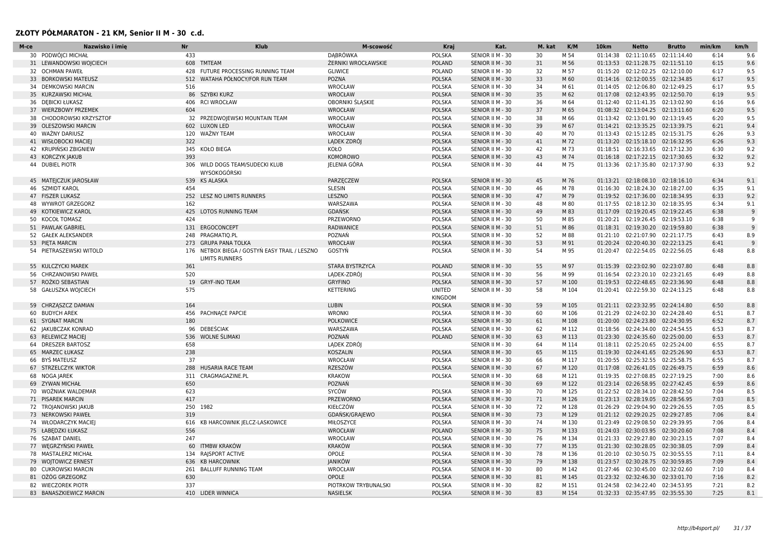#### **ZŁOTY PÓŁMARATON - 21 KM, Senior II M - 30 c.d.**

| M-ce | Nazwisko i imie<br>Nr    | <b>Klub</b>                                                            | M-scowość            | <b>Kraj</b>                     | Kat.             | M. kat | K/M   | 10 <sub>km</sub> | <b>Netto</b>                       | <b>Brutto</b> | min/km | km/h |
|------|--------------------------|------------------------------------------------------------------------|----------------------|---------------------------------|------------------|--------|-------|------------------|------------------------------------|---------------|--------|------|
|      | 30 PODWÓJCI MICHAŁ       | 433                                                                    | DĄBRÓWKA             | <b>POLSKA</b>                   | SENIOR II M - 30 | 30     | M 54  | 01:14:38         | 02:11:10.65                        | 02:11:14.40   | 6:14   | 9.6  |
|      | 31 LEWANDOWSKI WOJCIECH  | 608<br>TMTEAM                                                          | ŻERNIKI WROCŁAWSKIE  | <b>POLAND</b>                   | SENIOR II M - 30 | 31     | M 56  | 01:13:53         | 02:11:28.75                        | 02:11:51.10   | 6:15   | 9.6  |
|      | 32 OCHMAN PAWEŁ          | FUTURE PROCESSING RUNNING TEAM<br>428                                  | <b>GLIWICE</b>       | <b>POLAND</b>                   | SENIOR II M - 30 | 32     | M 57  | 01:15:20         | 02:12:02.25                        | 02:12:10.00   | 6:17   | 9.5  |
|      | 33 BORKOWSKI MATEUSZ     | 512<br>WATAHA PÓŁNOCY/FOR RUN TEAM                                     | POZNA                | <b>POLSKA</b>                   | SENIOR II M - 30 | 33     | M 60  |                  | 01:14:16 02:12:00.55 02:12:34.85   |               | 6:17   | 9.5  |
|      | 34 DEMKOWSKI MARCIN      | 516                                                                    | WROCŁAW              | POLSKA                          | SENIOR II M - 30 | 34     | M 61  |                  | 01:14:05 02:12:06.80 02:12:49.25   |               | 6:17   | 9.5  |
| 35   | KURZAWSKI MICHAŁ         | 86<br><b>SZYBKI KURZ</b>                                               | WROCŁAW              | <b>POLSKA</b>                   | SENIOR II M - 30 | 35     | M 62  |                  | 01:17:08 02:12:43.95 02:12:50.70   |               | 6:19   | 9.5  |
| 36   | <b>DEBICKI ŁUKASZ</b>    | 406<br><b>RCI WROCŁAW</b>                                              | OBORNIKI SLĄSKIE     | POLSKA                          | SENIOR II M - 30 | 36     | M 64  | 01:12:40         | 02:11:41.35 02:13:02.90            |               | 6:16   | 9.6  |
| 37   | <b>WIERZBOWY PRZEMEK</b> | 604                                                                    | WROCŁAW              | <b>POLSKA</b>                   | SENIOR II M - 30 | 37     | M 65  |                  | 01:08:32 02:13:04.25 02:13:11.60   |               | 6:20   | 9.5  |
|      | 38 CHODOROWSKI KRZYSZTOF | 32<br>PRZEDWOJEWSKI MOUNTAIN TEAM                                      | WROCŁAW              | <b>POLSKA</b>                   | SENIOR II M - 30 | 38     | M 66  |                  | 01:13:42 02:13:01.90 02:13:19.45   |               | 6:20   | 9.5  |
| 39   | <b>OLESZOWSKI MARCIN</b> | 602<br><b>LUXON LED</b>                                                | WROCŁAW              | <b>POLSKA</b>                   | SENIOR II M - 30 | 39     | M 67  |                  | 01:14:21 02:13:35.25               | 02:13:39.75   | 6:21   | 9.4  |
|      | 40 WAŻNY DARIUSZ         | 120<br><b>WAŻNY TEAM</b>                                               | WROCŁAW              | POLSKA                          | SENIOR II M - 30 | 40     | M 70  |                  | 01:13:43 02:15:12.85               | 02:15:31.75   | 6:26   | 9.3  |
|      | 41 WISŁOBOCKI MACIE      | 322                                                                    | LADEK ZDRÓJ          | <b>POLSKA</b>                   | SENIOR II M - 30 | 41     | M 72  |                  | 01:13:20 02:15:18.10 02:16:32.95   |               | 6:26   | 9.3  |
| 42   | KRUPIŃSKI ZBIGNIEW       | 345<br>KOŁO BIEGA                                                      | KOŁO                 | POLSKA                          | SENIOR II M - 30 | 42     | M 73  |                  | 01:18:51 02:16:33.65               | 02:17:12.30   | 6:30   | 9.2  |
|      | 43 KORCZYK JAKUB         | 393                                                                    | KOMOROWO             | <b>POLSKA</b>                   | SENIOR II M - 30 | 43     | M 74  |                  | 01:16:18 02:17:22.15 02:17:30.65   |               | 6:32   | 9.2  |
|      | 44 DUBIEL PIOTR          | WILD DOGS TEAM/SUDECKI KLUB<br>306                                     | JELENIA GÓRA         | <b>POLSKA</b>                   | SENIOR II M - 30 | 44     | M 75  |                  | 01:13:36 02:17:35.80 02:17:37.90   |               | 6:33   | 9.2  |
|      |                          | WYSOKOGÓRSKI                                                           |                      |                                 |                  |        |       |                  |                                    |               |        |      |
| 45   | MATEJCZUK JAROSŁAW       | <b>KS ALASKA</b><br>539                                                | PARZĘCZEW            | <b>POLSKA</b>                   | SENIOR II M - 30 | 45     | M 76  |                  | 01:13:21  02:18:08.10  02:18:16.10 |               | 6:34   | 9.1  |
|      | 46 SZMIDT KAROL          | 454                                                                    | <b>SLESIN</b>        | POLSKA                          | SENIOR II M - 30 | 46     | M 78  | 01:16:30         | 02:18:24.30 02:18:27.00            |               | 6:35   | 9.1  |
| 47   | <b>FISZER LUKASZ</b>     | 252<br>LESZ NO LIMITS RUNNERS                                          | LESZNO               | <b>POLSKA</b>                   | SENIOR II M - 30 | 47     | M 79  | 01:19:52         | 02:17:36.00                        | 02:18:34.95   | 6:33   | 9.2  |
| 48   | <b>WYWROT GRZEGORZ</b>   | 162                                                                    | WARSZAWA             | <b>POLSKA</b>                   | SENIOR II M - 30 | 48     | M 80  | 01:17:55         | 02:18:12.30                        | 02:18:35.95   | 6:34   | 9.1  |
| 49   | KOTKIEWICZ KAROL         | 425<br><b>LOTOS RUNNING TEAM</b>                                       | <b>GDANSK</b>        | <b>POLSKA</b>                   | SENIOR II M - 30 | 49     | M 83  | 01:17:09         | 02:19:20.45                        | 02:19:22.45   | 6:38   | 9    |
|      | 50 KOCOŁ TOMASZ          | 424                                                                    | PRZEWORNO            | POLSKA                          | SENIOR II M - 30 | 50     | M 85  |                  | 01:20:21 02:19:26.45 02:19:53.10   |               | 6:38   | 9    |
|      | 51 PAWLAK GABRIEL        | 131 ERGOCONCEPT                                                        | <b>RADWANICE</b>     | <b>POLSKA</b>                   | SENIOR II M - 30 | 51     | M 86  |                  | 01:18:31  02:19:30.20  02:19:59.80 |               | 6:38   | 9    |
| 52   | <b>GAŁEK ALEKSANDER</b>  | 248<br>PRAGMATIO.PL                                                    | POZNAŃ               | <b>POLSKA</b>                   | SENIOR II M - 30 | 52     | M 88  |                  | 01:21:10 02:21:07.90               | 02:21:17.75   | 6:43   | 8.9  |
|      | 53 PIETA MARCIN          | 273 GRUPA PANA TOLKA                                                   | WROCŁAW              | <b>POLSKA</b>                   | SENIOR II M - 30 | 53     | M 91  |                  | 01:20:24 02:20:40.30 02:22:13.25   |               | 6:41   | -9   |
|      | 54 PIETRASZEWSKI WITOLD  | 176 NETBOX BIEGA / GOSTYŃ EASY TRAIL / LESZNO<br><b>LIMITS RUNNERS</b> | GOSTYŃ               | POLSKA                          | SENIOR II M - 30 | 54     | M 95  | 01:20:47         | 02:22:54.05 02:22:56.05            |               | 6:48   | 8.8  |
| 55   | <b>KULCZYCKI MAREK</b>   | 361                                                                    | STARA BYSTRZYCA      | <b>POLAND</b>                   | SENIOR II M - 30 | 55     | M 97  | 01:15:39         | 02:23:02.90                        | 02:23:07.80   | 6:48   | 8.8  |
|      | 56 CHRZANOWSKI PAWEŁ     | 520                                                                    | LADEK-ZDRÓJ          | POLSKA                          | SENIOR II M - 30 | 56     | M 99  | 01:16:54         | 02:23:20.10                        | 02:23:21.65   | 6:49   | 8.8  |
|      | 57 ROŻKO SEBASTIAN       | 19 GRYF-INO TEAM                                                       | <b>GRYFINO</b>       | <b>POLSKA</b>                   | SENIOR II M - 30 | 57     | M 100 | 01:19:53         | 02:22:48.65 02:23:36.90            |               | 6:48   | 8.8  |
| 58   | <b>GAŁUSZKA WOJCIECH</b> | 575                                                                    | KETTERING            | <b>UNITED</b><br><b>KINGDOM</b> | SENIOR II M - 30 | 58     | M 104 |                  | 01:20:41 02:22:59.30 02:24:13.25   |               | 6:48   | 8.8  |
|      | 59 CHRZĄSZCZ DAMIAN      | 164                                                                    | <b>LUBIN</b>         | <b>POLSKA</b>                   | SENIOR II M - 30 | 59     | M 105 |                  | 01:21:11 02:23:32.95 02:24:14.80   |               | 6:50   | 8.8  |
|      | 60 BUDYCH AREK           | PACHNACE PAPCIE<br>456                                                 | <b>WRONKI</b>        | <b>POLSKA</b>                   | SENIOR II M - 30 | 60     | M 106 |                  | 01:21:29 02:24:02.30 02:24:28.40   |               | 6:51   | 8.7  |
|      | 61 SYGNAT MARCIN         | 180                                                                    | <b>POLKOWICE</b>     | <b>POLSKA</b>                   | SENIOR II M - 30 | 61     | M 108 | 01:20:00         | 02:24:23.80                        | 02:24:30.95   | 6:52   | 8.7  |
|      | 62 JAKUBCZAK KONRAD      | DEBEŚCIAK<br>96                                                        | WARSZAWA             | POLSKA                          | SENIOR II M - 30 | 62     | M 112 | 01:18:56         | 02:24:34.00                        | 02:24:54.55   | 6:53   | 8.7  |
|      | 63 RELEWICZ MACIEJ       | 536<br>WOLNE ŚLIMAKI                                                   | POZNAŃ               | <b>POLAND</b>                   | SENIOR II M - 30 | 63     | M 113 |                  | 01:23:30 02:24:35.60 02:25:00.00   |               | 6:53   | 8.7  |
| 64   | <b>DRESZER BARTOSZ</b>   | 658                                                                    | LADEK ZDRÓJ          |                                 | SENIOR II M - 30 | 64     | M 114 |                  | 01:18:11 02:25:20.65               | 02:25:24.00   | 6:55   | 8.7  |
| 65   | <b>MARZEC ŁUKASZ</b>     | 238                                                                    | <b>KOSZALIN</b>      | <b>POLSKA</b>                   | SENIOR II M - 30 | 65     | M 115 | 01:19:30         | 02:24:41.65                        | 02:25:26.90   | 6:53   | 8.7  |
|      | 66 BYS MATEUSZ           | 37                                                                     | WROCŁAW              | POLSKA                          | SENIOR II M - 30 | 66     | M 117 |                  | 01:20:55 02:25:32.55 02:25:58.75   |               | 6:55   | 8.7  |
|      | 67 STRZELCZYK WIKTOR     | 288<br><b>HUSARIA RACE TEAM</b>                                        | <b>RZESZÓW</b>       | <b>POLSKA</b>                   | SENIOR II M - 30 | 67     | M 120 |                  | 01:17:08 02:26:41.05 02:26:49.75   |               | 6:59   | 8.6  |
| 68   | <b>NOGA JAREK</b>        | 311<br>CRAGMAGAZINE.PL                                                 | <b>KRAKOW</b>        | <b>POLSKA</b>                   | SENIOR II M - 30 | 68     | M 121 |                  | 01:19:35 02:27:08.85 02:27:19.25   |               | 7:00   | 8.6  |
|      | 69 ZYWAN MICHAŁ          | 650                                                                    | POZNAŃ               |                                 | SENIOR II M - 30 | 69     | M 122 |                  | 01:23:14 02:26:58.95 02:27:42.45   |               | 6:59   | 8.6  |
|      | 70 WOŻNIAK WALDEMAR      | 623                                                                    | SYCÓW                | <b>POLSKA</b>                   | SENIOR II M - 30 | 70     | M 125 |                  | 01:22:52 02:28:34.10 02:28:42.50   |               | 7:04   | 8.5  |
|      |                          | 417                                                                    |                      | <b>POLSKA</b>                   |                  |        |       |                  |                                    |               | 7:03   | 8.5  |
|      | 71 PISAREK MARCIN        |                                                                        | PRZEWORNO            |                                 | SENIOR II M - 30 | 71     | M 126 |                  | 01:23:13 02:28:19.05 02:28:56.95   |               |        |      |
| 72   | <b>TROJANOWSKI JAKUB</b> | 250<br>1982                                                            | KIEŁCZÓW             | POLSKA                          | SENIOR II M - 30 | 72     | M 128 | 01:26:29         | 02:29:04.90                        | 02:29:26.55   | 7:05   | 8.5  |
|      | 73 NERKOWSKI PAWEŁ       | 319                                                                    | GDANSK/GRAJEWO       | POLSKA                          | SENIOR II M - 30 | 73     | M 129 |                  | 01:21:12 02:29:20.25 02:29:27.85   |               | 7:06   | 8.4  |
|      | 74 WŁODARCZYK MACIEJ     | KB HARCOWNIK JELCZ-LASKOWICE<br>616                                    | MIŁOSZYCE            | <b>POLSKA</b>                   | SENIOR II M - 30 | 74     | M 130 |                  | 01:23:49 02:29:08.50 02:29:39.95   |               | 7:06   | 8.4  |
|      | 75 ŁABEDZKI ŁUKASZ       | 556                                                                    | WROCŁAW              | <b>POLAND</b>                   | SENIOR II M - 30 | 75     | M 133 |                  | 01:24:03 02:30:03.95 02:30:20.60   |               | 7:08   | 8.4  |
|      | 76 SZABAT DANIEL         | 247                                                                    | WROCŁAW              | POLSKA                          | SENIOR II M - 30 | 76     | M 134 |                  | 01:21:33 02:29:27.80               | 02:30:23.15   | 7:07   | 8.4  |
|      | 77 WĘGRZYŃSKI PAWEŁ      | 60<br><b>ITMBW KRAKÓW</b>                                              | <b>KRAKÓW</b>        | <b>POLSKA</b>                   | SENIOR II M - 30 | 77     | M 135 |                  | 01:21:30 02:30:28.05 02:30:38.05   |               | 7:09   | 8.4  |
|      | 78 MASTALERZ MICHAŁ      | 134<br><b>RAISPORT ACTIVE</b>                                          | OPOLE                | <b>POLSKA</b>                   | SENIOR II M - 30 | 78     | M 136 |                  | 01:20:10 02:30:50.75 02:30:55.55   |               | 7:11   | 8.4  |
| 79   | <b>WOJTOWICZ ERNEST</b>  | 636<br><b>KB HARCOWNIK</b>                                             | <b>JANIKÓW</b>       | <b>POLSKA</b>                   | SENIOR II M - 30 | 79     | M 138 |                  | 01:23:57 02:30:28.75 02:30:59.85   |               | 7:09   | 8.4  |
|      | 80 CUKROWSKI MARCIN      | <b>BALLUFF RUNNING TEAM</b><br>261                                     | WROCŁAW              | POLSKA                          | SENIOR II M - 30 | 80     | M 142 | 01:27:46         | 02:30:45.00                        | 02:32:02.60   | 7:10   | 8.4  |
|      | 81 OŻÓG GRZEGORZ         | 630                                                                    | OPOLE                | <b>POLSKA</b>                   | SENIOR II M - 30 | 81     | M 145 | 01:23:32         | 02:32:46.30                        | 02:33:01.70   | 7:16   | 8.2  |
|      | 82 WIECZOREK PIOTR       | 337                                                                    | PIOTRKOW TRYBUNALSKI | <b>POLSKA</b>                   | SENIOR II M - 30 | 82     | M 151 |                  | 01:24:58 02:34:22.40               | 02:34:53.95   | 7:21   | 8.2  |
|      | 83 BANASZKIEWICZ MARCIN  | 410 LIDER WINNICA                                                      | <b>NASIELSK</b>      | <b>POLSKA</b>                   | SENIOR II M - 30 | 83     | M 154 |                  | 01:32:33 02:35:47.95 02:35:55.30   |               | 7:25   | 8.1  |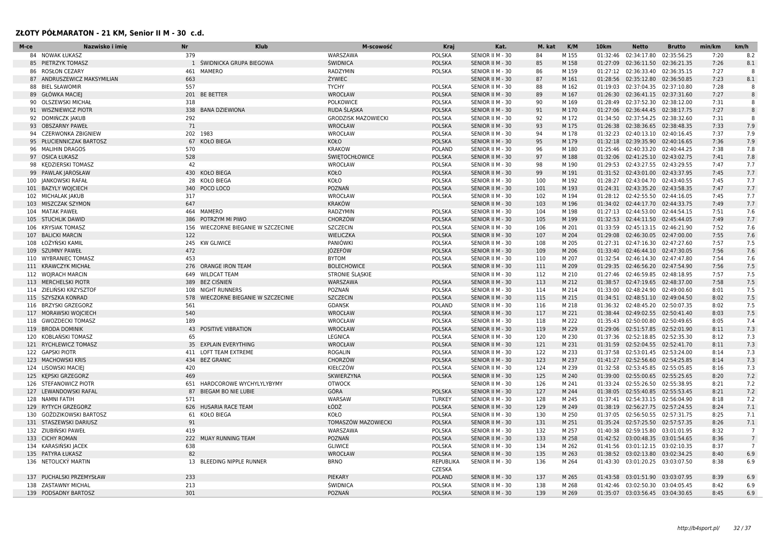#### **ZŁOTY PÓŁMARATON - 21 KM, Senior II M - 30 c.d.**

| <b>POLSKA</b><br>M 155<br>02:35:56.25<br>8.2<br><b>NOWAK ŁUKASZ</b><br>379<br>WARSZAWA<br>SENIOR II M - 30<br>84<br>01:32:46<br>02:34:17.80<br>7:20<br>84<br>8.1<br>1 ŚWIDNICKA GRUPA BIEGOWA<br>ŚWIDNICA<br><b>POLSKA</b><br>85<br>M 158<br>02:36:21.35<br>85 PIETRZYK TOMASZ<br>SENIOR II M - 30<br>01:27:09<br>02:36:11.50<br>7:26<br><b>ROSŁON CEZARY</b><br>461<br><b>MAMERO</b><br>RADZYMIN<br><b>POLSKA</b><br>SENIOR II M - 30<br>86<br>M 159<br>01:27:12<br>02:36:33.40<br>02:36:35.15<br>7:27<br>-8<br>86<br>8.1<br>87 ANDRUSZEWICZ MAKSYMILIAN<br>663<br><b>ŻYWIEC</b><br>SENIOR II M - 30<br>87<br>M 161<br>01:28:56 02:35:12.80<br>02:36:50.85<br>7:23<br>557<br><b>TYCHY</b><br>POLSKA<br>M 162<br>01:19:03 02:37:04.35 02:37:10.80<br>88<br><b>BIEL SŁAWOMIR</b><br>SENIOR II M - 30<br>88<br>7:28<br>-8<br><b>GŁÓWKA MACIEJ</b><br>201<br><b>BE BETTER</b><br>WROCŁAW<br><b>POLSKA</b><br>SENIOR II M - 30<br>89<br>M 167<br>01:26:30 02:36:41.15 02:37:31.60<br>7:27<br>8<br>89<br><b>OLSZEWSKI MICHAŁ</b><br>318<br><b>POLKOWICE</b><br>POLSKA<br>SENIOR II M - 30<br>90<br>M 169<br>01:28:49 02:37:52.30<br>02:38:12.00<br>7:31<br>90<br>8<br>338 BANA DZIEWIONA<br><b>POLSKA</b><br>M 170<br>7:27<br>8<br><b>WISZNIEWICZ PIOTR</b><br>RUDA SLASKA<br>SENIOR II M - 30<br>91<br>01:27:06 02:36:44.45<br>02:38:17.75<br>91<br>292<br>8<br>DOMIŃCZK JAKUB<br><b>GRODZISK MAZOWIECKI</b><br><b>POLSKA</b><br>92<br>M 172<br>01:34:50 02:37:54.25<br>7:31<br>92<br>SENIOR II M - 30<br>02:38:32.60<br>71<br><b>POLSKA</b><br>93<br>7:33<br>7.9<br><b>OBSZARNY PAWEŁ</b><br>WROCŁAW<br>SENIOR II M - 30<br>M 175<br>01:26:38<br>02:38:36.65<br>02:38:48.35<br>93<br>7.9<br>202 1983<br>94<br><b>CZERWONKA ZBIGNIEW</b><br>WROCŁAW<br><b>POLSKA</b><br>SENIOR II M - 30<br>M 178<br>01:32:23 02:40:13.10<br>02:40:16.45<br>7:37<br>94<br>7.9<br>95 PŁUCIENNICZAK BARTOSZ<br>67<br><b>KOŁO BIEGA</b><br>KOŁO<br><b>POLSKA</b><br>SENIOR II M - 30<br>95<br>M 179<br>01:32:18 02:39:35.90<br>02:40:16.65<br>7:36<br><b>KRAKOW</b><br>7.8<br><b>MALIHIN DRAGOS</b><br>570<br><b>POLAND</b><br>SENIOR II M - 30<br>96<br>M 180<br>01:25:46 02:40:33.20<br>02:40:44.25<br>7:38<br>96<br>528<br><b>ŚWIĘTOCHŁOWICE</b><br><b>POLSKA</b><br>97<br>M 188<br>7.8<br>97<br><b>OSICA ŁUKASZ</b><br>SENIOR II M - 30<br>01:32:06 02:41:25.10<br>02:43:02.75<br>7:41<br><b>KEDZIERSKI TOMASZ</b><br>42<br>WROCŁAW<br><b>POLSKA</b><br>98<br>M 190<br>7:47<br>7.7<br>SENIOR II M - 30<br>01:29:53 02:43:27.55 02:43:29.55<br>98<br><b>POLSKA</b><br>99<br>7:45<br>PAWLAK JAROSŁAW<br>430<br>KOŁO BIEGA<br>KOŁO<br>M 191<br>01:31:52 02:43:01.00<br>02:43:37.95<br>7.7<br>99<br>SENIOR II M - 30<br>28<br>KOŁO BIEGA<br>KOŁO<br><b>POLSKA</b><br>M 192<br>02:43:04.70<br>02:43:40.55<br>7:45<br>7.7<br>JANKOWSKI RAFAŁ<br>SENIOR II M - 30<br>100<br>01:28:27<br>100<br>POZNAŃ<br><b>POLSKA</b><br>7:47<br>7.7<br>101 BAZYLY WOJCIECH<br>340<br>POCO LOCO<br>SENIOR II M - 30<br>101<br>M 193<br>01:24:31 02:43:35.20<br>02:43:58.35<br>102 MICHALAK JAKUB<br><b>POLSKA</b><br>7.7<br>317<br>WROCŁAW<br>SENIOR II M - 30<br>102<br>M 194<br>01:28:12 02:42:55.50<br>02:44:16.05<br>7:45<br>647<br><b>KRAKÓW</b><br>103<br>7:49<br>7.7<br>103<br>MISZCZAK SZYMON<br>SENIOR II M - 30<br>M 196<br>01:34:02 02:44:17.70<br>02:44:33.75<br>104 MATAK PAWEŁ<br>464<br><b>MAMERO</b><br>RADZYMIN<br>POLSKA<br>SENIOR II M - 30<br>M 198<br>01:27:13 02:44:53.00<br>02:44:54.15<br>7:51<br>7.6<br>104<br><b>POLSKA</b><br>7:49<br>7.7<br>105<br><b>STUCHLIK DAWID</b><br>386<br>POTRZYM MI PIWO<br>CHORZÓW<br>SENIOR II M - 30<br>105<br>M 199<br>01:32:53 02:44:11.50<br>02:45:44.05<br>7.6<br><b>KRYSIAK TOMASZ</b><br>156<br>WIECZORNE BIEGANIE W SZCZECINIE<br><b>SZCZECIN</b><br><b>POLSKA</b><br>SENIOR II M - 30<br>106<br>M 201<br>01:33:59 02:45:13.15<br>02:46:21.90<br>7:52<br>106<br><b>BALICKI MARCIN</b><br>122<br>WIELICZKA<br><b>POLSKA</b><br>SENIOR II M - 30<br>107<br>M 204<br>01:29:08 02:46:30.05<br>02:47:00.00<br>7:55<br>7.6<br>107<br>7.5<br>ŁOŻYŃSKI KAMIL<br>245<br><b>KW GLIWICE</b><br>PANIÓWKI<br>POLSKA<br>M 205<br>01:27:31 02:47:16.30<br>7:57<br>108<br>SENIOR II M - 30<br>108<br>02:47:27.60<br>472<br>JÓZEFÓW<br>7.6<br><b>POLSKA</b><br>109<br>M 206<br>02:46:44.10<br>02:47:30.05<br>7:56<br>109<br><b>SZUMNY PAWEŁ</b><br>SENIOR II M - 30<br>01:33:40<br>453<br>7.6<br><b>WYBRANIEC TOMASZ</b><br><b>BYTOM</b><br><b>POLSKA</b><br>110<br>M 207<br>02:47:47.80<br>7:54<br>110<br>SENIOR II M - 30<br>01:32:54<br>02:46:14.30<br><b>POLSKA</b><br>7.5<br><b>KRAWCZYK MICHAŁ</b><br>276<br><b>ORANGE IRON TEAM</b><br><b>BOLECHOWICE</b><br>SENIOR II M - 30<br>111<br>M 209<br>01:29:35 02:46:56.20<br>02:47:54.90<br>7:56<br>111<br>112 WOJRACH MARCIN<br><b>WILDCAT TEAM</b><br>STRONIE ŚLĄSKIE<br>M 210<br>02:48:18.95<br>7.5<br>649<br>SENIOR II M - 30<br>112<br>01:27:46 02:46:59.85<br>7:57<br><b>POLSKA</b><br>7.5<br>113 MERCHELSKI PIOTR<br>389<br>BEZ CIŚNIEŃ<br>WARSZAWA<br>SENIOR II M - 30<br>113<br>M 212<br>01:38:57 02:47:19.65 02:48:37.00<br>7:58<br>7.5<br>114 ZIELIŃSKI KRZYSZTOF<br>108<br>NIGHT RUNNERS<br>POZNAŃ<br><b>POLSKA</b><br>SENIOR II M - 30<br>114<br>M 214<br>01:33:00 02:48:24.90<br>02:49:00.60<br>8:01<br>578<br><b>SZCZECIN</b><br><b>POLSKA</b><br>115<br>M 215<br>8:02<br>7.5<br>115<br>SZYSZKA KONRAD<br>WIECZORNE BIEGANIE W SZCZECINIE<br>SENIOR II M - 30<br>01:34:51 02:48:51.10<br>02:49:04.50<br>M 218<br>8:02<br>7.5<br><b>BRZYSKI GRZEGORZ</b><br>561<br><b>GDANSK</b><br><b>POLAND</b><br>SENIOR II M - 30<br>116<br>01:36:32 02:48:45.20<br>02:50:07.35<br>116<br>7.5<br>540<br><b>POLSKA</b><br>117<br>M 221<br>8:03<br>MORAWSKI WOJCIECH<br>WROCŁAW<br>SENIOR II M - 30<br>01:38:44 02:49:02.55 02:50:41.40<br>117<br><b>GWOZDECKI TOMASZ</b><br>189<br><b>POLSKA</b><br>M 222<br>02:50:00.80<br>7.4<br>118<br>WROCŁAW<br>SENIOR II M - 30<br>118<br>01:35:43<br>02:50:49.65<br>8:05<br>43<br>7.3<br>POSITIVE VIBRATION<br>WROCŁAW<br><b>POLSKA</b><br>119<br>M 229<br>8:11<br>119<br><b>BRODA DOMINIK</b><br>SENIOR II M - 30<br>01:29:06 02:51:57.85<br>02:52:01.90<br>65<br>7.3<br>KOBLANSKI TOMASZ<br>LEGNICA<br><b>POLSKA</b><br>SENIOR II M - 30<br>120<br>M 230<br>01:37:36 02:52:18.85<br>02:52:35.30<br>8:12<br>120<br><b>RYCHLEWICZ TOMASZ</b><br>WROCŁAW<br><b>POLSKA</b><br>121<br>M 231<br>02:52:41.70<br>8:11<br>7.3<br>121<br>35<br><b>EXPLAIN EVERYTHING</b><br>SENIOR II M - 30<br>01:31:59 02:52:04.55<br>LOFT TEAM EXTREME<br>POLSKA<br>M 233<br>7.3<br>122<br><b>GAPSKI PIOTR</b><br>411<br><b>ROGALIN</b><br>SENIOR II M - 30<br>122<br>01:37:58<br>02:53:01.45<br>02:53:24.00<br>8:14<br>M 237<br>7.3<br>123<br><b>MACHOWSKI KRIS</b><br>434<br><b>BEZ GRANIC</b><br>CHORZÓW<br><b>POLSKA</b><br>SENIOR II M - 30<br>123<br>01:41:27<br>02:52:56.60<br>02:54:25.85<br>8:14<br>124 LISOWSKI MACIEJ<br>420<br>KIEŁCZÓW<br>POLSKA<br>M 239<br>7.3<br>SENIOR II M - 30<br>124<br>01:32:58 02:53:45.85 02:55:05.85<br>8:16<br><b>KEPSKI GRZEGORZ</b><br>469<br>SKWIERZYNA<br><b>POLSKA</b><br>125<br>M 240<br>02:55:25.65<br>7.2<br>SENIOR II M - 30<br>01:39:00<br>02:55:00.65<br>8:20<br>125<br>651<br>HARDCOROWE WYCHYLYLYBYMY<br><b>OTWOCK</b><br>7.2<br><b>STEFANOWICZ PIOTR</b><br>SENIOR II M - 30<br>126<br>M 241<br>01:33:24<br>02:55:26.50<br>02:55:38.95<br>8:21<br>126<br><b>POLSKA</b><br>7.2<br>LEWANDOWSKI RAFAL<br>87<br><b>BIEGAM BO NIE LUBIE</b><br>GÓRA<br>127<br>M 244<br>01:38:05 02:55:40.85<br>02:55:53.45<br>8:21<br>127<br>SENIOR II M - 30<br>7.2<br>128<br><b>NAMNI FATIH</b><br>571<br>WARSAW<br><b>TURKEY</b><br>SENIOR II M - 30<br>128<br>M 245<br>01:37:41 02:54:33.15<br>02:56:04.90<br>8:18<br>ŁÓDŹ<br><b>RYTYCH GRZEGORZ</b><br>626<br><b>HUSARIA RACE TEAM</b><br><b>POLSKA</b><br>SENIOR II M - 30<br>129<br>M 249<br>01:38:19 02:56:27.75<br>02:57:24.55<br>8:24<br>7.1<br>129<br>GOŹDZIKOWSKI BARTOSZ<br>61<br><b>KOŁO BIEGA</b><br>POLSKA<br>M 250<br>8:25<br>7.1<br>130<br><b>KOŁO</b><br>SENIOR II M - 30<br>130<br>01:37:05 02:56:50.55<br>02:57:31.75<br>131 STASZEWSKI DARIUSZ<br>91<br>TOMASZÓW MAZOWIECKI<br><b>POLSKA</b><br>SENIOR II M - 30<br>131<br>M 251<br>01:35:24 02:57:25.50 02:57:57.35<br>8:26<br>7.1<br>132 ZIUBIŃSKI PAWEŁ<br>419<br>WARSZAWA<br>POLSKA<br>SENIOR II M - 30<br>132<br>M 257<br>01:40:38 02:59:15.80<br>03:01:01.95<br>8:32<br>$\overline{7}$<br>133 CICHY ROMAN<br>222<br>POZNAŃ<br><b>POLSKA</b><br>133<br>M 258<br>MUAY RUNNING TEAM<br>SENIOR II M - 30<br>01:42:52 03:00:48.35 03:01:54.65<br>8:36<br>$7\overline{ }$<br>$\overline{7}$<br>KARASIŃSKI JACEK<br>638<br><b>GLIWICE</b><br><b>POLSKA</b><br>M 262<br>01:41:56 03:01:12.15<br>03:02:10.35<br>8:37<br>134<br>SENIOR II M - 30<br>134<br>82<br><b>POLSKA</b><br>135<br>M 263<br>6.9<br>135 PATYRA ŁUKASZ<br>WROCŁAW<br>SENIOR II M - 30<br>01:38:52 03:02:13.80<br>03:02:34.25<br>8:40<br>136 NETOLICKÝ MARTIN<br>REPUBLIKA<br>6.9<br>13<br>BLEEDING NIPPLE RUNNER<br><b>BRNO</b><br>SENIOR II M - 30<br>136<br>M 264<br>01:43:30 03:01:20.25<br>03:03:07.50<br>8:38<br><b>CZESKA</b><br>PIEKARY<br>137 PUCHALSKI PRZEMYSŁAW<br>233<br><b>POLAND</b><br>SENIOR II M - 30<br>137<br>M 265<br>01:43:58 03:01:51.90<br>03:03:07.95<br>8:39<br>6.9<br><b>ZASTAWNY MICHAL</b><br>213<br><b>POLSKA</b><br>6.9<br>138<br><b>SWIDNICA</b><br>SENIOR II M - 30<br>138<br>M 268<br>01:42:46 03:02:50.30<br>03:04:05.45<br>8:42<br>301<br>139 PODSADNY BARTOSZ<br>POZNAŃ<br><b>POLSKA</b><br>SENIOR II M - 30<br>139<br>M 269<br>01:35:07 03:03:56.45 03:04:30.65<br>8:45<br>6.9 | M-ce | Nazwisko i imie | <b>Klub</b><br>Nr | M-scowość | Kraj | Kat. | M. kat | K/M | 10 <sub>km</sub> | <b>Netto</b> | <b>Brutto</b> | min/km | km/h |
|-------------------------------------------------------------------------------------------------------------------------------------------------------------------------------------------------------------------------------------------------------------------------------------------------------------------------------------------------------------------------------------------------------------------------------------------------------------------------------------------------------------------------------------------------------------------------------------------------------------------------------------------------------------------------------------------------------------------------------------------------------------------------------------------------------------------------------------------------------------------------------------------------------------------------------------------------------------------------------------------------------------------------------------------------------------------------------------------------------------------------------------------------------------------------------------------------------------------------------------------------------------------------------------------------------------------------------------------------------------------------------------------------------------------------------------------------------------------------------------------------------------------------------------------------------------------------------------------------------------------------------------------------------------------------------------------------------------------------------------------------------------------------------------------------------------------------------------------------------------------------------------------------------------------------------------------------------------------------------------------------------------------------------------------------------------------------------------------------------------------------------------------------------------------------------------------------------------------------------------------------------------------------------------------------------------------------------------------------------------------------------------------------------------------------------------------------------------------------------------------------------------------------------------------------------------------------------------------------------------------------------------------------------------------------------------------------------------------------------------------------------------------------------------------------------------------------------------------------------------------------------------------------------------------------------------------------------------------------------------------------------------------------------------------------------------------------------------------------------------------------------------------------------------------------------------------------------------------------------------------------------------------------------------------------------------------------------------------------------------------------------------------------------------------------------------------------------------------------------------------------------------------------------------------------------------------------------------------------------------------------------------------------------------------------------------------------------------------------------------------------------------------------------------------------------------------------------------------------------------------------------------------------------------------------------------------------------------------------------------------------------------------------------------------------------------------------------------------------------------------------------------------------------------------------------------------------------------------------------------------------------------------------------------------------------------------------------------------------------------------------------------------------------------------------------------------------------------------------------------------------------------------------------------------------------------------------------------------------------------------------------------------------------------------------------------------------------------------------------------------------------------------------------------------------------------------------------------------------------------------------------------------------------------------------------------------------------------------------------------------------------------------------------------------------------------------------------------------------------------------------------------------------------------------------------------------------------------------------------------------------------------------------------------------------------------------------------------------------------------------------------------------------------------------------------------------------------------------------------------------------------------------------------------------------------------------------------------------------------------------------------------------------------------------------------------------------------------------------------------------------------------------------------------------------------------------------------------------------------------------------------------------------------------------------------------------------------------------------------------------------------------------------------------------------------------------------------------------------------------------------------------------------------------------------------------------------------------------------------------------------------------------------------------------------------------------------------------------------------------------------------------------------------------------------------------------------------------------------------------------------------------------------------------------------------------------------------------------------------------------------------------------------------------------------------------------------------------------------------------------------------------------------------------------------------------------------------------------------------------------------------------------------------------------------------------------------------------------------------------------------------------------------------------------------------------------------------------------------------------------------------------------------------------------------------------------------------------------------------------------------------------------------------------------------------------------------------------------------------------------------------------------------------------------------------------------------------------------------------------------------------------------------------------------------------------------------------------------------------------------------------------------------------------------------------------------------------------------------------------------------------------------------------------------------------------------------------------------------------------------------------------------------------------------------------------------------------------------------------------------------------------------------------------------------------------------------------------------------------------------------------------------------------------------------------------------------------------------------------------------------------------------------------------------------------------------------------------------------------------------------------------------------------------------------------------------------------------------------------------------------------------------------------------------------------------------------------------------------------------------------------------------------------------------------------------------------------------------------------------------------------------------------------------------------------------------------------------------------------------------------------------------------------------------------------------------------------------------------------------------------------------------------------------------------------------------------------------------------------------------------------------------------------------------------------------------------------------------------------------------------------------------------------------------------------------------------------------------------------------------------------------------------------------------------------------------------------------------------------------------------------------------------------------------------------------------------------------------------------------------------|------|-----------------|-------------------|-----------|------|------|--------|-----|------------------|--------------|---------------|--------|------|
|                                                                                                                                                                                                                                                                                                                                                                                                                                                                                                                                                                                                                                                                                                                                                                                                                                                                                                                                                                                                                                                                                                                                                                                                                                                                                                                                                                                                                                                                                                                                                                                                                                                                                                                                                                                                                                                                                                                                                                                                                                                                                                                                                                                                                                                                                                                                                                                                                                                                                                                                                                                                                                                                                                                                                                                                                                                                                                                                                                                                                                                                                                                                                                                                                                                                                                                                                                                                                                                                                                                                                                                                                                                                                                                                                                                                                                                                                                                                                                                                                                                                                                                                                                                                                                                                                                                                                                                                                                                                                                                                                                                                                                                                                                                                                                                                                                                                                                                                                                                                                                                                                                                                                                                                                                                                                                                                                                                                                                                                                                                                                                                                                                                                                                                                                                                                                                                                                                                                                                                                                                                                                                                                                                                                                                                                                                                                                                                                                                                                                                                                                                                                                                                                                                                                                                                                                                                                                                                                                                                                                                                                                                                                                                                                                                                                                                                                                                                                                                                                                                                                                                                                                                                                                                                                                                                                                                                                                                                                                                                                                                                                                                                                                                                                                                                                                                                                                                                                                                                                                                                                                                                                                                                                                                                                                                                                                                                                                                                                                                                                                                                                                                                                                                                                                                                                                                                                                                                                                                                                                                                                                                                                                         |      |                 |                   |           |      |      |        |     |                  |              |               |        |      |
|                                                                                                                                                                                                                                                                                                                                                                                                                                                                                                                                                                                                                                                                                                                                                                                                                                                                                                                                                                                                                                                                                                                                                                                                                                                                                                                                                                                                                                                                                                                                                                                                                                                                                                                                                                                                                                                                                                                                                                                                                                                                                                                                                                                                                                                                                                                                                                                                                                                                                                                                                                                                                                                                                                                                                                                                                                                                                                                                                                                                                                                                                                                                                                                                                                                                                                                                                                                                                                                                                                                                                                                                                                                                                                                                                                                                                                                                                                                                                                                                                                                                                                                                                                                                                                                                                                                                                                                                                                                                                                                                                                                                                                                                                                                                                                                                                                                                                                                                                                                                                                                                                                                                                                                                                                                                                                                                                                                                                                                                                                                                                                                                                                                                                                                                                                                                                                                                                                                                                                                                                                                                                                                                                                                                                                                                                                                                                                                                                                                                                                                                                                                                                                                                                                                                                                                                                                                                                                                                                                                                                                                                                                                                                                                                                                                                                                                                                                                                                                                                                                                                                                                                                                                                                                                                                                                                                                                                                                                                                                                                                                                                                                                                                                                                                                                                                                                                                                                                                                                                                                                                                                                                                                                                                                                                                                                                                                                                                                                                                                                                                                                                                                                                                                                                                                                                                                                                                                                                                                                                                                                                                                                                                         |      |                 |                   |           |      |      |        |     |                  |              |               |        |      |
|                                                                                                                                                                                                                                                                                                                                                                                                                                                                                                                                                                                                                                                                                                                                                                                                                                                                                                                                                                                                                                                                                                                                                                                                                                                                                                                                                                                                                                                                                                                                                                                                                                                                                                                                                                                                                                                                                                                                                                                                                                                                                                                                                                                                                                                                                                                                                                                                                                                                                                                                                                                                                                                                                                                                                                                                                                                                                                                                                                                                                                                                                                                                                                                                                                                                                                                                                                                                                                                                                                                                                                                                                                                                                                                                                                                                                                                                                                                                                                                                                                                                                                                                                                                                                                                                                                                                                                                                                                                                                                                                                                                                                                                                                                                                                                                                                                                                                                                                                                                                                                                                                                                                                                                                                                                                                                                                                                                                                                                                                                                                                                                                                                                                                                                                                                                                                                                                                                                                                                                                                                                                                                                                                                                                                                                                                                                                                                                                                                                                                                                                                                                                                                                                                                                                                                                                                                                                                                                                                                                                                                                                                                                                                                                                                                                                                                                                                                                                                                                                                                                                                                                                                                                                                                                                                                                                                                                                                                                                                                                                                                                                                                                                                                                                                                                                                                                                                                                                                                                                                                                                                                                                                                                                                                                                                                                                                                                                                                                                                                                                                                                                                                                                                                                                                                                                                                                                                                                                                                                                                                                                                                                                                         |      |                 |                   |           |      |      |        |     |                  |              |               |        |      |
|                                                                                                                                                                                                                                                                                                                                                                                                                                                                                                                                                                                                                                                                                                                                                                                                                                                                                                                                                                                                                                                                                                                                                                                                                                                                                                                                                                                                                                                                                                                                                                                                                                                                                                                                                                                                                                                                                                                                                                                                                                                                                                                                                                                                                                                                                                                                                                                                                                                                                                                                                                                                                                                                                                                                                                                                                                                                                                                                                                                                                                                                                                                                                                                                                                                                                                                                                                                                                                                                                                                                                                                                                                                                                                                                                                                                                                                                                                                                                                                                                                                                                                                                                                                                                                                                                                                                                                                                                                                                                                                                                                                                                                                                                                                                                                                                                                                                                                                                                                                                                                                                                                                                                                                                                                                                                                                                                                                                                                                                                                                                                                                                                                                                                                                                                                                                                                                                                                                                                                                                                                                                                                                                                                                                                                                                                                                                                                                                                                                                                                                                                                                                                                                                                                                                                                                                                                                                                                                                                                                                                                                                                                                                                                                                                                                                                                                                                                                                                                                                                                                                                                                                                                                                                                                                                                                                                                                                                                                                                                                                                                                                                                                                                                                                                                                                                                                                                                                                                                                                                                                                                                                                                                                                                                                                                                                                                                                                                                                                                                                                                                                                                                                                                                                                                                                                                                                                                                                                                                                                                                                                                                                                                         |      |                 |                   |           |      |      |        |     |                  |              |               |        |      |
|                                                                                                                                                                                                                                                                                                                                                                                                                                                                                                                                                                                                                                                                                                                                                                                                                                                                                                                                                                                                                                                                                                                                                                                                                                                                                                                                                                                                                                                                                                                                                                                                                                                                                                                                                                                                                                                                                                                                                                                                                                                                                                                                                                                                                                                                                                                                                                                                                                                                                                                                                                                                                                                                                                                                                                                                                                                                                                                                                                                                                                                                                                                                                                                                                                                                                                                                                                                                                                                                                                                                                                                                                                                                                                                                                                                                                                                                                                                                                                                                                                                                                                                                                                                                                                                                                                                                                                                                                                                                                                                                                                                                                                                                                                                                                                                                                                                                                                                                                                                                                                                                                                                                                                                                                                                                                                                                                                                                                                                                                                                                                                                                                                                                                                                                                                                                                                                                                                                                                                                                                                                                                                                                                                                                                                                                                                                                                                                                                                                                                                                                                                                                                                                                                                                                                                                                                                                                                                                                                                                                                                                                                                                                                                                                                                                                                                                                                                                                                                                                                                                                                                                                                                                                                                                                                                                                                                                                                                                                                                                                                                                                                                                                                                                                                                                                                                                                                                                                                                                                                                                                                                                                                                                                                                                                                                                                                                                                                                                                                                                                                                                                                                                                                                                                                                                                                                                                                                                                                                                                                                                                                                                                                         |      |                 |                   |           |      |      |        |     |                  |              |               |        |      |
|                                                                                                                                                                                                                                                                                                                                                                                                                                                                                                                                                                                                                                                                                                                                                                                                                                                                                                                                                                                                                                                                                                                                                                                                                                                                                                                                                                                                                                                                                                                                                                                                                                                                                                                                                                                                                                                                                                                                                                                                                                                                                                                                                                                                                                                                                                                                                                                                                                                                                                                                                                                                                                                                                                                                                                                                                                                                                                                                                                                                                                                                                                                                                                                                                                                                                                                                                                                                                                                                                                                                                                                                                                                                                                                                                                                                                                                                                                                                                                                                                                                                                                                                                                                                                                                                                                                                                                                                                                                                                                                                                                                                                                                                                                                                                                                                                                                                                                                                                                                                                                                                                                                                                                                                                                                                                                                                                                                                                                                                                                                                                                                                                                                                                                                                                                                                                                                                                                                                                                                                                                                                                                                                                                                                                                                                                                                                                                                                                                                                                                                                                                                                                                                                                                                                                                                                                                                                                                                                                                                                                                                                                                                                                                                                                                                                                                                                                                                                                                                                                                                                                                                                                                                                                                                                                                                                                                                                                                                                                                                                                                                                                                                                                                                                                                                                                                                                                                                                                                                                                                                                                                                                                                                                                                                                                                                                                                                                                                                                                                                                                                                                                                                                                                                                                                                                                                                                                                                                                                                                                                                                                                                                                         |      |                 |                   |           |      |      |        |     |                  |              |               |        |      |
|                                                                                                                                                                                                                                                                                                                                                                                                                                                                                                                                                                                                                                                                                                                                                                                                                                                                                                                                                                                                                                                                                                                                                                                                                                                                                                                                                                                                                                                                                                                                                                                                                                                                                                                                                                                                                                                                                                                                                                                                                                                                                                                                                                                                                                                                                                                                                                                                                                                                                                                                                                                                                                                                                                                                                                                                                                                                                                                                                                                                                                                                                                                                                                                                                                                                                                                                                                                                                                                                                                                                                                                                                                                                                                                                                                                                                                                                                                                                                                                                                                                                                                                                                                                                                                                                                                                                                                                                                                                                                                                                                                                                                                                                                                                                                                                                                                                                                                                                                                                                                                                                                                                                                                                                                                                                                                                                                                                                                                                                                                                                                                                                                                                                                                                                                                                                                                                                                                                                                                                                                                                                                                                                                                                                                                                                                                                                                                                                                                                                                                                                                                                                                                                                                                                                                                                                                                                                                                                                                                                                                                                                                                                                                                                                                                                                                                                                                                                                                                                                                                                                                                                                                                                                                                                                                                                                                                                                                                                                                                                                                                                                                                                                                                                                                                                                                                                                                                                                                                                                                                                                                                                                                                                                                                                                                                                                                                                                                                                                                                                                                                                                                                                                                                                                                                                                                                                                                                                                                                                                                                                                                                                                                         |      |                 |                   |           |      |      |        |     |                  |              |               |        |      |
|                                                                                                                                                                                                                                                                                                                                                                                                                                                                                                                                                                                                                                                                                                                                                                                                                                                                                                                                                                                                                                                                                                                                                                                                                                                                                                                                                                                                                                                                                                                                                                                                                                                                                                                                                                                                                                                                                                                                                                                                                                                                                                                                                                                                                                                                                                                                                                                                                                                                                                                                                                                                                                                                                                                                                                                                                                                                                                                                                                                                                                                                                                                                                                                                                                                                                                                                                                                                                                                                                                                                                                                                                                                                                                                                                                                                                                                                                                                                                                                                                                                                                                                                                                                                                                                                                                                                                                                                                                                                                                                                                                                                                                                                                                                                                                                                                                                                                                                                                                                                                                                                                                                                                                                                                                                                                                                                                                                                                                                                                                                                                                                                                                                                                                                                                                                                                                                                                                                                                                                                                                                                                                                                                                                                                                                                                                                                                                                                                                                                                                                                                                                                                                                                                                                                                                                                                                                                                                                                                                                                                                                                                                                                                                                                                                                                                                                                                                                                                                                                                                                                                                                                                                                                                                                                                                                                                                                                                                                                                                                                                                                                                                                                                                                                                                                                                                                                                                                                                                                                                                                                                                                                                                                                                                                                                                                                                                                                                                                                                                                                                                                                                                                                                                                                                                                                                                                                                                                                                                                                                                                                                                                                                         |      |                 |                   |           |      |      |        |     |                  |              |               |        |      |
|                                                                                                                                                                                                                                                                                                                                                                                                                                                                                                                                                                                                                                                                                                                                                                                                                                                                                                                                                                                                                                                                                                                                                                                                                                                                                                                                                                                                                                                                                                                                                                                                                                                                                                                                                                                                                                                                                                                                                                                                                                                                                                                                                                                                                                                                                                                                                                                                                                                                                                                                                                                                                                                                                                                                                                                                                                                                                                                                                                                                                                                                                                                                                                                                                                                                                                                                                                                                                                                                                                                                                                                                                                                                                                                                                                                                                                                                                                                                                                                                                                                                                                                                                                                                                                                                                                                                                                                                                                                                                                                                                                                                                                                                                                                                                                                                                                                                                                                                                                                                                                                                                                                                                                                                                                                                                                                                                                                                                                                                                                                                                                                                                                                                                                                                                                                                                                                                                                                                                                                                                                                                                                                                                                                                                                                                                                                                                                                                                                                                                                                                                                                                                                                                                                                                                                                                                                                                                                                                                                                                                                                                                                                                                                                                                                                                                                                                                                                                                                                                                                                                                                                                                                                                                                                                                                                                                                                                                                                                                                                                                                                                                                                                                                                                                                                                                                                                                                                                                                                                                                                                                                                                                                                                                                                                                                                                                                                                                                                                                                                                                                                                                                                                                                                                                                                                                                                                                                                                                                                                                                                                                                                                                         |      |                 |                   |           |      |      |        |     |                  |              |               |        |      |
|                                                                                                                                                                                                                                                                                                                                                                                                                                                                                                                                                                                                                                                                                                                                                                                                                                                                                                                                                                                                                                                                                                                                                                                                                                                                                                                                                                                                                                                                                                                                                                                                                                                                                                                                                                                                                                                                                                                                                                                                                                                                                                                                                                                                                                                                                                                                                                                                                                                                                                                                                                                                                                                                                                                                                                                                                                                                                                                                                                                                                                                                                                                                                                                                                                                                                                                                                                                                                                                                                                                                                                                                                                                                                                                                                                                                                                                                                                                                                                                                                                                                                                                                                                                                                                                                                                                                                                                                                                                                                                                                                                                                                                                                                                                                                                                                                                                                                                                                                                                                                                                                                                                                                                                                                                                                                                                                                                                                                                                                                                                                                                                                                                                                                                                                                                                                                                                                                                                                                                                                                                                                                                                                                                                                                                                                                                                                                                                                                                                                                                                                                                                                                                                                                                                                                                                                                                                                                                                                                                                                                                                                                                                                                                                                                                                                                                                                                                                                                                                                                                                                                                                                                                                                                                                                                                                                                                                                                                                                                                                                                                                                                                                                                                                                                                                                                                                                                                                                                                                                                                                                                                                                                                                                                                                                                                                                                                                                                                                                                                                                                                                                                                                                                                                                                                                                                                                                                                                                                                                                                                                                                                                                                         |      |                 |                   |           |      |      |        |     |                  |              |               |        |      |
|                                                                                                                                                                                                                                                                                                                                                                                                                                                                                                                                                                                                                                                                                                                                                                                                                                                                                                                                                                                                                                                                                                                                                                                                                                                                                                                                                                                                                                                                                                                                                                                                                                                                                                                                                                                                                                                                                                                                                                                                                                                                                                                                                                                                                                                                                                                                                                                                                                                                                                                                                                                                                                                                                                                                                                                                                                                                                                                                                                                                                                                                                                                                                                                                                                                                                                                                                                                                                                                                                                                                                                                                                                                                                                                                                                                                                                                                                                                                                                                                                                                                                                                                                                                                                                                                                                                                                                                                                                                                                                                                                                                                                                                                                                                                                                                                                                                                                                                                                                                                                                                                                                                                                                                                                                                                                                                                                                                                                                                                                                                                                                                                                                                                                                                                                                                                                                                                                                                                                                                                                                                                                                                                                                                                                                                                                                                                                                                                                                                                                                                                                                                                                                                                                                                                                                                                                                                                                                                                                                                                                                                                                                                                                                                                                                                                                                                                                                                                                                                                                                                                                                                                                                                                                                                                                                                                                                                                                                                                                                                                                                                                                                                                                                                                                                                                                                                                                                                                                                                                                                                                                                                                                                                                                                                                                                                                                                                                                                                                                                                                                                                                                                                                                                                                                                                                                                                                                                                                                                                                                                                                                                                                                         |      |                 |                   |           |      |      |        |     |                  |              |               |        |      |
|                                                                                                                                                                                                                                                                                                                                                                                                                                                                                                                                                                                                                                                                                                                                                                                                                                                                                                                                                                                                                                                                                                                                                                                                                                                                                                                                                                                                                                                                                                                                                                                                                                                                                                                                                                                                                                                                                                                                                                                                                                                                                                                                                                                                                                                                                                                                                                                                                                                                                                                                                                                                                                                                                                                                                                                                                                                                                                                                                                                                                                                                                                                                                                                                                                                                                                                                                                                                                                                                                                                                                                                                                                                                                                                                                                                                                                                                                                                                                                                                                                                                                                                                                                                                                                                                                                                                                                                                                                                                                                                                                                                                                                                                                                                                                                                                                                                                                                                                                                                                                                                                                                                                                                                                                                                                                                                                                                                                                                                                                                                                                                                                                                                                                                                                                                                                                                                                                                                                                                                                                                                                                                                                                                                                                                                                                                                                                                                                                                                                                                                                                                                                                                                                                                                                                                                                                                                                                                                                                                                                                                                                                                                                                                                                                                                                                                                                                                                                                                                                                                                                                                                                                                                                                                                                                                                                                                                                                                                                                                                                                                                                                                                                                                                                                                                                                                                                                                                                                                                                                                                                                                                                                                                                                                                                                                                                                                                                                                                                                                                                                                                                                                                                                                                                                                                                                                                                                                                                                                                                                                                                                                                                                         |      |                 |                   |           |      |      |        |     |                  |              |               |        |      |
|                                                                                                                                                                                                                                                                                                                                                                                                                                                                                                                                                                                                                                                                                                                                                                                                                                                                                                                                                                                                                                                                                                                                                                                                                                                                                                                                                                                                                                                                                                                                                                                                                                                                                                                                                                                                                                                                                                                                                                                                                                                                                                                                                                                                                                                                                                                                                                                                                                                                                                                                                                                                                                                                                                                                                                                                                                                                                                                                                                                                                                                                                                                                                                                                                                                                                                                                                                                                                                                                                                                                                                                                                                                                                                                                                                                                                                                                                                                                                                                                                                                                                                                                                                                                                                                                                                                                                                                                                                                                                                                                                                                                                                                                                                                                                                                                                                                                                                                                                                                                                                                                                                                                                                                                                                                                                                                                                                                                                                                                                                                                                                                                                                                                                                                                                                                                                                                                                                                                                                                                                                                                                                                                                                                                                                                                                                                                                                                                                                                                                                                                                                                                                                                                                                                                                                                                                                                                                                                                                                                                                                                                                                                                                                                                                                                                                                                                                                                                                                                                                                                                                                                                                                                                                                                                                                                                                                                                                                                                                                                                                                                                                                                                                                                                                                                                                                                                                                                                                                                                                                                                                                                                                                                                                                                                                                                                                                                                                                                                                                                                                                                                                                                                                                                                                                                                                                                                                                                                                                                                                                                                                                                                                         |      |                 |                   |           |      |      |        |     |                  |              |               |        |      |
|                                                                                                                                                                                                                                                                                                                                                                                                                                                                                                                                                                                                                                                                                                                                                                                                                                                                                                                                                                                                                                                                                                                                                                                                                                                                                                                                                                                                                                                                                                                                                                                                                                                                                                                                                                                                                                                                                                                                                                                                                                                                                                                                                                                                                                                                                                                                                                                                                                                                                                                                                                                                                                                                                                                                                                                                                                                                                                                                                                                                                                                                                                                                                                                                                                                                                                                                                                                                                                                                                                                                                                                                                                                                                                                                                                                                                                                                                                                                                                                                                                                                                                                                                                                                                                                                                                                                                                                                                                                                                                                                                                                                                                                                                                                                                                                                                                                                                                                                                                                                                                                                                                                                                                                                                                                                                                                                                                                                                                                                                                                                                                                                                                                                                                                                                                                                                                                                                                                                                                                                                                                                                                                                                                                                                                                                                                                                                                                                                                                                                                                                                                                                                                                                                                                                                                                                                                                                                                                                                                                                                                                                                                                                                                                                                                                                                                                                                                                                                                                                                                                                                                                                                                                                                                                                                                                                                                                                                                                                                                                                                                                                                                                                                                                                                                                                                                                                                                                                                                                                                                                                                                                                                                                                                                                                                                                                                                                                                                                                                                                                                                                                                                                                                                                                                                                                                                                                                                                                                                                                                                                                                                                                                         |      |                 |                   |           |      |      |        |     |                  |              |               |        |      |
|                                                                                                                                                                                                                                                                                                                                                                                                                                                                                                                                                                                                                                                                                                                                                                                                                                                                                                                                                                                                                                                                                                                                                                                                                                                                                                                                                                                                                                                                                                                                                                                                                                                                                                                                                                                                                                                                                                                                                                                                                                                                                                                                                                                                                                                                                                                                                                                                                                                                                                                                                                                                                                                                                                                                                                                                                                                                                                                                                                                                                                                                                                                                                                                                                                                                                                                                                                                                                                                                                                                                                                                                                                                                                                                                                                                                                                                                                                                                                                                                                                                                                                                                                                                                                                                                                                                                                                                                                                                                                                                                                                                                                                                                                                                                                                                                                                                                                                                                                                                                                                                                                                                                                                                                                                                                                                                                                                                                                                                                                                                                                                                                                                                                                                                                                                                                                                                                                                                                                                                                                                                                                                                                                                                                                                                                                                                                                                                                                                                                                                                                                                                                                                                                                                                                                                                                                                                                                                                                                                                                                                                                                                                                                                                                                                                                                                                                                                                                                                                                                                                                                                                                                                                                                                                                                                                                                                                                                                                                                                                                                                                                                                                                                                                                                                                                                                                                                                                                                                                                                                                                                                                                                                                                                                                                                                                                                                                                                                                                                                                                                                                                                                                                                                                                                                                                                                                                                                                                                                                                                                                                                                                                                         |      |                 |                   |           |      |      |        |     |                  |              |               |        |      |
|                                                                                                                                                                                                                                                                                                                                                                                                                                                                                                                                                                                                                                                                                                                                                                                                                                                                                                                                                                                                                                                                                                                                                                                                                                                                                                                                                                                                                                                                                                                                                                                                                                                                                                                                                                                                                                                                                                                                                                                                                                                                                                                                                                                                                                                                                                                                                                                                                                                                                                                                                                                                                                                                                                                                                                                                                                                                                                                                                                                                                                                                                                                                                                                                                                                                                                                                                                                                                                                                                                                                                                                                                                                                                                                                                                                                                                                                                                                                                                                                                                                                                                                                                                                                                                                                                                                                                                                                                                                                                                                                                                                                                                                                                                                                                                                                                                                                                                                                                                                                                                                                                                                                                                                                                                                                                                                                                                                                                                                                                                                                                                                                                                                                                                                                                                                                                                                                                                                                                                                                                                                                                                                                                                                                                                                                                                                                                                                                                                                                                                                                                                                                                                                                                                                                                                                                                                                                                                                                                                                                                                                                                                                                                                                                                                                                                                                                                                                                                                                                                                                                                                                                                                                                                                                                                                                                                                                                                                                                                                                                                                                                                                                                                                                                                                                                                                                                                                                                                                                                                                                                                                                                                                                                                                                                                                                                                                                                                                                                                                                                                                                                                                                                                                                                                                                                                                                                                                                                                                                                                                                                                                                                                         |      |                 |                   |           |      |      |        |     |                  |              |               |        |      |
|                                                                                                                                                                                                                                                                                                                                                                                                                                                                                                                                                                                                                                                                                                                                                                                                                                                                                                                                                                                                                                                                                                                                                                                                                                                                                                                                                                                                                                                                                                                                                                                                                                                                                                                                                                                                                                                                                                                                                                                                                                                                                                                                                                                                                                                                                                                                                                                                                                                                                                                                                                                                                                                                                                                                                                                                                                                                                                                                                                                                                                                                                                                                                                                                                                                                                                                                                                                                                                                                                                                                                                                                                                                                                                                                                                                                                                                                                                                                                                                                                                                                                                                                                                                                                                                                                                                                                                                                                                                                                                                                                                                                                                                                                                                                                                                                                                                                                                                                                                                                                                                                                                                                                                                                                                                                                                                                                                                                                                                                                                                                                                                                                                                                                                                                                                                                                                                                                                                                                                                                                                                                                                                                                                                                                                                                                                                                                                                                                                                                                                                                                                                                                                                                                                                                                                                                                                                                                                                                                                                                                                                                                                                                                                                                                                                                                                                                                                                                                                                                                                                                                                                                                                                                                                                                                                                                                                                                                                                                                                                                                                                                                                                                                                                                                                                                                                                                                                                                                                                                                                                                                                                                                                                                                                                                                                                                                                                                                                                                                                                                                                                                                                                                                                                                                                                                                                                                                                                                                                                                                                                                                                                                                         |      |                 |                   |           |      |      |        |     |                  |              |               |        |      |
|                                                                                                                                                                                                                                                                                                                                                                                                                                                                                                                                                                                                                                                                                                                                                                                                                                                                                                                                                                                                                                                                                                                                                                                                                                                                                                                                                                                                                                                                                                                                                                                                                                                                                                                                                                                                                                                                                                                                                                                                                                                                                                                                                                                                                                                                                                                                                                                                                                                                                                                                                                                                                                                                                                                                                                                                                                                                                                                                                                                                                                                                                                                                                                                                                                                                                                                                                                                                                                                                                                                                                                                                                                                                                                                                                                                                                                                                                                                                                                                                                                                                                                                                                                                                                                                                                                                                                                                                                                                                                                                                                                                                                                                                                                                                                                                                                                                                                                                                                                                                                                                                                                                                                                                                                                                                                                                                                                                                                                                                                                                                                                                                                                                                                                                                                                                                                                                                                                                                                                                                                                                                                                                                                                                                                                                                                                                                                                                                                                                                                                                                                                                                                                                                                                                                                                                                                                                                                                                                                                                                                                                                                                                                                                                                                                                                                                                                                                                                                                                                                                                                                                                                                                                                                                                                                                                                                                                                                                                                                                                                                                                                                                                                                                                                                                                                                                                                                                                                                                                                                                                                                                                                                                                                                                                                                                                                                                                                                                                                                                                                                                                                                                                                                                                                                                                                                                                                                                                                                                                                                                                                                                                                                         |      |                 |                   |           |      |      |        |     |                  |              |               |        |      |
|                                                                                                                                                                                                                                                                                                                                                                                                                                                                                                                                                                                                                                                                                                                                                                                                                                                                                                                                                                                                                                                                                                                                                                                                                                                                                                                                                                                                                                                                                                                                                                                                                                                                                                                                                                                                                                                                                                                                                                                                                                                                                                                                                                                                                                                                                                                                                                                                                                                                                                                                                                                                                                                                                                                                                                                                                                                                                                                                                                                                                                                                                                                                                                                                                                                                                                                                                                                                                                                                                                                                                                                                                                                                                                                                                                                                                                                                                                                                                                                                                                                                                                                                                                                                                                                                                                                                                                                                                                                                                                                                                                                                                                                                                                                                                                                                                                                                                                                                                                                                                                                                                                                                                                                                                                                                                                                                                                                                                                                                                                                                                                                                                                                                                                                                                                                                                                                                                                                                                                                                                                                                                                                                                                                                                                                                                                                                                                                                                                                                                                                                                                                                                                                                                                                                                                                                                                                                                                                                                                                                                                                                                                                                                                                                                                                                                                                                                                                                                                                                                                                                                                                                                                                                                                                                                                                                                                                                                                                                                                                                                                                                                                                                                                                                                                                                                                                                                                                                                                                                                                                                                                                                                                                                                                                                                                                                                                                                                                                                                                                                                                                                                                                                                                                                                                                                                                                                                                                                                                                                                                                                                                                                                         |      |                 |                   |           |      |      |        |     |                  |              |               |        |      |
|                                                                                                                                                                                                                                                                                                                                                                                                                                                                                                                                                                                                                                                                                                                                                                                                                                                                                                                                                                                                                                                                                                                                                                                                                                                                                                                                                                                                                                                                                                                                                                                                                                                                                                                                                                                                                                                                                                                                                                                                                                                                                                                                                                                                                                                                                                                                                                                                                                                                                                                                                                                                                                                                                                                                                                                                                                                                                                                                                                                                                                                                                                                                                                                                                                                                                                                                                                                                                                                                                                                                                                                                                                                                                                                                                                                                                                                                                                                                                                                                                                                                                                                                                                                                                                                                                                                                                                                                                                                                                                                                                                                                                                                                                                                                                                                                                                                                                                                                                                                                                                                                                                                                                                                                                                                                                                                                                                                                                                                                                                                                                                                                                                                                                                                                                                                                                                                                                                                                                                                                                                                                                                                                                                                                                                                                                                                                                                                                                                                                                                                                                                                                                                                                                                                                                                                                                                                                                                                                                                                                                                                                                                                                                                                                                                                                                                                                                                                                                                                                                                                                                                                                                                                                                                                                                                                                                                                                                                                                                                                                                                                                                                                                                                                                                                                                                                                                                                                                                                                                                                                                                                                                                                                                                                                                                                                                                                                                                                                                                                                                                                                                                                                                                                                                                                                                                                                                                                                                                                                                                                                                                                                                                         |      |                 |                   |           |      |      |        |     |                  |              |               |        |      |
|                                                                                                                                                                                                                                                                                                                                                                                                                                                                                                                                                                                                                                                                                                                                                                                                                                                                                                                                                                                                                                                                                                                                                                                                                                                                                                                                                                                                                                                                                                                                                                                                                                                                                                                                                                                                                                                                                                                                                                                                                                                                                                                                                                                                                                                                                                                                                                                                                                                                                                                                                                                                                                                                                                                                                                                                                                                                                                                                                                                                                                                                                                                                                                                                                                                                                                                                                                                                                                                                                                                                                                                                                                                                                                                                                                                                                                                                                                                                                                                                                                                                                                                                                                                                                                                                                                                                                                                                                                                                                                                                                                                                                                                                                                                                                                                                                                                                                                                                                                                                                                                                                                                                                                                                                                                                                                                                                                                                                                                                                                                                                                                                                                                                                                                                                                                                                                                                                                                                                                                                                                                                                                                                                                                                                                                                                                                                                                                                                                                                                                                                                                                                                                                                                                                                                                                                                                                                                                                                                                                                                                                                                                                                                                                                                                                                                                                                                                                                                                                                                                                                                                                                                                                                                                                                                                                                                                                                                                                                                                                                                                                                                                                                                                                                                                                                                                                                                                                                                                                                                                                                                                                                                                                                                                                                                                                                                                                                                                                                                                                                                                                                                                                                                                                                                                                                                                                                                                                                                                                                                                                                                                                                                         |      |                 |                   |           |      |      |        |     |                  |              |               |        |      |
|                                                                                                                                                                                                                                                                                                                                                                                                                                                                                                                                                                                                                                                                                                                                                                                                                                                                                                                                                                                                                                                                                                                                                                                                                                                                                                                                                                                                                                                                                                                                                                                                                                                                                                                                                                                                                                                                                                                                                                                                                                                                                                                                                                                                                                                                                                                                                                                                                                                                                                                                                                                                                                                                                                                                                                                                                                                                                                                                                                                                                                                                                                                                                                                                                                                                                                                                                                                                                                                                                                                                                                                                                                                                                                                                                                                                                                                                                                                                                                                                                                                                                                                                                                                                                                                                                                                                                                                                                                                                                                                                                                                                                                                                                                                                                                                                                                                                                                                                                                                                                                                                                                                                                                                                                                                                                                                                                                                                                                                                                                                                                                                                                                                                                                                                                                                                                                                                                                                                                                                                                                                                                                                                                                                                                                                                                                                                                                                                                                                                                                                                                                                                                                                                                                                                                                                                                                                                                                                                                                                                                                                                                                                                                                                                                                                                                                                                                                                                                                                                                                                                                                                                                                                                                                                                                                                                                                                                                                                                                                                                                                                                                                                                                                                                                                                                                                                                                                                                                                                                                                                                                                                                                                                                                                                                                                                                                                                                                                                                                                                                                                                                                                                                                                                                                                                                                                                                                                                                                                                                                                                                                                                                                         |      |                 |                   |           |      |      |        |     |                  |              |               |        |      |
|                                                                                                                                                                                                                                                                                                                                                                                                                                                                                                                                                                                                                                                                                                                                                                                                                                                                                                                                                                                                                                                                                                                                                                                                                                                                                                                                                                                                                                                                                                                                                                                                                                                                                                                                                                                                                                                                                                                                                                                                                                                                                                                                                                                                                                                                                                                                                                                                                                                                                                                                                                                                                                                                                                                                                                                                                                                                                                                                                                                                                                                                                                                                                                                                                                                                                                                                                                                                                                                                                                                                                                                                                                                                                                                                                                                                                                                                                                                                                                                                                                                                                                                                                                                                                                                                                                                                                                                                                                                                                                                                                                                                                                                                                                                                                                                                                                                                                                                                                                                                                                                                                                                                                                                                                                                                                                                                                                                                                                                                                                                                                                                                                                                                                                                                                                                                                                                                                                                                                                                                                                                                                                                                                                                                                                                                                                                                                                                                                                                                                                                                                                                                                                                                                                                                                                                                                                                                                                                                                                                                                                                                                                                                                                                                                                                                                                                                                                                                                                                                                                                                                                                                                                                                                                                                                                                                                                                                                                                                                                                                                                                                                                                                                                                                                                                                                                                                                                                                                                                                                                                                                                                                                                                                                                                                                                                                                                                                                                                                                                                                                                                                                                                                                                                                                                                                                                                                                                                                                                                                                                                                                                                                                         |      |                 |                   |           |      |      |        |     |                  |              |               |        |      |
|                                                                                                                                                                                                                                                                                                                                                                                                                                                                                                                                                                                                                                                                                                                                                                                                                                                                                                                                                                                                                                                                                                                                                                                                                                                                                                                                                                                                                                                                                                                                                                                                                                                                                                                                                                                                                                                                                                                                                                                                                                                                                                                                                                                                                                                                                                                                                                                                                                                                                                                                                                                                                                                                                                                                                                                                                                                                                                                                                                                                                                                                                                                                                                                                                                                                                                                                                                                                                                                                                                                                                                                                                                                                                                                                                                                                                                                                                                                                                                                                                                                                                                                                                                                                                                                                                                                                                                                                                                                                                                                                                                                                                                                                                                                                                                                                                                                                                                                                                                                                                                                                                                                                                                                                                                                                                                                                                                                                                                                                                                                                                                                                                                                                                                                                                                                                                                                                                                                                                                                                                                                                                                                                                                                                                                                                                                                                                                                                                                                                                                                                                                                                                                                                                                                                                                                                                                                                                                                                                                                                                                                                                                                                                                                                                                                                                                                                                                                                                                                                                                                                                                                                                                                                                                                                                                                                                                                                                                                                                                                                                                                                                                                                                                                                                                                                                                                                                                                                                                                                                                                                                                                                                                                                                                                                                                                                                                                                                                                                                                                                                                                                                                                                                                                                                                                                                                                                                                                                                                                                                                                                                                                                                         |      |                 |                   |           |      |      |        |     |                  |              |               |        |      |
|                                                                                                                                                                                                                                                                                                                                                                                                                                                                                                                                                                                                                                                                                                                                                                                                                                                                                                                                                                                                                                                                                                                                                                                                                                                                                                                                                                                                                                                                                                                                                                                                                                                                                                                                                                                                                                                                                                                                                                                                                                                                                                                                                                                                                                                                                                                                                                                                                                                                                                                                                                                                                                                                                                                                                                                                                                                                                                                                                                                                                                                                                                                                                                                                                                                                                                                                                                                                                                                                                                                                                                                                                                                                                                                                                                                                                                                                                                                                                                                                                                                                                                                                                                                                                                                                                                                                                                                                                                                                                                                                                                                                                                                                                                                                                                                                                                                                                                                                                                                                                                                                                                                                                                                                                                                                                                                                                                                                                                                                                                                                                                                                                                                                                                                                                                                                                                                                                                                                                                                                                                                                                                                                                                                                                                                                                                                                                                                                                                                                                                                                                                                                                                                                                                                                                                                                                                                                                                                                                                                                                                                                                                                                                                                                                                                                                                                                                                                                                                                                                                                                                                                                                                                                                                                                                                                                                                                                                                                                                                                                                                                                                                                                                                                                                                                                                                                                                                                                                                                                                                                                                                                                                                                                                                                                                                                                                                                                                                                                                                                                                                                                                                                                                                                                                                                                                                                                                                                                                                                                                                                                                                                                                         |      |                 |                   |           |      |      |        |     |                  |              |               |        |      |
|                                                                                                                                                                                                                                                                                                                                                                                                                                                                                                                                                                                                                                                                                                                                                                                                                                                                                                                                                                                                                                                                                                                                                                                                                                                                                                                                                                                                                                                                                                                                                                                                                                                                                                                                                                                                                                                                                                                                                                                                                                                                                                                                                                                                                                                                                                                                                                                                                                                                                                                                                                                                                                                                                                                                                                                                                                                                                                                                                                                                                                                                                                                                                                                                                                                                                                                                                                                                                                                                                                                                                                                                                                                                                                                                                                                                                                                                                                                                                                                                                                                                                                                                                                                                                                                                                                                                                                                                                                                                                                                                                                                                                                                                                                                                                                                                                                                                                                                                                                                                                                                                                                                                                                                                                                                                                                                                                                                                                                                                                                                                                                                                                                                                                                                                                                                                                                                                                                                                                                                                                                                                                                                                                                                                                                                                                                                                                                                                                                                                                                                                                                                                                                                                                                                                                                                                                                                                                                                                                                                                                                                                                                                                                                                                                                                                                                                                                                                                                                                                                                                                                                                                                                                                                                                                                                                                                                                                                                                                                                                                                                                                                                                                                                                                                                                                                                                                                                                                                                                                                                                                                                                                                                                                                                                                                                                                                                                                                                                                                                                                                                                                                                                                                                                                                                                                                                                                                                                                                                                                                                                                                                                                                         |      |                 |                   |           |      |      |        |     |                  |              |               |        |      |
|                                                                                                                                                                                                                                                                                                                                                                                                                                                                                                                                                                                                                                                                                                                                                                                                                                                                                                                                                                                                                                                                                                                                                                                                                                                                                                                                                                                                                                                                                                                                                                                                                                                                                                                                                                                                                                                                                                                                                                                                                                                                                                                                                                                                                                                                                                                                                                                                                                                                                                                                                                                                                                                                                                                                                                                                                                                                                                                                                                                                                                                                                                                                                                                                                                                                                                                                                                                                                                                                                                                                                                                                                                                                                                                                                                                                                                                                                                                                                                                                                                                                                                                                                                                                                                                                                                                                                                                                                                                                                                                                                                                                                                                                                                                                                                                                                                                                                                                                                                                                                                                                                                                                                                                                                                                                                                                                                                                                                                                                                                                                                                                                                                                                                                                                                                                                                                                                                                                                                                                                                                                                                                                                                                                                                                                                                                                                                                                                                                                                                                                                                                                                                                                                                                                                                                                                                                                                                                                                                                                                                                                                                                                                                                                                                                                                                                                                                                                                                                                                                                                                                                                                                                                                                                                                                                                                                                                                                                                                                                                                                                                                                                                                                                                                                                                                                                                                                                                                                                                                                                                                                                                                                                                                                                                                                                                                                                                                                                                                                                                                                                                                                                                                                                                                                                                                                                                                                                                                                                                                                                                                                                                                                         |      |                 |                   |           |      |      |        |     |                  |              |               |        |      |
|                                                                                                                                                                                                                                                                                                                                                                                                                                                                                                                                                                                                                                                                                                                                                                                                                                                                                                                                                                                                                                                                                                                                                                                                                                                                                                                                                                                                                                                                                                                                                                                                                                                                                                                                                                                                                                                                                                                                                                                                                                                                                                                                                                                                                                                                                                                                                                                                                                                                                                                                                                                                                                                                                                                                                                                                                                                                                                                                                                                                                                                                                                                                                                                                                                                                                                                                                                                                                                                                                                                                                                                                                                                                                                                                                                                                                                                                                                                                                                                                                                                                                                                                                                                                                                                                                                                                                                                                                                                                                                                                                                                                                                                                                                                                                                                                                                                                                                                                                                                                                                                                                                                                                                                                                                                                                                                                                                                                                                                                                                                                                                                                                                                                                                                                                                                                                                                                                                                                                                                                                                                                                                                                                                                                                                                                                                                                                                                                                                                                                                                                                                                                                                                                                                                                                                                                                                                                                                                                                                                                                                                                                                                                                                                                                                                                                                                                                                                                                                                                                                                                                                                                                                                                                                                                                                                                                                                                                                                                                                                                                                                                                                                                                                                                                                                                                                                                                                                                                                                                                                                                                                                                                                                                                                                                                                                                                                                                                                                                                                                                                                                                                                                                                                                                                                                                                                                                                                                                                                                                                                                                                                                                                         |      |                 |                   |           |      |      |        |     |                  |              |               |        |      |
|                                                                                                                                                                                                                                                                                                                                                                                                                                                                                                                                                                                                                                                                                                                                                                                                                                                                                                                                                                                                                                                                                                                                                                                                                                                                                                                                                                                                                                                                                                                                                                                                                                                                                                                                                                                                                                                                                                                                                                                                                                                                                                                                                                                                                                                                                                                                                                                                                                                                                                                                                                                                                                                                                                                                                                                                                                                                                                                                                                                                                                                                                                                                                                                                                                                                                                                                                                                                                                                                                                                                                                                                                                                                                                                                                                                                                                                                                                                                                                                                                                                                                                                                                                                                                                                                                                                                                                                                                                                                                                                                                                                                                                                                                                                                                                                                                                                                                                                                                                                                                                                                                                                                                                                                                                                                                                                                                                                                                                                                                                                                                                                                                                                                                                                                                                                                                                                                                                                                                                                                                                                                                                                                                                                                                                                                                                                                                                                                                                                                                                                                                                                                                                                                                                                                                                                                                                                                                                                                                                                                                                                                                                                                                                                                                                                                                                                                                                                                                                                                                                                                                                                                                                                                                                                                                                                                                                                                                                                                                                                                                                                                                                                                                                                                                                                                                                                                                                                                                                                                                                                                                                                                                                                                                                                                                                                                                                                                                                                                                                                                                                                                                                                                                                                                                                                                                                                                                                                                                                                                                                                                                                                                                         |      |                 |                   |           |      |      |        |     |                  |              |               |        |      |
|                                                                                                                                                                                                                                                                                                                                                                                                                                                                                                                                                                                                                                                                                                                                                                                                                                                                                                                                                                                                                                                                                                                                                                                                                                                                                                                                                                                                                                                                                                                                                                                                                                                                                                                                                                                                                                                                                                                                                                                                                                                                                                                                                                                                                                                                                                                                                                                                                                                                                                                                                                                                                                                                                                                                                                                                                                                                                                                                                                                                                                                                                                                                                                                                                                                                                                                                                                                                                                                                                                                                                                                                                                                                                                                                                                                                                                                                                                                                                                                                                                                                                                                                                                                                                                                                                                                                                                                                                                                                                                                                                                                                                                                                                                                                                                                                                                                                                                                                                                                                                                                                                                                                                                                                                                                                                                                                                                                                                                                                                                                                                                                                                                                                                                                                                                                                                                                                                                                                                                                                                                                                                                                                                                                                                                                                                                                                                                                                                                                                                                                                                                                                                                                                                                                                                                                                                                                                                                                                                                                                                                                                                                                                                                                                                                                                                                                                                                                                                                                                                                                                                                                                                                                                                                                                                                                                                                                                                                                                                                                                                                                                                                                                                                                                                                                                                                                                                                                                                                                                                                                                                                                                                                                                                                                                                                                                                                                                                                                                                                                                                                                                                                                                                                                                                                                                                                                                                                                                                                                                                                                                                                                                                         |      |                 |                   |           |      |      |        |     |                  |              |               |        |      |
|                                                                                                                                                                                                                                                                                                                                                                                                                                                                                                                                                                                                                                                                                                                                                                                                                                                                                                                                                                                                                                                                                                                                                                                                                                                                                                                                                                                                                                                                                                                                                                                                                                                                                                                                                                                                                                                                                                                                                                                                                                                                                                                                                                                                                                                                                                                                                                                                                                                                                                                                                                                                                                                                                                                                                                                                                                                                                                                                                                                                                                                                                                                                                                                                                                                                                                                                                                                                                                                                                                                                                                                                                                                                                                                                                                                                                                                                                                                                                                                                                                                                                                                                                                                                                                                                                                                                                                                                                                                                                                                                                                                                                                                                                                                                                                                                                                                                                                                                                                                                                                                                                                                                                                                                                                                                                                                                                                                                                                                                                                                                                                                                                                                                                                                                                                                                                                                                                                                                                                                                                                                                                                                                                                                                                                                                                                                                                                                                                                                                                                                                                                                                                                                                                                                                                                                                                                                                                                                                                                                                                                                                                                                                                                                                                                                                                                                                                                                                                                                                                                                                                                                                                                                                                                                                                                                                                                                                                                                                                                                                                                                                                                                                                                                                                                                                                                                                                                                                                                                                                                                                                                                                                                                                                                                                                                                                                                                                                                                                                                                                                                                                                                                                                                                                                                                                                                                                                                                                                                                                                                                                                                                                                         |      |                 |                   |           |      |      |        |     |                  |              |               |        |      |
|                                                                                                                                                                                                                                                                                                                                                                                                                                                                                                                                                                                                                                                                                                                                                                                                                                                                                                                                                                                                                                                                                                                                                                                                                                                                                                                                                                                                                                                                                                                                                                                                                                                                                                                                                                                                                                                                                                                                                                                                                                                                                                                                                                                                                                                                                                                                                                                                                                                                                                                                                                                                                                                                                                                                                                                                                                                                                                                                                                                                                                                                                                                                                                                                                                                                                                                                                                                                                                                                                                                                                                                                                                                                                                                                                                                                                                                                                                                                                                                                                                                                                                                                                                                                                                                                                                                                                                                                                                                                                                                                                                                                                                                                                                                                                                                                                                                                                                                                                                                                                                                                                                                                                                                                                                                                                                                                                                                                                                                                                                                                                                                                                                                                                                                                                                                                                                                                                                                                                                                                                                                                                                                                                                                                                                                                                                                                                                                                                                                                                                                                                                                                                                                                                                                                                                                                                                                                                                                                                                                                                                                                                                                                                                                                                                                                                                                                                                                                                                                                                                                                                                                                                                                                                                                                                                                                                                                                                                                                                                                                                                                                                                                                                                                                                                                                                                                                                                                                                                                                                                                                                                                                                                                                                                                                                                                                                                                                                                                                                                                                                                                                                                                                                                                                                                                                                                                                                                                                                                                                                                                                                                                                                         |      |                 |                   |           |      |      |        |     |                  |              |               |        |      |
|                                                                                                                                                                                                                                                                                                                                                                                                                                                                                                                                                                                                                                                                                                                                                                                                                                                                                                                                                                                                                                                                                                                                                                                                                                                                                                                                                                                                                                                                                                                                                                                                                                                                                                                                                                                                                                                                                                                                                                                                                                                                                                                                                                                                                                                                                                                                                                                                                                                                                                                                                                                                                                                                                                                                                                                                                                                                                                                                                                                                                                                                                                                                                                                                                                                                                                                                                                                                                                                                                                                                                                                                                                                                                                                                                                                                                                                                                                                                                                                                                                                                                                                                                                                                                                                                                                                                                                                                                                                                                                                                                                                                                                                                                                                                                                                                                                                                                                                                                                                                                                                                                                                                                                                                                                                                                                                                                                                                                                                                                                                                                                                                                                                                                                                                                                                                                                                                                                                                                                                                                                                                                                                                                                                                                                                                                                                                                                                                                                                                                                                                                                                                                                                                                                                                                                                                                                                                                                                                                                                                                                                                                                                                                                                                                                                                                                                                                                                                                                                                                                                                                                                                                                                                                                                                                                                                                                                                                                                                                                                                                                                                                                                                                                                                                                                                                                                                                                                                                                                                                                                                                                                                                                                                                                                                                                                                                                                                                                                                                                                                                                                                                                                                                                                                                                                                                                                                                                                                                                                                                                                                                                                                                         |      |                 |                   |           |      |      |        |     |                  |              |               |        |      |
|                                                                                                                                                                                                                                                                                                                                                                                                                                                                                                                                                                                                                                                                                                                                                                                                                                                                                                                                                                                                                                                                                                                                                                                                                                                                                                                                                                                                                                                                                                                                                                                                                                                                                                                                                                                                                                                                                                                                                                                                                                                                                                                                                                                                                                                                                                                                                                                                                                                                                                                                                                                                                                                                                                                                                                                                                                                                                                                                                                                                                                                                                                                                                                                                                                                                                                                                                                                                                                                                                                                                                                                                                                                                                                                                                                                                                                                                                                                                                                                                                                                                                                                                                                                                                                                                                                                                                                                                                                                                                                                                                                                                                                                                                                                                                                                                                                                                                                                                                                                                                                                                                                                                                                                                                                                                                                                                                                                                                                                                                                                                                                                                                                                                                                                                                                                                                                                                                                                                                                                                                                                                                                                                                                                                                                                                                                                                                                                                                                                                                                                                                                                                                                                                                                                                                                                                                                                                                                                                                                                                                                                                                                                                                                                                                                                                                                                                                                                                                                                                                                                                                                                                                                                                                                                                                                                                                                                                                                                                                                                                                                                                                                                                                                                                                                                                                                                                                                                                                                                                                                                                                                                                                                                                                                                                                                                                                                                                                                                                                                                                                                                                                                                                                                                                                                                                                                                                                                                                                                                                                                                                                                                                                         |      |                 |                   |           |      |      |        |     |                  |              |               |        |      |
|                                                                                                                                                                                                                                                                                                                                                                                                                                                                                                                                                                                                                                                                                                                                                                                                                                                                                                                                                                                                                                                                                                                                                                                                                                                                                                                                                                                                                                                                                                                                                                                                                                                                                                                                                                                                                                                                                                                                                                                                                                                                                                                                                                                                                                                                                                                                                                                                                                                                                                                                                                                                                                                                                                                                                                                                                                                                                                                                                                                                                                                                                                                                                                                                                                                                                                                                                                                                                                                                                                                                                                                                                                                                                                                                                                                                                                                                                                                                                                                                                                                                                                                                                                                                                                                                                                                                                                                                                                                                                                                                                                                                                                                                                                                                                                                                                                                                                                                                                                                                                                                                                                                                                                                                                                                                                                                                                                                                                                                                                                                                                                                                                                                                                                                                                                                                                                                                                                                                                                                                                                                                                                                                                                                                                                                                                                                                                                                                                                                                                                                                                                                                                                                                                                                                                                                                                                                                                                                                                                                                                                                                                                                                                                                                                                                                                                                                                                                                                                                                                                                                                                                                                                                                                                                                                                                                                                                                                                                                                                                                                                                                                                                                                                                                                                                                                                                                                                                                                                                                                                                                                                                                                                                                                                                                                                                                                                                                                                                                                                                                                                                                                                                                                                                                                                                                                                                                                                                                                                                                                                                                                                                                                         |      |                 |                   |           |      |      |        |     |                  |              |               |        |      |
|                                                                                                                                                                                                                                                                                                                                                                                                                                                                                                                                                                                                                                                                                                                                                                                                                                                                                                                                                                                                                                                                                                                                                                                                                                                                                                                                                                                                                                                                                                                                                                                                                                                                                                                                                                                                                                                                                                                                                                                                                                                                                                                                                                                                                                                                                                                                                                                                                                                                                                                                                                                                                                                                                                                                                                                                                                                                                                                                                                                                                                                                                                                                                                                                                                                                                                                                                                                                                                                                                                                                                                                                                                                                                                                                                                                                                                                                                                                                                                                                                                                                                                                                                                                                                                                                                                                                                                                                                                                                                                                                                                                                                                                                                                                                                                                                                                                                                                                                                                                                                                                                                                                                                                                                                                                                                                                                                                                                                                                                                                                                                                                                                                                                                                                                                                                                                                                                                                                                                                                                                                                                                                                                                                                                                                                                                                                                                                                                                                                                                                                                                                                                                                                                                                                                                                                                                                                                                                                                                                                                                                                                                                                                                                                                                                                                                                                                                                                                                                                                                                                                                                                                                                                                                                                                                                                                                                                                                                                                                                                                                                                                                                                                                                                                                                                                                                                                                                                                                                                                                                                                                                                                                                                                                                                                                                                                                                                                                                                                                                                                                                                                                                                                                                                                                                                                                                                                                                                                                                                                                                                                                                                                                         |      |                 |                   |           |      |      |        |     |                  |              |               |        |      |
|                                                                                                                                                                                                                                                                                                                                                                                                                                                                                                                                                                                                                                                                                                                                                                                                                                                                                                                                                                                                                                                                                                                                                                                                                                                                                                                                                                                                                                                                                                                                                                                                                                                                                                                                                                                                                                                                                                                                                                                                                                                                                                                                                                                                                                                                                                                                                                                                                                                                                                                                                                                                                                                                                                                                                                                                                                                                                                                                                                                                                                                                                                                                                                                                                                                                                                                                                                                                                                                                                                                                                                                                                                                                                                                                                                                                                                                                                                                                                                                                                                                                                                                                                                                                                                                                                                                                                                                                                                                                                                                                                                                                                                                                                                                                                                                                                                                                                                                                                                                                                                                                                                                                                                                                                                                                                                                                                                                                                                                                                                                                                                                                                                                                                                                                                                                                                                                                                                                                                                                                                                                                                                                                                                                                                                                                                                                                                                                                                                                                                                                                                                                                                                                                                                                                                                                                                                                                                                                                                                                                                                                                                                                                                                                                                                                                                                                                                                                                                                                                                                                                                                                                                                                                                                                                                                                                                                                                                                                                                                                                                                                                                                                                                                                                                                                                                                                                                                                                                                                                                                                                                                                                                                                                                                                                                                                                                                                                                                                                                                                                                                                                                                                                                                                                                                                                                                                                                                                                                                                                                                                                                                                                                         |      |                 |                   |           |      |      |        |     |                  |              |               |        |      |
|                                                                                                                                                                                                                                                                                                                                                                                                                                                                                                                                                                                                                                                                                                                                                                                                                                                                                                                                                                                                                                                                                                                                                                                                                                                                                                                                                                                                                                                                                                                                                                                                                                                                                                                                                                                                                                                                                                                                                                                                                                                                                                                                                                                                                                                                                                                                                                                                                                                                                                                                                                                                                                                                                                                                                                                                                                                                                                                                                                                                                                                                                                                                                                                                                                                                                                                                                                                                                                                                                                                                                                                                                                                                                                                                                                                                                                                                                                                                                                                                                                                                                                                                                                                                                                                                                                                                                                                                                                                                                                                                                                                                                                                                                                                                                                                                                                                                                                                                                                                                                                                                                                                                                                                                                                                                                                                                                                                                                                                                                                                                                                                                                                                                                                                                                                                                                                                                                                                                                                                                                                                                                                                                                                                                                                                                                                                                                                                                                                                                                                                                                                                                                                                                                                                                                                                                                                                                                                                                                                                                                                                                                                                                                                                                                                                                                                                                                                                                                                                                                                                                                                                                                                                                                                                                                                                                                                                                                                                                                                                                                                                                                                                                                                                                                                                                                                                                                                                                                                                                                                                                                                                                                                                                                                                                                                                                                                                                                                                                                                                                                                                                                                                                                                                                                                                                                                                                                                                                                                                                                                                                                                                                                         |      |                 |                   |           |      |      |        |     |                  |              |               |        |      |
|                                                                                                                                                                                                                                                                                                                                                                                                                                                                                                                                                                                                                                                                                                                                                                                                                                                                                                                                                                                                                                                                                                                                                                                                                                                                                                                                                                                                                                                                                                                                                                                                                                                                                                                                                                                                                                                                                                                                                                                                                                                                                                                                                                                                                                                                                                                                                                                                                                                                                                                                                                                                                                                                                                                                                                                                                                                                                                                                                                                                                                                                                                                                                                                                                                                                                                                                                                                                                                                                                                                                                                                                                                                                                                                                                                                                                                                                                                                                                                                                                                                                                                                                                                                                                                                                                                                                                                                                                                                                                                                                                                                                                                                                                                                                                                                                                                                                                                                                                                                                                                                                                                                                                                                                                                                                                                                                                                                                                                                                                                                                                                                                                                                                                                                                                                                                                                                                                                                                                                                                                                                                                                                                                                                                                                                                                                                                                                                                                                                                                                                                                                                                                                                                                                                                                                                                                                                                                                                                                                                                                                                                                                                                                                                                                                                                                                                                                                                                                                                                                                                                                                                                                                                                                                                                                                                                                                                                                                                                                                                                                                                                                                                                                                                                                                                                                                                                                                                                                                                                                                                                                                                                                                                                                                                                                                                                                                                                                                                                                                                                                                                                                                                                                                                                                                                                                                                                                                                                                                                                                                                                                                                                                         |      |                 |                   |           |      |      |        |     |                  |              |               |        |      |
|                                                                                                                                                                                                                                                                                                                                                                                                                                                                                                                                                                                                                                                                                                                                                                                                                                                                                                                                                                                                                                                                                                                                                                                                                                                                                                                                                                                                                                                                                                                                                                                                                                                                                                                                                                                                                                                                                                                                                                                                                                                                                                                                                                                                                                                                                                                                                                                                                                                                                                                                                                                                                                                                                                                                                                                                                                                                                                                                                                                                                                                                                                                                                                                                                                                                                                                                                                                                                                                                                                                                                                                                                                                                                                                                                                                                                                                                                                                                                                                                                                                                                                                                                                                                                                                                                                                                                                                                                                                                                                                                                                                                                                                                                                                                                                                                                                                                                                                                                                                                                                                                                                                                                                                                                                                                                                                                                                                                                                                                                                                                                                                                                                                                                                                                                                                                                                                                                                                                                                                                                                                                                                                                                                                                                                                                                                                                                                                                                                                                                                                                                                                                                                                                                                                                                                                                                                                                                                                                                                                                                                                                                                                                                                                                                                                                                                                                                                                                                                                                                                                                                                                                                                                                                                                                                                                                                                                                                                                                                                                                                                                                                                                                                                                                                                                                                                                                                                                                                                                                                                                                                                                                                                                                                                                                                                                                                                                                                                                                                                                                                                                                                                                                                                                                                                                                                                                                                                                                                                                                                                                                                                                                                         |      |                 |                   |           |      |      |        |     |                  |              |               |        |      |
|                                                                                                                                                                                                                                                                                                                                                                                                                                                                                                                                                                                                                                                                                                                                                                                                                                                                                                                                                                                                                                                                                                                                                                                                                                                                                                                                                                                                                                                                                                                                                                                                                                                                                                                                                                                                                                                                                                                                                                                                                                                                                                                                                                                                                                                                                                                                                                                                                                                                                                                                                                                                                                                                                                                                                                                                                                                                                                                                                                                                                                                                                                                                                                                                                                                                                                                                                                                                                                                                                                                                                                                                                                                                                                                                                                                                                                                                                                                                                                                                                                                                                                                                                                                                                                                                                                                                                                                                                                                                                                                                                                                                                                                                                                                                                                                                                                                                                                                                                                                                                                                                                                                                                                                                                                                                                                                                                                                                                                                                                                                                                                                                                                                                                                                                                                                                                                                                                                                                                                                                                                                                                                                                                                                                                                                                                                                                                                                                                                                                                                                                                                                                                                                                                                                                                                                                                                                                                                                                                                                                                                                                                                                                                                                                                                                                                                                                                                                                                                                                                                                                                                                                                                                                                                                                                                                                                                                                                                                                                                                                                                                                                                                                                                                                                                                                                                                                                                                                                                                                                                                                                                                                                                                                                                                                                                                                                                                                                                                                                                                                                                                                                                                                                                                                                                                                                                                                                                                                                                                                                                                                                                                                                         |      |                 |                   |           |      |      |        |     |                  |              |               |        |      |
|                                                                                                                                                                                                                                                                                                                                                                                                                                                                                                                                                                                                                                                                                                                                                                                                                                                                                                                                                                                                                                                                                                                                                                                                                                                                                                                                                                                                                                                                                                                                                                                                                                                                                                                                                                                                                                                                                                                                                                                                                                                                                                                                                                                                                                                                                                                                                                                                                                                                                                                                                                                                                                                                                                                                                                                                                                                                                                                                                                                                                                                                                                                                                                                                                                                                                                                                                                                                                                                                                                                                                                                                                                                                                                                                                                                                                                                                                                                                                                                                                                                                                                                                                                                                                                                                                                                                                                                                                                                                                                                                                                                                                                                                                                                                                                                                                                                                                                                                                                                                                                                                                                                                                                                                                                                                                                                                                                                                                                                                                                                                                                                                                                                                                                                                                                                                                                                                                                                                                                                                                                                                                                                                                                                                                                                                                                                                                                                                                                                                                                                                                                                                                                                                                                                                                                                                                                                                                                                                                                                                                                                                                                                                                                                                                                                                                                                                                                                                                                                                                                                                                                                                                                                                                                                                                                                                                                                                                                                                                                                                                                                                                                                                                                                                                                                                                                                                                                                                                                                                                                                                                                                                                                                                                                                                                                                                                                                                                                                                                                                                                                                                                                                                                                                                                                                                                                                                                                                                                                                                                                                                                                                                                         |      |                 |                   |           |      |      |        |     |                  |              |               |        |      |
|                                                                                                                                                                                                                                                                                                                                                                                                                                                                                                                                                                                                                                                                                                                                                                                                                                                                                                                                                                                                                                                                                                                                                                                                                                                                                                                                                                                                                                                                                                                                                                                                                                                                                                                                                                                                                                                                                                                                                                                                                                                                                                                                                                                                                                                                                                                                                                                                                                                                                                                                                                                                                                                                                                                                                                                                                                                                                                                                                                                                                                                                                                                                                                                                                                                                                                                                                                                                                                                                                                                                                                                                                                                                                                                                                                                                                                                                                                                                                                                                                                                                                                                                                                                                                                                                                                                                                                                                                                                                                                                                                                                                                                                                                                                                                                                                                                                                                                                                                                                                                                                                                                                                                                                                                                                                                                                                                                                                                                                                                                                                                                                                                                                                                                                                                                                                                                                                                                                                                                                                                                                                                                                                                                                                                                                                                                                                                                                                                                                                                                                                                                                                                                                                                                                                                                                                                                                                                                                                                                                                                                                                                                                                                                                                                                                                                                                                                                                                                                                                                                                                                                                                                                                                                                                                                                                                                                                                                                                                                                                                                                                                                                                                                                                                                                                                                                                                                                                                                                                                                                                                                                                                                                                                                                                                                                                                                                                                                                                                                                                                                                                                                                                                                                                                                                                                                                                                                                                                                                                                                                                                                                                                                         |      |                 |                   |           |      |      |        |     |                  |              |               |        |      |
|                                                                                                                                                                                                                                                                                                                                                                                                                                                                                                                                                                                                                                                                                                                                                                                                                                                                                                                                                                                                                                                                                                                                                                                                                                                                                                                                                                                                                                                                                                                                                                                                                                                                                                                                                                                                                                                                                                                                                                                                                                                                                                                                                                                                                                                                                                                                                                                                                                                                                                                                                                                                                                                                                                                                                                                                                                                                                                                                                                                                                                                                                                                                                                                                                                                                                                                                                                                                                                                                                                                                                                                                                                                                                                                                                                                                                                                                                                                                                                                                                                                                                                                                                                                                                                                                                                                                                                                                                                                                                                                                                                                                                                                                                                                                                                                                                                                                                                                                                                                                                                                                                                                                                                                                                                                                                                                                                                                                                                                                                                                                                                                                                                                                                                                                                                                                                                                                                                                                                                                                                                                                                                                                                                                                                                                                                                                                                                                                                                                                                                                                                                                                                                                                                                                                                                                                                                                                                                                                                                                                                                                                                                                                                                                                                                                                                                                                                                                                                                                                                                                                                                                                                                                                                                                                                                                                                                                                                                                                                                                                                                                                                                                                                                                                                                                                                                                                                                                                                                                                                                                                                                                                                                                                                                                                                                                                                                                                                                                                                                                                                                                                                                                                                                                                                                                                                                                                                                                                                                                                                                                                                                                                                         |      |                 |                   |           |      |      |        |     |                  |              |               |        |      |
|                                                                                                                                                                                                                                                                                                                                                                                                                                                                                                                                                                                                                                                                                                                                                                                                                                                                                                                                                                                                                                                                                                                                                                                                                                                                                                                                                                                                                                                                                                                                                                                                                                                                                                                                                                                                                                                                                                                                                                                                                                                                                                                                                                                                                                                                                                                                                                                                                                                                                                                                                                                                                                                                                                                                                                                                                                                                                                                                                                                                                                                                                                                                                                                                                                                                                                                                                                                                                                                                                                                                                                                                                                                                                                                                                                                                                                                                                                                                                                                                                                                                                                                                                                                                                                                                                                                                                                                                                                                                                                                                                                                                                                                                                                                                                                                                                                                                                                                                                                                                                                                                                                                                                                                                                                                                                                                                                                                                                                                                                                                                                                                                                                                                                                                                                                                                                                                                                                                                                                                                                                                                                                                                                                                                                                                                                                                                                                                                                                                                                                                                                                                                                                                                                                                                                                                                                                                                                                                                                                                                                                                                                                                                                                                                                                                                                                                                                                                                                                                                                                                                                                                                                                                                                                                                                                                                                                                                                                                                                                                                                                                                                                                                                                                                                                                                                                                                                                                                                                                                                                                                                                                                                                                                                                                                                                                                                                                                                                                                                                                                                                                                                                                                                                                                                                                                                                                                                                                                                                                                                                                                                                                                                         |      |                 |                   |           |      |      |        |     |                  |              |               |        |      |
|                                                                                                                                                                                                                                                                                                                                                                                                                                                                                                                                                                                                                                                                                                                                                                                                                                                                                                                                                                                                                                                                                                                                                                                                                                                                                                                                                                                                                                                                                                                                                                                                                                                                                                                                                                                                                                                                                                                                                                                                                                                                                                                                                                                                                                                                                                                                                                                                                                                                                                                                                                                                                                                                                                                                                                                                                                                                                                                                                                                                                                                                                                                                                                                                                                                                                                                                                                                                                                                                                                                                                                                                                                                                                                                                                                                                                                                                                                                                                                                                                                                                                                                                                                                                                                                                                                                                                                                                                                                                                                                                                                                                                                                                                                                                                                                                                                                                                                                                                                                                                                                                                                                                                                                                                                                                                                                                                                                                                                                                                                                                                                                                                                                                                                                                                                                                                                                                                                                                                                                                                                                                                                                                                                                                                                                                                                                                                                                                                                                                                                                                                                                                                                                                                                                                                                                                                                                                                                                                                                                                                                                                                                                                                                                                                                                                                                                                                                                                                                                                                                                                                                                                                                                                                                                                                                                                                                                                                                                                                                                                                                                                                                                                                                                                                                                                                                                                                                                                                                                                                                                                                                                                                                                                                                                                                                                                                                                                                                                                                                                                                                                                                                                                                                                                                                                                                                                                                                                                                                                                                                                                                                                                                         |      |                 |                   |           |      |      |        |     |                  |              |               |        |      |
|                                                                                                                                                                                                                                                                                                                                                                                                                                                                                                                                                                                                                                                                                                                                                                                                                                                                                                                                                                                                                                                                                                                                                                                                                                                                                                                                                                                                                                                                                                                                                                                                                                                                                                                                                                                                                                                                                                                                                                                                                                                                                                                                                                                                                                                                                                                                                                                                                                                                                                                                                                                                                                                                                                                                                                                                                                                                                                                                                                                                                                                                                                                                                                                                                                                                                                                                                                                                                                                                                                                                                                                                                                                                                                                                                                                                                                                                                                                                                                                                                                                                                                                                                                                                                                                                                                                                                                                                                                                                                                                                                                                                                                                                                                                                                                                                                                                                                                                                                                                                                                                                                                                                                                                                                                                                                                                                                                                                                                                                                                                                                                                                                                                                                                                                                                                                                                                                                                                                                                                                                                                                                                                                                                                                                                                                                                                                                                                                                                                                                                                                                                                                                                                                                                                                                                                                                                                                                                                                                                                                                                                                                                                                                                                                                                                                                                                                                                                                                                                                                                                                                                                                                                                                                                                                                                                                                                                                                                                                                                                                                                                                                                                                                                                                                                                                                                                                                                                                                                                                                                                                                                                                                                                                                                                                                                                                                                                                                                                                                                                                                                                                                                                                                                                                                                                                                                                                                                                                                                                                                                                                                                                                                         |      |                 |                   |           |      |      |        |     |                  |              |               |        |      |
|                                                                                                                                                                                                                                                                                                                                                                                                                                                                                                                                                                                                                                                                                                                                                                                                                                                                                                                                                                                                                                                                                                                                                                                                                                                                                                                                                                                                                                                                                                                                                                                                                                                                                                                                                                                                                                                                                                                                                                                                                                                                                                                                                                                                                                                                                                                                                                                                                                                                                                                                                                                                                                                                                                                                                                                                                                                                                                                                                                                                                                                                                                                                                                                                                                                                                                                                                                                                                                                                                                                                                                                                                                                                                                                                                                                                                                                                                                                                                                                                                                                                                                                                                                                                                                                                                                                                                                                                                                                                                                                                                                                                                                                                                                                                                                                                                                                                                                                                                                                                                                                                                                                                                                                                                                                                                                                                                                                                                                                                                                                                                                                                                                                                                                                                                                                                                                                                                                                                                                                                                                                                                                                                                                                                                                                                                                                                                                                                                                                                                                                                                                                                                                                                                                                                                                                                                                                                                                                                                                                                                                                                                                                                                                                                                                                                                                                                                                                                                                                                                                                                                                                                                                                                                                                                                                                                                                                                                                                                                                                                                                                                                                                                                                                                                                                                                                                                                                                                                                                                                                                                                                                                                                                                                                                                                                                                                                                                                                                                                                                                                                                                                                                                                                                                                                                                                                                                                                                                                                                                                                                                                                                                                         |      |                 |                   |           |      |      |        |     |                  |              |               |        |      |
|                                                                                                                                                                                                                                                                                                                                                                                                                                                                                                                                                                                                                                                                                                                                                                                                                                                                                                                                                                                                                                                                                                                                                                                                                                                                                                                                                                                                                                                                                                                                                                                                                                                                                                                                                                                                                                                                                                                                                                                                                                                                                                                                                                                                                                                                                                                                                                                                                                                                                                                                                                                                                                                                                                                                                                                                                                                                                                                                                                                                                                                                                                                                                                                                                                                                                                                                                                                                                                                                                                                                                                                                                                                                                                                                                                                                                                                                                                                                                                                                                                                                                                                                                                                                                                                                                                                                                                                                                                                                                                                                                                                                                                                                                                                                                                                                                                                                                                                                                                                                                                                                                                                                                                                                                                                                                                                                                                                                                                                                                                                                                                                                                                                                                                                                                                                                                                                                                                                                                                                                                                                                                                                                                                                                                                                                                                                                                                                                                                                                                                                                                                                                                                                                                                                                                                                                                                                                                                                                                                                                                                                                                                                                                                                                                                                                                                                                                                                                                                                                                                                                                                                                                                                                                                                                                                                                                                                                                                                                                                                                                                                                                                                                                                                                                                                                                                                                                                                                                                                                                                                                                                                                                                                                                                                                                                                                                                                                                                                                                                                                                                                                                                                                                                                                                                                                                                                                                                                                                                                                                                                                                                                                                         |      |                 |                   |           |      |      |        |     |                  |              |               |        |      |
|                                                                                                                                                                                                                                                                                                                                                                                                                                                                                                                                                                                                                                                                                                                                                                                                                                                                                                                                                                                                                                                                                                                                                                                                                                                                                                                                                                                                                                                                                                                                                                                                                                                                                                                                                                                                                                                                                                                                                                                                                                                                                                                                                                                                                                                                                                                                                                                                                                                                                                                                                                                                                                                                                                                                                                                                                                                                                                                                                                                                                                                                                                                                                                                                                                                                                                                                                                                                                                                                                                                                                                                                                                                                                                                                                                                                                                                                                                                                                                                                                                                                                                                                                                                                                                                                                                                                                                                                                                                                                                                                                                                                                                                                                                                                                                                                                                                                                                                                                                                                                                                                                                                                                                                                                                                                                                                                                                                                                                                                                                                                                                                                                                                                                                                                                                                                                                                                                                                                                                                                                                                                                                                                                                                                                                                                                                                                                                                                                                                                                                                                                                                                                                                                                                                                                                                                                                                                                                                                                                                                                                                                                                                                                                                                                                                                                                                                                                                                                                                                                                                                                                                                                                                                                                                                                                                                                                                                                                                                                                                                                                                                                                                                                                                                                                                                                                                                                                                                                                                                                                                                                                                                                                                                                                                                                                                                                                                                                                                                                                                                                                                                                                                                                                                                                                                                                                                                                                                                                                                                                                                                                                                                                         |      |                 |                   |           |      |      |        |     |                  |              |               |        |      |
|                                                                                                                                                                                                                                                                                                                                                                                                                                                                                                                                                                                                                                                                                                                                                                                                                                                                                                                                                                                                                                                                                                                                                                                                                                                                                                                                                                                                                                                                                                                                                                                                                                                                                                                                                                                                                                                                                                                                                                                                                                                                                                                                                                                                                                                                                                                                                                                                                                                                                                                                                                                                                                                                                                                                                                                                                                                                                                                                                                                                                                                                                                                                                                                                                                                                                                                                                                                                                                                                                                                                                                                                                                                                                                                                                                                                                                                                                                                                                                                                                                                                                                                                                                                                                                                                                                                                                                                                                                                                                                                                                                                                                                                                                                                                                                                                                                                                                                                                                                                                                                                                                                                                                                                                                                                                                                                                                                                                                                                                                                                                                                                                                                                                                                                                                                                                                                                                                                                                                                                                                                                                                                                                                                                                                                                                                                                                                                                                                                                                                                                                                                                                                                                                                                                                                                                                                                                                                                                                                                                                                                                                                                                                                                                                                                                                                                                                                                                                                                                                                                                                                                                                                                                                                                                                                                                                                                                                                                                                                                                                                                                                                                                                                                                                                                                                                                                                                                                                                                                                                                                                                                                                                                                                                                                                                                                                                                                                                                                                                                                                                                                                                                                                                                                                                                                                                                                                                                                                                                                                                                                                                                                                                         |      |                 |                   |           |      |      |        |     |                  |              |               |        |      |
|                                                                                                                                                                                                                                                                                                                                                                                                                                                                                                                                                                                                                                                                                                                                                                                                                                                                                                                                                                                                                                                                                                                                                                                                                                                                                                                                                                                                                                                                                                                                                                                                                                                                                                                                                                                                                                                                                                                                                                                                                                                                                                                                                                                                                                                                                                                                                                                                                                                                                                                                                                                                                                                                                                                                                                                                                                                                                                                                                                                                                                                                                                                                                                                                                                                                                                                                                                                                                                                                                                                                                                                                                                                                                                                                                                                                                                                                                                                                                                                                                                                                                                                                                                                                                                                                                                                                                                                                                                                                                                                                                                                                                                                                                                                                                                                                                                                                                                                                                                                                                                                                                                                                                                                                                                                                                                                                                                                                                                                                                                                                                                                                                                                                                                                                                                                                                                                                                                                                                                                                                                                                                                                                                                                                                                                                                                                                                                                                                                                                                                                                                                                                                                                                                                                                                                                                                                                                                                                                                                                                                                                                                                                                                                                                                                                                                                                                                                                                                                                                                                                                                                                                                                                                                                                                                                                                                                                                                                                                                                                                                                                                                                                                                                                                                                                                                                                                                                                                                                                                                                                                                                                                                                                                                                                                                                                                                                                                                                                                                                                                                                                                                                                                                                                                                                                                                                                                                                                                                                                                                                                                                                                                                         |      |                 |                   |           |      |      |        |     |                  |              |               |        |      |
|                                                                                                                                                                                                                                                                                                                                                                                                                                                                                                                                                                                                                                                                                                                                                                                                                                                                                                                                                                                                                                                                                                                                                                                                                                                                                                                                                                                                                                                                                                                                                                                                                                                                                                                                                                                                                                                                                                                                                                                                                                                                                                                                                                                                                                                                                                                                                                                                                                                                                                                                                                                                                                                                                                                                                                                                                                                                                                                                                                                                                                                                                                                                                                                                                                                                                                                                                                                                                                                                                                                                                                                                                                                                                                                                                                                                                                                                                                                                                                                                                                                                                                                                                                                                                                                                                                                                                                                                                                                                                                                                                                                                                                                                                                                                                                                                                                                                                                                                                                                                                                                                                                                                                                                                                                                                                                                                                                                                                                                                                                                                                                                                                                                                                                                                                                                                                                                                                                                                                                                                                                                                                                                                                                                                                                                                                                                                                                                                                                                                                                                                                                                                                                                                                                                                                                                                                                                                                                                                                                                                                                                                                                                                                                                                                                                                                                                                                                                                                                                                                                                                                                                                                                                                                                                                                                                                                                                                                                                                                                                                                                                                                                                                                                                                                                                                                                                                                                                                                                                                                                                                                                                                                                                                                                                                                                                                                                                                                                                                                                                                                                                                                                                                                                                                                                                                                                                                                                                                                                                                                                                                                                                                                         |      |                 |                   |           |      |      |        |     |                  |              |               |        |      |
|                                                                                                                                                                                                                                                                                                                                                                                                                                                                                                                                                                                                                                                                                                                                                                                                                                                                                                                                                                                                                                                                                                                                                                                                                                                                                                                                                                                                                                                                                                                                                                                                                                                                                                                                                                                                                                                                                                                                                                                                                                                                                                                                                                                                                                                                                                                                                                                                                                                                                                                                                                                                                                                                                                                                                                                                                                                                                                                                                                                                                                                                                                                                                                                                                                                                                                                                                                                                                                                                                                                                                                                                                                                                                                                                                                                                                                                                                                                                                                                                                                                                                                                                                                                                                                                                                                                                                                                                                                                                                                                                                                                                                                                                                                                                                                                                                                                                                                                                                                                                                                                                                                                                                                                                                                                                                                                                                                                                                                                                                                                                                                                                                                                                                                                                                                                                                                                                                                                                                                                                                                                                                                                                                                                                                                                                                                                                                                                                                                                                                                                                                                                                                                                                                                                                                                                                                                                                                                                                                                                                                                                                                                                                                                                                                                                                                                                                                                                                                                                                                                                                                                                                                                                                                                                                                                                                                                                                                                                                                                                                                                                                                                                                                                                                                                                                                                                                                                                                                                                                                                                                                                                                                                                                                                                                                                                                                                                                                                                                                                                                                                                                                                                                                                                                                                                                                                                                                                                                                                                                                                                                                                                                                         |      |                 |                   |           |      |      |        |     |                  |              |               |        |      |
|                                                                                                                                                                                                                                                                                                                                                                                                                                                                                                                                                                                                                                                                                                                                                                                                                                                                                                                                                                                                                                                                                                                                                                                                                                                                                                                                                                                                                                                                                                                                                                                                                                                                                                                                                                                                                                                                                                                                                                                                                                                                                                                                                                                                                                                                                                                                                                                                                                                                                                                                                                                                                                                                                                                                                                                                                                                                                                                                                                                                                                                                                                                                                                                                                                                                                                                                                                                                                                                                                                                                                                                                                                                                                                                                                                                                                                                                                                                                                                                                                                                                                                                                                                                                                                                                                                                                                                                                                                                                                                                                                                                                                                                                                                                                                                                                                                                                                                                                                                                                                                                                                                                                                                                                                                                                                                                                                                                                                                                                                                                                                                                                                                                                                                                                                                                                                                                                                                                                                                                                                                                                                                                                                                                                                                                                                                                                                                                                                                                                                                                                                                                                                                                                                                                                                                                                                                                                                                                                                                                                                                                                                                                                                                                                                                                                                                                                                                                                                                                                                                                                                                                                                                                                                                                                                                                                                                                                                                                                                                                                                                                                                                                                                                                                                                                                                                                                                                                                                                                                                                                                                                                                                                                                                                                                                                                                                                                                                                                                                                                                                                                                                                                                                                                                                                                                                                                                                                                                                                                                                                                                                                                                                         |      |                 |                   |           |      |      |        |     |                  |              |               |        |      |
|                                                                                                                                                                                                                                                                                                                                                                                                                                                                                                                                                                                                                                                                                                                                                                                                                                                                                                                                                                                                                                                                                                                                                                                                                                                                                                                                                                                                                                                                                                                                                                                                                                                                                                                                                                                                                                                                                                                                                                                                                                                                                                                                                                                                                                                                                                                                                                                                                                                                                                                                                                                                                                                                                                                                                                                                                                                                                                                                                                                                                                                                                                                                                                                                                                                                                                                                                                                                                                                                                                                                                                                                                                                                                                                                                                                                                                                                                                                                                                                                                                                                                                                                                                                                                                                                                                                                                                                                                                                                                                                                                                                                                                                                                                                                                                                                                                                                                                                                                                                                                                                                                                                                                                                                                                                                                                                                                                                                                                                                                                                                                                                                                                                                                                                                                                                                                                                                                                                                                                                                                                                                                                                                                                                                                                                                                                                                                                                                                                                                                                                                                                                                                                                                                                                                                                                                                                                                                                                                                                                                                                                                                                                                                                                                                                                                                                                                                                                                                                                                                                                                                                                                                                                                                                                                                                                                                                                                                                                                                                                                                                                                                                                                                                                                                                                                                                                                                                                                                                                                                                                                                                                                                                                                                                                                                                                                                                                                                                                                                                                                                                                                                                                                                                                                                                                                                                                                                                                                                                                                                                                                                                                                                         |      |                 |                   |           |      |      |        |     |                  |              |               |        |      |
|                                                                                                                                                                                                                                                                                                                                                                                                                                                                                                                                                                                                                                                                                                                                                                                                                                                                                                                                                                                                                                                                                                                                                                                                                                                                                                                                                                                                                                                                                                                                                                                                                                                                                                                                                                                                                                                                                                                                                                                                                                                                                                                                                                                                                                                                                                                                                                                                                                                                                                                                                                                                                                                                                                                                                                                                                                                                                                                                                                                                                                                                                                                                                                                                                                                                                                                                                                                                                                                                                                                                                                                                                                                                                                                                                                                                                                                                                                                                                                                                                                                                                                                                                                                                                                                                                                                                                                                                                                                                                                                                                                                                                                                                                                                                                                                                                                                                                                                                                                                                                                                                                                                                                                                                                                                                                                                                                                                                                                                                                                                                                                                                                                                                                                                                                                                                                                                                                                                                                                                                                                                                                                                                                                                                                                                                                                                                                                                                                                                                                                                                                                                                                                                                                                                                                                                                                                                                                                                                                                                                                                                                                                                                                                                                                                                                                                                                                                                                                                                                                                                                                                                                                                                                                                                                                                                                                                                                                                                                                                                                                                                                                                                                                                                                                                                                                                                                                                                                                                                                                                                                                                                                                                                                                                                                                                                                                                                                                                                                                                                                                                                                                                                                                                                                                                                                                                                                                                                                                                                                                                                                                                                                                         |      |                 |                   |           |      |      |        |     |                  |              |               |        |      |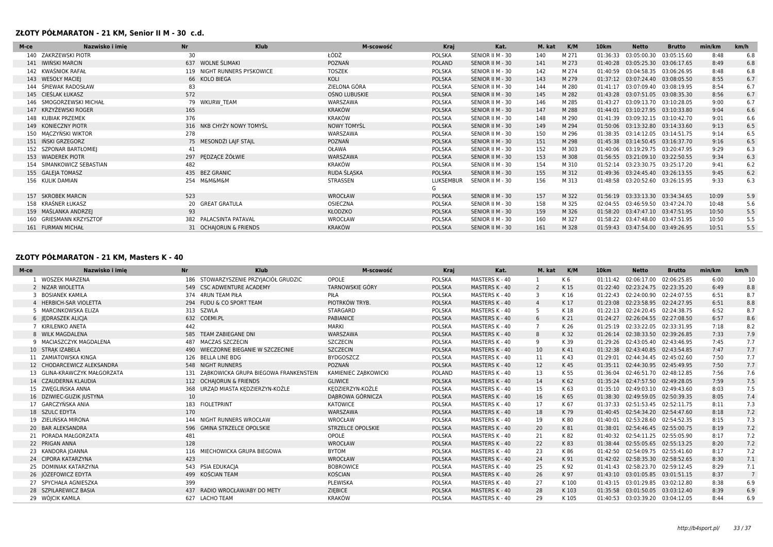#### **ZŁOTY PÓŁMARATON - 21 KM, Senior II M - 30 c.d.**

| Nazwisko i imie<br>Klub<br>Nr<br>M-scowość<br>Kraj<br>Kat.<br>M. kat<br>K/M<br>min/km<br>M-ce<br>10 <sub>km</sub><br><b>Netto</b><br>km/h<br><b>Brutto</b><br>ŁÓDŹ<br>30<br>M 271<br>03:05:15.60<br>140 ZAKRZEWSKI PIOTR<br><b>POLSKA</b><br>SENIOR II M - 30<br>140<br>01:36:33<br>03:05:00.30<br>8:48<br>6.8<br>141 IWIŃSKI MARCIN<br>637 WOLNE ŚLIMAKI<br>POZNAŃ<br>M 273<br>6.8<br>SENIOR II M - 30<br><b>POLAND</b><br>141<br>01:40:28<br>03:05:25.30<br>03:06:17.65<br>8:49<br>142 KWAŚNIOK RAFAŁ<br><b>TOSZEK</b><br>M 274<br>6.8<br>119 NIGHT RUNNERS PYSKOWICE<br><b>POLSKA</b><br>SENIOR II M - 30<br>142<br>03:04:58.35 03:06:26.95<br>8:48<br>01:40:59<br>66 KOLO BIEGA<br>M 279<br>6.7<br>143 WESOŁY MACIEJ<br>KOLI<br><b>POLSKA</b><br>SENIOR II M - 30<br>143<br>01:37:12 03:07:24.40 03:08:05.50<br>8:55<br>ZIELONA GÓRA<br>144 ŚPIEWAK RADOSŁAW<br>83<br><b>POLSKA</b><br>SENIOR II M - 30<br>M 280<br>03:07:09.40 03:08:19.95<br>8:54<br>6.7<br>144<br>01:41:17<br>145 CIEŚLAK ŁUKASZ<br>572<br>OŚNO LUBUSKIE<br>8:56<br>6.7<br><b>POLSKA</b><br>SENIOR II M - 30<br>145<br>M 282<br>01:43:28<br>03:07:51.05 03:08:35.30<br>146 SMOGORZEWSKI MICHAŁ<br>79 WKURW TEAM<br>WARSZAWA<br>M 285<br>6.7<br><b>POLSKA</b><br>SENIOR II M - 30<br>146<br>03:09:13.70 03:10:28.05<br>9:00<br>01:43:27<br>147 KRZYŻEWSKI ROGER<br>KRAKÓW<br>165<br><b>POLSKA</b><br>SENIOR II M - 30<br>147<br>M 288<br>01:44:01 03:10:27.95 03:10:33.80<br>9:04<br><b>KRAKÓW</b><br>148 KUBIAK PRZEMEK<br>376<br>M 290<br>9:01<br>6.6<br><b>POLSKA</b><br>SENIOR II M - 30<br>148<br>03:09:32.15 03:10:42.70<br>01:41:39<br>316 NKB CHYŻY NOWY TOMYŚL<br><b>NOWY TOMYŚL</b><br>6.5<br>149 KONIECZNY PIOTR<br><b>POLSKA</b><br>SENIOR II M - 30<br>149<br>M 294<br>03:13:32.80 03:14:33.60<br>9:13<br>01:50:06<br>150 MACZYŃSKI WIKTOR<br>6.5<br>278<br>WARSZAWA<br>150<br>M 296<br>9:14<br><b>POLSKA</b><br>SENIOR II M - 30<br>01:38:35<br>03:14:12.05 03:14:51.75<br>151 IŃSKI GRZEGORZ<br>75 MESONDŻI LAJF STAJL<br>POZNAŃ<br>6.5<br>SENIOR II M - 30<br>151<br>M 298<br><b>POLSKA</b><br>01:45:38<br>03:14:50.45 03:16:37.70<br>9:16<br>152<br>9:29<br>6.3<br>152 SZPONAR BARTŁOMIEJ<br>OŁAWA<br>SENIOR II M - 30<br>M 303<br>41<br><b>POLSKA</b><br>03:19:29.75 03:20:47.95<br>01:40:06<br>297 PEDZĄCE ŻÓŁWIE<br>6.3<br>153 WIADEREK PIOTR<br>WARSZAWA<br><b>POLSKA</b><br>SENIOR II M - 30<br>153<br>M 308<br>03:21:09.10 03:22:50.55<br>9:34<br>01:56:55<br>KRAKÓW<br>6.2<br>154<br>9:41<br>SIMANKOWICZ SEBASTIAN<br>482<br><b>POLSKA</b><br>SENIOR II M - 30<br>M 310<br>03:23:30.75 03:25:17.20<br>01:52:14<br>154<br>RUDA ŚLĄSKA<br>155 GALEJA TOMASZ<br>435 BEZ GRANIC<br><b>POLSKA</b><br>SENIOR II M - 30<br>6.2<br>155<br>M 312<br>01:49:36<br>03:24:45.40 03:26:13.55<br>9:45<br>6.3<br>9:33<br>156<br>M 313<br>156 KULIK DAMIAN<br>254 M&M&M&M<br>STRASSEN<br><b>LUKSEMBUR</b><br>SENIOR II M - 30<br>01:48:58<br>03:20:52.60 03:26:15.95<br>G<br>523<br><b>POLSKA</b><br>M 322<br>157 SKROBEK MARCIN<br><b>WROCŁAW</b><br>SENIOR II M - 30<br>157<br>03:33:13.30 03:34:34.65<br>10:09<br>01:56:19<br>158 KRAŚNER ŁUKASZ<br>OSIECZNA<br>20 GREAT GRATULA<br>SENIOR II M - 30<br>158<br>M 325<br><b>POLSKA</b><br>03:46:59.50 03:47:24.70<br>02:04:55<br>10:48<br>5.5<br>93<br>159<br>M 326<br>159 MASLANKA ANDRZEJ<br>KŁODZKO<br><b>POLSKA</b><br>SENIOR II M - 30<br>03:47:47.10 03:47:51.95<br>10:50<br>01:58:20<br>5.5<br>160 GRIESMANN KRZYSZTOF<br>382 PALACSINTA PATAVAL<br><b>WROCŁAW</b><br>SENIOR II M - 30<br>160<br>M 327<br><b>POLSKA</b><br>03:47:48.00<br>03:47:51.95<br>10:50<br>01:58:22<br>5.5<br><b>KRAKÓW</b><br>161<br>M 328<br>10:51<br>161 FURMAN MICHAŁ<br>31 OCHAJORUN & FRIENDS<br><b>POLSKA</b><br>SENIOR II M - 30<br>01:59:43  03:47:54.00  03:49:26.95 |  |  |  |  |  |  |     |
|---------------------------------------------------------------------------------------------------------------------------------------------------------------------------------------------------------------------------------------------------------------------------------------------------------------------------------------------------------------------------------------------------------------------------------------------------------------------------------------------------------------------------------------------------------------------------------------------------------------------------------------------------------------------------------------------------------------------------------------------------------------------------------------------------------------------------------------------------------------------------------------------------------------------------------------------------------------------------------------------------------------------------------------------------------------------------------------------------------------------------------------------------------------------------------------------------------------------------------------------------------------------------------------------------------------------------------------------------------------------------------------------------------------------------------------------------------------------------------------------------------------------------------------------------------------------------------------------------------------------------------------------------------------------------------------------------------------------------------------------------------------------------------------------------------------------------------------------------------------------------------------------------------------------------------------------------------------------------------------------------------------------------------------------------------------------------------------------------------------------------------------------------------------------------------------------------------------------------------------------------------------------------------------------------------------------------------------------------------------------------------------------------------------------------------------------------------------------------------------------------------------------------------------------------------------------------------------------------------------------------------------------------------------------------------------------------------------------------------------------------------------------------------------------------------------------------------------------------------------------------------------------------------------------------------------------------------------------------------------------------------------------------------------------------------------------------------------------------------------------------------------------------------------------------------------------------------------------------------------------------------------------------------------------------------------------------------------------------------------------------------------------------------------------------------------------------------------------------------------------------------------------------------------------------------------------------------------------------------------------------------------------------------------------------------------------------------------------------------------------------------------------------------------------|--|--|--|--|--|--|-----|
|                                                                                                                                                                                                                                                                                                                                                                                                                                                                                                                                                                                                                                                                                                                                                                                                                                                                                                                                                                                                                                                                                                                                                                                                                                                                                                                                                                                                                                                                                                                                                                                                                                                                                                                                                                                                                                                                                                                                                                                                                                                                                                                                                                                                                                                                                                                                                                                                                                                                                                                                                                                                                                                                                                                                                                                                                                                                                                                                                                                                                                                                                                                                                                                                                                                                                                                                                                                                                                                                                                                                                                                                                                                                                                                                                                                             |  |  |  |  |  |  |     |
|                                                                                                                                                                                                                                                                                                                                                                                                                                                                                                                                                                                                                                                                                                                                                                                                                                                                                                                                                                                                                                                                                                                                                                                                                                                                                                                                                                                                                                                                                                                                                                                                                                                                                                                                                                                                                                                                                                                                                                                                                                                                                                                                                                                                                                                                                                                                                                                                                                                                                                                                                                                                                                                                                                                                                                                                                                                                                                                                                                                                                                                                                                                                                                                                                                                                                                                                                                                                                                                                                                                                                                                                                                                                                                                                                                                             |  |  |  |  |  |  |     |
|                                                                                                                                                                                                                                                                                                                                                                                                                                                                                                                                                                                                                                                                                                                                                                                                                                                                                                                                                                                                                                                                                                                                                                                                                                                                                                                                                                                                                                                                                                                                                                                                                                                                                                                                                                                                                                                                                                                                                                                                                                                                                                                                                                                                                                                                                                                                                                                                                                                                                                                                                                                                                                                                                                                                                                                                                                                                                                                                                                                                                                                                                                                                                                                                                                                                                                                                                                                                                                                                                                                                                                                                                                                                                                                                                                                             |  |  |  |  |  |  |     |
|                                                                                                                                                                                                                                                                                                                                                                                                                                                                                                                                                                                                                                                                                                                                                                                                                                                                                                                                                                                                                                                                                                                                                                                                                                                                                                                                                                                                                                                                                                                                                                                                                                                                                                                                                                                                                                                                                                                                                                                                                                                                                                                                                                                                                                                                                                                                                                                                                                                                                                                                                                                                                                                                                                                                                                                                                                                                                                                                                                                                                                                                                                                                                                                                                                                                                                                                                                                                                                                                                                                                                                                                                                                                                                                                                                                             |  |  |  |  |  |  |     |
|                                                                                                                                                                                                                                                                                                                                                                                                                                                                                                                                                                                                                                                                                                                                                                                                                                                                                                                                                                                                                                                                                                                                                                                                                                                                                                                                                                                                                                                                                                                                                                                                                                                                                                                                                                                                                                                                                                                                                                                                                                                                                                                                                                                                                                                                                                                                                                                                                                                                                                                                                                                                                                                                                                                                                                                                                                                                                                                                                                                                                                                                                                                                                                                                                                                                                                                                                                                                                                                                                                                                                                                                                                                                                                                                                                                             |  |  |  |  |  |  |     |
|                                                                                                                                                                                                                                                                                                                                                                                                                                                                                                                                                                                                                                                                                                                                                                                                                                                                                                                                                                                                                                                                                                                                                                                                                                                                                                                                                                                                                                                                                                                                                                                                                                                                                                                                                                                                                                                                                                                                                                                                                                                                                                                                                                                                                                                                                                                                                                                                                                                                                                                                                                                                                                                                                                                                                                                                                                                                                                                                                                                                                                                                                                                                                                                                                                                                                                                                                                                                                                                                                                                                                                                                                                                                                                                                                                                             |  |  |  |  |  |  |     |
|                                                                                                                                                                                                                                                                                                                                                                                                                                                                                                                                                                                                                                                                                                                                                                                                                                                                                                                                                                                                                                                                                                                                                                                                                                                                                                                                                                                                                                                                                                                                                                                                                                                                                                                                                                                                                                                                                                                                                                                                                                                                                                                                                                                                                                                                                                                                                                                                                                                                                                                                                                                                                                                                                                                                                                                                                                                                                                                                                                                                                                                                                                                                                                                                                                                                                                                                                                                                                                                                                                                                                                                                                                                                                                                                                                                             |  |  |  |  |  |  |     |
|                                                                                                                                                                                                                                                                                                                                                                                                                                                                                                                                                                                                                                                                                                                                                                                                                                                                                                                                                                                                                                                                                                                                                                                                                                                                                                                                                                                                                                                                                                                                                                                                                                                                                                                                                                                                                                                                                                                                                                                                                                                                                                                                                                                                                                                                                                                                                                                                                                                                                                                                                                                                                                                                                                                                                                                                                                                                                                                                                                                                                                                                                                                                                                                                                                                                                                                                                                                                                                                                                                                                                                                                                                                                                                                                                                                             |  |  |  |  |  |  |     |
|                                                                                                                                                                                                                                                                                                                                                                                                                                                                                                                                                                                                                                                                                                                                                                                                                                                                                                                                                                                                                                                                                                                                                                                                                                                                                                                                                                                                                                                                                                                                                                                                                                                                                                                                                                                                                                                                                                                                                                                                                                                                                                                                                                                                                                                                                                                                                                                                                                                                                                                                                                                                                                                                                                                                                                                                                                                                                                                                                                                                                                                                                                                                                                                                                                                                                                                                                                                                                                                                                                                                                                                                                                                                                                                                                                                             |  |  |  |  |  |  | 6.6 |
|                                                                                                                                                                                                                                                                                                                                                                                                                                                                                                                                                                                                                                                                                                                                                                                                                                                                                                                                                                                                                                                                                                                                                                                                                                                                                                                                                                                                                                                                                                                                                                                                                                                                                                                                                                                                                                                                                                                                                                                                                                                                                                                                                                                                                                                                                                                                                                                                                                                                                                                                                                                                                                                                                                                                                                                                                                                                                                                                                                                                                                                                                                                                                                                                                                                                                                                                                                                                                                                                                                                                                                                                                                                                                                                                                                                             |  |  |  |  |  |  |     |
|                                                                                                                                                                                                                                                                                                                                                                                                                                                                                                                                                                                                                                                                                                                                                                                                                                                                                                                                                                                                                                                                                                                                                                                                                                                                                                                                                                                                                                                                                                                                                                                                                                                                                                                                                                                                                                                                                                                                                                                                                                                                                                                                                                                                                                                                                                                                                                                                                                                                                                                                                                                                                                                                                                                                                                                                                                                                                                                                                                                                                                                                                                                                                                                                                                                                                                                                                                                                                                                                                                                                                                                                                                                                                                                                                                                             |  |  |  |  |  |  |     |
|                                                                                                                                                                                                                                                                                                                                                                                                                                                                                                                                                                                                                                                                                                                                                                                                                                                                                                                                                                                                                                                                                                                                                                                                                                                                                                                                                                                                                                                                                                                                                                                                                                                                                                                                                                                                                                                                                                                                                                                                                                                                                                                                                                                                                                                                                                                                                                                                                                                                                                                                                                                                                                                                                                                                                                                                                                                                                                                                                                                                                                                                                                                                                                                                                                                                                                                                                                                                                                                                                                                                                                                                                                                                                                                                                                                             |  |  |  |  |  |  |     |
|                                                                                                                                                                                                                                                                                                                                                                                                                                                                                                                                                                                                                                                                                                                                                                                                                                                                                                                                                                                                                                                                                                                                                                                                                                                                                                                                                                                                                                                                                                                                                                                                                                                                                                                                                                                                                                                                                                                                                                                                                                                                                                                                                                                                                                                                                                                                                                                                                                                                                                                                                                                                                                                                                                                                                                                                                                                                                                                                                                                                                                                                                                                                                                                                                                                                                                                                                                                                                                                                                                                                                                                                                                                                                                                                                                                             |  |  |  |  |  |  |     |
|                                                                                                                                                                                                                                                                                                                                                                                                                                                                                                                                                                                                                                                                                                                                                                                                                                                                                                                                                                                                                                                                                                                                                                                                                                                                                                                                                                                                                                                                                                                                                                                                                                                                                                                                                                                                                                                                                                                                                                                                                                                                                                                                                                                                                                                                                                                                                                                                                                                                                                                                                                                                                                                                                                                                                                                                                                                                                                                                                                                                                                                                                                                                                                                                                                                                                                                                                                                                                                                                                                                                                                                                                                                                                                                                                                                             |  |  |  |  |  |  |     |
|                                                                                                                                                                                                                                                                                                                                                                                                                                                                                                                                                                                                                                                                                                                                                                                                                                                                                                                                                                                                                                                                                                                                                                                                                                                                                                                                                                                                                                                                                                                                                                                                                                                                                                                                                                                                                                                                                                                                                                                                                                                                                                                                                                                                                                                                                                                                                                                                                                                                                                                                                                                                                                                                                                                                                                                                                                                                                                                                                                                                                                                                                                                                                                                                                                                                                                                                                                                                                                                                                                                                                                                                                                                                                                                                                                                             |  |  |  |  |  |  |     |
|                                                                                                                                                                                                                                                                                                                                                                                                                                                                                                                                                                                                                                                                                                                                                                                                                                                                                                                                                                                                                                                                                                                                                                                                                                                                                                                                                                                                                                                                                                                                                                                                                                                                                                                                                                                                                                                                                                                                                                                                                                                                                                                                                                                                                                                                                                                                                                                                                                                                                                                                                                                                                                                                                                                                                                                                                                                                                                                                                                                                                                                                                                                                                                                                                                                                                                                                                                                                                                                                                                                                                                                                                                                                                                                                                                                             |  |  |  |  |  |  |     |
|                                                                                                                                                                                                                                                                                                                                                                                                                                                                                                                                                                                                                                                                                                                                                                                                                                                                                                                                                                                                                                                                                                                                                                                                                                                                                                                                                                                                                                                                                                                                                                                                                                                                                                                                                                                                                                                                                                                                                                                                                                                                                                                                                                                                                                                                                                                                                                                                                                                                                                                                                                                                                                                                                                                                                                                                                                                                                                                                                                                                                                                                                                                                                                                                                                                                                                                                                                                                                                                                                                                                                                                                                                                                                                                                                                                             |  |  |  |  |  |  |     |
|                                                                                                                                                                                                                                                                                                                                                                                                                                                                                                                                                                                                                                                                                                                                                                                                                                                                                                                                                                                                                                                                                                                                                                                                                                                                                                                                                                                                                                                                                                                                                                                                                                                                                                                                                                                                                                                                                                                                                                                                                                                                                                                                                                                                                                                                                                                                                                                                                                                                                                                                                                                                                                                                                                                                                                                                                                                                                                                                                                                                                                                                                                                                                                                                                                                                                                                                                                                                                                                                                                                                                                                                                                                                                                                                                                                             |  |  |  |  |  |  |     |
|                                                                                                                                                                                                                                                                                                                                                                                                                                                                                                                                                                                                                                                                                                                                                                                                                                                                                                                                                                                                                                                                                                                                                                                                                                                                                                                                                                                                                                                                                                                                                                                                                                                                                                                                                                                                                                                                                                                                                                                                                                                                                                                                                                                                                                                                                                                                                                                                                                                                                                                                                                                                                                                                                                                                                                                                                                                                                                                                                                                                                                                                                                                                                                                                                                                                                                                                                                                                                                                                                                                                                                                                                                                                                                                                                                                             |  |  |  |  |  |  |     |
|                                                                                                                                                                                                                                                                                                                                                                                                                                                                                                                                                                                                                                                                                                                                                                                                                                                                                                                                                                                                                                                                                                                                                                                                                                                                                                                                                                                                                                                                                                                                                                                                                                                                                                                                                                                                                                                                                                                                                                                                                                                                                                                                                                                                                                                                                                                                                                                                                                                                                                                                                                                                                                                                                                                                                                                                                                                                                                                                                                                                                                                                                                                                                                                                                                                                                                                                                                                                                                                                                                                                                                                                                                                                                                                                                                                             |  |  |  |  |  |  | 5.9 |
|                                                                                                                                                                                                                                                                                                                                                                                                                                                                                                                                                                                                                                                                                                                                                                                                                                                                                                                                                                                                                                                                                                                                                                                                                                                                                                                                                                                                                                                                                                                                                                                                                                                                                                                                                                                                                                                                                                                                                                                                                                                                                                                                                                                                                                                                                                                                                                                                                                                                                                                                                                                                                                                                                                                                                                                                                                                                                                                                                                                                                                                                                                                                                                                                                                                                                                                                                                                                                                                                                                                                                                                                                                                                                                                                                                                             |  |  |  |  |  |  | 5.6 |
|                                                                                                                                                                                                                                                                                                                                                                                                                                                                                                                                                                                                                                                                                                                                                                                                                                                                                                                                                                                                                                                                                                                                                                                                                                                                                                                                                                                                                                                                                                                                                                                                                                                                                                                                                                                                                                                                                                                                                                                                                                                                                                                                                                                                                                                                                                                                                                                                                                                                                                                                                                                                                                                                                                                                                                                                                                                                                                                                                                                                                                                                                                                                                                                                                                                                                                                                                                                                                                                                                                                                                                                                                                                                                                                                                                                             |  |  |  |  |  |  |     |
|                                                                                                                                                                                                                                                                                                                                                                                                                                                                                                                                                                                                                                                                                                                                                                                                                                                                                                                                                                                                                                                                                                                                                                                                                                                                                                                                                                                                                                                                                                                                                                                                                                                                                                                                                                                                                                                                                                                                                                                                                                                                                                                                                                                                                                                                                                                                                                                                                                                                                                                                                                                                                                                                                                                                                                                                                                                                                                                                                                                                                                                                                                                                                                                                                                                                                                                                                                                                                                                                                                                                                                                                                                                                                                                                                                                             |  |  |  |  |  |  |     |
|                                                                                                                                                                                                                                                                                                                                                                                                                                                                                                                                                                                                                                                                                                                                                                                                                                                                                                                                                                                                                                                                                                                                                                                                                                                                                                                                                                                                                                                                                                                                                                                                                                                                                                                                                                                                                                                                                                                                                                                                                                                                                                                                                                                                                                                                                                                                                                                                                                                                                                                                                                                                                                                                                                                                                                                                                                                                                                                                                                                                                                                                                                                                                                                                                                                                                                                                                                                                                                                                                                                                                                                                                                                                                                                                                                                             |  |  |  |  |  |  |     |

# **ZŁOTY PÓŁMARATON - 21 KM, Masters K - 40**

| M-ce | Nazwisko i imie<br><b>Nr</b> |                                      | <b>Klub</b>                               | M-scowość                | <b>Kraj</b>   | Kat.           | M. kat                  | K/M  | 10 <sub>km</sub> | <b>Netto</b>                     | <b>Brutto</b> | min/km | km/h            |
|------|------------------------------|--------------------------------------|-------------------------------------------|--------------------------|---------------|----------------|-------------------------|------|------------------|----------------------------------|---------------|--------|-----------------|
|      | WOSZEK MARZENA               | 186                                  | STOWARZYSZENIE PRZYJACIÓŁ GRUDZIC         | OPOLE                    | <b>POLSKA</b> | MASTERS K - 40 |                         | K6   | 01:11:42         | 02:06:17.00                      | 02:06:25.85   | 6:00   | 10              |
|      | 2 NIZAR WIOLETTA             | 549 CSC ADWENTURE ACADEMY            |                                           | <b>TARNOWSKIE GÓRY</b>   | <b>POLSKA</b> | MASTERS K - 40 | 2                       | K15  | 01:22:40         | 02:23:24.75                      | 02:23:35.20   | 6:49   | 8.8             |
|      | 3 BOSIANEK KAMILA            | 374 4RUN TEAM PIŁA                   |                                           | PIŁA                     | <b>POLSKA</b> | MASTERS K - 40 | $\overline{\mathbf{3}}$ | K 16 |                  | 01:22:43 02:24:00.90             | 02:24:07.55   | 6:51   | 8.7             |
|      | 4 HERBICH-SAR VIOLETTA       | 294 FUDU & CO SPORT TEAM             |                                           | PIOTRKÓW TRYB.           | <b>POLSKA</b> | MASTERS K - 40 | $\overline{4}$          | K17  | 01:23:08         | 02:23:58.95                      | 02:24:27.95   | 6:51   | 8.8             |
|      | MARCINKOWSKA ELIZA           | 313 SZWLA                            |                                           | <b>STARGARD</b>          | <b>POLSKA</b> | MASTERS K - 40 | 5                       | K 18 | 01:22:13         | 02:24:20.45 02:24:38.75          |               | 6:52   | 8.7             |
|      | 6 JEDRASZEK ALICJA           | 632 COEMI.PL                         |                                           | <b>PABIANICE</b>         | <b>POLSKA</b> | MASTERS K - 40 | 6                       | K 21 | 01:24:27         | 02:26:04.55                      | 02:27:08.50   | 6:57   | 8.6             |
|      | KIRILENKO ANETA              | 442                                  |                                           | <b>MARKI</b>             | <b>POLSKA</b> | MASTERS K - 40 | $7\overline{ }$         | K 26 |                  | 01:25:19 02:33:22.05             | 02:33:31.95   | 7:18   | 8.2             |
|      | 8 WILK MAGDALENA             | 585 TEAM ZABIEGANE DNI               |                                           | WARSZAWA                 | <b>POLSKA</b> | MASTERS K - 40 | 8                       | K 32 | 01:26:14         | 02:38:33.50                      | 02:39:26.85   | 7:33   | 7.9             |
|      | 9 MACIASZCZYK MAGDALENA      | MACZAS SZCZECIN<br>487               |                                           | <b>SZCZECIN</b>          | <b>POLSKA</b> | MASTERS K - 40 | 9                       | K 39 | 01:29:26         | 02:43:05.40                      | 02:43:46.95   | 7:45   | 7.7             |
|      | 10 STRAK IZABELA             | 490                                  | WIECZORNE BIEGANIE W SZCZECINIE           | <b>SZCZECIN</b>          | <b>POLSKA</b> | MASTERS K - 40 | 10                      | K41  | 01:32:38         | 02:43:40.85                      | 02:43:54.85   | 7:47   | 7.7             |
|      | 11 ZAMIATOWSKA KINGA         | 126 BELLA LINE BDG                   |                                           | <b>BYDGOSZCZ</b>         | <b>POLSKA</b> | MASTERS K - 40 | 11                      | K43  | 01:29:01         | 02:44:34.45                      | 02:45:02.60   | 7:50   | 7.7             |
|      | 12 CHODARCEWICZ ALEKSANDRA   | 548 NIGHT RUNNERS                    |                                           | POZNAŃ                   | <b>POLSKA</b> | MASTERS K - 40 | 12                      | K 45 | 01:35:11         | 02:44:30.95 02:45:49.95          |               | 7:50   | 7.7             |
|      | 13 GLINA-KRAWCZYK MAŁGORZATA |                                      | 131 ZABKOWICKA GRUPA BIEGOWA FRANKENSTEIN | KAMIENIEC ZABKOWICKI     | <b>POLAND</b> | MASTERS K - 40 | 13                      | K 55 | 01:36:04         | 02:46:51.70                      | 02:48:12.85   | 7:56   | 7.6             |
|      | 14 CZAUDERNA KLAUDIA         | 112 OCHAJORUN & FRIENDS              |                                           | <b>GLIWICE</b>           | <b>POLSKA</b> | MASTERS K - 40 | 14                      | K 62 |                  | 01:35:24 02:47:57.50             | 02:49:28.05   | 7:59   | 7.5             |
|      | 15 ZWEGLIŃSKA ANNA           | URZAD MIASTA KEDZIERZYN-KOŹLE<br>368 |                                           | KEDZIERZYN-KOŹLE         | <b>POLSKA</b> | MASTERS K - 40 | 15                      | K 63 | 01:35:10         | 02:49:03.10                      | 02:49:43.60   | 8:03   | 7.5             |
|      | 16 DZIWIEC-GUZIK JUSTYNA     | 10                                   |                                           | DABROWA GÓRNICZA         | <b>POLSKA</b> | MASTERS K - 40 | 16                      | K 65 | 01:38:30         | 02:49:59.05                      | 02:50:39.35   | 8:05   | 7.4             |
|      | 17 GARCZYŃSKA ANIA           | <b>FIOLETPRINT</b><br>183            |                                           | KATOWICE                 | <b>POLSKA</b> | MASTERS K - 40 | 17                      | K 67 | 01:37:33         | 02:51:53.45                      | 02:52:11.75   | 8:11   | 7.3             |
|      | 18 SZULC EDYTA               | 170                                  |                                           | WARSZAWA                 | <b>POLSKA</b> | MASTERS K - 40 | 18                      | K 79 | 01:40:45         | 02:54:34.20                      | 02:54:47.60   | 8:18   | 7.2             |
| 19   | ZIELIŃSKA MIRONA             | NIGHT RUNNERS WROCŁAW<br>144         |                                           | WROCŁAW                  | <b>POLSKA</b> | MASTERS K - 40 | 19                      | K 80 | 01:40:01         | 02:53:28.60                      | 02:54:52.35   | 8:15   | 7.3             |
|      | 20 BAR ALEKSANDRA            | 596 GMINA STRZELCE OPOLSKIE          |                                           | <b>STRZELCE OPOLSKIE</b> | <b>POLSKA</b> | MASTERS K - 40 | 20                      | K 81 | 01:38:01         | 02:54:46.45                      | 02:55:00.75   | 8:19   | 7.2             |
|      | 21 PORADA MAŁGORZATA         | 481                                  |                                           | OPOLE                    | <b>POLSKA</b> | MASTERS K - 40 | 21                      | K 82 |                  | 01:40:32 02:54:11.25             | 02:55:05.90   | 8:17   | 7.2             |
|      | 22 PRIGAN ANNA               | 128                                  |                                           | WROCŁAW                  | <b>POLSKA</b> | MASTERS K - 40 | 22                      | K83  | 01:38:44         | 02:55:05.65                      | 02:55:13.25   | 8:20   | 7.2             |
|      | 23 KANDORA JOANNA            | MIECHOWICKA GRUPA BIEGOWA<br>116     |                                           | <b>BYTOM</b>             | <b>POLSKA</b> | MASTERS K - 40 | 23                      | K86  |                  | 01:42:50 02:54:09.75             | 02:55:41.60   | 8:17   | 7.2             |
|      | 24 CIPORA KATARZYNA          | 423                                  |                                           | WROCŁAW                  | <b>POLSKA</b> | MASTERS K - 40 | 24                      | K 91 | 01:42:02         | 02:58:35.30                      | 02:58:52.65   | 8:30   | 7.1             |
|      | 25 DOMINIAK KATARZYNA        | 543 PSIA EDUKACJA                    |                                           | <b>BOBROWICE</b>         | <b>POLSKA</b> | MASTERS K - 40 | 25                      | K 92 |                  | 01:41:43 02:58:23.70             | 02:59:12.45   | 8:29   | 7.1             |
|      | 26 JÓZEFOWICZ EDYTA          | 499 KOŚCIAN TEAM                     |                                           | <b>KOŚCIAN</b>           | <b>POLSKA</b> | MASTERS K - 40 | 26                      | K 97 | 01:43:10         | 03:01:05.85                      | 03:01:51.15   | 8:37   | $7\overline{ }$ |
|      | SPYCHAŁA AGNIESZKA           | 399                                  |                                           | <b>PLEWISKA</b>          | <b>POLSKA</b> | MASTERS K - 40 | 27                      | K100 | 01:43:15         | 03:01:29.85                      | 03:02:12.80   | 8:38   | 6.9             |
|      | 28 SZPILAREWICZ BASIA        | RADIO WROCŁAW/ABY DO METY<br>437     |                                           | ZIEBICE                  | <b>POLSKA</b> | MASTERS K - 40 | 28                      | K103 | 01:35:58         | 03:01:50.05                      | 03:03:12.40   | 8:39   | 6.9             |
|      | 29 WÓJCIK KAMILA             | 627 LACHO TEAM                       |                                           | <b>KRAKÓW</b>            | <b>POLSKA</b> | MASTERS K - 40 | 29                      | K105 |                  | 01:40:53 03:03:39.20 03:04:12.05 |               | 8:44   | 6.9             |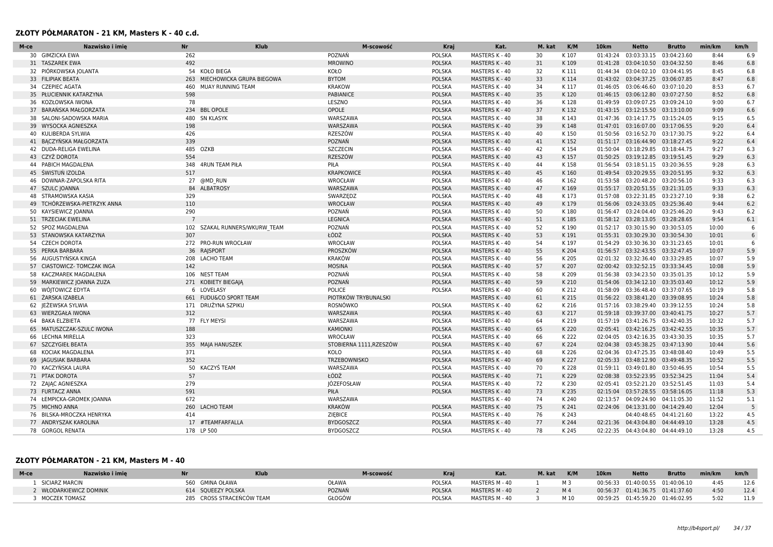### **ZŁOTY PÓŁMARATON - 21 KM, Masters K - 40 c.d.**

| M-ce | Nazwisko i imie              | <b>Nr</b><br>Klub             | M-scowość               | Kraj          | Kat.                  | M. kat | K/M   | 10 <sub>km</sub> | <b>Netto</b>                       | <b>Brutto</b> | min/km | km/h |
|------|------------------------------|-------------------------------|-------------------------|---------------|-----------------------|--------|-------|------------------|------------------------------------|---------------|--------|------|
|      | 30 GIMZICKA EWA              | 262                           | POZNAŃ                  | <b>POLSKA</b> | MASTERS K - 40        | 30     | K107  | 01:43:24         | 03:03:33.15                        | 03:04:23.60   | 8:44   | 6.9  |
|      | 31 TASZAREK EWA              | 492                           | <b>MROWINO</b>          | <b>POLSKA</b> | MASTERS K - 40        | 31     | K109  | 01:41:28         | 03:04:10.50                        | 03:04:32.50   | 8:46   | 6.8  |
|      | 32 PIÓRKOWSKA JOLANTA        | 54 KOŁO BIEGA                 | KOŁO                    | <b>POLSKA</b> | MASTERS K - 40        | 32     | K 111 | 01:44:34         | 03:04:02.10                        | 03:04:41.95   | 8:45   | 6.8  |
|      | 33 FILIPIAK BEATA            | 263 MIECHOWICKA GRUPA BIEGOWA | <b>BYTOM</b>            | <b>POLSKA</b> | MASTERS K - 40        | 33     | K114  |                  | 01:43:02 03:04:37.25 03:06:07.85   |               | 8:47   | 6.8  |
|      | 34 CZEPIEC AGATA             | 460<br>MUAY RUNNING TEAM      | <b>KRAKOW</b>           | <b>POLSKA</b> | MASTERS K - 40        | 34     | K117  | 01:46:05         | 03:06:46.60                        | 03:07:10.20   | 8:53   | 6.7  |
|      | 35 PŁUCIENNIK KATARZYNA      | 598                           | PABIANICE               | <b>POLSKA</b> | MASTERS K - 40        | 35     | K120  |                  | 01:46:15 03:06:12.80               | 03:07:27.50   | 8:52   | 6.8  |
| 36   | KOZŁOWSKA IWONA              | 78                            | LESZNO                  | <b>POLSKA</b> | MASTERS K - 40        | 36     | K128  | 01:49:59         | 03:09:07.25                        | 03:09:24.10   | 9:00   | 6.7  |
| 37   | BARANSKA MAŁGORZATA          | 234 BBL OPOLE                 | OPOLE                   | <b>POLSKA</b> | MASTERS K - 40        | 37     | K132  |                  | 01:43:15 03:12:15.50 03:13:10.00   |               | 9:09   | 6.6  |
|      | 38 SALONI-SADOWSKA MARIA     | 480<br><b>SN KLASYK</b>       | WARSZAWA                | <b>POLSKA</b> | MASTERS K - 40        | 38     | K143  |                  | 01:47:36 03:14:17.75 03:15:24.05   |               | 9:15   | 6.5  |
|      | 39 WYSOCKA AGNIESZKA         | 198                           | WARSZAWA                | <b>POLSKA</b> | MASTERS K - 40        | 39     | K148  |                  | 01:47:01 03:16:07.00 03:17:06.55   |               | 9:20   | 6.4  |
|      | 40 KULIBERDA SYLWIA          | 426                           | RZESZÓW                 | <b>POLSKA</b> | MASTERS K - 40        | 40     | K150  | 01:50:56         | 03:16:52.70                        | 03:17:30.75   | 9:22   | 6.4  |
|      | 41 BACZYŃSKA MAŁGORZATA      | 339                           | POZNAŃ                  | <b>POLSKA</b> | MASTERS K - 40        | 41     | K152  |                  | 01:51:17 03:16:44.90 03:18:27.45   |               | 9:22   | 6.4  |
|      | 42 DUDA-RELIGA EWELINA       | 485 OZKB                      | <b>SZCZECIN</b>         | <b>POLSKA</b> | MASTERS K - 40        | 42     | K154  |                  | 01:50:04 03:18:29.85 03:18:44.75   |               | 9:27   | 6.3  |
|      | 43 CZYŻ DOROTA               | 554                           | <b>RZESZÓW</b>          | <b>POLSKA</b> | <b>MASTERS K - 40</b> | 43     | K157  |                  | 01:50:25 03:19:12.85 03:19:51.45   |               | 9:29   | 6.3  |
|      | 44 PABICH MAGDALENA          | <b>4RUN TEAM PIŁA</b><br>348  | PIŁA                    | <b>POLSKA</b> | MASTERS K - 40        | 44     | K158  |                  | 01:56:54 03:18:51.15 03:20:36.55   |               | 9:28   | 6.3  |
|      | 45 ŚWISTUŃ IZOLDA            | 517                           | <b>KRAPKOWICE</b>       | <b>POLSKA</b> | <b>MASTERS K - 40</b> | 45     | K160  |                  | 01:49:54 03:20:29.55 03:20:51.95   |               | 9:32   | 6.3  |
|      | 46 DOWNAR-ZAPOLSKA RITA      | 27 @MD_RUN                    | WROCŁAW                 | <b>POLSKA</b> | MASTERS K - 40        | 46     | K162  |                  | 01:53:58 03:20:48.20 03:20:56.10   |               | 9:33   | 6.3  |
|      | 47 SZULC JOANNA              | <b>ALBATROSY</b><br>84        | WARSZAWA                | <b>POLSKA</b> | MASTERS K - 40        | 47     | K169  |                  | 01:55:17 03:20:51.55 03:21:31.05   |               | 9:33   | 6.3  |
|      | 48 STRAMOWSKA KASIA          | 329                           | SWARZEDZ                | <b>POLSKA</b> | MASTERS K - 40        | 48     | K173  |                  | 01:57:08 03:22:31.85 03:23:27.10   |               | 9:38   | 6.2  |
|      | 49 TCHÓRZEWSKA-PIETRZYK ANNA | 110                           | WROCŁAW                 | <b>POLSKA</b> | MASTERS K - 40        | 49     | K179  |                  | 01:56:06 03:24:33.05               | 03:25:36.40   | 9:44   | 6.2  |
|      | 50 KAYSIEWICZ JOANNA         | 290                           | POZNAŃ                  | <b>POLSKA</b> | MASTERS K - 40        | 50     | K180  |                  | 01:56:47 03:24:04.40 03:25:46.20   |               | 9:43   | 6.2  |
|      | 51 TRZECIAK EWELINA          |                               | <b>LEGNICA</b>          | <b>POLSKA</b> | MASTERS K - 40        | 51     | K185  |                  | 01:58:12 03:28:13.05               | 03:28:28.65   | 9:54   | 6.1  |
|      | 52 SPOZ MAGDALENA            | 102 SZAKAL RUNNERS/WKURW TEAM | POZNAŃ                  | <b>POLSKA</b> | MASTERS K - 40        | 52     | K190  |                  | 01:52:17 03:30:15.90 03:30:53.05   |               | 10:00  | 6    |
|      | 53 STANOWSKA KATARZYNA       | 307                           | ŁÓDŹ                    | <b>POLSKA</b> | MASTERS K - 40        | 53     | K191  |                  | 01:55:31 03:30:29.30               | 03:30:54.30   | 10:01  | 6    |
|      | 54 CZECH DOROTA              | 272 PRO-RUN WROCŁAW           | WROCŁAW                 | <b>POLSKA</b> | MASTERS K - 40        | 54     | K 197 |                  | 01:54:29 03:30:36.30 03:31:23.65   |               | 10:01  | 6    |
|      | 55 PERKA BARBARA             | 36 RAJSPORT                   | PROSZKÓW                | <b>POLSKA</b> | MASTERS K - 40        | 55     | K 204 | 01:56:57         | 03:32:43.55                        | 03:32:47.45   | 10:07  | 5.9  |
|      | 56 AUGUSTYŃSKA KINGA         | 208 LACHO TEAM                | <b>KRAKÓW</b>           | <b>POLSKA</b> | MASTERS K - 40        | 56     | K 205 |                  | 02:01:32 03:32:36.40 03:33:29.85   |               | 10:07  | 5.9  |
|      | 57 CIASTOWICZ- TOMCZAK INGA  | 142                           | <b>MOSINA</b>           | <b>POLSKA</b> | MASTERS K - 40        | 57     | K 207 |                  | 02:00:42 03:32:52.15 03:33:34.45   |               | 10:08  | 5.9  |
|      | 58 KACZMAREK MAGDALENA       | 106 NEST TEAM                 | POZNAŃ                  | <b>POLSKA</b> | MASTERS K - 40        | 58     | K 209 |                  | 01:56:38 03:34:23.50 03:35:01.35   |               | 10:12  | 5.9  |
|      | 59 MARKIEWICZ JOANNA ZUZA    | 271 KOBIETY BIEGAJA           | POZNAŃ                  | <b>POLSKA</b> | MASTERS K - 40        | 59     | K 210 |                  | 01:54:06 03:34:12.10               | 03:35:03.40   | 10:12  | 5.9  |
|      | 60 WÓJTOWICZ EDYTA           | 6 LOVELASY                    | POLICE                  | <b>POLSKA</b> | MASTERS K - 40        | 60     | K 212 |                  | 01:58:09 03:36:48.40 03:37:07.65   |               | 10:19  | 5.8  |
|      | 61 ŻARSKA IZABELA            | 661 FUDU&CO SPORT TEAM        | PIOTRKÓW TRYBUNALSKI    |               | MASTERS K - 40        | 61     | K 215 |                  | 01:56:22 03:38:41.20               | 03:39:08.95   | 10:24  | 5.8  |
|      | 62 JEŻEWSKA SYLWIA           | 171 DRUŻYNA SZPIKU            | ROSNÓWKO                | <b>POLSKA</b> | MASTERS K - 40        | 62     | K 216 |                  | 01:57:16 03:38:29.40 03:39:12.55   |               | 10:24  | 5.8  |
|      | 63 WIERZGAŁA IWONA           | 312                           | WARSZAWA                | <b>POLSKA</b> | MASTERS K - 40        | 63     | K 217 | 01:59:18         | 03:39:37.00 03:40:41.75            |               | 10:27  | 5.7  |
|      | 64 BAKA ELZBIETA             | 77 FLY MEYSI                  | WARSZAWA                | <b>POLSKA</b> | MASTERS K - 40        | 64     | K 219 |                  | 01:57:19 03:41:26.75 03:42:40.35   |               | 10:32  | 5.7  |
|      | 65 MATUSZCZAK-SZULC IWONA    | 188                           | <b>KAMIONKI</b>         | <b>POLSKA</b> | MASTERS K - 40        | 65     | K 220 |                  | 02:05:41  03:42:16.25  03:42:42.55 |               | 10:35  | 5.7  |
|      | 66 LECHNA MIRELLA            | 323                           | WROCŁAW                 | <b>POLSKA</b> | MASTERS K - 40        | 66     | K 222 |                  | 02:04:05 03:42:16.35 03:43:30.35   |               | 10:35  | 5.7  |
|      | 67 SZCZYGIEŁ BEATA           | 355 MAJA HANUSZEK             | STOBIERNA 1111, RZESZÓW | <b>POLSKA</b> | MASTERS K - 40        | 67     | K 224 |                  | 02:04:38 03:45:38.25 03:47:13.90   |               | 10:44  | 5.6  |
|      | 68 KOCIAK MAGDALENA          | 371                           | KOLO                    | <b>POLSKA</b> | MASTERS K - 40        | 68     | K 226 |                  | 02:04:36 03:47:25.35 03:48:08.40   |               | 10:49  | 5.5  |
|      | 69 JAGUSIAK BARBARA          | 352                           | TRZEBOWNISKO            | <b>POLSKA</b> | MASTERS K - 40        | 69     | K 227 |                  | 02:05:33 03:48:12.90 03:49:48.35   |               | 10:52  | 5.5  |
|      | 70 KACZYŃSKA LAURA           | KACZYŚ TEAM<br>50             | WARSZAWA                | <b>POLSKA</b> | MASTERS K - 40        | 70     | K 228 |                  | 01:59:11 03:49:01.80               | 03:50:46.95   | 10:54  | 5.5  |
|      | 71 PTAK DOROTA               | 57                            | ŁÓDŹ                    | <b>POLSKA</b> | MASTERS K - 40        | 71     | K 229 |                  | 02:08:38 03:52:23.95 03:52:34.25   |               | 11:04  | 5.4  |
|      | 72 ZAJĄC AGNIESZKA           | 279                           | JÓZEFOSŁAW              | <b>POLSKA</b> | MASTERS K - 40        | 72     | K 230 |                  | 02:05:41 03:52:21.20 03:52:51.45   |               | 11:03  | 5.4  |
|      | 73 FURTACZ ANNA              | 591                           | PIŁA                    | <b>POLSKA</b> | MASTERS K - 40        | 73     | K 235 |                  | 02:15:04 03:57:28.55 03:58:16.05   |               | 11:18  | 5.3  |
|      | 74 ŁEMPICKA-GROMEK JOANNA    | 672                           | WARSZAWA                |               | MASTERS K - 40        | 74     | K 240 |                  | 02:13:57 04:09:24.90               | 04:11:05.30   | 11:52  | 5.1  |
|      | 75 MICHNO ANNA               | 260 LACHO TEAM                | <b>KRAKÓW</b>           | <b>POLSKA</b> | MASTERS K - 40        | 75     | K 241 |                  | 02:24:06  04:13:31.00  04:14:29.40 |               | 12:04  | 5    |
|      | 76 BILSKA-MROCZKA HENRYKA    | 414                           | ZIĘBICE                 | <b>POLSKA</b> | MASTERS K - 40        | 76     | K 243 |                  | 04:40:48.65                        | 04:41:21.60   | 13:22  | 4.5  |
|      | 77 ANDRYSZAK KAROLINA        | 17 #TEAMFARFALLA              | <b>BYDGOSZCZ</b>        | <b>POLSKA</b> | MASTERS K - 40        | 77     | K 244 |                  | 02:21:36 04:43:04.80               | 04:44:49.10   | 13:28  | 4.5  |
|      | 78 GORGOL RENATA             | 178 LP 500                    | <b>BYDGOSZCZ</b>        | <b>POLSKA</b> | MASTERS K - 40        | 78     | K 245 |                  | 02:22:35 04:43:04.80               | 04:44:49.10   | 13:28  | 4.5  |
|      |                              |                               |                         |               |                       |        |       |                  |                                    |               |        |      |

#### **ZŁOTY PÓŁMARATON - 21 KM, Masters M - 40**

| M-ce           | Nazwisko i imie       |                    | Kluk                      | M-scowość | Kraj          | Kat.           | M. kat | K/M  | 10 <sub>km</sub> | <b>Netto</b>                       | <b>Brutto</b> | min/km | km/h |
|----------------|-----------------------|--------------------|---------------------------|-----------|---------------|----------------|--------|------|------------------|------------------------------------|---------------|--------|------|
| SICIARZ MARCIN |                       | 560 GMINA OŁAWA    |                           | OŁAWA     | <b>POLSKA</b> | MASTERS M - 40 |        |      |                  | 00:56:33 01:40:00.55 01:40:06.10   |               | 4:45   | 12.6 |
|                | WŁODARKIEWICZ DOMINIK | 614 SOUEEZY POLSKA |                           | POZNAŃ    | <b>POLSKA</b> | MASTERS M - 40 |        |      |                  | 00:56:37  01:41:36.75  01:41:37.60 |               | 4:50   | 12.4 |
| MOCZEK TOMASZ  |                       |                    | 285 CROSS STRACENCOW TEAM | iŁOGÓW    | <b>POLSKA</b> | MASTERS M - 40 |        | M 10 |                  | 00:59:25 01:45:59.20 01:46:02.95   |               | 5.02   |      |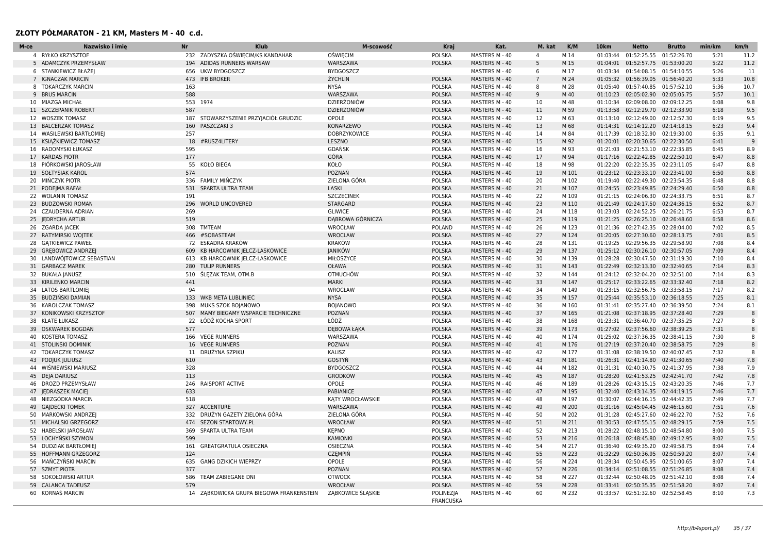#### **ZŁOTY PÓŁMARATON - 21 KM, Masters M - 40 c.d.**

| M-ce | Nazwisko i imie<br>Nr    | <b>Klub</b>                              | M-scowość           | Kraj             | Kat.           | M. kat         | K/M   | 10km     | <b>Netto</b>                     | <b>Brutto</b> | min/km | km/h |
|------|--------------------------|------------------------------------------|---------------------|------------------|----------------|----------------|-------|----------|----------------------------------|---------------|--------|------|
|      | 4 RYŁKO KRZYSZTOF        | 232 ZADYSZKA OŚWIĘCIM/KS KANDAHAR        | <b>OSWIECIM</b>     | <b>POLSKA</b>    | MASTERS M - 40 | 4              | M 14  | 01:03:44 | 01:52:25.55                      | 01:52:26.70   | 5:21   | 11.2 |
|      | 5 ADAMCZYK PRZEMYSŁAW    | 194<br>ADIDAS RUNNERS WARSAW             | WARSZAWA            | <b>POLSKA</b>    | MASTERS M - 40 | 5              | M 15  | 01:04:01 | 01:52:57.75 01:53:00.20          |               | 5:22   | 11.2 |
|      | 6 STANKIEWICZ BŁAŻEJ     | 656<br><b>UKW BYDGOSZCZ</b>              | <b>BYDGOSZCZ</b>    |                  | MASTERS M - 40 | 6              | M 17  | 01:03:34 | 01:54:08.15                      | 01:54:10.55   | 5:26   | 11   |
|      | 7 IGNACZAK MARCIN        | 473<br><b>IFB BROKER</b>                 | ŻYCHLIN             | <b>POLSKA</b>    | MASTERS M - 40 | $\overline{7}$ | M 24  | 01:05:32 | 01:56:39.05 01:56:40.20          |               | 5:33   | 10.8 |
|      | 8 TOKARCZYK MARCIN       | 163                                      | <b>NYSA</b>         | <b>POLSKA</b>    | MASTERS M - 40 | 8              | M 28  | 01:05:40 | 01:57:40.85                      | 01:57:52.10   | 5:36   | 10.7 |
|      | 9 BRUS MARCIN            | 588                                      | WARSZAWA            | <b>POLSKA</b>    | MASTERS M - 40 | 9              | M 40  |          | 01:10:23 02:05:02.90             | 02:05:05.75   | 5:57   | 10.1 |
|      | 10 MIAZGA MICHAŁ         | 553<br>1974                              | DZIERŻONIÓW         | <b>POLSKA</b>    | MASTERS M - 40 | 10             | M 48  | 01:10:34 | 02:09:08.00                      | 02:09:12.25   | 6:08   | 9.8  |
|      | 11 SZCZEPANIK ROBERT     | 587                                      | DZIERZONIÓW         | <b>POLSKA</b>    | MASTERS M - 40 | 11             | M 59  | 01:13:58 | 02:12:29.70 02:12:33.90          |               | 6:18   | 9.5  |
|      | 12 WOSZEK TOMASZ         | 187<br>STOWARZYSZENIE PRZYJACIÓŁ GRUDZIC | OPOLE               | <b>POLSKA</b>    | MASTERS M - 40 | 12             | M 63  |          | 01:13:10 02:12:49.00             | 02:12:57.30   | 6:19   | 9.5  |
| 13   | <b>BALCERZAK TOMASZ</b>  | 160<br>PASZCZAKI 3                       | KONARZEWO           | <b>POLSKA</b>    | MASTERS M - 40 | 13             | M 68  |          | 01:14:31 02:14:12.20             | 02:14:18.15   | 6:23   | 9.4  |
| 14   | WASILEWSKI BARTŁOMIEJ    | 257                                      | <b>DOBRZYKOWICE</b> | <b>POLSKA</b>    | MASTERS M - 40 | 14             | M 84  | 01:17:39 | 02:18:32.90                      | 02:19:30.00   | 6:35   | 9.1  |
|      | 15 KSIAŻKIEWICZ TOMASZ   | 18<br>#RUSZ4LITERY                       | LESZNO              | <b>POLSKA</b>    | MASTERS M - 40 | 15             | M 92  |          | 01:20:01 02:20:30.65 02:22:30.50 |               | 6:41   | -9   |
|      | 16 RADOMYSKI ŁUKASZ      | 595                                      | GDAŃSK              | <b>POLSKA</b>    | MASTERS M - 40 | 16             | M 93  | 01:21:03 | 02:21:53.10 02:22:35.85          |               | 6:45   | 8.9  |
| 17   | <b>KARDAS PIOTR</b>      | 177                                      | GÓRA                | <b>POLSKA</b>    | MASTERS M - 40 | 17             | M 94  |          | 01:17:16 02:22:42.85 02:22:50.10 |               | 6:47   | 8.8  |
| 18   | PIÓRKOWSKI JAROSŁAW      | 55<br><b>KOŁO BIEGA</b>                  | KOŁO                | <b>POLSKA</b>    | MASTERS M - 40 | 18             | M 98  | 01:22:20 | 02:22:35.35 02:23:11.05          |               | 6:47   | 8.8  |
|      | 19 SOŁTYSIAK KAROL       | 574                                      | POZNAŃ              | <b>POLSKA</b>    | MASTERS M - 40 | 19             | M 101 |          | 01:23:12 02:23:33.10 02:23:41.00 |               | 6:50   | 8.8  |
|      | 20 MIŃCZYK PIOTR         | 336 FAMILY MIŃCZYK                       | ZIELONA GÓRA        | <b>POLSKA</b>    | MASTERS M - 40 | 20             | M 102 |          | 01:19:40 02:22:49.30 02:23:54.35 |               | 6:48   | 8.8  |
| 21   | PODEJMA RAFAŁ            | 531<br>SPARTA ULTRA TEAM                 | LASKI               | <b>POLSKA</b>    | MASTERS M - 40 | 21             | M 107 |          | 01:24:55 02:23:49.85 02:24:29.40 |               | 6:50   | 8.8  |
| 22   | <b>WOLANIN TOMASZ</b>    | 191                                      | <b>SZCZECINEK</b>   | <b>POLSKA</b>    | MASTERS M - 40 | 22             | M 109 | 01:21:15 | 02:24:06.30                      | 02:24:33.75   | 6:51   | 8.7  |
|      | 23 BUDZOWSKI ROMAN       | 296<br><b>WORLD UNCOVERED</b>            | STARGARD            | <b>POLSKA</b>    | MASTERS M - 40 | 23             | M 110 |          | 01:21:49 02:24:17.50 02:24:36.15 |               | 6:52   | 8.7  |
|      | 24 CZAUDERNA ADRIAN      | 269                                      | <b>GLIWICE</b>      | <b>POLSKA</b>    | MASTERS M - 40 | 24             | M 118 | 01:23:03 | 02:24:52.25 02:26:21.75          |               | 6:53   | 8.7  |
| 25   | <b>JEDRYCHA ARTUR</b>    | 519                                      | DABROWA GÓRNICZA    | <b>POLSKA</b>    | MASTERS M - 40 | 25             | M 119 |          | 01:21:25 02:26:25.10             | 02:26:48.60   | 6:58   | 8.6  |
|      | 26 ZGARDA JACEK          | 308<br>TMTEAM                            | WROCŁAW             | POLAND           | MASTERS M - 40 | 26             | M 123 | 01:21:36 | 02:27:42.35                      | 02:28:04.00   | 7:02   | 8.5  |
|      | 27 RATYMIRSKI WOJTEK     | 466 #SOBASTEAM                           | WROCLAW             | <b>POLSKA</b>    | MASTERS M - 40 | 27             | M 124 | 01:20:05 | 02:27:30.60                      | 02:28:13.75   | 7:01   | 8.5  |
| 28   | <b>GATKIEWICZ PAWEŁ</b>  | 72 ESKADRA KRAKÓW                        | KRAKÓW              | <b>POLSKA</b>    | MASTERS M - 40 | 28             | M 131 | 01:19:25 | 02:29:56.35 02:29:58.90          |               | 7:08   | 8.4  |
| 29   | <b>GREBOWICZ ANDRZEJ</b> | KB HARCOWNIK JELCZ-LASKOWICE<br>609      | JANIKÓW             | <b>POLSKA</b>    | MASTERS M - 40 | 29             | M 137 |          | 01:25:12 02:30:26.10             | 02:30:57.05   | 7:09   | 8.4  |
| 30   | LANDWÓJTOWICZ SEBASTIAN  | 613 KB HARCOWNIK JELCZ-LASKOWICE         | MIŁOSZYCE           | <b>POLSKA</b>    | MASTERS M - 40 | 30             | M 139 | 01:28:28 | 02:30:47.50 02:31:19.30          |               | 7:10   | 8.4  |
|      | 31 GARBACZ MAREK         | 280 TULIP RUNNERS                        | <b>OŁAWA</b>        | <b>POLSKA</b>    | MASTERS M - 40 | 31             | M 143 | 01:22:49 | 02:32:13.30 02:32:40.65          |               | 7:14   | 8.3  |
|      | 32 BUKAŁA JANUSZ         | <b>SLEZAK TEAM, OTM.B</b><br>510         | <b>OTMUCHÓW</b>     | <b>POLSKA</b>    | MASTERS M - 40 | 32             | M 144 |          | 01:24:12 02:32:04.20 02:32:51.00 |               | 7:14   | 8.3  |
| 33   | <b>KIRILENKO MARCIN</b>  | 441                                      | <b>MARKI</b>        | <b>POLSKA</b>    | MASTERS M - 40 | 33             | M 147 | 01:25:17 | 02:33:22.65                      | 02:33:32.40   | 7:18   | 8.2  |
|      | 34 LATOS BARTLOMIEI      | 94                                       | WROCŁAW             | <b>POLSKA</b>    | MASTERS M - 40 | 34             | M 149 | 01:23:15 | 02:32:56.75                      | 02:33:58.15   | 7:17   | 8.2  |
| 35   | BUDZIŃSKI DAMIAN         | 133<br>WKB META LUBLINIEC                | <b>NYSA</b>         | <b>POLSKA</b>    | MASTERS M - 40 | 35             | M 157 | 01:25:44 | 02:35:53.10                      | 02:36:18.55   | 7:25   | 8.1  |
| 36   | KAROLCZAK TOMASZ         | 398<br>MUKS SZOK BOJANOWO                | <b>BOJANOWO</b>     | <b>POLSKA</b>    | MASTERS M - 40 | 36             | M 160 | 01:31:41 | 02:35:27.40                      | 02:36:39.50   | 7:24   | 8.1  |
| 37   | KONIKOWSKI KRZYSZTOF     | 507<br>MAMY BIEGAMY WSPARCIE TECHNICZNE  | POZNAŃ              | <b>POLSKA</b>    | MASTERS M - 40 | 37             | M 165 | 01:21:08 | 02:37:18.95                      | 02:37:28.40   | 7:29   | 8    |
| 38   | KLATE ŁUKASZ             | 22<br>ŁÓDŹ KOCHA SPORT                   | ŁÓDŹ                | <b>POLSKA</b>    | MASTERS M - 40 | 38             | M 168 | 01:23:31 | 02:36:40.70                      | 02:37:35.25   | 7:27   | 8    |
| 39   | <b>OSKWAREK BOGDAN</b>   | 577                                      | DEBOWA ŁĄKA         | <b>POLSKA</b>    | MASTERS M - 40 | 39             | M 173 |          | 01:27:02 02:37:56.60 02:38:39.25 |               | 7:31   | 8    |
| 40   | <b>KOSTERA TOMASZ</b>    | 166 VEGE RUNNERS                         | WARSZAWA            | <b>POLSKA</b>    | MASTERS M - 40 | 40             | M 174 |          | 01:25:02 02:37:36.35             | 02:38:41.15   | 7:30   | 8    |
| 41   | <b>STOLINSKI DOMINIK</b> | <b>VEGE RUNNERS</b><br>16                | <b>POZNAN</b>       | <b>POLSKA</b>    | MASTERS M - 40 | 41             | M 176 | 01:27:19 | 02:37:20.40                      | 02:38:58.75   | 7:29   | 8    |
|      | 42 TOKARCZYK TOMASZ      | 11<br>DRUŻYNA SZPIKU                     | <b>KALISZ</b>       | <b>POLSKA</b>    | MASTERS M - 40 | 42             | M 177 | 01:31:08 | 02:38:19.50                      | 02:40:07.45   | 7:32   | 8    |
|      | 43 PODJUK JULIUSZ        | 610                                      | GOSTYŃ              | <b>POLSKA</b>    | MASTERS M - 40 | 43             | M 181 |          | 01:26:31 02:41:14.80             | 02:41:30.65   | 7:40   | 7.8  |
|      | 44 WIŚNIEWSKI MARIUSZ    | 328                                      | <b>BYDGOSZCZ</b>    | <b>POLSKA</b>    | MASTERS M - 40 | 44             | M 182 | 01:31:31 | 02:40:30.75 02:41:37.95          |               | 7:38   | 7.9  |
|      | 45 DEJA DARIUSZ          | 113                                      | <b>GRODKÓW</b>      | <b>POLSKA</b>    | MASTERS M - 40 | 45             | M 187 | 01:28:20 | 02:41:53.25                      | 02:42:41.70   | 7:42   | 7.8  |
| 46   | DROZD PRZEMYSŁAW         | 246 RAISPORT ACTIVE                      | OPOLE               | <b>POLSKA</b>    | MASTERS M - 40 | 46             | M 189 | 01:28:26 | 02:43:15.15 02:43:20.35          |               | 7:46   | 7.7  |
|      | 47 IEDRASZEK MACIE       | 633                                      | PABIANICE           | <b>POLSKA</b>    | MASTERS M - 40 | 47             | M 195 |          | 01:32:40 02:43:14.35 02:44:19.15 |               | 7:46   | 7.7  |
| 48   | NIEZGÓDKA MARCIN         | 518                                      | KATY WROCŁAWSKIE    | <b>POLSKA</b>    | MASTERS M - 40 | 48             | M 197 | 01:30:07 | 02:44:16.15 02:44:42.35          |               | 7:49   | 7.7  |
| 49   | <b>GAIDECKI TOMEK</b>    | 327<br><b>ACCENTURE</b>                  | WARSZAWA            | <b>POLSKA</b>    | MASTERS M - 40 | 49             | M 200 | 01:31:16 | 02:45:04.45 02:46:15.60          |               | 7:51   | 7.6  |
|      | 50 MARKOWSKI ANDRZEJ     | DRUŻYN GAZETY ZIELONA GÓRA<br>332        | ZIELONA GÓRA        | <b>POLSKA</b>    | MASTERS M - 40 | 50             | M 202 | 01:31:28 | 02:45:27.60 02:46:22.70          |               | 7:52   | 7.6  |
|      | 51 MICHALSKI GRZEGORZ    | 474<br><b>SEZON STARTOWY.PL</b>          | WROCŁAW             | <b>POLSKA</b>    | MASTERS M - 40 | 51             | M 211 |          | 01:30:53 02:47:55.15 02:48:29.15 |               | 7:59   | 7.5  |
| 52   | <b>HABELSKI JAROSŁAW</b> | SPARTA ULTRA TEAM<br>369                 | <b>KEPNO</b>        | <b>POLSKA</b>    | MASTERS M - 40 | 52             | M 213 | 01:28:22 | 02:48:15.10                      | 02:48:54.80   | 8:00   | 7.5  |
|      | 53 LOCHYŃSKI SZYMON      | 599                                      | <b>KAMIONKI</b>     | <b>POLSKA</b>    | MASTERS M - 40 | 53             | M 216 |          | 01:26:18 02:48:45.80 02:49:12.95 |               | 8:02   | 7.5  |
|      | 54 DUDZIAK BARTŁOMIEJ    | 161<br><b>GREATGRATULA OSIECZNA</b>      | OSIECZNA            | <b>POLSKA</b>    | MASTERS M - 40 | 54             | M 217 | 01:36:40 | 02:49:35.20 02:49:58.75          |               | 8:04   | 7.4  |
|      | 55 HOFFMANN GRZEGORZ     | 124                                      | <b>CZĘMPIŃ</b>      | <b>POLSKA</b>    | MASTERS M - 40 | 55             | M 223 |          | 01:32:29 02:50:36.95 02:50:59.20 |               | 8:07   | 7.4  |
| 56   | MAŃCZYŃSKI MARCIN        | 635<br><b>GANG DZIKICH WIEPRZY</b>       | OPOLE               | <b>POLSKA</b>    | MASTERS M - 40 | 56             | M 224 | 01:28:34 | 02:50:45.95 02:51:00.65          |               | 8:07   | 7.4  |
| 57   | <b>SZMYT PIOTR</b>       | 377                                      | POZNAN              | <b>POLSKA</b>    | MASTERS M - 40 | 57             | M 226 |          | 01:34:14 02:51:08.55 02:51:26.85 |               | 8:08   | 7.4  |
| 58   | SOKOŁOWSKI ARTUR         | TEAM ZABIEGANE DNI<br>586                | <b>OTWOCK</b>       | <b>POLSKA</b>    | MASTERS M - 40 | 58             | M 227 | 01:32:44 | 02:50:48.05 02:51:42.10          |               | 8:08   | 7.4  |
|      | 59 CALANCA TADEUSZ       | 579                                      | <b>WROCŁAW</b>      | <b>POLSKA</b>    | MASTERS M - 40 | 59             | M 228 |          | 01:33:41 02:50:35.35 02:51:58.20 |               | 8:07   | 7.4  |
|      | 60 KORNAŚ MARCIN         | 14 ZABKOWICKA GRUPA BIEGOWA FRANKENSTEIN | ZABKOWICE ŚLASKIE   | <b>POLINEZIA</b> | MASTERS M - 40 | 60             | M 232 |          | 01:33:57 02:51:32.60 02:52:58.45 |               | 8:10   | 7.3  |
|      |                          |                                          |                     | <b>FRANCUSKA</b> |                |                |       |          |                                  |               |        |      |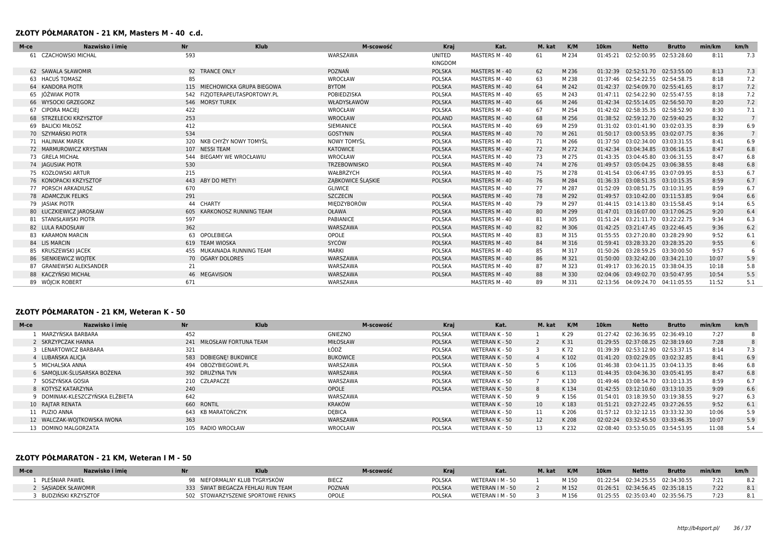#### **ZŁOTY PÓŁMARATON - 21 KM, Masters M - 40 c.d.**

| M-ce | Nazwisko i imie          | Nr  | <b>Klub</b>                   | M-scowość          | <b>Kraj</b>              | Kat.           | M. kat | K/M   | 10 <sub>km</sub> | <b>Netto</b>                     | <b>Brutto</b> | min/km | km/h        |
|------|--------------------------|-----|-------------------------------|--------------------|--------------------------|----------------|--------|-------|------------------|----------------------------------|---------------|--------|-------------|
|      | 61 CZACHOWSKI MICHAL     | 593 |                               | WARSZAWA           | <b>UNITED</b><br>KINGDOM | MASTERS M - 40 | 61     | M 234 | 01:45:21         | 02:52:00.95                      | 02:53:28.60   | 8:11   | 7.3         |
|      | 62 SAWALA SŁAWOMIR       |     | 92 TRANCE ONLY                | POZNAŃ             | <b>POLSKA</b>            | MASTERS M - 40 | 62     | M 236 |                  | 01:32:39 02:52:51.70 02:53:55.00 |               | 8:13   | 7.3         |
|      | 63 HACUŚ TOMASZ          | 85  |                               | WROCŁAW            | <b>POLSKA</b>            | MASTERS M - 40 | 63     | M 238 |                  | 01:37:46 02:54:22.55 02:54:58.75 |               | 8:18   | 7.2         |
|      | 64 KANDORA PIOTR         |     | 115 MIECHOWICKA GRUPA BIEGOWA | <b>BYTOM</b>       | <b>POLSKA</b>            | MASTERS M - 40 | 64     | M 242 | 01:42:37         | 02:54:09.70 02:55:41.65          |               | 8:17   | 7.2         |
|      | 65 JÓŹWIAK PIOTR         |     | 542 FIZJOTERAPEUTASPORTOWY.PL | POBIEDZISKA        | <b>POLSKA</b>            | MASTERS M - 40 | 65     | M 243 |                  | 01:47:11 02:54:22.90 02:55:47.55 |               | 8:18   | 7.2         |
|      | 66 WYSOCKI GRZEGORZ      |     | 546 MORSY TUREK               | WŁADYSŁAWÓW        | <b>POLSKA</b>            | MASTERS M - 40 | 66     | M 246 |                  | 01:42:34 02:55:14.05 02:56:50.70 |               | 8:20   | 7.2         |
|      | 67 CIPORA MACIEI         | 422 |                               | WROCŁAW            | <b>POLSKA</b>            | MASTERS M - 40 | 67     | M 254 |                  | 01:42:02 02:58:35.35 02:58:52.90 |               | 8:30   | 7.1         |
|      | 68 STRZELECKI KRZYSZTOF  | 253 |                               | WROCŁAW            | <b>POLAND</b>            | MASTERS M - 40 | 68     | M 256 |                  | 01:38:52 02:59:12.70 02:59:40.25 |               | 8:32   | $7^{\circ}$ |
|      | 69 BALICKI MIŁOSZ        | 412 |                               | <b>SIEMIANICE</b>  | <b>POLSKA</b>            | MASTERS M - 40 | 69     | M 259 |                  | 01:31:02 03:01:41.90             | 03:02:03.35   | 8:39   | 6.9         |
|      | 70 SZYMAŃSKI PIOTR       | 534 |                               | <b>GOSTYNIN</b>    | <b>POLSKA</b>            | MASTERS M - 40 | 70     | M 261 |                  | 01:50:17 03:00:53.95 03:02:07.75 |               | 8:36   | $7^{\circ}$ |
|      | 71 HALINIAK MAREK        |     | 320 NKB CHYŻY NOWY TOMYŚL     | <b>NOWY TOMYŚL</b> | <b>POLSKA</b>            | MASTERS M - 40 | 71     | M 266 | 01:37:50         | 03:02:34.00                      | 03:03:31.55   | 8:41   | 6.9         |
|      | 72 MARMUROWICZ KRYSTIAN  |     | 107 NESSI TEAM                | <b>KATOWICE</b>    | <b>POLSKA</b>            | MASTERS M - 40 | 72     | M 272 |                  | 01:42:34 03:04:34.85 03:06:16.15 |               | 8:47   | 6.8         |
|      | 73 GRELA MICHAŁ          |     | 544 BIEGAMY WE WROCŁAWIU      | WROCŁAW            | <b>POLSKA</b>            | MASTERS M - 40 | 73     | M 275 |                  | 01:43:35 03:04:45.80 03:06:31.55 |               | 8:47   | 6.8         |
|      | 74 JAGUSIAK PIOTR        | 530 |                               | TRZEBOWNISKO       | <b>POLSKA</b>            | MASTERS M - 40 | 74     | M 276 | 01:49:57         | 03:05:04.25                      | 03:06:38.55   | 8:48   | 6.8         |
|      | 75 KOZŁOWSKI ARTUR       | 215 |                               | WAŁBRZYCH          | <b>POLSKA</b>            | MASTERS M - 40 | 75     | M 278 |                  | 01:41:54 03:06:47.95 03:07:09.95 |               | 8:53   | 6.7         |
|      | 76 KONOPACKI KRZYSZTOF   |     | 443 ABY DO METY!              | ZABKOWICE ŚLASKIE  | <b>POLSKA</b>            | MASTERS M - 40 | 76     | M 284 |                  | 01:36:33 03:08:51.35 03:10:15.35 |               | 8:59   | 6.7         |
|      | 77 PORSCH ARKADIUSZ      | 670 |                               | <b>GLIWICE</b>     |                          | MASTERS M - 40 | 77     | M 287 |                  | 01:52:09 03:08:51.75 03:10:31.95 |               | 8:59   | 6.7         |
|      | 78 ADAMCZUK FELIKS       | 291 |                               | <b>SZCZECIN</b>    | <b>POLSKA</b>            | MASTERS M - 40 | 78     | M 292 | 01:49:57         | 03:10:42.00 03:11:53.85          |               | 9:04   | 6.6         |
|      | 79 JASIAK PIOTR          |     | 44 CHARTY                     | MIEDZYBORÓW        | <b>POLSKA</b>            | MASTERS M - 40 | 79     | M 297 |                  | 01:44:15 03:14:13.80             | 03:15:58.45   | 9:14   | 6.5         |
|      | 80 ŁUCZKIEWICZ JAROSŁAW  |     | 605 KARKONOSZ RUNNING TEAM    | OŁAWA              | <b>POLSKA</b>            | MASTERS M - 40 | 80     | M 299 |                  | 01:47:01 03:16:07.00             | 03:17:06.25   | 9:20   | 6.4         |
|      | 81 STANISŁAWSKI PIOTR    | 597 |                               | <b>PABIANICE</b>   | <b>POLSKA</b>            | MASTERS M - 40 | 81     | M 305 |                  | 01:51:24 03:21:11.70 03:22:22.75 |               | 9:34   | 6.3         |
|      | 82 LULA RADOSŁAW         | 362 |                               | WARSZAWA           | <b>POLSKA</b>            | MASTERS M - 40 | 82     | M 306 |                  | 01:42:25 03:21:47.45 03:22:46.45 |               | 9:36   | 6.2         |
|      | 83 KARAMON MARCIN        |     | 63 OPOLEBIEGA                 | OPOLE              | <b>POLSKA</b>            | MASTERS M - 40 | 83     | M 315 |                  | 01:55:55 03:27:20.80             | 03:28:29.90   | 9:52   | 6.1         |
|      | 84 LIS MARCIN            |     | 619 TEAM WIOSKA               | SYCÓW              | <b>POLSKA</b>            | MASTERS M - 40 | 84     | M 316 | 01:59:41         | 03:28:33.20                      | 03:28:35.20   | 9:55   | 6           |
|      | 85 KRUSZEWSKI JACEK      |     | 455 MUKAINADA RUNNING TEAM    | <b>MARKI</b>       | <b>POLSKA</b>            | MASTERS M - 40 | 85     | M 317 |                  | 01:50:26 03:28:59.25 03:30:00.50 |               | 9:57   |             |
|      | 86 SIENKIEWICZ WOJTEK    |     | 70 OGARY DOLORES              | WARSZAWA           | <b>POLSKA</b>            | MASTERS M - 40 | 86     | M 321 | 01:50:00         | 03:32:42.00                      | 03:34:21.10   | 10:07  | 5.9         |
|      | 87 GRANIEWSKI ALEKSANDER | 21  |                               | WARSZAWA           | <b>POLSKA</b>            | MASTERS M - 40 | 87     | M 323 | 01:49:17         | 03:36:20.15                      | 03:38:04.35   | 10:18  | 5.8         |
|      | 88 KACZYŃSKI MICHAŁ      |     | 46 MEGAVISION                 | WARSZAWA           | <b>POLSKA</b>            | MASTERS M - 40 | 88     | M 330 | 02:04:06         | 03:49:02.70                      | 03:50:47.95   | 10:54  | 5.5         |
|      | 89 WÓJCIK ROBERT         | 671 |                               | WARSZAWA           |                          | MASTERS M - 40 | 89     | M 331 |                  | 02:13:56 04:09:24.70 04:11:05.55 |               | 11:52  | 5.1         |

### **ZŁOTY PÓŁMARATON - 21 KM, Weteran K - 50**

| M-ce                        | Nazwisko i imie<br><b>Nr</b>     |                           | <b>Klub</b> | M-scowość       | Kraj          | Kat.           | M. kat          | K/M   | 10 <sub>km</sub> | <b>Netto</b>                     | <b>Brutto</b> | min/km | km/h |
|-----------------------------|----------------------------------|---------------------------|-------------|-----------------|---------------|----------------|-----------------|-------|------------------|----------------------------------|---------------|--------|------|
| MARZYŃSKA BARBARA           |                                  | 452                       |             | GNIEZNO         | POLSKA        | WETERAN K - 50 |                 | K 29  | 01:27:42         | 02:36:36.95                      | 02:36:49.10   | 7:27   |      |
| 2 SKRZYPCZAK HANNA          |                                  | 241 MIŁOSŁAW FORTUNA TEAM |             | MIŁOSŁAW        | <b>POLSKA</b> | WETERAN K - 50 |                 | K 31  |                  | 01:29:55 02:37:08.25 02:38:19.60 |               | 7:28   |      |
| 3 LENARTOWICZ BARBARA       |                                  | 321                       |             | ŁÓDŹ            | POLSKA        | WETERAN K - 50 |                 | K 72  | 01:39:39         | 02:53:12.90 02:53:37.15          |               | 8:14   | 7.3  |
| 4 LUBAŃSKA ALICIA           |                                  | 583 DOBIEGNE! BUKOWICE    |             | <b>BUKOWICE</b> | <b>POLSKA</b> | WETERAN K - 50 |                 | K 102 |                  | 01:41:20 03:02:29.05 03:02:32.85 |               | 8:41   | 6.9  |
| 5 MICHALSKA ANNA            |                                  | OBOZYBIEGOWE.PL<br>494    |             | WARSZAWA        | POLSKA        | WETERAN K - 50 |                 | K106  | 01:46:38         | 03:04:11.35                      | 03:04:13.35   | 8:46   | 6.8  |
| 6 SAMOJLUK-ŚLUSARSKA BOŻENA |                                  | 392 DRUŻYNA TVN           |             | WARSZAWA        | <b>POLSKA</b> | WETERAN K - 50 | 6               | K 113 |                  | 01:44:35 03:04:36.30 03:05:41.95 |               | 8:47   | 6.8  |
| SOSZYŃSKA GOSIA             |                                  | 210 CZŁAPACZE             |             | WARSZAWA        | POLSKA        | WETERAN K - 50 |                 | K130  |                  | 01:49:46 03:08:54.70 03:10:13.35 |               | 8:59   | 6.7  |
| 8 KOTYSZ KATARZYNA          |                                  | 240                       |             | OPOLE           | <b>POLSKA</b> | WETERAN K - 50 | 8               | K134  |                  | 01:42:55 03:12:10.60 03:13:10.35 |               | 9:09   | 6.6  |
|                             | 9 DOMINIAK-KLESZCZYŃSKA ELŻBIETA | 642                       |             | WARSZAWA        |               | WETERAN K - 50 |                 | K156  | 01:54:01         | 03:18:39.50 03:19:38.55          |               | 9:27   | 6.3  |
| 10 RAITAR RENATA            |                                  | 660 RONTIL                |             | KRAKÓW          |               | WETERAN K - 50 | 10 <sup>1</sup> | K183  |                  | 01:51:21 03:27:22.45 03:27:26.55 |               | 9:52   | 6.1  |
| 11 PUZIO ANNA               |                                  | 643 KB MARATOŃCZYK        |             | <b>DEBICA</b>   |               | WETERAN K - 50 | 11              | K 206 | 01:57:12         | 03:32:12.15 03:33:32.30          |               | 10:06  | 5.9  |
| 12 WALCZAK-WOJTKOWSKA IWONA |                                  | 363                       |             | WARSZAWA        | <b>POLSKA</b> | WETERAN K - 50 | 12 <sup>2</sup> | K 208 | 02:02:24         | 03:32:45.50 03:33:46.35          |               | 10:07  | 5.9  |
| 13 DOMINO MALGORZATA        |                                  | 105 RADIO WROCŁAW         |             | WROCŁAW         | POLSKA        | WETERAN K - 50 | 13              | K 232 | 02:08:40         | 03:53:50.05 03:54:53.95          |               | 11:08  | 5.4  |

# **ZŁOTY PÓŁMARATON - 21 KM, Weteran I M - 50**

| M-ce | Nazwisko i imie     |     | Kluk                               | M-scowość    | Krai          | Kat              | M. kat | K/M   | 10km     | <b>Netto</b>                     | <b>Brutto</b> | min/km | km/h |
|------|---------------------|-----|------------------------------------|--------------|---------------|------------------|--------|-------|----------|----------------------------------|---------------|--------|------|
|      | PLEŚNIAR PAWEŁ      |     | 98 NIEFORMALNY KLUB TYGRYSKÓW      | <b>BIECZ</b> | <b>POLSKA</b> | WETERAN I M - 50 |        | M 150 |          | 01:22:54 02:34:25.55 02:34:30.55 |               | 7:21   |      |
|      | SASIADEK SŁAWOMIR   |     | 333 ŚWIAT BIEGACZA FEHLAU RUN TEAM | POZNAŃ       | <b>POLSKA</b> | WETERAN I M - 50 |        | M 152 |          | 01:26:51 02:34:56.45 02:35:18.15 |               | 7:22   |      |
|      | BUDZIŃSKI KRZYSZTOF | 502 | STOWARZYSZENIE SPORTOWE FENIKS     | OPOLE        | <b>POLSKA</b> | WFTFRAN I M - 50 |        | M 156 | 01:25:55 | 02:35:03.40                      | 02:35:56.75   | 7:23   |      |